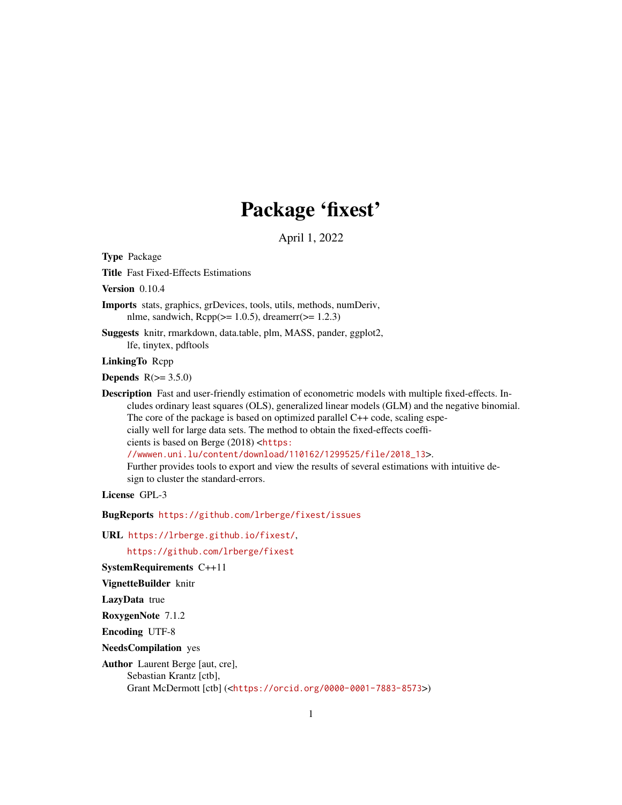# Package 'fixest'

April 1, 2022

<span id="page-0-0"></span>Type Package

Title Fast Fixed-Effects Estimations

Version 0.10.4

Imports stats, graphics, grDevices, tools, utils, methods, numDeriv, nlme, sandwich,  $\text{Rcpp}(\geq 1.0.5)$ , dreamerr( $\geq 1.2.3$ )

Suggests knitr, rmarkdown, data.table, plm, MASS, pander, ggplot2, lfe, tinytex, pdftools

LinkingTo Rcpp

**Depends**  $R(>= 3.5.0)$ 

Description Fast and user-friendly estimation of econometric models with multiple fixed-effects. Includes ordinary least squares (OLS), generalized linear models (GLM) and the negative binomial. The core of the package is based on optimized parallel C++ code, scaling especially well for large data sets. The method to obtain the fixed-effects coefficients is based on Berge (2018) <[https:](https://wwwen.uni.lu/content/download/110162/1299525/file/2018_13) [//wwwen.uni.lu/content/download/110162/1299525/file/2018\\_13](https://wwwen.uni.lu/content/download/110162/1299525/file/2018_13)>. Further provides tools to export and view the results of several estimations with intuitive design to cluster the standard-errors.

License GPL-3

BugReports <https://github.com/lrberge/fixest/issues>

URL <https://lrberge.github.io/fixest/>,

<https://github.com/lrberge/fixest>

SystemRequirements C++11

VignetteBuilder knitr

LazyData true

RoxygenNote 7.1.2

Encoding UTF-8

NeedsCompilation yes

Author Laurent Berge [aut, cre],

Sebastian Krantz [ctb],

Grant McDermott [ctb] (<<https://orcid.org/0000-0001-7883-8573>>)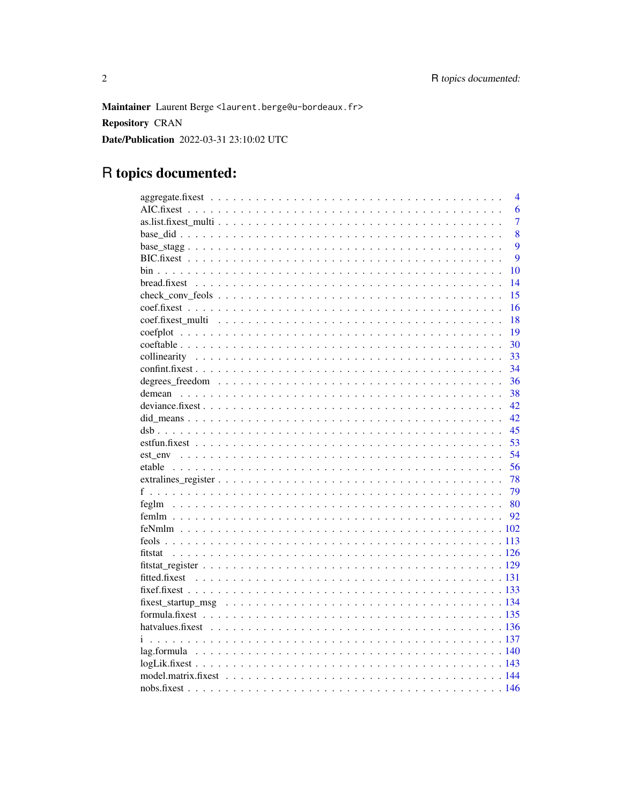Maintainer Laurent Berge <laurent.berge@u-bordeaux.fr> **Repository CRAN** Date/Publication 2022-03-31 23:10:02 UTC

## R topics documented:

|  | $\overline{4}$<br>6 |
|--|---------------------|
|  | $\overline{7}$      |
|  |                     |
|  | 8                   |
|  | 9                   |
|  | 9                   |
|  | 10                  |
|  | 14                  |
|  | 15                  |
|  | 16                  |
|  | 18                  |
|  | 19                  |
|  | 30                  |
|  | 33                  |
|  | 34                  |
|  | 36                  |
|  | 38                  |
|  | 42                  |
|  | 42                  |
|  | 45                  |
|  | 53                  |
|  | 54                  |
|  | 56                  |
|  | -78                 |
|  | 79                  |
|  |                     |
|  |                     |
|  |                     |
|  |                     |
|  |                     |
|  |                     |
|  |                     |
|  |                     |
|  |                     |
|  |                     |
|  |                     |
|  |                     |
|  |                     |
|  |                     |
|  |                     |
|  |                     |
|  |                     |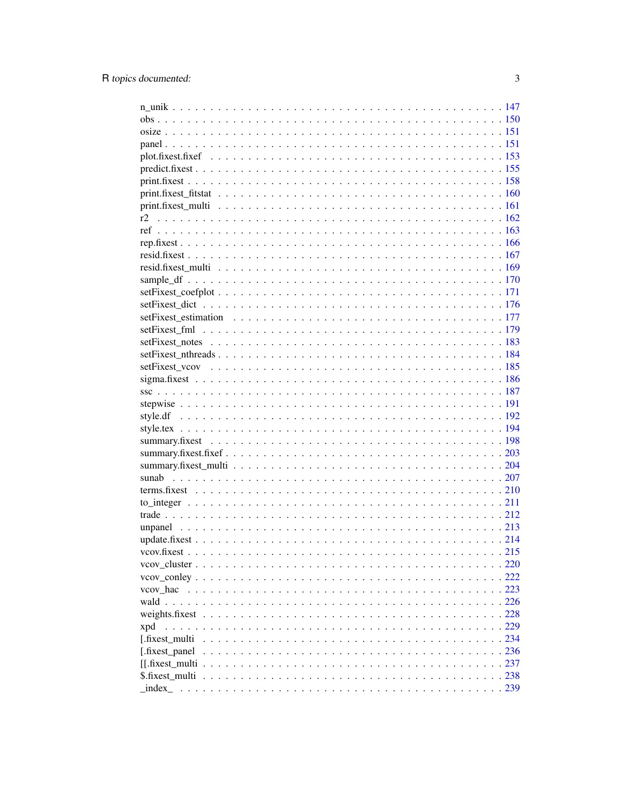| r2              |  |
|-----------------|--|
|                 |  |
|                 |  |
|                 |  |
|                 |  |
|                 |  |
|                 |  |
|                 |  |
|                 |  |
|                 |  |
|                 |  |
|                 |  |
|                 |  |
|                 |  |
|                 |  |
|                 |  |
|                 |  |
|                 |  |
|                 |  |
|                 |  |
|                 |  |
|                 |  |
|                 |  |
|                 |  |
|                 |  |
|                 |  |
|                 |  |
|                 |  |
|                 |  |
|                 |  |
|                 |  |
|                 |  |
|                 |  |
| xpd             |  |
| [.fixest multi] |  |
| [.fixest_panel] |  |
|                 |  |
|                 |  |
|                 |  |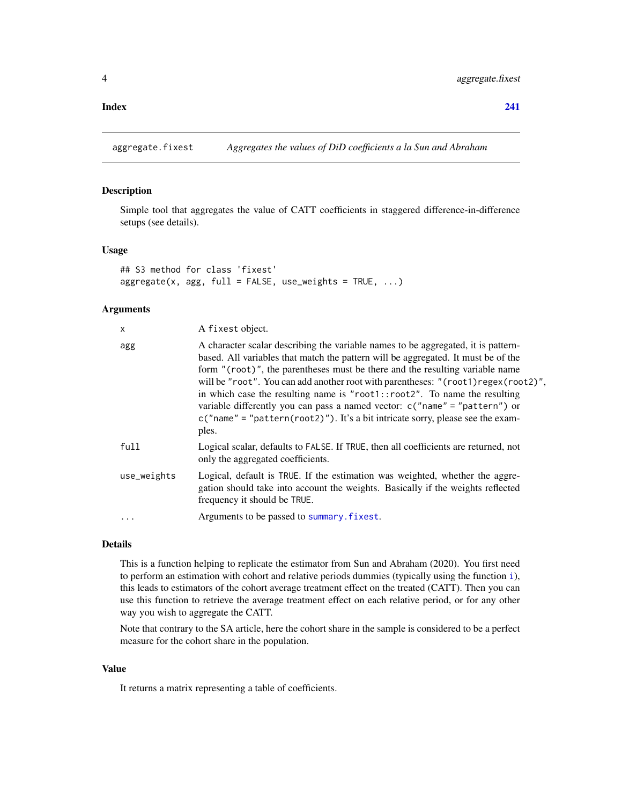#### <span id="page-3-0"></span>**Index** [241](#page-240-0)

aggregate.fixest *Aggregates the values of DiD coefficients a la Sun and Abraham*

### Description

Simple tool that aggregates the value of CATT coefficients in staggered difference-in-difference setups (see details).

#### Usage

```
## S3 method for class 'fixest'
aggregate(x, agg, full = FALSE, use_weights = TRUE, ...)
```
### Arguments

| X           | A fixest object.                                                                                                                                                                                                                                                                                                                                                                                                                                                                                                                                                                                        |
|-------------|---------------------------------------------------------------------------------------------------------------------------------------------------------------------------------------------------------------------------------------------------------------------------------------------------------------------------------------------------------------------------------------------------------------------------------------------------------------------------------------------------------------------------------------------------------------------------------------------------------|
| agg         | A character scalar describing the variable names to be aggregated, it is pattern-<br>based. All variables that match the pattern will be aggregated. It must be of the<br>form "(root)", the parentheses must be there and the resulting variable name<br>will be "root". You can add another root with parentheses: "(root1) regex(root2)",<br>in which case the resulting name is "root1::root2". To name the resulting<br>variable differently you can pass a named vector: $c("name" = "pattern")$ or<br>$c("name" = "pattern(root2)")$ . It's a bit intricate sorry, please see the exam-<br>ples. |
| full        | Logical scalar, defaults to FALSE. If TRUE, then all coefficients are returned, not<br>only the aggregated coefficients.                                                                                                                                                                                                                                                                                                                                                                                                                                                                                |
| use_weights | Logical, default is TRUE. If the estimation was weighted, whether the aggre-<br>gation should take into account the weights. Basically if the weights reflected<br>frequency it should be TRUE.                                                                                                                                                                                                                                                                                                                                                                                                         |
| $\ddotsc$   | Arguments to be passed to summary. fixest.                                                                                                                                                                                                                                                                                                                                                                                                                                                                                                                                                              |

### Details

This is a function helping to replicate the estimator from Sun and Abraham (2020). You first need to perform an estimation with cohort and relative periods dummies (typically using the function [i](#page-136-1)), this leads to estimators of the cohort average treatment effect on the treated (CATT). Then you can use this function to retrieve the average treatment effect on each relative period, or for any other way you wish to aggregate the CATT.

Note that contrary to the SA article, here the cohort share in the sample is considered to be a perfect measure for the cohort share in the population.

### Value

It returns a matrix representing a table of coefficients.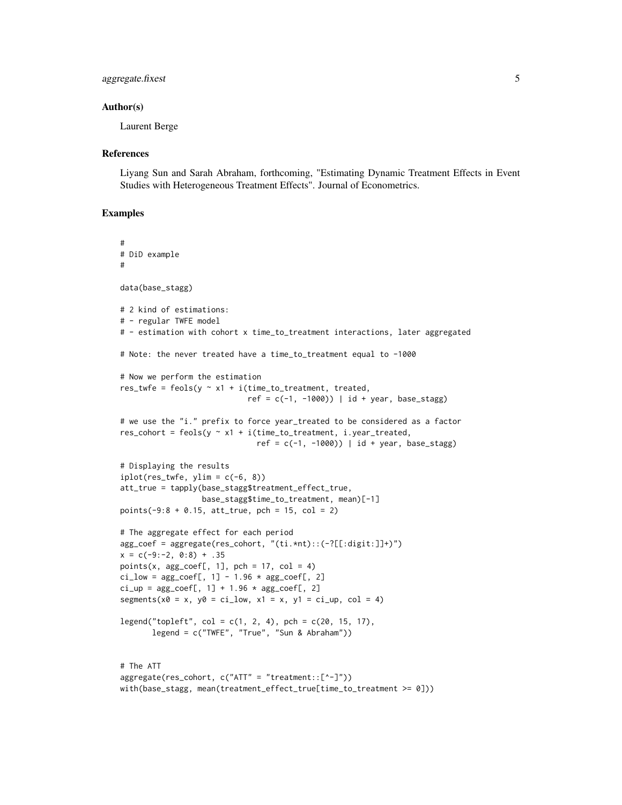### aggregate.fixest 5

#### Author(s)

Laurent Berge

#### **References**

Liyang Sun and Sarah Abraham, forthcoming, "Estimating Dynamic Treatment Effects in Event Studies with Heterogeneous Treatment Effects". Journal of Econometrics.

```
#
# DiD example
#
data(base_stagg)
# 2 kind of estimations:
# - regular TWFE model
# - estimation with cohort x time_to_treatment interactions, later aggregated
# Note: the never treated have a time_to_treatment equal to -1000
# Now we perform the estimation
res_twfe = feols(y \sim x1 + i(time_to_treatment, treated,
                            ref = c(-1, -1000) | id + year, base_stagg)
# we use the "i." prefix to force year_treated to be considered as a factor
res\_cohort = feols(y \sim x1 + i(time_to_treatment, i.year_treated,ref = c(-1, -1000) | id + year, base_stagg)
# Displaying the results
iplot(res_twfe, ylim = c(-6, 8))att_true = tapply(base_stagg$treatment_effect_true,
                  base_stagg$time_to_treatment, mean)[-1]
points(-9:8 + 0.15, att\_true, pch = 15, col = 2)# The aggregate effect for each period
agg_coef = aggregate(res_cohort, "(ti.*nt)::(-?[[:digit:]]+)")
x = c(-9:-2, 0:8) + .35points(x, agg\_coeff, 1], pch = 17, col = 4)
ci_low = agg_coef[, 1] - 1.96 * agg_coef[, 2]ci_up = agg\_coeff[, 1] + 1.96 * agg\_coeff[, 2]segments(x0 = x, y0 = ci_low, x1 = x, y1 = ci_lup, col = 4)legend("topleft", col = c(1, 2, 4), pch = c(20, 15, 17),legend = c("TWFE", "True", "Sun & Abraham"))
# The ATT
aggregate(res_cohort, c("ATT" = "treatment::[^-]"))
with(base_stagg, mean(treatment_effect_true[time_to_treatment >= 0]))
```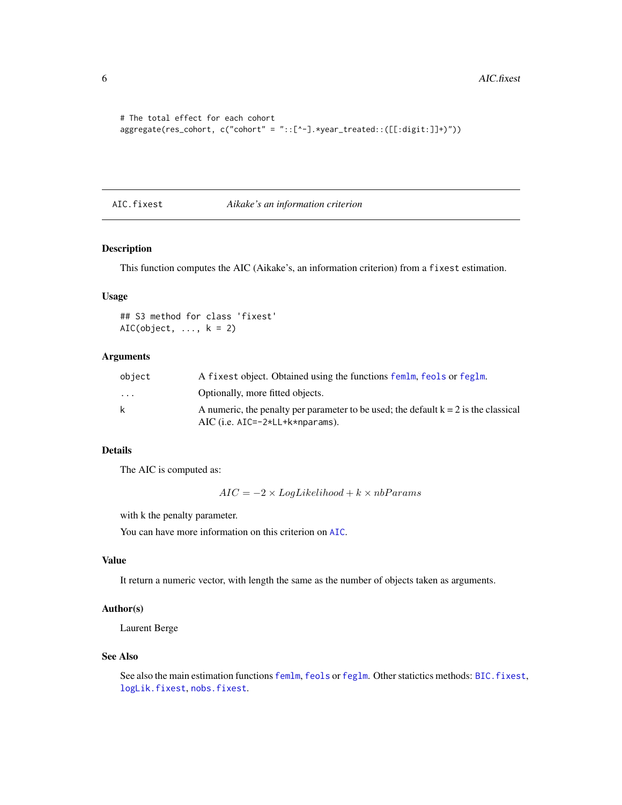```
# The total effect for each cohort
aggregate(res_cohort, c("cohort" = "::[^-].*year_treated::([[:digit:]]+)"))
```
### <span id="page-5-1"></span>AIC.fixest *Aikake's an information criterion*

### Description

This function computes the AIC (Aikake's, an information criterion) from a fixest estimation.

### Usage

## S3 method for class 'fixest'  $AIC(object, ..., k = 2)$ 

### Arguments

| object   | A fixest object. Obtained using the functions femlm, feols or feglm.                  |
|----------|---------------------------------------------------------------------------------------|
| $\cdots$ | Optionally, more fitted objects.                                                      |
| k        | A numeric, the penalty per parameter to be used; the default $k = 2$ is the classical |
|          | AIC (i.e. $AIC=-2*LL+kk+nparams$ ).                                                   |

### Details

The AIC is computed as:

 $AIC = -2 \times LogLikelihood + k \times nbParams$ 

with k the penalty parameter.

You can have more information on this criterion on [AIC](#page-0-0).

### Value

It return a numeric vector, with length the same as the number of objects taken as arguments.

### Author(s)

Laurent Berge

#### See Also

See also the main estimation functions [femlm](#page-91-1), [feols](#page-112-1) or [feglm](#page-79-1). Other statictics methods: BIC. fixest, [logLik.fixest](#page-142-1), [nobs.fixest](#page-145-1).

<span id="page-5-0"></span>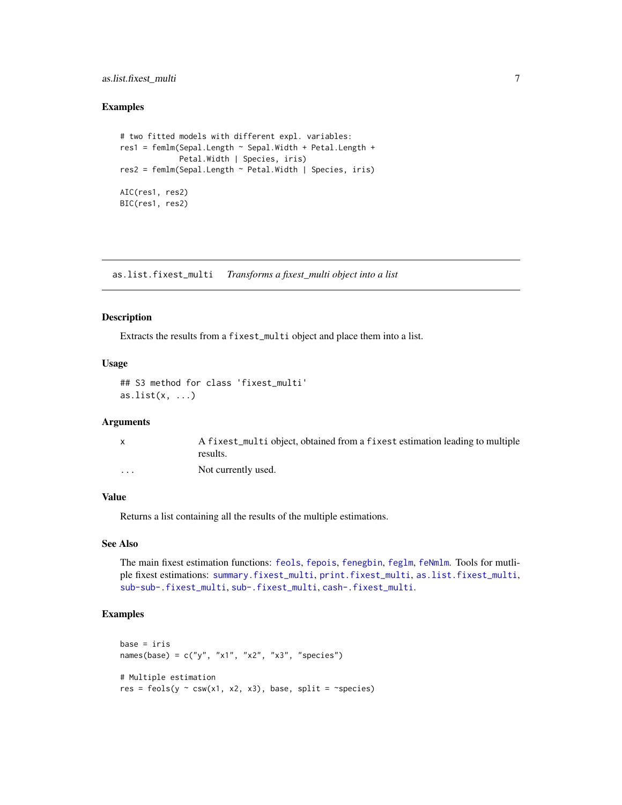### <span id="page-6-0"></span>as.list.fixest\_multi 7

#### Examples

```
# two fitted models with different expl. variables:
res1 = femlm(Sepal.Length \sim Sepal.Width + Petal.Length +
             Petal.Width | Species, iris)
res2 = femlm(Sepal.Length ~ Petal.Width | Species, iris)
AIC(res1, res2)
BIC(res1, res2)
```
<span id="page-6-1"></span>as.list.fixest\_multi *Transforms a fixest\_multi object into a list*

#### Description

Extracts the results from a fixest\_multi object and place them into a list.

### Usage

```
## S3 method for class 'fixest_multi'
as.list(x, \ldots)
```
#### Arguments

|          | A fixest_multi object, obtained from a fixest estimation leading to multiple |
|----------|------------------------------------------------------------------------------|
|          | results.                                                                     |
| $\cdots$ | Not currently used.                                                          |

#### Value

Returns a list containing all the results of the multiple estimations.

### See Also

The main fixest estimation functions: [feols](#page-112-1), [fepois](#page-79-2), [fenegbin](#page-91-2), [feglm](#page-79-1), [feNmlm](#page-101-1). Tools for mutliple fixest estimations: [summary.fixest\\_multi](#page-203-1), [print.fixest\\_multi](#page-160-1), [as.list.fixest\\_multi](#page-6-1), [sub-sub-.fixest\\_multi](#page-0-0), [sub-.fixest\\_multi](#page-0-0), [cash-.fixest\\_multi](#page-0-0).

```
base = iris
names(base) = c("y", "x1", "x2", "x3", "species")# Multiple estimation
res = feols(y \sim \text{csw}(x1, x2, x3), base, split = ~species)
```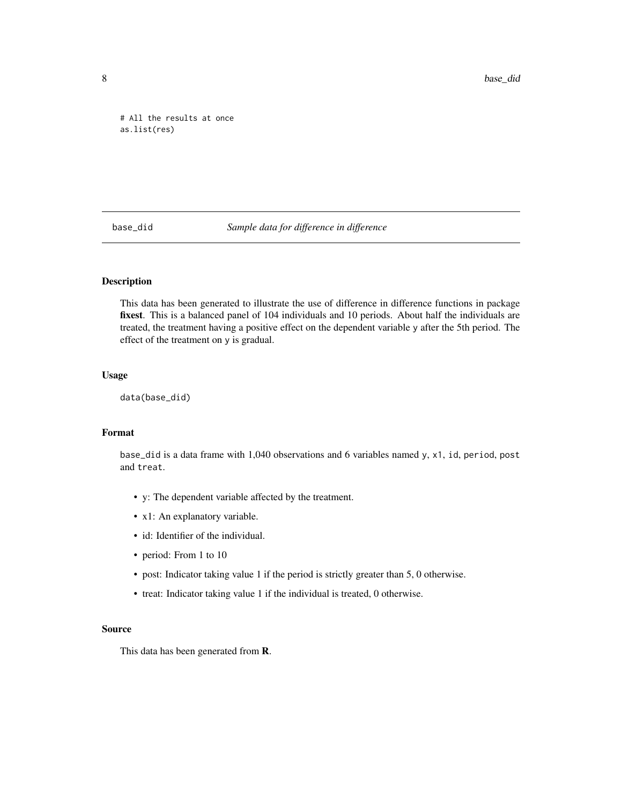<span id="page-7-0"></span># All the results at once as.list(res)

base\_did *Sample data for difference in difference*

### Description

This data has been generated to illustrate the use of difference in difference functions in package fixest. This is a balanced panel of 104 individuals and 10 periods. About half the individuals are treated, the treatment having a positive effect on the dependent variable y after the 5th period. The effect of the treatment on y is gradual.

### Usage

data(base\_did)

### Format

base\_did is a data frame with 1,040 observations and 6 variables named y, x1, id, period, post and treat.

- y: The dependent variable affected by the treatment.
- x1: An explanatory variable.
- id: Identifier of the individual.
- period: From 1 to 10
- post: Indicator taking value 1 if the period is strictly greater than 5, 0 otherwise.
- treat: Indicator taking value 1 if the individual is treated, 0 otherwise.

#### Source

This data has been generated from R.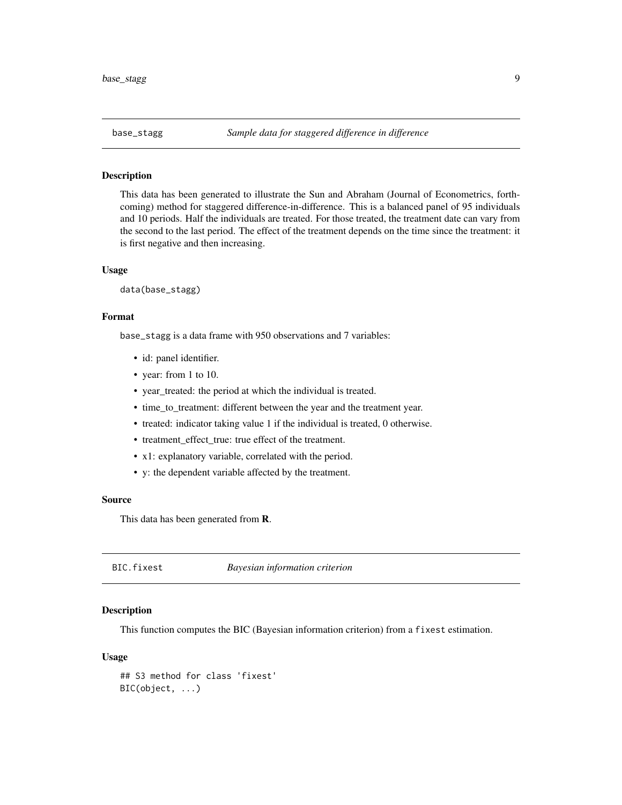<span id="page-8-0"></span>

#### Description

This data has been generated to illustrate the Sun and Abraham (Journal of Econometrics, forthcoming) method for staggered difference-in-difference. This is a balanced panel of 95 individuals and 10 periods. Half the individuals are treated. For those treated, the treatment date can vary from the second to the last period. The effect of the treatment depends on the time since the treatment: it is first negative and then increasing.

#### Usage

data(base\_stagg)

#### Format

base\_stagg is a data frame with 950 observations and 7 variables:

- id: panel identifier.
- year: from 1 to 10.
- year\_treated: the period at which the individual is treated.
- time\_to\_treatment: different between the year and the treatment year.
- treated: indicator taking value 1 if the individual is treated, 0 otherwise.
- treatment\_effect\_true: true effect of the treatment.
- x1: explanatory variable, correlated with the period.
- y: the dependent variable affected by the treatment.

#### Source

This data has been generated from R.

<span id="page-8-1"></span>BIC.fixest *Bayesian information criterion*

### **Description**

This function computes the BIC (Bayesian information criterion) from a fixest estimation.

#### Usage

```
## S3 method for class 'fixest'
BIC(object, ...)
```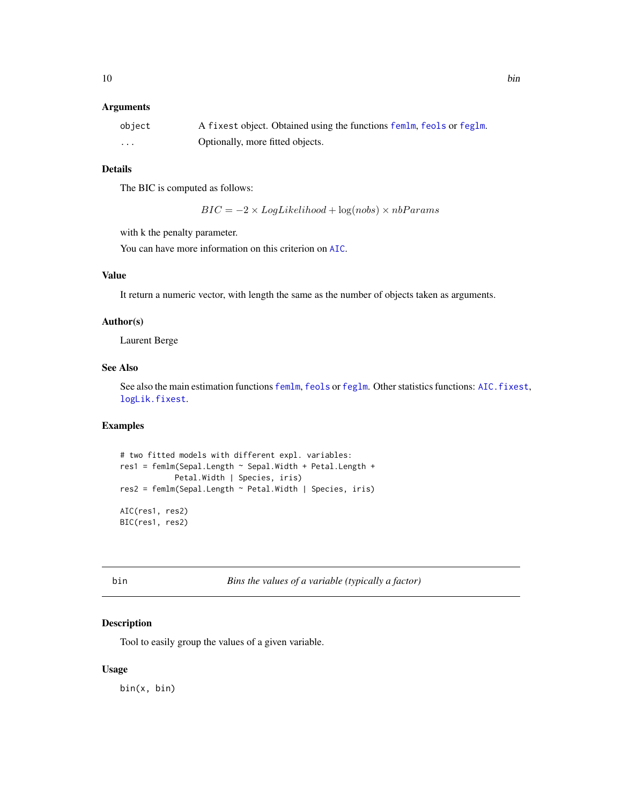### <span id="page-9-0"></span>Arguments

| object | A fixest object. Obtained using the functions femlm, feols or feglm. |
|--------|----------------------------------------------------------------------|
| .      | Optionally, more fitted objects.                                     |

### Details

The BIC is computed as follows:

 $BIC = -2 \times LogLikelihood + log(nobs) \times nbParams$ 

with k the penalty parameter.

You can have more information on this criterion on [AIC](#page-0-0).

### Value

It return a numeric vector, with length the same as the number of objects taken as arguments.

#### Author(s)

Laurent Berge

### See Also

See also the main estimation functions [femlm](#page-91-1), [feols](#page-112-1) or [feglm](#page-79-1). Other statistics functions: [AIC.fixest](#page-5-1), [logLik.fixest](#page-142-1).

### Examples

```
# two fitted models with different expl. variables:
res1 = femlm(Sepal.Length ~ Sepal.Width + Petal.Length +
            Petal.Width | Species, iris)
res2 = femlm(Sepal.Length ~ Petal.Width | Species, iris)
AIC(res1, res2)
BIC(res1, res2)
```
<span id="page-9-1"></span>bin *Bins the values of a variable (typically a factor)*

### Description

Tool to easily group the values of a given variable.

#### Usage

bin(x, bin)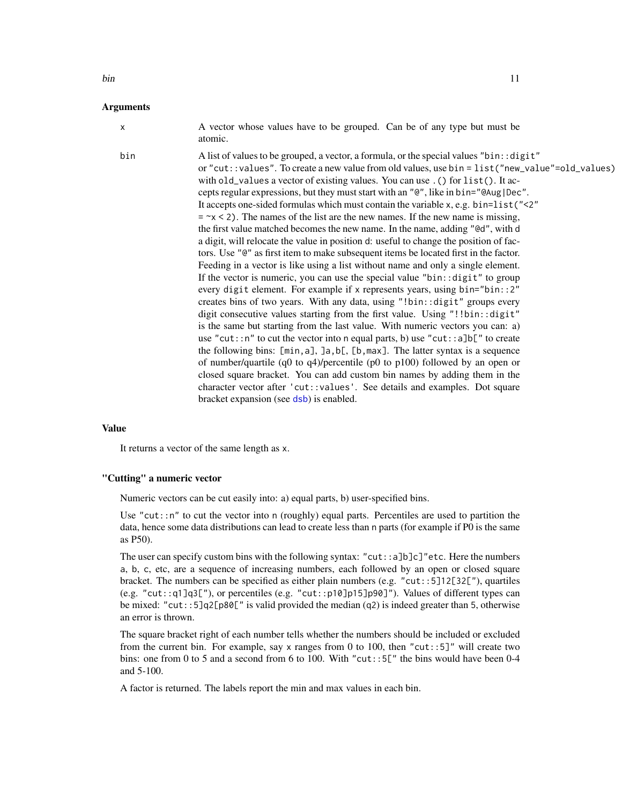### bin 11

#### Arguments

x A vector whose values have to be grouped. Can be of any type but must be atomic. bin A list of values to be grouped, a vector, a formula, or the special values "bin: : digit" or "cut::values". To create a new value from old values, use bin = list("new\_value"=old\_values) with old\_values a vector of existing values. You can use . () for list(). It accepts regular expressions, but they must start with an "@", like in bin="@Aug|Dec". It accepts one-sided formulas which must contain the variable x, e.g. bin=list("<2"  $=$   $\alpha$  < 2). The names of the list are the new names. If the new name is missing, the first value matched becomes the new name. In the name, adding "@d", with d a digit, will relocate the value in position d: useful to change the position of factors. Use "@" as first item to make subsequent items be located first in the factor. Feeding in a vector is like using a list without name and only a single element. If the vector is numeric, you can use the special value "bin::digit" to group every digit element. For example if x represents years, using bin="bin::2" creates bins of two years. With any data, using "!bin::digit" groups every digit consecutive values starting from the first value. Using "!!bin::digit" is the same but starting from the last value. With numeric vectors you can: a) use "cut::n" to cut the vector into n equal parts, b) use "cut::a]b[" to create the following bins: [min,a], ]a,b[, [b,max]. The latter syntax is a sequence of number/quartile (q0 to q4)/percentile (p0 to p100) followed by an open or closed square bracket. You can add custom bin names by adding them in the

character vector after 'cut::values'. See details and examples. Dot square

#### Value

It returns a vector of the same length as x.

#### "Cutting" a numeric vector

Numeric vectors can be cut easily into: a) equal parts, b) user-specified bins.

bracket expansion (see [dsb](#page-44-1)) is enabled.

Use "cut::n" to cut the vector into n (roughly) equal parts. Percentiles are used to partition the data, hence some data distributions can lead to create less than n parts (for example if P0 is the same as P50).

The user can specify custom bins with the following syntax: "cut::a]b]c]"etc. Here the numbers a, b, c, etc, are a sequence of increasing numbers, each followed by an open or closed square bracket. The numbers can be specified as either plain numbers (e.g. "cut::5]12[32["), quartiles (e.g. "cut::q1]q3["), or percentiles (e.g. "cut::p10]p15]p90]"). Values of different types can be mixed: "cut::5]q2[p80[" is valid provided the median (q2) is indeed greater than 5, otherwise an error is thrown.

The square bracket right of each number tells whether the numbers should be included or excluded from the current bin. For example, say x ranges from 0 to 100, then "cut::5]" will create two bins: one from 0 to 5 and a second from 6 to 100. With "cut::5[" the bins would have been 0-4 and 5-100.

A factor is returned. The labels report the min and max values in each bin.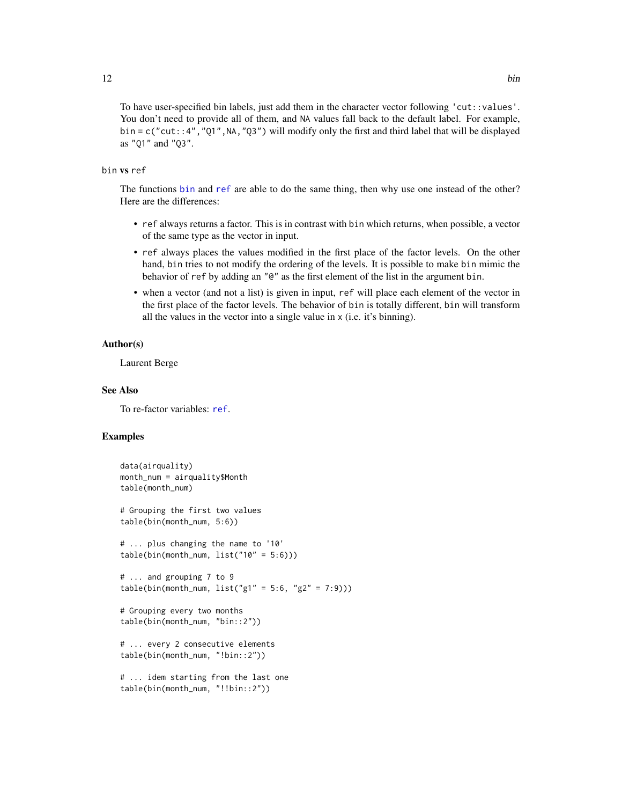You don't need to provide all of them, and NA values fall back to the default label. For example,  $bin = c("cut::4", "01", NA", "03")$  will modify only the first and third label that will be displayed as "Q1" and "Q3".

### bin vs ref

The functions [bin](#page-9-1) and [ref](#page-162-1) are able to do the same thing, then why use one instead of the other? Here are the differences:

- ref always returns a factor. This is in contrast with bin which returns, when possible, a vector of the same type as the vector in input.
- ref always places the values modified in the first place of the factor levels. On the other hand, bin tries to not modify the ordering of the levels. It is possible to make bin mimic the behavior of ref by adding an "@" as the first element of the list in the argument bin.
- when a vector (and not a list) is given in input, ref will place each element of the vector in the first place of the factor levels. The behavior of bin is totally different, bin will transform all the values in the vector into a single value in x (i.e. it's binning).

### Author(s)

Laurent Berge

### See Also

To re-factor variables: [ref](#page-162-1).

```
data(airquality)
month_num = airquality$Month
table(month_num)
# Grouping the first two values
table(bin(month_num, 5:6))
# ... plus changing the name to '10'
table/bin(month_number, list("10" = 5:6)))# ... and grouping 7 to 9
table/bin(month_number, list("g1" = 5:6, "g2" = 7:9)))# Grouping every two months
table(bin(month_num, "bin::2"))
# ... every 2 consecutive elements
table(bin(month_num, "!bin::2"))
# ... idem starting from the last one
table(bin(month_num, "!!bin::2"))
```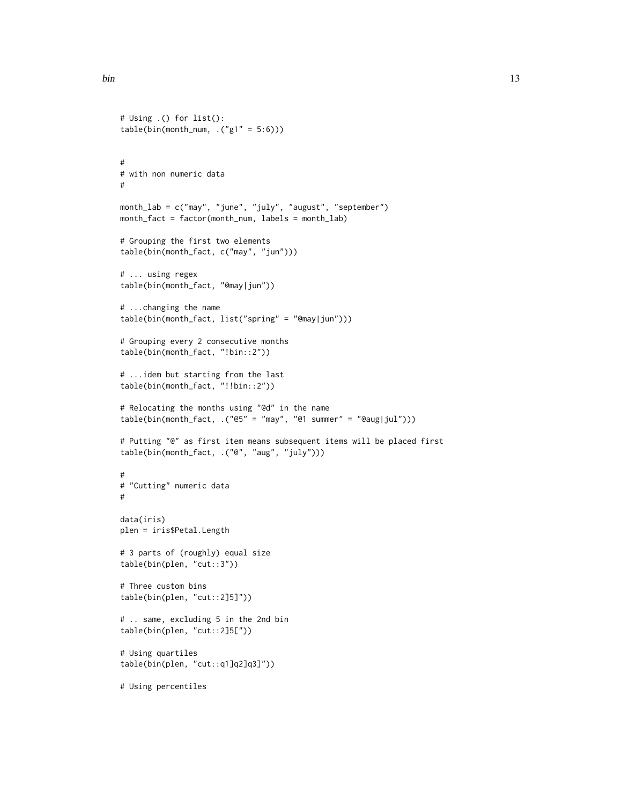```
# Using .() for list():
table(bin(month_num, .("g1" = 5:6)))
#
# with non numeric data
#
month_lab = c("may", "june", "july", "august", "september")
month_fact = factor(month_num, labels = month_lab)
# Grouping the first two elements
table(bin(month_fact, c("may", "jun")))
# ... using regex
table(bin(month_fact, "@may|jun"))
# ...changing the name
table(bin(month_fact, list("spring" = "@may|jun")))
# Grouping every 2 consecutive months
table(bin(month_fact, "!bin::2"))
# ...idem but starting from the last
table(bin(month_fact, "!!bin::2"))
# Relocating the months using "@d" in the name
table(bin(month_fact, .("@5" = "may", "@1 summer" = "@aug|jul")))
# Putting "@" as first item means subsequent items will be placed first
table(bin(month_fact, .("@", "aug", "july")))
#
# "Cutting" numeric data
#
data(iris)
plen = iris$Petal.Length
# 3 parts of (roughly) equal size
table(bin(plen, "cut::3"))
# Three custom bins
table(bin(plen, "cut::2]5]"))
# .. same, excluding 5 in the 2nd bin
table(bin(plen, "cut::2]5["))
# Using quartiles
table(bin(plen, "cut::q1]q2]q3]"))
# Using percentiles
```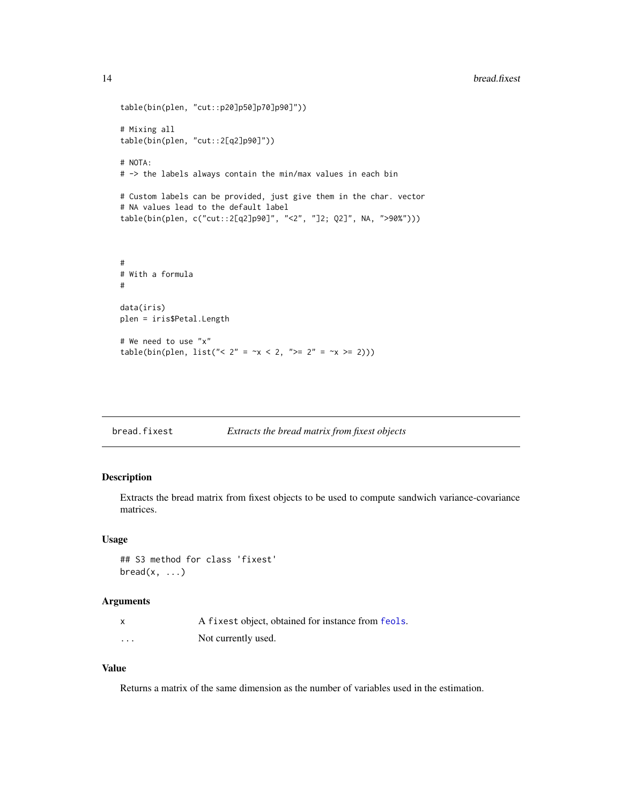```
table(bin(plen, "cut::p20]p50]p70]p90]"))
# Mixing all
table(bin(plen, "cut::2[q2]p90]"))
# NOTA:
# -> the labels always contain the min/max values in each bin
# Custom labels can be provided, just give them in the char. vector
# NA values lead to the default label
table(bin(plen, c("cut::2[q2]p90]", "<2", "]2; Q2]", NA, ">90%")))
#
# With a formula
#
data(iris)
plen = iris$Petal.Length
# We need to use "x"
table(bin(plen, list("< 2" = -x < 2, ">= 2" = -x >= 2)))
```
### Description

Extracts the bread matrix from fixest objects to be used to compute sandwich variance-covariance matrices.

#### Usage

```
## S3 method for class 'fixest'
break(x, \ldots)
```
#### Arguments

|          | A fixest object, obtained for instance from feols. |
|----------|----------------------------------------------------|
| $\cdots$ | Not currently used.                                |

#### Value

Returns a matrix of the same dimension as the number of variables used in the estimation.

<span id="page-13-0"></span>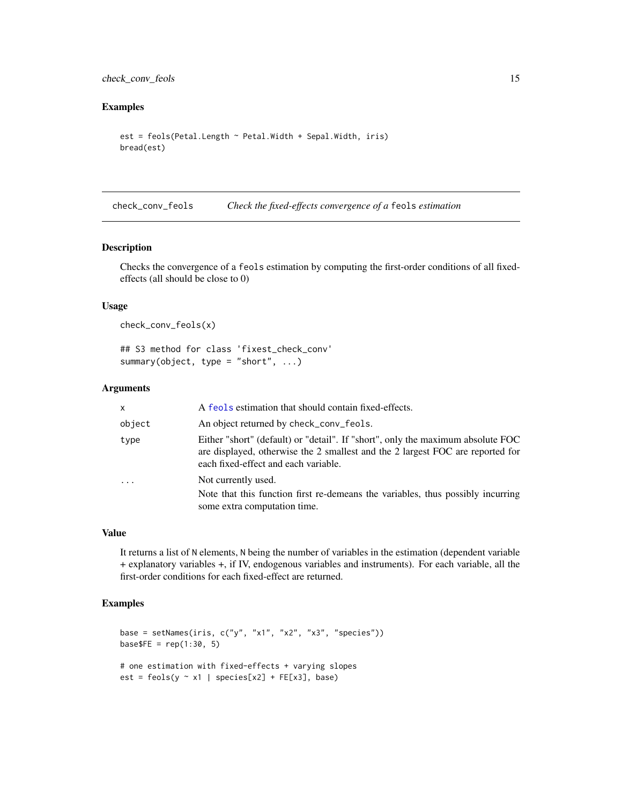### <span id="page-14-0"></span>check\_conv\_feols 15

### Examples

```
est = feols(Petal.Length ~ Petal.Width + Sepal.Width, iris)
bread(est)
```
check\_conv\_feols *Check the fixed-effects convergence of a* feols *estimation*

#### Description

Checks the convergence of a feols estimation by computing the first-order conditions of all fixedeffects (all should be close to 0)

#### Usage

check\_conv\_feols(x)

## S3 method for class 'fixest\_check\_conv' summary(object, type = "short", ...)

#### Arguments

| x       | A feols estimation that should contain fixed-effects.                                                                                                                                                     |
|---------|-----------------------------------------------------------------------------------------------------------------------------------------------------------------------------------------------------------|
| object  | An object returned by check_conv_feols.                                                                                                                                                                   |
| type    | Either "short" (default) or "detail". If "short", only the maximum absolute FOC<br>are displayed, otherwise the 2 smallest and the 2 largest FOC are reported for<br>each fixed-effect and each variable. |
| $\cdot$ | Not currently used.                                                                                                                                                                                       |
|         | Note that this function first re-demeans the variables, thus possibly incurring<br>some extra computation time.                                                                                           |

#### Value

It returns a list of N elements, N being the number of variables in the estimation (dependent variable + explanatory variables +, if IV, endogenous variables and instruments). For each variable, all the first-order conditions for each fixed-effect are returned.

```
base = setNames(iris, c("y", "x1", "x2", "x3", "species"))
base FE = rep(1:30, 5)# one estimation with fixed-effects + varying slopes
est = feols(y \sim x1 \mid species[x2] + FE[x3], base)
```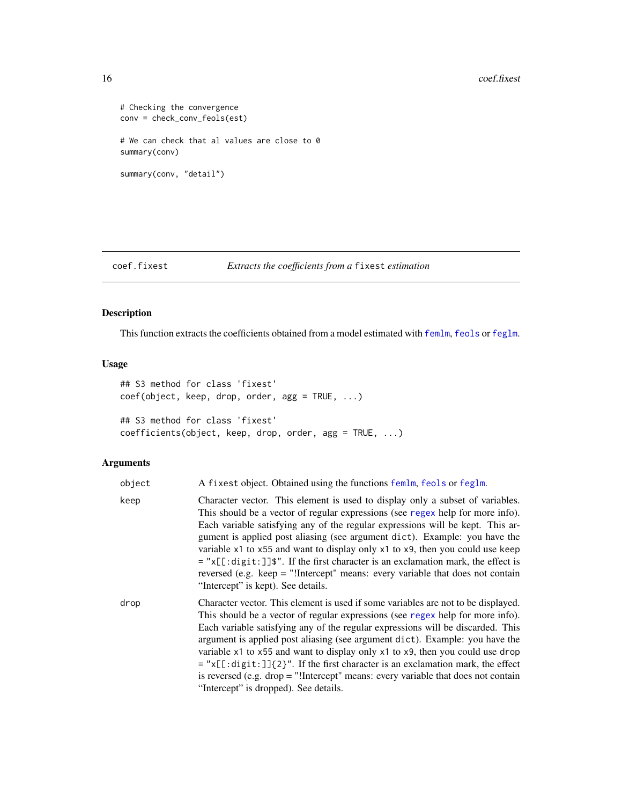```
# Checking the convergence
conv = check_conv_feols(est)
# We can check that al values are close to 0
summary(conv)
summary(conv, "detail")
```

```
coef.fixest Extracts the coefficients from a fixest estimation
```
### Description

This function extracts the coefficients obtained from a model estimated with [femlm](#page-91-1), [feols](#page-112-1) or [feglm](#page-79-1).

### Usage

```
## S3 method for class 'fixest'
coef(object, keep, drop, order, agg = TRUE, ...)
## S3 method for class 'fixest'
coefficients(object, keep, drop, order, agg = TRUE, ...)
```
### Arguments

| object | A fixest object. Obtained using the functions femlm, feols or feglm.                                                                                                                                                                                                                                                                                                                                                                                                                                                                                                                                                                          |
|--------|-----------------------------------------------------------------------------------------------------------------------------------------------------------------------------------------------------------------------------------------------------------------------------------------------------------------------------------------------------------------------------------------------------------------------------------------------------------------------------------------------------------------------------------------------------------------------------------------------------------------------------------------------|
| keep   | Character vector. This element is used to display only a subset of variables.<br>This should be a vector of regular expressions (see regex help for more info).<br>Each variable satisfying any of the regular expressions will be kept. This ar-<br>gument is applied post aliasing (see argument dict). Example: you have the<br>variable x1 to x55 and want to display only x1 to x9, then you could use keep<br>$=$ "x[[:digit:]] $\frac{1}{2}$ ". If the first character is an exclamation mark, the effect is<br>reversed (e.g. keep $=$ "!Intercept" means: every variable that does not contain<br>"Intercept" is kept). See details. |
| drop   | Character vector. This element is used if some variables are not to be displayed.<br>This should be a vector of regular expressions (see regex help for more info).<br>Each variable satisfying any of the regular expressions will be discarded. This<br>argument is applied post aliasing (see argument dict). Example: you have the<br>variable x1 to x55 and want to display only x1 to x9, then you could use drop<br>$=$ "x[[:digit:]]{2}". If the first character is an exclamation mark, the effect<br>is reversed (e.g. drop $=$ "!Intercept" means: every variable that does not contain<br>"Intercept" is dropped). See details.   |

<span id="page-15-0"></span>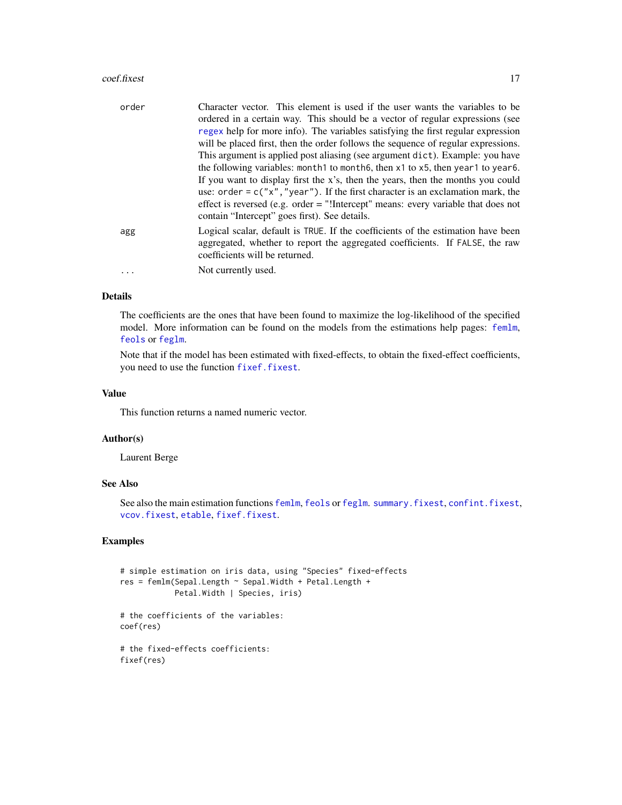#### coef.fixest 17

| order    | Character vector. This element is used if the user wants the variables to be<br>ordered in a certain way. This should be a vector of regular expressions (see<br>regex help for more info). The variables satisfying the first regular expression |
|----------|---------------------------------------------------------------------------------------------------------------------------------------------------------------------------------------------------------------------------------------------------|
|          | will be placed first, then the order follows the sequence of regular expressions.<br>This argument is applied post aliasing (see argument dict). Example: you have                                                                                |
|          | the following variables: month to month 6, then $x1$ to $x5$ , then year 1 to year 6.<br>If you want to display first the x's, then the years, then the months you could                                                                          |
|          | use: order = $c("x", "year")$ . If the first character is an exclamation mark, the<br>effect is reversed (e.g. order $=$ "!Intercept" means: every variable that does not<br>contain "Intercept" goes first). See details.                        |
| agg      | Logical scalar, default is TRUE. If the coefficients of the estimation have been<br>aggregated, whether to report the aggregated coefficients. If FALSE, the raw<br>coefficients will be returned.                                                |
| $\cdots$ | Not currently used.                                                                                                                                                                                                                               |

### Details

The coefficients are the ones that have been found to maximize the log-likelihood of the specified model. More information can be found on the models from the estimations help pages: [femlm](#page-91-1), [feols](#page-112-1) or [feglm](#page-79-1).

Note that if the model has been estimated with fixed-effects, to obtain the fixed-effect coefficients, you need to use the function [fixef.fixest](#page-132-1).

### Value

This function returns a named numeric vector.

### Author(s)

Laurent Berge

### See Also

See also the main estimation functions [femlm](#page-91-1), [feols](#page-112-1) or [feglm](#page-79-1). [summary.fixest](#page-197-1), [confint.fixest](#page-33-1), [vcov.fixest](#page-214-1), [etable](#page-55-1), [fixef.fixest](#page-132-1).

```
# simple estimation on iris data, using "Species" fixed-effects
res = femlm(Sepal.Length ~ Sepal.Width + Petal.Length +
            Petal.Width | Species, iris)
# the coefficients of the variables:
coef(res)
# the fixed-effects coefficients:
fixef(res)
```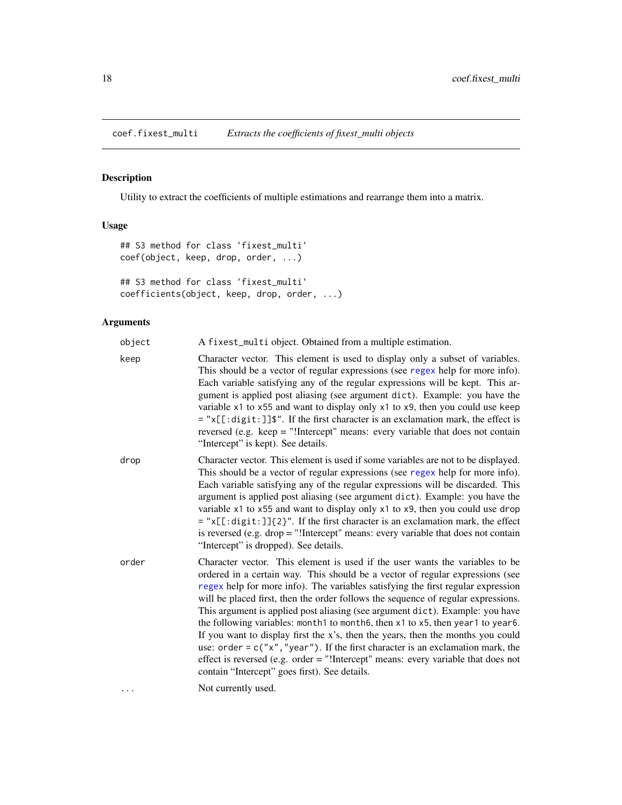<span id="page-17-0"></span>coef.fixest\_multi *Extracts the coefficients of fixest\_multi objects*

### Description

Utility to extract the coefficients of multiple estimations and rearrange them into a matrix.

### Usage

```
## S3 method for class 'fixest_multi'
coef(object, keep, drop, order, ...)
## S3 method for class 'fixest_multi'
coefficients(object, keep, drop, order, ...)
```
### Arguments

| object | A fixest_multi object. Obtained from a multiple estimation.                                                                                                                                                                                                                                                                                                                                                                                                                                                                                                                                                                                                                                                                                                                                                                 |
|--------|-----------------------------------------------------------------------------------------------------------------------------------------------------------------------------------------------------------------------------------------------------------------------------------------------------------------------------------------------------------------------------------------------------------------------------------------------------------------------------------------------------------------------------------------------------------------------------------------------------------------------------------------------------------------------------------------------------------------------------------------------------------------------------------------------------------------------------|
| keep   | Character vector. This element is used to display only a subset of variables.<br>This should be a vector of regular expressions (see regex help for more info).<br>Each variable satisfying any of the regular expressions will be kept. This ar-<br>gument is applied post aliasing (see argument dict). Example: you have the<br>variable x1 to x55 and want to display only x1 to x9, then you could use keep<br>= "x[[:digit:]]\$". If the first character is an exclamation mark, the effect is<br>reversed (e.g. keep = "!Intercept" means: every variable that does not contain<br>"Intercept" is kept). See details.                                                                                                                                                                                                |
| drop   | Character vector. This element is used if some variables are not to be displayed.<br>This should be a vector of regular expressions (see regex help for more info).<br>Each variable satisfying any of the regular expressions will be discarded. This<br>argument is applied post aliasing (see argument dict). Example: you have the<br>variable x1 to x55 and want to display only x1 to x9, then you could use drop<br>$=$ "x[[:digit:]]{2}". If the first character is an exclamation mark, the effect<br>is reversed (e.g. drop $=$ "!Intercept" means: every variable that does not contain<br>"Intercept" is dropped). See details.                                                                                                                                                                                 |
| order  | Character vector. This element is used if the user wants the variables to be<br>ordered in a certain way. This should be a vector of regular expressions (see<br>regex help for more info). The variables satisfying the first regular expression<br>will be placed first, then the order follows the sequence of regular expressions.<br>This argument is applied post aliasing (see argument dict). Example: you have<br>the following variables: month1 to month6, then x1 to x5, then year1 to year6.<br>If you want to display first the $x$ 's, then the years, then the months you could<br>use: order = $c("x", "year")$ . If the first character is an exclamation mark, the<br>effect is reversed (e.g. order = "!Intercept" means: every variable that does not<br>contain "Intercept" goes first). See details. |
| .      | Not currently used.                                                                                                                                                                                                                                                                                                                                                                                                                                                                                                                                                                                                                                                                                                                                                                                                         |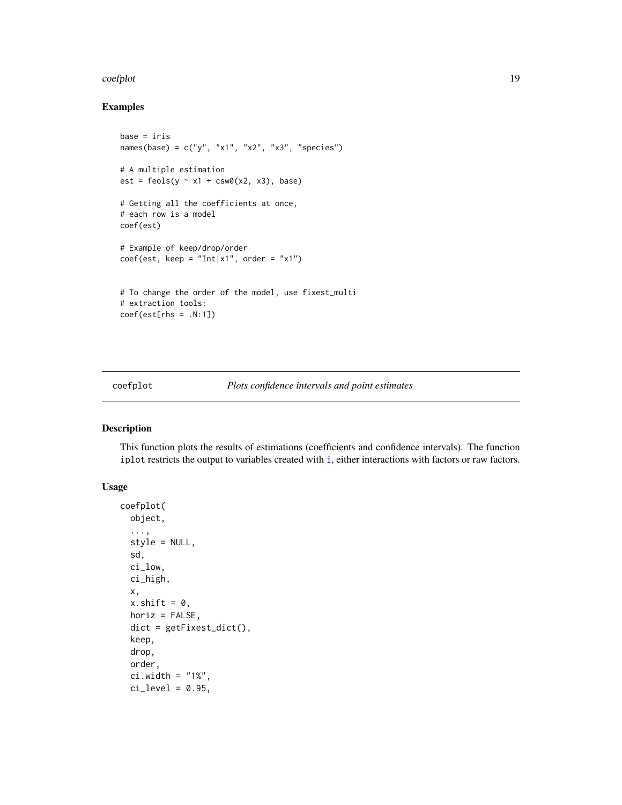#### <span id="page-18-0"></span>coefplot the coefplot that the coefplot the coefplot of the coefplot that the coefplot that  $19$

### Examples

```
base = iris
names(base) = c("y", "x1", "x2", "x3", "species")# A multiple estimation
est = feols(y \sim x1 + csw0(x2, x3), base)# Getting all the coefficients at once,
# each row is a model
coef(est)
# Example of keep/drop/order
coef(est, keep = "Int|x1", order = "x1")
# To change the order of the model, use fixest_multi
# extraction tools:
coef(est[rhs = .N:1])
```
### Description

This function plots the results of estimations (coefficients and confidence intervals). The function iplot restricts the output to variables created with [i](#page-136-1), either interactions with factors or raw factors.

### Usage

```
coefplot(
 object,
  ...,
  style = NULL,
  sd,
  ci_low,
  ci_high,
  x,
  x.shift = 0,horiz = FALSE,
  dict = getFixed\_dict(),
  keep,
  drop,
  order,
  ci.width = "1%",ci<sup>= 0.95</sup>,
```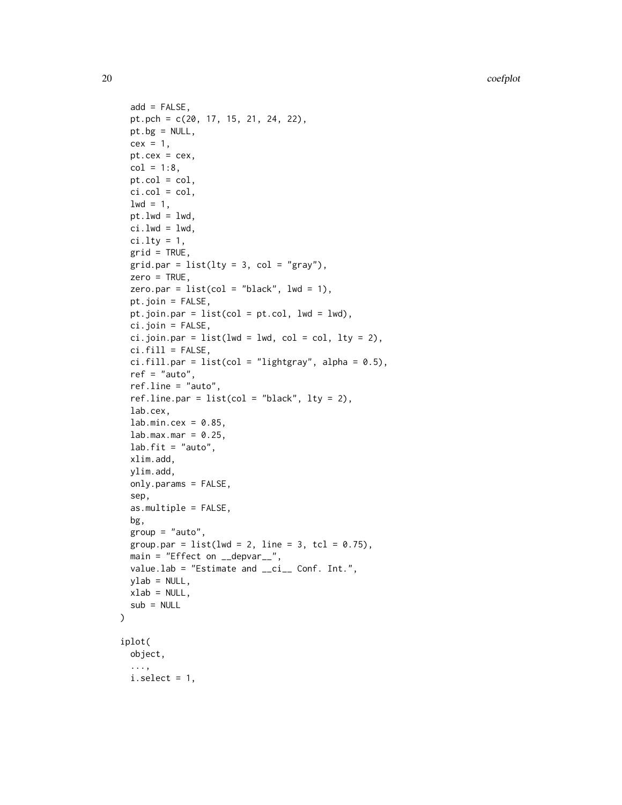20 coefplot

```
add = FALSE,
 pt.pch = c(20, 17, 15, 21, 24, 22),
 pt.bg = NULL,cex = 1,
 pt. cex = cex,col = 1:8,
 pt. col = col,ci.col = col,1wd = 1,
 pt.lwd = lwd,ci.lwd = lwd,ci.lty = 1,
 grid = TRUE,gridpar = list(lty = 3, col = "gray"),zero = TRUE,
 zero.par = list(col = "black", lw = 1),pt.join = FALSE,
 pt.join.par = list(col = pt.col, lwd = lwd),
 ci.join = FALSE,
 ci.join.par = list(lwd = lwd, col = col, lty = 2),ci.fill = FALSE,ci.fill.par = list(col = "lightgray", alpha = 0.5),ref = "auto",ref.line = "auto",
 ref.line.par = list(col = "black", lty = 2),
 lab.cex,
 lab.min.cex = 0.85,
 lab.max.max = 0.25,
 lab.fit = "auto",xlim.add,
 ylim.add,
 only.params = FALSE,
 sep,
 as.multiple = FALSE,
 bg,
 group = "auto",group.par = list(lwd = 2, line = 3, tol = 0.75),
 main = "Effect on \_depvar\_",
 value.lab = "Estimate and __ci__ Conf. Int.",
 ylab = NULL,
 xlab = NULL,
 sub = NULL\mathcal{L}iplot(
 object,
  ...,
 i.setect = 1,
```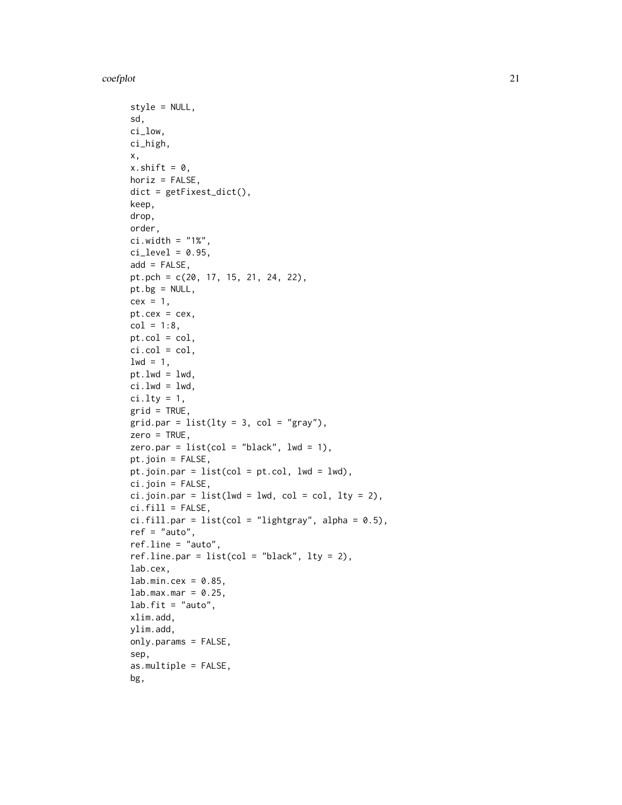coefplot 21

```
style = NULL,
sd,
ci_low,
ci_high,
x,
x.shift = 0,horiz = FALSE,
dict = getFixest_dict(),
keep,
drop,
order,
ci.width = "1%",ci\_level = 0.95,
add = FALSE,pt.pch = c(20, 17, 15, 21, 24, 22),
pt.bg = NULL,
cex = 1,
pt.cex = cex,
col = 1:8,
pt.col = col,
ci.co1 = col,1wd = 1,
pt.lwd = lwd,ci.lwd = lwd,ci.lty = 1,
grid = TRUE,grid.par = list(lty = 3, col = "gray"),
zero = TRUE,
zero.par = list(col = "black", lw = 1),pt.join = FALSE,
pt.join.par = list(col = pt.col, 1wd = 1wd),
ci.join = FALSE,
ci.join.par = list(lwd = lwd, col = col, lty = 2),ci.fill = FALSE,ci.fill.par = list(col = "lightgray", alpha = 0.5),ref = "auto",ref.line = "auto",
ref.line.par = list(col = "black", lty = 2),lab.cex,
lab.min.cex = 0.85,lab.max.max = 0.25,
lab.fit = "auto",xlim.add,
ylim.add,
only.params = FALSE,
sep,
as.multiple = FALSE,
bg,
```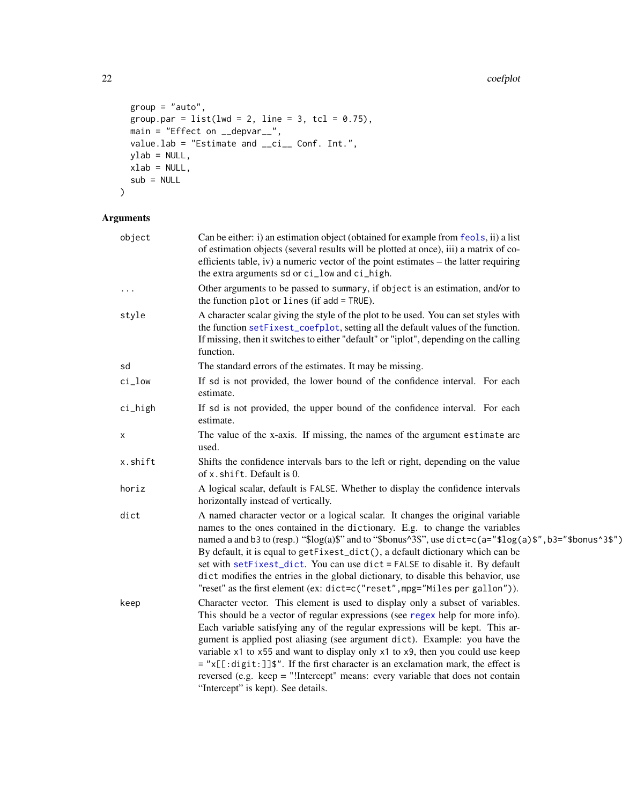```
group = "auto",
group.par = list(lwd = 2, line = 3, tol = 0.75),
main = "Effect on __depvar__",
value.lab = "Estimate and __ci__ Conf. Int.",
ylab = NULL,
xlab = NULL,sub = NULL
```
## Arguments

 $\mathcal{L}$ 

| object   | Can be either: i) an estimation object (obtained for example from feols, ii) a list<br>of estimation objects (several results will be plotted at once), iii) a matrix of co-<br>efficients table, iv) a numeric vector of the point estimates – the latter requiring<br>the extra arguments sd or ci_low and ci_high.                                                                                                                                                                                                                                                                                                                                              |
|----------|--------------------------------------------------------------------------------------------------------------------------------------------------------------------------------------------------------------------------------------------------------------------------------------------------------------------------------------------------------------------------------------------------------------------------------------------------------------------------------------------------------------------------------------------------------------------------------------------------------------------------------------------------------------------|
| $\cdots$ | Other arguments to be passed to summary, if object is an estimation, and/or to<br>the function plot or lines (if add = TRUE).                                                                                                                                                                                                                                                                                                                                                                                                                                                                                                                                      |
| style    | A character scalar giving the style of the plot to be used. You can set styles with<br>the function setFixest_coefplot, setting all the default values of the function.<br>If missing, then it switches to either "default" or "iplot", depending on the calling<br>function.                                                                                                                                                                                                                                                                                                                                                                                      |
| sd       | The standard errors of the estimates. It may be missing.                                                                                                                                                                                                                                                                                                                                                                                                                                                                                                                                                                                                           |
| ci_low   | If sd is not provided, the lower bound of the confidence interval. For each<br>estimate.                                                                                                                                                                                                                                                                                                                                                                                                                                                                                                                                                                           |
| ci_high  | If sd is not provided, the upper bound of the confidence interval. For each<br>estimate.                                                                                                                                                                                                                                                                                                                                                                                                                                                                                                                                                                           |
| х        | The value of the x-axis. If missing, the names of the argument estimate are<br>used.                                                                                                                                                                                                                                                                                                                                                                                                                                                                                                                                                                               |
| x.shift  | Shifts the confidence intervals bars to the left or right, depending on the value<br>of x. shift. Default is 0.                                                                                                                                                                                                                                                                                                                                                                                                                                                                                                                                                    |
| horiz    | A logical scalar, default is FALSE. Whether to display the confidence intervals<br>horizontally instead of vertically.                                                                                                                                                                                                                                                                                                                                                                                                                                                                                                                                             |
| dict     | A named character vector or a logical scalar. It changes the original variable<br>names to the ones contained in the dictionary. E.g. to change the variables<br>named a and b3 to (resp.) " $\log(a)$ " and to " $\delta$ bonus $\delta$ 3", use dict=c(a=" $\log(a)$ $\gamma$ ", b3=" $\delta$ bonus $\delta$ 3 $\gamma$ ")<br>By default, it is equal to getFixest_dict(), a default dictionary which can be<br>set with setFixest_dict. You can use dict = FALSE to disable it. By default<br>dict modifies the entries in the global dictionary, to disable this behavior, use<br>"reset" as the first element (ex: dict=c("reset", mpg="Miles per gallon")). |
| keep     | Character vector. This element is used to display only a subset of variables.<br>This should be a vector of regular expressions (see regex help for more info).<br>Each variable satisfying any of the regular expressions will be kept. This ar-<br>gument is applied post aliasing (see argument dict). Example: you have the<br>variable x1 to x55 and want to display only x1 to x9, then you could use keep<br>= "x[[:digit:]]\$". If the first character is an exclamation mark, the effect is<br>reversed (e.g. keep = "!Intercept" means: every variable that does not contain<br>"Intercept" is kept). See details.                                       |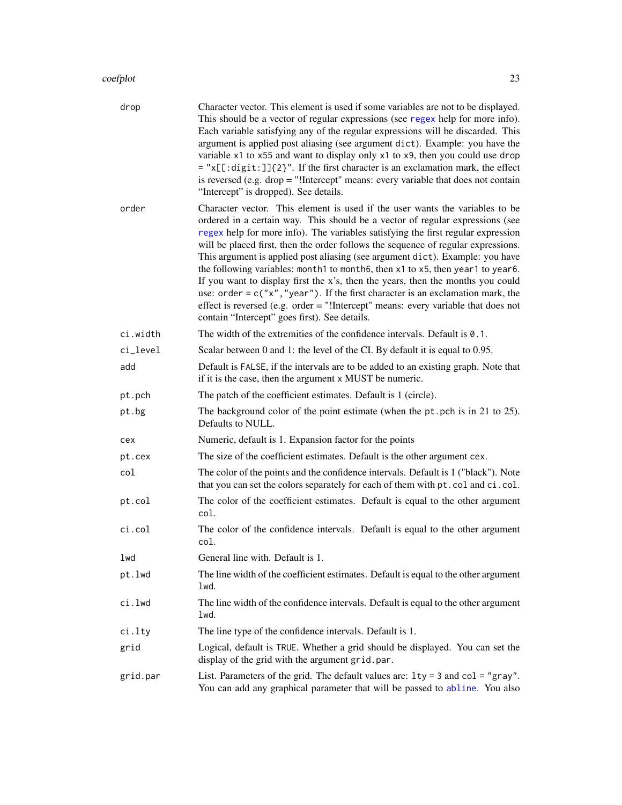| drop     | Character vector. This element is used if some variables are not to be displayed.<br>This should be a vector of regular expressions (see regex help for more info).<br>Each variable satisfying any of the regular expressions will be discarded. This<br>argument is applied post aliasing (see argument dict). Example: you have the<br>variable x1 to x55 and want to display only x1 to x9, then you could use drop<br>$=$ "x[[:digit:]]{2}". If the first character is an exclamation mark, the effect<br>is reversed (e.g. $drop = "!Intercept" means: every variable that does not contain$<br>"Intercept" is dropped). See details.                                                                                                                                                                                |
|----------|----------------------------------------------------------------------------------------------------------------------------------------------------------------------------------------------------------------------------------------------------------------------------------------------------------------------------------------------------------------------------------------------------------------------------------------------------------------------------------------------------------------------------------------------------------------------------------------------------------------------------------------------------------------------------------------------------------------------------------------------------------------------------------------------------------------------------|
| order    | Character vector. This element is used if the user wants the variables to be<br>ordered in a certain way. This should be a vector of regular expressions (see<br>regex help for more info). The variables satisfying the first regular expression<br>will be placed first, then the order follows the sequence of regular expressions.<br>This argument is applied post aliasing (see argument dict). Example: you have<br>the following variables: month1 to month6, then x1 to x5, then year1 to year6.<br>If you want to display first the x's, then the years, then the months you could<br>use: order = $c("x", "year")$ . If the first character is an exclamation mark, the<br>effect is reversed (e.g. order $=$ "!Intercept" means: every variable that does not<br>contain "Intercept" goes first). See details. |
| ci.width | The width of the extremities of the confidence intervals. Default is $0.1$ .                                                                                                                                                                                                                                                                                                                                                                                                                                                                                                                                                                                                                                                                                                                                               |
| ci_level | Scalar between 0 and 1: the level of the CI. By default it is equal to 0.95.                                                                                                                                                                                                                                                                                                                                                                                                                                                                                                                                                                                                                                                                                                                                               |
| add      | Default is FALSE, if the intervals are to be added to an existing graph. Note that<br>if it is the case, then the argument x MUST be numeric.                                                                                                                                                                                                                                                                                                                                                                                                                                                                                                                                                                                                                                                                              |
| pt.pch   | The patch of the coefficient estimates. Default is 1 (circle).                                                                                                                                                                                                                                                                                                                                                                                                                                                                                                                                                                                                                                                                                                                                                             |
| pt.bg    | The background color of the point estimate (when the $pt.$ pch is in 21 to 25).<br>Defaults to NULL.                                                                                                                                                                                                                                                                                                                                                                                                                                                                                                                                                                                                                                                                                                                       |
| cex      | Numeric, default is 1. Expansion factor for the points                                                                                                                                                                                                                                                                                                                                                                                                                                                                                                                                                                                                                                                                                                                                                                     |
| pt.cex   | The size of the coefficient estimates. Default is the other argument cex.                                                                                                                                                                                                                                                                                                                                                                                                                                                                                                                                                                                                                                                                                                                                                  |
| col      | The color of the points and the confidence intervals. Default is 1 ("black"). Note<br>that you can set the colors separately for each of them with pt.col and ci.col.                                                                                                                                                                                                                                                                                                                                                                                                                                                                                                                                                                                                                                                      |
| pt.col   | The color of the coefficient estimates. Default is equal to the other argument<br>col.                                                                                                                                                                                                                                                                                                                                                                                                                                                                                                                                                                                                                                                                                                                                     |
| ci.col   | The color of the confidence intervals. Default is equal to the other argument<br>col.                                                                                                                                                                                                                                                                                                                                                                                                                                                                                                                                                                                                                                                                                                                                      |
| lwd      | General line with. Default is 1.                                                                                                                                                                                                                                                                                                                                                                                                                                                                                                                                                                                                                                                                                                                                                                                           |
| pt.lwd   | The line width of the coefficient estimates. Default is equal to the other argument<br>1wd.                                                                                                                                                                                                                                                                                                                                                                                                                                                                                                                                                                                                                                                                                                                                |
| ci.lwd   | The line width of the confidence intervals. Default is equal to the other argument<br>lwd.                                                                                                                                                                                                                                                                                                                                                                                                                                                                                                                                                                                                                                                                                                                                 |
| ci.lty   | The line type of the confidence intervals. Default is 1.                                                                                                                                                                                                                                                                                                                                                                                                                                                                                                                                                                                                                                                                                                                                                                   |
| grid     | Logical, default is TRUE. Whether a grid should be displayed. You can set the<br>display of the grid with the argument grid.par.                                                                                                                                                                                                                                                                                                                                                                                                                                                                                                                                                                                                                                                                                           |
| grid.par | List. Parameters of the grid. The default values are: $1ty = 3$ and $col = "gray".$<br>You can add any graphical parameter that will be passed to abline. You also                                                                                                                                                                                                                                                                                                                                                                                                                                                                                                                                                                                                                                                         |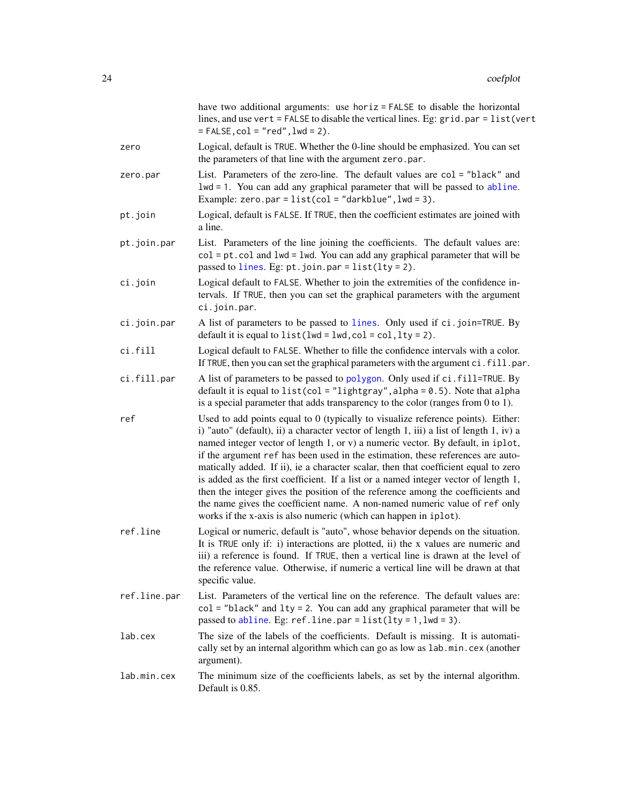|              | have two additional arguments: use horiz = FALSE to disable the horizontal<br>lines, and use vert = FALSE to disable the vertical lines. Eg: grid.par = list(vert<br>$=$ FALSE, $col = "red",$ lwd = 2).                                                                                                                                                                                                                                                                                                                                                                                                                                                                                                                                                             |
|--------------|----------------------------------------------------------------------------------------------------------------------------------------------------------------------------------------------------------------------------------------------------------------------------------------------------------------------------------------------------------------------------------------------------------------------------------------------------------------------------------------------------------------------------------------------------------------------------------------------------------------------------------------------------------------------------------------------------------------------------------------------------------------------|
| zero         | Logical, default is TRUE. Whether the 0-line should be emphasized. You can set<br>the parameters of that line with the argument zero.par.                                                                                                                                                                                                                                                                                                                                                                                                                                                                                                                                                                                                                            |
| zero.par     | List. Parameters of the zero-line. The default values are col = "black" and<br>lwd = 1. You can add any graphical parameter that will be passed to abline.<br>Example: zero.par = $list(col = "darkblue", lwd = 3)$ .                                                                                                                                                                                                                                                                                                                                                                                                                                                                                                                                                |
| pt.join      | Logical, default is FALSE. If TRUE, then the coefficient estimates are joined with<br>a line.                                                                                                                                                                                                                                                                                                                                                                                                                                                                                                                                                                                                                                                                        |
| pt.join.par  | List. Parameters of the line joining the coefficients. The default values are:<br>$col = pt$ . col and $1wd = 1wd$ . You can add any graphical parameter that will be<br>passed to lines. Eg: $pt.$ join.par = list(lty = 2).                                                                                                                                                                                                                                                                                                                                                                                                                                                                                                                                        |
| ci.join      | Logical default to FALSE. Whether to join the extremities of the confidence in-<br>tervals. If TRUE, then you can set the graphical parameters with the argument<br>ci.join.par.                                                                                                                                                                                                                                                                                                                                                                                                                                                                                                                                                                                     |
| ci.join.par  | A list of parameters to be passed to lines. Only used if ci.join=TRUE. By<br>default it is equal to $list(lwd = lwd, col = col, lty = 2)$ .                                                                                                                                                                                                                                                                                                                                                                                                                                                                                                                                                                                                                          |
| ci.fill      | Logical default to FALSE. Whether to fille the confidence intervals with a color.<br>If TRUE, then you can set the graphical parameters with the argument ci. fill.par.                                                                                                                                                                                                                                                                                                                                                                                                                                                                                                                                                                                              |
| ci.fill.par  | A list of parameters to be passed to polygon. Only used if ci.fill=TRUE. By<br>default it is equal to $list(col = "lightgray", alpha = 0.5)$ . Note that alpha<br>is a special parameter that adds transparency to the color (ranges from 0 to 1).                                                                                                                                                                                                                                                                                                                                                                                                                                                                                                                   |
| ref          | Used to add points equal to 0 (typically to visualize reference points). Either:<br>i) "auto" (default), ii) a character vector of length 1, iii) a list of length 1, iv) a<br>named integer vector of length 1, or v) a numeric vector. By default, in iplot,<br>if the argument ref has been used in the estimation, these references are auto-<br>matically added. If ii), ie a character scalar, then that coefficient equal to zero<br>is added as the first coefficient. If a list or a named integer vector of length 1,<br>then the integer gives the position of the reference among the coefficients and<br>the name gives the coefficient name. A non-named numeric value of ref only<br>works if the x-axis is also numeric (which can happen in iplot). |
| ref.line     | Logical or numeric, default is "auto", whose behavior depends on the situation.<br>It is TRUE only if: i) interactions are plotted, ii) the x values are numeric and<br>iii) a reference is found. If TRUE, then a vertical line is drawn at the level of<br>the reference value. Otherwise, if numeric a vertical line will be drawn at that<br>specific value.                                                                                                                                                                                                                                                                                                                                                                                                     |
| ref.line.par | List. Parameters of the vertical line on the reference. The default values are:<br>col = "black" and lty = 2. You can add any graphical parameter that will be<br>passed to abline. Eg: $refu$ ine.par = list(lty = 1, lwd = 3).                                                                                                                                                                                                                                                                                                                                                                                                                                                                                                                                     |
| lab.cex      | The size of the labels of the coefficients. Default is missing. It is automati-<br>cally set by an internal algorithm which can go as low as lab.min.cex (another<br>argument).                                                                                                                                                                                                                                                                                                                                                                                                                                                                                                                                                                                      |
| lab.min.cex  | The minimum size of the coefficients labels, as set by the internal algorithm.<br>Default is 0.85.                                                                                                                                                                                                                                                                                                                                                                                                                                                                                                                                                                                                                                                                   |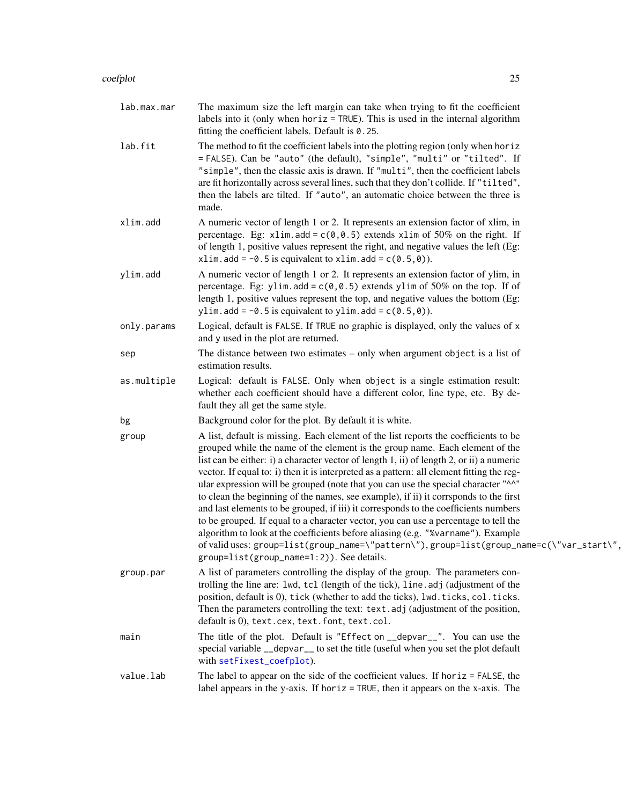#### coefplot 25

| lab.max.mar | The maximum size the left margin can take when trying to fit the coefficient<br>labels into it (only when $horiz = TRUE$ ). This is used in the internal algorithm<br>fitting the coefficient labels. Default is $0.25$ .                                                                                                                                                                                                                                                                                                                                                                                                                                                                                                                                                                                                                                                                                                                             |
|-------------|-------------------------------------------------------------------------------------------------------------------------------------------------------------------------------------------------------------------------------------------------------------------------------------------------------------------------------------------------------------------------------------------------------------------------------------------------------------------------------------------------------------------------------------------------------------------------------------------------------------------------------------------------------------------------------------------------------------------------------------------------------------------------------------------------------------------------------------------------------------------------------------------------------------------------------------------------------|
| lab.fit     | The method to fit the coefficient labels into the plotting region (only when hor iz<br>= FALSE). Can be "auto" (the default), "simple", "multi" or "tilted". If<br>"simple", then the classic axis is drawn. If "multi", then the coefficient labels<br>are fit horizontally across several lines, such that they don't collide. If "tilted",<br>then the labels are tilted. If "auto", an automatic choice between the three is<br>made.                                                                                                                                                                                                                                                                                                                                                                                                                                                                                                             |
| xlim.add    | A numeric vector of length 1 or 2. It represents an extension factor of xlim, in<br>percentage. Eg: x1im.add = $c(0, 0.5)$ extends x1im of 50% on the right. If<br>of length 1, positive values represent the right, and negative values the left (Eg:<br>xlim.add = $-0.5$ is equivalent to xlim.add = $c(0.5,0)$ ).                                                                                                                                                                                                                                                                                                                                                                                                                                                                                                                                                                                                                                 |
| ylim.add    | A numeric vector of length 1 or 2. It represents an extension factor of ylim, in<br>percentage. Eg: ylim. add = $c(0, 0.5)$ extends ylim of 50% on the top. If of<br>length 1, positive values represent the top, and negative values the bottom (Eg:<br>ylim.add = $-0.5$ is equivalent to ylim.add = $c(0.5,0)$ ).                                                                                                                                                                                                                                                                                                                                                                                                                                                                                                                                                                                                                                  |
| only.params | Logical, default is FALSE. If TRUE no graphic is displayed, only the values of x<br>and y used in the plot are returned.                                                                                                                                                                                                                                                                                                                                                                                                                                                                                                                                                                                                                                                                                                                                                                                                                              |
| sep         | The distance between two estimates $-$ only when argument object is a list of<br>estimation results.                                                                                                                                                                                                                                                                                                                                                                                                                                                                                                                                                                                                                                                                                                                                                                                                                                                  |
| as.multiple | Logical: default is FALSE. Only when object is a single estimation result:<br>whether each coefficient should have a different color, line type, etc. By de-<br>fault they all get the same style.                                                                                                                                                                                                                                                                                                                                                                                                                                                                                                                                                                                                                                                                                                                                                    |
| bg          | Background color for the plot. By default it is white.                                                                                                                                                                                                                                                                                                                                                                                                                                                                                                                                                                                                                                                                                                                                                                                                                                                                                                |
| group       | A list, default is missing. Each element of the list reports the coefficients to be<br>grouped while the name of the element is the group name. Each element of the<br>list can be either: i) a character vector of length 1, ii) of length 2, or ii) a numeric<br>vector. If equal to: i) then it is interpreted as a pattern: all element fitting the reg-<br>ular expression will be grouped (note that you can use the special character "^^"<br>to clean the beginning of the names, see example), if ii) it corrsponds to the first<br>and last elements to be grouped, if iii) it corresponds to the coefficients numbers<br>to be grouped. If equal to a character vector, you can use a percentage to tell the<br>algorithm to look at the coefficients before aliasing (e.g. "%varname"). Example<br>of valid uses: group=list(group_name=\"pattern\"), group=list(group_name=c(\"var_start\",<br>group=list(group_name=1:2)). See details. |
| group.par   | A list of parameters controlling the display of the group. The parameters con-<br>trolling the line are: lwd, tcl (length of the tick), line.adj (adjustment of the<br>position, default is 0), tick (whether to add the ticks), lwd. ticks, col. ticks.<br>Then the parameters controlling the text: text. adj (adjustment of the position,<br>default is 0), text.cex, text.font, text.col.                                                                                                                                                                                                                                                                                                                                                                                                                                                                                                                                                         |
| main        | The title of the plot. Default is "Effect on __depvar__". You can use the<br>special variable __depvar__ to set the title (useful when you set the plot default<br>with setFixest_coefplot).                                                                                                                                                                                                                                                                                                                                                                                                                                                                                                                                                                                                                                                                                                                                                          |
| value.lab   | The label to appear on the side of the coefficient values. If horiz $=$ FALSE, the<br>label appears in the y-axis. If horiz = TRUE, then it appears on the x-axis. The                                                                                                                                                                                                                                                                                                                                                                                                                                                                                                                                                                                                                                                                                                                                                                                |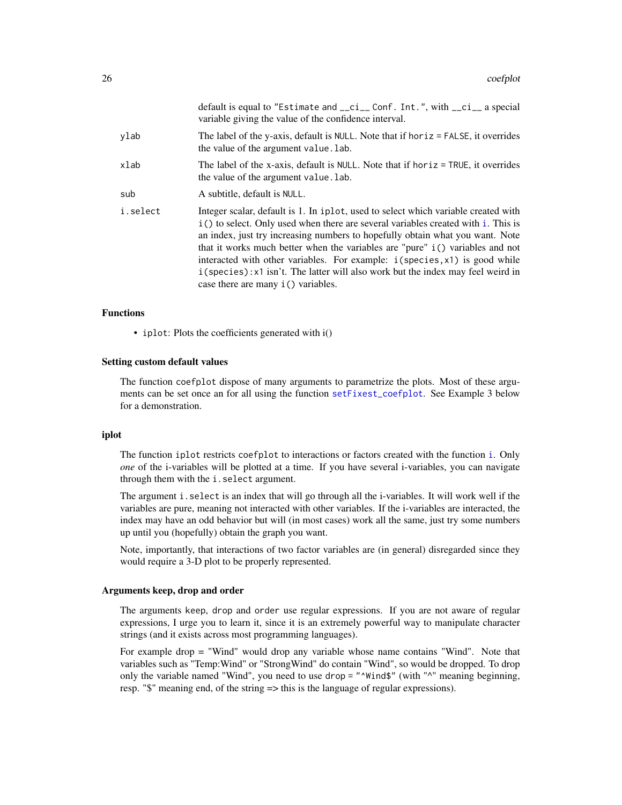|          | default is equal to "Estimate and $_{-}ci_{-}$ Conf. Int.", with $_{-}ci_{-}$ a special<br>variable giving the value of the confidence interval.                                                                                                                                                                                                                                                                                                                                                                                                                    |
|----------|---------------------------------------------------------------------------------------------------------------------------------------------------------------------------------------------------------------------------------------------------------------------------------------------------------------------------------------------------------------------------------------------------------------------------------------------------------------------------------------------------------------------------------------------------------------------|
| ylab     | The label of the y-axis, default is NULL. Note that if horiz = FALSE, it overrides<br>the value of the argument value. lab.                                                                                                                                                                                                                                                                                                                                                                                                                                         |
| xlab     | The label of the x-axis, default is NULL. Note that if horiz = TRUE, it overrides<br>the value of the argument value. lab.                                                                                                                                                                                                                                                                                                                                                                                                                                          |
| sub      | A subtitle, default is NULL.                                                                                                                                                                                                                                                                                                                                                                                                                                                                                                                                        |
| i.select | Integer scalar, default is 1. In iplot, used to select which variable created with<br>i() to select. Only used when there are several variables created with <i>i</i> . This is<br>an index, just try increasing numbers to hopefully obtain what you want. Note<br>that it works much better when the variables are "pure" i() variables and not<br>interacted with other variables. For example: $i$ (species, $x$ 1) is good while<br>$i$ (species): x1 isn't. The latter will also work but the index may feel weird in<br>case there are many $i()$ variables. |

### Functions

• iplot: Plots the coefficients generated with i()

#### Setting custom default values

The function coefplot dispose of many arguments to parametrize the plots. Most of these arguments can be set once an for all using the function [setFixest\\_coefplot](#page-170-1). See Example 3 below for a demonstration.

### iplot

The function iplot restricts coefplot to interactions or factors created with the function [i](#page-136-1). Only *one* of the i-variables will be plotted at a time. If you have several i-variables, you can navigate through them with the i.select argument.

The argument i.select is an index that will go through all the i-variables. It will work well if the variables are pure, meaning not interacted with other variables. If the i-variables are interacted, the index may have an odd behavior but will (in most cases) work all the same, just try some numbers up until you (hopefully) obtain the graph you want.

Note, importantly, that interactions of two factor variables are (in general) disregarded since they would require a 3-D plot to be properly represented.

#### Arguments keep, drop and order

The arguments keep, drop and order use regular expressions. If you are not aware of regular expressions, I urge you to learn it, since it is an extremely powerful way to manipulate character strings (and it exists across most programming languages).

For example drop = "Wind" would drop any variable whose name contains "Wind". Note that variables such as "Temp:Wind" or "StrongWind" do contain "Wind", so would be dropped. To drop only the variable named "Wind", you need to use drop = "^Wind\$" (with "^" meaning beginning, resp. "\$" meaning end, of the string => this is the language of regular expressions).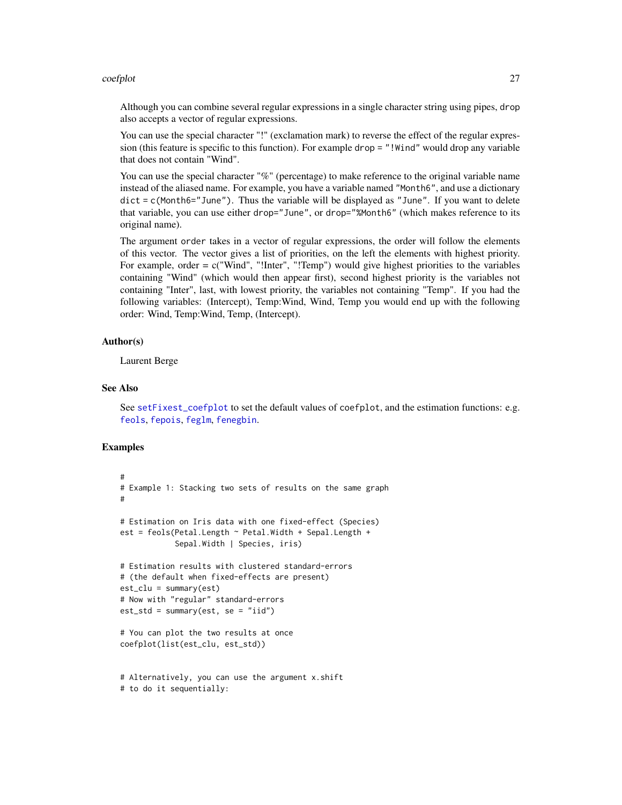#### coefplot 27

Although you can combine several regular expressions in a single character string using pipes, drop also accepts a vector of regular expressions.

You can use the special character "!" (exclamation mark) to reverse the effect of the regular expression (this feature is specific to this function). For example drop = "!Wind" would drop any variable that does not contain "Wind".

You can use the special character "%" (percentage) to make reference to the original variable name instead of the aliased name. For example, you have a variable named "Month6", and use a dictionary  $dict = c(Month6="June")$ . Thus the variable will be displayed as "June". If you want to delete that variable, you can use either drop="June", or drop="%Month6" (which makes reference to its original name).

The argument order takes in a vector of regular expressions, the order will follow the elements of this vector. The vector gives a list of priorities, on the left the elements with highest priority. For example, order = c("Wind", "!Inter", "!Temp") would give highest priorities to the variables containing "Wind" (which would then appear first), second highest priority is the variables not containing "Inter", last, with lowest priority, the variables not containing "Temp". If you had the following variables: (Intercept), Temp:Wind, Wind, Temp you would end up with the following order: Wind, Temp:Wind, Temp, (Intercept).

### Author(s)

Laurent Berge

#### See Also

See [setFixest\\_coefplot](#page-170-1) to set the default values of coefplot, and the estimation functions: e.g. [feols](#page-112-1), [fepois](#page-79-2), [feglm](#page-79-1), [fenegbin](#page-91-2).

```
#
# Example 1: Stacking two sets of results on the same graph
#
# Estimation on Iris data with one fixed-effect (Species)
est = feols(Petal.Length ~ Petal.Width + Sepal.Length +
            Sepal.Width | Species, iris)
# Estimation results with clustered standard-errors
# (the default when fixed-effects are present)
est_clu = summary(est)
# Now with "regular" standard-errors
est\_std = summary(est, se = "iid")# You can plot the two results at once
coefplot(list(est_clu, est_std))
# Alternatively, you can use the argument x.shift
```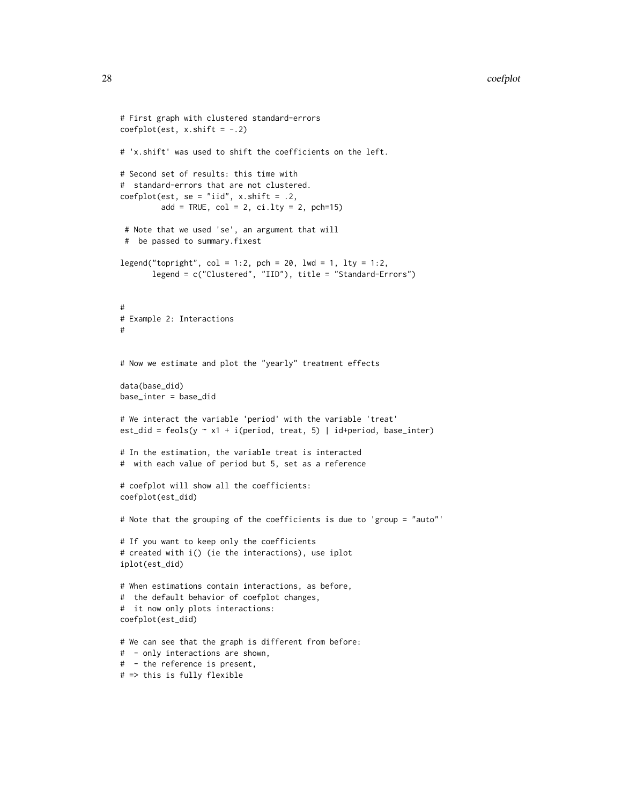```
# First graph with clustered standard-errors
coefplot(est, x.shift = -.2)# 'x.shift' was used to shift the coefficients on the left.
# Second set of results: this time with
# standard-errors that are not clustered.
coefplot(est, se = "iid", x.shift = .2,
         add = TRUE, col = 2, ci.lty = 2, pch=15)# Note that we used 'se', an argument that will
 # be passed to summary.fixest
legend("topright", col = 1:2, pch = 20, lwd = 1, lty = 1:2,legend = c("Clustered", "IID"), title = "Standard-Errors")
#
# Example 2: Interactions
#
# Now we estimate and plot the "yearly" treatment effects
data(base_did)
base_inter = base_did
# We interact the variable 'period' with the variable 'treat'
est_did = feols(y \sim x1 + i(period, treat, 5) | id+period, base_inter)
# In the estimation, the variable treat is interacted
# with each value of period but 5, set as a reference
# coefplot will show all the coefficients:
coefplot(est_did)
# Note that the grouping of the coefficients is due to 'group = "auto"'
# If you want to keep only the coefficients
# created with i() (ie the interactions), use iplot
iplot(est_did)
# When estimations contain interactions, as before,
# the default behavior of coefplot changes,
# it now only plots interactions:
coefplot(est_did)
# We can see that the graph is different from before:
# - only interactions are shown,
# - the reference is present,
```
# => this is fully flexible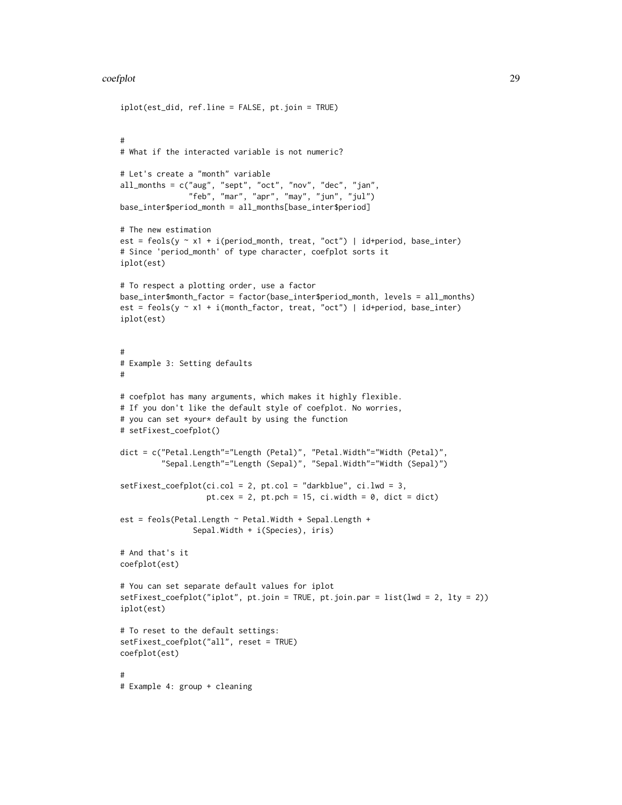#### coefplot 29

```
iplot(est_did, ref.line = FALSE, pt.join = TRUE)
#
# What if the interacted variable is not numeric?
# Let's create a "month" variable
all_months = c("aug", "sept", "oct", "nov", "dec", "jan",
               "feb", "mar", "apr", "may", "jun", "jul")
base_inter$period_month = all_months[base_inter$period]
# The new estimation
est = feols(y \sim x1 + i(period_month, treat, "oct") | id+period, base_inter)
# Since 'period_month' of type character, coefplot sorts it
iplot(est)
# To respect a plotting order, use a factor
base_inter$month_factor = factor(base_inter$period_month, levels = all_months)
est = feols(y \sim x1 + i(month_factor, treat, "oct") | id+period, base_inter)
iplot(est)
#
# Example 3: Setting defaults
#
# coefplot has many arguments, which makes it highly flexible.
# If you don't like the default style of coefplot. No worries,
# you can set *your* default by using the function
# setFixest_coefplot()
dict = c("Petal.Length"="Length (Petal)", "Petal.Width"="Width (Petal)",
         "Sepal.Length"="Length (Sepal)", "Sepal.Width"="Width (Sepal)")
setFixest_coefplot(ci.col = 2, pt.col = "darkblue", ci.lwd = 3,
                   pt.cex = 2, pt.pch = 15, ci.width = 0, dict = dict)
est = feols(Petal.Length ~ Petal.Width + Sepal.Length +
                Sepal.Width + i(Species), iris)
# And that's it
coefplot(est)
# You can set separate default values for iplot
setFixest_coefplot("iplot", pt.join = TRUE, pt.join.par = list(lwd = 2, lty = 2))
iplot(est)
# To reset to the default settings:
setFixest_coefplot("all", reset = TRUE)
coefplot(est)
#
# Example 4: group + cleaning
```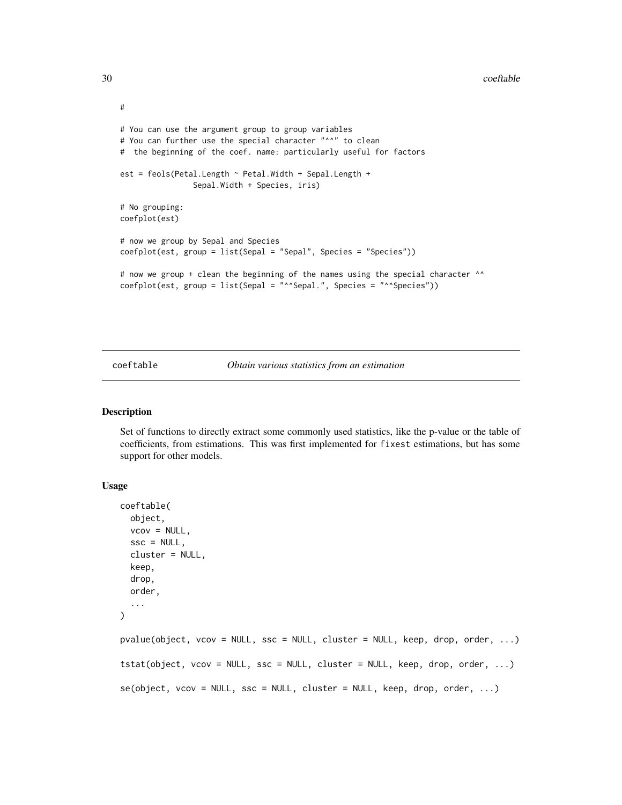```
#
# You can use the argument group to group variables
# You can further use the special character "^^" to clean
# the beginning of the coef. name: particularly useful for factors
est = feols(Petal.Length ~ Petal.Width + Sepal.Length +
                Sepal.Width + Species, iris)
# No grouping:
coefplot(est)
# now we group by Sepal and Species
coefplot(est, group = list(Sepal = "Sepal", Species = "Species"))
# now we group + clean the beginning of the names using the special character ^^
coefplot(est, group = list(Sepal = "^^Sepal.", Species = "^^Species"))
```
#### coeftable *Obtain various statistics from an estimation*

### Description

Set of functions to directly extract some commonly used statistics, like the p-value or the table of coefficients, from estimations. This was first implemented for fixest estimations, but has some support for other models.

#### Usage

```
coeftable(
  object,
  vcov = NULL,\text{ssc} = \text{NULL},
  cluster = NULL,
  keep,
  drop,
  order,
  ...
\lambdapvalue(object, vcov = NULL, ssc = NULL, cluster = NULL, keep, drop, order, ...)tstat(object, vcov = NULL, ssc = NULL, cluster = NULL, keep, drop, order, ...)
se(object, vcov = NULL, ssc = NULL, cluster = NULL, keep, drop, order, ...)
```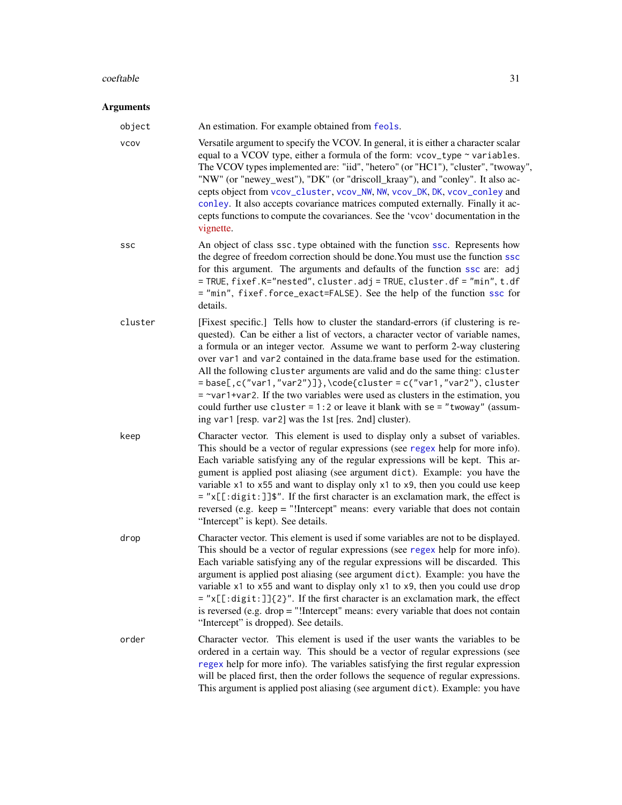#### $\text{coeffable}$  31

#### Arguments

object An estimation. For example obtained from [feols](#page-112-1). vcov Versatile argument to specify the VCOV. In general, it is either a character scalar equal to a VCOV type, either a formula of the form:  $vcov_type \sim variables$ . The VCOV types implemented are: "iid", "hetero" (or "HC1"), "cluster", "twoway", "NW" (or "newey\_west"), "DK" (or "driscoll\_kraay"), and "conley". It also accepts object from [vcov\\_cluster](#page-219-1), [vcov\\_NW](#page-222-1), [NW](#page-222-1), [vcov\\_DK](#page-222-1), [DK](#page-222-1), [vcov\\_conley](#page-221-1) and [conley](#page-221-2). It also accepts covariance matrices computed externally. Finally it accepts functions to compute the covariances. See the 'vcov' documentation in the [vignette.](https://lrberge.github.io/fixest/articles/fixest_walkthrough.html#the-vcov-argument-1) ssc An object of class ssc.type obtained with the function [ssc](#page-186-1). Represents how the degree of freedom correction should be done.You must use the function [ssc](#page-186-1) for this argument. The arguments and defaults of the function [ssc](#page-186-1) are: adj = TRUE, fixef.K="nested", cluster.adj = TRUE, cluster.df = "min", t.df = "min", fixef.force\_exact=FALSE). See the help of the function [ssc](#page-186-1) for details. cluster [Fixest specific.] Tells how to cluster the standard-errors (if clustering is requested). Can be either a list of vectors, a character vector of variable names, a formula or an integer vector. Assume we want to perform 2-way clustering over var1 and var2 contained in the data.frame base used for the estimation. All the following cluster arguments are valid and do the same thing: cluster  $=$  base[,c("var1,"var2")]},\code{cluster = c("var1,"var2"), cluster  $=$   $\sim$ var1+var2. If the two variables were used as clusters in the estimation, you could further use cluster =  $1:2$  or leave it blank with se = "twoway" (assuming var1 [resp. var2] was the 1st [res. 2nd] cluster). keep Character vector. This element is used to display only a subset of variables. This should be a vector of regular expressions (see [regex](#page-0-0) help for more info). Each variable satisfying any of the regular expressions will be kept. This argument is applied post aliasing (see argument dict). Example: you have the variable x1 to x55 and want to display only x1 to x9, then you could use keep = "x[[:digit:]]\$". If the first character is an exclamation mark, the effect is reversed (e.g. keep = "!Intercept" means: every variable that does not contain "Intercept" is kept). See details. drop Character vector. This element is used if some variables are not to be displayed. This should be a vector of regular expressions (see [regex](#page-0-0) help for more info). Each variable satisfying any of the regular expressions will be discarded. This argument is applied post aliasing (see argument dict). Example: you have the variable x1 to x55 and want to display only x1 to x9, then you could use drop = "x[[:digit:]]{2}". If the first character is an exclamation mark, the effect is reversed (e.g. drop = "!Intercept" means: every variable that does not contain "Intercept" is dropped). See details.

order Character vector. This element is used if the user wants the variables to be ordered in a certain way. This should be a vector of regular expressions (see [regex](#page-0-0) help for more info). The variables satisfying the first regular expression will be placed first, then the order follows the sequence of regular expressions. This argument is applied post aliasing (see argument dict). Example: you have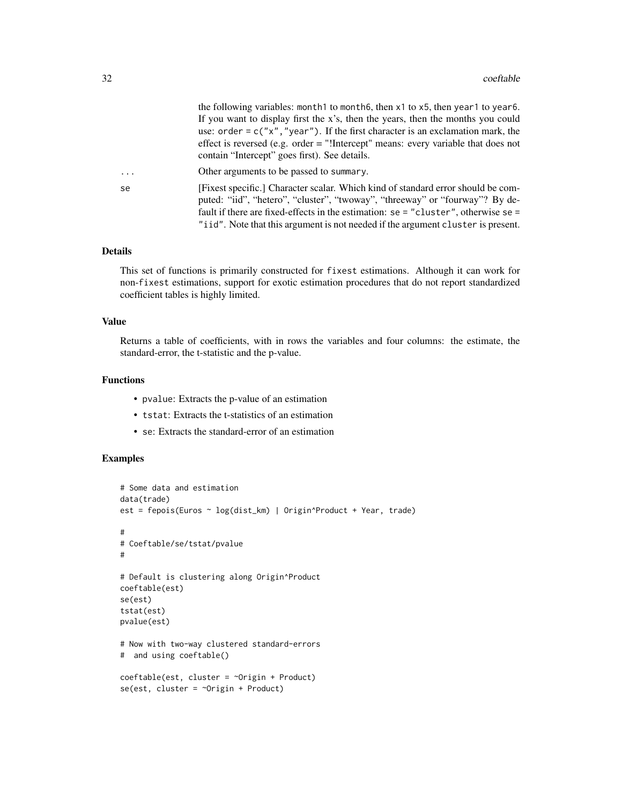| the following variables: month to month 6, then x 1 to x 5, then year 1 to year 6.  |
|-------------------------------------------------------------------------------------|
| If you want to display first the x's, then the years, then the months you could     |
| use: order = $c("x", "vear")$ . If the first character is an exclamation mark, the  |
| effect is reversed (e.g. order $=$ "!Intercept" means: every variable that does not |
| contain "Intercept" goes first). See details.                                       |
|                                                                                     |

... Other arguments to be passed to summary. se [Fixest specific.] Character scalar. Which kind of standard error should be computed: "iid", "hetero", "cluster", "twoway", "threeway" or "fourway"? By default if there are fixed-effects in the estimation: se = "cluster", otherwise se = "iid". Note that this argument is not needed if the argument cluster is present.

#### Details

This set of functions is primarily constructed for fixest estimations. Although it can work for non-fixest estimations, support for exotic estimation procedures that do not report standardized coefficient tables is highly limited.

#### Value

Returns a table of coefficients, with in rows the variables and four columns: the estimate, the standard-error, the t-statistic and the p-value.

#### Functions

- pvalue: Extracts the p-value of an estimation
- tstat: Extracts the t-statistics of an estimation
- se: Extracts the standard-error of an estimation

```
# Some data and estimation
data(trade)
est = fepois(Euros ~ log(dist_km) | Origin^Product + Year, trade)
#
# Coeftable/se/tstat/pvalue
#
# Default is clustering along Origin^Product
coeftable(est)
se(est)
tstat(est)
pvalue(est)
# Now with two-way clustered standard-errors
# and using coeftable()
coeftable(est, cluster = ~Origin + Product)
se(est, cluster = ~^{\sim}Origin + Product)
```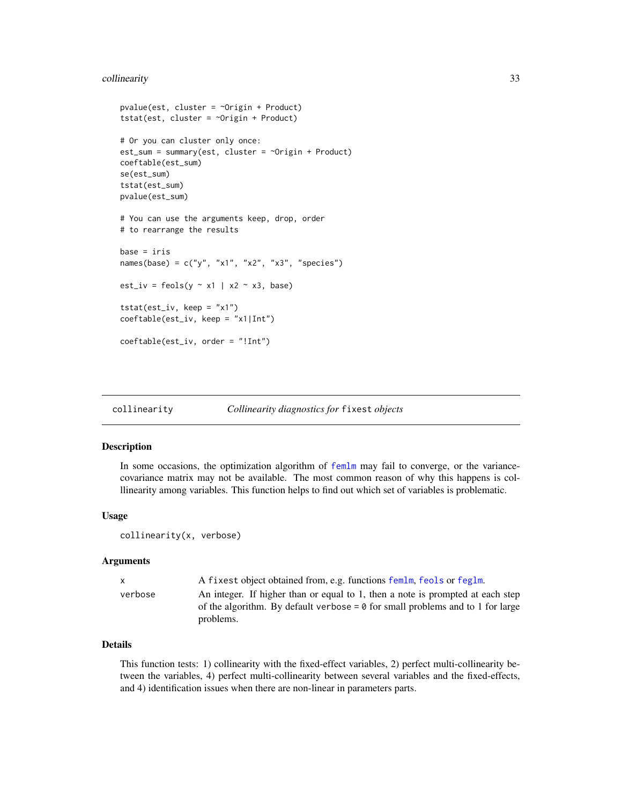### <span id="page-32-0"></span>collinearity 33

```
pvalue(est, cluster = ~Origin + Product)
tstat(est, cluster = ~Origin + Product)
# Or you can cluster only once:
est_sum = summary(est, cluster = ~Origin + Product)
coeftable(est_sum)
se(est_sum)
tstat(est_sum)
pvalue(est_sum)
# You can use the arguments keep, drop, order
# to rearrange the results
base = irisnames(base) = c("y", "x1", "x2", "x3", "species")
est\_iv = feols(y \sim x1 \mid x2 \sim x3, base)tstat(est_i v, keep = "x1")coeftable(est_iv, keep = "x1|Int")
coeftable(est_iv, order = "!Int")
```
collinearity *Collinearity diagnostics for* fixest *objects*

### Description

In some occasions, the optimization algorithm of [femlm](#page-91-1) may fail to converge, or the variancecovariance matrix may not be available. The most common reason of why this happens is colllinearity among variables. This function helps to find out which set of variables is problematic.

#### Usage

collinearity(x, verbose)

#### Arguments

| $\mathsf{X}$ | A fixest object obtained from, e.g. functions femlm, feols or feglm.                                                                                                                 |
|--------------|--------------------------------------------------------------------------------------------------------------------------------------------------------------------------------------|
| verbose      | An integer. If higher than or equal to 1, then a note is prompted at each step<br>of the algorithm. By default verbose = $\theta$ for small problems and to 1 for large<br>problems. |
|              |                                                                                                                                                                                      |

### Details

This function tests: 1) collinearity with the fixed-effect variables, 2) perfect multi-collinearity between the variables, 4) perfect multi-collinearity between several variables and the fixed-effects, and 4) identification issues when there are non-linear in parameters parts.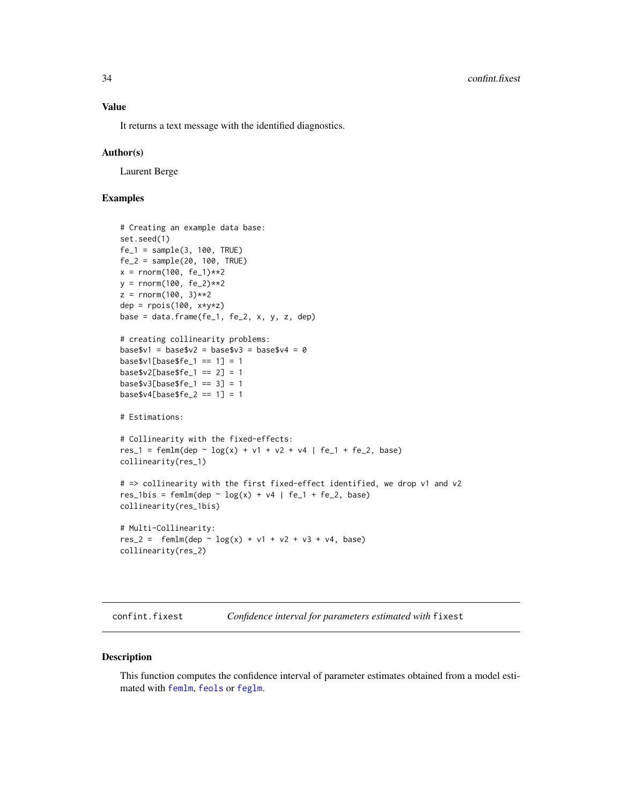<span id="page-33-0"></span>It returns a text message with the identified diagnostics.

#### Author(s)

Laurent Berge

### Examples

```
# Creating an example data base:
set.seed(1)
fe_1 = sample(3, 100, TRUE)fe_2 = sample(20, 100, TRUE)x = rnorm(100, fe_1)**2y = rnorm(100, fe_2)**2
z = rnorm(100, 3)**2dep = rpois(100, x*y*z)base = data.frame(fe_1, fe_2, x, y, z, dep)
# creating collinearity problems:
base$v1 = base$v2 = base$v3 = base$v4 = 0base$v1[base$fe_1 == 1] = 1base $v2[base $fe_1 == 2] = 1base\$v3[base\$fe_1 == 3] = 1base $v4[base $fe_2 == 1] = 1# Estimations:
# Collinearity with the fixed-effects:
res_1 = femlm(dep ~ log(x) + v1 + v2 + v4 | fe_1 + fe_2, base)collinearity(res_1)
# => collinearity with the first fixed-effect identified, we drop v1 and v2
res_1bis = femlm(dep \sim log(x) + v4 | fe_1 + fe_2, base)
collinearity(res_1bis)
# Multi-Collinearity:
res_2 = femlm(dep ~ log(x) + v1 + v2 + v3 + v4, base)collinearity(res_2)
```
<span id="page-33-1"></span>confint.fixest *Confidence interval for parameters estimated with* fixest

#### Description

This function computes the confidence interval of parameter estimates obtained from a model estimated with [femlm](#page-91-1), [feols](#page-112-1) or [feglm](#page-79-1).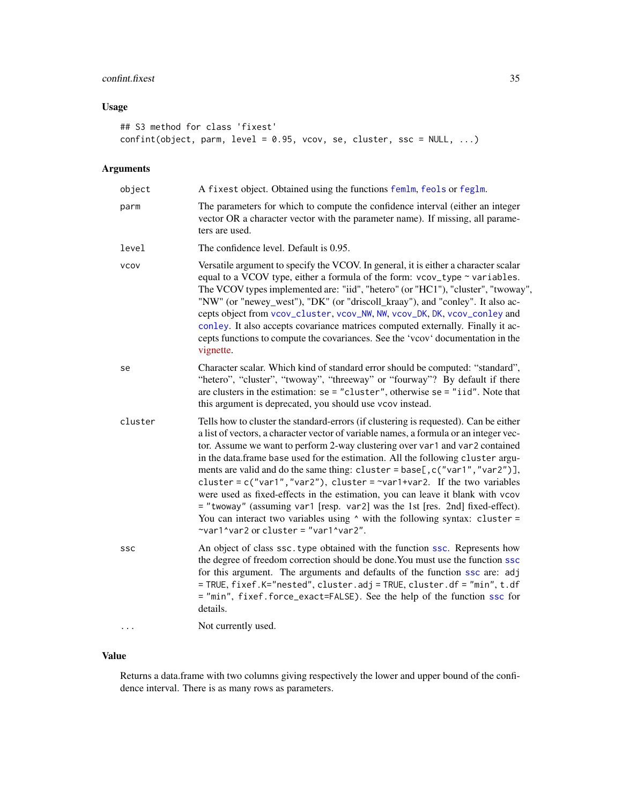### confint.fixest 35

### Usage

```
## S3 method for class 'fixest'
confint(object, parm, level = 0.95, vcov, se, cluster, ssc = NULL, ...)
```
### Arguments

| object      | A fixest object. Obtained using the functions femlm, feols or feglm.                                                                                                                                                                                                                                                                                                                                                                                                                                                                                                                                                                                                                                                                                                                                               |
|-------------|--------------------------------------------------------------------------------------------------------------------------------------------------------------------------------------------------------------------------------------------------------------------------------------------------------------------------------------------------------------------------------------------------------------------------------------------------------------------------------------------------------------------------------------------------------------------------------------------------------------------------------------------------------------------------------------------------------------------------------------------------------------------------------------------------------------------|
| parm        | The parameters for which to compute the confidence interval (either an integer<br>vector OR a character vector with the parameter name). If missing, all parame-<br>ters are used.                                                                                                                                                                                                                                                                                                                                                                                                                                                                                                                                                                                                                                 |
| level       | The confidence level. Default is 0.95.                                                                                                                                                                                                                                                                                                                                                                                                                                                                                                                                                                                                                                                                                                                                                                             |
| <b>VCOV</b> | Versatile argument to specify the VCOV. In general, it is either a character scalar<br>equal to a VCOV type, either a formula of the form: vcov_type ~ variables.<br>The VCOV types implemented are: "iid", "hetero" (or "HC1"), "cluster", "twoway",<br>"NW" (or "newey_west"), "DK" (or "driscoll_kraay"), and "conley". It also ac-<br>cepts object from vcov_cluster, vcov_NW, NW, vcov_DK, DK, vcov_conley and<br>conley. It also accepts covariance matrices computed externally. Finally it ac-<br>cepts functions to compute the covariances. See the 'vcov' documentation in the<br>vignette.                                                                                                                                                                                                             |
| se          | Character scalar. Which kind of standard error should be computed: "standard",<br>"hetero", "cluster", "twoway", "threeway" or "fourway"? By default if there<br>are clusters in the estimation: $se = "cluster",$ otherwise $se = "iid".$ Note that<br>this argument is deprecated, you should use vcov instead.                                                                                                                                                                                                                                                                                                                                                                                                                                                                                                  |
| cluster     | Tells how to cluster the standard-errors (if clustering is requested). Can be either<br>a list of vectors, a character vector of variable names, a formula or an integer vec-<br>tor. Assume we want to perform 2-way clustering over var1 and var2 contained<br>in the data.frame base used for the estimation. All the following cluster argu-<br>ments are valid and do the same thing: cluster = base[, c("var1", "var2")],<br>cluster = $c("var1", "var2"),$ cluster = $\sim$ var1+var2. If the two variables<br>were used as fixed-effects in the estimation, you can leave it blank with vcov<br>= "twoway" (assuming var1 [resp. var2] was the 1st [res. 2nd] fixed-effect).<br>You can interact two variables using $\wedge$ with the following syntax: cluster =<br>~var1^var2 or cluster = "var1^var2". |
| SSC         | An object of class ssc. type obtained with the function ssc. Represents how<br>the degree of freedom correction should be done. You must use the function ssc<br>for this argument. The arguments and defaults of the function ssc are: adj<br>= TRUE, fixef.K="nested", cluster.adj = TRUE, cluster.df = "min", t.df<br>= "min", fixef.force_exact=FALSE). See the help of the function ssc for<br>details.                                                                                                                                                                                                                                                                                                                                                                                                       |
| $\cdots$    | Not currently used.                                                                                                                                                                                                                                                                                                                                                                                                                                                                                                                                                                                                                                                                                                                                                                                                |

### Value

Returns a data.frame with two columns giving respectively the lower and upper bound of the confidence interval. There is as many rows as parameters.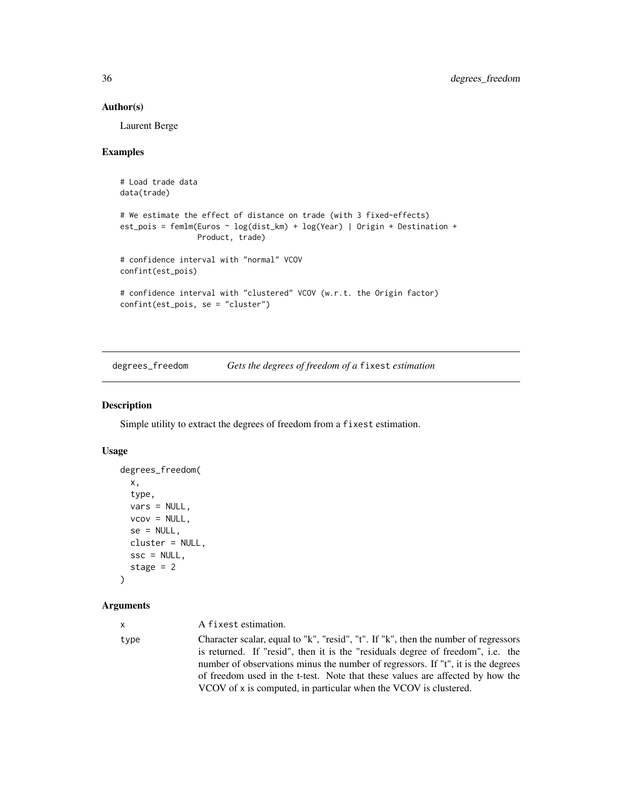### Author(s)

Laurent Berge

### Examples

```
# Load trade data
data(trade)
# We estimate the effect of distance on trade (with 3 fixed-effects)
est_pois = femlm(Euros ~ log(dist_km) + log(Year) | Origin + Destination +
                Product, trade)
# confidence interval with "normal" VCOV
confint(est_pois)
# confidence interval with "clustered" VCOV (w.r.t. the Origin factor)
confint(est_pois, se = "cluster")
```
degrees\_freedom *Gets the degrees of freedom of a* fixest *estimation*

#### Description

Simple utility to extract the degrees of freedom from a fixest estimation.

### Usage

```
degrees_freedom(
  x,
  type,
  vars = NULL,
  vcov = NULL,se = NULL,cluster = NULL,
  \text{ssc} = \text{NULL},
  stage = 2\lambda
```
#### Arguments

| $\mathsf{X}$ | A fixest estimation.                                                                                                                                                                                                                                                                                                                                                                                            |
|--------------|-----------------------------------------------------------------------------------------------------------------------------------------------------------------------------------------------------------------------------------------------------------------------------------------------------------------------------------------------------------------------------------------------------------------|
| type         | Character scalar, equal to "k", "resid", "t". If "k", then the number of regressors<br>is returned. If "resid", then it is the "residuals degree of freedom", i.e. the<br>number of observations minus the number of regressors. If "t", it is the degrees<br>of freedom used in the t-test. Note that these values are affected by how the<br>VCOV of x is computed, in particular when the VCOV is clustered. |

<span id="page-35-0"></span>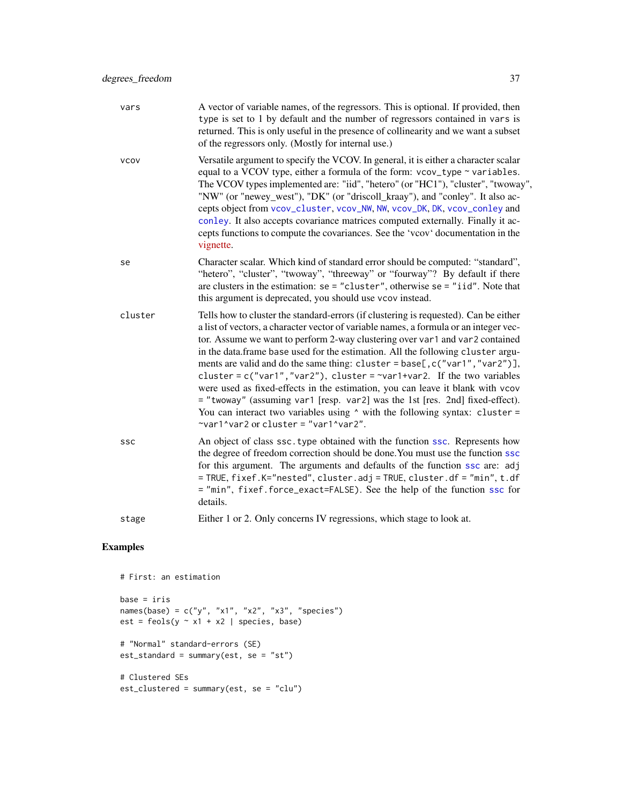| vars        | A vector of variable names, of the regressors. This is optional. If provided, then<br>type is set to 1 by default and the number of regressors contained in vars is<br>returned. This is only useful in the presence of collinearity and we want a subset<br>of the regressors only. (Mostly for internal use.)                                                                                                                                                                                                                                                                                                                                                                                                                                                                                                    |
|-------------|--------------------------------------------------------------------------------------------------------------------------------------------------------------------------------------------------------------------------------------------------------------------------------------------------------------------------------------------------------------------------------------------------------------------------------------------------------------------------------------------------------------------------------------------------------------------------------------------------------------------------------------------------------------------------------------------------------------------------------------------------------------------------------------------------------------------|
| <b>VCOV</b> | Versatile argument to specify the VCOV. In general, it is either a character scalar<br>equal to a VCOV type, either a formula of the form: vcov_type ~ variables.<br>The VCOV types implemented are: "iid", "hetero" (or "HC1"), "cluster", "twoway",<br>"NW" (or "newey_west"), "DK" (or "driscoll_kraay"), and "conley". It also ac-<br>cepts object from vcov_cluster, vcov_NW, NW, vcov_DK, DK, vcov_conley and<br>conley. It also accepts covariance matrices computed externally. Finally it ac-<br>cepts functions to compute the covariances. See the 'vcov' documentation in the<br>vignette.                                                                                                                                                                                                             |
| se          | Character scalar. Which kind of standard error should be computed: "standard",<br>"hetero", "cluster", "twoway", "threeway" or "fourway"? By default if there<br>are clusters in the estimation: $se = "cluster",$ otherwise $se = "iid".$ Note that<br>this argument is deprecated, you should use vcov instead.                                                                                                                                                                                                                                                                                                                                                                                                                                                                                                  |
| cluster     | Tells how to cluster the standard-errors (if clustering is requested). Can be either<br>a list of vectors, a character vector of variable names, a formula or an integer vec-<br>tor. Assume we want to perform 2-way clustering over var1 and var2 contained<br>in the data.frame base used for the estimation. All the following cluster argu-<br>ments are valid and do the same thing: cluster = base[, c("var1", "var2")],<br>cluster = $c("var1", "var2"),$ cluster = $\sim$ var1+var2. If the two variables<br>were used as fixed-effects in the estimation, you can leave it blank with vcov<br>= "twoway" (assuming var1 [resp. var2] was the 1st [res. 2nd] fixed-effect).<br>You can interact two variables using $\wedge$ with the following syntax: cluster =<br>~var1^var2 or cluster = "var1^var2". |
| SSC         | An object of class ssc. type obtained with the function ssc. Represents how<br>the degree of freedom correction should be done. You must use the function ssc<br>for this argument. The arguments and defaults of the function ssc are: adj<br>= TRUE, fixef.K="nested", cluster.adj = TRUE, cluster.df = "min", t.df<br>= "min", fixef.force_exact=FALSE). See the help of the function ssc for<br>details.                                                                                                                                                                                                                                                                                                                                                                                                       |
| stage       | Either 1 or 2. Only concerns IV regressions, which stage to look at.                                                                                                                                                                                                                                                                                                                                                                                                                                                                                                                                                                                                                                                                                                                                               |

```
# First: an estimation
base = iris
names(base) = c("y", "x1", "x2", "x3", "species")
est = feols(y \sim x1 + x2 \mid species, base)# "Normal" standard-errors (SE)
est_standard = summary(est, se = "st")
# Clustered SEs
est_clustered = summary(est, se = "clu")
```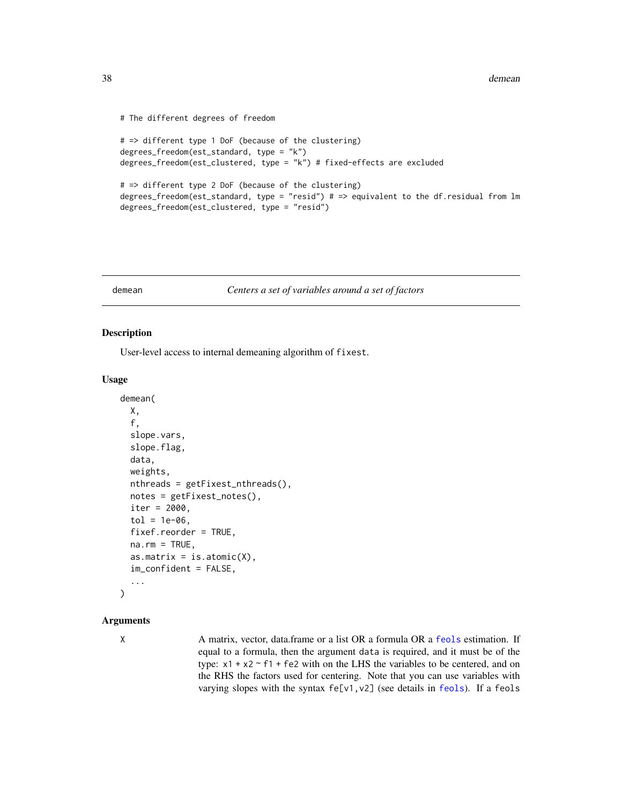```
# The different degrees of freedom
# => different type 1 DoF (because of the clustering)
degrees_freedom(est_standard, type = "k")
degrees_freedom(est_clustered, type = "k") # fixed-effects are excluded
# => different type 2 DoF (because of the clustering)
degrees_freedom(est_standard, type = "resid") # => equivalent to the df.residual from lm
degrees_freedom(est_clustered, type = "resid")
```
### demean *Centers a set of variables around a set of factors*

### Description

User-level access to internal demeaning algorithm of fixest.

### Usage

```
demean(
 X,
  f,
  slope.vars,
  slope.flag,
  data,
  weights,
 nthreads = getFixest_nthreads(),
  notes = getFixest_notes(),
  iter = 2000,
  tol = 1e-06,
  fixef.reorder = TRUE,
  na.rm = TRUE,as.matrix = is.atomic(X),im_confident = FALSE,
  ...
\lambda
```
# Arguments

X A matrix, vector, data.frame or a list OR a formula OR a [feols](#page-112-0) estimation. If equal to a formula, then the argument data is required, and it must be of the type:  $x1 + x2 - f1 + fe2$  with on the LHS the variables to be centered, and on the RHS the factors used for centering. Note that you can use variables with varying slopes with the syntax fe[v1, v2] (see details in [feols](#page-112-0)). If a feols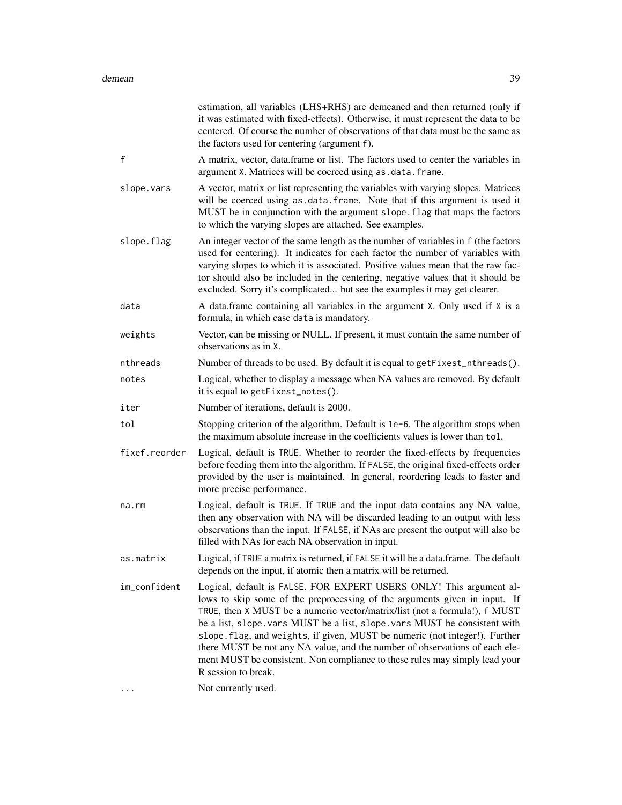|               | estimation, all variables (LHS+RHS) are demeaned and then returned (only if<br>it was estimated with fixed-effects). Otherwise, it must represent the data to be<br>centered. Of course the number of observations of that data must be the same as<br>the factors used for centering (argument f).                                                                                                                                                                                                                                                                              |
|---------------|----------------------------------------------------------------------------------------------------------------------------------------------------------------------------------------------------------------------------------------------------------------------------------------------------------------------------------------------------------------------------------------------------------------------------------------------------------------------------------------------------------------------------------------------------------------------------------|
| $\mathsf{f}$  | A matrix, vector, data.frame or list. The factors used to center the variables in<br>argument X. Matrices will be coerced using as . data. frame.                                                                                                                                                                                                                                                                                                                                                                                                                                |
| slope.vars    | A vector, matrix or list representing the variables with varying slopes. Matrices<br>will be coerced using as data. frame. Note that if this argument is used it<br>MUST be in conjunction with the argument slope. flag that maps the factors<br>to which the varying slopes are attached. See examples.                                                                                                                                                                                                                                                                        |
| slope.flag    | An integer vector of the same length as the number of variables in f (the factors<br>used for centering). It indicates for each factor the number of variables with<br>varying slopes to which it is associated. Positive values mean that the raw fac-<br>tor should also be included in the centering, negative values that it should be<br>excluded. Sorry it's complicated but see the examples it may get clearer.                                                                                                                                                          |
| data          | A data.frame containing all variables in the argument X. Only used if X is a<br>formula, in which case data is mandatory.                                                                                                                                                                                                                                                                                                                                                                                                                                                        |
| weights       | Vector, can be missing or NULL. If present, it must contain the same number of<br>observations as in X.                                                                                                                                                                                                                                                                                                                                                                                                                                                                          |
| nthreads      | Number of threads to be used. By default it is equal to getFixest_nthreads().                                                                                                                                                                                                                                                                                                                                                                                                                                                                                                    |
| notes         | Logical, whether to display a message when NA values are removed. By default<br>it is equal to getFixest_notes().                                                                                                                                                                                                                                                                                                                                                                                                                                                                |
| iter          | Number of iterations, default is 2000.                                                                                                                                                                                                                                                                                                                                                                                                                                                                                                                                           |
| tol           | Stopping criterion of the algorithm. Default is 1e-6. The algorithm stops when<br>the maximum absolute increase in the coefficients values is lower than tol.                                                                                                                                                                                                                                                                                                                                                                                                                    |
| fixef.reorder | Logical, default is TRUE. Whether to reorder the fixed-effects by frequencies<br>before feeding them into the algorithm. If FALSE, the original fixed-effects order                                                                                                                                                                                                                                                                                                                                                                                                              |
|               | provided by the user is maintained. In general, reordering leads to faster and<br>more precise performance.                                                                                                                                                                                                                                                                                                                                                                                                                                                                      |
| $na$ . $rm$   | Logical, default is TRUE. If TRUE and the input data contains any NA value,<br>then any observation with NA will be discarded leading to an output with less<br>observations than the input. If FALSE, if NAs are present the output will also be<br>filled with NAs for each NA observation in input.                                                                                                                                                                                                                                                                           |
| as.matrix     | Logical, if TRUE a matrix is returned, if FALSE it will be a data.frame. The default<br>depends on the input, if atomic then a matrix will be returned.                                                                                                                                                                                                                                                                                                                                                                                                                          |
| im_confident  | Logical, default is FALSE. FOR EXPERT USERS ONLY! This argument al-<br>lows to skip some of the preprocessing of the arguments given in input. If<br>TRUE, then X MUST be a numeric vector/matrix/list (not a formula!), f MUST<br>be a list, slope. vars MUST be a list, slope. vars MUST be consistent with<br>slope.flag, and weights, if given, MUST be numeric (not integer!). Further<br>there MUST be not any NA value, and the number of observations of each ele-<br>ment MUST be consistent. Non compliance to these rules may simply lead your<br>R session to break. |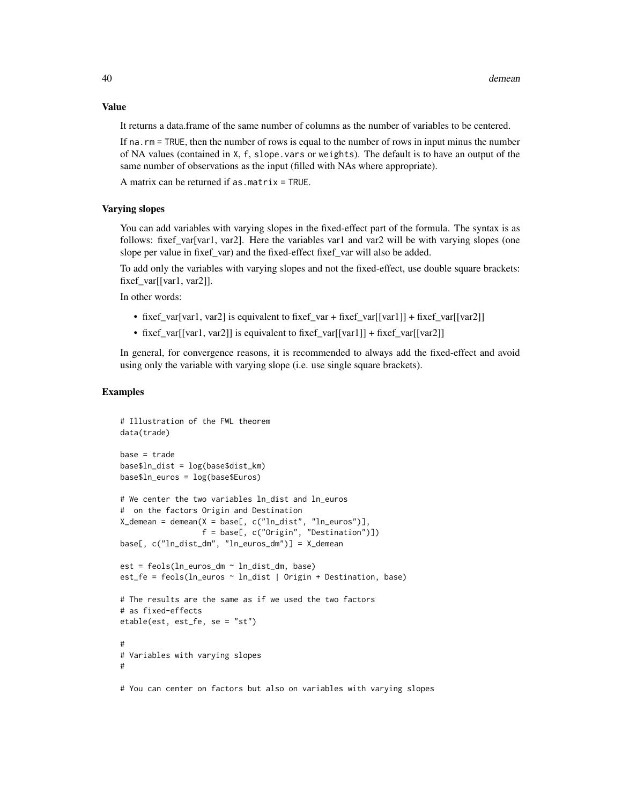### Value

It returns a data.frame of the same number of columns as the number of variables to be centered.

If na.rm = TRUE, then the number of rows is equal to the number of rows in input minus the number of NA values (contained in X, f, slope.vars or weights). The default is to have an output of the same number of observations as the input (filled with NAs where appropriate).

A matrix can be returned if as.matrix = TRUE.

### Varying slopes

You can add variables with varying slopes in the fixed-effect part of the formula. The syntax is as follows: fixef\_var[var1, var2]. Here the variables var1 and var2 will be with varying slopes (one slope per value in fixef\_var) and the fixed-effect fixef\_var will also be added.

To add only the variables with varying slopes and not the fixed-effect, use double square brackets: fixef\_var[[var1, var2]].

In other words:

- fixef\_var[var1, var2] is equivalent to fixef\_var + fixef\_var[[var1]] + fixef\_var[[var2]]
- fixef\_var[[var1, var2]] is equivalent to fixef\_var[[var1]] + fixef\_var[[var2]]

In general, for convergence reasons, it is recommended to always add the fixed-effect and avoid using only the variable with varying slope (i.e. use single square brackets).

### Examples

```
# Illustration of the FWL theorem
data(trade)
base = tradebase$ln_dist = log(base$dist_km)
base$ln_euros = log(base$Euros)
# We center the two variables ln_dist and ln_euros
# on the factors Origin and Destination
X_demean = demean(X = base[, c("ln_dist", "ln_euros")],
                  f = base[, c("Origin", "Destination")])
base[, c("ln_dist_dm", "ln_euros_dm")] = X_demean
est = feols(ln_euros_dm ~ ln_dist_dm, base)
est_fe = feols(ln_euros ~ ln_dist | Origin + Destination, base)
# The results are the same as if we used the two factors
# as fixed-effects
etable(est, est_fe, se = "st")
#
# Variables with varying slopes
#
```
# You can center on factors but also on variables with varying slopes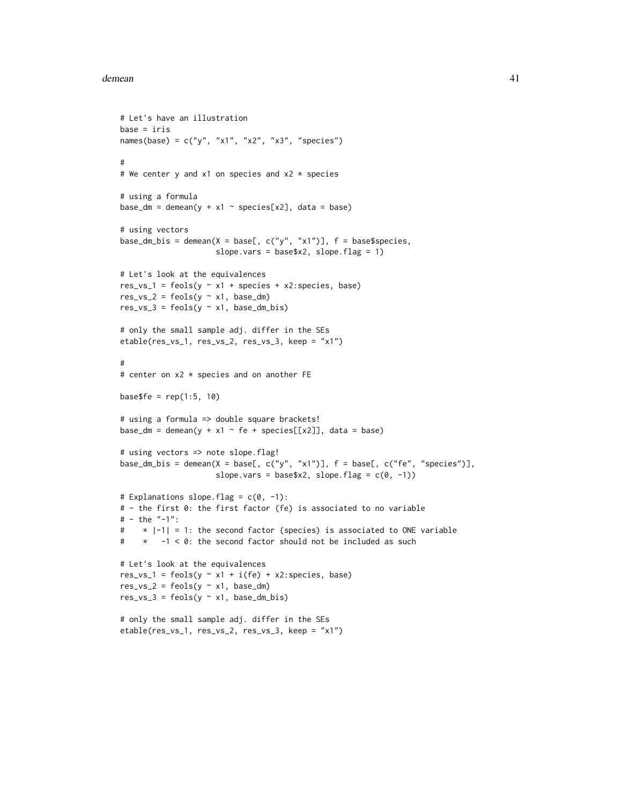### demean and the set of the set of the set of the set of the set of the set of the set of the set of the set of the set of the set of the set of the set of the set of the set of the set of the set of the set of the set of th

```
# Let's have an illustration
base = iris
names(base) = c("y", "x1", "x2", "x3", "species")#
# We center y and x1 on species and x2 * species
# using a formula
base_dm = demean(y + x1 ~ species[x2], data = base)
# using vectors
base_dm_bis = demean(X = base[, c("y", "x1")], f = base$species,
                     slope.vars = base$x2, slope.flag = 1)
# Let's look at the equivalences
res_vs_1 = feols(y \sim x1 + species + x2: species, base)
res_vs_2 = feols(y \sim x1, base_dm)res_vs_3 = feols(y \sim x1, base_dm_bis)# only the small sample adj. differ in the SEs
etable(res_vs_1, res_vs_2, res_vs_3, keep = "x1")
#
# center on x2 * species and on another FE
base$fe = rep(1:5, 10)# using a formula => double square brackets!
base_dm = demean(y + x1 \sim fe + species[[x2]], data = base)
# using vectors => note slope.flag!
base_dm_bis = demean(X = base[, c("y", "x1")], f = base[, c("fe", "species")],
                     slope.vars = base$x2, slope.flag = c(0, -1))
# Explanations slope.flag = c(0, -1):
# - the first 0: the first factor (fe) is associated to no variable
# - the "-1":
# * |-1| = 1: the second factor (species) is associated to ONE variable
# * -1 < 0: the second factor should not be included as such
# Let's look at the equivalences
res_vs_1 = feols(y \sim x1 + i(fe) + x2: species, base)
res_vs_2 = feols(y \sim x1, base_dm)res_vs_3 = feols(y \sim x1, base_dm_bis)# only the small sample adj. differ in the SEs
etable(res_vs_1, res_vs_2, res_vs_3, keep = "x1")
```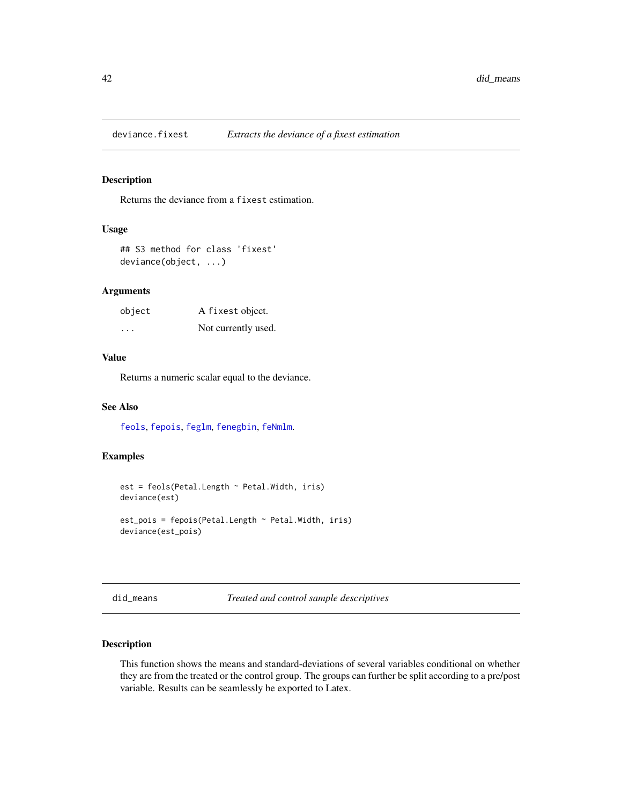### Description

Returns the deviance from a fixest estimation.

# Usage

```
## S3 method for class 'fixest'
deviance(object, ...)
```
### Arguments

| object  | A fixest object.    |
|---------|---------------------|
| $\cdot$ | Not currently used. |

### Value

Returns a numeric scalar equal to the deviance.

### See Also

[feols](#page-112-0), [fepois](#page-79-0), [feglm](#page-79-1), [fenegbin](#page-91-0), [feNmlm](#page-101-0).

### Examples

```
est = feols(Petal.Length ~ Petal.Width, iris)
deviance(est)
est_pois = fepois(Petal.Length ~ Petal.Width, iris)
deviance(est_pois)
```
did\_means *Treated and control sample descriptives*

### Description

This function shows the means and standard-deviations of several variables conditional on whether they are from the treated or the control group. The groups can further be split according to a pre/post variable. Results can be seamlessly be exported to Latex.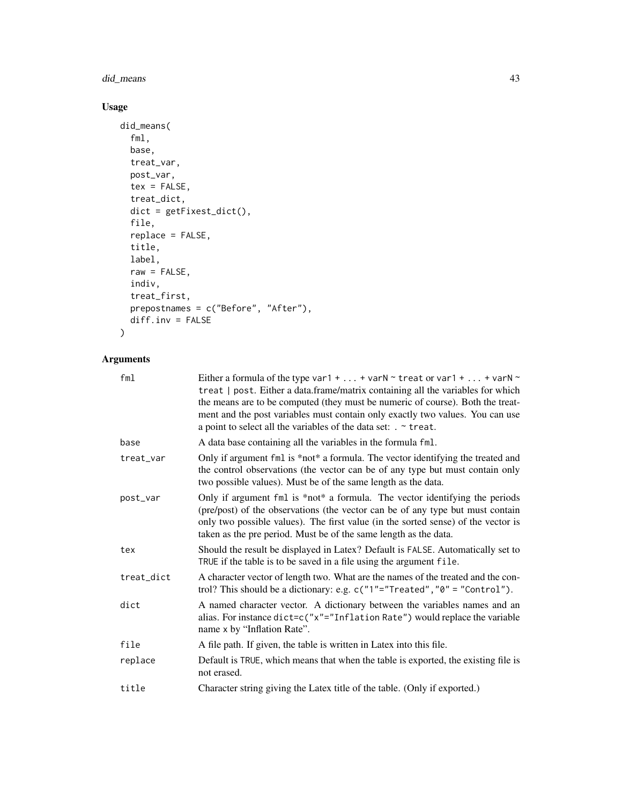# did\_means 43

# Usage

```
did_means(
  fml,
  base,
  treat_var,
  post_var,
  tex = FALSE,
  treat_dict,
  dict = getFixest_dict(),
  file,
  replace = FALSE,
  title,
  label,
  raw = FALSE,indiv,
  treat_first,
 prepostnames = c("Before", "After"),
  diff.inv = FALSE
\mathcal{L}
```
# Arguments

| fml        | Either a formula of the type var1 +  + varN $\sim$ treat or var1 +  + varN $\sim$<br>treat   post. Either a data.frame/matrix containing all the variables for which<br>the means are to be computed (they must be numeric of course). Both the treat-<br>ment and the post variables must contain only exactly two values. You can use<br>a point to select all the variables of the data set: $\cdot$ $\sim$ treat. |
|------------|-----------------------------------------------------------------------------------------------------------------------------------------------------------------------------------------------------------------------------------------------------------------------------------------------------------------------------------------------------------------------------------------------------------------------|
| base       | A data base containing all the variables in the formula fml.                                                                                                                                                                                                                                                                                                                                                          |
| treat_var  | Only if argument fml is *not* a formula. The vector identifying the treated and<br>the control observations (the vector can be of any type but must contain only<br>two possible values). Must be of the same length as the data.                                                                                                                                                                                     |
| post_var   | Only if argument fml is *not* a formula. The vector identifying the periods<br>(pre/post) of the observations (the vector can be of any type but must contain<br>only two possible values). The first value (in the sorted sense) of the vector is<br>taken as the pre period. Must be of the same length as the data.                                                                                                |
| tex        | Should the result be displayed in Latex? Default is FALSE. Automatically set to<br>TRUE if the table is to be saved in a file using the argument file.                                                                                                                                                                                                                                                                |
| treat_dict | A character vector of length two. What are the names of the treated and the con-<br>trol? This should be a dictionary: e.g. $c("1"="Treated", "0" = "Control").$                                                                                                                                                                                                                                                      |
| dict       | A named character vector. A dictionary between the variables names and an<br>alias. For instance dict=c("x"="Inflation Rate") would replace the variable<br>name x by "Inflation Rate".                                                                                                                                                                                                                               |
| file       | A file path. If given, the table is written in Latex into this file.                                                                                                                                                                                                                                                                                                                                                  |
| replace    | Default is TRUE, which means that when the table is exported, the existing file is<br>not erased.                                                                                                                                                                                                                                                                                                                     |
| title      | Character string giving the Latex title of the table. (Only if exported.)                                                                                                                                                                                                                                                                                                                                             |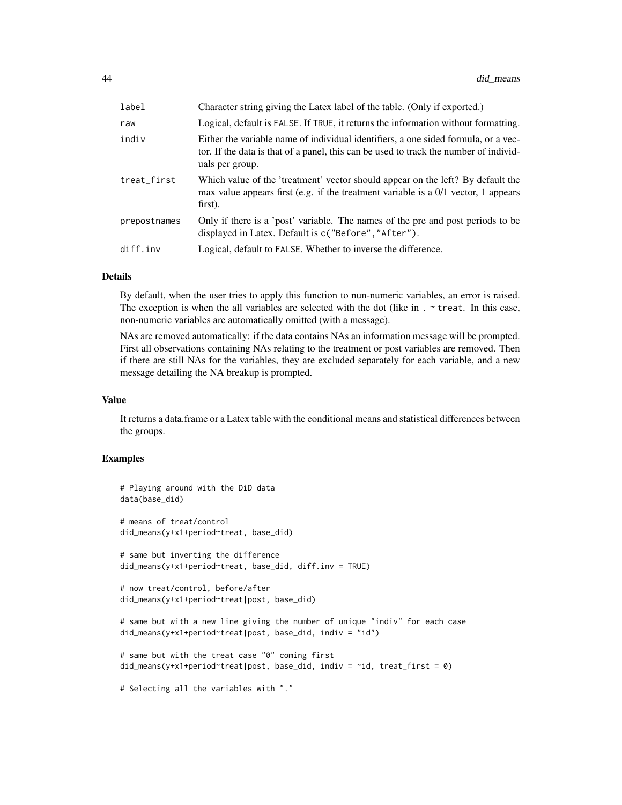| label        | Character string giving the Latex label of the table. (Only if exported.)                                                                                                                      |
|--------------|------------------------------------------------------------------------------------------------------------------------------------------------------------------------------------------------|
| raw          | Logical, default is FALSE. If TRUE, it returns the information without formatting.                                                                                                             |
| indiv        | Either the variable name of individual identifiers, a one sided formula, or a vec-<br>tor. If the data is that of a panel, this can be used to track the number of individ-<br>uals per group. |
| treat first  | Which value of the 'treatment' vector should appear on the left? By default the<br>max value appears first (e.g. if the treatment variable is a $0/1$ vector, 1 appears<br>first).             |
| prepostnames | Only if there is a 'post' variable. The names of the pre and post periods to be<br>displayed in Latex. Default is c("Before", "After").                                                        |
| diff.inv     | Logical, default to FALSE. Whether to inverse the difference.                                                                                                                                  |

### Details

By default, when the user tries to apply this function to nun-numeric variables, an error is raised. The exception is when the all variables are selected with the dot (like in  $\cdot$   $\cdot$  treat. In this case, non-numeric variables are automatically omitted (with a message).

NAs are removed automatically: if the data contains NAs an information message will be prompted. First all observations containing NAs relating to the treatment or post variables are removed. Then if there are still NAs for the variables, they are excluded separately for each variable, and a new message detailing the NA breakup is prompted.

### Value

It returns a data.frame or a Latex table with the conditional means and statistical differences between the groups.

```
# Playing around with the DiD data
data(base_did)
# means of treat/control
did_means(y+x1+period~treat, base_did)
# same but inverting the difference
did_means(y+x1+period~treat, base_did, diff.inv = TRUE)
# now treat/control, before/after
did_means(y+x1+period~treat|post, base_did)
# same but with a new line giving the number of unique "indiv" for each case
did_means(y+x1+period~treat|post, base_did, indiv = "id")
# same but with the treat case "0" coming first
did\_means(y+x1+period\_treat|post, base\_did, indiv = "id, treat\_first = 0)# Selecting all the variables with "."
```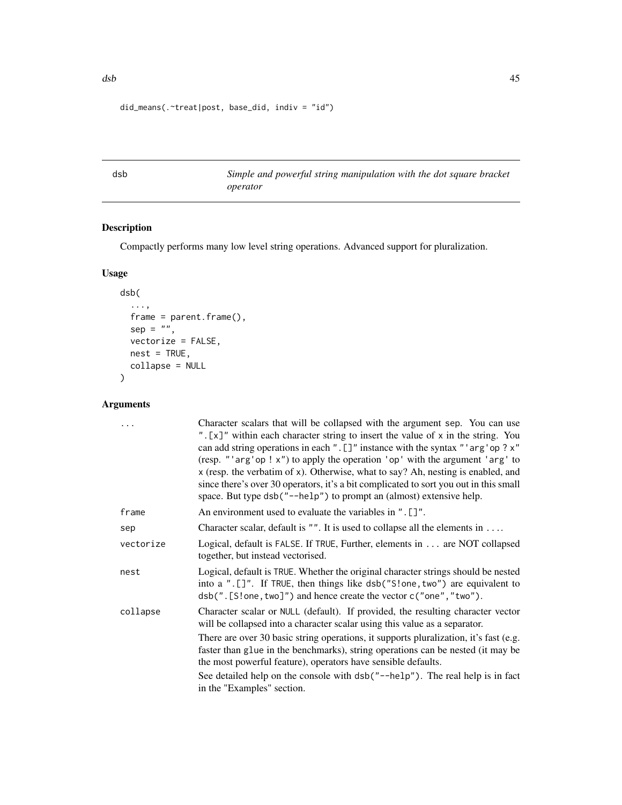```
did_means(.~treat|post, base_did, indiv = "id")
```
dsb *Simple and powerful string manipulation with the dot square bracket operator*

# Description

Compactly performs many low level string operations. Advanced support for pluralization.

# Usage

```
dsb(
  ...,
  frame = parent.frame(),
  sep = "",vectorize = FALSE,
  nest = TRUE,collapse = NULL
\mathcal{L}
```
# Arguments

| .         | Character scalars that will be collapsed with the argument sep. You can use<br>". [x]" within each character string to insert the value of x in the string. You<br>can add string operations in each ". []" instance with the syntax "'arg'op? $x$ "<br>(resp. "'arg'op!x") to apply the operation 'op' with the argument 'arg' to<br>x (resp. the verbatim of x). Otherwise, what to say? Ah, nesting is enabled, and<br>since there's over 30 operators, it's a bit complicated to sort you out in this small<br>space. But type dsb("--help") to prompt an (almost) extensive help. |
|-----------|----------------------------------------------------------------------------------------------------------------------------------------------------------------------------------------------------------------------------------------------------------------------------------------------------------------------------------------------------------------------------------------------------------------------------------------------------------------------------------------------------------------------------------------------------------------------------------------|
| frame     | An environment used to evaluate the variables in ". []".                                                                                                                                                                                                                                                                                                                                                                                                                                                                                                                               |
| sep       | Character scalar, default is $"$ ". It is used to collapse all the elements in                                                                                                                                                                                                                                                                                                                                                                                                                                                                                                         |
| vectorize | Logical, default is FALSE. If TRUE, Further, elements in are NOT collapsed<br>together, but instead vectorised.                                                                                                                                                                                                                                                                                                                                                                                                                                                                        |
| nest      | Logical, default is TRUE. Whether the original character strings should be nested<br>into a ".[]". If TRUE, then things like dsb("S!one, two") are equivalent to<br>dsb(".[S!one, two]") and hence create the vector c("one", "two").                                                                                                                                                                                                                                                                                                                                                  |
| collapse  | Character scalar or NULL (default). If provided, the resulting character vector<br>will be collapsed into a character scalar using this value as a separator.                                                                                                                                                                                                                                                                                                                                                                                                                          |
|           | There are over 30 basic string operations, it supports pluralization, it's fast (e.g.<br>faster than glue in the benchmarks), string operations can be nested (it may be<br>the most powerful feature), operators have sensible defaults.                                                                                                                                                                                                                                                                                                                                              |
|           | See detailed help on the console with dsb("--help"). The real help is in fact<br>in the "Examples" section.                                                                                                                                                                                                                                                                                                                                                                                                                                                                            |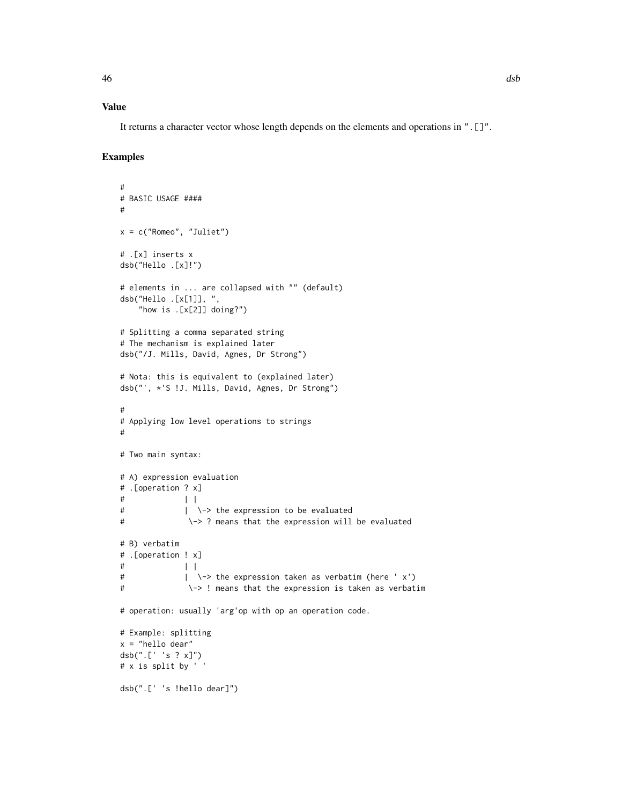# Value

It returns a character vector whose length depends on the elements and operations in ".[]".

```
#
# BASIC USAGE ####
#
x = c("Romeo", "Juliet")
# .[x] inserts x
dsb("Hello .[x]!")
# elements in ... are collapsed with "" (default)
dsb("Hello .[x[1]], ",
   "how is .[x[2]] doing?")
# Splitting a comma separated string
# The mechanism is explained later
dsb("/J. Mills, David, Agnes, Dr Strong")
# Nota: this is equivalent to (explained later)
dsb("', *'S !J. Mills, David, Agnes, Dr Strong")
#
# Applying low level operations to strings
#
# Two main syntax:
# A) expression evaluation
# .[operation ? x]
\# | |
# | \-> the expression to be evaluated
# \-> ? means that the expression will be evaluated
# B) verbatim
# .[operation ! x]
\# | |
# | \-> the expression taken as verbatim (here ' x')
# \-> ! means that the expression is taken as verbatim
# operation: usually 'arg'op with op an operation code.
# Example: splitting
x = "hello dear"
dsb(".[' 's ? x]")
# x is split by ' '
dsb(".[' 's !hello dear]")
```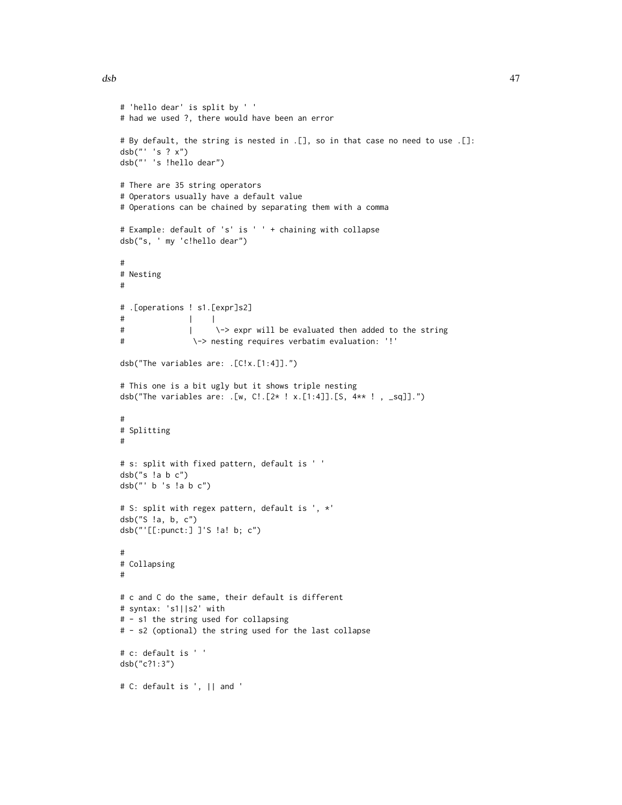```
# 'hello dear' is split by ' '
# had we used ?, there would have been an error
# By default, the string is nested in .[], so in that case no need to use .[]:
dsb("' 's ? x")
dsb("' 's !hello dear")
# There are 35 string operators
# Operators usually have a default value
# Operations can be chained by separating them with a comma
# Example: default of 's' is ' ' + chaining with collapse
dsb("s, ' my 'c!hello dear")
#
# Nesting
#
# .[operations ! s1.[expr]s2]
# | |
# | \-> expr will be evaluated then added to the string
# \-> nesting requires verbatim evaluation: '!'
dsb("The variables are: .[C!x.[1:4]].")
# This one is a bit ugly but it shows triple nesting
dsb("The variables are: .[w, C!.[2* ! x.[1:4]].[S, 4** ! , _sq]].")
#
# Splitting
#
# s: split with fixed pattern, default is ' '
dsb("s !a b c")
dsb("' b 's !a b c")
# S: split with regex pattern, default is ', *'
dsb("S !a, b, c")
dsb("'[[:punct:] ]'S !a! b; c")
#
# Collapsing
#
# c and C do the same, their default is different
# syntax: 's1||s2' with
# - s1 the string used for collapsing
# - s2 (optional) the string used for the last collapse
# c: default is ' '
dsb("c?1:3")
```

```
# C: default is ', || and '
```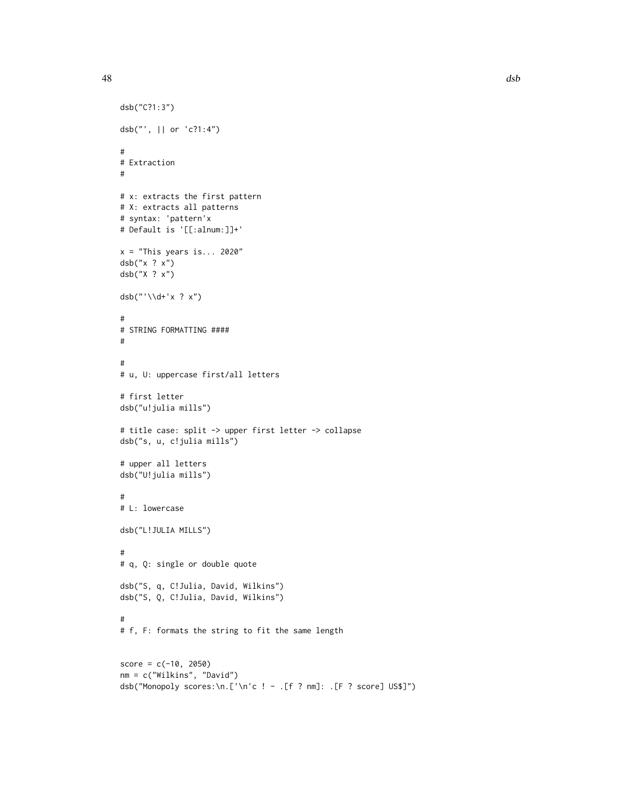#

#

#

#

#

dsb("C?1:3")

# Extraction

dsb("x ? x") dsb("X ? x")

dsb("'\\d+'x ? x")

# first letter dsb("u!julia mills")

dsb("', || or 'c?1:4")

# syntax: 'pattern'x

```
48 dsb
  # x: extracts the first pattern
  # X: extracts all patterns
  # Default is '[[:alnum:]]+'
  x = "This years is... 2020"
  # STRING FORMATTING ####
  # u, U: uppercase first/all letters
  # title case: split -> upper first letter -> collapse
  dsb("s, u, c!julia mills")
```

```
#
# L: lowercase
```
# upper all letters dsb("U!julia mills")

```
dsb("L!JULIA MILLS")
```
# # q, Q: single or double quote dsb("S, q, C!Julia, David, Wilkins") dsb("S, Q, C!Julia, David, Wilkins")

# # f, F: formats the string to fit the same length

```
score = c(-10, 2050)nm = c("Wilkins", "David")
dsb("Monopoly scores:\n.['\n'c ! - .[f ? nm]: .[F ? score] US$]")
```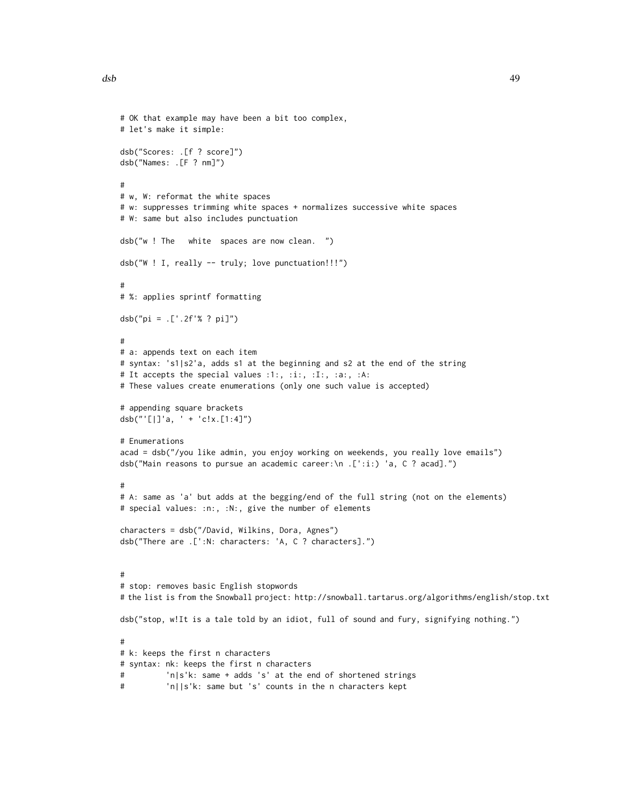```
# OK that example may have been a bit too complex,
# let's make it simple:
dsb("Scores: .[f ? score]")
dsb("Names: .[F ? nm]")
#
# w, W: reformat the white spaces
# w: suppresses trimming white spaces + normalizes successive white spaces
# W: same but also includes punctuation
dsb("w ! The white spaces are now clean. ")
dsb("W ! I, really -- truly; love punctuation!!!")
#
# %: applies sprintf formatting
dsb("pi = .['.2f'% ? pi]")
#
# a: appends text on each item
# syntax: 's1|s2'a, adds s1 at the beginning and s2 at the end of the string
# It accepts the special values :1:, :i:, :I:, :a:, :A:
# These values create enumerations (only one such value is accepted)
# appending square brackets
dsb("'[|]'a, ' + 'c!x.[1:4]")
# Enumerations
acad = dsb("/you like admin, you enjoy working on weekends, you really love emails")
dsb("Main reasons to pursue an academic career:\n .[':i:) 'a, C ? acad].")
#
# A: same as 'a' but adds at the begging/end of the full string (not on the elements)
# special values: :n:, :N:, give the number of elements
characters = dsb("/David, Wilkins, Dora, Agnes")
dsb("There are .[':N: characters: 'A, C ? characters].")
#
# stop: removes basic English stopwords
# the list is from the Snowball project: http://snowball.tartarus.org/algorithms/english/stop.txt
dsb("stop, w!It is a tale told by an idiot, full of sound and fury, signifying nothing.")
#
# k: keeps the first n characters
# syntax: nk: keeps the first n characters
# 'n|s'k: same + adds 's' at the end of shortened strings
# 'n||s'k: same but 's' counts in the n characters kept
```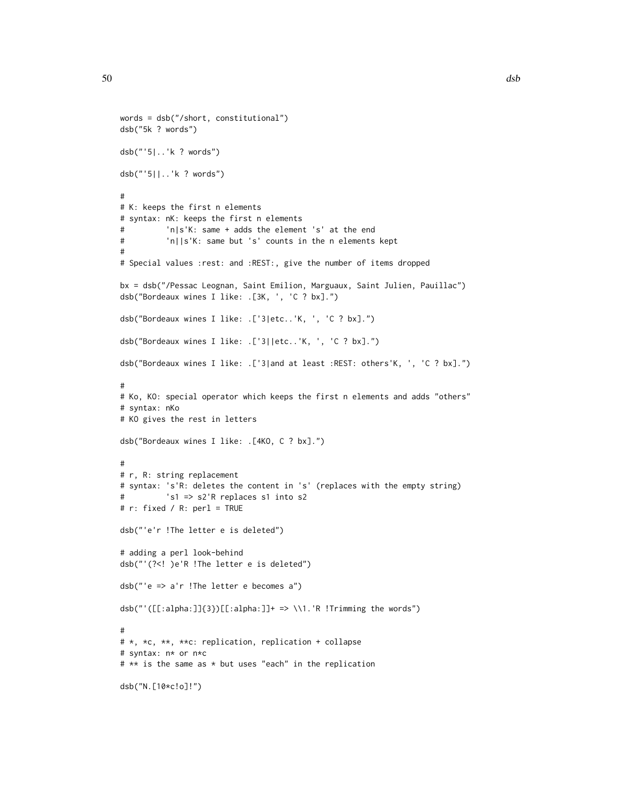```
words = dsb("/short, constitutional")
dsb("5k ? words")
dsb("'5|..'k ? words")
dsb("'5||..'k ? words")
#
# K: keeps the first n elements
# syntax: nK: keeps the first n elements
# 'n|s'K: same + adds the element 's' at the end
# 'n||s'K: same but 's' counts in the n elements kept
#
# Special values :rest: and :REST:, give the number of items dropped
bx = dsb("/Pessac Leognan, Saint Emilion, Marguaux, Saint Julien, Pauillac")
dsb("Bordeaux wines I like: .[3K, ', 'C ? bx].")
dsb("Bordeaux wines I like: .['3|etc..'K, ', 'C ? bx].")
dsb("Bordeaux wines I like: .['3||etc..'K, ', 'C ? bx].")
dsb("Bordeaux wines I like: .['3|and at least :REST: others'K, ', 'C ? bx].")
#
# Ko, KO: special operator which keeps the first n elements and adds "others"
# syntax: nKo
# KO gives the rest in letters
dsb("Bordeaux wines I like: .[4KO, C ? bx].")
#
# r, R: string replacement
# syntax: 's'R: deletes the content in 's' (replaces with the empty string)
# 's1 => s2'R replaces s1 into s2
# r: fixed / R: perl = TRUE
dsb("'e'r !The letter e is deleted")
# adding a perl look-behind
dsb("'(?<! )e'R !The letter e is deleted")
dsb("'e => a'r !The letter e becomes a")
dsb("'([[]:alpha:]]{3})[[:alpha:]]+ => \\\1.'R !Trimming the words")#
# *, *c, **, **c: replication, replication + collapse
# syntax: n* or n*c
# ** is the same as * but uses "each" in the replication
dsb("N.[10*c!o]!")
```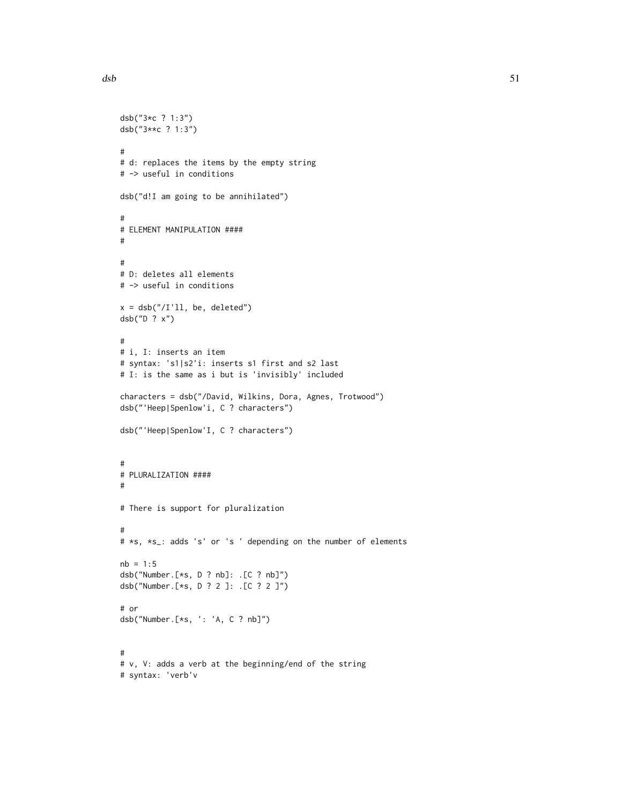```
dsb("3*c ? 1:3")
dsb("3**c ? 1:3")
#
# d: replaces the items by the empty string
# -> useful in conditions
dsb("d!I am going to be annihilated")
#
# ELEMENT MANIPULATION ####
#
#
# D: deletes all elements
# -> useful in conditions
x = dsb("1'11, be, deleted")dsb("D ? x")
#
# i, I: inserts an item
# syntax: 's1|s2'i: inserts s1 first and s2 last
# I: is the same as i but is 'invisibly' included
characters = dsb("/David, Wilkins, Dora, Agnes, Trotwood")
dsb("'Heep|Spenlow'i, C ? characters")
dsb("'Heep|Spenlow'I, C ? characters")
#
# PLURALIZATION ####
#
# There is support for pluralization
#
# *s, *s_: adds 's' or 's ' depending on the number of elements
nb = 1:5dsb("Number.[*s, D ? nb]: .[C ? nb]")
dsb("Number.[*s, D ? 2 ]: .[C ? 2 ]")
# or
dsb("Number.[*s, ': 'A, C ? nb]")
#
# v, V: adds a verb at the beginning/end of the string
# syntax: 'verb'v
```
 $dsb$  51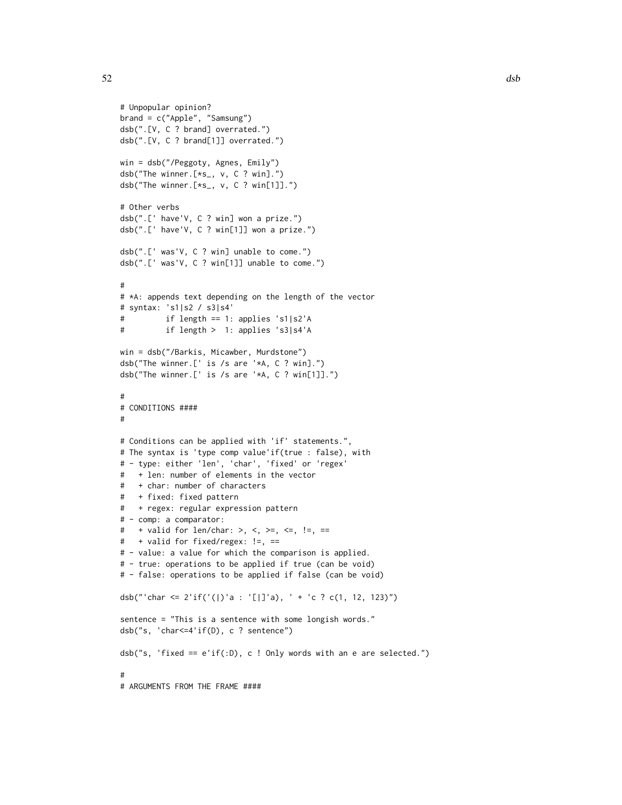```
# Unpopular opinion?
brand = c("Apple", "Samsung")
dsb(".[V, C ? brand] overrated.")
dsb(".[V, C ? brand[1]] overrated.")
win = dsb("/Peggoty, Agnes, Emily")
dsb("The winner.[*s_, v, C ? win].")
dsb("The winner.[*s_, v, C ? win[1]].")
# Other verbs
dsb(".[' have'V, C ? win] won a prize.")
dsb(".[' have'V, C ? win[1]] won a prize.")
dsb(".[' was'V, C ? win] unable to come.")
dsb(".[' was'V, C ? win[1]] unable to come.")
#
# *A: appends text depending on the length of the vector
# syntax: 's1|s2 / s3|s4'
# if length == 1: applies 's1|s2'A
# if length > 1: applies 's3|s4'A
win = dsb("/Barkis, Micawber, Murdstone")
dsb("The winner.[' is /s are '*A, C ? win].")
dsb("The winner.[' is /s are '*A, C ? win[1]].")
#
# CONDITIONS ####
#
# Conditions can be applied with 'if' statements.",
# The syntax is 'type comp value'if(true : false), with
# - type: either 'len', 'char', 'fixed' or 'regex'
# + len: number of elements in the vector
# + char: number of characters
# + fixed: fixed pattern
# + regex: regular expression pattern
# - comp: a comparator:
# + valid for len/char: >, <, >=, <=, !=, ==
# + valid for fixed/regex: !=, ==
# - value: a value for which the comparison is applied.
# - true: operations to be applied if true (can be void)
# - false: operations to be applied if false (can be void)
dsb("'char <= 2'if('(|)'a : '[|]'a), ' + 'c ? c(1, 12, 123)")
sentence = "This is a sentence with some longish words."
dsb("s, 'char<=4'if(D), c ? sentence")
dsb("s, 'fixed == e'if(:D), c! Only words with an e are selected.")#
# ARGUMENTS FROM THE FRAME ####
```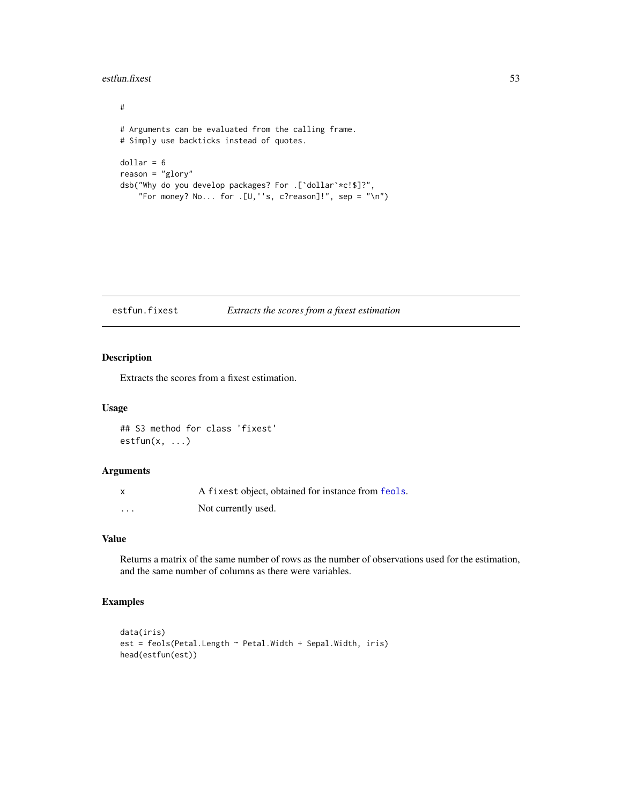### estfun.fixest 53

# # Arguments can be evaluated from the calling frame. # Simply use backticks instead of quotes.  $dollar = 6$ reason = "glory" dsb("Why do you develop packages? For .[`dollar`\*c!\$]?", "For money? No... for .[U,''s, c?reason]!", sep = "\n")

estfun.fixest *Extracts the scores from a fixest estimation*

# Description

Extracts the scores from a fixest estimation.

## Usage

```
## S3 method for class 'fixest'
estfun(x, ...)
```
### Arguments

| X        | A fixest object, obtained for instance from feols. |
|----------|----------------------------------------------------|
| $\cdots$ | Not currently used.                                |

# Value

Returns a matrix of the same number of rows as the number of observations used for the estimation, and the same number of columns as there were variables.

```
data(iris)
est = feols(Petal.Length ~ Petal.Width + Sepal.Width, iris)
head(estfun(est))
```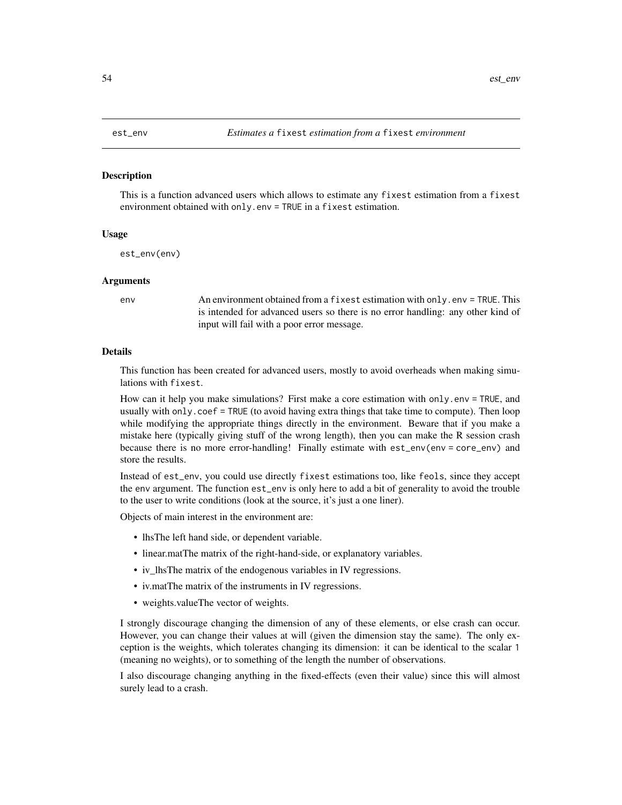### Description

This is a function advanced users which allows to estimate any fixest estimation from a fixest environment obtained with only.env = TRUE in a fixest estimation.

### Usage

est\_env(env)

### Arguments

env An environment obtained from a fixest estimation with only.env = TRUE. This is intended for advanced users so there is no error handling: any other kind of input will fail with a poor error message.

### Details

This function has been created for advanced users, mostly to avoid overheads when making simulations with fixest.

How can it help you make simulations? First make a core estimation with only.env = TRUE, and usually with only.coef = TRUE (to avoid having extra things that take time to compute). Then loop while modifying the appropriate things directly in the environment. Beware that if you make a mistake here (typically giving stuff of the wrong length), then you can make the R session crash because there is no more error-handling! Finally estimate with est\_env(env = core\_env) and store the results.

Instead of est\_env, you could use directly fixest estimations too, like feols, since they accept the env argument. The function est\_env is only here to add a bit of generality to avoid the trouble to the user to write conditions (look at the source, it's just a one liner).

Objects of main interest in the environment are:

- lhsThe left hand side, or dependent variable.
- linear.matThe matrix of the right-hand-side, or explanatory variables.
- iv\_lhsThe matrix of the endogenous variables in IV regressions.
- iv.matThe matrix of the instruments in IV regressions.
- weights.valueThe vector of weights.

I strongly discourage changing the dimension of any of these elements, or else crash can occur. However, you can change their values at will (given the dimension stay the same). The only exception is the weights, which tolerates changing its dimension: it can be identical to the scalar 1 (meaning no weights), or to something of the length the number of observations.

I also discourage changing anything in the fixed-effects (even their value) since this will almost surely lead to a crash.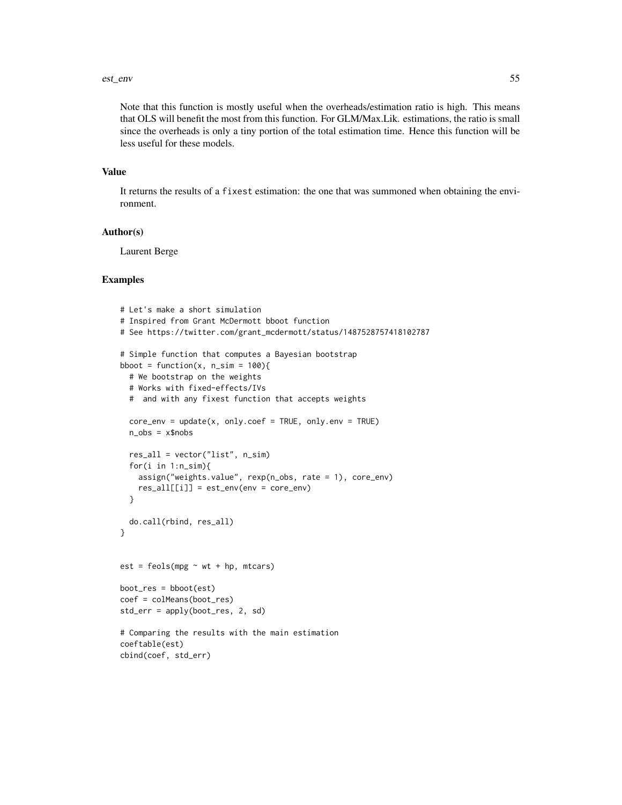### est\_env 55

Note that this function is mostly useful when the overheads/estimation ratio is high. This means that OLS will benefit the most from this function. For GLM/Max.Lik. estimations, the ratio is small since the overheads is only a tiny portion of the total estimation time. Hence this function will be less useful for these models.

### Value

It returns the results of a fixest estimation: the one that was summoned when obtaining the environment.

### Author(s)

Laurent Berge

```
# Let's make a short simulation
# Inspired from Grant McDermott bboot function
# See https://twitter.com/grant_mcdermott/status/1487528757418102787
# Simple function that computes a Bayesian bootstrap
bboot = function(x, n\_sim = 100){
  # We bootstrap on the weights
  # Works with fixed-effects/IVs
  # and with any fixest function that accepts weights
  core\_env = update(x, only.coef = TRUE, only env = TRUE)n_obs = x$nobsres_all = vector("list", n_sim)
  for(i in 1:n\_sim){
    assign("weights.value", rexp(n_obs, rate = 1), core_env)
    res\_all[[i]] = est\_env(env = core\_env)}
  do.call(rbind, res_all)
}
est = feols(mpg \sim wt + hp, mtcars)boot_res = bboot(est)
coef = colMeans(boot_res)
std_err = apply(boot_res, 2, sd)
# Comparing the results with the main estimation
coeftable(est)
cbind(coef, std_err)
```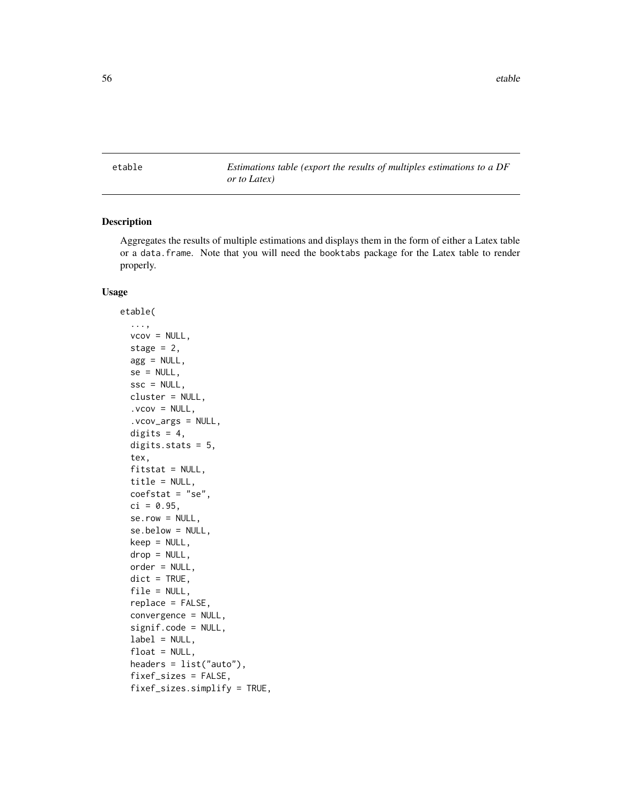etable *Estimations table (export the results of multiples estimations to a DF or to Latex)*

# Description

Aggregates the results of multiple estimations and displays them in the form of either a Latex table or a data.frame. Note that you will need the booktabs package for the Latex table to render properly.

### Usage

```
etable(
  ...,
  vcov = NULL,stage = 2,
  agg = NULL,
  se = NULL,\text{ssc} = \text{NULL},
  cluster = NULL,
  vcov = NULL,.vcov_args = NULL,
  digits = 4,
  digits.stats = 5,
  tex,
  fitstat = NULL,
  title = NULL,
  coeffstat = "se",ci = 0.95,serow = NULL,se.below = NULL,
  keep = NULL,
  drop = NULL,
  order = NULL,
  dict = TRUE,file = NULL,
  replace = FALSE,
  convergence = NULL,
  signif.code = NULL,
  label = NULL,float = NULL,headers = list("auto"),
  fixef_sizes = FALSE,
  fixef_sizes.simplify = TRUE,
```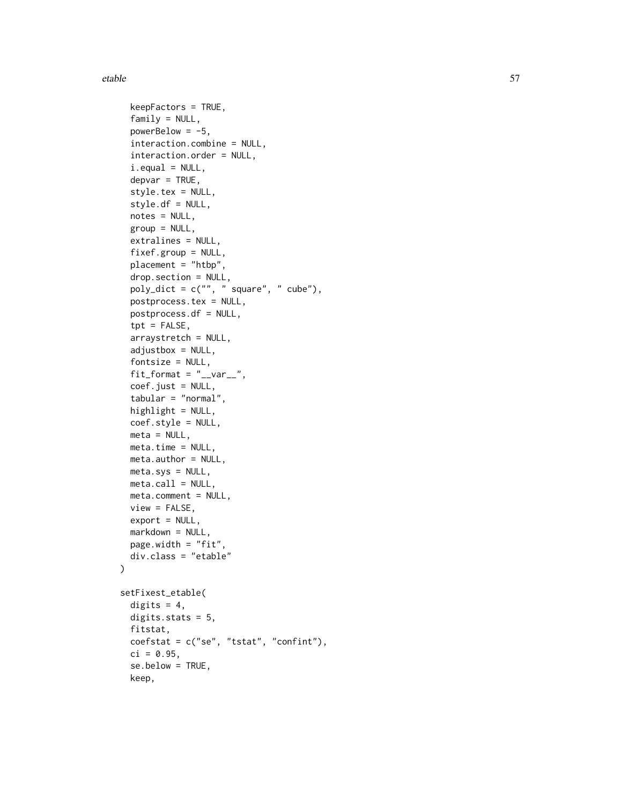### etable 57

```
keepFactors = TRUE,
  family = NULL,powerBelow = -5.
  interaction.combine = NULL,
  interaction.order = NULL,
  i.equals = NULL,depvar = TRUE,style.tex = NULL,
  style.df = NULL,
 notes = NULL,
 group = NULL,
 extralines = NULL,
  fixef.group = NULL,
 placement = "htbp",
  drop.section = NULL,
  poly_dict = c("", " square", " cube"),
 postprocess.tex = NULL,
 postprocess.df = NULL,
  \text{tpt} = FALSE,
  arraystretch = NULL,
  adjustbox = NULL,
  fontsize = NULL,
  fit_format = "<sub>__</sub>var__",
  coef.just = NULL,
  tabular = "normal",
 highlight = NULL,
  coef.style = NULL,
 meta = NULL,
 meta.time = NULL,
 meta.author = NULL,
 meta(sys = NULL,meta-call = NULL,meta.comment = NULL,view = FALSE,
  export = NULL,markdown = NULL,
 page.width = "fit",
 div.class = "etable"
\lambdasetFixest_etable(
 digits = 4,
 digits.stats = 5,
 fitstat,
  coefstat = c("se", "tstat", "confint"),
  ci = 0.95,se.below = TRUE,
 keep,
```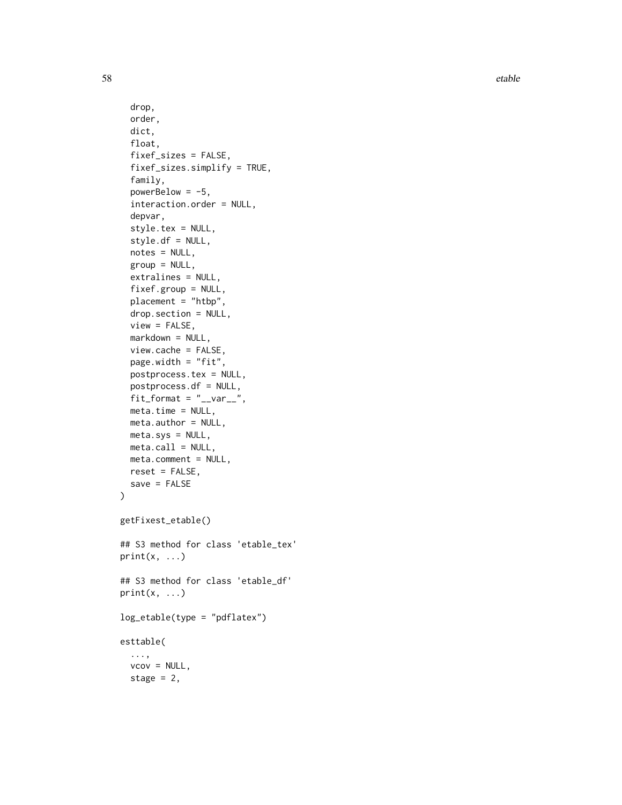58 etable contract to the contract of the contract of the contract of the contract of the contract of the contract of the contract of the contract of the contract of the contract of the contract of the contract of the cont

```
drop,
  order,
  dict,
  float,
  fixef_sizes = FALSE,
  fixef_sizes.simplify = TRUE,
  family,
  powerBelow = -5,
  interaction.order = NULL,
  depvar,
  style.tex = NULL,
  style.df = NULL,
  notes = NULL,
  group = NULL,extralines = NULL,
  fixef.group = NULL,
  placement = "htbp",
  drop.section = NULL,
  view = FALSE,
  markdown = NULL,
  view.cache = FALSE,
  page.width = "fit",
 postprocess.tex = NULL,
  postprocess.df = NULL,
  fit_{format} = "<sub>--</sub>var<sub>--</sub>",
 meta.time = NULL,
 meta.author = NULL,
 meta.sys = NULL,
 meta.call = NULL,
 meta.comment = NULL,
 reset = FALSE,save = FALSE)
getFixest_etable()
## S3 method for class 'etable_tex'
print(x, \ldots)## S3 method for class 'etable_df'
print(x, \ldots)log_etable(type = "pdflatex")
esttable(
  ...,
```
 $vcov = NULL,$ stage =  $2$ ,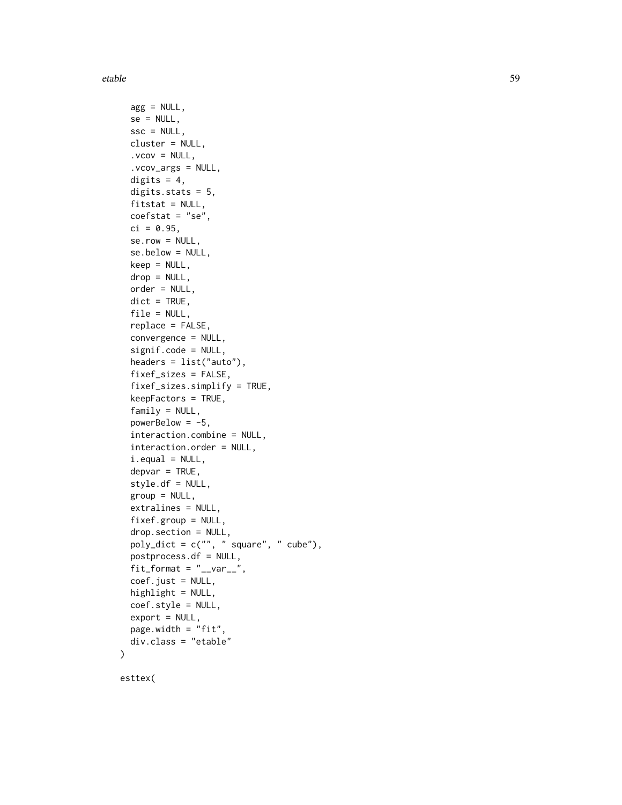### etable 59

```
agg = NULL,se = NULL,\text{ssc} = \text{NULL},
 cluster = NULL,
  vcov = NULL,.vcov_args = NULL,
 digits = 4,
  digits.stats = 5,
  fitstat = NULL,
  coefstat = "se",ci = 0.95,serow = NULL,se.below = NULL,
 keep = NULL,drop = NULL,order = NULL,
 dict = TRUE,file = NULL,
  replace = FALSE,
  convergence = NULL,
  signif.code = NULL,
  headers = list("auto"),
  fixef_sizes = FALSE,
  fixef_sizes.simplify = TRUE,
  keepFactors = TRUE,
  family = NULL,powerBelow = -5,
  interaction.combine = NULL,
  interaction.order = NULL,
  i.equals = NULL,depvar = TRUE,style.df = NULL,
  group = NULL,extralines = NULL,
  fixef.group = NULL,
  drop.section = NULL,
 poly\_dict = c("", " square", " cube"),postprocess.df = NULL,
 fit_{format} = "_{var_{-}}",
  coef.just = NULL,
 highlight = NULL,
  coef.style = NULL,
  export = NULL,page.width = "fit",
 div.class = "etable"
)
```
esttex(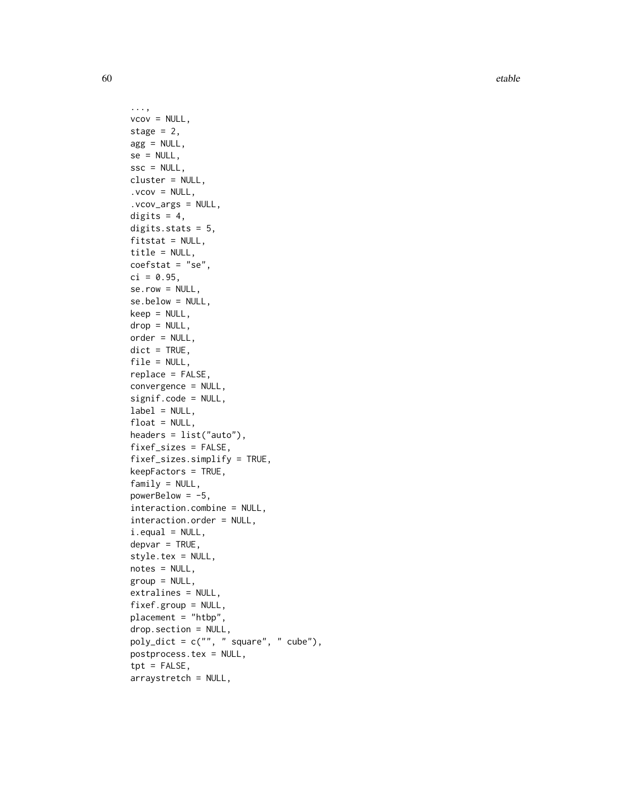60 etable etable etable etable etable etable etable etable etable etable etable etable etable etable etable etable etable etable etable etable etable etable etable etable etable etable etable etable etable etable etable et

```
...,
vcov = NULL,stage = 2,
agg = NULL,se = NULL,ssc = NULL,
cluster = NULL,
vcov = NULL,.vcov_args = NULL,
digits = 4,
digits.stats = 5,
fitstat = NULL,
title = NULL,
coefstat = "se",
ci = 0.95,serow = NULL,se.below = NULL,
keep = NULL,
drop = NULL,order = NULL,
dict = TRUE,file = NULL,
replace = FALSE,
convergence = NULL,
signif.code = NULL,
label = NULL,float = NULL,headers = list("auto"),
fixef_sizes = FALSE,
fixef_sizes.simplify = TRUE,
keepFactors = TRUE,
family = NULL,powerBelow = -5,
interaction.combine = NULL,
interaction.order = NULL,
i.equals = NULL,depvar = TRUE,style.tex = NULL,
notes = NULL,
group = NULL,
extralines = NULL,
fixef.group = NULL,
placement = "htbp",
drop.section = NULL,
poly_dict = c("", " square", " cube"),
postprocess.tex = NULL,
\text{tpt} = FALSE,
arraystretch = NULL,
```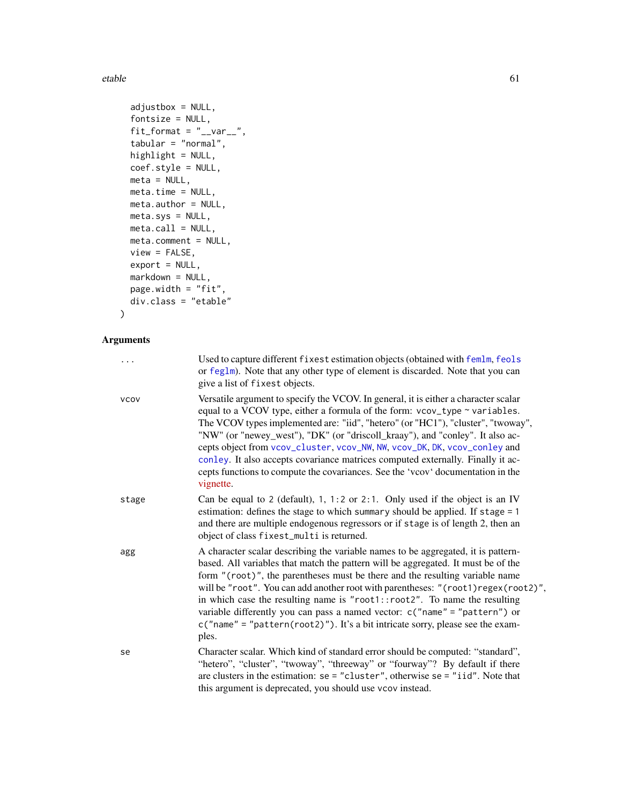etable 61

```
adjustbox = NULL,fontsize = NULL,
fit\_format = "<sub>__var__</sub>",
tabular = "normal",
highlight = NULL,
coef.style = NULL,
meta = NULL,meta.time = NULL,meta.author = NULL,
meta.sys = NULL,
meta-call = NULL,meta.comment = NULL,
view = FALSE,export = NULL,markdown = NULL,
page.width = "fit",
div.class = "etable"
```
# Arguments

 $\mathcal{L}$ 

| .           | Used to capture different fixest estimation objects (obtained with femlm, feols<br>or feglm). Note that any other type of element is discarded. Note that you can<br>give a list of fixest objects.                                                                                                                                                                                                                                                                                                                                                                                                     |
|-------------|---------------------------------------------------------------------------------------------------------------------------------------------------------------------------------------------------------------------------------------------------------------------------------------------------------------------------------------------------------------------------------------------------------------------------------------------------------------------------------------------------------------------------------------------------------------------------------------------------------|
| <b>VCOV</b> | Versatile argument to specify the VCOV. In general, it is either a character scalar<br>equal to a VCOV type, either a formula of the form: vcov_type ~ variables.<br>The VCOV types implemented are: "iid", "hetero" (or "HC1"), "cluster", "twoway",<br>"NW" (or "newey_west"), "DK" (or "driscoll_kraay"), and "conley". It also ac-<br>cepts object from vcov_cluster, vcov_NW, NW, vcov_DK, DK, vcov_conley and<br>conley. It also accepts covariance matrices computed externally. Finally it ac-<br>cepts functions to compute the covariances. See the 'vcov' documentation in the<br>vignette.  |
| stage       | Can be equal to 2 (default), 1, 1:2 or 2:1. Only used if the object is an IV<br>estimation: defines the stage to which summary should be applied. If stage = 1<br>and there are multiple endogenous regressors or if stage is of length 2, then an<br>object of class fixest_multi is returned.                                                                                                                                                                                                                                                                                                         |
| agg         | A character scalar describing the variable names to be aggregated, it is pattern-<br>based. All variables that match the pattern will be aggregated. It must be of the<br>form "(root)", the parentheses must be there and the resulting variable name<br>will be "root". You can add another root with parentheses: "(root1)regex(root2)",<br>in which case the resulting name is " $root1::root2"$ . To name the resulting<br>variable differently you can pass a named vector: c("name" = "pattern") or<br>$c("name" = "pattern(root2)").$ It's a bit intricate sorry, please see the exam-<br>ples. |
| se          | Character scalar. Which kind of standard error should be computed: "standard",<br>"hetero", "cluster", "twoway", "threeway" or "fourway"? By default if there<br>are clusters in the estimation: $se = "cluster",$ otherwise $se = "iid".$ Note that<br>this argument is deprecated, you should use vcov instead.                                                                                                                                                                                                                                                                                       |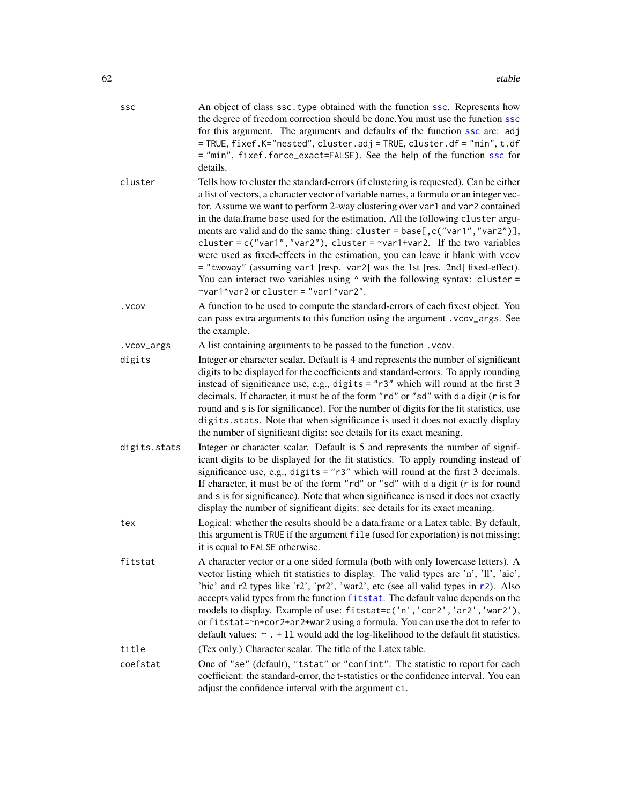| SSC          | An object of class ssc. type obtained with the function ssc. Represents how<br>the degree of freedom correction should be done. You must use the function ssc<br>for this argument. The arguments and defaults of the function ssc are: adj<br>= TRUE, fixef.K="nested", cluster.adj = TRUE, cluster.df = "min", t.df<br>= "min", fixef.force_exact=FALSE). See the help of the function ssc for<br>details.                                                                                                                                                                                                                                                                                                                                                                                                      |
|--------------|-------------------------------------------------------------------------------------------------------------------------------------------------------------------------------------------------------------------------------------------------------------------------------------------------------------------------------------------------------------------------------------------------------------------------------------------------------------------------------------------------------------------------------------------------------------------------------------------------------------------------------------------------------------------------------------------------------------------------------------------------------------------------------------------------------------------|
| cluster      | Tells how to cluster the standard-errors (if clustering is requested). Can be either<br>a list of vectors, a character vector of variable names, a formula or an integer vec-<br>tor. Assume we want to perform 2-way clustering over var1 and var2 contained<br>in the data.frame base used for the estimation. All the following cluster argu-<br>ments are valid and do the same thing: cluster = base[, c("var1", "var2")],<br>cluster = $c("var1", "var2"),$ cluster = $\sim$ var1+var2. If the two variables<br>were used as fixed-effects in the estimation, you can leave it blank with vcov<br>= "twoway" (assuming var1 [resp. var2] was the 1st [res. 2nd] fixed-effect).<br>You can interact two variables using $\land$ with the following syntax: cluster =<br>~var1^var2 or cluster = "var1^var2". |
| . VCOV       | A function to be used to compute the standard-errors of each fixest object. You<br>can pass extra arguments to this function using the argument . vcov_args. See<br>the example.                                                                                                                                                                                                                                                                                                                                                                                                                                                                                                                                                                                                                                  |
| .vcov_args   | A list containing arguments to be passed to the function . vcov.                                                                                                                                                                                                                                                                                                                                                                                                                                                                                                                                                                                                                                                                                                                                                  |
| digits       | Integer or character scalar. Default is 4 and represents the number of significant<br>digits to be displayed for the coefficients and standard-errors. To apply rounding<br>instead of significance use, e.g., digits = $"r3"$ which will round at the first 3<br>decimals. If character, it must be of the form "rd" or "sd" with d a digit (r is for<br>round and s is for significance). For the number of digits for the fit statistics, use<br>digits. stats. Note that when significance is used it does not exactly display<br>the number of significant digits: see details for its exact meaning.                                                                                                                                                                                                        |
| digits.stats | Integer or character scalar. Default is 5 and represents the number of signif-<br>icant digits to be displayed for the fit statistics. To apply rounding instead of<br>significance use, e.g., digits = $"r3"$ which will round at the first 3 decimals.<br>If character, it must be of the form "rd" or "sd" with d a digit (r is for round<br>and s is for significance). Note that when significance is used it does not exactly<br>display the number of significant digits: see details for its exact meaning.                                                                                                                                                                                                                                                                                               |
| tex          | Logical: whether the results should be a data.frame or a Latex table. By default,<br>this argument is TRUE if the argument file (used for exportation) is not missing;<br>it is equal to FALSE otherwise.                                                                                                                                                                                                                                                                                                                                                                                                                                                                                                                                                                                                         |
| fitstat      | A character vector or a one sided formula (both with only lowercase letters). A<br>vector listing which fit statistics to display. The valid types are 'n', 'll', 'aic',<br>'bic' and r2 types like 'r2', 'pr2', 'war2', etc (see all valid types in r2). Also<br>accepts valid types from the function fitstat. The default value depends on the<br>models to display. Example of use: fitstat=c('n','cor2','ar2','war2'),<br>or fitstat=~n+cor2+ar2+war2 using a formula. You can use the dot to refer to<br>default values: $\sim$ . + 11 would add the log-likelihood to the default fit statistics.                                                                                                                                                                                                          |
| title        | (Tex only.) Character scalar. The title of the Latex table.                                                                                                                                                                                                                                                                                                                                                                                                                                                                                                                                                                                                                                                                                                                                                       |
| coefstat     | One of "se" (default), "tstat" or "confint". The statistic to report for each<br>coefficient: the standard-error, the t-statistics or the confidence interval. You can<br>adjust the confidence interval with the argument ci.                                                                                                                                                                                                                                                                                                                                                                                                                                                                                                                                                                                    |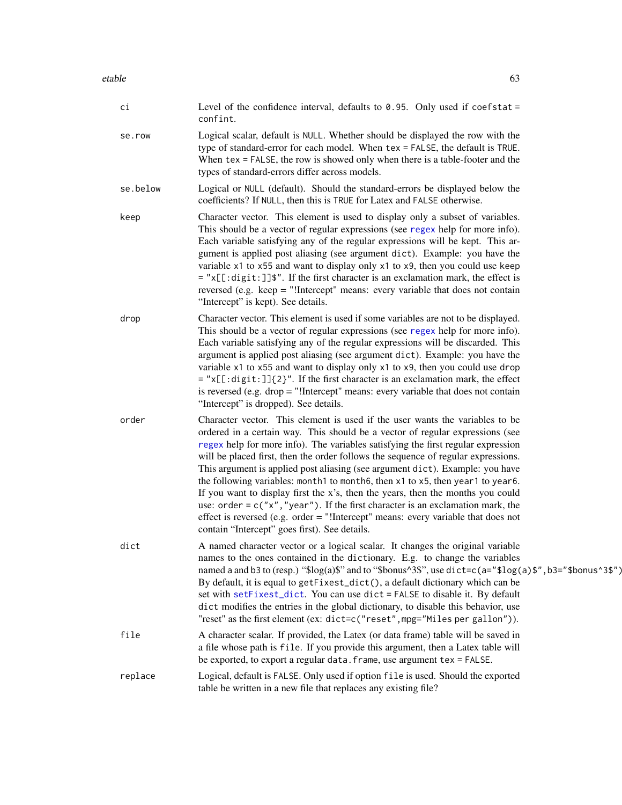| сi       | Level of the confidence interval, defaults to $0.95$ . Only used if coefstat =<br>confint.                                                                                                                                                                                                                                                                                                                                                                                                                                                                                                                                                                                                                                                                                                                               |
|----------|--------------------------------------------------------------------------------------------------------------------------------------------------------------------------------------------------------------------------------------------------------------------------------------------------------------------------------------------------------------------------------------------------------------------------------------------------------------------------------------------------------------------------------------------------------------------------------------------------------------------------------------------------------------------------------------------------------------------------------------------------------------------------------------------------------------------------|
| se.row   | Logical scalar, default is NULL. Whether should be displayed the row with the<br>type of standard-error for each model. When tex = FALSE, the default is TRUE.<br>When $tex \m{tex}$ = FALSE, the row is showed only when there is a table-footer and the<br>types of standard-errors differ across models.                                                                                                                                                                                                                                                                                                                                                                                                                                                                                                              |
| se.below | Logical or NULL (default). Should the standard-errors be displayed below the<br>coefficients? If NULL, then this is TRUE for Latex and FALSE otherwise.                                                                                                                                                                                                                                                                                                                                                                                                                                                                                                                                                                                                                                                                  |
| keep     | Character vector. This element is used to display only a subset of variables.<br>This should be a vector of regular expressions (see regex help for more info).<br>Each variable satisfying any of the regular expressions will be kept. This ar-<br>gument is applied post aliasing (see argument dict). Example: you have the<br>variable x1 to x55 and want to display only x1 to x9, then you could use keep<br>= "x[[:digit:]]\$". If the first character is an exclamation mark, the effect is<br>reversed (e.g. keep = "!Intercept" means: every variable that does not contain<br>"Intercept" is kept). See details.                                                                                                                                                                                             |
| drop     | Character vector. This element is used if some variables are not to be displayed.<br>This should be a vector of regular expressions (see regex help for more info).<br>Each variable satisfying any of the regular expressions will be discarded. This<br>argument is applied post aliasing (see argument dict). Example: you have the<br>variable x1 to x55 and want to display only x1 to x9, then you could use drop<br>$=$ "x[[:digit:]]{2}". If the first character is an exclamation mark, the effect<br>is reversed (e.g. $drop = "!Intercept" means: every variable that does not contain$<br>"Intercept" is dropped). See details.                                                                                                                                                                              |
| order    | Character vector. This element is used if the user wants the variables to be<br>ordered in a certain way. This should be a vector of regular expressions (see<br>regex help for more info). The variables satisfying the first regular expression<br>will be placed first, then the order follows the sequence of regular expressions.<br>This argument is applied post aliasing (see argument dict). Example: you have<br>the following variables: month1 to month6, then x1 to x5, then year1 to year6.<br>If you want to display first the x's, then the years, then the months you could<br>use: order = $c("x", "year")$ . If the first character is an exclamation mark, the<br>effect is reversed (e.g. order = "!Intercept" means: every variable that does not<br>contain "Intercept" goes first). See details. |
| dict     | A named character vector or a logical scalar. It changes the original variable<br>names to the ones contained in the dictionary. E.g. to change the variables<br>named a and b3 to (resp.) "\$log(a)\$" and to "\$bonus^3\$", use dict=c(a="\$log(a)\$", b3="\$bonus^3\$")<br>By default, it is equal to getFixest_dict(), a default dictionary which can be<br>set with setFixest_dict. You can use dict = FALSE to disable it. By default<br>dict modifies the entries in the global dictionary, to disable this behavior, use<br>"reset" as the first element (ex: dict=c("reset", mpg="Miles per gallon")).                                                                                                                                                                                                          |
| file     | A character scalar. If provided, the Latex (or data frame) table will be saved in<br>a file whose path is file. If you provide this argument, then a Latex table will<br>be exported, to export a regular data. frame, use argument tex = FALSE.                                                                                                                                                                                                                                                                                                                                                                                                                                                                                                                                                                         |

replace Logical, default is FALSE. Only used if option file is used. Should the exported table be written in a new file that replaces any existing file?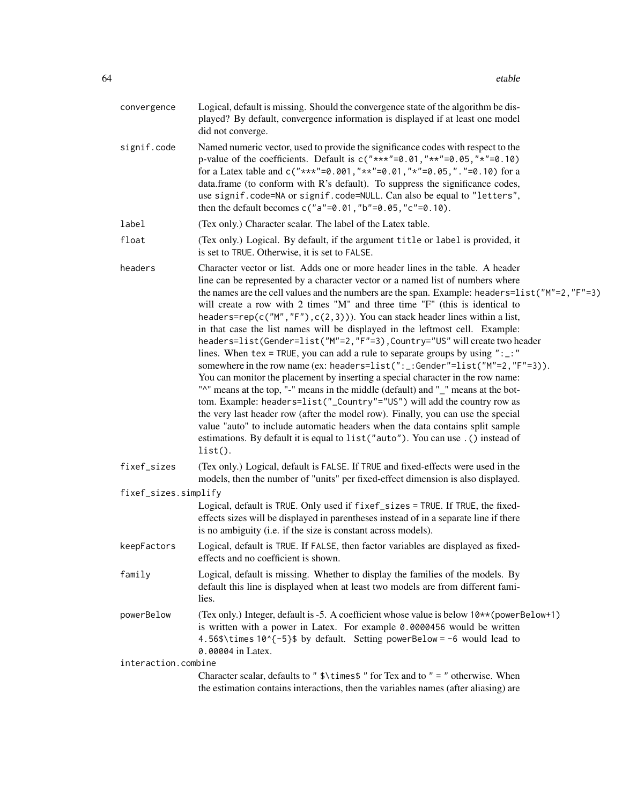| convergence          | Logical, default is missing. Should the convergence state of the algorithm be dis-<br>played? By default, convergence information is displayed if at least one model<br>did not converge.                                                                                                                                                                                                                                                                                                                                                                                                                                                                                                                                                                                                                                                                                                                                                                                                                                                                                                                                                                                                                                                                                                              |
|----------------------|--------------------------------------------------------------------------------------------------------------------------------------------------------------------------------------------------------------------------------------------------------------------------------------------------------------------------------------------------------------------------------------------------------------------------------------------------------------------------------------------------------------------------------------------------------------------------------------------------------------------------------------------------------------------------------------------------------------------------------------------------------------------------------------------------------------------------------------------------------------------------------------------------------------------------------------------------------------------------------------------------------------------------------------------------------------------------------------------------------------------------------------------------------------------------------------------------------------------------------------------------------------------------------------------------------|
| signif.code          | Named numeric vector, used to provide the significance codes with respect to the<br>p-value of the coefficients. Default is $c("***" = 0.01, "**" = 0.05, "*" = 0.10)$<br>for a Latex table and c("***"=0.001,"**"=0.01,"*"=0.05,"."=0.10) for a<br>data.frame (to conform with R's default). To suppress the significance codes,<br>use signif.code=NA or signif.code=NULL. Can also be equal to "letters",<br>then the default becomes $c("a"=0.01," b"=0.05," c"=0.10)$ .                                                                                                                                                                                                                                                                                                                                                                                                                                                                                                                                                                                                                                                                                                                                                                                                                           |
| label                | (Tex only.) Character scalar. The label of the Latex table.                                                                                                                                                                                                                                                                                                                                                                                                                                                                                                                                                                                                                                                                                                                                                                                                                                                                                                                                                                                                                                                                                                                                                                                                                                            |
| float                | (Tex only.) Logical. By default, if the argument title or label is provided, it<br>is set to TRUE. Otherwise, it is set to FALSE.                                                                                                                                                                                                                                                                                                                                                                                                                                                                                                                                                                                                                                                                                                                                                                                                                                                                                                                                                                                                                                                                                                                                                                      |
| headers              | Character vector or list. Adds one or more header lines in the table. A header<br>line can be represented by a character vector or a named list of numbers where<br>the names are the cell values and the numbers are the span. Example: headers= $list("M"=2, "F"=3)$<br>will create a row with 2 times "M" and three time "F" (this is identical to<br>headers=rep( $c("M", "F")$ , $c(2,3))$ ). You can stack header lines within a list,<br>in that case the list names will be displayed in the leftmost cell. Example:<br>headers=list(Gender=list("M"=2,"F"=3), Country="US" will create two header<br>lines. When tex = TRUE, you can add a rule to separate groups by using " $:$ "<br>somewhere in the row name (ex: headers=list(":_:Gender"=list("M"=2,"F"=3)).<br>You can monitor the placement by inserting a special character in the row name:<br>"^" means at the top, "-" means in the middle (default) and "_" means at the bot-<br>tom. Example: headers=list("_Country"="US") will add the country row as<br>the very last header row (after the model row). Finally, you can use the special<br>value "auto" to include automatic headers when the data contains split sample<br>estimations. By default it is equal to list ("auto"). You can use . () instead of<br>$list()$ . |
| fixef_sizes          | (Tex only.) Logical, default is FALSE. If TRUE and fixed-effects were used in the<br>models, then the number of "units" per fixed-effect dimension is also displayed.                                                                                                                                                                                                                                                                                                                                                                                                                                                                                                                                                                                                                                                                                                                                                                                                                                                                                                                                                                                                                                                                                                                                  |
| fixef_sizes.simplify | Logical, default is TRUE. Only used if fixef_sizes = TRUE. If TRUE, the fixed-<br>effects sizes will be displayed in parentheses instead of in a separate line if there<br>is no ambiguity (i.e. if the size is constant across models).                                                                                                                                                                                                                                                                                                                                                                                                                                                                                                                                                                                                                                                                                                                                                                                                                                                                                                                                                                                                                                                               |
| keepFactors          | Logical, default is TRUE. If FALSE, then factor variables are displayed as fixed-<br>effects and no coefficient is shown.                                                                                                                                                                                                                                                                                                                                                                                                                                                                                                                                                                                                                                                                                                                                                                                                                                                                                                                                                                                                                                                                                                                                                                              |
| family               | Logical, default is missing. Whether to display the families of the models. By<br>default this line is displayed when at least two models are from different fami-<br>lies.                                                                                                                                                                                                                                                                                                                                                                                                                                                                                                                                                                                                                                                                                                                                                                                                                                                                                                                                                                                                                                                                                                                            |
| powerBelow           | (Tex only.) Integer, default is -5. A coefficient whose value is below $10**$ (powerBelow+1)<br>is written with a power in Latex. For example 0.0000456 would be written<br>4.56\$\times 10^{-5}\$ by default. Setting powerBelow = -6 would lead to<br>0.00004 in Latex.                                                                                                                                                                                                                                                                                                                                                                                                                                                                                                                                                                                                                                                                                                                                                                                                                                                                                                                                                                                                                              |
| interaction.combine  |                                                                                                                                                                                                                                                                                                                                                                                                                                                                                                                                                                                                                                                                                                                                                                                                                                                                                                                                                                                                                                                                                                                                                                                                                                                                                                        |
|                      | Character scalar, defaults to " \$\times\$ " for Tex and to " = " otherwise. When<br>the estimation contains interactions, then the variables names (after aliasing) are                                                                                                                                                                                                                                                                                                                                                                                                                                                                                                                                                                                                                                                                                                                                                                                                                                                                                                                                                                                                                                                                                                                               |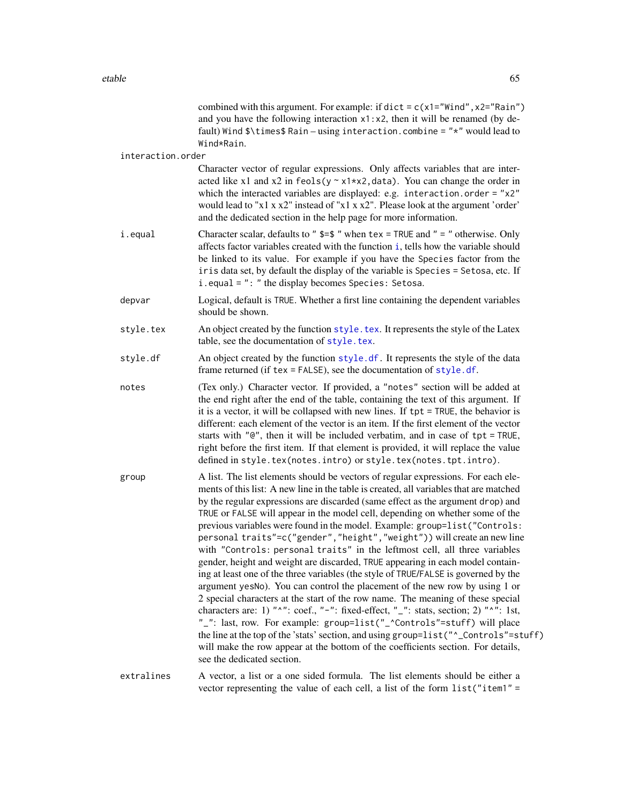|                   | combined with this argument. For example: if dict = $c(x1="width" x2="main")$<br>and you have the following interaction $x1 : x2$ , then it will be renamed (by de-<br>fault) Wind \$\times\$ Rain - using interaction.combine = "*" would lead to<br>Wind*Rain.                                                                                                                                                                                                                                                                                                                                                                                                                                                                                                                                                                                                                                                                                                                                                                                                                                                                                                                                                                                                                                                                                   |
|-------------------|----------------------------------------------------------------------------------------------------------------------------------------------------------------------------------------------------------------------------------------------------------------------------------------------------------------------------------------------------------------------------------------------------------------------------------------------------------------------------------------------------------------------------------------------------------------------------------------------------------------------------------------------------------------------------------------------------------------------------------------------------------------------------------------------------------------------------------------------------------------------------------------------------------------------------------------------------------------------------------------------------------------------------------------------------------------------------------------------------------------------------------------------------------------------------------------------------------------------------------------------------------------------------------------------------------------------------------------------------|
| interaction.order |                                                                                                                                                                                                                                                                                                                                                                                                                                                                                                                                                                                                                                                                                                                                                                                                                                                                                                                                                                                                                                                                                                                                                                                                                                                                                                                                                    |
|                   | Character vector of regular expressions. Only affects variables that are inter-<br>acted like x1 and x2 in feols( $y \sim x1+x2$ , data). You can change the order in<br>which the interacted variables are displayed: e.g. interaction.order = $"x2"$<br>would lead to "x1 x x2" instead of "x1 x x2". Please look at the argument 'order'<br>and the dedicated section in the help page for more information.                                                                                                                                                                                                                                                                                                                                                                                                                                                                                                                                                                                                                                                                                                                                                                                                                                                                                                                                    |
| i.equal           | Character scalar, defaults to " $\frac{2}{3}$ = $\frac{2}{3}$ " when tex = TRUE and " = " otherwise. Only<br>affects factor variables created with the function <i>i</i> , tells how the variable should<br>be linked to its value. For example if you have the Species factor from the<br>iris data set, by default the display of the variable is Species = Setosa, etc. If<br>i.equal = ": " the display becomes Species: Setosa.                                                                                                                                                                                                                                                                                                                                                                                                                                                                                                                                                                                                                                                                                                                                                                                                                                                                                                               |
| depvar            | Logical, default is TRUE. Whether a first line containing the dependent variables<br>should be shown.                                                                                                                                                                                                                                                                                                                                                                                                                                                                                                                                                                                                                                                                                                                                                                                                                                                                                                                                                                                                                                                                                                                                                                                                                                              |
| style.tex         | An object created by the function style. tex. It represents the style of the Latex<br>table, see the documentation of style.tex.                                                                                                                                                                                                                                                                                                                                                                                                                                                                                                                                                                                                                                                                                                                                                                                                                                                                                                                                                                                                                                                                                                                                                                                                                   |
| style.df          | An object created by the function style.df. It represents the style of the data<br>frame returned (if tex = FALSE), see the documentation of style.df.                                                                                                                                                                                                                                                                                                                                                                                                                                                                                                                                                                                                                                                                                                                                                                                                                                                                                                                                                                                                                                                                                                                                                                                             |
| notes             | (Tex only.) Character vector. If provided, a "notes" section will be added at<br>the end right after the end of the table, containing the text of this argument. If<br>it is a vector, it will be collapsed with new lines. If tpt = TRUE, the behavior is<br>different: each element of the vector is an item. If the first element of the vector<br>starts with "@", then it will be included verbatim, and in case of tpt = TRUE,<br>right before the first item. If that element is provided, it will replace the value<br>defined in style.tex(notes.intro) or style.tex(notes.tpt.intro).                                                                                                                                                                                                                                                                                                                                                                                                                                                                                                                                                                                                                                                                                                                                                    |
| group             | A list. The list elements should be vectors of regular expressions. For each ele-<br>ments of this list: A new line in the table is created, all variables that are matched<br>by the regular expressions are discarded (same effect as the argument drop) and<br>TRUE or FALSE will appear in the model cell, depending on whether some of the<br>previous variables were found in the model. Example: group=list("Controls:<br>personal traits"=c("gender", "height", "weight")) will create an new line<br>with "Controls: personal traits" in the leftmost cell, all three variables<br>gender, height and weight are discarded, TRUE appearing in each model contain-<br>ing at least one of the three variables (the style of TRUE/FALSE is governed by the<br>argument yesNo). You can control the placement of the new row by using 1 or<br>2 special characters at the start of the row name. The meaning of these special<br>characters are: 1) " $^{\prime\prime}$ ": coef., "-": fixed-effect, "_": stats, section; 2) " $^{\prime\prime}$ ": 1st,<br>"_": last, row. For example: group=list("_^Controls"=stuff) will place<br>the line at the top of the 'stats' section, and using group=list("^_Controls"=stuff)<br>will make the row appear at the bottom of the coefficients section. For details,<br>see the dedicated section. |
| extralines        | A vector, a list or a one sided formula. The list elements should be either a<br>vector representing the value of each cell, a list of the form list("item1" =                                                                                                                                                                                                                                                                                                                                                                                                                                                                                                                                                                                                                                                                                                                                                                                                                                                                                                                                                                                                                                                                                                                                                                                     |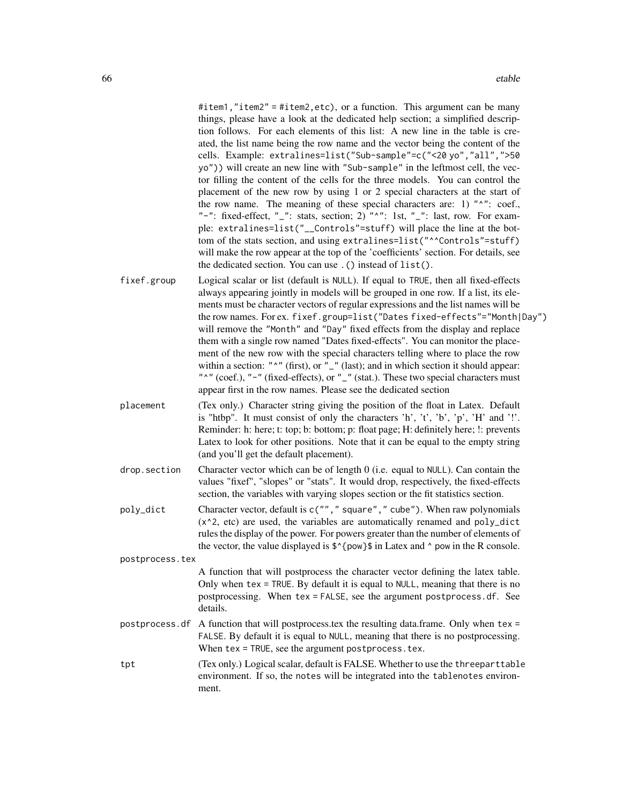#item1,"item2" = #item2,etc), or a function. This argument can be many things, please have a look at the dedicated help section; a simplified description follows. For each elements of this list: A new line in the table is created, the list name being the row name and the vector being the content of the cells. Example: extralines=list("Sub-sample"=c("<20 yo","all",">50 yo")) will create an new line with "Sub-sample" in the leftmost cell, the vector filling the content of the cells for the three models. You can control the placement of the new row by using 1 or 2 special characters at the start of the row name. The meaning of these special characters are: 1) " $^{\prime\prime}$ ": coef., "-": fixed-effect, " $\_$ ": stats, section; 2) "^": 1st, " $\_$ ": last, row. For example: extralines=list("\_\_Controls"=stuff) will place the line at the bottom of the stats section, and using extralines=list("^^Controls"=stuff) will make the row appear at the top of the 'coefficients' section. For details, see the dedicated section. You can use .() instead of list().

- fixef.group Logical scalar or list (default is NULL). If equal to TRUE, then all fixed-effects always appearing jointly in models will be grouped in one row. If a list, its elements must be character vectors of regular expressions and the list names will be the row names. For ex. fixef.group=list("Dates fixed-effects"="Month|Day") will remove the "Month" and "Day" fixed effects from the display and replace them with a single row named "Dates fixed-effects". You can monitor the placement of the new row with the special characters telling where to place the row within a section: " $^"$ " (first), or " $^"$ " (last); and in which section it should appear: "<sup>^"</sup> (coef.), "-" (fixed-effects), or "\_" (stat.). These two special characters must appear first in the row names. Please see the dedicated section
- placement (Tex only.) Character string giving the position of the float in Latex. Default is "htbp". It must consist of only the characters 'h', 't', 'b', 'p', 'H' and '!'. Reminder: h: here; t: top; b: bottom; p: float page; H: definitely here; !: prevents Latex to look for other positions. Note that it can be equal to the empty string (and you'll get the default placement).
- drop.section Character vector which can be of length 0 (i.e. equal to NULL). Can contain the values "fixef", "slopes" or "stats". It would drop, respectively, the fixed-effects section, the variables with varying slopes section or the fit statistics section.
- poly\_dict Character vector, default is c(""," square"," cube"). When raw polynomials (x^2, etc) are used, the variables are automatically renamed and poly\_dict rules the display of the power. For powers greater than the number of elements of the vector, the value displayed is  $\frac{\pi}{2}$  (pow) $\frac{\pi}{2}$  in Latex and  $\gamma$  pow in the R console.

postprocess.tex

A function that will postprocess the character vector defining the latex table. Only when tex = TRUE. By default it is equal to NULL, meaning that there is no postprocessing. When tex = FALSE, see the argument postprocess.df. See details.

- postprocess.df A function that will postprocess.tex the resulting data.frame. Only when tex = FALSE. By default it is equal to NULL, meaning that there is no postprocessing. When tex = TRUE, see the argument postprocess.tex.
- tpt (Tex only.) Logical scalar, default is FALSE. Whether to use the threeparttable environment. If so, the notes will be integrated into the tablenotes environment.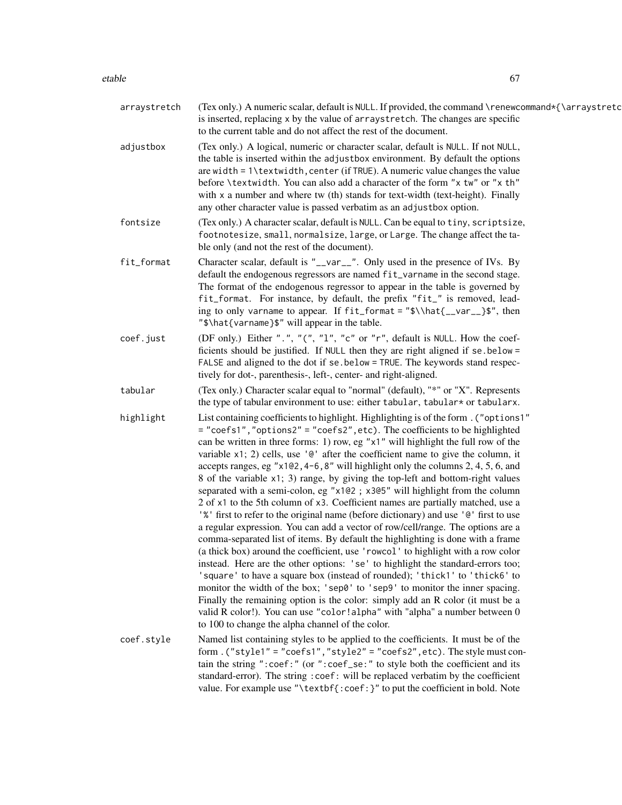### etable 67

| arraystretch | (Tex only.) A numeric scalar, default is NULL. If provided, the command \renewcommand*{\arraystretc<br>is inserted, replacing x by the value of arraystretch. The changes are specific<br>to the current table and do not affect the rest of the document.                                                                                                                                                                                                                                                                                                                                                                                                                                                                                                                                                                                                                                                                                                                                                                                                                                                                                                                                                                                                                                                                                                                                                                                                                                                        |
|--------------|-------------------------------------------------------------------------------------------------------------------------------------------------------------------------------------------------------------------------------------------------------------------------------------------------------------------------------------------------------------------------------------------------------------------------------------------------------------------------------------------------------------------------------------------------------------------------------------------------------------------------------------------------------------------------------------------------------------------------------------------------------------------------------------------------------------------------------------------------------------------------------------------------------------------------------------------------------------------------------------------------------------------------------------------------------------------------------------------------------------------------------------------------------------------------------------------------------------------------------------------------------------------------------------------------------------------------------------------------------------------------------------------------------------------------------------------------------------------------------------------------------------------|
| adjustbox    | (Tex only.) A logical, numeric or character scalar, default is NULL. If not NULL,<br>the table is inserted within the adjustbox environment. By default the options<br>are width = $1\text{textwidth}$ , center (if TRUE). A numeric value changes the value<br>before \textwidth. You can also add a character of the form "x tw" or "x th"<br>with x a number and where tw (th) stands for text-width (text-height). Finally<br>any other character value is passed verbatim as an adjustbox option.                                                                                                                                                                                                                                                                                                                                                                                                                                                                                                                                                                                                                                                                                                                                                                                                                                                                                                                                                                                                            |
| fontsize     | (Tex only.) A character scalar, default is NULL. Can be equal to tiny, scriptsize,<br>footnotesize, small, normalsize, large, or Large. The change affect the ta-<br>ble only (and not the rest of the document).                                                                                                                                                                                                                                                                                                                                                                                                                                                                                                                                                                                                                                                                                                                                                                                                                                                                                                                                                                                                                                                                                                                                                                                                                                                                                                 |
| fit_format   | Character scalar, default is "__var__". Only used in the presence of IVs. By<br>default the endogenous regressors are named fit_varname in the second stage.<br>The format of the endogenous regressor to appear in the table is governed by<br>fit_format. For instance, by default, the prefix "fit_" is removed, lead-<br>ing to only varname to appear. If fit_format = "\$\\hat{__var__}\$", then<br>"\$\hat{varname}\$" will appear in the table.                                                                                                                                                                                                                                                                                                                                                                                                                                                                                                                                                                                                                                                                                                                                                                                                                                                                                                                                                                                                                                                           |
| coef.just    | (DF only.) Either ".", "(", "1", "c" or "r", default is NULL. How the coef-<br>ficients should be justified. If NULL then they are right aligned if se below =<br>FALSE and aligned to the dot if se below = TRUE. The keywords stand respec-<br>tively for dot-, parenthesis-, left-, center- and right-aligned.                                                                                                                                                                                                                                                                                                                                                                                                                                                                                                                                                                                                                                                                                                                                                                                                                                                                                                                                                                                                                                                                                                                                                                                                 |
| tabular      | (Tex only.) Character scalar equal to "normal" (default), "*" or "X". Represents<br>the type of tabular environment to use: either tabular, tabular* or tabularx.                                                                                                                                                                                                                                                                                                                                                                                                                                                                                                                                                                                                                                                                                                                                                                                                                                                                                                                                                                                                                                                                                                                                                                                                                                                                                                                                                 |
| highlight    | List containing coefficients to highlight. Highlighting is of the form. ("options1"<br>= "coefs1", "options2" = "coefs2", etc). The coefficients to be highlighted<br>can be written in three forms: 1) row, eg "x1" will highlight the full row of the<br>variable $x1$ ; 2) cells, use ' $e$ ' after the coefficient name to give the column, it<br>accepts ranges, eg "x1@2,4-6,8" will highlight only the columns 2, 4, 5, 6, and<br>8 of the variable x1; 3) range, by giving the top-left and bottom-right values<br>separated with a semi-colon, eg "x1@2; x3@5" will highlight from the column<br>2 of x1 to the 5th column of x3. Coefficient names are partially matched, use a<br>'%' first to refer to the original name (before dictionary) and use '@' first to use<br>a regular expression. You can add a vector of row/cell/range. The options are a<br>comma-separated list of items. By default the highlighting is done with a frame<br>(a thick box) around the coefficient, use 'rowcol' to highlight with a row color<br>instead. Here are the other options: 'se' to highlight the standard-errors too;<br>'square' to have a square box (instead of rounded); 'thick1' to 'thick6' to<br>monitor the width of the box; 'sep0' to 'sep9' to monitor the inner spacing.<br>Finally the remaining option is the color: simply add an R color (it must be a<br>valid R color!). You can use "color!alpha" with "alpha" a number between 0<br>to 100 to change the alpha channel of the color. |
| coef.style   | Named list containing styles to be applied to the coefficients. It must be of the<br>form. ("style1" = "coefs1", "style2" = "coefs2", etc). The style must con-<br>tain the string ":coef:" (or ":coef_se:" to style both the coefficient and its<br>standard-error). The string : coef: will be replaced verbatim by the coefficient<br>value. For example use "\textbf{:coef:}" to put the coefficient in bold. Note                                                                                                                                                                                                                                                                                                                                                                                                                                                                                                                                                                                                                                                                                                                                                                                                                                                                                                                                                                                                                                                                                            |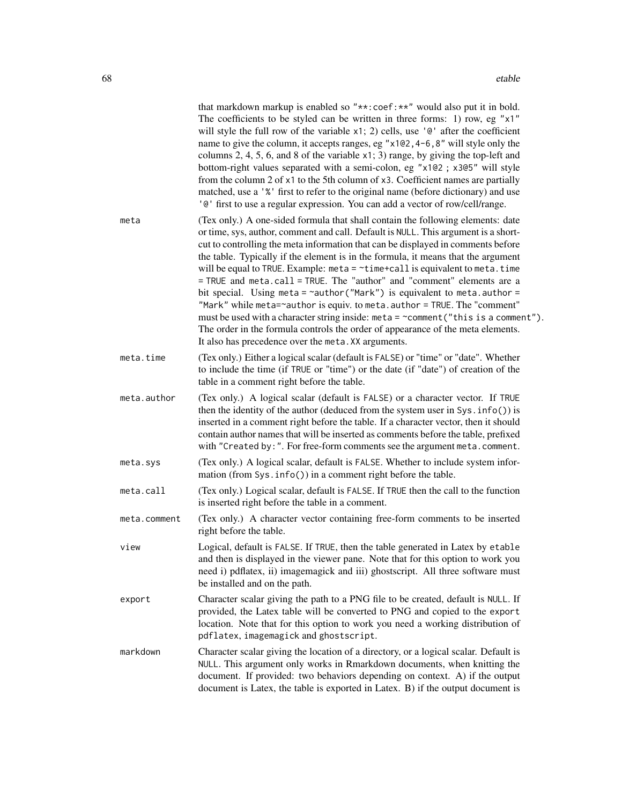|              | that markdown markup is enabled so "**: coef: **" would also put it in bold.<br>The coefficients to be styled can be written in three forms: 1) row, eg "x1"<br>will style the full row of the variable $x1$ ; 2) cells, use ' $\mathbb{C}^1$ after the coefficient<br>name to give the column, it accepts ranges, eg "x1@2, 4-6, 8" will style only the<br>columns 2, 4, 5, 6, and 8 of the variable $x1$ ; 3) range, by giving the top-left and<br>bottom-right values separated with a semi-colon, eg "x1@2 ; x3@5" will style<br>from the column 2 of x1 to the 5th column of x3. Coefficient names are partially<br>matched, use a '%' first to refer to the original name (before dictionary) and use<br>'@' first to use a regular expression. You can add a vector of row/cell/range.                                                                                                                    |
|--------------|------------------------------------------------------------------------------------------------------------------------------------------------------------------------------------------------------------------------------------------------------------------------------------------------------------------------------------------------------------------------------------------------------------------------------------------------------------------------------------------------------------------------------------------------------------------------------------------------------------------------------------------------------------------------------------------------------------------------------------------------------------------------------------------------------------------------------------------------------------------------------------------------------------------|
| meta         | (Tex only.) A one-sided formula that shall contain the following elements: date<br>or time, sys, author, comment and call. Default is NULL. This argument is a short-<br>cut to controlling the meta information that can be displayed in comments before<br>the table. Typically if the element is in the formula, it means that the argument<br>will be equal to TRUE. Example: $meta = \text{time+call}$ is equivalent to meta. time<br>= TRUE and meta.call = TRUE. The "author" and "comment" elements are a<br>bit special. Using meta = $\sim$ author("Mark") is equivalent to meta.author =<br>"Mark" while meta=~author is equiv. to meta. author = TRUE. The "comment"<br>must be used with a character string inside: meta = ~comment("this is a comment").<br>The order in the formula controls the order of appearance of the meta elements.<br>It also has precedence over the meta. XX arguments. |
| meta.time    | (Tex only.) Either a logical scalar (default is FALSE) or "time" or "date". Whether<br>to include the time (if TRUE or "time") or the date (if "date") of creation of the<br>table in a comment right before the table.                                                                                                                                                                                                                                                                                                                                                                                                                                                                                                                                                                                                                                                                                          |
| meta.author  | (Tex only.) A logical scalar (default is FALSE) or a character vector. If TRUE<br>then the identity of the author (deduced from the system user in Sys. info()) is<br>inserted in a comment right before the table. If a character vector, then it should<br>contain author names that will be inserted as comments before the table, prefixed<br>with "Created by: ". For free-form comments see the argument meta.comment.                                                                                                                                                                                                                                                                                                                                                                                                                                                                                     |
| meta.sys     | (Tex only.) A logical scalar, default is FALSE. Whether to include system infor-<br>mation (from Sys. info()) in a comment right before the table.                                                                                                                                                                                                                                                                                                                                                                                                                                                                                                                                                                                                                                                                                                                                                               |
| meta.call    | (Tex only.) Logical scalar, default is FALSE. If TRUE then the call to the function<br>is inserted right before the table in a comment.                                                                                                                                                                                                                                                                                                                                                                                                                                                                                                                                                                                                                                                                                                                                                                          |
| meta.comment | (Tex only.) A character vector containing free-form comments to be inserted<br>right before the table.                                                                                                                                                                                                                                                                                                                                                                                                                                                                                                                                                                                                                                                                                                                                                                                                           |
| view         | Logical, default is FALSE. If TRUE, then the table generated in Latex by etable<br>and then is displayed in the viewer pane. Note that for this option to work you<br>need i) pdflatex, ii) imagemagick and iii) ghostscript. All three software must<br>be installed and on the path.                                                                                                                                                                                                                                                                                                                                                                                                                                                                                                                                                                                                                           |
| export       | Character scalar giving the path to a PNG file to be created, default is NULL. If<br>provided, the Latex table will be converted to PNG and copied to the export<br>location. Note that for this option to work you need a working distribution of<br>pdflatex, imagemagick and ghostscript.                                                                                                                                                                                                                                                                                                                                                                                                                                                                                                                                                                                                                     |
| markdown     | Character scalar giving the location of a directory, or a logical scalar. Default is<br>NULL. This argument only works in Rmarkdown documents, when knitting the<br>document. If provided: two behaviors depending on context. A) if the output<br>document is Latex, the table is exported in Latex. B) if the output document is                                                                                                                                                                                                                                                                                                                                                                                                                                                                                                                                                                               |
|              |                                                                                                                                                                                                                                                                                                                                                                                                                                                                                                                                                                                                                                                                                                                                                                                                                                                                                                                  |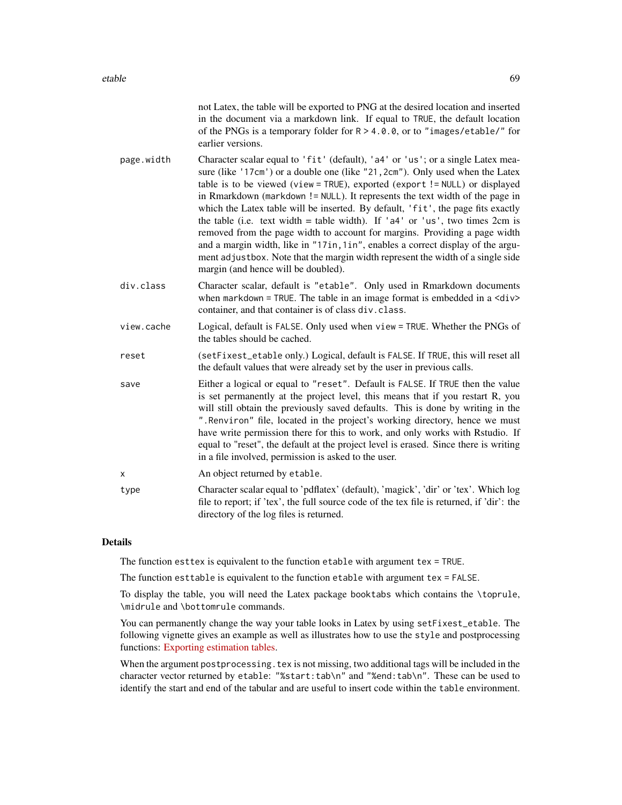|            | not Latex, the table will be exported to PNG at the desired location and inserted<br>in the document via a markdown link. If equal to TRUE, the default location<br>of the PNGs is a temporary folder for $R > 4.0.0$ , or to "images/etable/" for<br>earlier versions.                                                                                                                                                                                                                                                                                                                                                                                                                                                                                                                           |
|------------|---------------------------------------------------------------------------------------------------------------------------------------------------------------------------------------------------------------------------------------------------------------------------------------------------------------------------------------------------------------------------------------------------------------------------------------------------------------------------------------------------------------------------------------------------------------------------------------------------------------------------------------------------------------------------------------------------------------------------------------------------------------------------------------------------|
| page.width | Character scalar equal to 'fit' (default), 'a4' or 'us'; or a single Latex mea-<br>sure (like '17cm') or a double one (like "21, 2cm"). Only used when the Latex<br>table is to be viewed (view = TRUE), exported (export != NULL) or displayed<br>in Rmarkdown (markdown != NULL). It represents the text width of the page in<br>which the Latex table will be inserted. By default, 'fit', the page fits exactly<br>the table (i.e. text width = table width). If ' $a4'$ or 'us', two times 2cm is<br>removed from the page width to account for margins. Providing a page width<br>and a margin width, like in "17in, 1in", enables a correct display of the argu-<br>ment adjustbox. Note that the margin width represent the width of a single side<br>margin (and hence will be doubled). |
| div.class  | Character scalar, default is "etable". Only used in Rmarkdown documents<br>when markdown = TRUE. The table in an image format is embedded in a $\langle \text{div} \rangle$<br>container, and that container is of class div. class.                                                                                                                                                                                                                                                                                                                                                                                                                                                                                                                                                              |
| view.cache | Logical, default is FALSE. Only used when view = TRUE. Whether the PNGs of<br>the tables should be cached.                                                                                                                                                                                                                                                                                                                                                                                                                                                                                                                                                                                                                                                                                        |
| reset      | (setFixest_etable only.) Logical, default is FALSE. If TRUE, this will reset all<br>the default values that were already set by the user in previous calls.                                                                                                                                                                                                                                                                                                                                                                                                                                                                                                                                                                                                                                       |
| save       | Either a logical or equal to "reset". Default is FALSE. If TRUE then the value<br>is set permanently at the project level, this means that if you restart R, you<br>will still obtain the previously saved defaults. This is done by writing in the<br>". Renviron" file, located in the project's working directory, hence we must<br>have write permission there for this to work, and only works with Rstudio. If<br>equal to "reset", the default at the project level is erased. Since there is writing<br>in a file involved, permission is asked to the user.                                                                                                                                                                                                                              |
| X          | An object returned by etable.                                                                                                                                                                                                                                                                                                                                                                                                                                                                                                                                                                                                                                                                                                                                                                     |
| type       | Character scalar equal to 'pdflatex' (default), 'magick', 'dir' or 'tex'. Which log<br>file to report; if 'tex', the full source code of the tex file is returned, if 'dir': the<br>directory of the log files is returned.                                                                                                                                                                                                                                                                                                                                                                                                                                                                                                                                                                       |
|            |                                                                                                                                                                                                                                                                                                                                                                                                                                                                                                                                                                                                                                                                                                                                                                                                   |

# Details

The function esttex is equivalent to the function etable with argument tex = TRUE.

The function esttable is equivalent to the function etable with argument tex = FALSE.

To display the table, you will need the Latex package booktabs which contains the \toprule, \midrule and \bottomrule commands.

You can permanently change the way your table looks in Latex by using setFixest\_etable. The following vignette gives an example as well as illustrates how to use the style and postprocessing functions: [Exporting estimation tables.](https://lrberge.github.io/fixest/articles/exporting_tables.html)

When the argument postprocessing.tex is not missing, two additional tags will be included in the character vector returned by etable: "%start:tab\n" and "%end:tab\n". These can be used to identify the start and end of the tabular and are useful to insert code within the table environment.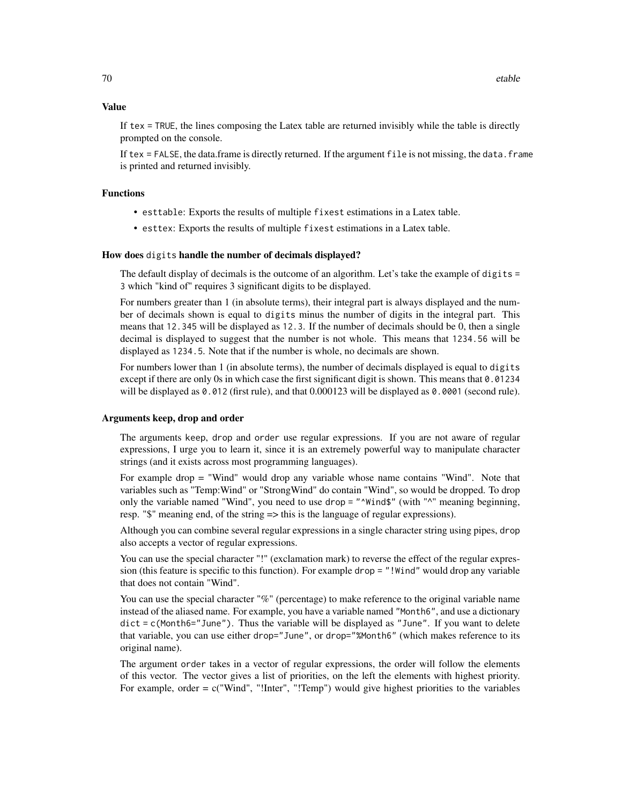### Value

If tex = TRUE, the lines composing the Latex table are returned invisibly while the table is directly prompted on the console.

If tex = FALSE, the data.frame is directly returned. If the argument file is not missing, the data.frame is printed and returned invisibly.

### Functions

- esttable: Exports the results of multiple fixest estimations in a Latex table.
- esttex: Exports the results of multiple fixest estimations in a Latex table.

### How does digits handle the number of decimals displayed?

The default display of decimals is the outcome of an algorithm. Let's take the example of digits = 3 which "kind of" requires 3 significant digits to be displayed.

For numbers greater than 1 (in absolute terms), their integral part is always displayed and the number of decimals shown is equal to digits minus the number of digits in the integral part. This means that 12.345 will be displayed as 12.3. If the number of decimals should be 0, then a single decimal is displayed to suggest that the number is not whole. This means that 1234.56 will be displayed as 1234.5. Note that if the number is whole, no decimals are shown.

For numbers lower than 1 (in absolute terms), the number of decimals displayed is equal to digits except if there are only 0s in which case the first significant digit is shown. This means that 0.01234 will be displayed as 0.012 (first rule), and that 0.000123 will be displayed as 0.0001 (second rule).

### Arguments keep, drop and order

The arguments keep, drop and order use regular expressions. If you are not aware of regular expressions, I urge you to learn it, since it is an extremely powerful way to manipulate character strings (and it exists across most programming languages).

For example drop = "Wind" would drop any variable whose name contains "Wind". Note that variables such as "Temp:Wind" or "StrongWind" do contain "Wind", so would be dropped. To drop only the variable named "Wind", you need to use drop = "^Wind\$" (with "^" meaning beginning, resp. "\$" meaning end, of the string => this is the language of regular expressions).

Although you can combine several regular expressions in a single character string using pipes, drop also accepts a vector of regular expressions.

You can use the special character "!" (exclamation mark) to reverse the effect of the regular expression (this feature is specific to this function). For example drop = "!Wind" would drop any variable that does not contain "Wind".

You can use the special character "%" (percentage) to make reference to the original variable name instead of the aliased name. For example, you have a variable named "Month6", and use a dictionary  $dict = c(Month6="June")$ . Thus the variable will be displayed as "June". If you want to delete that variable, you can use either drop="June", or drop="%Month6" (which makes reference to its original name).

The argument order takes in a vector of regular expressions, the order will follow the elements of this vector. The vector gives a list of priorities, on the left the elements with highest priority. For example, order  $= c("Wind", "!Inter", "!Temp")$  would give highest priorities to the variables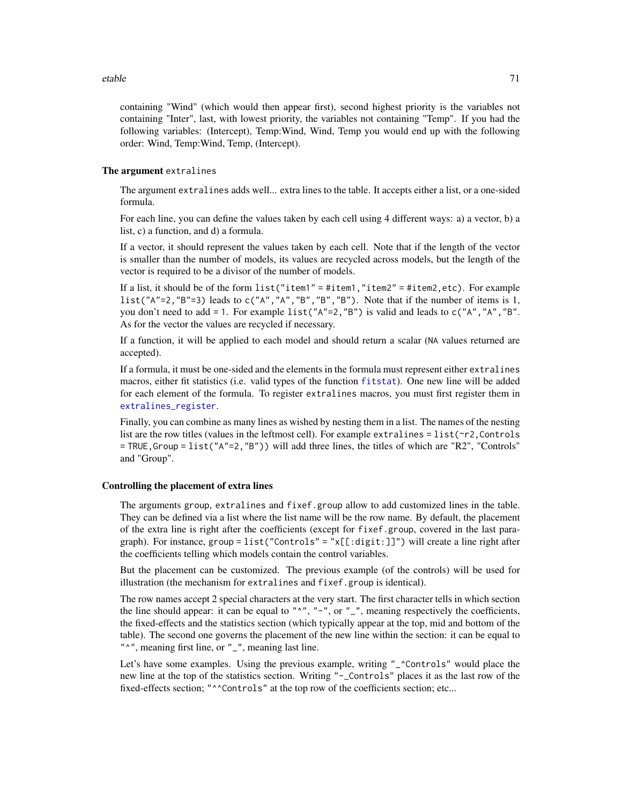### etable **71**

containing "Wind" (which would then appear first), second highest priority is the variables not containing "Inter", last, with lowest priority, the variables not containing "Temp". If you had the following variables: (Intercept), Temp:Wind, Wind, Temp you would end up with the following order: Wind, Temp:Wind, Temp, (Intercept).

### The argument extralines

The argument extralines adds well... extra lines to the table. It accepts either a list, or a one-sided formula.

For each line, you can define the values taken by each cell using 4 different ways: a) a vector, b) a list, c) a function, and d) a formula.

If a vector, it should represent the values taken by each cell. Note that if the length of the vector is smaller than the number of models, its values are recycled across models, but the length of the vector is required to be a divisor of the number of models.

If a list, it should be of the form list("item1" = #item1,"item2" = #item2,etc). For example list("A"=2, "B"=3) leads to  $c("A", "A", "B", "B", "B").$  Note that if the number of items is 1, you don't need to add = 1. For example list("A"=2,"B") is valid and leads to  $c("A", "A", "B".$ As for the vector the values are recycled if necessary.

If a function, it will be applied to each model and should return a scalar (NA values returned are accepted).

If a formula, it must be one-sided and the elements in the formula must represent either extralines macros, either fit statistics (i.e. valid types of the function [fitstat](#page-125-0)). One new line will be added for each element of the formula. To register extralines macros, you must first register them in [extralines\\_register](#page-77-0).

Finally, you can combine as many lines as wished by nesting them in a list. The names of the nesting list are the row titles (values in the leftmost cell). For example extralines = list( $\gamma$ 2, Controls  $=$  TRUE, Group = list(" $A''=2$ , " $B''$ )) will add three lines, the titles of which are "R2", "Controls" and "Group".

### Controlling the placement of extra lines

The arguments group, extralines and fixef.group allow to add customized lines in the table. They can be defined via a list where the list name will be the row name. By default, the placement of the extra line is right after the coefficients (except for fixef.group, covered in the last paragraph). For instance, group = list("Controls" = "x[[:digit:]]") will create a line right after the coefficients telling which models contain the control variables.

But the placement can be customized. The previous example (of the controls) will be used for illustration (the mechanism for extralines and fixef.group is identical).

The row names accept 2 special characters at the very start. The first character tells in which section the line should appear: it can be equal to " $^{\prime\prime}$ ,", "-", or "<sub>-</sub>", meaning respectively the coefficients, the fixed-effects and the statistics section (which typically appear at the top, mid and bottom of the table). The second one governs the placement of the new line within the section: it can be equal to "<sup>^</sup>", meaning first line, or "\_", meaning last line.

Let's have some examples. Using the previous example, writing "\_^Controls" would place the new line at the top of the statistics section. Writing "-\_Controls" places it as the last row of the fixed-effects section; "^^Controls" at the top row of the coefficients section; etc...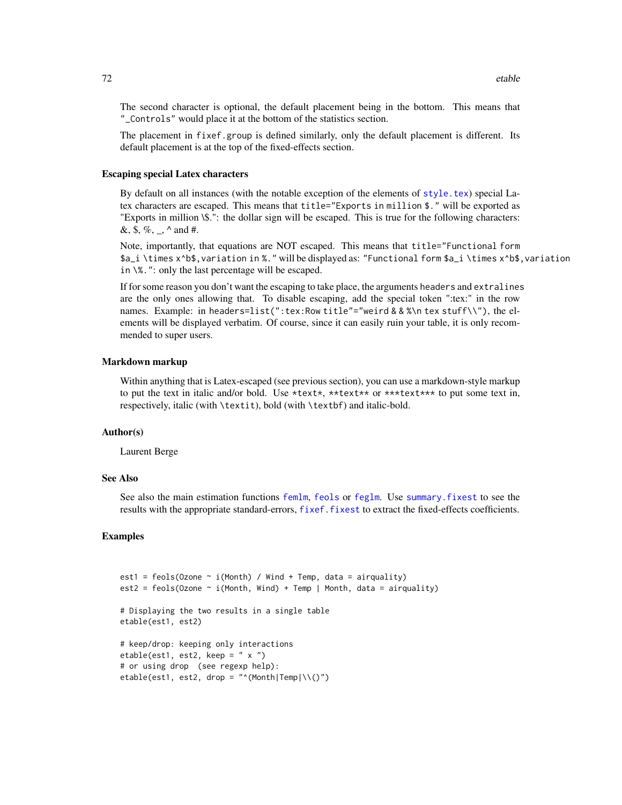The second character is optional, the default placement being in the bottom. This means that "\_Controls" would place it at the bottom of the statistics section.

The placement in fixef.group is defined similarly, only the default placement is different. Its default placement is at the top of the fixed-effects section.

### Escaping special Latex characters

By default on all instances (with the notable exception of the elements of  $style$ , tex) special Latex characters are escaped. This means that title="Exports in million \$." will be exported as "Exports in million \\$.": the dollar sign will be escaped. This is true for the following characters: &, \$, %, \_, ^ and #.

Note, importantly, that equations are NOT escaped. This means that title="Functional form \$a\_i \times x^b\$,variation in %." will be displayed as: "Functional form \$a\_i \times x^b\$,variation in \%.": only the last percentage will be escaped.

If for some reason you don't want the escaping to take place, the arguments headers and extralines are the only ones allowing that. To disable escaping, add the special token ":tex:" in the row names. Example: in headers=list(":tex:Row title"="weird & & %\n tex stuff\\"), the elements will be displayed verbatim. Of course, since it can easily ruin your table, it is only recommended to super users.

### Markdown markup

Within anything that is Latex-escaped (see previous section), you can use a markdown-style markup to put the text in italic and/or bold. Use  $\star$ text $\star$ ,  $\star$ \*text $\star$ \* or  $\star$ \* $\star$ text $\star$ \* $\star$  to put some text in, respectively, italic (with \textit), bold (with \textbf) and italic-bold.

## Author(s)

Laurent Berge

### See Also

See also the main estimation functions [femlm](#page-91-1), [feols](#page-112-0) or [feglm](#page-79-1). Use [summary.fixest](#page-197-0) to see the results with the appropriate standard-errors, [fixef.fixest](#page-132-0) to extract the fixed-effects coefficients.

```
est1 = feols(Ozone \sim i(Month) / Wind + Temp, data = airquality)
est2 = feols(Ozone \sim i(Month, Wind) + Temp | Month, data = airquality)
# Displaying the two results in a single table
etable(est1, est2)
# keep/drop: keeping only interactions
etable(est1, est2, keep = " x ")
# or using drop (see regexp help):
etable(est1, est2, drop = "\land(Month|Temp|\\()")
```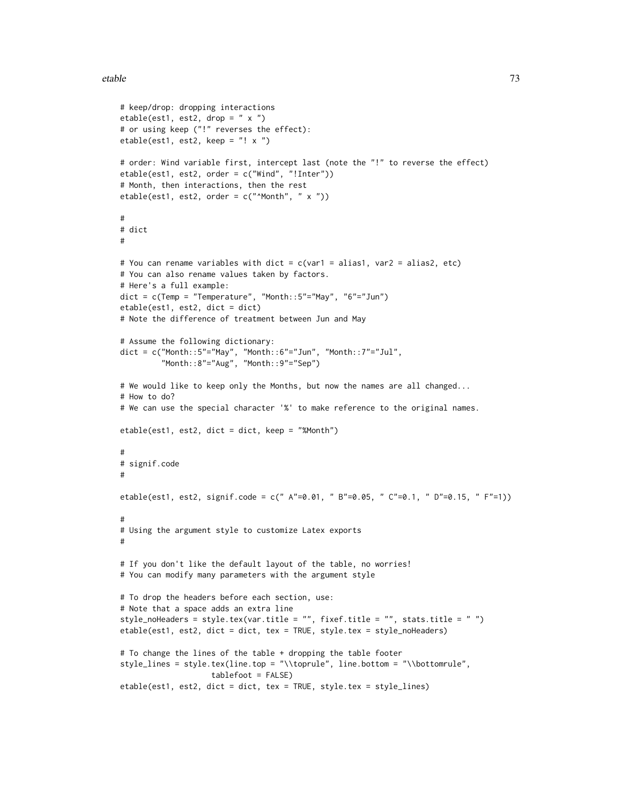#### etable **2008** and 23 and 23 and 23 and 23 and 23 and 23 and 23 and 23 and 23 and 23 and 23 and 23 and 23 and 23 and 23 and 23 and 23 and 23 and 23 and 23 and 23 and 23 and 23 and 23 and 23 and 23 and 23 and 23 and 23 and 2

```
# keep/drop: dropping interactions
etable(est1, est2, drop = " x ")
# or using keep ("!" reverses the effect):
etable(est1, est2, keep = "! x ")
# order: Wind variable first, intercept last (note the "!" to reverse the effect)
etable(est1, est2, order = c("Wind", "!Inter"))
# Month, then interactions, then the rest
etable(est1, est2, order = c("Month", " x "))#
# dict
#
# You can rename variables with dict = c(var1 = alias1, var2 = alias2, etc)
# You can also rename values taken by factors.
# Here's a full example:
dict = c(Temp = "Temperature", "Month::5"='May", "6"='Jun")etable(est1, est2, dict = dict)
# Note the difference of treatment between Jun and May
# Assume the following dictionary:
dict = c("Month::5"="May", "Month::6"="Jun", "Month::7"="Jul","Month::8"="Aug", "Month::9"="Sep")
# We would like to keep only the Months, but now the names are all changed...
# How to do?
# We can use the special character '%' to make reference to the original names.
etable(est1, est2, dict = dict, keep = "%Month")
#
# signif.code
#
etable(est1, est2, signif.code = c(" A"=0.01, " B"=0.05, " C"=0.1, " D"=0.15, " F"=1))
#
# Using the argument style to customize Latex exports
#
# If you don't like the default layout of the table, no worries!
# You can modify many parameters with the argument style
# To drop the headers before each section, use:
# Note that a space adds an extra line
style_noHeaders = style.tex(var.title = "", fixef.title = "", stats.title = " ")
etable(est1, est2, dict = dict, tex = TRUE, style.tex = style_noHeaders)
# To change the lines of the table + dropping the table footer
style_lines = style.tex(line.top = "\\toprule", line.bottom = "\\bottomrule",
                    tablefoot = FALSE)
etable(est1, est2, dict = dict, tex = TRUE, style.tex = style_lines)
```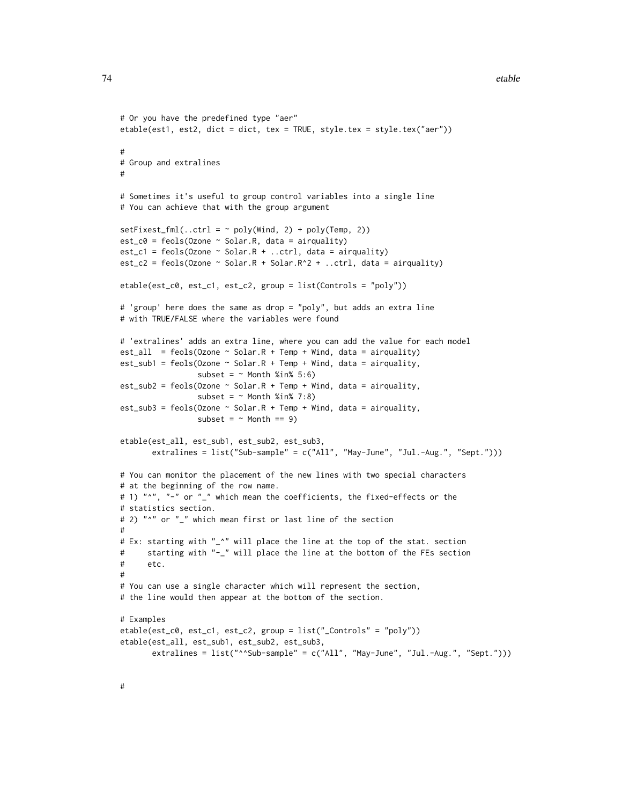#### 74 etable etable etable etable etable etable etable etable etable etable etable etable etable etable etable etable etable etable etable etable etable etable etable etable etable etable etable etable etable etable etable et

```
# Or you have the predefined type "aer"
etable(est1, est2, dict = dict, tex = TRUE, style.tex = style.tex("aer"))
#
# Group and extralines
#
# Sometimes it's useful to group control variables into a single line
# You can achieve that with the group argument
setFixedfml(...ctrl = ~ poly(Wind, 2) + poly(Temp, 2))est_c0 = feols(0zone ~ Solar.R, data = airquality)est_c1 = feols(0zone ~ Solar.R + ...ctrl, data = airquality)est_c2 = feols(0zone ~ Solar.R + Solar.R^2 + ...ctrl, data = airquality)etable(est_c0, est_c1, est_c2, group = list(Controls = "poly"))
# 'group' here does the same as drop = "poly", but adds an extra line
# with TRUE/FALSE where the variables were found
# 'extralines' adds an extra line, where you can add the value for each model
est\_all = feols(Ozone \sim Solar.R + Temp + Wind, data = airquality)
est\_sub1 = feols(0zone ~ Solar.R + Temp + Wind, data = airquality,subset = ~ Month %in% 5:6)
est\_sub2 = feols(0zone ~ Solar.R + Temp + Wind, data = airquality,subset = ~ Month %in% 7:8)
est\_sub3 = feols(0zone ~ Solar.R + Temp + Wind, data = airquality,subset = \sim Month == 9)
etable(est_all, est_sub1, est_sub2, est_sub3,
      extralines = list("Sub-sample" = c("All", "May-June", "Jul.-Aug.", "Sept.")))
# You can monitor the placement of the new lines with two special characters
# at the beginning of the row name.
# 1) "^", "-" or "_" which mean the coefficients, the fixed-effects or the
# statistics section.
# 2) "^" or "_" which mean first or last line of the section
#
# Ex: starting with "_^" will place the line at the top of the stat. section
# starting with "-_" will place the line at the bottom of the FEs section
# etc.
#
# You can use a single character which will represent the section,
# the line would then appear at the bottom of the section.
# Examples
etable(est_c0, est_c1, est_c2, group = list("_Controls" = "poly"))
etable(est_all, est_sub1, est_sub2, est_sub3,
      extralines = list("^^Sub-sample" = c("All", "May-June", "Jul.-Aug.", "Sept.")))
```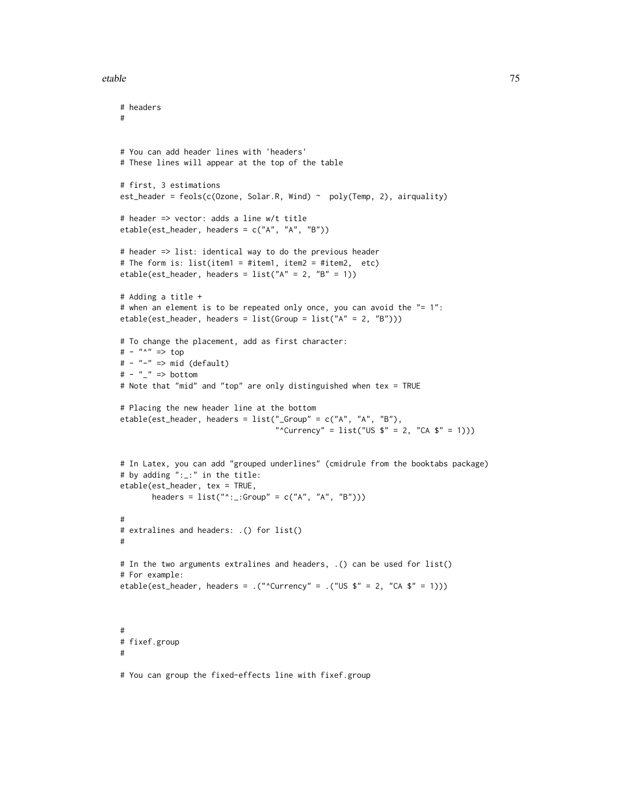#### etable 75

```
# headers
#
# You can add header lines with 'headers'
# These lines will appear at the top of the table
# first, 3 estimations
est_header = feols(c(Ozone, Solar.R, Wind) \sim poly(Temp, 2), airquality)
# header => vector: adds a line w/t title
etable(est_header, headers = c("A", "A", "B"))
# header => list: identical way to do the previous header
# The form is: list(item1 = #item1, item2 = #item2, etc)
etable(est_header, headers = list("A" = 2, "B" = 1))
# Adding a title +
# when an element is to be repeated only once, you can avoid the "= 1":
etable(est_header, headers = list(Group = list("A" = 2, "B")))
# To change the placement, add as first character:
# - "^" => top
# - "-" => mid (default)
# - " \nightharpoonup" => bottom# Note that "mid" and "top" are only distinguished when tex = TRUE
# Placing the new header line at the bottom
etable(est_header, headers = list("_Group" = c("A", "A", "B"),
                                    "^Currency" = list("US $'' = 2, "CA $'' = 1)))
# In Latex, you can add "grouped underlines" (cmidrule from the booktabs package)
# by adding ":_:" in the title:
etable(est_header, tex = TRUE,
       headers = list("^*::Group" = c("A", "A", "B"))#
# extralines and headers: .() for list()
#
# In the two arguments extralines and headers, .() can be used for list()
# For example:
etable(est_header, headers = .("^Currency" = .("US \overline{\bullet}" = 2, "CA \overline{\bullet}" = 1)))
#
# fixef.group
#
# You can group the fixed-effects line with fixef.group
```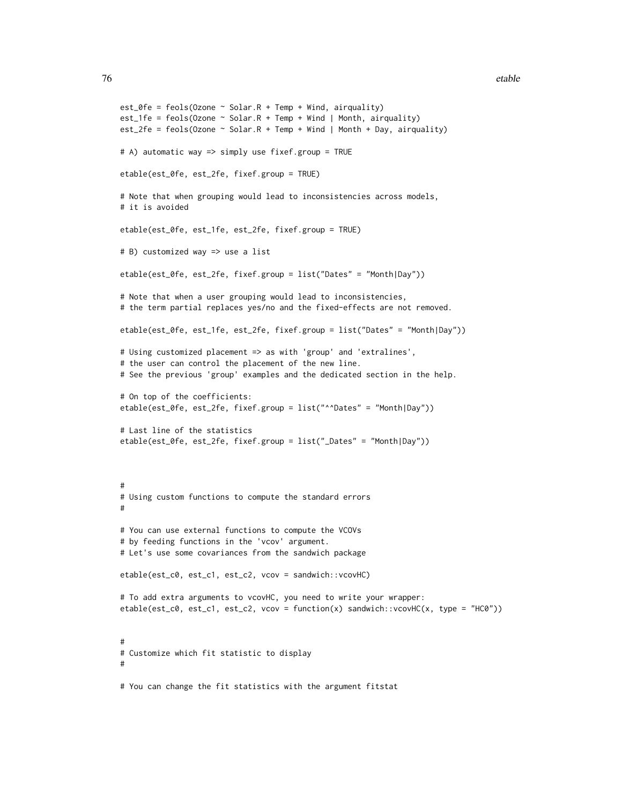```
est_{\text{e}} = feols(0zone \text{~} Solar.R + Temp + Wind, airquality)est_1fe = feols(Ozone \sim Solar.R + Temp + Wind | Month, airquality)
est_2fe = feols(Ozone \sim Solar.R + Temp + Wind | Month + Day, airquality)
# A) automatic way => simply use fixef.group = TRUE
etable(est_0fe, est_2fe, fixef.group = TRUE)
# Note that when grouping would lead to inconsistencies across models,
# it is avoided
etable(est_0fe, est_1fe, est_2fe, fixef.group = TRUE)
# B) customized way => use a list
etable(est_0fe, est_2fe, fixef.group = list("Dates" = "Month|Day"))
# Note that when a user grouping would lead to inconsistencies,
# the term partial replaces yes/no and the fixed-effects are not removed.
etable(est_0fe, est_1fe, est_2fe, fixef.group = list("Dates" = "Month|Day"))
# Using customized placement => as with 'group' and 'extralines',
# the user can control the placement of the new line.
# See the previous 'group' examples and the dedicated section in the help.
# On top of the coefficients:
etable(est_0fe, est_2fe, fixef.group = list("^^Dates" = "Month|Day"))
# Last line of the statistics
etable(est_0fe, est_2fe, fixef.group = list("_Dates" = "Month|Day"))
#
# Using custom functions to compute the standard errors
#
# You can use external functions to compute the VCOVs
# by feeding functions in the 'vcov' argument.
# Let's use some covariances from the sandwich package
etable(est_c0, est_c1, est_c2, vcov = sandwich::vcovHC)
# To add extra arguments to vcovHC, you need to write your wrapper:
etable(est_c0, est_c1, est_c2, vcov = function(x) sandwich::vcovHC(x, type = "HC0"))
#
# Customize which fit statistic to display
#
# You can change the fit statistics with the argument fitstat
```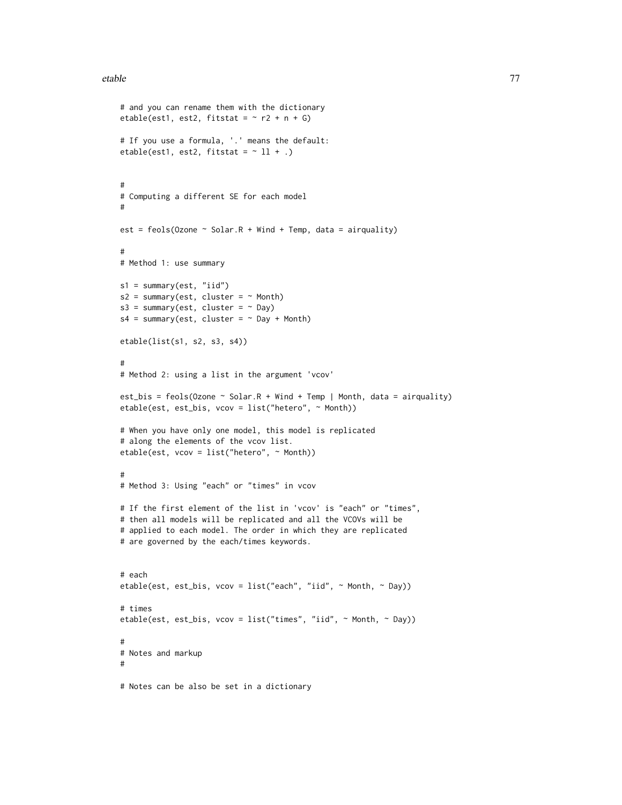#### etable **2008 CONTEXAL EXECUTE 2008 CONTEXAL EXECUTE 2009 CONTEXAL EXECUTE 2009**

```
# and you can rename them with the dictionary
etable(est1, est2, fitstat = ~r r2 + n + G)
# If you use a formula, '.' means the default:
etable(est1, est2, fitstat = ~11 + .)
#
# Computing a different SE for each model
#
est = feols(Ozone \sim Solar.R + Wind + Temp, data = airquality)
#
# Method 1: use summary
s1 = summary(est, "iid")
s2 = summary(est, cluster = ~Month)s3 = summary(est, cluster = ~ Day)s4 = summary(est, cluster = ~Day + Month)etable(list(s1, s2, s3, s4))
#
# Method 2: using a list in the argument 'vcov'
est_bis = feols(Ozone \sim Solar.R + Wind + Temp | Month, data = airquality)
etable(est, est_bis, vcov = list("hetero", ~ Month))
# When you have only one model, this model is replicated
# along the elements of the vcov list.
etable(est, vcov = list("hetero", ~ Month))
#
# Method 3: Using "each" or "times" in vcov
# If the first element of the list in 'vcov' is "each" or "times",
# then all models will be replicated and all the VCOVs will be
# applied to each model. The order in which they are replicated
# are governed by the each/times keywords.
# each
etable(est, est_bis, vcov = list("each", "iid", ~ Month, ~ Day))
# times
etable(est, est_bis, vcov = list("times", "iid", ~ Month, ~ Day))
#
# Notes and markup
#
# Notes can be also be set in a dictionary
```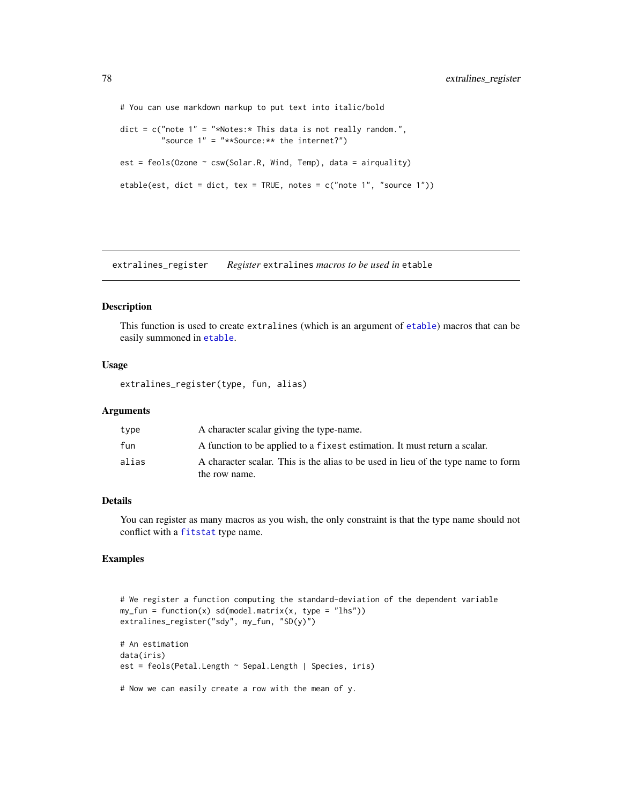```
# You can use markdown markup to put text into italic/bold
dict = c("note 1" = "*Notes: * This data is not really random.""source 1" = "**Source:** the internet?")
est = feols(Ozone ~ csw(Solar.R, Wind, Temp), data = airquality)
etable(est, dict = dict, tex = TRUE, notes = c("note 1", "source 1"))
```
extralines\_register *Register* extralines *macros to be used in* etable

# Description

This function is used to create extralines (which is an argument of [etable](#page-55-0)) macros that can be easily summoned in [etable](#page-55-0).

#### Usage

extralines\_register(type, fun, alias)

#### Arguments

| type  | A character scalar giving the type-name.                                                           |
|-------|----------------------------------------------------------------------------------------------------|
| fun   | A function to be applied to a fixest estimation. It must return a scalar.                          |
| alias | A character scalar. This is the alias to be used in lieu of the type name to form<br>the row name. |
|       |                                                                                                    |

# Details

You can register as many macros as you wish, the only constraint is that the type name should not conflict with a [fitstat](#page-125-0) type name.

# Examples

```
# We register a function computing the standard-deviation of the dependent variable
my_fun = function(x) sd(model.matrix(x, type = "lhs"))extralines_register("sdy", my_fun, "SD(y)")
# An estimation
data(iris)
est = feols(Petal.Length ~ Sepal.Length | Species, iris)
# Now we can easily create a row with the mean of y.
```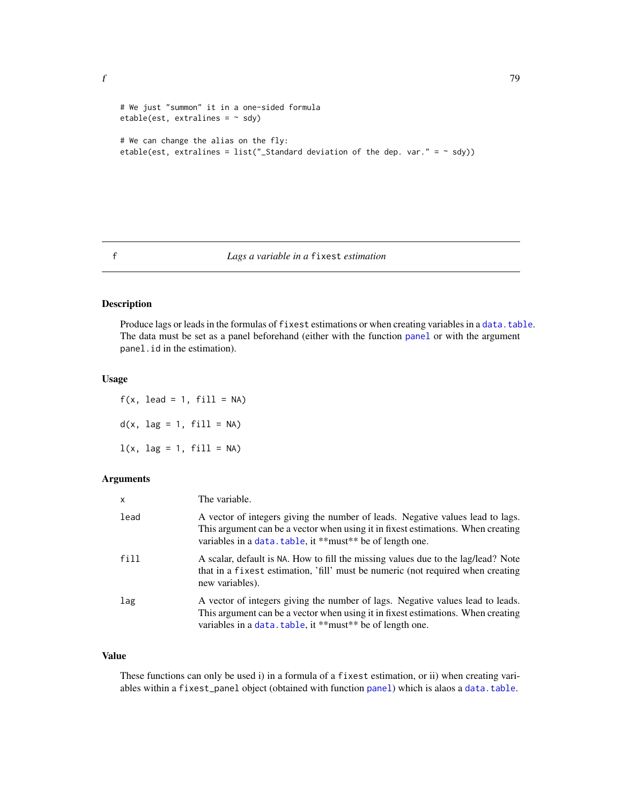f  $\overline{f}$  79

```
# We just "summon" it in a one-sided formula
etable(est, extralines = ~\sim sdy)
# We can change the alias on the fly:
etable(est, extralines = list("_Standard deviation of the dep. var." = \sim sdy))
```
<span id="page-78-1"></span>f *Lags a variable in a* fixest *estimation*

# <span id="page-78-0"></span>Description

Produce lags or leads in the formulas of fixest estimations or when creating variables in a [data.table](#page-0-0). The data must be set as a panel beforehand (either with the function [panel](#page-150-0) or with the argument panel.id in the estimation).

# Usage

 $f(x, \text{lead} = 1, \text{ fill} = NA)$  $d(x, \text{ lag} = 1, \text{ fill} = NA)$  $l(x, \text{ lag} = 1, \text{ fill} = NA)$ 

#### Arguments

| $\mathsf{x}$ | The variable.                                                                                                                                                                                                                   |
|--------------|---------------------------------------------------------------------------------------------------------------------------------------------------------------------------------------------------------------------------------|
| lead         | A vector of integers giving the number of leads. Negative values lead to lags.<br>This argument can be a vector when using it in fixest estimations. When creating<br>variables in a data. table, it **must** be of length one. |
| fill         | A scalar, default is NA. How to fill the missing values due to the lag/lead? Note<br>that in a fixest estimation, 'fill' must be numeric (not required when creating<br>new variables).                                         |
| lag          | A vector of integers giving the number of lags. Negative values lead to leads.<br>This argument can be a vector when using it in fixest estimations. When creating<br>variables in a data. table, it **must** be of length one. |

# Value

These functions can only be used i) in a formula of a fixest estimation, or ii) when creating variables within a fixest\_[panel](#page-150-0) object (obtained with function panel) which is alaos a [data.table](#page-0-0).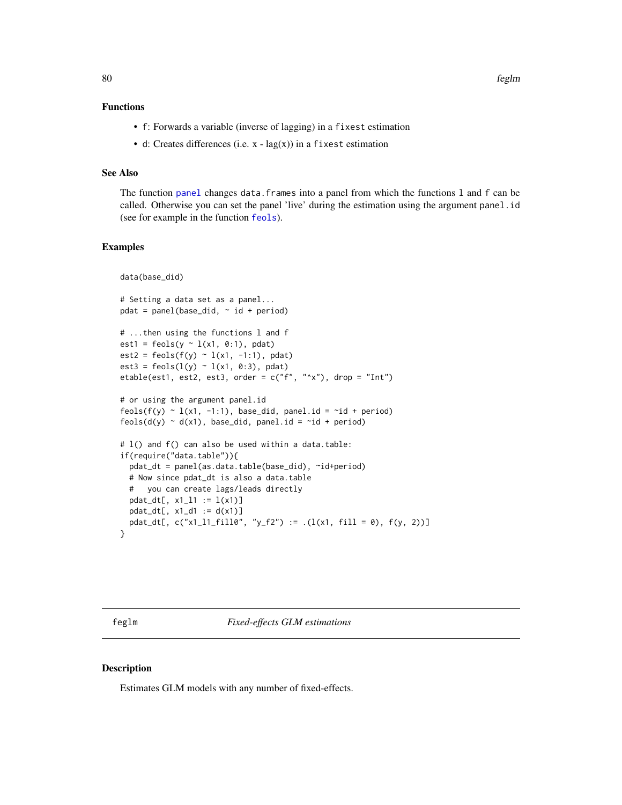# Functions

- f: Forwards a variable (inverse of lagging) in a fixest estimation
- d: Creates differences (i.e.  $x \text{lag}(x)$ ) in a fixest estimation

# See Also

The function [panel](#page-150-0) changes data.frames into a panel from which the functions l and f can be called. Otherwise you can set the panel 'live' during the estimation using the argument panel.id (see for example in the function [feols](#page-112-0)).

# Examples

```
data(base_did)
# Setting a data set as a panel...
pdat = panel(base_did, \sim id + period)
# ...then using the functions l and f
est1 = feols(y \sim 1(x1, 0:1), pdat)
est2 = feols(f(y) ~ 1(x1, -1:1), pdat)est3 = feols(1(y) \sim 1(x1, 0:3), pdat)etable(est1, est2, est3, order = c("f", "^x x"), drop = "Int")
# or using the argument panel.id
feols(f(y) \sim l(x1, -1:1), base_did, panel.id = \simid + period)
feols(d(y) \sim d(x1), base_did, panel.id = \simid + period)
# l() and f() can also be used within a data.table:
if(require("data.table")){
 pdat_dt = panel(as.data.table(base_did), ~id+period)
 # Now since pdat_dt is also a data.table
 # you can create lags/leads directly
 pdat_dt[, x1_l1 := l(x1)]
 pdat_dt[, x1_d1 := d(x1)]pdat_dt[, c("x1_11_fill0", "y_f2") := .(1(x1, fill = 0), f(y, 2))]
}
```
<span id="page-79-0"></span>feglm *Fixed-effects GLM estimations*

### <span id="page-79-1"></span>Description

Estimates GLM models with any number of fixed-effects.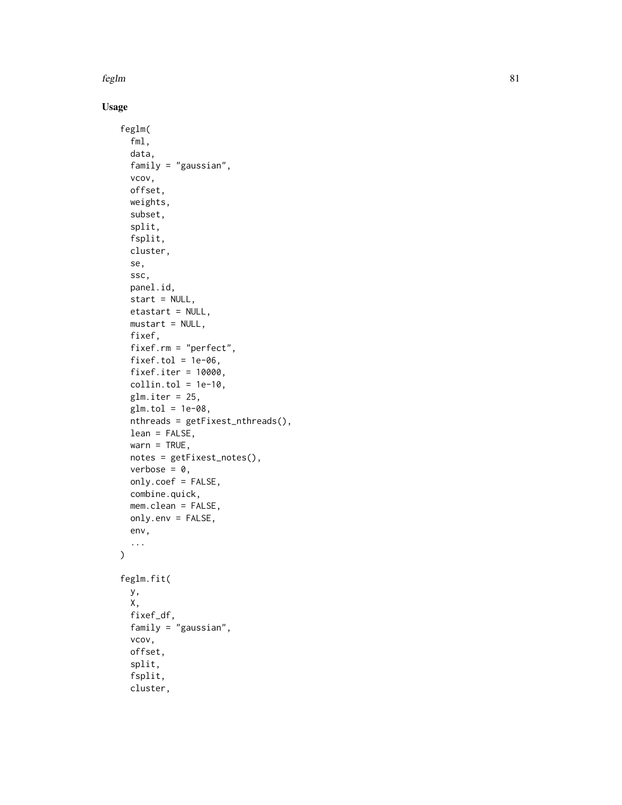# Usage

```
feglm(
  fml,
  data,
  family = "gaussian",
  vcov,
 offset,
 weights,
  subset,
  split,
  fsplit,
  cluster,
  se,
  ssc,
 panel.id,
  start = NULL,
  etastart = NULL,
 mustart = NULL,
  fixef,
  fixef.rm = "perfect",
  fixef.tol = 1e-06,
  fixef.iter = 10000,
  collin.tol = 1e-10,
  glm.iter = 25,
  glm.tol = 1e-08,nthreads = getFixest_nthreads(),
  lean = FALSE,
  warn = TRUE,notes = getFixest_notes(),
  verbose = 0,
  only.coef = FALSE,
  combine.quick,
 mem.clean = FALSE,
 only.env = FALSE,
  env,
  ...
\mathcal{L}feglm.fit(
 y,
 X,
  fixef_df,
  family = "gaussian",
  vcov,
  offset,
  split,
  fsplit,
  cluster,
```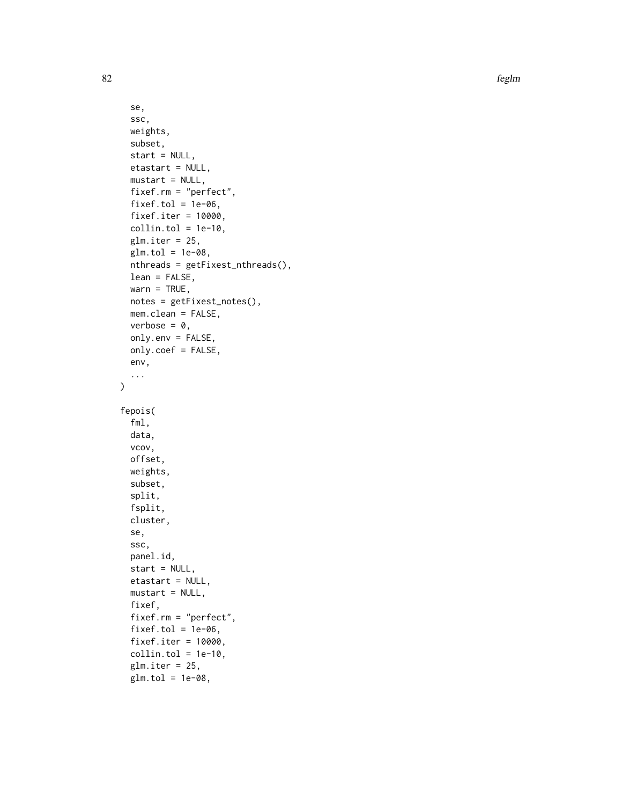```
se,
  ssc,
 weights,
  subset,
  start = NULL,
 etastart = NULL,
 mustart = NULL,fixef.rm = "perfect",
  fixed = 1e-06,
  fixef.iter = 10000,
 collin.tol = 1e-10,glm.iter = 25,glm.tol = 1e-08,
 nthreads = getFixest_nthreads(),
 lean = FALSE,
 warn = TRUE,notes = getFixest_notes(),
 mem.clean = FALSE,
 verbose = 0,
 only.env = FALSE,
 only.coef = FALSE,
 env,
  ...
\mathcal{L}fepois(
  fml,
 data,
 vcov,
 offset,
 weights,
  subset,
  split,
 fsplit,
 cluster,
  se,
  ssc,
 panel.id,
  start = NULL,
 etastart = NULL,
 mustart = NULL,fixef,
  fixef.rm = "perfect",
  fixef.tol = 1e-06,
  fixef.iter = 10000,
  collin.tol = 1e-10,glm.iter = 25,
 glm.tol = 1e-08,
```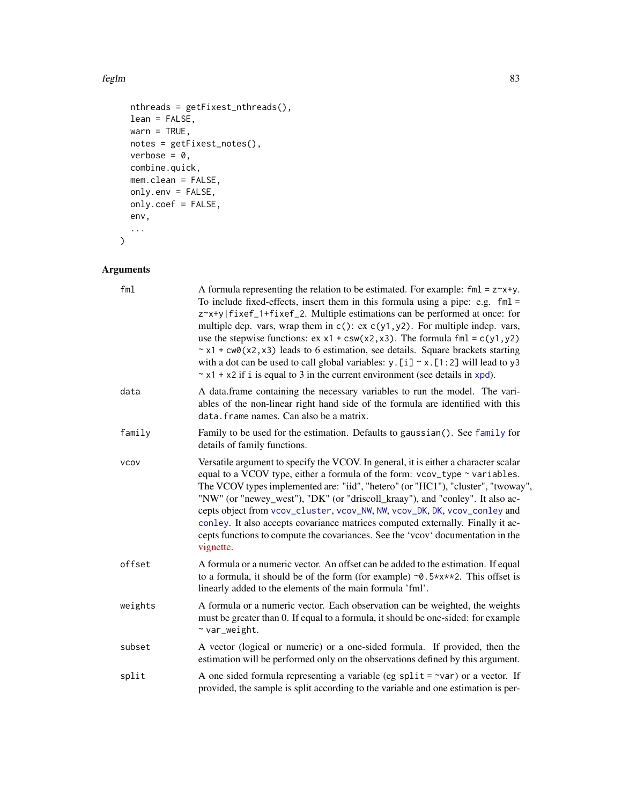```
nthreads = getFixest_nthreads(),
 lean = FALSE,
 warn = TRUE,
 notes = getFixest_notes(),
 verbose = 0,combine.quick,
 mem.clean = FALSE,
 only.env = FALSE,
 only.coef = FALSE,
 env,
  ...
\mathcal{L}
```
# Arguments

| fml         | A formula representing the relation to be estimated. For example: $fml = z \rightarrow x+y$ .<br>To include fixed-effects, insert them in this formula using a pipe: e.g. $fml =$<br>z~x+y fixef_1+fixef_2. Multiple estimations can be performed at once: for<br>multiple dep. vars, wrap them in $c()$ : ex $c(y1, y2)$ . For multiple indep. vars,<br>use the stepwise functions: $ex x1 + csw(x2, x3)$ . The formula fml = $c(y1, y2)$<br>$\sim$ x1 + cw0(x2, x3) leads to 6 estimation, see details. Square brackets starting<br>with a dot can be used to call global variables: $y$ . [i] $\sim x$ . [1:2] will lead to y3<br>$\sim$ x1 + x2 if i is equal to 3 in the current environment (see details in xpd). |
|-------------|-------------------------------------------------------------------------------------------------------------------------------------------------------------------------------------------------------------------------------------------------------------------------------------------------------------------------------------------------------------------------------------------------------------------------------------------------------------------------------------------------------------------------------------------------------------------------------------------------------------------------------------------------------------------------------------------------------------------------|
| data        | A data.frame containing the necessary variables to run the model. The vari-<br>ables of the non-linear right hand side of the formula are identified with this<br>data. frame names. Can also be a matrix.                                                                                                                                                                                                                                                                                                                                                                                                                                                                                                              |
| family      | Family to be used for the estimation. Defaults to gaussian(). See family for<br>details of family functions.                                                                                                                                                                                                                                                                                                                                                                                                                                                                                                                                                                                                            |
| <b>VCOV</b> | Versatile argument to specify the VCOV. In general, it is either a character scalar<br>equal to a VCOV type, either a formula of the form: vcov_type ~ variables.<br>The VCOV types implemented are: "iid", "hetero" (or "HC1"), "cluster", "twoway",<br>"NW" (or "newey_west"), "DK" (or "driscoll_kraay"), and "conley". It also ac-<br>cepts object from vcov_cluster, vcov_NW, NW, vcov_DK, DK, vcov_conley and<br>conley. It also accepts covariance matrices computed externally. Finally it ac-<br>cepts functions to compute the covariances. See the 'vcov' documentation in the<br>vignette.                                                                                                                  |
| offset      | A formula or a numeric vector. An offset can be added to the estimation. If equal<br>to a formula, it should be of the form (for example) $\sim 0.5 \times x \times 2$ . This offset is<br>linearly added to the elements of the main formula 'fml'.                                                                                                                                                                                                                                                                                                                                                                                                                                                                    |
| weights     | A formula or a numeric vector. Each observation can be weighted, the weights<br>must be greater than 0. If equal to a formula, it should be one-sided: for example<br>$~\sim$ var_weight.                                                                                                                                                                                                                                                                                                                                                                                                                                                                                                                               |
| subset      | A vector (logical or numeric) or a one-sided formula. If provided, then the<br>estimation will be performed only on the observations defined by this argument.                                                                                                                                                                                                                                                                                                                                                                                                                                                                                                                                                          |
| split       | A one sided formula representing a variable (eg split = $\sim$ var) or a vector. If<br>provided, the sample is split according to the variable and one estimation is per-                                                                                                                                                                                                                                                                                                                                                                                                                                                                                                                                               |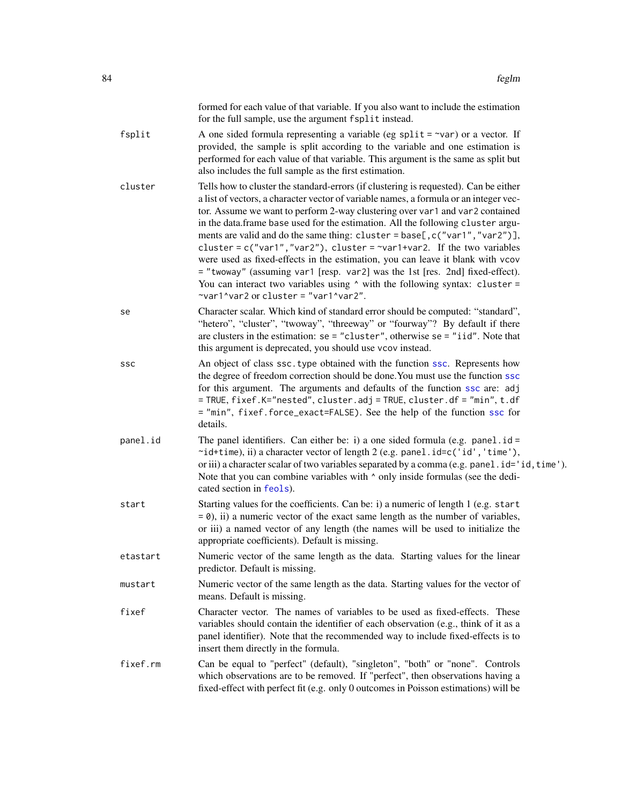|          | formed for each value of that variable. If you also want to include the estimation<br>for the full sample, use the argument fsplit instead.                                                                                                                                                                                                                                                                                                                                                                                                                                                                                                                                                                                                                                                                       |
|----------|-------------------------------------------------------------------------------------------------------------------------------------------------------------------------------------------------------------------------------------------------------------------------------------------------------------------------------------------------------------------------------------------------------------------------------------------------------------------------------------------------------------------------------------------------------------------------------------------------------------------------------------------------------------------------------------------------------------------------------------------------------------------------------------------------------------------|
| fsplit   | A one sided formula representing a variable (eg split = $\sim$ var) or a vector. If<br>provided, the sample is split according to the variable and one estimation is<br>performed for each value of that variable. This argument is the same as split but<br>also includes the full sample as the first estimation.                                                                                                                                                                                                                                                                                                                                                                                                                                                                                               |
| cluster  | Tells how to cluster the standard-errors (if clustering is requested). Can be either<br>a list of vectors, a character vector of variable names, a formula or an integer vec-<br>tor. Assume we want to perform 2-way clustering over var1 and var2 contained<br>in the data.frame base used for the estimation. All the following cluster argu-<br>ments are valid and do the same thing: cluster = base[, c("var1", "var2")],<br>cluster = $c("var1", "var2"),$ cluster = $\sim$ var1+var2. If the two variables<br>were used as fixed-effects in the estimation, you can leave it blank with vcov<br>= "twoway" (assuming var1 [resp. var2] was the 1st [res. 2nd] fixed-effect).<br>You can interact two variables using $\land$ with the following syntax: cluster =<br>~var1^var2 or cluster = "var1^var2". |
| se       | Character scalar. Which kind of standard error should be computed: "standard",<br>"hetero", "cluster", "twoway", "threeway" or "fourway"? By default if there<br>are clusters in the estimation: $se = "cluster",$ otherwise $se = "iid".$ Note that<br>this argument is deprecated, you should use vcov instead.                                                                                                                                                                                                                                                                                                                                                                                                                                                                                                 |
| SSC      | An object of class ssc. type obtained with the function ssc. Represents how<br>the degree of freedom correction should be done. You must use the function ssc<br>for this argument. The arguments and defaults of the function ssc are: adj<br>= TRUE, fixef.K="nested", cluster.adj = TRUE, cluster.df = "min", t.df<br>= "min", fixef.force_exact=FALSE). See the help of the function ssc for<br>details.                                                                                                                                                                                                                                                                                                                                                                                                      |
| panel.id | The panel identifiers. Can either be: i) a one sided formula (e.g. panel $id =$<br>~id+time), ii) a character vector of length 2 (e.g. panel.id=c('id','time'),<br>or iii) a character scalar of two variables separated by a comma (e.g. panel.id='id, time').<br>Note that you can combine variables with $\wedge$ only inside formulas (see the dedi-<br>cated section in feols).                                                                                                                                                                                                                                                                                                                                                                                                                              |
| start    | Starting values for the coefficients. Can be: i) a numeric of length 1 (e.g. start<br>$= 0$ , ii) a numeric vector of the exact same length as the number of variables,<br>or iii) a named vector of any length (the names will be used to initialize the<br>appropriate coefficients). Default is missing.                                                                                                                                                                                                                                                                                                                                                                                                                                                                                                       |
| etastart | Numeric vector of the same length as the data. Starting values for the linear<br>predictor. Default is missing.                                                                                                                                                                                                                                                                                                                                                                                                                                                                                                                                                                                                                                                                                                   |
| mustart  | Numeric vector of the same length as the data. Starting values for the vector of<br>means. Default is missing.                                                                                                                                                                                                                                                                                                                                                                                                                                                                                                                                                                                                                                                                                                    |
| fixef    | Character vector. The names of variables to be used as fixed-effects. These<br>variables should contain the identifier of each observation (e.g., think of it as a<br>panel identifier). Note that the recommended way to include fixed-effects is to<br>insert them directly in the formula.                                                                                                                                                                                                                                                                                                                                                                                                                                                                                                                     |
| fixef.rm | Can be equal to "perfect" (default), "singleton", "both" or "none". Controls<br>which observations are to be removed. If "perfect", then observations having a<br>fixed-effect with perfect fit (e.g. only 0 outcomes in Poisson estimations) will be                                                                                                                                                                                                                                                                                                                                                                                                                                                                                                                                                             |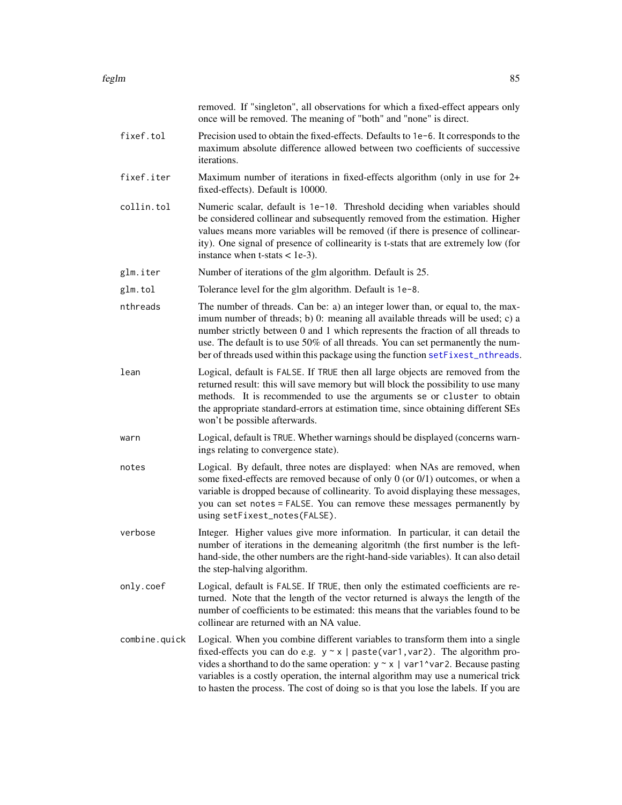|               | removed. If "singleton", all observations for which a fixed-effect appears only<br>once will be removed. The meaning of "both" and "none" is direct.                                                                                                                                                                                                                                                                                 |
|---------------|--------------------------------------------------------------------------------------------------------------------------------------------------------------------------------------------------------------------------------------------------------------------------------------------------------------------------------------------------------------------------------------------------------------------------------------|
| fixef.tol     | Precision used to obtain the fixed-effects. Defaults to 1e-6. It corresponds to the<br>maximum absolute difference allowed between two coefficients of successive<br>iterations.                                                                                                                                                                                                                                                     |
| fixef.iter    | Maximum number of iterations in fixed-effects algorithm (only in use for 2+<br>fixed-effects). Default is 10000.                                                                                                                                                                                                                                                                                                                     |
| collin.tol    | Numeric scalar, default is 1e-10. Threshold deciding when variables should<br>be considered collinear and subsequently removed from the estimation. Higher<br>values means more variables will be removed (if there is presence of collinear-<br>ity). One signal of presence of collinearity is t-stats that are extremely low (for<br>instance when $t$ -stats $<$ 1e-3).                                                          |
| glm.iter      | Number of iterations of the glm algorithm. Default is 25.                                                                                                                                                                                                                                                                                                                                                                            |
| glm.tol       | Tolerance level for the glm algorithm. Default is 1e-8.                                                                                                                                                                                                                                                                                                                                                                              |
| nthreads      | The number of threads. Can be: a) an integer lower than, or equal to, the max-<br>imum number of threads; b) 0: meaning all available threads will be used; c) a<br>number strictly between 0 and 1 which represents the fraction of all threads to<br>use. The default is to use 50% of all threads. You can set permanently the num-<br>ber of threads used within this package using the function setFixest_nthreads.             |
| lean          | Logical, default is FALSE. If TRUE then all large objects are removed from the<br>returned result: this will save memory but will block the possibility to use many<br>methods. It is recommended to use the arguments se or cluster to obtain<br>the appropriate standard-errors at estimation time, since obtaining different SEs<br>won't be possible afterwards.                                                                 |
| warn          | Logical, default is TRUE. Whether warnings should be displayed (concerns warn-<br>ings relating to convergence state).                                                                                                                                                                                                                                                                                                               |
| notes         | Logical. By default, three notes are displayed: when NAs are removed, when<br>some fixed-effects are removed because of only $0$ (or $0/1$ ) outcomes, or when a<br>variable is dropped because of collinearity. To avoid displaying these messages,<br>you can set notes = FALSE. You can remove these messages permanently by<br>using setFixest_notes(FALSE).                                                                     |
| verbose       | Integer. Higher values give more information. In particular, it can detail the<br>number of iterations in the demeaning algoritmh (the first number is the left-<br>hand-side, the other numbers are the right-hand-side variables). It can also detail<br>the step-halving algorithm.                                                                                                                                               |
| only.coef     | Logical, default is FALSE. If TRUE, then only the estimated coefficients are re-<br>turned. Note that the length of the vector returned is always the length of the<br>number of coefficients to be estimated: this means that the variables found to be<br>collinear are returned with an NA value.                                                                                                                                 |
| combine.quick | Logical. When you combine different variables to transform them into a single<br>fixed-effects you can do e.g. $y \sim x$   paste(var1, var2). The algorithm pro-<br>vides a shorthand to do the same operation: $y \sim x$   var1^var2. Because pasting<br>variables is a costly operation, the internal algorithm may use a numerical trick<br>to hasten the process. The cost of doing so is that you lose the labels. If you are |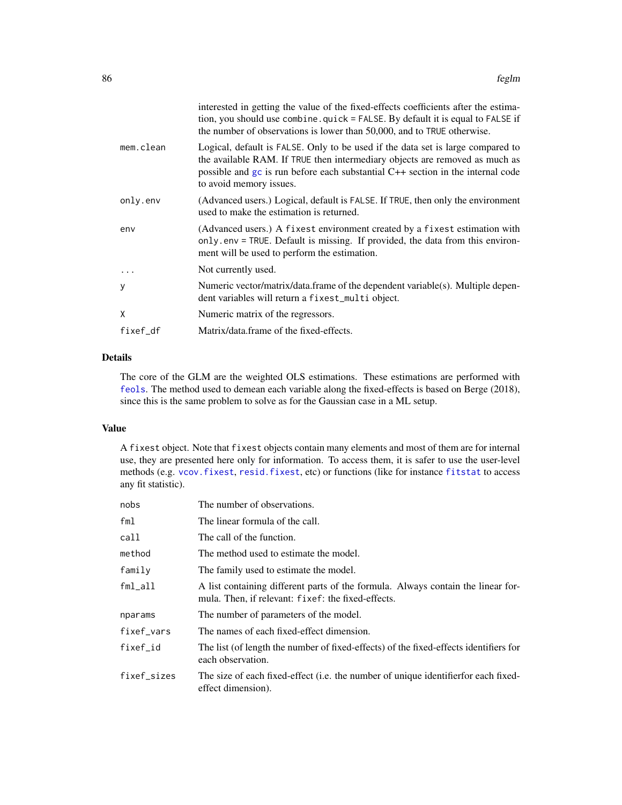|           | interested in getting the value of the fixed-effects coefficients after the estima-<br>tion, you should use combine. quick = FALSE. By default it is equal to FALSE if<br>the number of observations is lower than 50,000, and to TRUE otherwise.                                |
|-----------|----------------------------------------------------------------------------------------------------------------------------------------------------------------------------------------------------------------------------------------------------------------------------------|
| mem.clean | Logical, default is FALSE. Only to be used if the data set is large compared to<br>the available RAM. If TRUE then intermediary objects are removed as much as<br>possible and $gc$ is run before each substantial $C++$ section in the internal code<br>to avoid memory issues. |
| only.env  | (Advanced users.) Logical, default is FALSE. If TRUE, then only the environment<br>used to make the estimation is returned.                                                                                                                                                      |
| env       | (Advanced users.) A fixest environment created by a fixest estimation with<br>only env = TRUE. Default is missing. If provided, the data from this environ-<br>ment will be used to perform the estimation.                                                                      |
| .         | Not currently used.                                                                                                                                                                                                                                                              |
| y         | Numeric vector/matrix/data.frame of the dependent variable(s). Multiple depen-<br>dent variables will return a fixest_multi object.                                                                                                                                              |
| X         | Numeric matrix of the regressors.                                                                                                                                                                                                                                                |
| fixef_df  | Matrix/data.frame of the fixed-effects.                                                                                                                                                                                                                                          |

# Details

The core of the GLM are the weighted OLS estimations. These estimations are performed with [feols](#page-112-0). The method used to demean each variable along the fixed-effects is based on Berge (2018), since this is the same problem to solve as for the Gaussian case in a ML setup.

#### Value

A fixest object. Note that fixest objects contain many elements and most of them are for internal use, they are presented here only for information. To access them, it is safer to use the user-level methods (e.g. [vcov.fixest](#page-214-0), [resid.fixest](#page-166-0), etc) or functions (like for instance [fitstat](#page-125-0) to access any fit statistic).

| nobs        | The number of observations.                                                                                                            |
|-------------|----------------------------------------------------------------------------------------------------------------------------------------|
| fml         | The linear formula of the call.                                                                                                        |
| call        | The call of the function.                                                                                                              |
| method      | The method used to estimate the model.                                                                                                 |
| family      | The family used to estimate the model.                                                                                                 |
| $fml$ _all  | A list containing different parts of the formula. Always contain the linear for-<br>mula. Then, if relevant: fixef: the fixed-effects. |
| nparams     | The number of parameters of the model.                                                                                                 |
| fixef vars  | The names of each fixed-effect dimension.                                                                                              |
| fixef_id    | The list (of length the number of fixed-effects) of the fixed-effects identifiers for<br>each observation.                             |
| fixef_sizes | The size of each fixed-effect (i.e. the number of unique identifier for each fixed-<br>effect dimension).                              |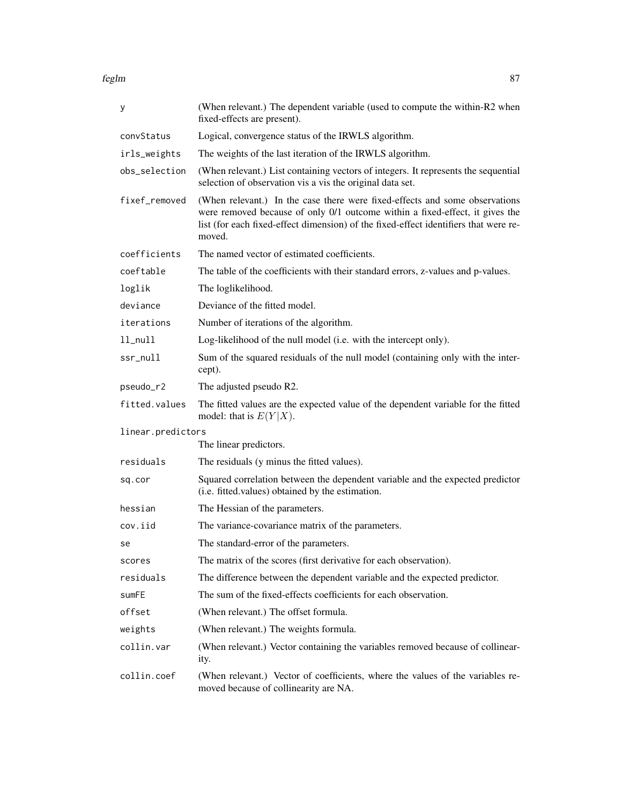| у                 | (When relevant.) The dependent variable (used to compute the within-R2 when<br>fixed-effects are present).                                                                                                                                                    |
|-------------------|---------------------------------------------------------------------------------------------------------------------------------------------------------------------------------------------------------------------------------------------------------------|
| convStatus        | Logical, convergence status of the IRWLS algorithm.                                                                                                                                                                                                           |
| irls_weights      | The weights of the last iteration of the IRWLS algorithm.                                                                                                                                                                                                     |
| obs_selection     | (When relevant.) List containing vectors of integers. It represents the sequential<br>selection of observation vis a vis the original data set.                                                                                                               |
| fixef_removed     | (When relevant.) In the case there were fixed-effects and some observations<br>were removed because of only 0/1 outcome within a fixed-effect, it gives the<br>list (for each fixed-effect dimension) of the fixed-effect identifiers that were re-<br>moved. |
| coefficients      | The named vector of estimated coefficients.                                                                                                                                                                                                                   |
| coeftable         | The table of the coefficients with their standard errors, z-values and p-values.                                                                                                                                                                              |
| loglik            | The loglikelihood.                                                                                                                                                                                                                                            |
| deviance          | Deviance of the fitted model.                                                                                                                                                                                                                                 |
| iterations        | Number of iterations of the algorithm.                                                                                                                                                                                                                        |
| $11$ _nu $11$     | Log-likelihood of the null model (i.e. with the intercept only).                                                                                                                                                                                              |
| ssr_null          | Sum of the squared residuals of the null model (containing only with the inter-<br>cept).                                                                                                                                                                     |
| pseudo_r2         | The adjusted pseudo R2.                                                                                                                                                                                                                                       |
| fitted.values     | The fitted values are the expected value of the dependent variable for the fitted<br>model: that is $E(Y X)$ .                                                                                                                                                |
| linear.predictors |                                                                                                                                                                                                                                                               |
|                   | The linear predictors.                                                                                                                                                                                                                                        |
| residuals         | The residuals (y minus the fitted values).                                                                                                                                                                                                                    |
| sq.cor            | Squared correlation between the dependent variable and the expected predictor<br>(i.e. fitted values) obtained by the estimation.                                                                                                                             |
| hessian           | The Hessian of the parameters.                                                                                                                                                                                                                                |
| cov.iid           | The variance-covariance matrix of the parameters.                                                                                                                                                                                                             |
| se                | The standard-error of the parameters.                                                                                                                                                                                                                         |
| scores            | The matrix of the scores (first derivative for each observation).                                                                                                                                                                                             |
| residuals         | The difference between the dependent variable and the expected predictor.                                                                                                                                                                                     |
| sumFE             | The sum of the fixed-effects coefficients for each observation.                                                                                                                                                                                               |
| offset            | (When relevant.) The offset formula.                                                                                                                                                                                                                          |
| weights           | (When relevant.) The weights formula.                                                                                                                                                                                                                         |
| collin.var        | (When relevant.) Vector containing the variables removed because of collinear-                                                                                                                                                                                |
|                   | ity.                                                                                                                                                                                                                                                          |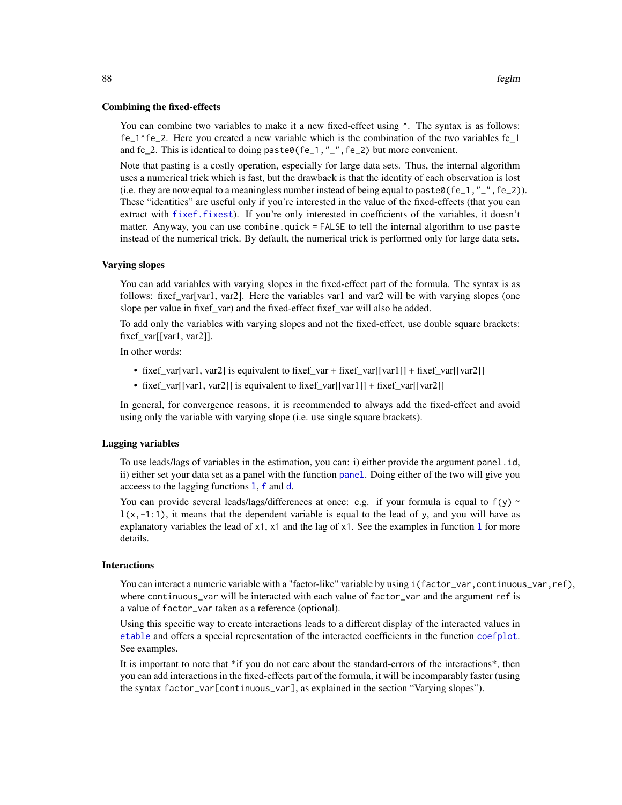#### Combining the fixed-effects

You can combine two variables to make it a new fixed-effect using  $\lambda$ . The syntax is as follows: fe\_1^fe\_2. Here you created a new variable which is the combination of the two variables fe\_1 and fe\_2. This is identical to doing paste0(fe\_1,"\_", fe\_2) but more convenient.

Note that pasting is a costly operation, especially for large data sets. Thus, the internal algorithm uses a numerical trick which is fast, but the drawback is that the identity of each observation is lost (i.e. they are now equal to a meaningless number instead of being equal to paste $\theta$ (fe\_1, "\_", fe\_2)). These "identities" are useful only if you're interested in the value of the fixed-effects (that you can extract with [fixef.fixest](#page-132-0)). If you're only interested in coefficients of the variables, it doesn't matter. Anyway, you can use combine.quick  $=$  FALSE to tell the internal algorithm to use paste instead of the numerical trick. By default, the numerical trick is performed only for large data sets.

# Varying slopes

You can add variables with varying slopes in the fixed-effect part of the formula. The syntax is as follows: fixef\_var[var1, var2]. Here the variables var1 and var2 will be with varying slopes (one slope per value in fixef var) and the fixed-effect fixef var will also be added.

To add only the variables with varying slopes and not the fixed-effect, use double square brackets: fixef\_var[[var1, var2]].

In other words:

- fixef\_var[var1, var2] is equivalent to fixef\_var + fixef\_var[[var1]] + fixef\_var[[var2]]
- fixef\_var[[var1, var2]] is equivalent to fixef\_var[[var1]] + fixef\_var[[var2]]

In general, for convergence reasons, it is recommended to always add the fixed-effect and avoid using only the variable with varying slope (i.e. use single square brackets).

#### Lagging variables

To use leads/lags of variables in the estimation, you can: i) either provide the argument panel.id, ii) either set your data set as a panel with the function [panel](#page-150-0). Doing either of the two will give you acceess to the lagging functions [l](#page-78-0), [f](#page-78-1) and [d](#page-78-0).

You can provide several leads/lags/differences at once: e.g. if your formula is equal to  $f(y)$  ~  $l(x,-1:1)$ , it means that the dependent variable is equal to the lead of y, and you will have as exp[l](#page-78-0)anatory variables the lead of  $x1$ ,  $x1$  and the lag of  $x1$ . See the examples in function 1 for more details.

#### Interactions

You can interact a numeric variable with a "factor-like" variable by using i(factor\_var,continuous\_var,ref), where continuous\_var will be interacted with each value of factor\_var and the argument ref is a value of factor\_var taken as a reference (optional).

Using this specific way to create interactions leads to a different display of the interacted values in [etable](#page-55-0) and offers a special representation of the interacted coefficients in the function [coefplot](#page-18-0). See examples.

It is important to note that \*if you do not care about the standard-errors of the interactions\*, then you can add interactions in the fixed-effects part of the formula, it will be incomparably faster (using the syntax factor\_var[continuous\_var], as explained in the section "Varying slopes").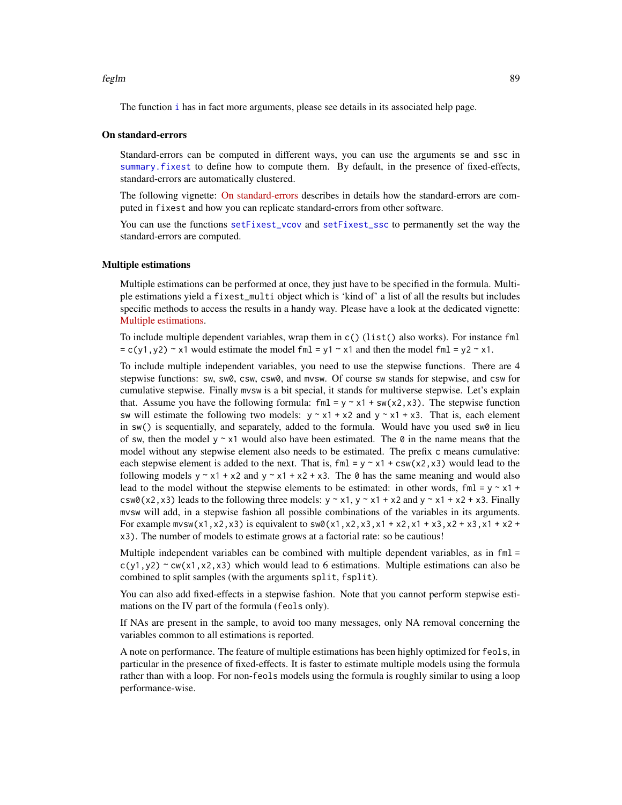The function [i](#page-136-0) has in fact more arguments, please see details in its associated help page.

#### On standard-errors

Standard-errors can be computed in different ways, you can use the arguments se and ssc in [summary.fixest](#page-197-0) to define how to compute them. By default, in the presence of fixed-effects, standard-errors are automatically clustered.

The following vignette: [On standard-errors](https://lrberge.github.io/fixest/articles/standard_errors.html) describes in details how the standard-errors are computed in fixest and how you can replicate standard-errors from other software.

You can use the functions [setFixest\\_vcov](#page-184-0) and [setFixest\\_ssc](#page-186-1) to permanently set the way the standard-errors are computed.

#### Multiple estimations

Multiple estimations can be performed at once, they just have to be specified in the formula. Multiple estimations yield a fixest\_multi object which is 'kind of' a list of all the results but includes specific methods to access the results in a handy way. Please have a look at the dedicated vignette: [Multiple estimations.](https://lrberge.github.io/fixest/articles/multiple_estimations.html)

To include multiple dependent variables, wrap them in  $c()$  (list() also works). For instance fml  $= c(y1, y2)$  ~ x1 would estimate the model fml = y1 ~ x1 and then the model fml = y2 ~ x1.

To include multiple independent variables, you need to use the stepwise functions. There are 4 stepwise functions: sw, sw0, csw, csw0, and mvsw. Of course sw stands for stepwise, and csw for cumulative stepwise. Finally mvsw is a bit special, it stands for multiverse stepwise. Let's explain that. Assume you have the following formula: fml =  $y \sim x1 + sw(x2, x3)$ . The stepwise function sw will estimate the following two models:  $y \sim x1 + x2$  and  $y \sim x1 + x3$ . That is, each element in  $sw()$  is sequentially, and separately, added to the formula. Would have you used  $sw0$  in lieu of sw, then the model  $y \sim x1$  would also have been estimated. The 0 in the name means that the model without any stepwise element also needs to be estimated. The prefix c means cumulative: each stepwise element is added to the next. That is,  $fml = y \approx x1 + csw(x2, x3)$  would lead to the following models  $y \sim x1 + x2$  and  $y \sim x1 + x2 + x3$ . The 0 has the same meaning and would also lead to the model without the stepwise elements to be estimated: in other words,  $\text{fm1} = y \approx x1 +$ csw0(x2,x3) leads to the following three models:  $y \sim x1$ ,  $y \sim x1 + x2$  and  $y \sim x1 + x2 + x3$ . Finally mvsw will add, in a stepwise fashion all possible combinations of the variables in its arguments. For example mvsw(x1,x2,x3) is equivalent to sw0(x1,x2,x3,x1 + x2,x1 + x3,x2 + x3,x1 + x2 + x3). The number of models to estimate grows at a factorial rate: so be cautious!

Multiple independent variables can be combined with multiple dependent variables, as in fml =  $c(y1,y2)$  ~ cw(x1,x2,x3) which would lead to 6 estimations. Multiple estimations can also be combined to split samples (with the arguments split, fsplit).

You can also add fixed-effects in a stepwise fashion. Note that you cannot perform stepwise estimations on the IV part of the formula (feols only).

If NAs are present in the sample, to avoid too many messages, only NA removal concerning the variables common to all estimations is reported.

A note on performance. The feature of multiple estimations has been highly optimized for feols, in particular in the presence of fixed-effects. It is faster to estimate multiple models using the formula rather than with a loop. For non-feols models using the formula is roughly similar to using a loop performance-wise.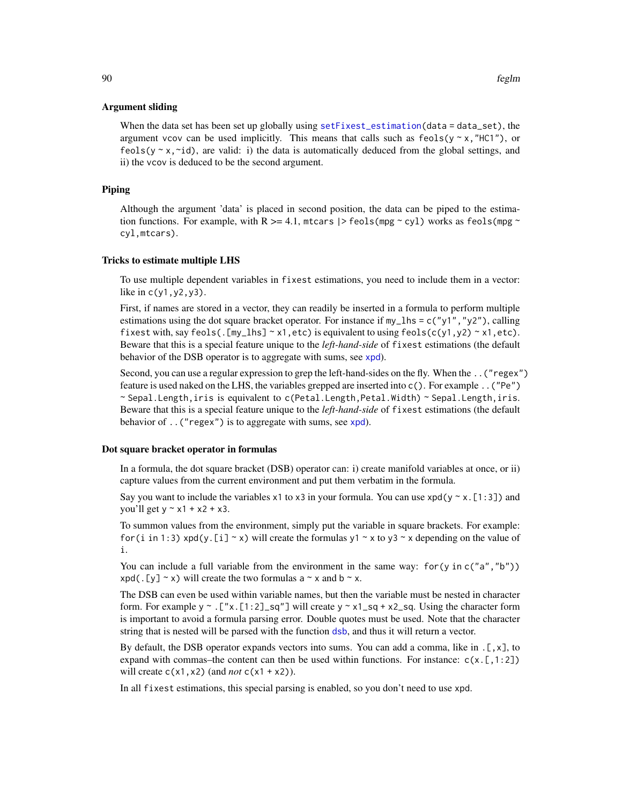#### Argument sliding

When the data set has been set up globally using [setFixest\\_estimation\(](#page-176-0)data = data\_set), the argument vcov can be used implicitly. This means that calls such as  $feols(y \sim x, "HCl")$ , or feols( $y \sim x$ , $\sim$ id), are valid: i) the data is automatically deduced from the global settings, and ii) the vcov is deduced to be the second argument.

# Piping

Although the argument 'data' is placed in second position, the data can be piped to the estimation functions. For example, with R  $>= 4.1$ , mtcars  $|$ > feols(mpg ~ cyl) works as feols(mpg ~ cyl,mtcars).

#### Tricks to estimate multiple LHS

To use multiple dependent variables in fixest estimations, you need to include them in a vector: like in  $c(y1, y2, y3)$ .

First, if names are stored in a vector, they can readily be inserted in a formula to perform multiple estimations using the dot square bracket operator. For instance if  $my_l$  hs = c("y1","y2"), calling fixest with, say feols(.[my\_lhs]  $\sim$  x1, etc) is equivalent to using feols(c(y1,y2)  $\sim$  x1, etc). Beware that this is a special feature unique to the *left-hand-side* of fixest estimations (the default behavior of the DSB operator is to aggregate with sums, see [xpd](#page-228-0)).

Second, you can use a regular expression to grep the left-hand-sides on the fly. When the ..("regex") feature is used naked on the LHS, the variables grepped are inserted into c(). For example ..("Pe") ~ Sepal.Length,iris is equivalent to c(Petal.Length,Petal.Width) ~ Sepal.Length,iris. Beware that this is a special feature unique to the *left-hand-side* of fixest estimations (the default behavior of ..("regex") is to aggregate with sums, see [xpd](#page-228-0)).

#### Dot square bracket operator in formulas

In a formula, the dot square bracket (DSB) operator can: i) create manifold variables at once, or ii) capture values from the current environment and put them verbatim in the formula.

Say you want to include the variables  $x1$  to  $x3$  in your formula. You can use  $xpd(y \sim x.[1:3])$  and you'll get  $y \sim x1 + x2 + x3$ .

To summon values from the environment, simply put the variable in square brackets. For example: for (i in 1:3) xpd(y.[i] ~ x) will create the formulas y1 ~ x to y3 ~ x depending on the value of i.

You can include a full variable from the environment in the same way: for (y in c("a", "b"))  $xpd(. [y] \sim x)$  will create the two formulas a  $\sim x$  and b  $\sim x$ .

The DSB can even be used within variable names, but then the variable must be nested in character form. For example y  $\sim$  . ["x. [1:2]\_sq"] will create y  $\sim$  x1\_sq + x2\_sq. Using the character form is important to avoid a formula parsing error. Double quotes must be used. Note that the character string that is nested will be parsed with the function [dsb](#page-44-0), and thus it will return a vector.

By default, the DSB operator expands vectors into sums. You can add a comma, like in  $[\, , x]$ , to expand with commas–the content can then be used within functions. For instance:  $c(x, [1:2])$ will create  $c(x1, x2)$  (and *not*  $c(x1 + x2)$ ).

In all fixest estimations, this special parsing is enabled, so you don't need to use xpd.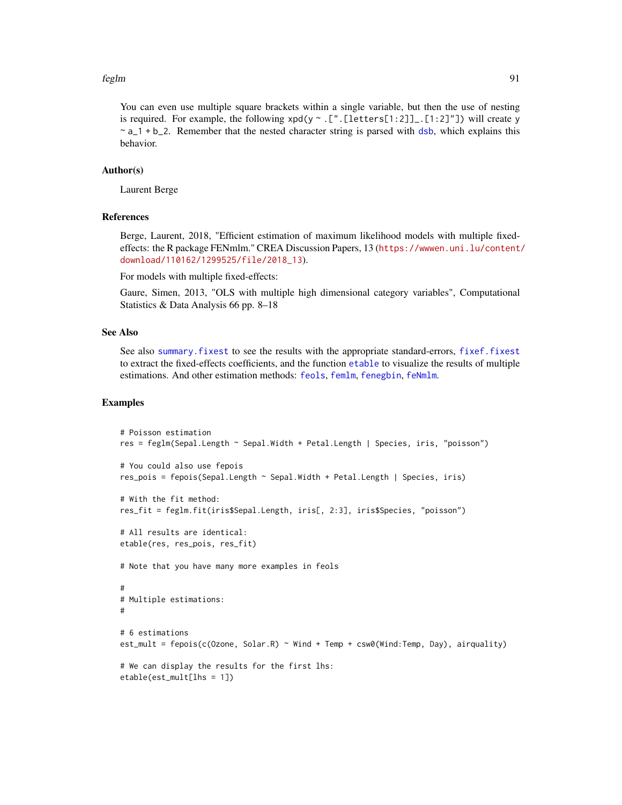You can even use multiple square brackets within a single variable, but then the use of nesting is required. For example, the following  $xpd(y \sim .[7..[letters[1:2]]-.[1:2]"])$  will create y  $\sim a_1 + b_2$ . Remember that the nested character string is parsed with [dsb](#page-44-0), which explains this behavior.

# Author(s)

Laurent Berge

#### References

Berge, Laurent, 2018, "Efficient estimation of maximum likelihood models with multiple fixedeffects: the R package FENmlm." CREA Discussion Papers, 13 ([https://wwwen.uni.lu/content/](https://wwwen.uni.lu/content/download/110162/1299525/file/2018_13) [download/110162/1299525/file/2018\\_13](https://wwwen.uni.lu/content/download/110162/1299525/file/2018_13)).

For models with multiple fixed-effects:

Gaure, Simen, 2013, "OLS with multiple high dimensional category variables", Computational Statistics & Data Analysis 66 pp. 8–18

# See Also

See also [summary.fixest](#page-197-0) to see the results with the appropriate standard-errors, [fixef.fixest](#page-132-0) to extract the fixed-effects coefficients, and the function [etable](#page-55-0) to visualize the results of multiple estimations. And other estimation methods: [feols](#page-112-0), [femlm](#page-91-0), [fenegbin](#page-91-1), [feNmlm](#page-101-0).

#### Examples

```
# Poisson estimation
res = feglm(Sepal.Length ~ Sepal.Width + Petal.Length | Species, iris, "poisson")
# You could also use fepois
res_pois = fepois(Sepal.Length ~ Sepal.Width + Petal.Length | Species, iris)
# With the fit method:
res_fit = feglm.fit(iris$Sepal.Length, iris[, 2:3], iris$Species, "poisson")
# All results are identical:
etable(res, res_pois, res_fit)
# Note that you have many more examples in feols
#
# Multiple estimations:
#
# 6 estimations
est_mult = fepois(c(Ozone, Solar.R) ~ Wind + Temp + csw0(Wind:Temp, Day), airquality)
# We can display the results for the first lhs:
etable(est_mult[lhs = 1])
```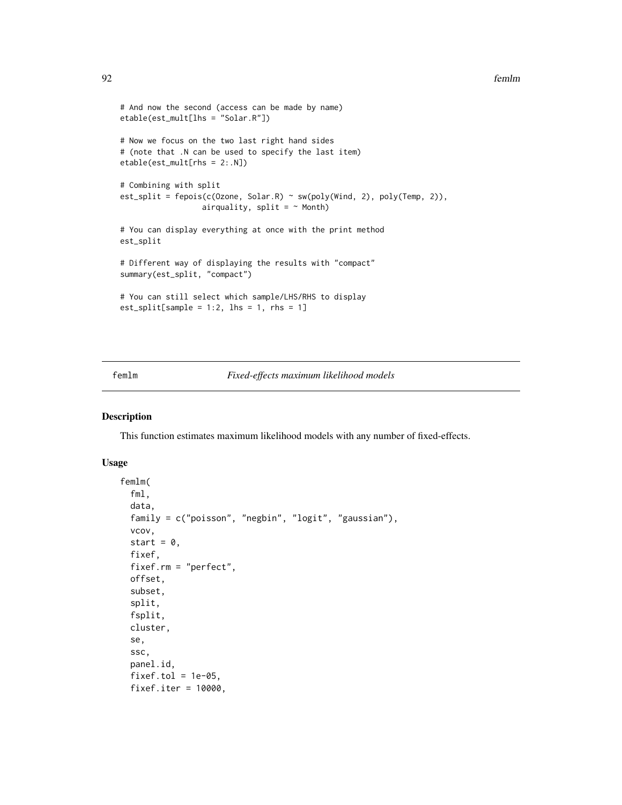```
# And now the second (access can be made by name)
etable(est_mult[lhs = "Solar.R"])
# Now we focus on the two last right hand sides
# (note that .N can be used to specify the last item)
etable(est_mult[rhs = 2:.N])
# Combining with split
est_split = fepois(c(Ozone, Solar.R) ~ sw(poly(Wind, 2), poly(Temp, 2)),
                  airquality, split = ~\sim Month)
# You can display everything at once with the print method
est_split
# Different way of displaying the results with "compact"
summary(est_split, "compact")
# You can still select which sample/LHS/RHS to display
est\_split[sample = 1:2, 1hs = 1, rhs = 1]
```
# <span id="page-91-0"></span>femlm *Fixed-effects maximum likelihood models*

### <span id="page-91-1"></span>Description

This function estimates maximum likelihood models with any number of fixed-effects.

#### Usage

```
femlm(
  fml,
  data,
  family = c("poisson", "negbin", "logit", "gaussian"),
  vcov,
  start = 0,
  fixef,
  fixef.rm = "perfect",
  offset,
  subset,
  split,
  fsplit,
  cluster,
  se,
  ssc,
 panel.id,
  fixef.tol = 1e-05,
  fixef.iter = 10000,
```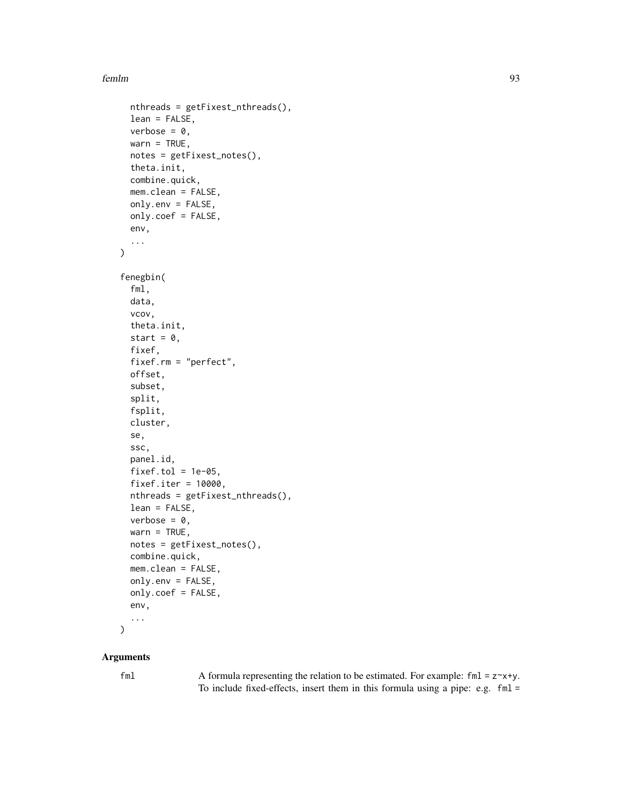```
nthreads = getFixest_nthreads(),
  lean = FALSE,
  verbose = 0.
  warn = TRUE,notes = getFixest_notes(),
  theta.init,
  combine.quick,
  mem.clean = FALSE,
  only.env = FALSE,
  only.coef = FALSE,
  env,
  ...
)
fenegbin(
  fml,
  data,
  vcov,
  theta.init,
  start = 0,
  fixef,
  fixef.rm = "perfect",
  offset,
  subset,
  split,
  fsplit,
  cluster,
  se,
  ssc,
  panel.id,
  fixef.tol = 1e-05,
  fixef.iter = 10000,
  nthreads = getFixest_nthreads(),
  lean = FALSE,
  verbose = 0,
  warn = TRUE,notes = getFixest_notes(),
  combine.quick,
  mem.clean = FALSE,
  only.env = FALSE,
  only.coef = FALSE,
  env,
  ...
```
# )

# Arguments

fml  $\blacktriangle$  A formula representing the relation to be estimated. For example: fml = z $\blacktriangle$ x+y. To include fixed-effects, insert them in this formula using a pipe: e.g. fml =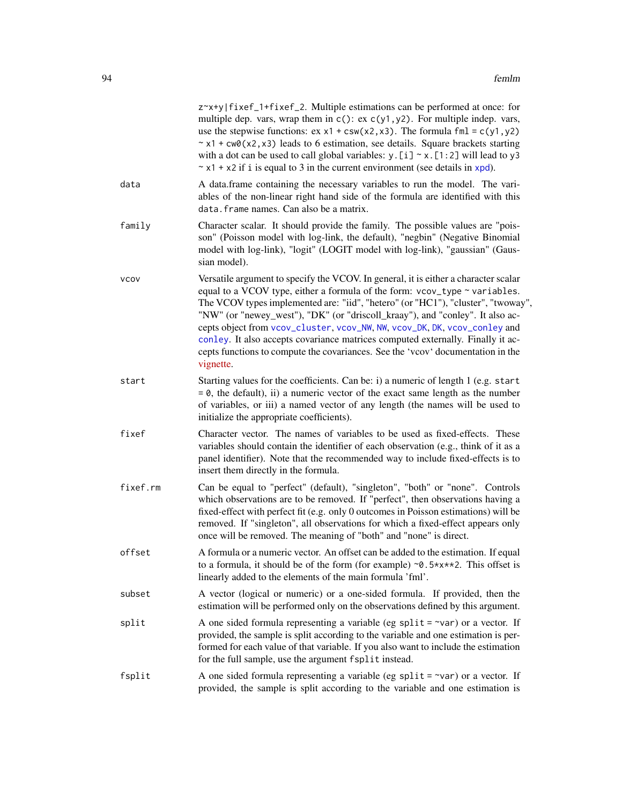|             | z~x+y fixef_1+fixef_2. Multiple estimations can be performed at once: for<br>multiple dep. vars, wrap them in $c()$ : ex $c(y1, y2)$ . For multiple indep. vars,<br>use the stepwise functions: $ex x1 + csw(x2, x3)$ . The formula fml = $c(y1, y2)$<br>$\sim$ x1 + cw0(x2, x3) leads to 6 estimation, see details. Square brackets starting<br>with a dot can be used to call global variables: $y$ . [ $i$ ] $\sim x$ . [1:2] will lead to y3<br>$\sim$ x1 + x2 if i is equal to 3 in the current environment (see details in xpd).                                                                 |
|-------------|--------------------------------------------------------------------------------------------------------------------------------------------------------------------------------------------------------------------------------------------------------------------------------------------------------------------------------------------------------------------------------------------------------------------------------------------------------------------------------------------------------------------------------------------------------------------------------------------------------|
| data        | A data.frame containing the necessary variables to run the model. The vari-<br>ables of the non-linear right hand side of the formula are identified with this<br>data. frame names. Can also be a matrix.                                                                                                                                                                                                                                                                                                                                                                                             |
| family      | Character scalar. It should provide the family. The possible values are "pois-<br>son" (Poisson model with log-link, the default), "negbin" (Negative Binomial<br>model with log-link), "logit" (LOGIT model with log-link), "gaussian" (Gaus-<br>sian model).                                                                                                                                                                                                                                                                                                                                         |
| <b>VCOV</b> | Versatile argument to specify the VCOV. In general, it is either a character scalar<br>equal to a VCOV type, either a formula of the form: vcov_type ~ variables.<br>The VCOV types implemented are: "iid", "hetero" (or "HC1"), "cluster", "twoway",<br>"NW" (or "newey_west"), "DK" (or "driscoll_kraay"), and "conley". It also ac-<br>cepts object from vcov_cluster, vcov_NW, NW, vcov_DK, DK, vcov_conley and<br>conley. It also accepts covariance matrices computed externally. Finally it ac-<br>cepts functions to compute the covariances. See the 'vcov' documentation in the<br>vignette. |
| start       | Starting values for the coefficients. Can be: i) a numeric of length 1 (e.g. start<br>$= 0$ , the default), ii) a numeric vector of the exact same length as the number<br>of variables, or iii) a named vector of any length (the names will be used to<br>initialize the appropriate coefficients).                                                                                                                                                                                                                                                                                                  |
| fixef       | Character vector. The names of variables to be used as fixed-effects. These<br>variables should contain the identifier of each observation (e.g., think of it as a<br>panel identifier). Note that the recommended way to include fixed-effects is to<br>insert them directly in the formula.                                                                                                                                                                                                                                                                                                          |
| fixef.rm    | Can be equal to "perfect" (default), "singleton", "both" or "none". Controls<br>which observations are to be removed. If "perfect", then observations having a<br>fixed-effect with perfect fit (e.g. only 0 outcomes in Poisson estimations) will be<br>removed. If "singleton", all observations for which a fixed-effect appears only<br>once will be removed. The meaning of "both" and "none" is direct.                                                                                                                                                                                          |
| offset      | A formula or a numeric vector. An offset can be added to the estimation. If equal<br>to a formula, it should be of the form (for example) $\sim 0.5 \times x \times 2$ . This offset is<br>linearly added to the elements of the main formula 'fml'.                                                                                                                                                                                                                                                                                                                                                   |
| subset      | A vector (logical or numeric) or a one-sided formula. If provided, then the<br>estimation will be performed only on the observations defined by this argument.                                                                                                                                                                                                                                                                                                                                                                                                                                         |
| split       | A one sided formula representing a variable (eg split = $\sim$ var) or a vector. If<br>provided, the sample is split according to the variable and one estimation is per-<br>formed for each value of that variable. If you also want to include the estimation<br>for the full sample, use the argument fsplit instead.                                                                                                                                                                                                                                                                               |
| fsplit      | A one sided formula representing a variable (eg split = $\sim$ var) or a vector. If<br>provided, the sample is split according to the variable and one estimation is                                                                                                                                                                                                                                                                                                                                                                                                                                   |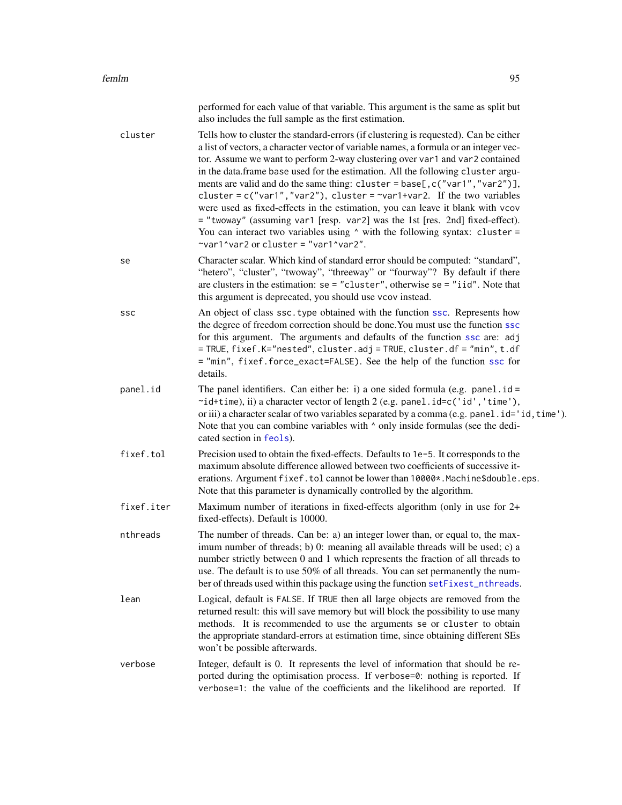|            | performed for each value of that variable. This argument is the same as split but<br>also includes the full sample as the first estimation.                                                                                                                                                                                                                                                                                                                                                                                                                                                                                                                                                                                                                                                                     |
|------------|-----------------------------------------------------------------------------------------------------------------------------------------------------------------------------------------------------------------------------------------------------------------------------------------------------------------------------------------------------------------------------------------------------------------------------------------------------------------------------------------------------------------------------------------------------------------------------------------------------------------------------------------------------------------------------------------------------------------------------------------------------------------------------------------------------------------|
| cluster    | Tells how to cluster the standard-errors (if clustering is requested). Can be either<br>a list of vectors, a character vector of variable names, a formula or an integer vec-<br>tor. Assume we want to perform 2-way clustering over var1 and var2 contained<br>in the data.frame base used for the estimation. All the following cluster argu-<br>ments are valid and do the same thing: cluster = base[, c("var1", "var2")],<br>cluster = $c("var1", "var2"),$ cluster = $var1+var2$ . If the two variables<br>were used as fixed-effects in the estimation, you can leave it blank with vcov<br>$=$ "twoway" (assuming var1 [resp. var2] was the 1st [res. 2nd] fixed-effect).<br>You can interact two variables using $\land$ with the following syntax: cluster =<br>~var1^var2 or cluster = "var1^var2". |
| se         | Character scalar. Which kind of standard error should be computed: "standard",<br>"hetero", "cluster", "twoway", "threeway" or "fourway"? By default if there<br>are clusters in the estimation: $se = "cluster",$ otherwise $se = "iid".$ Note that<br>this argument is deprecated, you should use vcov instead.                                                                                                                                                                                                                                                                                                                                                                                                                                                                                               |
| ssc        | An object of class ssc. type obtained with the function ssc. Represents how<br>the degree of freedom correction should be done. You must use the function ssc<br>for this argument. The arguments and defaults of the function ssc are: adj<br>= TRUE, fixef.K="nested", cluster.adj = TRUE, cluster.df = "min", t.df<br>= "min", fixef.force_exact=FALSE). See the help of the function ssc for<br>details.                                                                                                                                                                                                                                                                                                                                                                                                    |
| panel.id   | The panel identifiers. Can either be: i) a one sided formula (e.g. panel $id =$<br>~id+time), ii) a character vector of length 2 (e.g. panel.id=c('id','time'),<br>or iii) a character scalar of two variables separated by a comma (e.g. panel.id='id, time').<br>Note that you can combine variables with $\wedge$ only inside formulas (see the dedi-<br>cated section in feols).                                                                                                                                                                                                                                                                                                                                                                                                                            |
| fixef.tol  | Precision used to obtain the fixed-effects. Defaults to 1e-5. It corresponds to the<br>maximum absolute difference allowed between two coefficients of successive it-<br>erations. Argument fixef.tol cannot be lower than 10000*. Machine\$double.eps.<br>Note that this parameter is dynamically controlled by the algorithm.                                                                                                                                                                                                                                                                                                                                                                                                                                                                                 |
| fixef.iter | Maximum number of iterations in fixed-effects algorithm (only in use for 2+<br>fixed-effects). Default is 10000.                                                                                                                                                                                                                                                                                                                                                                                                                                                                                                                                                                                                                                                                                                |
| nthreads   | The number of threads. Can be: a) an integer lower than, or equal to, the max-<br>imum number of threads; b) 0: meaning all available threads will be used; c) a<br>number strictly between 0 and 1 which represents the fraction of all threads to<br>use. The default is to use 50% of all threads. You can set permanently the num-<br>ber of threads used within this package using the function setFixest_nthreads.                                                                                                                                                                                                                                                                                                                                                                                        |
| lean       | Logical, default is FALSE. If TRUE then all large objects are removed from the<br>returned result: this will save memory but will block the possibility to use many<br>methods. It is recommended to use the arguments se or cluster to obtain<br>the appropriate standard-errors at estimation time, since obtaining different SEs<br>won't be possible afterwards.                                                                                                                                                                                                                                                                                                                                                                                                                                            |

verbose Integer, default is 0. It represents the level of information that should be reported during the optimisation process. If verbose=0: nothing is reported. If verbose=1: the value of the coefficients and the likelihood are reported. If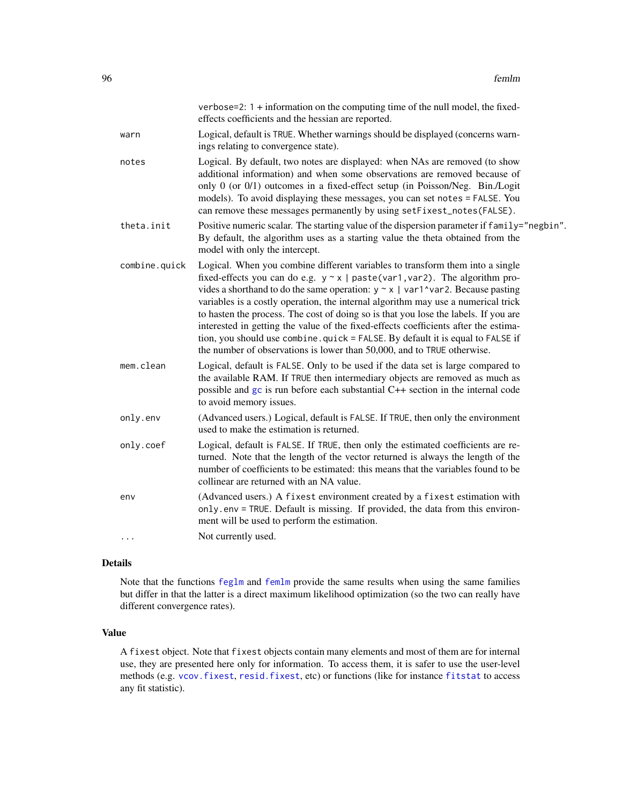|       |               | verbose=2: $1 +$ information on the computing time of the null model, the fixed-<br>effects coefficients and the hessian are reported.                                                                                                                                                                                                                                                                                                                                                                                                                                                                                                                                                    |
|-------|---------------|-------------------------------------------------------------------------------------------------------------------------------------------------------------------------------------------------------------------------------------------------------------------------------------------------------------------------------------------------------------------------------------------------------------------------------------------------------------------------------------------------------------------------------------------------------------------------------------------------------------------------------------------------------------------------------------------|
| warn  |               | Logical, default is TRUE. Whether warnings should be displayed (concerns warn-<br>ings relating to convergence state).                                                                                                                                                                                                                                                                                                                                                                                                                                                                                                                                                                    |
| notes |               | Logical. By default, two notes are displayed: when NAs are removed (to show<br>additional information) and when some observations are removed because of<br>only 0 (or 0/1) outcomes in a fixed-effect setup (in Poisson/Neg. Bin./Logit<br>models). To avoid displaying these messages, you can set notes = FALSE. You<br>can remove these messages permanently by using setFixest_notes(FALSE).                                                                                                                                                                                                                                                                                         |
|       | theta.init    | Positive numeric scalar. The starting value of the dispersion parameter if family="negbin".<br>By default, the algorithm uses as a starting value the theta obtained from the<br>model with only the intercept.                                                                                                                                                                                                                                                                                                                                                                                                                                                                           |
|       | combine.quick | Logical. When you combine different variables to transform them into a single<br>fixed-effects you can do e.g. $y \sim x$   paste(var1, var2). The algorithm pro-<br>vides a shorthand to do the same operation: $y \sim x$   var1^var2. Because pasting<br>variables is a costly operation, the internal algorithm may use a numerical trick<br>to hasten the process. The cost of doing so is that you lose the labels. If you are<br>interested in getting the value of the fixed-effects coefficients after the estima-<br>tion, you should use combine. quick = FALSE. By default it is equal to FALSE if<br>the number of observations is lower than 50,000, and to TRUE otherwise. |
|       | mem.clean     | Logical, default is FALSE. Only to be used if the data set is large compared to<br>the available RAM. If TRUE then intermediary objects are removed as much as<br>possible and gc is run before each substantial C++ section in the internal code<br>to avoid memory issues.                                                                                                                                                                                                                                                                                                                                                                                                              |
|       | only.env      | (Advanced users.) Logical, default is FALSE. If TRUE, then only the environment<br>used to make the estimation is returned.                                                                                                                                                                                                                                                                                                                                                                                                                                                                                                                                                               |
|       | only.coef     | Logical, default is FALSE. If TRUE, then only the estimated coefficients are re-<br>turned. Note that the length of the vector returned is always the length of the<br>number of coefficients to be estimated: this means that the variables found to be<br>collinear are returned with an NA value.                                                                                                                                                                                                                                                                                                                                                                                      |
| env   |               | (Advanced users.) A fixest environment created by a fixest estimation with<br>only.env = TRUE. Default is missing. If provided, the data from this environ-<br>ment will be used to perform the estimation.                                                                                                                                                                                                                                                                                                                                                                                                                                                                               |
|       |               | Not currently used.                                                                                                                                                                                                                                                                                                                                                                                                                                                                                                                                                                                                                                                                       |

# Details

Note that the functions [feglm](#page-79-0) and [femlm](#page-91-0) provide the same results when using the same families but differ in that the latter is a direct maximum likelihood optimization (so the two can really have different convergence rates).

# Value

A fixest object. Note that fixest objects contain many elements and most of them are for internal use, they are presented here only for information. To access them, it is safer to use the user-level methods (e.g. [vcov.fixest](#page-214-0), [resid.fixest](#page-166-0), etc) or functions (like for instance [fitstat](#page-125-0) to access any fit statistic).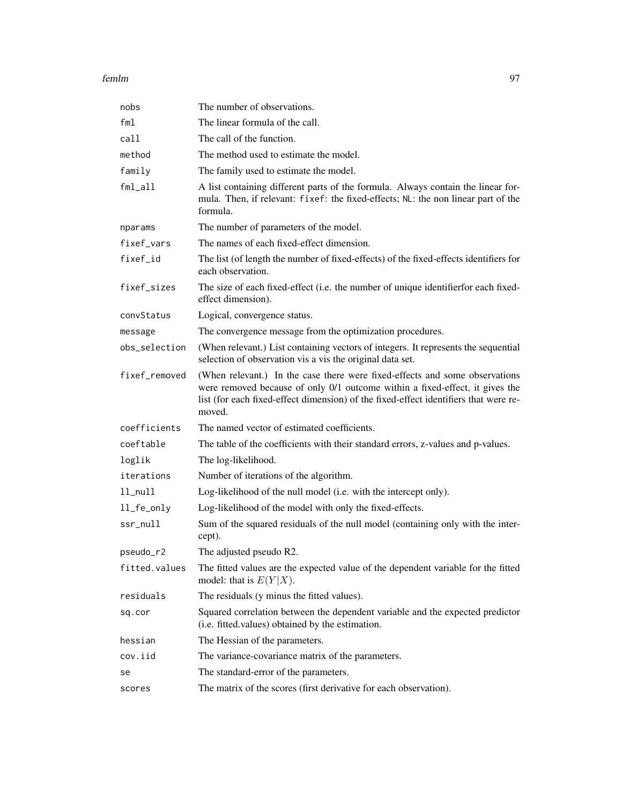| nobs          | The number of observations.                                                                                                                                                                                                                                   |
|---------------|---------------------------------------------------------------------------------------------------------------------------------------------------------------------------------------------------------------------------------------------------------------|
| fml           | The linear formula of the call.                                                                                                                                                                                                                               |
| call          | The call of the function.                                                                                                                                                                                                                                     |
| method        | The method used to estimate the model.                                                                                                                                                                                                                        |
| family        | The family used to estimate the model.                                                                                                                                                                                                                        |
| $fml$ _all    | A list containing different parts of the formula. Always contain the linear for-<br>mula. Then, if relevant: fixef: the fixed-effects; NL: the non linear part of the<br>formula.                                                                             |
| nparams       | The number of parameters of the model.                                                                                                                                                                                                                        |
| fixef_vars    | The names of each fixed-effect dimension.                                                                                                                                                                                                                     |
| fixef_id      | The list (of length the number of fixed-effects) of the fixed-effects identifiers for<br>each observation.                                                                                                                                                    |
| fixef_sizes   | The size of each fixed-effect (i.e. the number of unique identifier for each fixed-<br>effect dimension).                                                                                                                                                     |
| convStatus    | Logical, convergence status.                                                                                                                                                                                                                                  |
| message       | The convergence message from the optimization procedures.                                                                                                                                                                                                     |
| obs_selection | (When relevant.) List containing vectors of integers. It represents the sequential<br>selection of observation vis a vis the original data set.                                                                                                               |
| fixef_removed | (When relevant.) In the case there were fixed-effects and some observations<br>were removed because of only 0/1 outcome within a fixed-effect, it gives the<br>list (for each fixed-effect dimension) of the fixed-effect identifiers that were re-<br>moved. |
| coefficients  | The named vector of estimated coefficients.                                                                                                                                                                                                                   |
| coeftable     | The table of the coefficients with their standard errors, z-values and p-values.                                                                                                                                                                              |
| loglik        | The log-likelihood.                                                                                                                                                                                                                                           |
| iterations    | Number of iterations of the algorithm.                                                                                                                                                                                                                        |
| $11$ _nu $11$ | Log-likelihood of the null model (i.e. with the intercept only).                                                                                                                                                                                              |
| ll_fe_only    | Log-likelihood of the model with only the fixed-effects.                                                                                                                                                                                                      |
| ssr_null      | Sum of the squared residuals of the null model (containing only with the inter-<br>cept).                                                                                                                                                                     |
| pseudo_r2     | The adjusted pseudo R2.                                                                                                                                                                                                                                       |
| fitted.values | The fitted values are the expected value of the dependent variable for the fitted<br>model: that is $E(Y X)$ .                                                                                                                                                |
| residuals     | The residuals (y minus the fitted values).                                                                                                                                                                                                                    |
| sq.cor        | Squared correlation between the dependent variable and the expected predictor<br>(i.e. fitted.values) obtained by the estimation.                                                                                                                             |
| hessian       | The Hessian of the parameters.                                                                                                                                                                                                                                |
| cov.iid       | The variance-covariance matrix of the parameters.                                                                                                                                                                                                             |
| se            | The standard-error of the parameters.                                                                                                                                                                                                                         |
| scores        | The matrix of the scores (first derivative for each observation).                                                                                                                                                                                             |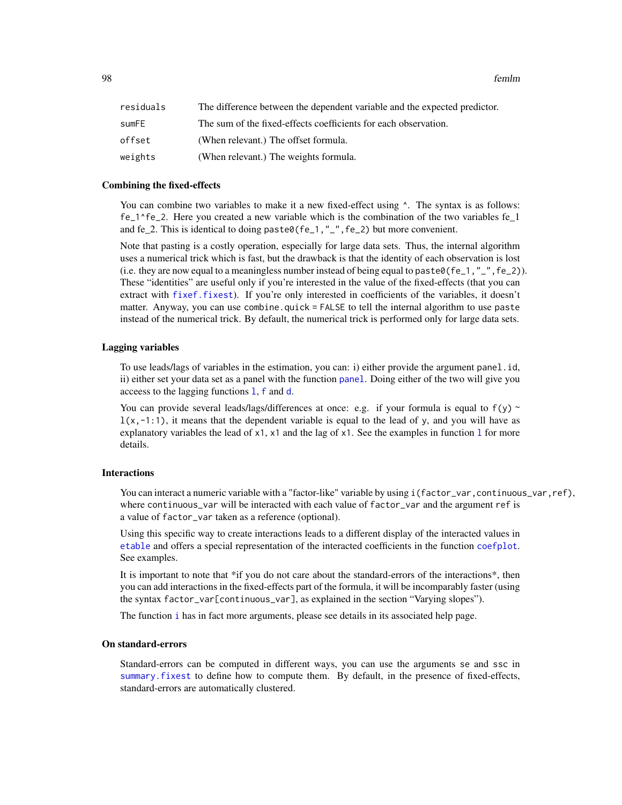| residuals | The difference between the dependent variable and the expected predictor. |
|-----------|---------------------------------------------------------------------------|
| sumFE     | The sum of the fixed-effects coefficients for each observation.           |
| offset    | (When relevant.) The offset formula.                                      |
| weights   | (When relevant.) The weights formula.                                     |

#### Combining the fixed-effects

You can combine two variables to make it a new fixed-effect using  $\wedge$ . The syntax is as follows: fe\_1^fe\_2. Here you created a new variable which is the combination of the two variables fe\_1 and fe\_2. This is identical to doing paste0(fe\_1,"\_", fe\_2) but more convenient.

Note that pasting is a costly operation, especially for large data sets. Thus, the internal algorithm uses a numerical trick which is fast, but the drawback is that the identity of each observation is lost (i.e. they are now equal to a meaningless number instead of being equal to paste $\theta$ (fe\_1,"\_",fe\_2)). These "identities" are useful only if you're interested in the value of the fixed-effects (that you can extract with [fixef.fixest](#page-132-0)). If you're only interested in coefficients of the variables, it doesn't matter. Anyway, you can use combine.quick = FALSE to tell the internal algorithm to use paste instead of the numerical trick. By default, the numerical trick is performed only for large data sets.

# Lagging variables

To use leads/lags of variables in the estimation, you can: i) either provide the argument panel.id, ii) either set your data set as a panel with the function [panel](#page-150-0). Doing either of the two will give you acceess to the lagging functions [l](#page-78-0), [f](#page-78-1) and [d](#page-78-0).

You can provide several leads/lags/differences at once: e.g. if your formula is equal to  $f(y)$  ~  $l(x,-1:1)$ , it means that the dependent variable is equal to the lead of y, and you will have as exp[l](#page-78-0)anatory variables the lead of  $x1$ ,  $x1$  and the lag of  $x1$ . See the examples in function 1 for more details.

# Interactions

You can interact a numeric variable with a "factor-like" variable by using i(factor\_var,continuous\_var,ref), where continuous\_var will be interacted with each value of factor\_var and the argument ref is a value of factor\_var taken as a reference (optional).

Using this specific way to create interactions leads to a different display of the interacted values in [etable](#page-55-0) and offers a special representation of the interacted coefficients in the function [coefplot](#page-18-0). See examples.

It is important to note that \*if you do not care about the standard-errors of the interactions<sup>\*</sup>, then you can add interactions in the fixed-effects part of the formula, it will be incomparably faster (using the syntax factor\_var[continuous\_var], as explained in the section "Varying slopes").

The function [i](#page-136-0) has in fact more arguments, please see details in its associated help page.

# On standard-errors

Standard-errors can be computed in different ways, you can use the arguments se and ssc in [summary.fixest](#page-197-0) to define how to compute them. By default, in the presence of fixed-effects, standard-errors are automatically clustered.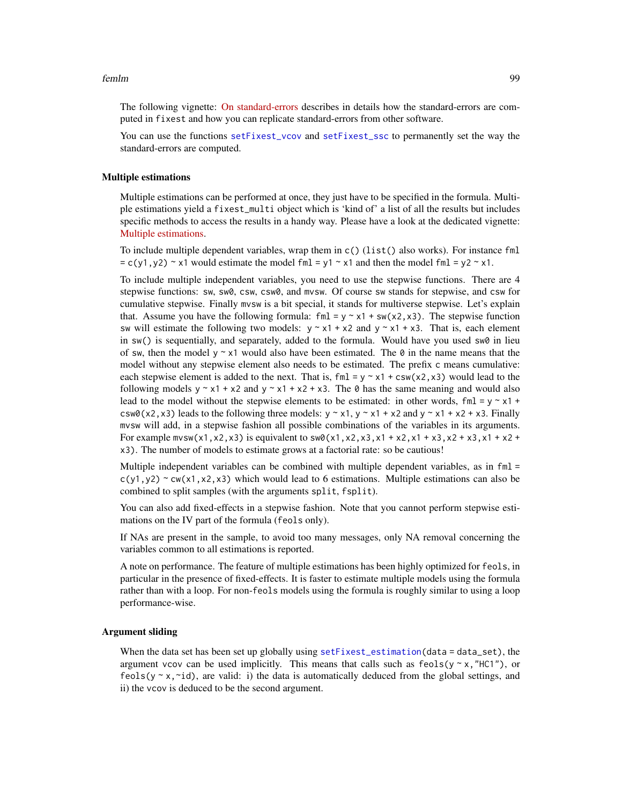The following vignette: [On standard-errors](https://lrberge.github.io/fixest/articles/standard_errors.html) describes in details how the standard-errors are computed in fixest and how you can replicate standard-errors from other software.

You can use the functions [setFixest\\_vcov](#page-184-0) and [setFixest\\_ssc](#page-186-1) to permanently set the way the standard-errors are computed.

#### Multiple estimations

Multiple estimations can be performed at once, they just have to be specified in the formula. Multiple estimations yield a fixest\_multi object which is 'kind of' a list of all the results but includes specific methods to access the results in a handy way. Please have a look at the dedicated vignette: [Multiple estimations.](https://lrberge.github.io/fixest/articles/multiple_estimations.html)

To include multiple dependent variables, wrap them in c() (list() also works). For instance fml  $= c(y1, y2)$  ~ x1 would estimate the model fml = y1 ~ x1 and then the model fml = y2 ~ x1.

To include multiple independent variables, you need to use the stepwise functions. There are 4 stepwise functions: sw, sw0, csw, csw0, and mvsw. Of course sw stands for stepwise, and csw for cumulative stepwise. Finally mvsw is a bit special, it stands for multiverse stepwise. Let's explain that. Assume you have the following formula: fml =  $y \sim x1 + sw(x2, x3)$ . The stepwise function sw will estimate the following two models:  $y \sim x1 + x2$  and  $y \sim x1 + x3$ . That is, each element in  $sw()$  is sequentially, and separately, added to the formula. Would have you used  $sw0$  in lieu of sw, then the model y  $\sim x1$  would also have been estimated. The 0 in the name means that the model without any stepwise element also needs to be estimated. The prefix c means cumulative: each stepwise element is added to the next. That is,  $fm1 = y \sim x1 + csw(x2, x3)$  would lead to the following models  $y \sim x1 + x2$  and  $y \sim x1 + x2 + x3$ . The 0 has the same meaning and would also lead to the model without the stepwise elements to be estimated: in other words,  $fml = y \sim x1 +$ csw0(x2,x3) leads to the following three models:  $y \sim x1$ ,  $y \sim x1 + x2$  and  $y \sim x1 + x2 + x3$ . Finally mvsw will add, in a stepwise fashion all possible combinations of the variables in its arguments. For example  $m \times (x1, x2, x3)$  is equivalent to  $\sin(8x1, x2, x3, x1 + x2, x1 + x3, x2 + x3, x1 + x2 + x3)$ x3). The number of models to estimate grows at a factorial rate: so be cautious!

Multiple independent variables can be combined with multiple dependent variables, as in  $fml =$  $c(y1,y2)$  ~ cw(x1,x2,x3) which would lead to 6 estimations. Multiple estimations can also be combined to split samples (with the arguments split, fsplit).

You can also add fixed-effects in a stepwise fashion. Note that you cannot perform stepwise estimations on the IV part of the formula (feols only).

If NAs are present in the sample, to avoid too many messages, only NA removal concerning the variables common to all estimations is reported.

A note on performance. The feature of multiple estimations has been highly optimized for feols, in particular in the presence of fixed-effects. It is faster to estimate multiple models using the formula rather than with a loop. For non-feols models using the formula is roughly similar to using a loop performance-wise.

### Argument sliding

When the data set has been set up globally using set  $Fixest_{est}$  is  $dt$  and  $dt$  and  $dt$  and  $dt$  and  $dt$  and  $dt$  and  $dt$  and  $dt$  and  $dt$  and  $dt$  and  $dt$  and  $dt$  and  $dt$  and  $dt$  and  $dt$  and  $dt$  and  $dt$  and  $dt$  and  $dt$  and  $dt$  argument vcov can be used implicitly. This means that calls such as  $feols(y \sim x, "HCl")$ , or feols( $y \sim x$ , $\sim$ id), are valid: i) the data is automatically deduced from the global settings, and ii) the vcov is deduced to be the second argument.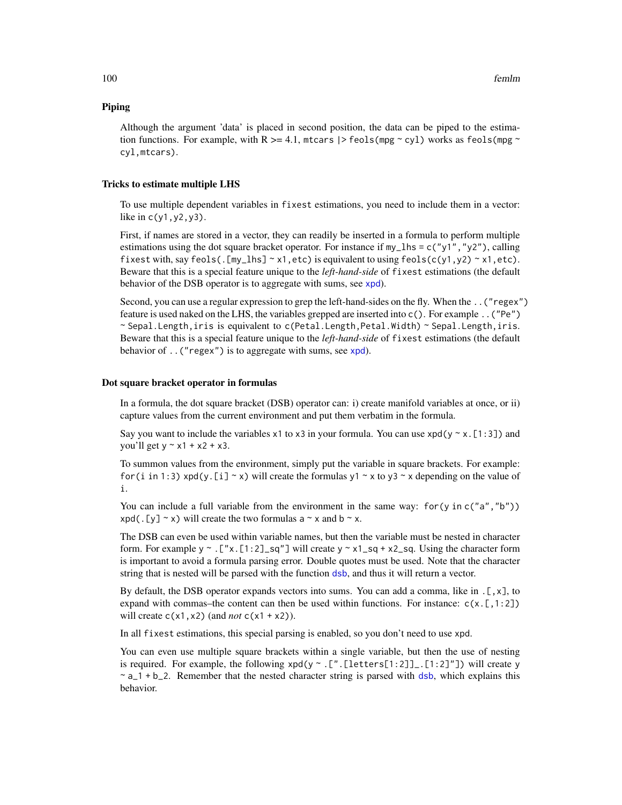# Piping

Although the argument 'data' is placed in second position, the data can be piped to the estimation functions. For example, with R  $>= 4.1$ , mtcars  $|>$  feols(mpg ~ cyl) works as feols(mpg ~ cyl,mtcars).

#### Tricks to estimate multiple LHS

To use multiple dependent variables in fixest estimations, you need to include them in a vector: like in c(y1,y2,y3).

First, if names are stored in a vector, they can readily be inserted in a formula to perform multiple estimations using the dot square bracket operator. For instance if  $my_l$  hs = c("y1", "y2"), calling fixest with, say feols(. [my\_lhs]  $\sim x1$ , etc) is equivalent to using feols(c(y1,y2)  $\sim x1$ , etc). Beware that this is a special feature unique to the *left-hand-side* of fixest estimations (the default behavior of the DSB operator is to aggregate with sums, see [xpd](#page-228-0)).

Second, you can use a regular expression to grep the left-hand-sides on the fly. When the ..("regex") feature is used naked on the LHS, the variables grepped are inserted into c(). For example ..("Pe")  $\sim$  Sepal.Length, iris is equivalent to c(Petal.Length,Petal.Width)  $\sim$  Sepal.Length, iris. Beware that this is a special feature unique to the *left-hand-side* of fixest estimations (the default behavior of ..("regex") is to aggregate with sums, see [xpd](#page-228-0)).

#### Dot square bracket operator in formulas

In a formula, the dot square bracket (DSB) operator can: i) create manifold variables at once, or ii) capture values from the current environment and put them verbatim in the formula.

Say you want to include the variables x1 to x3 in your formula. You can use  $xpd(y \sim x.[1:3])$  and you'll get  $y \sim x1 + x2 + x3$ .

To summon values from the environment, simply put the variable in square brackets. For example: for (i in 1:3) xpd(y. [i]  $\sim$  x) will create the formulas y1  $\sim$  x to y3  $\sim$  x depending on the value of i.

You can include a full variable from the environment in the same way: for (y in c("a", "b"))  $xpd(. [y] \sim x)$  will create the two formulas a  $\sim x$  and b  $\sim x$ .

The DSB can even be used within variable names, but then the variable must be nested in character form. For example y  $\sim$  . ["x. [1:2]\_sq"] will create y  $\sim$  x1\_sq + x2\_sq. Using the character form is important to avoid a formula parsing error. Double quotes must be used. Note that the character string that is nested will be parsed with the function [dsb](#page-44-0), and thus it will return a vector.

By default, the DSB operator expands vectors into sums. You can add a comma, like in  $[\, , x \, ]$ , to expand with commas–the content can then be used within functions. For instance:  $c(x, [1:2])$ will create  $c(x1, x2)$  (and *not*  $c(x1 + x2)$ ).

In all fixest estimations, this special parsing is enabled, so you don't need to use xpd.

You can even use multiple square brackets within a single variable, but then the use of nesting is required. For example, the following  $xpd(y \sim .[$ ".[letters[1:2]]\_.[1:2]"]) will create y  $\sim$  a<sub>1</sub>+b<sub>-2</sub>. Remember that the nested character string is parsed with [dsb](#page-44-0), which explains this behavior.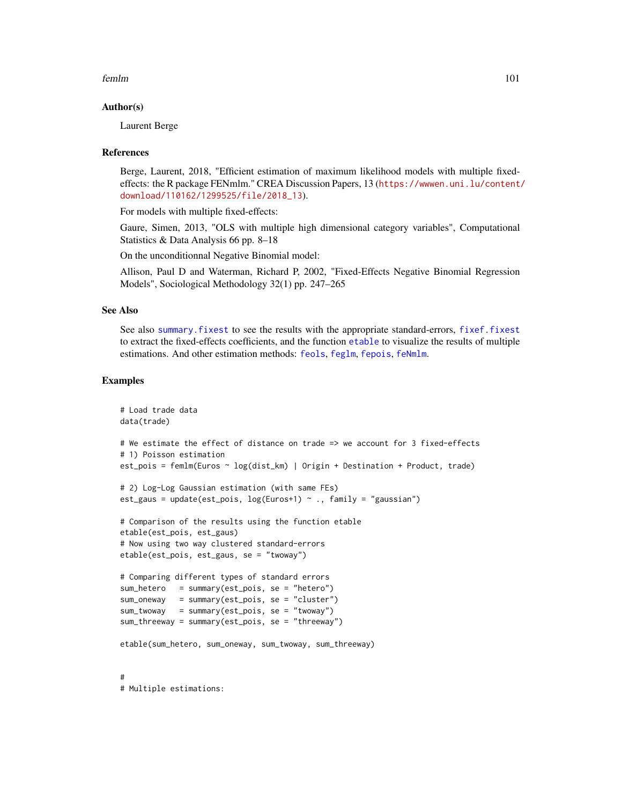### Author(s)

Laurent Berge

#### References

Berge, Laurent, 2018, "Efficient estimation of maximum likelihood models with multiple fixedeffects: the R package FENmlm." CREA Discussion Papers, 13 ([https://wwwen.uni.lu/content/](https://wwwen.uni.lu/content/download/110162/1299525/file/2018_13) [download/110162/1299525/file/2018\\_13](https://wwwen.uni.lu/content/download/110162/1299525/file/2018_13)).

For models with multiple fixed-effects:

Gaure, Simen, 2013, "OLS with multiple high dimensional category variables", Computational Statistics & Data Analysis 66 pp. 8–18

On the unconditionnal Negative Binomial model:

Allison, Paul D and Waterman, Richard P, 2002, "Fixed-Effects Negative Binomial Regression Models", Sociological Methodology 32(1) pp. 247–265

# See Also

See also [summary.fixest](#page-197-0) to see the results with the appropriate standard-errors, [fixef.fixest](#page-132-0) to extract the fixed-effects coefficients, and the function [etable](#page-55-0) to visualize the results of multiple estimations. And other estimation methods: [feols](#page-112-0), [feglm](#page-79-0), [fepois](#page-79-1), [feNmlm](#page-101-0).

#### Examples

```
# Load trade data
data(trade)
# We estimate the effect of distance on trade => we account for 3 fixed-effects
# 1) Poisson estimation
est_pois = femlm(Euros ~ log(dist_km) | Origin + Destination + Product, trade)
# 2) Log-Log Gaussian estimation (with same FEs)
est_gaus = update(est_pois, log(Euros+1) \sim ., family = "gaussian")
# Comparison of the results using the function etable
etable(est_pois, est_gaus)
# Now using two way clustered standard-errors
etable(est_pois, est_gaus, se = "twoway")
# Comparing different types of standard errors
sum_hetero = summary(est_pois, se = "hetero")
sum_oneway = summary(est_pois, se = "cluster")
sum_twoway = summary(est_pois, se = "twoway")
sum_threeway = summary(est_pois, se = "threeway")
etable(sum_hetero, sum_oneway, sum_twoway, sum_threeway)
#
# Multiple estimations:
```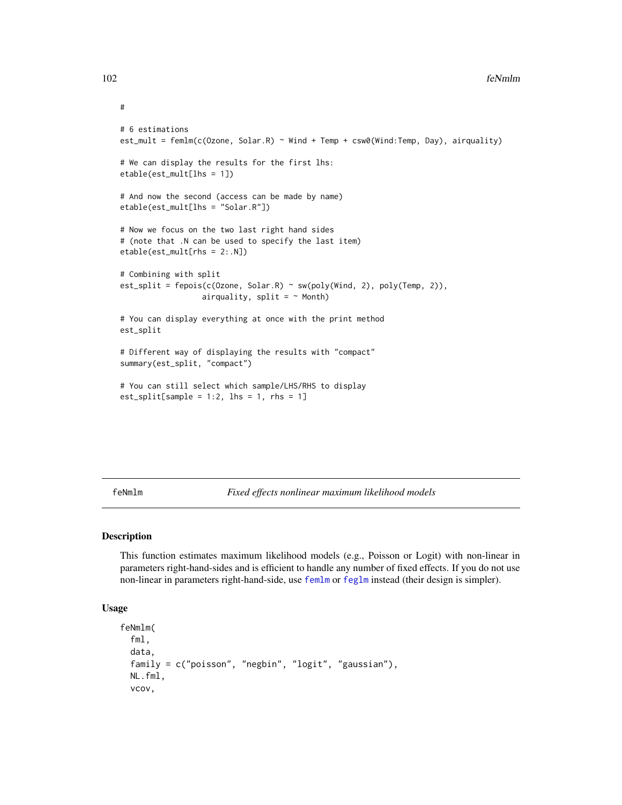```
# 6 estimations
est_mult = femlm(c(Ozone, Solar.R) ~ Wind + Temp + csw0(Wind:Temp, Day), airquality)
# We can display the results for the first lhs:
etable(est_mult[lhs = 1])
# And now the second (access can be made by name)
etable(est_mult[lhs = "Solar.R"])
# Now we focus on the two last right hand sides
# (note that .N can be used to specify the last item)
etable(est_mult[rhs = 2:.N])
# Combining with split
est_split = fepois(c(Ozone, Solar.R) ~ sw(poly(Wind, 2), poly(Temp, 2)),
                  airquality, split = \sim Month)
# You can display everything at once with the print method
est_split
# Different way of displaying the results with "compact"
summary(est_split, "compact")
# You can still select which sample/LHS/RHS to display
est\_split[sample = 1:2, 1hs = 1, rhs = 1]
```
<span id="page-101-0"></span>feNmlm *Fixed effects nonlinear maximum likelihood models*

# Description

This function estimates maximum likelihood models (e.g., Poisson or Logit) with non-linear in parameters right-hand-sides and is efficient to handle any number of fixed effects. If you do not use non-linear in parameters right-hand-side, use [femlm](#page-91-0) or [feglm](#page-79-0) instead (their design is simpler).

## Usage

```
feNmlm(
  fml.
  data,
  family = c("poisson", "negbin", "logit", "gaussian"),
 NL.fml,
  vcov,
```
#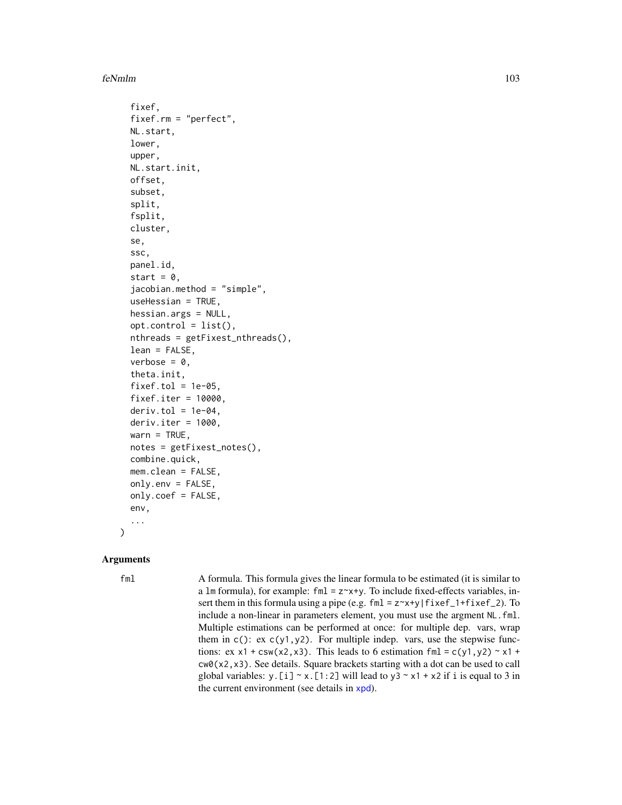#### feNmlm and the state of the state of the state of the state of the state of the state of the state of the state of the state of the state of the state of the state of the state of the state of the state of the state of the

```
fixef,
fixef.rm = "perfect",
NL.start,
lower,
upper,
NL.start.init,
offset,
subset,
split,
fsplit,
cluster,
se,
ssc,
panel.id,
start = 0,
jacobian.method = "simple",
useHessian = TRUE,
hessian.args = NULL,
opt.contrib = list(),
nthreads = getFixest_nthreads(),
lean = FALSE,
verbose = 0,
theta.init,
fixed = 1e-05,
fixef.iter = 10000,
deriv.tol = 1e-04,deriv.iter = 1000,
warn = TRUE,notes = getFixest_notes(),
combine.quick,
mem.clean = FALSE,
only.env = FALSE,
only.coef = FALSE,
env,
...
```
#### **Arguments**

)

fml A formula. This formula gives the linear formula to be estimated (it is similar to a  $lm$  formula), for example: fml =  $z \sim x+y$ . To include fixed-effects variables, insert them in this formula using a pipe (e.g.  $fml = z \rightarrow +y/fixef_1 + fixef_2$ ). To include a non-linear in parameters element, you must use the argment NL.fml. Multiple estimations can be performed at once: for multiple dep. vars, wrap them in  $c$  (): ex  $c(y1, y2)$ . For multiple indep. vars, use the stepwise functions: ex x1 + csw(x2,x3). This leads to 6 estimation fml = c(y1,y2)  $\sim$  x1 + cw0(x2,x3). See details. Square brackets starting with a dot can be used to call global variables: y. [i]  $\sim$  x. [1:2] will lead to y3  $\sim$  x1 + x2 if i is equal to 3 in the current environment (see details in [xpd](#page-228-0)).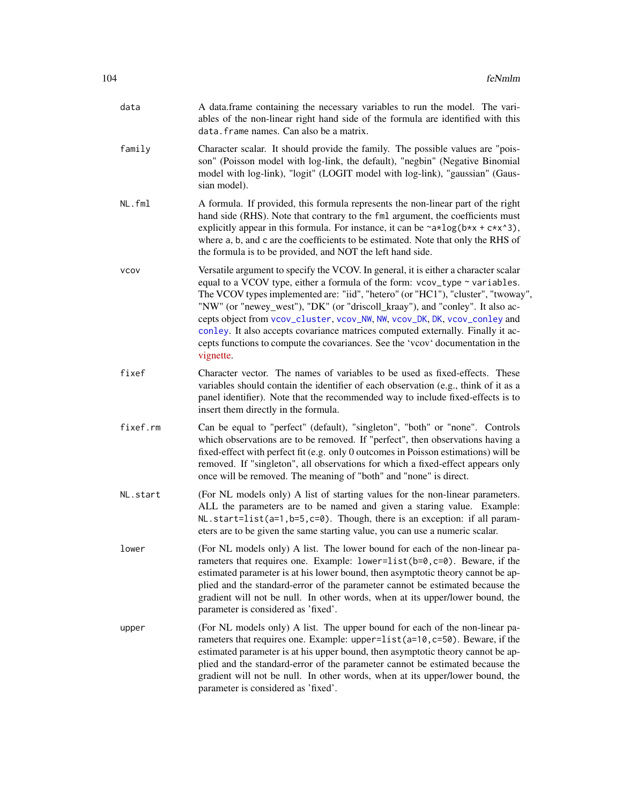| data<br>data. frame names. Can also be a matrix.<br>family<br>sian model).<br>NL.fml<br>the formula is to be provided, and NOT the left hand side.<br><b>VCOV</b><br>vignette.<br>fixef<br>insert them directly in the formula.<br>fixef.rm<br>once will be removed. The meaning of "both" and "none" is direct.<br>NL.start<br>eters are to be given the same starting value, you can use a numeric scalar.<br>lower<br>parameter is considered as 'fixed'.<br>upper<br>parameter is considered as 'fixed'. |                                                                                                                                                                                                                                                                                                                                                                                                                                                                                                                                                                                           |
|--------------------------------------------------------------------------------------------------------------------------------------------------------------------------------------------------------------------------------------------------------------------------------------------------------------------------------------------------------------------------------------------------------------------------------------------------------------------------------------------------------------|-------------------------------------------------------------------------------------------------------------------------------------------------------------------------------------------------------------------------------------------------------------------------------------------------------------------------------------------------------------------------------------------------------------------------------------------------------------------------------------------------------------------------------------------------------------------------------------------|
|                                                                                                                                                                                                                                                                                                                                                                                                                                                                                                              | A data.frame containing the necessary variables to run the model. The vari-<br>ables of the non-linear right hand side of the formula are identified with this                                                                                                                                                                                                                                                                                                                                                                                                                            |
|                                                                                                                                                                                                                                                                                                                                                                                                                                                                                                              | Character scalar. It should provide the family. The possible values are "pois-<br>son" (Poisson model with log-link, the default), "negbin" (Negative Binomial<br>model with log-link), "logit" (LOGIT model with log-link), "gaussian" (Gaus-                                                                                                                                                                                                                                                                                                                                            |
|                                                                                                                                                                                                                                                                                                                                                                                                                                                                                                              | A formula. If provided, this formula represents the non-linear part of the right<br>hand side (RHS). Note that contrary to the fml argument, the coefficients must<br>explicitly appear in this formula. For instance, it can be $\sim a \times \log(b \times x + c \times x \cdot 3)$ ,<br>where a, b, and c are the coefficients to be estimated. Note that only the RHS of                                                                                                                                                                                                             |
|                                                                                                                                                                                                                                                                                                                                                                                                                                                                                                              | Versatile argument to specify the VCOV. In general, it is either a character scalar<br>equal to a VCOV type, either a formula of the form: vcov_type ~ variables.<br>The VCOV types implemented are: "iid", "hetero" (or "HC1"), "cluster", "twoway",<br>"NW" (or "newey_west"), "DK" (or "driscoll_kraay"), and "conley". It also ac-<br>cepts object from vcov_cluster, vcov_NW, NW, vcov_DK, DK, vcov_conley and<br>conley. It also accepts covariance matrices computed externally. Finally it ac-<br>cepts functions to compute the covariances. See the 'vcov' documentation in the |
|                                                                                                                                                                                                                                                                                                                                                                                                                                                                                                              | Character vector. The names of variables to be used as fixed-effects. These<br>variables should contain the identifier of each observation (e.g., think of it as a<br>panel identifier). Note that the recommended way to include fixed-effects is to                                                                                                                                                                                                                                                                                                                                     |
|                                                                                                                                                                                                                                                                                                                                                                                                                                                                                                              | Can be equal to "perfect" (default), "singleton", "both" or "none". Controls<br>which observations are to be removed. If "perfect", then observations having a<br>fixed-effect with perfect fit (e.g. only 0 outcomes in Poisson estimations) will be<br>removed. If "singleton", all observations for which a fixed-effect appears only                                                                                                                                                                                                                                                  |
|                                                                                                                                                                                                                                                                                                                                                                                                                                                                                                              | (For NL models only) A list of starting values for the non-linear parameters.<br>ALL the parameters are to be named and given a staring value. Example:<br>NL.start=list(a=1,b=5,c=0). Though, there is an exception: if all param-                                                                                                                                                                                                                                                                                                                                                       |
|                                                                                                                                                                                                                                                                                                                                                                                                                                                                                                              | (For NL models only) A list. The lower bound for each of the non-linear pa-<br>rameters that requires one. Example: $lower-list(b=0, c=0)$ . Beware, if the<br>estimated parameter is at his lower bound, then asymptotic theory cannot be ap-<br>plied and the standard-error of the parameter cannot be estimated because the<br>gradient will not be null. In other words, when at its upper/lower bound, the                                                                                                                                                                          |
|                                                                                                                                                                                                                                                                                                                                                                                                                                                                                                              | (For NL models only) A list. The upper bound for each of the non-linear pa-<br>rameters that requires one. Example: upper=list(a=10,c=50). Beware, if the<br>estimated parameter is at his upper bound, then asymptotic theory cannot be ap-<br>plied and the standard-error of the parameter cannot be estimated because the<br>gradient will not be null. In other words, when at its upper/lower bound, the                                                                                                                                                                            |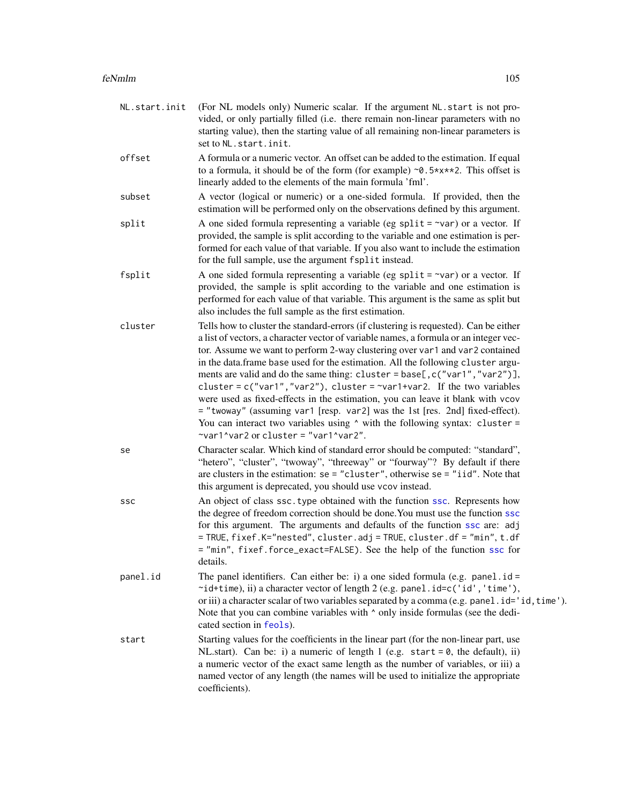| NL.start.init | (For NL models only) Numeric scalar. If the argument NL.start is not pro-<br>vided, or only partially filled (i.e. there remain non-linear parameters with no<br>starting value), then the starting value of all remaining non-linear parameters is<br>set to NL.start.init.                                                                                                                                                                                                                                                                                                                                                                                                                                                                                                                                       |
|---------------|--------------------------------------------------------------------------------------------------------------------------------------------------------------------------------------------------------------------------------------------------------------------------------------------------------------------------------------------------------------------------------------------------------------------------------------------------------------------------------------------------------------------------------------------------------------------------------------------------------------------------------------------------------------------------------------------------------------------------------------------------------------------------------------------------------------------|
| offset        | A formula or a numeric vector. An offset can be added to the estimation. If equal<br>to a formula, it should be of the form (for example) $\sim 0.5 \times x \times 2$ . This offset is<br>linearly added to the elements of the main formula 'fml'.                                                                                                                                                                                                                                                                                                                                                                                                                                                                                                                                                               |
| subset        | A vector (logical or numeric) or a one-sided formula. If provided, then the<br>estimation will be performed only on the observations defined by this argument.                                                                                                                                                                                                                                                                                                                                                                                                                                                                                                                                                                                                                                                     |
| split         | A one sided formula representing a variable (eg split = $\sim$ var) or a vector. If<br>provided, the sample is split according to the variable and one estimation is per-<br>formed for each value of that variable. If you also want to include the estimation<br>for the full sample, use the argument fsplit instead.                                                                                                                                                                                                                                                                                                                                                                                                                                                                                           |
| fsplit        | A one sided formula representing a variable (eg split = $\sim$ var) or a vector. If<br>provided, the sample is split according to the variable and one estimation is<br>performed for each value of that variable. This argument is the same as split but<br>also includes the full sample as the first estimation.                                                                                                                                                                                                                                                                                                                                                                                                                                                                                                |
| cluster       | Tells how to cluster the standard-errors (if clustering is requested). Can be either<br>a list of vectors, a character vector of variable names, a formula or an integer vec-<br>tor. Assume we want to perform 2-way clustering over var1 and var2 contained<br>in the data.frame base used for the estimation. All the following cluster argu-<br>ments are valid and do the same thing: cluster = base[, c("var1", "var2")],<br>cluster = $c("var1", "var2"),$ cluster = $\sim$ var1+var2. If the two variables<br>were used as fixed-effects in the estimation, you can leave it blank with vcov<br>= "twoway" (assuming var1 [resp. var2] was the 1st [res. 2nd] fixed-effect).<br>You can interact two variables using $\wedge$ with the following syntax: cluster =<br>~var1^var2 or cluster = "var1^var2". |
| se            | Character scalar. Which kind of standard error should be computed: "standard",<br>"hetero", "cluster", "twoway", "threeway" or "fourway"? By default if there<br>are clusters in the estimation: $se = "cluster",$ otherwise $se = "iid".$ Note that<br>this argument is deprecated, you should use vcov instead.                                                                                                                                                                                                                                                                                                                                                                                                                                                                                                  |
| SSC           | An object of class ssc. type obtained with the function ssc. Represents how<br>the degree of freedom correction should be done. You must use the function ssc<br>for this argument. The arguments and defaults of the function ssc are: adj<br>= TRUE, fixef.K="nested", cluster.adj = TRUE, cluster.df = "min", t.df<br>= "min", fixef.force_exact=FALSE). See the help of the function ssc for<br>details.                                                                                                                                                                                                                                                                                                                                                                                                       |
| panel.id      | The panel identifiers. Can either be: i) a one sided formula (e.g. panel.id =<br>~id+time), ii) a character vector of length 2 (e.g. panel.id=c('id','time'),<br>or iii) a character scalar of two variables separated by a comma (e.g. panel.id='id, time').<br>Note that you can combine variables with $\wedge$ only inside formulas (see the dedi-<br>cated section in feols).                                                                                                                                                                                                                                                                                                                                                                                                                                 |
| start         | Starting values for the coefficients in the linear part (for the non-linear part, use<br>NL start). Can be: i) a numeric of length 1 (e.g. start = $\theta$ , the default), ii)<br>a numeric vector of the exact same length as the number of variables, or iii) a<br>named vector of any length (the names will be used to initialize the appropriate<br>coefficients).                                                                                                                                                                                                                                                                                                                                                                                                                                           |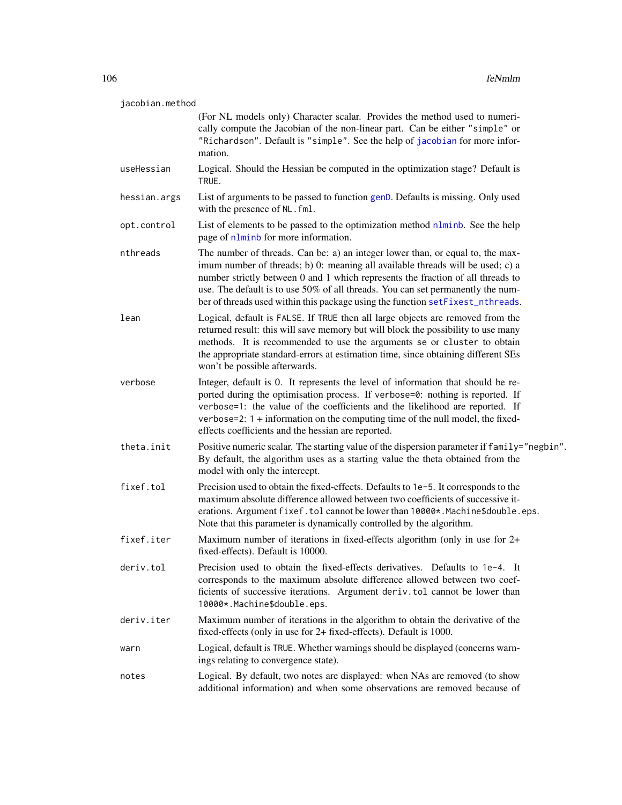| jacobian.method |                                                                                                                                                                                                                                                                                                                                                                                                                          |  |
|-----------------|--------------------------------------------------------------------------------------------------------------------------------------------------------------------------------------------------------------------------------------------------------------------------------------------------------------------------------------------------------------------------------------------------------------------------|--|
|                 | (For NL models only) Character scalar. Provides the method used to numeri-<br>cally compute the Jacobian of the non-linear part. Can be either "simple" or<br>"Richardson". Default is "simple". See the help of jacobian for more infor-<br>mation.                                                                                                                                                                     |  |
| useHessian      | Logical. Should the Hessian be computed in the optimization stage? Default is<br>TRUE.                                                                                                                                                                                                                                                                                                                                   |  |
| hessian.args    | List of arguments to be passed to function genD. Defaults is missing. Only used<br>with the presence of NL. fml.                                                                                                                                                                                                                                                                                                         |  |
| opt.control     | List of elements to be passed to the optimization method nlminb. See the help<br>page of nlminb for more information.                                                                                                                                                                                                                                                                                                    |  |
| nthreads        | The number of threads. Can be: a) an integer lower than, or equal to, the max-<br>imum number of threads; b) 0: meaning all available threads will be used; c) a<br>number strictly between 0 and 1 which represents the fraction of all threads to<br>use. The default is to use 50% of all threads. You can set permanently the num-<br>ber of threads used within this package using the function setFixest_nthreads. |  |
| lean            | Logical, default is FALSE. If TRUE then all large objects are removed from the<br>returned result: this will save memory but will block the possibility to use many<br>methods. It is recommended to use the arguments se or cluster to obtain<br>the appropriate standard-errors at estimation time, since obtaining different SEs<br>won't be possible afterwards.                                                     |  |
| verbose         | Integer, default is 0. It represents the level of information that should be re-<br>ported during the optimisation process. If verbose=0: nothing is reported. If<br>verbose=1: the value of the coefficients and the likelihood are reported. If<br>verbose=2: $1 +$ information on the computing time of the null model, the fixed-<br>effects coefficients and the hessian are reported.                              |  |
| theta.init      | Positive numeric scalar. The starting value of the dispersion parameter if family="negbin".<br>By default, the algorithm uses as a starting value the theta obtained from the<br>model with only the intercept.                                                                                                                                                                                                          |  |
| fixef.tol       | Precision used to obtain the fixed-effects. Defaults to 1e-5. It corresponds to the<br>maximum absolute difference allowed between two coefficients of successive it-<br>erations. Argument fixef.tol cannot be lower than 10000*. Machine\$double.eps.<br>Note that this parameter is dynamically controlled by the algorithm.                                                                                          |  |
| fixef.iter      | Maximum number of iterations in fixed-effects algorithm (only in use for 2+<br>fixed-effects). Default is 10000.                                                                                                                                                                                                                                                                                                         |  |
| deriv.tol       | Precision used to obtain the fixed-effects derivatives. Defaults to 1e-4. It<br>corresponds to the maximum absolute difference allowed between two coef-<br>ficients of successive iterations. Argument deriv.tol cannot be lower than<br>10000*.Machine\$double.eps.                                                                                                                                                    |  |
| deriv.iter      | Maximum number of iterations in the algorithm to obtain the derivative of the<br>fixed-effects (only in use for 2+ fixed-effects). Default is 1000.                                                                                                                                                                                                                                                                      |  |
| warn            | Logical, default is TRUE. Whether warnings should be displayed (concerns warn-<br>ings relating to convergence state).                                                                                                                                                                                                                                                                                                   |  |
| notes           | Logical. By default, two notes are displayed: when NAs are removed (to show<br>additional information) and when some observations are removed because of                                                                                                                                                                                                                                                                 |  |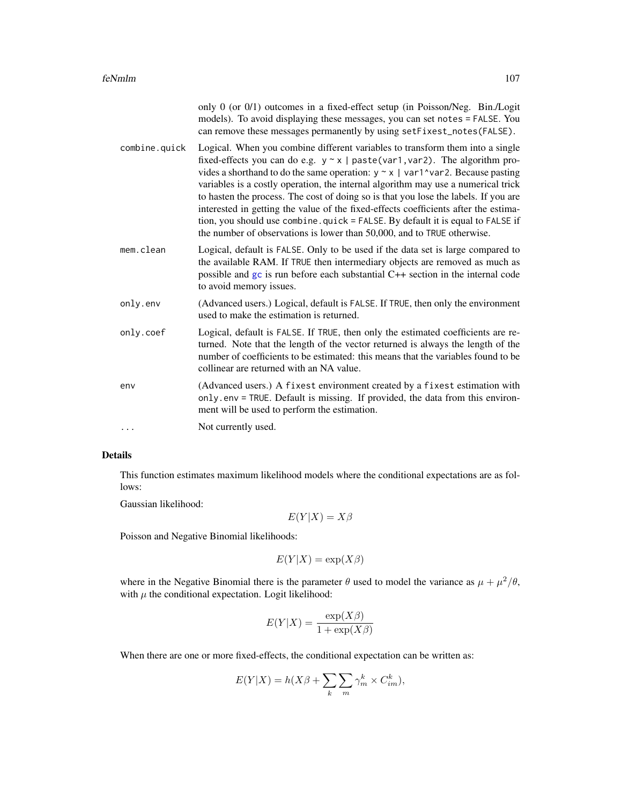|               | only 0 (or $0/1$ ) outcomes in a fixed-effect setup (in Poisson/Neg. Bin./Logit<br>models). To avoid displaying these messages, you can set notes = FALSE. You<br>can remove these messages permanently by using setFixest_notes(FALSE).                                                                                                                                                                                                                                                                                                                                                                                                                                                 |
|---------------|------------------------------------------------------------------------------------------------------------------------------------------------------------------------------------------------------------------------------------------------------------------------------------------------------------------------------------------------------------------------------------------------------------------------------------------------------------------------------------------------------------------------------------------------------------------------------------------------------------------------------------------------------------------------------------------|
| combine.quick | Logical. When you combine different variables to transform them into a single<br>fixed-effects you can do e.g. $y \sim x$   paste(var1, var2). The algorithm pro-<br>vides a shorthand to do the same operation: $y \sim x$   var1^var2. Because pasting<br>variables is a costly operation, the internal algorithm may use a numerical trick<br>to hasten the process. The cost of doing so is that you lose the labels. If you are<br>interested in getting the value of the fixed-effects coefficients after the estima-<br>tion, you should use combine.quick = FALSE. By default it is equal to FALSE if<br>the number of observations is lower than 50,000, and to TRUE otherwise. |
| mem.clean     | Logical, default is FALSE. Only to be used if the data set is large compared to<br>the available RAM. If TRUE then intermediary objects are removed as much as<br>possible and gc is run before each substantial C++ section in the internal code<br>to avoid memory issues.                                                                                                                                                                                                                                                                                                                                                                                                             |
| only.env      | (Advanced users.) Logical, default is FALSE. If TRUE, then only the environment<br>used to make the estimation is returned.                                                                                                                                                                                                                                                                                                                                                                                                                                                                                                                                                              |
| only.coef     | Logical, default is FALSE. If TRUE, then only the estimated coefficients are re-<br>turned. Note that the length of the vector returned is always the length of the<br>number of coefficients to be estimated: this means that the variables found to be<br>collinear are returned with an NA value.                                                                                                                                                                                                                                                                                                                                                                                     |
| env           | (Advanced users.) A fixest environment created by a fixest estimation with<br>only.env = TRUE. Default is missing. If provided, the data from this environ-<br>ment will be used to perform the estimation.                                                                                                                                                                                                                                                                                                                                                                                                                                                                              |
| .             | Not currently used.                                                                                                                                                                                                                                                                                                                                                                                                                                                                                                                                                                                                                                                                      |

# Details

This function estimates maximum likelihood models where the conditional expectations are as follows:

Gaussian likelihood:

 $E(Y|X) = X\beta$ 

Poisson and Negative Binomial likelihoods:

 $E(Y|X) = \exp(X\beta)$ 

where in the Negative Binomial there is the parameter  $\theta$  used to model the variance as  $\mu + \mu^2/\theta$ , with  $\mu$  the conditional expectation. Logit likelihood:

$$
E(Y|X) = \frac{\exp(X\beta)}{1 + \exp(X\beta)}
$$

When there are one or more fixed-effects, the conditional expectation can be written as:

$$
E(Y|X) = h(X\beta + \sum_{k} \sum_{m} \gamma_m^k \times C_{im}^k),
$$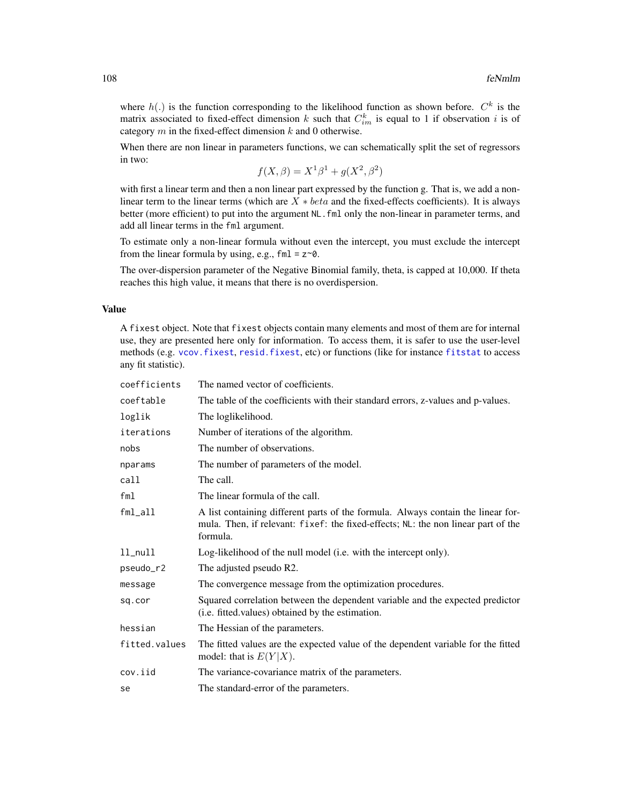where  $h(.)$  is the function corresponding to the likelihood function as shown before.  $C<sup>k</sup>$  is the matrix associated to fixed-effect dimension k such that  $C_{im}^k$  is equal to 1 if observation i is of category  $m$  in the fixed-effect dimension  $k$  and 0 otherwise.

When there are non linear in parameters functions, we can schematically split the set of regressors in two:

$$
f(X, \beta) = X^1 \beta^1 + g(X^2, \beta^2)
$$

with first a linear term and then a non linear part expressed by the function g. That is, we add a nonlinear term to the linear terms (which are  $X * beta$  and the fixed-effects coefficients). It is always better (more efficient) to put into the argument NL. fml only the non-linear in parameter terms, and add all linear terms in the fml argument.

To estimate only a non-linear formula without even the intercept, you must exclude the intercept from the linear formula by using, e.g.,  $fml = z \sim 0$ .

The over-dispersion parameter of the Negative Binomial family, theta, is capped at 10,000. If theta reaches this high value, it means that there is no overdispersion.

# Value

A fixest object. Note that fixest objects contain many elements and most of them are for internal use, they are presented here only for information. To access them, it is safer to use the user-level methods (e.g. [vcov.fixest](#page-214-0), [resid.fixest](#page-166-0), etc) or functions (like for instance [fitstat](#page-125-0) to access any fit statistic).

| coefficients  | The named vector of coefficients.                                                                                                                                                 |
|---------------|-----------------------------------------------------------------------------------------------------------------------------------------------------------------------------------|
| coeftable     | The table of the coefficients with their standard errors, z-values and p-values.                                                                                                  |
| loglik        | The loglikelihood.                                                                                                                                                                |
| iterations    | Number of iterations of the algorithm.                                                                                                                                            |
| nobs          | The number of observations.                                                                                                                                                       |
| nparams       | The number of parameters of the model.                                                                                                                                            |
| call          | The call.                                                                                                                                                                         |
| fm1           | The linear formula of the call.                                                                                                                                                   |
| $fml$ _all    | A list containing different parts of the formula. Always contain the linear for-<br>mula. Then, if relevant: fixef: the fixed-effects; NL: the non linear part of the<br>formula. |
| $ll$ _null    | Log-likelihood of the null model (i.e. with the intercept only).                                                                                                                  |
| pseudo_r2     | The adjusted pseudo R2.                                                                                                                                                           |
| message       | The convergence message from the optimization procedures.                                                                                                                         |
| sq.cor        | Squared correlation between the dependent variable and the expected predictor<br>(i.e. fitted values) obtained by the estimation.                                                 |
| hessian       | The Hessian of the parameters.                                                                                                                                                    |
| fitted.values | The fitted values are the expected value of the dependent variable for the fitted<br>model: that is $E(Y X)$ .                                                                    |
| cov.iid       | The variance-covariance matrix of the parameters.                                                                                                                                 |
| se            | The standard-error of the parameters.                                                                                                                                             |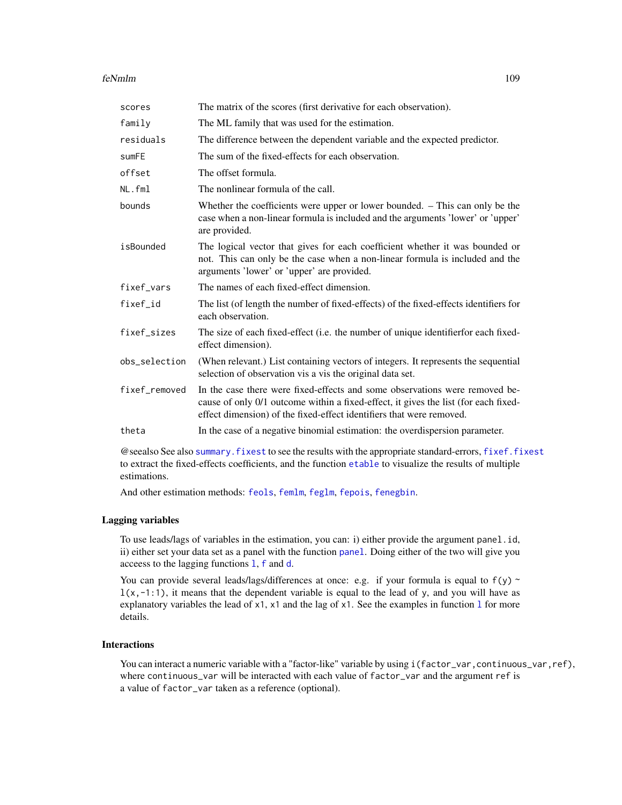#### feNmlm 109

| The matrix of the scores (first derivative for each observation).                                                                                                                                                                          |
|--------------------------------------------------------------------------------------------------------------------------------------------------------------------------------------------------------------------------------------------|
| The ML family that was used for the estimation.                                                                                                                                                                                            |
| The difference between the dependent variable and the expected predictor.                                                                                                                                                                  |
| The sum of the fixed-effects for each observation.                                                                                                                                                                                         |
| The offset formula.                                                                                                                                                                                                                        |
| The nonlinear formula of the call.                                                                                                                                                                                                         |
| Whether the coefficients were upper or lower bounded. – This can only be the<br>case when a non-linear formula is included and the arguments 'lower' or 'upper'<br>are provided.                                                           |
| The logical vector that gives for each coefficient whether it was bounded or<br>not. This can only be the case when a non-linear formula is included and the<br>arguments 'lower' or 'upper' are provided.                                 |
| The names of each fixed-effect dimension.                                                                                                                                                                                                  |
| The list (of length the number of fixed-effects) of the fixed-effects identifiers for<br>each observation.                                                                                                                                 |
| The size of each fixed-effect (i.e. the number of unique identifier for each fixed-<br>effect dimension).                                                                                                                                  |
| (When relevant.) List containing vectors of integers. It represents the sequential<br>selection of observation vis a vis the original data set.                                                                                            |
| In the case there were fixed-effects and some observations were removed be-<br>cause of only 0/1 outcome within a fixed-effect, it gives the list (for each fixed-<br>effect dimension) of the fixed-effect identifiers that were removed. |
| In the case of a negative binomial estimation: the overdispersion parameter.                                                                                                                                                               |
|                                                                                                                                                                                                                                            |

@seealso See also [summary.fixest](#page-197-0) to see the results with the appropriate standard-errors, [fixef.fixest](#page-132-0) to extract the fixed-effects coefficients, and the function [etable](#page-55-0) to visualize the results of multiple estimations.

And other estimation methods: [feols](#page-112-0), [femlm](#page-91-0), [feglm](#page-79-0), [fepois](#page-79-1), [fenegbin](#page-91-1).

#### Lagging variables

To use leads/lags of variables in the estimation, you can: i) either provide the argument panel.id, ii) either set your data set as a panel with the function [panel](#page-150-0). Doing either of the two will give you acceess to the lagging functions [l](#page-78-0), [f](#page-78-1) and [d](#page-78-0).

You can provide several leads/lags/differences at once: e.g. if your formula is equal to  $f(y)$  ~  $l(x,-1:1)$ , it means that the dependent variable is equal to the lead of y, and you will have as exp[l](#page-78-0)anatory variables the lead of  $x1$ ,  $x1$  and the lag of  $x1$ . See the examples in function 1 for more details.

### Interactions

You can interact a numeric variable with a "factor-like" variable by using i(factor\_var,continuous\_var,ref), where continuous\_var will be interacted with each value of factor\_var and the argument ref is a value of factor\_var taken as a reference (optional).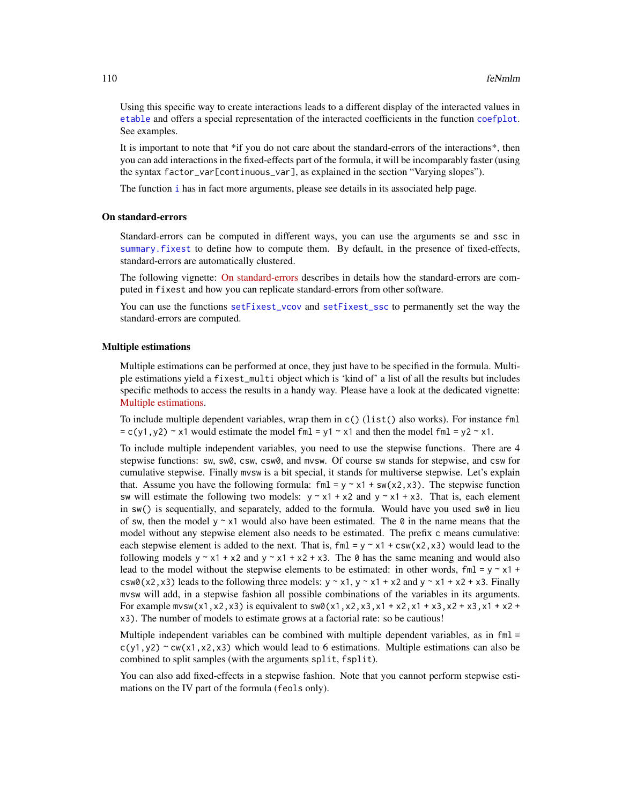Using this specific way to create interactions leads to a different display of the interacted values in [etable](#page-55-0) and offers a special representation of the interacted coefficients in the function [coefplot](#page-18-0). See examples.

It is important to note that \*if you do not care about the standard-errors of the interactions\*, then you can add interactions in the fixed-effects part of the formula, it will be incomparably faster (using the syntax factor\_var[continuous\_var], as explained in the section "Varying slopes").

The function [i](#page-136-0) has in fact more arguments, please see details in its associated help page.

#### On standard-errors

Standard-errors can be computed in different ways, you can use the arguments se and ssc in [summary.fixest](#page-197-0) to define how to compute them. By default, in the presence of fixed-effects, standard-errors are automatically clustered.

The following vignette: [On standard-errors](https://lrberge.github.io/fixest/articles/standard_errors.html) describes in details how the standard-errors are computed in fixest and how you can replicate standard-errors from other software.

You can use the functions [setFixest\\_vcov](#page-184-0) and [setFixest\\_ssc](#page-186-0) to permanently set the way the standard-errors are computed.

#### Multiple estimations

Multiple estimations can be performed at once, they just have to be specified in the formula. Multiple estimations yield a fixest\_multi object which is 'kind of' a list of all the results but includes specific methods to access the results in a handy way. Please have a look at the dedicated vignette: [Multiple estimations.](https://lrberge.github.io/fixest/articles/multiple_estimations.html)

To include multiple dependent variables, wrap them in c() (list() also works). For instance fml  $= c(y1, y2) \approx x1$  would estimate the model fml = y1  $\approx x1$  and then the model fml = y2  $\approx x1$ .

To include multiple independent variables, you need to use the stepwise functions. There are 4 stepwise functions: sw, sw0, csw, csw0, and mvsw. Of course sw stands for stepwise, and csw for cumulative stepwise. Finally mvsw is a bit special, it stands for multiverse stepwise. Let's explain that. Assume you have the following formula:  $fml = y \sim x1 + sw(x2, x3)$ . The stepwise function sw will estimate the following two models:  $y \sim x1 + x2$  and  $y \sim x1 + x3$ . That is, each element in  $sw()$  is sequentially, and separately, added to the formula. Would have you used  $sw0$  in lieu of sw, then the model y  $\sim x1$  would also have been estimated. The 0 in the name means that the model without any stepwise element also needs to be estimated. The prefix c means cumulative: each stepwise element is added to the next. That is,  $fml = y \sim x1 + csw(x2, x3)$  would lead to the following models  $y \sim x1 + x2$  and  $y \sim x1 + x2 + x3$ . The 0 has the same meaning and would also lead to the model without the stepwise elements to be estimated: in other words, fml =  $y \sim x1 +$ csw0(x2,x3) leads to the following three models:  $y \sim x1$ ,  $y \sim x1 + x2$  and  $y \sim x1 + x2 + x3$ . Finally mvsw will add, in a stepwise fashion all possible combinations of the variables in its arguments. For example  $m \times w(x1, x2, x3)$  is equivalent to  $sw0(x1, x2, x3, x1 + x2, x1 + x3, x2 + x3, x1 + x2 + x3)$ x3). The number of models to estimate grows at a factorial rate: so be cautious!

Multiple independent variables can be combined with multiple dependent variables, as in fml =  $c(y1,y2)$  ~ cw(x1,x2,x3) which would lead to 6 estimations. Multiple estimations can also be combined to split samples (with the arguments split, fsplit).

You can also add fixed-effects in a stepwise fashion. Note that you cannot perform stepwise estimations on the IV part of the formula (feols only).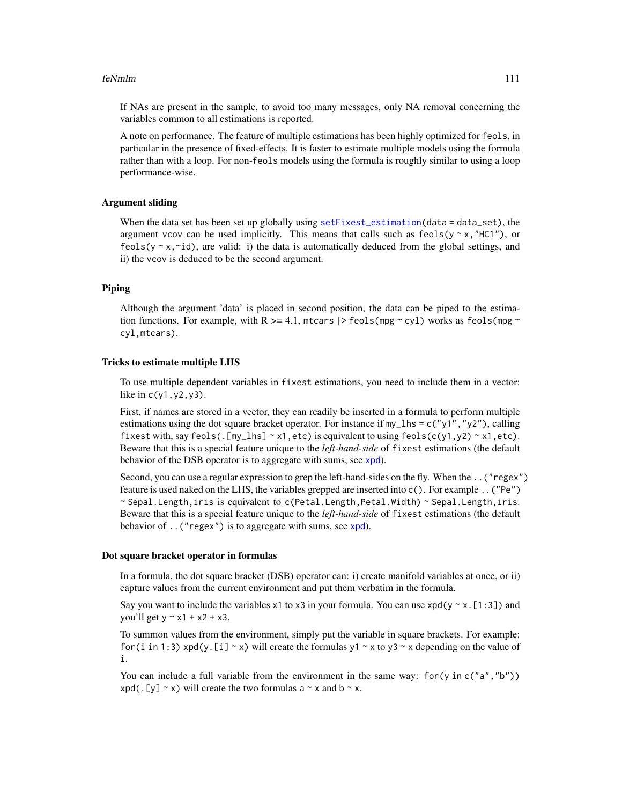#### feNmlm and the state of the state of the state of the state of the state of the state of the state of the state of the state of the state of the state of the state of the state of the state of the state of the state of the

If NAs are present in the sample, to avoid too many messages, only NA removal concerning the variables common to all estimations is reported.

A note on performance. The feature of multiple estimations has been highly optimized for feols, in particular in the presence of fixed-effects. It is faster to estimate multiple models using the formula rather than with a loop. For non-feols models using the formula is roughly similar to using a loop performance-wise.

### Argument sliding

When the data set has been set up globally using [setFixest\\_estimation\(](#page-176-0)data = data\_set), the argument vcov can be used implicitly. This means that calls such as  $feols(y \sim x, "HCI")$ , or feols( $y \sim x$ , $\sim$ id), are valid: i) the data is automatically deduced from the global settings, and ii) the vcov is deduced to be the second argument.

### Piping

Although the argument 'data' is placed in second position, the data can be piped to the estimation functions. For example, with R  $>= 4.1$ , mtcars  $\ge$  feols(mpg  $\sim$  cyl) works as feols(mpg  $\sim$ cyl,mtcars).

# Tricks to estimate multiple LHS

To use multiple dependent variables in fixest estimations, you need to include them in a vector: like in  $c(y1, y2, y3)$ .

First, if names are stored in a vector, they can readily be inserted in a formula to perform multiple estimations using the dot square bracket operator. For instance if  $my_l$  hs = c("y1","y2"), calling fixest with, say feols(.  $[my_1]$ hs] ~ x1, etc) is equivalent to using feols( $c(y1, y2)$  ~ x1, etc). Beware that this is a special feature unique to the *left-hand-side* of fixest estimations (the default behavior of the DSB operator is to aggregate with sums, see [xpd](#page-228-0)).

Second, you can use a regular expression to grep the left-hand-sides on the fly. When the ..("regex") feature is used naked on the LHS, the variables grepped are inserted into c(). For example ..("Pe") ~ Sepal.Length,iris is equivalent to c(Petal.Length,Petal.Width) ~ Sepal.Length,iris. Beware that this is a special feature unique to the *left-hand-side* of fixest estimations (the default behavior of . . ("regex") is to aggregate with sums, see [xpd](#page-228-0)).

#### Dot square bracket operator in formulas

In a formula, the dot square bracket (DSB) operator can: i) create manifold variables at once, or ii) capture values from the current environment and put them verbatim in the formula.

Say you want to include the variables x1 to x3 in your formula. You can use  $xpd(y \sim x.[1:3])$  and you'll get  $y \sim x1 + x2 + x3$ .

To summon values from the environment, simply put the variable in square brackets. For example: for (i in 1:3) xpd(y.[i]  $\sim$  x) will create the formulas y1  $\sim$  x to y3  $\sim$  x depending on the value of i.

You can include a full variable from the environment in the same way: for (y in c("a", "b"))  $xpd(. [y] \sim x)$  will create the two formulas a  $\sim x$  and b  $\sim x$ .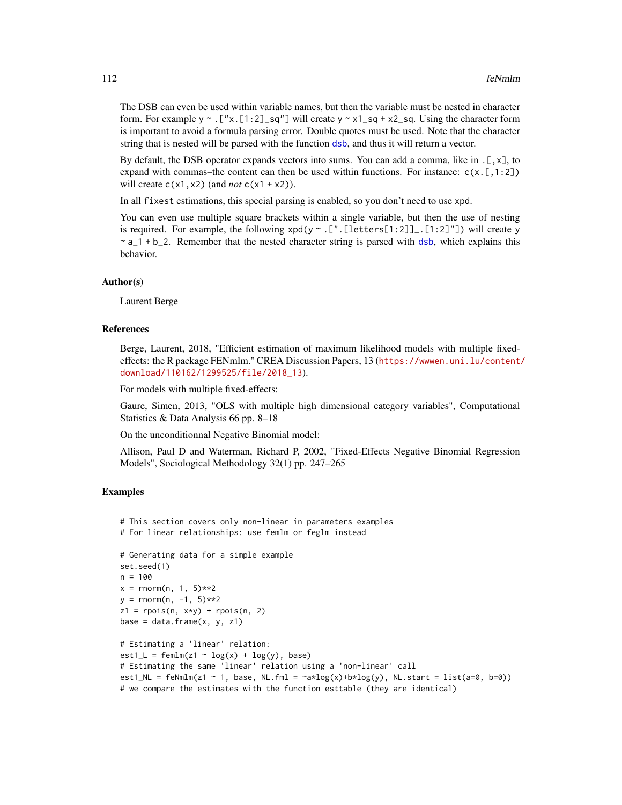The DSB can even be used within variable names, but then the variable must be nested in character form. For example y  $\sim$  . ["x. [1:2]\_sq"] will create y  $\sim$  x1\_sq + x2\_sq. Using the character form is important to avoid a formula parsing error. Double quotes must be used. Note that the character string that is nested will be parsed with the function [dsb](#page-44-0), and thus it will return a vector.

By default, the DSB operator expands vectors into sums. You can add a comma, like in .[,x], to expand with commas–the content can then be used within functions. For instance:  $c(x, [1:2])$ will create  $c(x1, x2)$  (and *not*  $c(x1 + x2)$ ).

In all fixest estimations, this special parsing is enabled, so you don't need to use xpd.

You can even use multiple square brackets within a single variable, but then the use of nesting is required. For example, the following  $xpd(y \sim .[".[letters[1:2]]].[1:2]$ "]) will create y  $\sim a_1 + b_2$ . Remember that the nested character string is parsed with [dsb](#page-44-0), which explains this behavior.

#### Author(s)

Laurent Berge

#### References

Berge, Laurent, 2018, "Efficient estimation of maximum likelihood models with multiple fixedeffects: the R package FENmlm." CREA Discussion Papers, 13 ([https://wwwen.uni.lu/content/](https://wwwen.uni.lu/content/download/110162/1299525/file/2018_13) [download/110162/1299525/file/2018\\_13](https://wwwen.uni.lu/content/download/110162/1299525/file/2018_13)).

For models with multiple fixed-effects:

Gaure, Simen, 2013, "OLS with multiple high dimensional category variables", Computational Statistics & Data Analysis 66 pp. 8–18

On the unconditionnal Negative Binomial model:

Allison, Paul D and Waterman, Richard P, 2002, "Fixed-Effects Negative Binomial Regression Models", Sociological Methodology 32(1) pp. 247–265

#### Examples

```
# This section covers only non-linear in parameters examples
# For linear relationships: use femlm or feglm instead
# Generating data for a simple example
set.seed(1)
n = 100
x = \text{norm}(n, 1, 5)**2
y = rnorm(n, -1, 5)**2
z1 = \text{rpois}(n, x \star y) + \text{rpois}(n, 2)base = data.frame(x, y, z1)# Estimating a 'linear' relation:
est1_L = femlm(z1 ~ v log(x) ~ + log(y), base)# Estimating the same 'linear' relation using a 'non-linear' call
est1_NL = feNmlm(z1 ~ 1, base, NL.fml = \alpha x \log(x) + b x \log(y), NL.start = list(a=0, b=0))
# we compare the estimates with the function esttable (they are identical)
```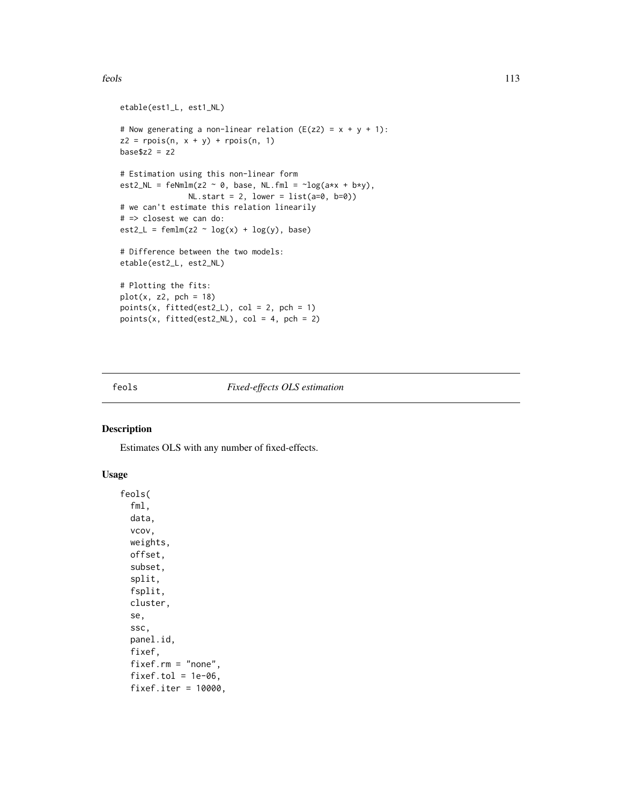#### feols 113

```
etable(est1_L, est1_NL)
# Now generating a non-linear relation (E(z2) = x + y + 1):
z2 = \text{rpois}(n, x + y) + \text{rpois}(n, 1)base$z2 = z2# Estimation using this non-linear form
est2_NL = feNmlm(z2 \sim 0, base, NL.fml = \simlog(a*x + b*y),
               NL.start = 2, lower = list(a=0, b=0)# we can't estimate this relation linearily
# => closest we can do:
est2_L = femlm(z2 \sim log(x) + log(y), base)# Difference between the two models:
etable(est2_L, est2_NL)
# Plotting the fits:
plot(x, z2, pch = 18)points(x, fitted(est2_L), col = 2, pch = 1)points(x, fitted(est2_NL), col = 4, pch = 2)
```
# <span id="page-112-0"></span>feols *Fixed-effects OLS estimation*

#### Description

Estimates OLS with any number of fixed-effects.

# Usage

feols( fml, data, vcov, weights, offset, subset, split, fsplit, cluster, se, ssc, panel.id, fixef, fixef.rm = "none", fixef.tol =  $1e-06$ , fixef.iter = 10000,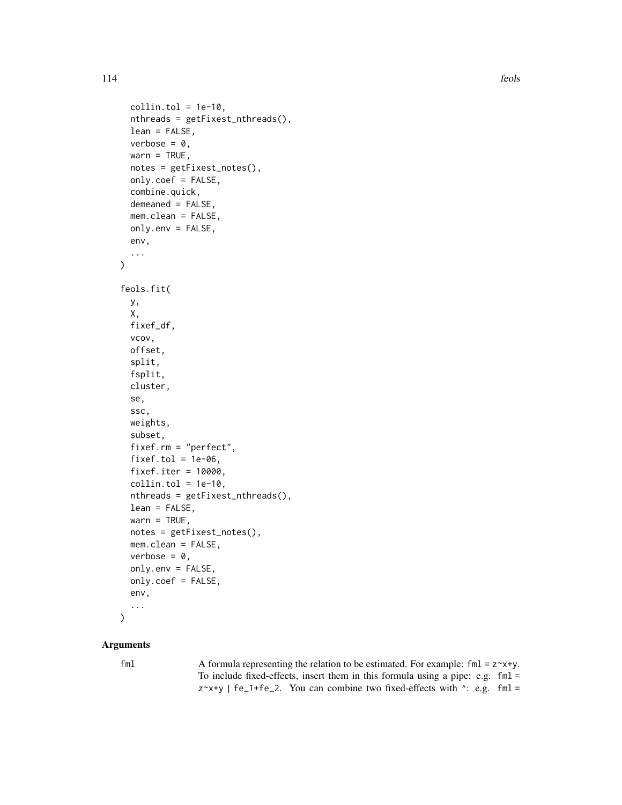```
collin.tol = 1e-10,nthreads = getFixest_nthreads(),
  lean = FALSE,
  verbose = 0,
  wan = TRUE,notes = getFixest_notes(),
  only.coef = FALSE,
  combine.quick,
  demeaned = FALSE,
 mem.clean = FALSE,
 only.env = FALSE,
 env,
  ...
)
feols.fit(
 y,
 X,
 fixef_df,
  vcov,
 offset,
  split,
  fsplit,
  cluster,
  se,
  ssc,
 weights,
  subset,
  fixef.rm = "perfect",
  fixef.tol = 1e-06,
  fixef.iter = 10000,
 collin.tol = 1e-10,nthreads = getFixest_nthreads(),
  lean = FALSE,
  warn = TRUE,notes = getFixest_notes(),
 mem.clean = FALSE,
 verbose = 0,
 only.env = FALSE,
 only.coef = FALSE,
  env,
  ...
\mathcal{L}
```
# Arguments

fml  $\blacktriangle$  A formula representing the relation to be estimated. For example: fml = z $\blacktriangle$ x+y. To include fixed-effects, insert them in this formula using a pipe: e.g. fml =  $z^x$  +y | fe\_1+fe\_2. You can combine two fixed-effects with  $\cdot$ : e.g. fml =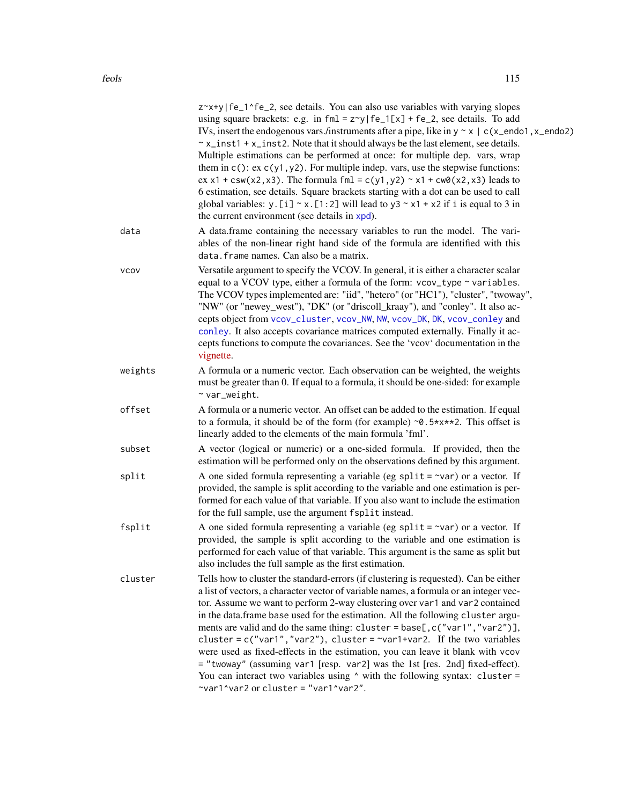|             | z~x+y fe_1^fe_2, see details. You can also use variables with varying slopes<br>using square brackets: e.g. in $fml = z \gamma   f e_1[x] + fe_2$ , see details. To add<br>IVs, insert the endogenous vars./instruments after a pipe, like in $y \sim x \mid c(x \neq 0.1, x \neq 0.2)$<br>$\sim$ x_inst1 + x_inst2. Note that it should always be the last element, see details.<br>Multiple estimations can be performed at once: for multiple dep. vars, wrap<br>them in $c()$ : ex $c(y1, y2)$ . For multiple indep. vars, use the stepwise functions:<br>ex x1 + csw(x2, x3). The formula fml = c(y1, y2) $\sim$ x1 + cw0(x2, x3) leads to<br>6 estimation, see details. Square brackets starting with a dot can be used to call<br>global variables: y. [i] $\sim x$ . [1:2] will lead to y3 $\sim x1 + x2$ if i is equal to 3 in<br>the current environment (see details in xpd). |
|-------------|------------------------------------------------------------------------------------------------------------------------------------------------------------------------------------------------------------------------------------------------------------------------------------------------------------------------------------------------------------------------------------------------------------------------------------------------------------------------------------------------------------------------------------------------------------------------------------------------------------------------------------------------------------------------------------------------------------------------------------------------------------------------------------------------------------------------------------------------------------------------------------------|
| data        | A data.frame containing the necessary variables to run the model. The vari-<br>ables of the non-linear right hand side of the formula are identified with this<br>data. frame names. Can also be a matrix.                                                                                                                                                                                                                                                                                                                                                                                                                                                                                                                                                                                                                                                                               |
| <b>VCOV</b> | Versatile argument to specify the VCOV. In general, it is either a character scalar<br>equal to a VCOV type, either a formula of the form: vcov_type ~ variables.<br>The VCOV types implemented are: "iid", "hetero" (or "HC1"), "cluster", "twoway",<br>"NW" (or "newey_west"), "DK" (or "driscoll_kraay"), and "conley". It also ac-<br>cepts object from vcov_cluster, vcov_NW, NW, vcov_DK, DK, vcov_conley and<br>conley. It also accepts covariance matrices computed externally. Finally it ac-<br>cepts functions to compute the covariances. See the 'vcov' documentation in the<br>vignette.                                                                                                                                                                                                                                                                                   |
| weights     | A formula or a numeric vector. Each observation can be weighted, the weights<br>must be greater than 0. If equal to a formula, it should be one-sided: for example<br>$~\sim$ var_weight.                                                                                                                                                                                                                                                                                                                                                                                                                                                                                                                                                                                                                                                                                                |
| offset      | A formula or a numeric vector. An offset can be added to the estimation. If equal<br>to a formula, it should be of the form (for example) $\sim 0.5 \times x \times 2$ . This offset is<br>linearly added to the elements of the main formula 'fml'.                                                                                                                                                                                                                                                                                                                                                                                                                                                                                                                                                                                                                                     |
| subset      | A vector (logical or numeric) or a one-sided formula. If provided, then the<br>estimation will be performed only on the observations defined by this argument.                                                                                                                                                                                                                                                                                                                                                                                                                                                                                                                                                                                                                                                                                                                           |
| split       | A one sided formula representing a variable (eg split = $\sim$ var) or a vector. If<br>provided, the sample is split according to the variable and one estimation is per-<br>formed for each value of that variable. If you also want to include the estimation<br>for the full sample, use the argument fsplit instead.                                                                                                                                                                                                                                                                                                                                                                                                                                                                                                                                                                 |
| fsplit      | A one sided formula representing a variable (eg split = $\sim$ var) or a vector. If<br>provided, the sample is split according to the variable and one estimation is<br>performed for each value of that variable. This argument is the same as split but<br>also includes the full sample as the first estimation.                                                                                                                                                                                                                                                                                                                                                                                                                                                                                                                                                                      |
| cluster     | Tells how to cluster the standard-errors (if clustering is requested). Can be either<br>a list of vectors, a character vector of variable names, a formula or an integer vec-<br>tor. Assume we want to perform 2-way clustering over var1 and var2 contained<br>in the data.frame base used for the estimation. All the following cluster argu-<br>ments are valid and do the same thing: cluster = base[, c("var1", "var2")],<br>cluster = $c("var1", "var2"),$ cluster = $\sim$ var1+var2. If the two variables<br>were used as fixed-effects in the estimation, you can leave it blank with vcov<br>= "twoway" (assuming var1 [resp. var2] was the 1st [res. 2nd] fixed-effect).<br>You can interact two variables using $\land$ with the following syntax: cluster =<br>$\gamma$ var1 $\gamma$ var2 or cluster = "var1 $\gamma$ var2".                                              |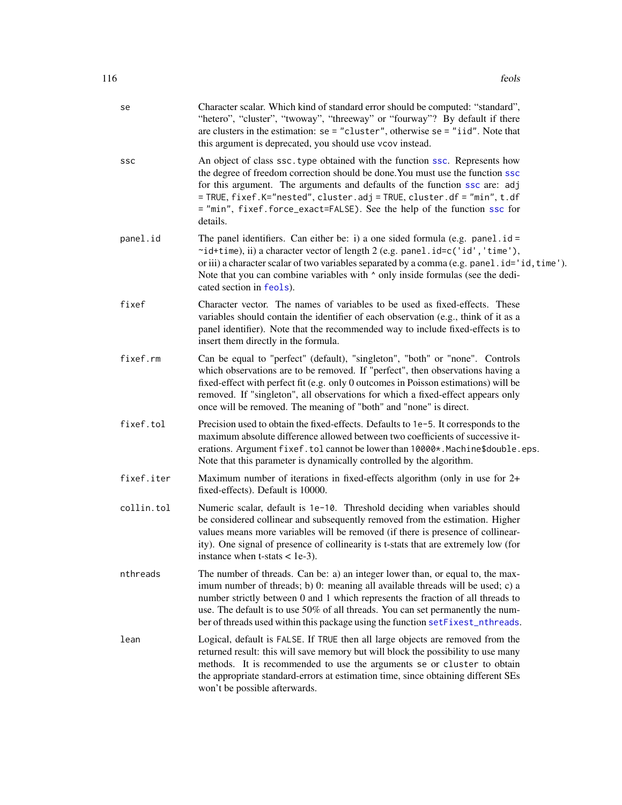| se         | Character scalar. Which kind of standard error should be computed: "standard",<br>"hetero", "cluster", "twoway", "threeway" or "fourway"? By default if there<br>are clusters in the estimation: $se = "cluster", otherwise = e = "iid".$ Note that<br>this argument is deprecated, you should use vcov instead.                                                                                                         |
|------------|--------------------------------------------------------------------------------------------------------------------------------------------------------------------------------------------------------------------------------------------------------------------------------------------------------------------------------------------------------------------------------------------------------------------------|
| SSC        | An object of class ssc. type obtained with the function ssc. Represents how<br>the degree of freedom correction should be done. You must use the function ssc<br>for this argument. The arguments and defaults of the function ssc are: adj<br>= TRUE, fixef.K="nested", cluster.adj = TRUE, cluster.df = "min", t.df<br>= "min", fixef.force_exact=FALSE). See the help of the function ssc for<br>details.             |
| panel.id   | The panel identifiers. Can either be: i) a one sided formula (e.g. panel $id =$<br>~id+time), ii) a character vector of length 2 (e.g. panel.id=c('id','time'),<br>or iii) a character scalar of two variables separated by a comma (e.g. panel.id='id, time').<br>Note that you can combine variables with $\wedge$ only inside formulas (see the dedi-<br>cated section in feols).                                     |
| fixef      | Character vector. The names of variables to be used as fixed-effects. These<br>variables should contain the identifier of each observation (e.g., think of it as a<br>panel identifier). Note that the recommended way to include fixed-effects is to<br>insert them directly in the formula.                                                                                                                            |
| fixef.rm   | Can be equal to "perfect" (default), "singleton", "both" or "none". Controls<br>which observations are to be removed. If "perfect", then observations having a<br>fixed-effect with perfect fit (e.g. only 0 outcomes in Poisson estimations) will be<br>removed. If "singleton", all observations for which a fixed-effect appears only<br>once will be removed. The meaning of "both" and "none" is direct.            |
| fixef.tol  | Precision used to obtain the fixed-effects. Defaults to 1e-5. It corresponds to the<br>maximum absolute difference allowed between two coefficients of successive it-<br>erations. Argument fixef.tol cannot be lower than 10000*. Machine\$double.eps.<br>Note that this parameter is dynamically controlled by the algorithm.                                                                                          |
| fixef.iter | Maximum number of iterations in fixed-effects algorithm (only in use for $2+$<br>fixed-effects). Default is 10000.                                                                                                                                                                                                                                                                                                       |
| collin.tol | Numeric scalar, default is 1e-10. Threshold deciding when variables should<br>be considered collinear and subsequently removed from the estimation. Higher<br>values means more variables will be removed (if there is presence of collinear-<br>ity). One signal of presence of collinearity is t-stats that are extremely low (for<br>instance when $t$ -stats $<$ 1e-3).                                              |
| nthreads   | The number of threads. Can be: a) an integer lower than, or equal to, the max-<br>imum number of threads; b) 0: meaning all available threads will be used; c) a<br>number strictly between 0 and 1 which represents the fraction of all threads to<br>use. The default is to use 50% of all threads. You can set permanently the num-<br>ber of threads used within this package using the function setFixest_nthreads. |
| lean       | Logical, default is FALSE. If TRUE then all large objects are removed from the<br>returned result: this will save memory but will block the possibility to use many<br>methods. It is recommended to use the arguments se or cluster to obtain<br>the appropriate standard-errors at estimation time, since obtaining different SEs<br>won't be possible afterwards.                                                     |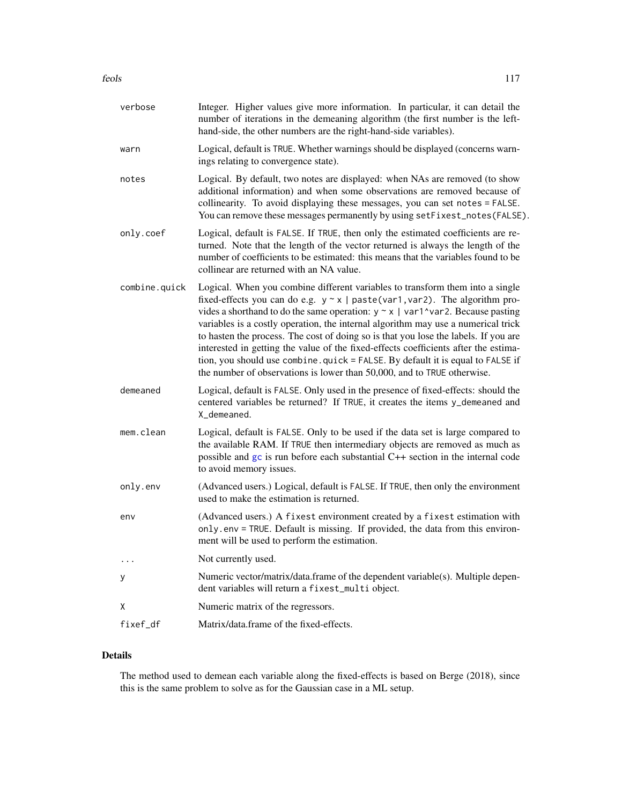| verbose       | Integer. Higher values give more information. In particular, it can detail the<br>number of iterations in the demeaning algorithm (the first number is the left-<br>hand-side, the other numbers are the right-hand-side variables).                                                                                                                                                                                                                                                                                                                                                                                                                                                      |
|---------------|-------------------------------------------------------------------------------------------------------------------------------------------------------------------------------------------------------------------------------------------------------------------------------------------------------------------------------------------------------------------------------------------------------------------------------------------------------------------------------------------------------------------------------------------------------------------------------------------------------------------------------------------------------------------------------------------|
| warn          | Logical, default is TRUE. Whether warnings should be displayed (concerns warn-<br>ings relating to convergence state).                                                                                                                                                                                                                                                                                                                                                                                                                                                                                                                                                                    |
| notes         | Logical. By default, two notes are displayed: when NAs are removed (to show<br>additional information) and when some observations are removed because of<br>collinearity. To avoid displaying these messages, you can set notes = FALSE.<br>You can remove these messages permanently by using setFixest_notes(FALSE).                                                                                                                                                                                                                                                                                                                                                                    |
| only.coef     | Logical, default is FALSE. If TRUE, then only the estimated coefficients are re-<br>turned. Note that the length of the vector returned is always the length of the<br>number of coefficients to be estimated: this means that the variables found to be<br>collinear are returned with an NA value.                                                                                                                                                                                                                                                                                                                                                                                      |
| combine.quick | Logical. When you combine different variables to transform them into a single<br>fixed-effects you can do e.g. $y \sim x$   paste(var1, var2). The algorithm pro-<br>vides a shorthand to do the same operation: $y \sim x$   var1^var2. Because pasting<br>variables is a costly operation, the internal algorithm may use a numerical trick<br>to hasten the process. The cost of doing so is that you lose the labels. If you are<br>interested in getting the value of the fixed-effects coefficients after the estima-<br>tion, you should use combine. quick = FALSE. By default it is equal to FALSE if<br>the number of observations is lower than 50,000, and to TRUE otherwise. |
| demeaned      | Logical, default is FALSE. Only used in the presence of fixed-effects: should the<br>centered variables be returned? If TRUE, it creates the items y_demeaned and<br>X_demeaned.                                                                                                                                                                                                                                                                                                                                                                                                                                                                                                          |
| mem.clean     | Logical, default is FALSE. Only to be used if the data set is large compared to<br>the available RAM. If TRUE then intermediary objects are removed as much as<br>possible and gc is run before each substantial C++ section in the internal code<br>to avoid memory issues.                                                                                                                                                                                                                                                                                                                                                                                                              |
| only.env      | (Advanced users.) Logical, default is FALSE. If TRUE, then only the environment<br>used to make the estimation is returned.                                                                                                                                                                                                                                                                                                                                                                                                                                                                                                                                                               |
| env           | (Advanced users.) A fixest environment created by a fixest estimation with<br>only.env = TRUE. Default is missing. If provided, the data from this environ-<br>ment will be used to perform the estimation.                                                                                                                                                                                                                                                                                                                                                                                                                                                                               |
| $\cdots$      | Not currently used.                                                                                                                                                                                                                                                                                                                                                                                                                                                                                                                                                                                                                                                                       |
| У             | Numeric vector/matrix/data.frame of the dependent variable(s). Multiple depen-<br>dent variables will return a fixest_multi object.                                                                                                                                                                                                                                                                                                                                                                                                                                                                                                                                                       |
| X             | Numeric matrix of the regressors.                                                                                                                                                                                                                                                                                                                                                                                                                                                                                                                                                                                                                                                         |
| fixef_df      | Matrix/data.frame of the fixed-effects.                                                                                                                                                                                                                                                                                                                                                                                                                                                                                                                                                                                                                                                   |

# Details

The method used to demean each variable along the fixed-effects is based on Berge (2018), since this is the same problem to solve as for the Gaussian case in a ML setup.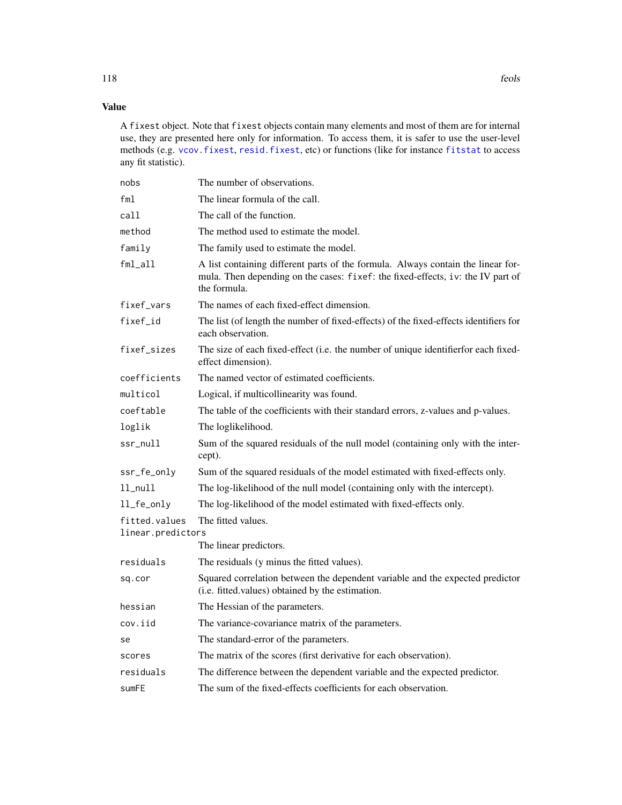# Value

A fixest object. Note that fixest objects contain many elements and most of them are for internal use, they are presented here only for information. To access them, it is safer to use the user-level methods (e.g. [vcov.fixest](#page-214-0), [resid.fixest](#page-166-0), etc) or functions (like for instance [fitstat](#page-125-0) to access any fit statistic).

| nobs              | The number of observations.                                                                                                                                                         |
|-------------------|-------------------------------------------------------------------------------------------------------------------------------------------------------------------------------------|
| fml               | The linear formula of the call.                                                                                                                                                     |
| call              | The call of the function.                                                                                                                                                           |
| method            | The method used to estimate the model.                                                                                                                                              |
| family            | The family used to estimate the model.                                                                                                                                              |
| fml_all           | A list containing different parts of the formula. Always contain the linear for-<br>mula. Then depending on the cases: fixef: the fixed-effects, iv: the IV part of<br>the formula. |
| fixef_vars        | The names of each fixed-effect dimension.                                                                                                                                           |
| fixef_id          | The list (of length the number of fixed-effects) of the fixed-effects identifiers for<br>each observation.                                                                          |
| fixef_sizes       | The size of each fixed-effect (i.e. the number of unique identifier for each fixed-<br>effect dimension).                                                                           |
| coefficients      | The named vector of estimated coefficients.                                                                                                                                         |
| multicol          | Logical, if multicollinearity was found.                                                                                                                                            |
| coeftable         | The table of the coefficients with their standard errors, z-values and p-values.                                                                                                    |
| loglik            | The loglikelihood.                                                                                                                                                                  |
| ssr_null          | Sum of the squared residuals of the null model (containing only with the inter-<br>cept).                                                                                           |
| ssr_fe_only       | Sum of the squared residuals of the model estimated with fixed-effects only.                                                                                                        |
| $ll$ _nu $ll$     | The log-likelihood of the null model (containing only with the intercept).                                                                                                          |
| ll_fe_only        | The log-likelihood of the model estimated with fixed-effects only.                                                                                                                  |
| fitted.values     | The fitted values.                                                                                                                                                                  |
| linear.predictors |                                                                                                                                                                                     |
|                   | The linear predictors.                                                                                                                                                              |
| residuals         | The residuals (y minus the fitted values).                                                                                                                                          |
| sq.cor            | Squared correlation between the dependent variable and the expected predictor<br>(i.e. fitted.values) obtained by the estimation.                                                   |
| hessian           | The Hessian of the parameters.                                                                                                                                                      |
| cov.iid           | The variance-covariance matrix of the parameters.                                                                                                                                   |
| se                | The standard-error of the parameters.                                                                                                                                               |
| scores            | The matrix of the scores (first derivative for each observation).                                                                                                                   |
| residuals         | The difference between the dependent variable and the expected predictor.                                                                                                           |
| sumFE             | The sum of the fixed-effects coefficients for each observation.                                                                                                                     |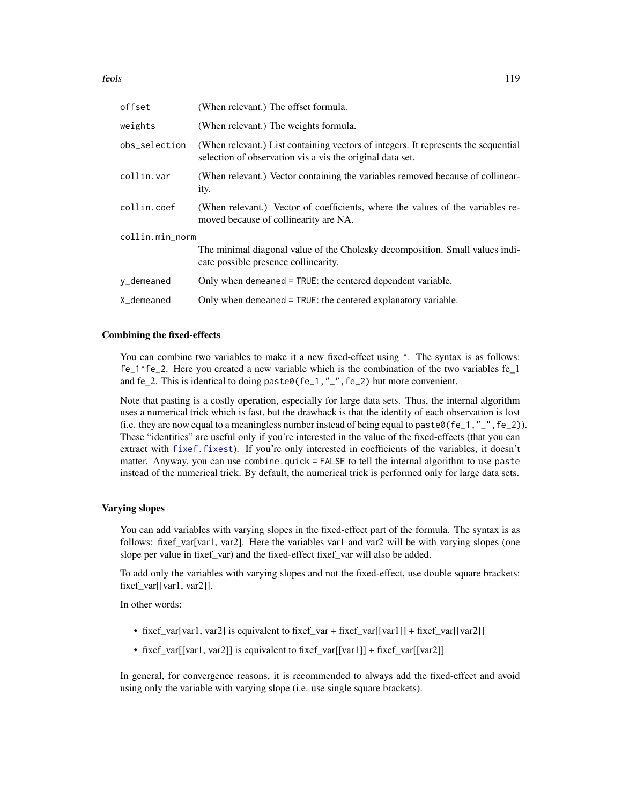| offset          | (When relevant.) The offset formula.                                                                                                            |
|-----------------|-------------------------------------------------------------------------------------------------------------------------------------------------|
| weights         | (When relevant.) The weights formula.                                                                                                           |
| obs_selection   | (When relevant.) List containing vectors of integers. It represents the sequential<br>selection of observation vis a vis the original data set. |
| collin.var      | (When relevant.) Vector containing the variables removed because of collinear-<br>ity.                                                          |
| collin.coef     | (When relevant.) Vector of coefficients, where the values of the variables re-<br>moved because of collinearity are NA.                         |
| collin.min_norm |                                                                                                                                                 |
|                 | The minimal diagonal value of the Cholesky decomposition. Small values indi-<br>cate possible presence collinearity.                            |
| y_demeaned      | Only when demeaned = TRUE: the centered dependent variable.                                                                                     |
| X_demeaned      | Only when demeaned = TRUE: the centered explanatory variable.                                                                                   |

#### Combining the fixed-effects

You can combine two variables to make it a new fixed-effect using  $\wedge$ . The syntax is as follows: fe\_1^fe\_2. Here you created a new variable which is the combination of the two variables fe\_1 and fe\_2. This is identical to doing paste0(fe\_1, "\_", fe\_2) but more convenient.

Note that pasting is a costly operation, especially for large data sets. Thus, the internal algorithm uses a numerical trick which is fast, but the drawback is that the identity of each observation is lost (i.e. they are now equal to a meaningless number instead of being equal to paste $\theta$ (fe\_1, "\_", fe\_2)). These "identities" are useful only if you're interested in the value of the fixed-effects (that you can extract with [fixef.fixest](#page-132-0)). If you're only interested in coefficients of the variables, it doesn't matter. Anyway, you can use combine.quick = FALSE to tell the internal algorithm to use paste instead of the numerical trick. By default, the numerical trick is performed only for large data sets.

### Varying slopes

You can add variables with varying slopes in the fixed-effect part of the formula. The syntax is as follows: fixef\_var[var1, var2]. Here the variables var1 and var2 will be with varying slopes (one slope per value in fixef\_var) and the fixed-effect fixef\_var will also be added.

To add only the variables with varying slopes and not the fixed-effect, use double square brackets: fixef\_var[[var1, var2]].

In other words:

- fixef\_var[var1, var2] is equivalent to fixef\_var + fixef\_var[[var1]] + fixef\_var[[var2]]
- fixef\_var[[var1, var2]] is equivalent to fixef\_var[[var1]] + fixef\_var[[var2]]

In general, for convergence reasons, it is recommended to always add the fixed-effect and avoid using only the variable with varying slope (i.e. use single square brackets).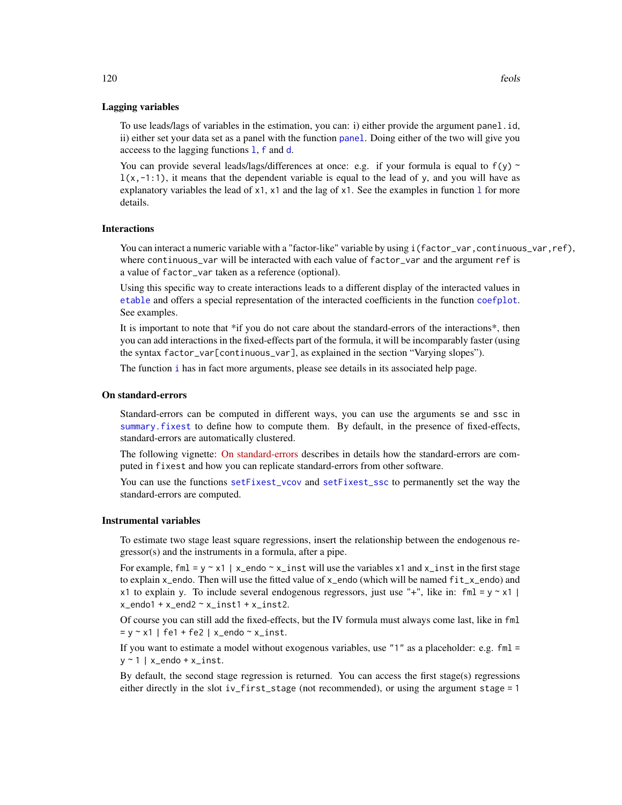#### Lagging variables

To use leads/lags of variables in the estimation, you can: i) either provide the argument panel.id, ii) either set your data set as a panel with the function [panel](#page-150-0). Doing either of the two will give you acceess to the lagging functions [l](#page-78-0), [f](#page-78-1) and [d](#page-78-0).

You can provide several leads/lags/differences at once: e.g. if your formula is equal to  $f(y)$  ~  $l(x,-1:1)$ , it means that the dependent variable is equal to the lead of y, and you will have as exp[l](#page-78-0)anatory variables the lead of  $x1$ ,  $x1$  and the lag of  $x1$ . See the examples in function 1 for more details.

### Interactions

You can interact a numeric variable with a "factor-like" variable by using i(factor\_var,continuous\_var,ref), where continuous\_var will be interacted with each value of factor\_var and the argument ref is a value of factor\_var taken as a reference (optional).

Using this specific way to create interactions leads to a different display of the interacted values in [etable](#page-55-0) and offers a special representation of the interacted coefficients in the function [coefplot](#page-18-0). See examples.

It is important to note that \*if you do not care about the standard-errors of the interactions\*, then you can add interactions in the fixed-effects part of the formula, it will be incomparably faster (using the syntax factor\_var[continuous\_var], as explained in the section "Varying slopes").

The function [i](#page-136-0) has in fact more arguments, please see details in its associated help page.

#### On standard-errors

Standard-errors can be computed in different ways, you can use the arguments se and ssc in [summary.fixest](#page-197-0) to define how to compute them. By default, in the presence of fixed-effects, standard-errors are automatically clustered.

The following vignette: [On standard-errors](https://lrberge.github.io/fixest/articles/standard_errors.html) describes in details how the standard-errors are computed in fixest and how you can replicate standard-errors from other software.

You can use the functions [setFixest\\_vcov](#page-184-0) and [setFixest\\_ssc](#page-186-0) to permanently set the way the standard-errors are computed.

### Instrumental variables

To estimate two stage least square regressions, insert the relationship between the endogenous regressor(s) and the instruments in a formula, after a pipe.

For example, fml = y  $\sim$  x1 | x\_endo  $\sim$  x\_inst will use the variables x1 and x\_inst in the first stage to explain x\_endo. Then will use the fitted value of x\_endo (which will be named fit\_x\_endo) and x1 to explain y. To include several endogenous regressors, just use "+", like in: fml =  $y \sim x1$  |  $x$  endo1 +  $x$  end2  $\sim$   $x$  inst1 +  $x$  inst2.

Of course you can still add the fixed-effects, but the IV formula must always come last, like in fml = y ~ x1 | fe1 + fe2 | x\_endo ~ x\_inst.

If you want to estimate a model without exogenous variables, use "1" as a placeholder: e.g.  $fm1 =$  $y \sim 1$  | x\_endo + x\_inst.

By default, the second stage regression is returned. You can access the first stage(s) regressions either directly in the slot iv\_first\_stage (not recommended), or using the argument stage = 1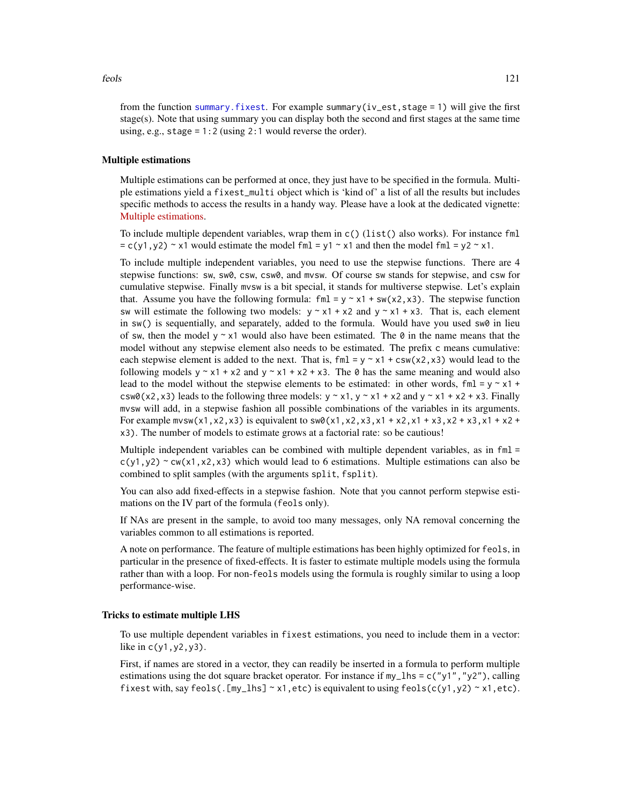feols 121

from the function [summary.fixest](#page-197-0). For example summary(iv\_est,stage = 1) will give the first stage(s). Note that using summary you can display both the second and first stages at the same time using, e.g., stage =  $1:2$  (using 2:1 would reverse the order).

#### Multiple estimations

Multiple estimations can be performed at once, they just have to be specified in the formula. Multiple estimations yield a fixest\_multi object which is 'kind of' a list of all the results but includes specific methods to access the results in a handy way. Please have a look at the dedicated vignette: [Multiple estimations.](https://lrberge.github.io/fixest/articles/multiple_estimations.html)

To include multiple dependent variables, wrap them in  $c()$  (1ist() also works). For instance fml  $= c(y1, y2)$  ~ x1 would estimate the model fml = y1 ~ x1 and then the model fml = y2 ~ x1.

To include multiple independent variables, you need to use the stepwise functions. There are 4 stepwise functions: sw, sw0, csw, csw0, and mvsw. Of course sw stands for stepwise, and csw for cumulative stepwise. Finally mvsw is a bit special, it stands for multiverse stepwise. Let's explain that. Assume you have the following formula: fml =  $y \sim x1 + sw(x2, x3)$ . The stepwise function sw will estimate the following two models:  $y \sim x1 + x2$  and  $y \sim x1 + x3$ . That is, each element in sw() is sequentially, and separately, added to the formula. Would have you used sw0 in lieu of sw, then the model  $y \sim x1$  would also have been estimated. The  $\theta$  in the name means that the model without any stepwise element also needs to be estimated. The prefix c means cumulative: each stepwise element is added to the next. That is,  $fml = y \approx x1 + csw(x2, x3)$  would lead to the following models  $y \sim x1 + x2$  and  $y \sim x1 + x2 + x3$ . The 0 has the same meaning and would also lead to the model without the stepwise elements to be estimated: in other words,  $fml = y \sim x1 +$ csw0(x2,x3) leads to the following three models:  $y \sim x1$ ,  $y \sim x1 + x2$  and  $y \sim x1 + x2 + x3$ . Finally mvsw will add, in a stepwise fashion all possible combinations of the variables in its arguments. For example  $m \times w(x1, x2, x3)$  is equivalent to  $sw0(x1, x2, x3, x1 + x2, x1 + x3, x2 + x3, x1 + x2 + x3)$ x3). The number of models to estimate grows at a factorial rate: so be cautious!

Multiple independent variables can be combined with multiple dependent variables, as in fml =  $c(y1,y2)$  ~ cw(x1,x2,x3) which would lead to 6 estimations. Multiple estimations can also be combined to split samples (with the arguments split, fsplit).

You can also add fixed-effects in a stepwise fashion. Note that you cannot perform stepwise estimations on the IV part of the formula (feols only).

If NAs are present in the sample, to avoid too many messages, only NA removal concerning the variables common to all estimations is reported.

A note on performance. The feature of multiple estimations has been highly optimized for feols, in particular in the presence of fixed-effects. It is faster to estimate multiple models using the formula rather than with a loop. For non-feols models using the formula is roughly similar to using a loop performance-wise.

#### Tricks to estimate multiple LHS

To use multiple dependent variables in fixest estimations, you need to include them in a vector: like in c(y1,y2,y3).

First, if names are stored in a vector, they can readily be inserted in a formula to perform multiple estimations using the dot square bracket operator. For instance if  $my_l$  hs = c("y1", "y2"), calling fixest with, say feols(.[my\_lhs]  $\sim x1$ , etc) is equivalent to using feols(c(y1,y2)  $\sim x1$ , etc).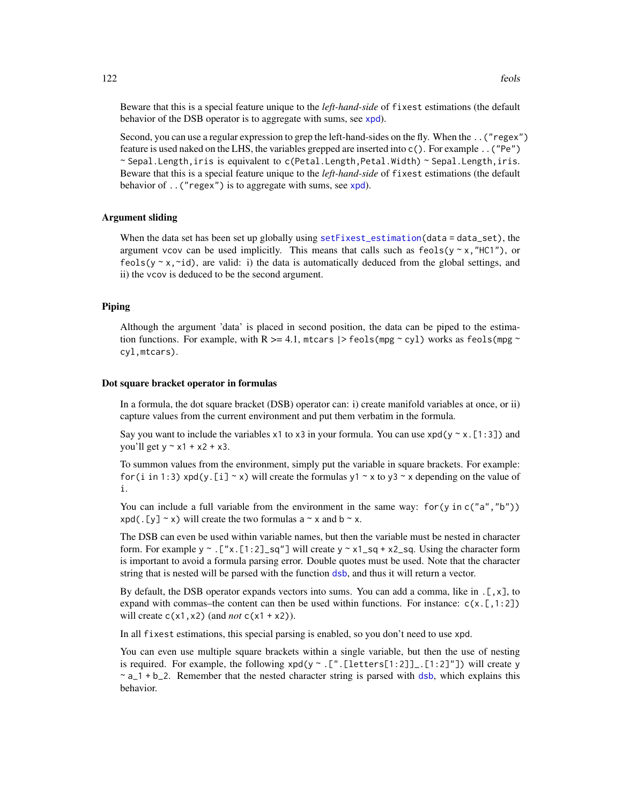Beware that this is a special feature unique to the *left-hand-side* of fixest estimations (the default behavior of the DSB operator is to aggregate with sums, see [xpd](#page-228-0)).

Second, you can use a regular expression to grep the left-hand-sides on the fly. When the ..("regex") feature is used naked on the LHS, the variables grepped are inserted into c(). For example ..("Pe") ~ Sepal.Length,iris is equivalent to c(Petal.Length,Petal.Width) ~ Sepal.Length,iris. Beware that this is a special feature unique to the *left-hand-side* of fixest estimations (the default behavior of  $\ldots$  ("regex") is to aggregate with sums, see [xpd](#page-228-0)).

### Argument sliding

When the data set has been set up globally using set  $Fixest_estimation(data = data_set)$ , the argument vcov can be used implicitly. This means that calls such as  $feols(y \sim x$ , "HC1"), or feols( $y \sim x$ , $\sim$ id), are valid: i) the data is automatically deduced from the global settings, and ii) the vcov is deduced to be the second argument.

### Piping

Although the argument 'data' is placed in second position, the data can be piped to the estimation functions. For example, with R  $\ge$  = 4.1, mtcars  $\ge$  feols(mpg  $\sim$  cyl) works as feols(mpg  $\sim$ cyl,mtcars).

#### Dot square bracket operator in formulas

In a formula, the dot square bracket (DSB) operator can: i) create manifold variables at once, or ii) capture values from the current environment and put them verbatim in the formula.

Say you want to include the variables x1 to x3 in your formula. You can use  $xpd(y \sim x.[1:3])$  and you'll get  $y \sim x1 + x2 + x3$ .

To summon values from the environment, simply put the variable in square brackets. For example: for (i in 1:3) xpd(y. [i]  $\sim$  x) will create the formulas y1  $\sim$  x to y3  $\sim$  x depending on the value of i.

You can include a full variable from the environment in the same way: for (y in c("a", "b"))  $xpd(. [y] \sim x)$  will create the two formulas a  $\sim x$  and b  $\sim x$ .

The DSB can even be used within variable names, but then the variable must be nested in character form. For example y  $\sim$  . ["x.[1:2]\_sq"] will create y  $\sim x1$ \_sq + x2\_sq. Using the character form is important to avoid a formula parsing error. Double quotes must be used. Note that the character string that is nested will be parsed with the function [dsb](#page-44-0), and thus it will return a vector.

By default, the DSB operator expands vectors into sums. You can add a comma, like in  $[\, , x \, ]$ , to expand with commas–the content can then be used within functions. For instance:  $c(x, [1:2])$ will create  $c(x1, x2)$  (and *not*  $c(x1 + x2)$ ).

In all fixest estimations, this special parsing is enabled, so you don't need to use xpd.

You can even use multiple square brackets within a single variable, but then the use of nesting is required. For example, the following  $xpd(y \sim .[$ ". [letters[1:2]]\_. [1:2]"]) will create y  $\sim$  a<sub>1</sub> + b<sub>-2</sub>. Remember that the nested character string is parsed with [dsb](#page-44-0), which explains this behavior.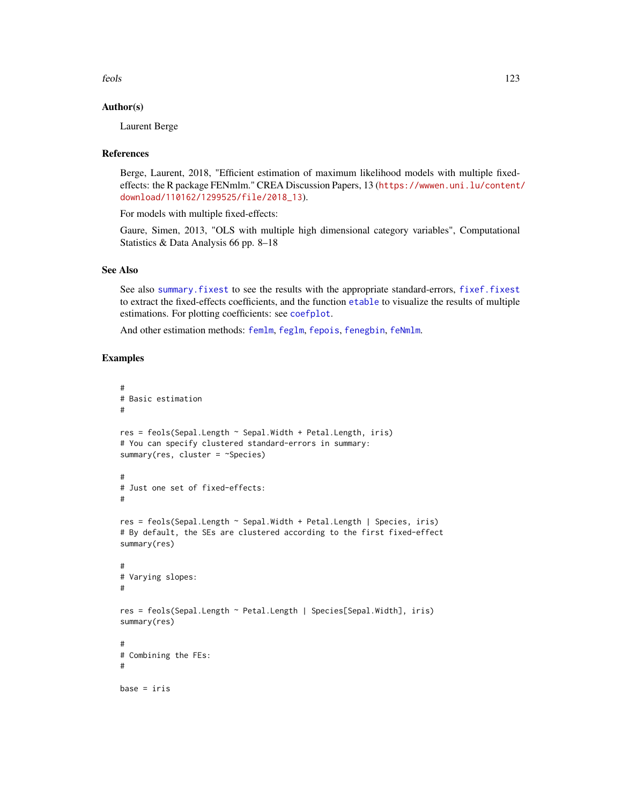feols 123

### Author(s)

Laurent Berge

### References

Berge, Laurent, 2018, "Efficient estimation of maximum likelihood models with multiple fixedeffects: the R package FENmlm." CREA Discussion Papers, 13 ([https://wwwen.uni.lu/content/](https://wwwen.uni.lu/content/download/110162/1299525/file/2018_13) [download/110162/1299525/file/2018\\_13](https://wwwen.uni.lu/content/download/110162/1299525/file/2018_13)).

For models with multiple fixed-effects:

Gaure, Simen, 2013, "OLS with multiple high dimensional category variables", Computational Statistics & Data Analysis 66 pp. 8–18

#### See Also

See also [summary.fixest](#page-197-0) to see the results with the appropriate standard-errors, [fixef.fixest](#page-132-0) to extract the fixed-effects coefficients, and the function [etable](#page-55-0) to visualize the results of multiple estimations. For plotting coefficients: see [coefplot](#page-18-0).

And other estimation methods: [femlm](#page-91-0), [feglm](#page-79-0), [fepois](#page-79-1), [fenegbin](#page-91-1), [feNmlm](#page-101-0).

### Examples

```
#
# Basic estimation
#
res = feols(Sepal.Length ~ Sepal.Width + Petal.Length, iris)
# You can specify clustered standard-errors in summary:
summary(res, cluster = ~Species)
#
# Just one set of fixed-effects:
#
res = feols(Sepal.Length ~ Sepal.Width + Petal.Length | Species, iris)
# By default, the SEs are clustered according to the first fixed-effect
summary(res)
#
# Varying slopes:
#
res = feols(Sepal.Length ~ Petal.Length | Species[Sepal.Width], iris)
summary(res)
#
# Combining the FEs:
#
base = iris
```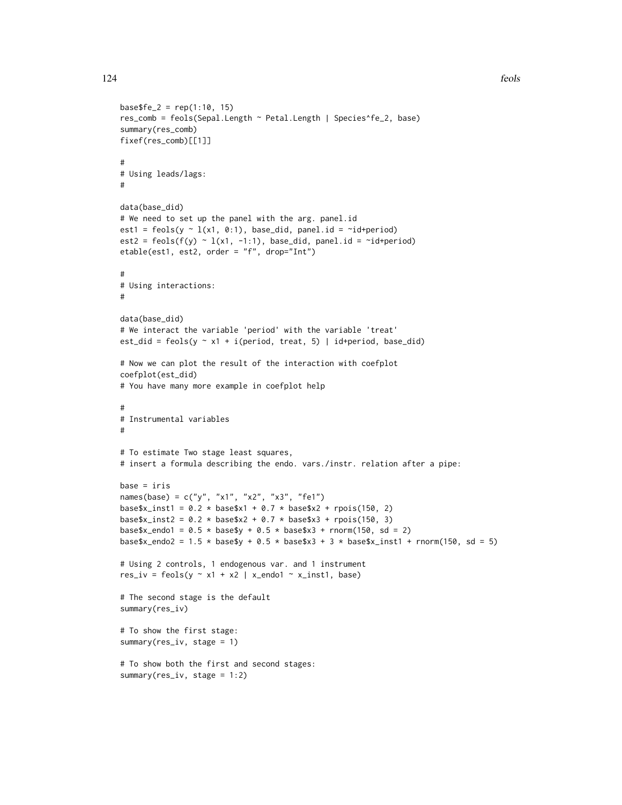```
base$fe_2 = rep(1:10, 15)res_comb = feols(Sepal.Length ~ Petal.Length | Species^fe_2, base)
summary(res_comb)
fixef(res_comb)[[1]]
#
# Using leads/lags:
#
data(base_did)
# We need to set up the panel with the arg. panel.id
est1 = feols(y \sim 1(x1, 0:1), base_did, panel.id = \simid+period)
est2 = feols(f(y) \sim l(x1, -1:1), base_did, panel.id = \simid+period)
etable(est1, est2, order = "f", drop="Int")
#
# Using interactions:
#
data(base_did)
# We interact the variable 'period' with the variable 'treat'
est_did = feols(y \sim x1 + i(period, treat, 5) | id+period, base_did)
# Now we can plot the result of the interaction with coefplot
coefplot(est_did)
# You have many more example in coefplot help
#
# Instrumental variables
#
# To estimate Two stage least squares,
# insert a formula describing the endo. vars./instr. relation after a pipe:
base = iris
names(base) = c("y", "x1", "x2", "x3", "fe1")
base$x_inst1 = 0.2 \times \text{base}$x1 + 0.7 \times \text{base}$x2 + rpois(150, 2)
base$x_inst2 = 0.2 * base$x2 + 0.7 * base$x3 + rpois(150, 3)
base$x_endo1 = 0.5 * base$y + 0.5 * base$x3 + rnorm(150, sd = 2)
base$x_endo2 = 1.5 \times base$y + 0.5 \times base$x3 + 3 \times base$x_inst1 + rnorm(150, sd = 5)
# Using 2 controls, 1 endogenous var. and 1 instrument
res\_iv = feols(y \sim x1 + x2 \mid x\_endo1 \sim x\_inst1, base)# The second stage is the default
summary(res_iv)
# To show the first stage:
summary(res_iv, stage = 1)
# To show both the first and second stages:
summary(res_iv, stage = 1:2)
```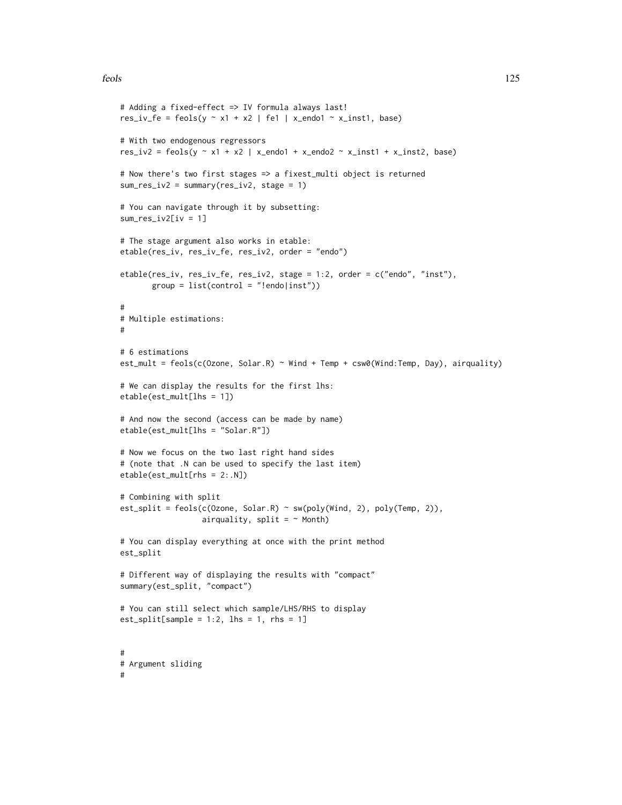#### feols 125

```
# Adding a fixed-effect => IV formula always last!
res_iv_fe = feols(y \sim x1 + x2 | fe1 | x_endo1 \sim x_inst1, base)
# With two endogenous regressors
res_iv2 = feols(y \sim x1 + x2 | x_endo1 + x_endo2 \sim x_inst1 + x_inst2, base)
# Now there's two first stages => a fixest_multi object is returned
sum_res_iv2 = summary(res_iv2, stage = 1)
# You can navigate through it by subsetting:
sum_res_iv2[iv = 1]
# The stage argument also works in etable:
etable(res_iv, res_iv_fe, res_iv2, order = "endo")
etable(res_iv, res_iv_fe, res_iv2, stage = 1:2, order = c("endo", "inst"),
       group = list(control = "lendo|inst"))#
# Multiple estimations:
#
# 6 estimations
est_mult = feols(c(Ozone, Solar.R) ~ Wind + Temp + csw0(Wind:Temp, Day), airquality)
# We can display the results for the first lhs:
etable(est_mult[lhs = 1])
# And now the second (access can be made by name)
etable(est_mult[lhs = "Solar.R"])
# Now we focus on the two last right hand sides
# (note that .N can be used to specify the last item)
etable(est_mult[rhs = 2:.N])
# Combining with split
est_split = feols(c(Ozone, Solar.R) ~ sw(poly(Wind, 2), poly(Temp, 2)),
                  airquality, split = ~\sim Month)
# You can display everything at once with the print method
est_split
# Different way of displaying the results with "compact"
summary(est_split, "compact")
# You can still select which sample/LHS/RHS to display
est\_split[sample = 1:2, 1hs = 1, rhs = 1]#
# Argument sliding
#
```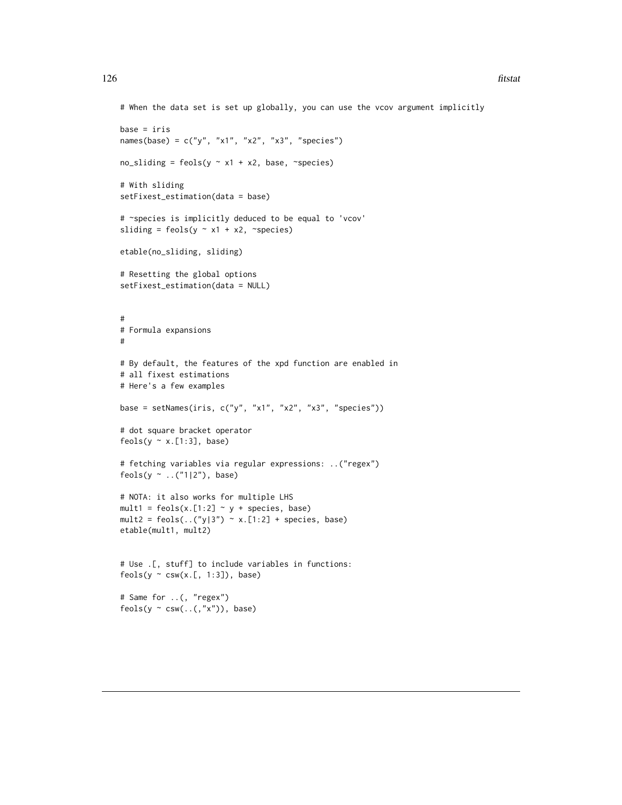```
# When the data set is set up globally, you can use the vcov argument implicitly
base = iris
names(base) = c("y", "x1", "x2", "x3", "species")no\_sliding = feols(y \sim x1 + x2, base, \sim species)# With sliding
setFixest_estimation(data = base)
# ~species is implicitly deduced to be equal to 'vcov'
sliding = feols(y \sim x1 + x2, ~species)
etable(no_sliding, sliding)
# Resetting the global options
setFixest_estimation(data = NULL)
#
# Formula expansions
#
# By default, the features of the xpd function are enabled in
# all fixest estimations
# Here's a few examples
base = setNames(iris, c("y", "x1", "x2", "x3", "species"))
# dot square bracket operator
feols(y \sim x.[1:3], base)
# fetching variables via regular expressions: ..("regex")
feols(y ~ ..("1|2"), base)
# NOTA: it also works for multiple LHS
mult1 = feols(x.[1:2] \sim y + species, base)
mult2 = feols(...(")/3") \sim x.[1:2] + species, base)etable(mult1, mult2)
# Use .[, stuff] to include variables in functions:
feols(y \sim csw(x.[, 1:3]), base)
# Same for ..(, "regex")
feols(y \sim csw(..(,"x")), base)
```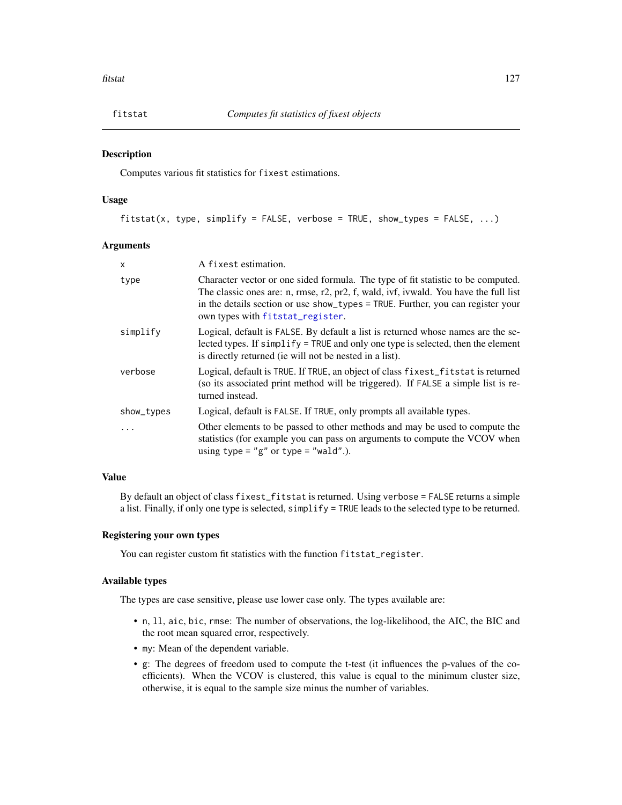### Description

Computes various fit statistics for fixest estimations.

# Usage

fitstat(x, type, simplify = FALSE, verbose = TRUE, show\_types = FALSE,  $\dots$ )

## Arguments

| $\mathsf{x}$ | A fixest estimation.                                                                                                                                                                                                                                                                            |
|--------------|-------------------------------------------------------------------------------------------------------------------------------------------------------------------------------------------------------------------------------------------------------------------------------------------------|
| type         | Character vector or one sided formula. The type of fit statistic to be computed.<br>The classic ones are: n, rmse, r2, pr2, f, wald, ivf, ivwald. You have the full list<br>in the details section or use show_types = TRUE. Further, you can register your<br>own types with fitstat_register. |
| simplify     | Logical, default is FALSE. By default a list is returned whose names are the se-<br>lected types. If simplify = TRUE and only one type is selected, then the element<br>is directly returned (ie will not be nested in a list).                                                                 |
| verbose      | Logical, default is TRUE. If TRUE, an object of class fixest_fitstat is returned<br>(so its associated print method will be triggered). If FALSE a simple list is re-<br>turned instead.                                                                                                        |
| show_types   | Logical, default is FALSE. If TRUE, only prompts all available types.                                                                                                                                                                                                                           |
|              | Other elements to be passed to other methods and may be used to compute the<br>statistics (for example you can pass on arguments to compute the VCOV when<br>using type = "g" or type = "wald".).                                                                                               |

### Value

By default an object of class fixest\_fitstat is returned. Using verbose = FALSE returns a simple a list. Finally, if only one type is selected, simplify = TRUE leads to the selected type to be returned.

### Registering your own types

You can register custom fit statistics with the function fitstat\_register.

# Available types

The types are case sensitive, please use lower case only. The types available are:

- n, ll, aic, bic, rmse: The number of observations, the log-likelihood, the AIC, the BIC and the root mean squared error, respectively.
- my: Mean of the dependent variable.
- g: The degrees of freedom used to compute the t-test (it influences the p-values of the coefficients). When the VCOV is clustered, this value is equal to the minimum cluster size, otherwise, it is equal to the sample size minus the number of variables.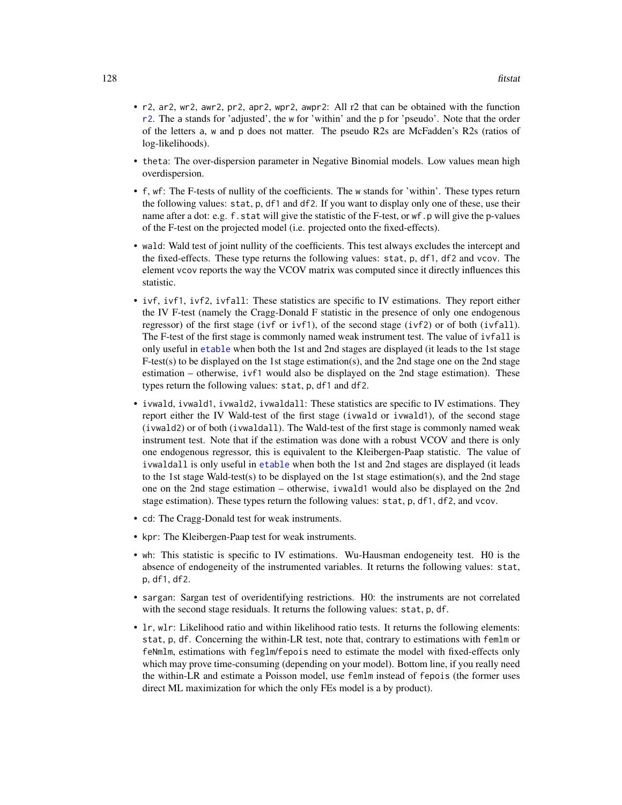- r2, ar2, wr2, awr2, pr2, apr2, wpr2, awpr2: All r2 that can be obtained with the function [r2](#page-161-0). The a stands for 'adjusted', the w for 'within' and the p for 'pseudo'. Note that the order of the letters a, w and p does not matter. The pseudo R2s are McFadden's R2s (ratios of log-likelihoods).
- theta: The over-dispersion parameter in Negative Binomial models. Low values mean high overdispersion.
- f, wf: The F-tests of nullity of the coefficients. The w stands for 'within'. These types return the following values: stat, p, df1 and df2. If you want to display only one of these, use their name after a dot: e.g. f.stat will give the statistic of the F-test, or wf.p will give the p-values of the F-test on the projected model (i.e. projected onto the fixed-effects).
- wald: Wald test of joint nullity of the coefficients. This test always excludes the intercept and the fixed-effects. These type returns the following values: stat, p, df1, df2 and vcov. The element vcov reports the way the VCOV matrix was computed since it directly influences this statistic.
- ivf, ivf1, ivf2, ivfall: These statistics are specific to IV estimations. They report either the IV F-test (namely the Cragg-Donald F statistic in the presence of only one endogenous regressor) of the first stage (ivf or ivf1), of the second stage (ivf2) or of both (ivfall). The F-test of the first stage is commonly named weak instrument test. The value of ivfall is only useful in [etable](#page-55-0) when both the 1st and 2nd stages are displayed (it leads to the 1st stage  $F-test(s)$  to be displayed on the 1st stage estimation(s), and the 2nd stage one on the 2nd stage estimation – otherwise, ivf1 would also be displayed on the 2nd stage estimation). These types return the following values: stat, p, df1 and df2.
- ivwald, ivwald1, ivwald2, ivwaldall: These statistics are specific to IV estimations. They report either the IV Wald-test of the first stage (ivwald or ivwald1), of the second stage (ivwald2) or of both (ivwaldall). The Wald-test of the first stage is commonly named weak instrument test. Note that if the estimation was done with a robust VCOV and there is only one endogenous regressor, this is equivalent to the Kleibergen-Paap statistic. The value of ivwaldall is only useful in [etable](#page-55-0) when both the 1st and 2nd stages are displayed (it leads to the 1st stage Wald-test(s) to be displayed on the 1st stage estimation(s), and the 2nd stage one on the 2nd stage estimation – otherwise, ivwald1 would also be displayed on the 2nd stage estimation). These types return the following values: stat, p, df1, df2, and vcov.
- cd: The Cragg-Donald test for weak instruments.
- kpr: The Kleibergen-Paap test for weak instruments.
- wh: This statistic is specific to IV estimations. Wu-Hausman endogeneity test. H0 is the absence of endogeneity of the instrumented variables. It returns the following values: stat, p, df1, df2.
- sargan: Sargan test of overidentifying restrictions. H0: the instruments are not correlated with the second stage residuals. It returns the following values: stat, p, df.
- lr, wlr: Likelihood ratio and within likelihood ratio tests. It returns the following elements: stat, p, df. Concerning the within-LR test, note that, contrary to estimations with femlm or feNmlm, estimations with feglm/fepois need to estimate the model with fixed-effects only which may prove time-consuming (depending on your model). Bottom line, if you really need the within-LR and estimate a Poisson model, use femlm instead of fepois (the former uses direct ML maximization for which the only FEs model is a by product).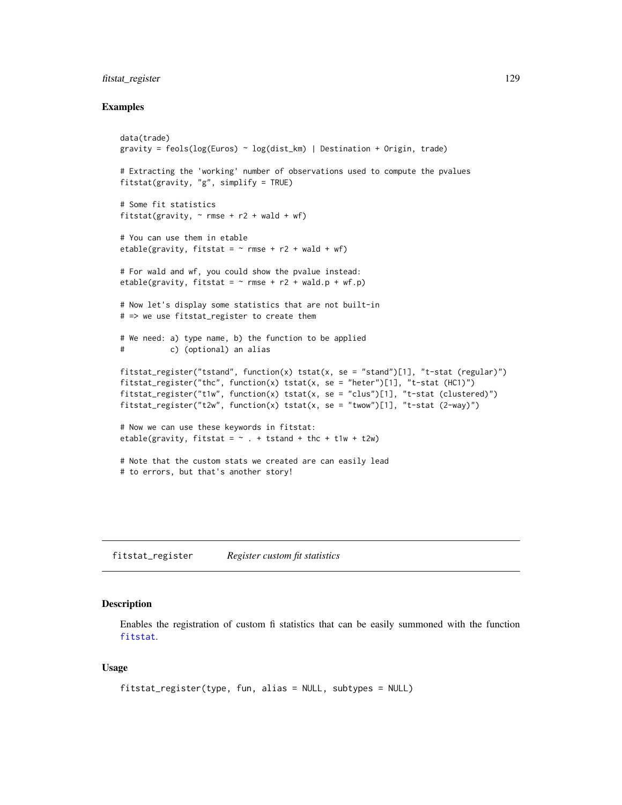### fitstat\_register 129

### Examples

```
data(trade)
gravity = feols(log(Euros) ~ log(dist_km) | Destination + Origin, trade)
# Extracting the 'working' number of observations used to compute the pvalues
fitstat(gravity, "g", simplify = TRUE)
# Some fit statistics
fitstat(gravity, \sim rmse + r2 + wald + wf)
# You can use them in etable
etable(gravity, fitstat = \sim rmse + r2 + wald + wf)
# For wald and wf, you could show the pvalue instead:
etable(gravity, fitstat = \sim rmse + r2 + wald.p + wf.p)
# Now let's display some statistics that are not built-in
# => we use fitstat_register to create them
# We need: a) type name, b) the function to be applied
# c) (optional) an alias
fitstat_register("tstand", function(x) tstat(x, se = "stand")[1], "t-stat (regular)")
fitstat_register("thc", function(x) tstat(x, se = "heter")[1], "t-stat (HC1)")
fitstat_register("t1w", function(x) tstat(x, se = "clus")[1], "t-stat (clustered)")
fitstat_register("t2w", function(x) tstat(x, se = "twow")[1], "t-stat (2-way)")
# Now we can use these keywords in fitstat:
etable(gravity, fitstat = \sim . + tstand + thc + t1w + t2w)
# Note that the custom stats we created are can easily lead
# to errors, but that's another story!
```
<span id="page-128-0"></span>fitstat\_register *Register custom fit statistics*

### Description

Enables the registration of custom fi statistics that can be easily summoned with the function [fitstat](#page-125-0).

### Usage

```
fitstat_register(type, fun, alias = NULL, subtypes = NULL)
```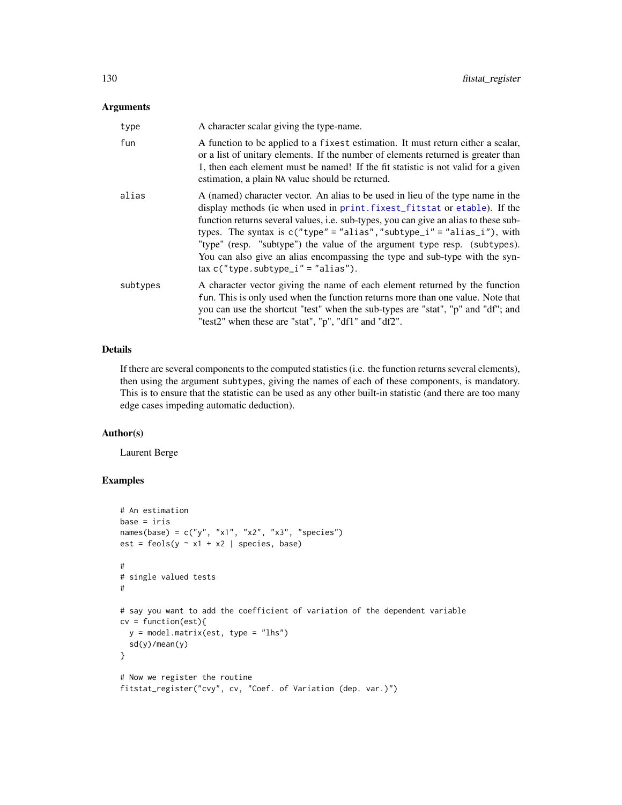### Arguments

| type     | A character scalar giving the type-name.                                                                                                                                                                                                                                                                                                                                                                                                                                                                                                      |
|----------|-----------------------------------------------------------------------------------------------------------------------------------------------------------------------------------------------------------------------------------------------------------------------------------------------------------------------------------------------------------------------------------------------------------------------------------------------------------------------------------------------------------------------------------------------|
| fun      | A function to be applied to a fixest estimation. It must return either a scalar,<br>or a list of unitary elements. If the number of elements returned is greater than<br>1, then each element must be named! If the fit statistic is not valid for a given<br>estimation, a plain NA value should be returned.                                                                                                                                                                                                                                |
| alias    | A (named) character vector. An alias to be used in lieu of the type name in the<br>display methods (ie when used in print. fixest_fitstat or etable). If the<br>function returns several values, i.e. sub-types, you can give an alias to these sub-<br>types. The syntax is $c("type" = "alias", "subtype_i" = "alias_i"),$ with<br>"type" (resp. "subtype") the value of the argument type resp. (subtypes).<br>You can also give an alias encompassing the type and sub-type with the syn-<br>$\text{tax } c("type.subtype_i" = "alias").$ |
| subtypes | A character vector giving the name of each element returned by the function<br>fun. This is only used when the function returns more than one value. Note that<br>you can use the shortcut "test" when the sub-types are "stat", "p" and "df"; and<br>"test2" when these are "stat", "p", "df1" and "df2".                                                                                                                                                                                                                                    |

# Details

If there are several components to the computed statistics (i.e. the function returns several elements), then using the argument subtypes, giving the names of each of these components, is mandatory. This is to ensure that the statistic can be used as any other built-in statistic (and there are too many edge cases impeding automatic deduction).

### Author(s)

Laurent Berge

# Examples

```
# An estimation
base = iris
names(base) = c("y", "x1", "x2", "x3", "species")
est = feols(y \sim x1 + x2 | species, base)
#
# single valued tests
#
# say you want to add the coefficient of variation of the dependent variable
cv = function(est){
  y = model.matrix(est, type = "lhs")sd(y)/mean(y)
}
# Now we register the routine
fitstat_register("cvy", cv, "Coef. of Variation (dep. var.)")
```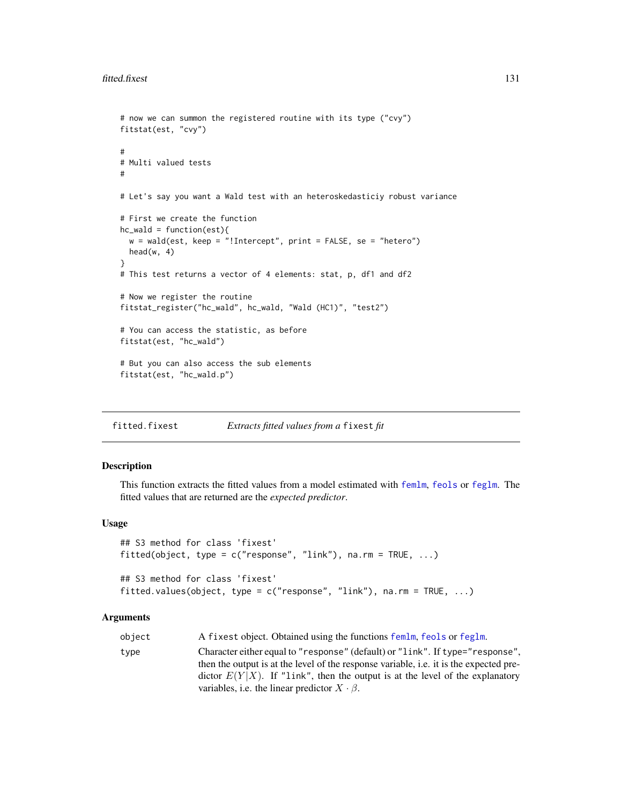```
# now we can summon the registered routine with its type ("cvy")
fitstat(est, "cvy")
#
# Multi valued tests
#
# Let's say you want a Wald test with an heteroskedasticiy robust variance
# First we create the function
hc<sub>-</sub>wald = function(est){
  w = wald(est, keep = "!Intercept", print = FALSE, se = "hetero")head(w, 4)}
# This test returns a vector of 4 elements: stat, p, df1 and df2
# Now we register the routine
fitstat_register("hc_wald", hc_wald, "Wald (HC1)", "test2")
# You can access the statistic, as before
fitstat(est, "hc_wald")
# But you can also access the sub elements
fitstat(est, "hc_wald.p")
```
fitted.fixest *Extracts fitted values from a* fixest *fit*

#### Description

This function extracts the fitted values from a model estimated with [femlm](#page-91-0), [feols](#page-112-0) or [feglm](#page-79-0). The fitted values that are returned are the *expected predictor*.

### Usage

```
## S3 method for class 'fixest'
fitted(object, type = c("response", "link"), na.rm = TRUE, ...)
## S3 method for class 'fixest'
fitted.values(object, type = c("response", "link"), na.rm = TRUE, ...)
```
#### Arguments

| object | A fixest object. Obtained using the functions femlm, feols or feglm.                                                                                                                                                                                                                                                        |
|--------|-----------------------------------------------------------------------------------------------------------------------------------------------------------------------------------------------------------------------------------------------------------------------------------------------------------------------------|
| type   | Character either equal to "response" (default) or "link". If type="response",<br>then the output is at the level of the response variable, <i>i.e.</i> it is the expected pre-<br>dictor $E(Y X)$ . If "link", then the output is at the level of the explanatory<br>variables, i.e. the linear predictor $X \cdot \beta$ . |
|        |                                                                                                                                                                                                                                                                                                                             |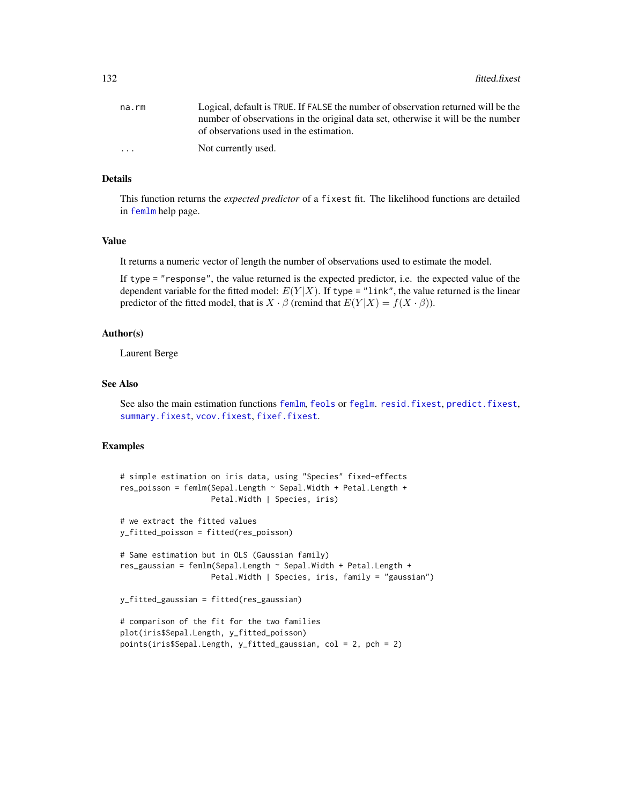132 fitted.fixest

| na.rm                   | Logical, default is TRUE. If FALSE the number of observation returned will be the |
|-------------------------|-----------------------------------------------------------------------------------|
|                         | number of observations in the original data set, otherwise it will be the number  |
|                         | of observations used in the estimation.                                           |
| $\cdot$ $\cdot$ $\cdot$ | Not currently used.                                                               |

## Details

This function returns the *expected predictor* of a fixest fit. The likelihood functions are detailed in [femlm](#page-91-0) help page.

#### Value

It returns a numeric vector of length the number of observations used to estimate the model.

If type = "response", the value returned is the expected predictor, i.e. the expected value of the dependent variable for the fitted model:  $E(Y|X)$ . If type = "link", the value returned is the linear predictor of the fitted model, that is  $X \cdot \beta$  (remind that  $E(Y|X) = f(X \cdot \beta)$ ).

### Author(s)

Laurent Berge

### See Also

See also the main estimation functions [femlm](#page-91-0), [feols](#page-112-0) or [feglm](#page-79-0). [resid.fixest](#page-166-0), [predict.fixest](#page-154-0), [summary.fixest](#page-197-0), [vcov.fixest](#page-214-0), [fixef.fixest](#page-132-0).

### Examples

```
# simple estimation on iris data, using "Species" fixed-effects
res_poisson = femlm(Sepal.Length ~ Sepal.Width + Petal.Length +
                    Petal.Width | Species, iris)
# we extract the fitted values
y_fitted_poisson = fitted(res_poisson)
# Same estimation but in OLS (Gaussian family)
res_gaussian = femlm(Sepal.Length ~ Sepal.Width + Petal.Length +
                    Petal.Width | Species, iris, family = "gaussian")
y_fitted_gaussian = fitted(res_gaussian)
# comparison of the fit for the two families
plot(iris$Sepal.Length, y_fitted_poisson)
points(iris$Sepal.Length, y_fitted_gaussian, col = 2, pch = 2)
```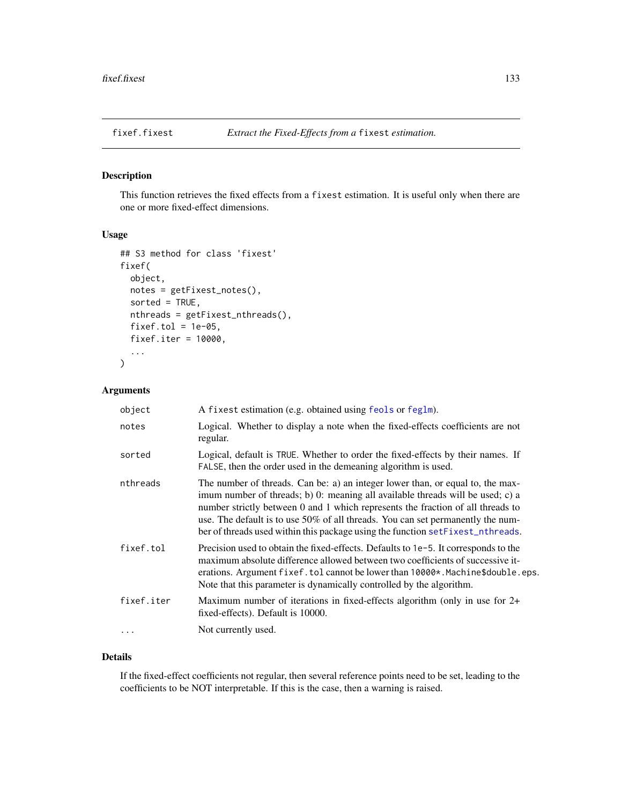<span id="page-132-0"></span>

# Description

This function retrieves the fixed effects from a fixest estimation. It is useful only when there are one or more fixed-effect dimensions.

# Usage

```
## S3 method for class 'fixest'
fixef(
  object,
 notes = getFixest_notes(),
  sorted = TRUE,
 nthreads = getFixest_nthreads(),
  fixef.tol = 1e-05,
  fixef.iter = 10000,
  ...
)
```
# Arguments

| object     | A fixest estimation (e.g. obtained using feols or feglm).                                                                                                                                                                                                                                                                                                                                                                   |
|------------|-----------------------------------------------------------------------------------------------------------------------------------------------------------------------------------------------------------------------------------------------------------------------------------------------------------------------------------------------------------------------------------------------------------------------------|
| notes      | Logical. Whether to display a note when the fixed-effects coefficients are not<br>regular.                                                                                                                                                                                                                                                                                                                                  |
| sorted     | Logical, default is TRUE. Whether to order the fixed-effects by their names. If<br>FALSE, then the order used in the demeaning algorithm is used.                                                                                                                                                                                                                                                                           |
| nthreads   | The number of threads. Can be: a) an integer lower than, or equal to, the max-<br>imum number of threads; b) 0: meaning all available threads will be used; c) a<br>number strictly between 0 and 1 which represents the fraction of all threads to<br>use. The default is to use $50\%$ of all threads. You can set permanently the num-<br>ber of threads used within this package using the function setFixest_nthreads. |
| fixef.tol  | Precision used to obtain the fixed-effects. Defaults to 1e-5. It corresponds to the<br>maximum absolute difference allowed between two coefficients of successive it-<br>erations. Argument fixef. tol cannot be lower than $10000*$ . Machine\$double.eps.<br>Note that this parameter is dynamically controlled by the algorithm.                                                                                         |
| fixef.iter | Maximum number of iterations in fixed-effects algorithm (only in use for 2+<br>fixed-effects). Default is 10000.                                                                                                                                                                                                                                                                                                            |
| $\cdots$   | Not currently used.                                                                                                                                                                                                                                                                                                                                                                                                         |

### Details

If the fixed-effect coefficients not regular, then several reference points need to be set, leading to the coefficients to be NOT interpretable. If this is the case, then a warning is raised.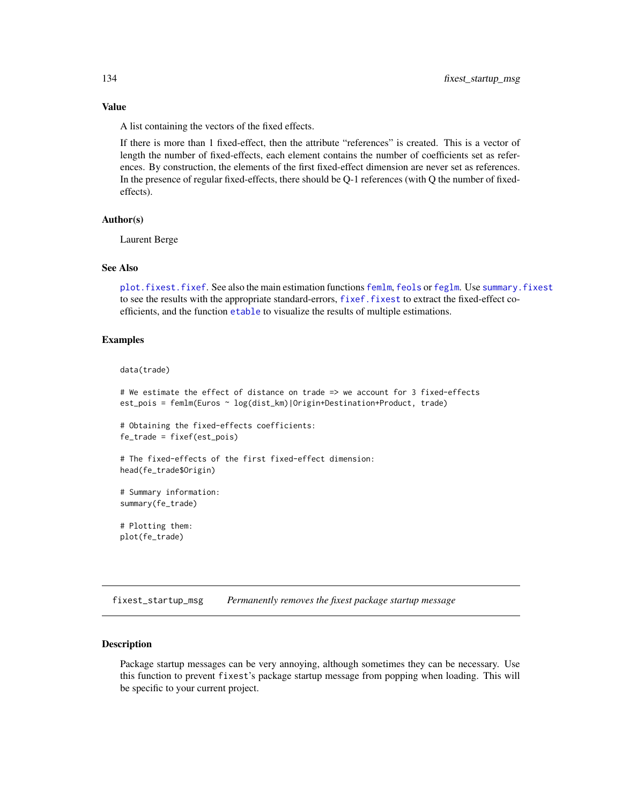## Value

A list containing the vectors of the fixed effects.

If there is more than 1 fixed-effect, then the attribute "references" is created. This is a vector of length the number of fixed-effects, each element contains the number of coefficients set as references. By construction, the elements of the first fixed-effect dimension are never set as references. In the presence of regular fixed-effects, there should be Q-1 references (with Q the number of fixedeffects).

### Author(s)

Laurent Berge

#### See Also

[plot.fixest.fixef](#page-152-0). See also the main estimation functions [femlm](#page-91-0), [feols](#page-112-0) or [feglm](#page-79-0). Use [summary.fixest](#page-197-0) to see the results with the appropriate standard-errors, [fixef.fixest](#page-132-0) to extract the fixed-effect coefficients, and the function [etable](#page-55-0) to visualize the results of multiple estimations.

### Examples

#### data(trade)

```
# We estimate the effect of distance on trade => we account for 3 fixed-effects
est_pois = femlm(Euros ~ log(dist_km)|Origin+Destination+Product, trade)
```
# Obtaining the fixed-effects coefficients: fe\_trade = fixef(est\_pois)

# The fixed-effects of the first fixed-effect dimension: head(fe\_trade\$Origin)

```
# Summary information:
summary(fe_trade)
```
# Plotting them: plot(fe\_trade)

fixest\_startup\_msg *Permanently removes the fixest package startup message*

### Description

Package startup messages can be very annoying, although sometimes they can be necessary. Use this function to prevent fixest's package startup message from popping when loading. This will be specific to your current project.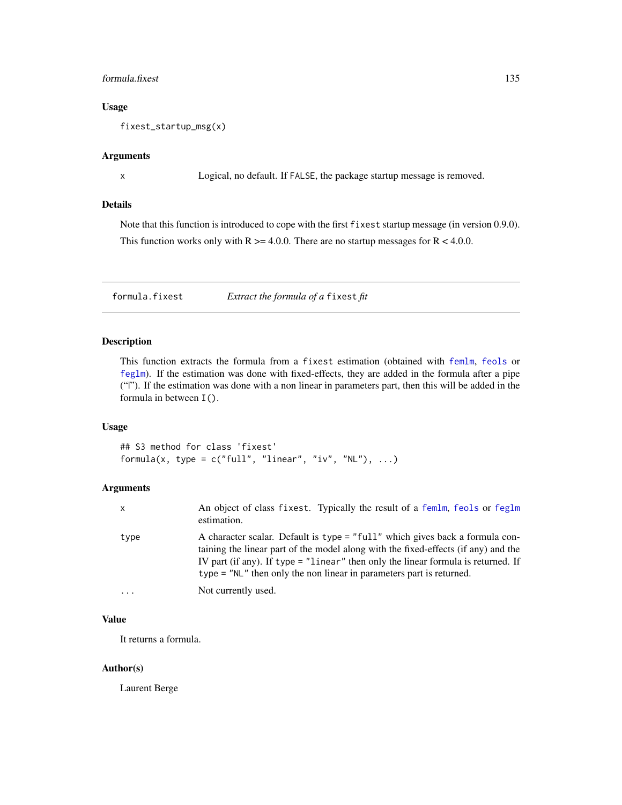### formula.fixest 135

## Usage

fixest\_startup\_msg(x)

### Arguments

x Logical, no default. If FALSE, the package startup message is removed.

# Details

Note that this function is introduced to cope with the first fixest startup message (in version 0.9.0). This function works only with  $R \ge 4.0.0$ . There are no startup messages for  $R < 4.0.0$ .

formula.fixest *Extract the formula of a* fixest *fit*

## Description

This function extracts the formula from a fixest estimation (obtained with [femlm](#page-91-0), [feols](#page-112-0) or [feglm](#page-79-0)). If the estimation was done with fixed-effects, they are added in the formula after a pipe ("|"). If the estimation was done with a non linear in parameters part, then this will be added in the formula in between I().

## Usage

## S3 method for class 'fixest' formula(x, type =  $c("full", "linear", "iv", "NL"), ...$ )

#### Arguments

| $\mathsf{x}$        | An object of class fixest. Typically the result of a femlm, feols or feglm<br>estimation.                                                                                                                                                                                                                                         |
|---------------------|-----------------------------------------------------------------------------------------------------------------------------------------------------------------------------------------------------------------------------------------------------------------------------------------------------------------------------------|
| type                | A character scalar. Default is type = "full" which gives back a formula con-<br>taining the linear part of the model along with the fixed-effects (if any) and the<br>IV part (if any). If type = "linear" then only the linear formula is returned. If<br>$type = "NL"$ then only the non linear in parameters part is returned. |
| $\cdot \cdot \cdot$ | Not currently used.                                                                                                                                                                                                                                                                                                               |

### Value

It returns a formula.

#### Author(s)

Laurent Berge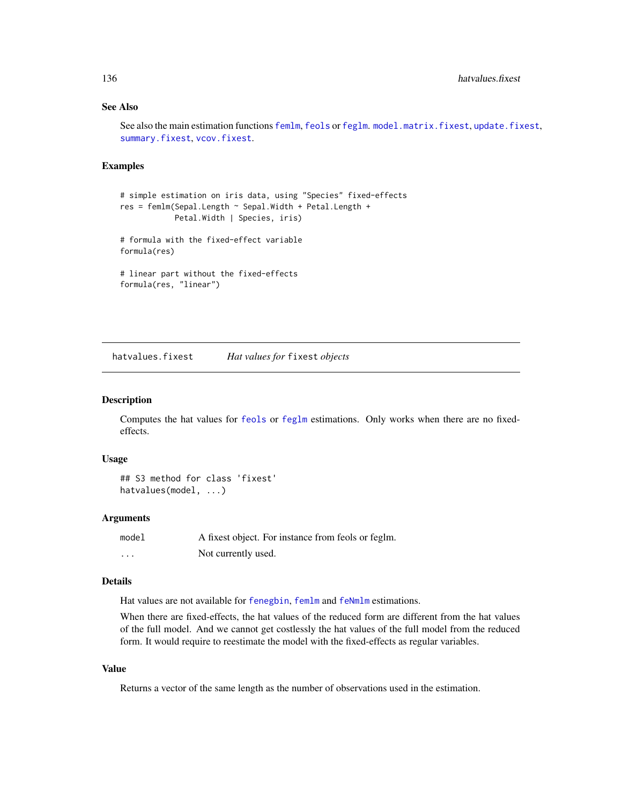## See Also

See also the main estimation functions [femlm](#page-91-0), [feols](#page-112-0) or [feglm](#page-79-0). [model.matrix.fixest](#page-143-0), [update.fixest](#page-213-0), [summary.fixest](#page-197-0), [vcov.fixest](#page-214-0).

### Examples

```
# simple estimation on iris data, using "Species" fixed-effects
res = femlm(Sepal.Length ~ Sepal.Width + Petal.Length +
            Petal.Width | Species, iris)
# formula with the fixed-effect variable
formula(res)
# linear part without the fixed-effects
formula(res, "linear")
```
hatvalues.fixest *Hat values for* fixest *objects*

#### Description

Computes the hat values for [feols](#page-112-0) or [feglm](#page-79-0) estimations. Only works when there are no fixedeffects.

#### Usage

```
## S3 method for class 'fixest'
hatvalues(model, ...)
```
#### Arguments

| model | A fixest object. For instance from feols or feglm. |
|-------|----------------------------------------------------|
| .     | Not currently used.                                |

#### Details

Hat values are not available for [fenegbin](#page-91-1), [femlm](#page-91-0) and [feNmlm](#page-101-0) estimations.

When there are fixed-effects, the hat values of the reduced form are different from the hat values of the full model. And we cannot get costlessly the hat values of the full model from the reduced form. It would require to reestimate the model with the fixed-effects as regular variables.

## Value

Returns a vector of the same length as the number of observations used in the estimation.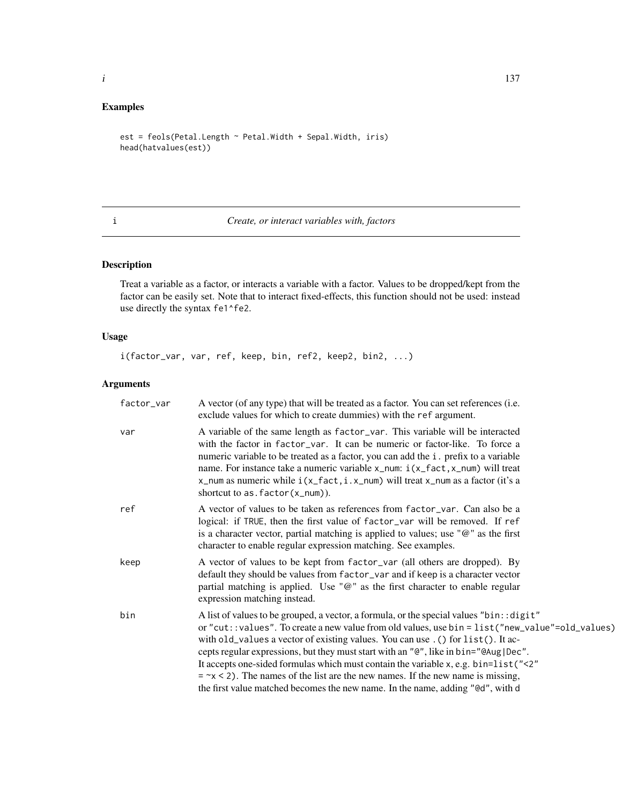# Examples

```
est = feols(Petal.Length ~ Petal.Width + Sepal.Width, iris)
head(hatvalues(est))
```
<span id="page-136-0"></span>i *Create, or interact variables with, factors*

# Description

Treat a variable as a factor, or interacts a variable with a factor. Values to be dropped/kept from the factor can be easily set. Note that to interact fixed-effects, this function should not be used: instead use directly the syntax fe1^fe2.

# Usage

i(factor\_var, var, ref, keep, bin, ref2, keep2, bin2, ...)

# Arguments

| factor_var | A vector (of any type) that will be treated as a factor. You can set references (i.e.<br>exclude values for which to create dummies) with the ref argument.                                                                                                                                                                                                                                                                                                                                                                                                                                                                                        |
|------------|----------------------------------------------------------------------------------------------------------------------------------------------------------------------------------------------------------------------------------------------------------------------------------------------------------------------------------------------------------------------------------------------------------------------------------------------------------------------------------------------------------------------------------------------------------------------------------------------------------------------------------------------------|
| var        | A variable of the same length as factor_var. This variable will be interacted<br>with the factor in factor_var. It can be numeric or factor-like. To force a<br>numeric variable to be treated as a factor, you can add the i. prefix to a variable<br>name. For instance take a numeric variable $x$ _num: $i(x$ _fact, $x$ _num) will treat<br>x_num as numeric while $i(x_fact, i.x_num)$ will treat x_num as a factor (it's a<br>shortcut to as. $factor(x_name)$ .                                                                                                                                                                            |
| ref        | A vector of values to be taken as references from factor_var. Can also be a<br>logical: if TRUE, then the first value of factor_var will be removed. If ref<br>is a character vector, partial matching is applied to values; use " $@$ " as the first<br>character to enable regular expression matching. See examples.                                                                                                                                                                                                                                                                                                                            |
| keep       | A vector of values to be kept from factor_var (all others are dropped). By<br>default they should be values from factor_var and if keep is a character vector<br>partial matching is applied. Use " $@$ " as the first character to enable regular<br>expression matching instead.                                                                                                                                                                                                                                                                                                                                                                 |
| bin        | A list of values to be grouped, a vector, a formula, or the special values "bin:: digit"<br>or "cut: : values". To create a new value from old values, use bin = list("new_value"=old_values)<br>with old_values a vector of existing values. You can use . () for list(). It ac-<br>cepts regular expressions, but they must start with an "@", like in bin="@Aug Dec".<br>It accepts one-sided formulas which must contain the variable x, e.g. bin=list ("<2"<br>$=$ $\sim$ $\times$ 2). The names of the list are the new names. If the new name is missing,<br>the first value matched becomes the new name. In the name, adding "@d", with d |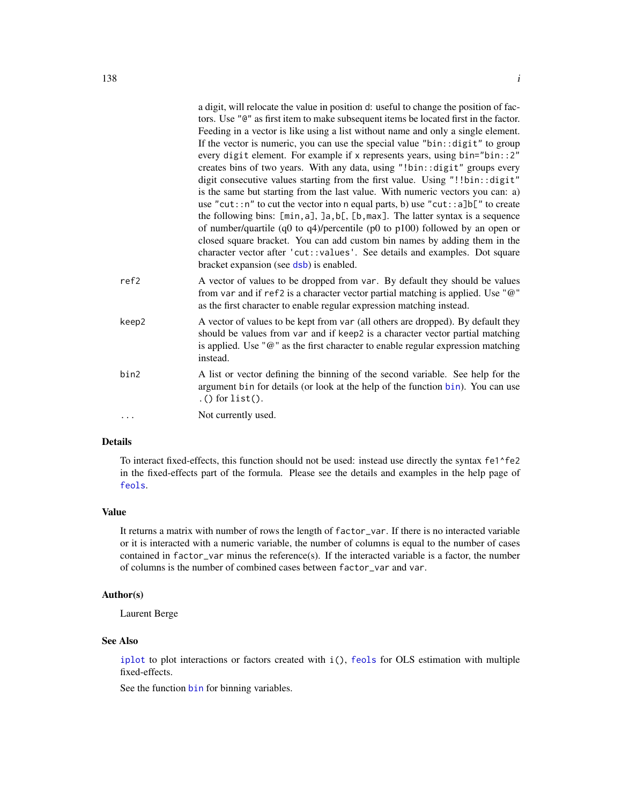|       | a digit, will relocate the value in position d: useful to change the position of fac-<br>tors. Use "@" as first item to make subsequent items be located first in the factor.<br>Feeding in a vector is like using a list without name and only a single element.<br>If the vector is numeric, you can use the special value "bin: : digit" to group<br>every digit element. For example if x represents years, using bin="bin::2"<br>creates bins of two years. With any data, using "!bin:: digit" groups every<br>digit consecutive values starting from the first value. Using "!!bin::digit"<br>is the same but starting from the last value. With numeric vectors you can: a)<br>use "cut::n" to cut the vector into n equal parts, b) use "cut::a]b[" to create<br>the following bins: [min, a], ]a, b[, [b, max]. The latter syntax is a sequence<br>of number/quartile (q0 to $q4$ )/percentile (p0 to p100) followed by an open or<br>closed square bracket. You can add custom bin names by adding them in the<br>character vector after 'cut::values'. See details and examples. Dot square<br>bracket expansion (see dsb) is enabled. |
|-------|----------------------------------------------------------------------------------------------------------------------------------------------------------------------------------------------------------------------------------------------------------------------------------------------------------------------------------------------------------------------------------------------------------------------------------------------------------------------------------------------------------------------------------------------------------------------------------------------------------------------------------------------------------------------------------------------------------------------------------------------------------------------------------------------------------------------------------------------------------------------------------------------------------------------------------------------------------------------------------------------------------------------------------------------------------------------------------------------------------------------------------------------------|
| ref2  | A vector of values to be dropped from var. By default they should be values<br>from var and if ref2 is a character vector partial matching is applied. Use "@"<br>as the first character to enable regular expression matching instead.                                                                                                                                                                                                                                                                                                                                                                                                                                                                                                                                                                                                                                                                                                                                                                                                                                                                                                            |
| keep2 | A vector of values to be kept from var (all others are dropped). By default they<br>should be values from var and if keep2 is a character vector partial matching<br>is applied. Use " $@$ " as the first character to enable regular expression matching<br>instead.                                                                                                                                                                                                                                                                                                                                                                                                                                                                                                                                                                                                                                                                                                                                                                                                                                                                              |
| bin2  | A list or vector defining the binning of the second variable. See help for the<br>argument bin for details (or look at the help of the function bin). You can use                                                                                                                                                                                                                                                                                                                                                                                                                                                                                                                                                                                                                                                                                                                                                                                                                                                                                                                                                                                  |

argument [bin](#page-9-0) for details (or look at the help of the function bin). You can use  $.$  () for list().

... Not currently used.

## Details

To interact fixed-effects, this function should not be used: instead use directly the syntax fe1^fe2 in the fixed-effects part of the formula. Please see the details and examples in the help page of [feols](#page-112-0).

#### Value

It returns a matrix with number of rows the length of factor\_var. If there is no interacted variable or it is interacted with a numeric variable, the number of columns is equal to the number of cases contained in  $factor_\text{var}$  minus the reference(s). If the interacted variable is a factor, the number of columns is the number of combined cases between factor\_var and var.

### Author(s)

Laurent Berge

#### See Also

[iplot](#page-18-1) to plot interactions or factors created with i(), [feols](#page-112-0) for OLS estimation with multiple fixed-effects.

See the function [bin](#page-9-0) for binning variables.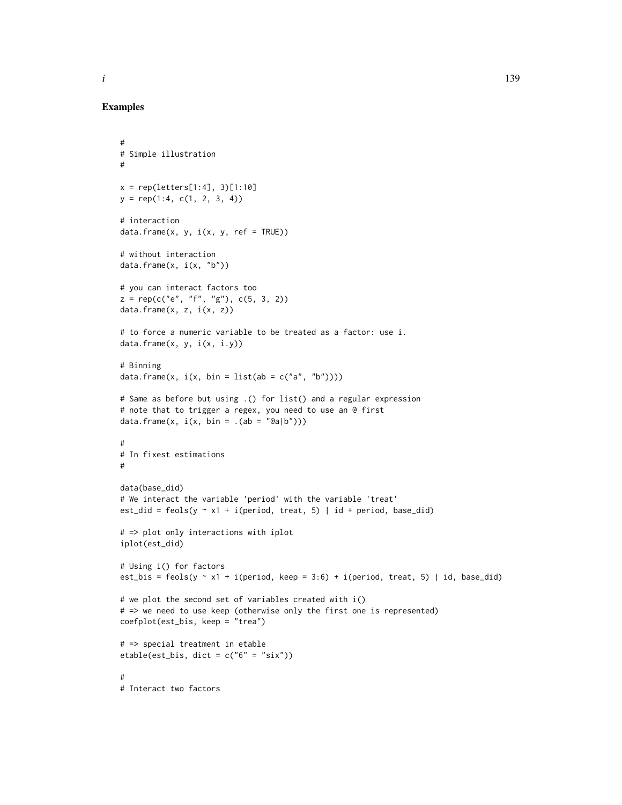## Examples

#

```
# Simple illustration
#
x = rep(leftters[1:4], 3)[1:10]y = rep(1:4, c(1, 2, 3, 4))# interaction
data.frame(x, y, i(x, y, ref = TRUE))# without interaction
data.frame(x, i(x, "b"))# you can interact factors too
z = rep(c("e", "f", "g"), c(5, 3, 2))data.frame(x, z, i(x, z))# to force a numeric variable to be treated as a factor: use i.
data.frame(x, y, i(x, i.y))
# Binning
data.frame(x, i(x, bin = list(ab = c("a", "b"))))# Same as before but using .() for list() and a regular expression
# note that to trigger a regex, you need to use an @ first
data.frame(x, i(x, bin = .(ab = "Qa|b")))
#
# In fixest estimations
#
data(base_did)
# We interact the variable 'period' with the variable 'treat'
est_did = feols(y \sim x1 + i(period, treat, 5) | id + period, base_did)
# => plot only interactions with iplot
iplot(est_did)
# Using i() for factors
est_bis = feols(y \sim x1 + i(period, keep = 3:6) + i(period, treat, 5) | id, base_did)
# we plot the second set of variables created with i()
# => we need to use keep (otherwise only the first one is represented)
coefplot(est_bis, keep = "trea")
# => special treatment in etable
etable(est_bis, dict = c("6" = "six"))
#
# Interact two factors
```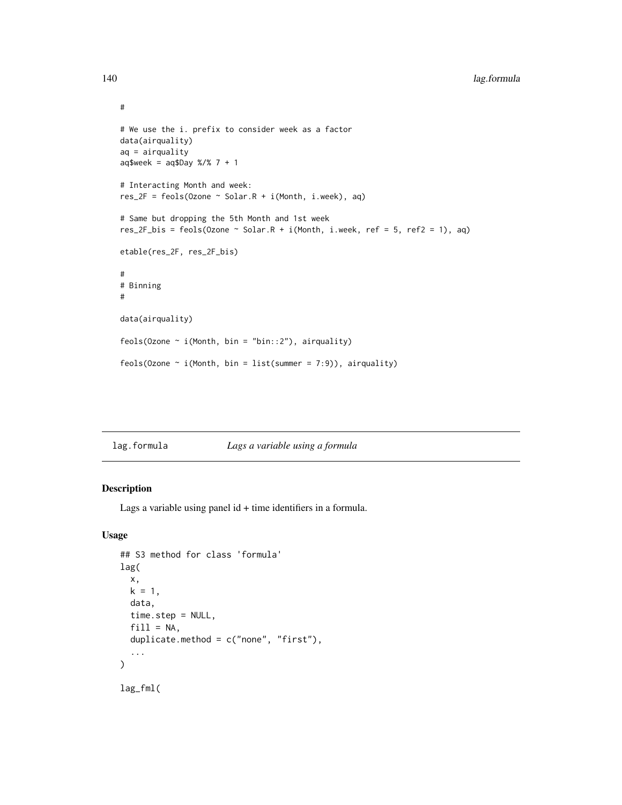```
# We use the i. prefix to consider week as a factor
data(airquality)
aq = airquality
aq$week = aq$Day %7 % 7 + 1# Interacting Month and week:
res_2F = feols(Ozone \sim Solar.R + i(Month, i.week), aq)
# Same but dropping the 5th Month and 1st week
res_2F_bis = feols(Ozone \sim Solar.R + i(Month, i.week, ref = 5, ref2 = 1), aq)
etable(res_2F, res_2F_bis)
#
# Binning
#
data(airquality)
feols(Ozone \sim i(Month, bin = "bin::2"), airquality)
feols(Ozone \sim i(Month, bin = list(summer = 7:9)), airquality)
```

| Lags a variable using a formula<br>lag.formula |
|------------------------------------------------|
|------------------------------------------------|

## Description

Lags a variable using panel id + time identifiers in a formula.

### Usage

```
## S3 method for class 'formula'
lag(
 x,
 k = 1,
 data,
 time.step = NULL,
 fill = NA,
 duplicate.method = c("none", "first"),
  ...
\mathcal{L}lag_fml(
```
#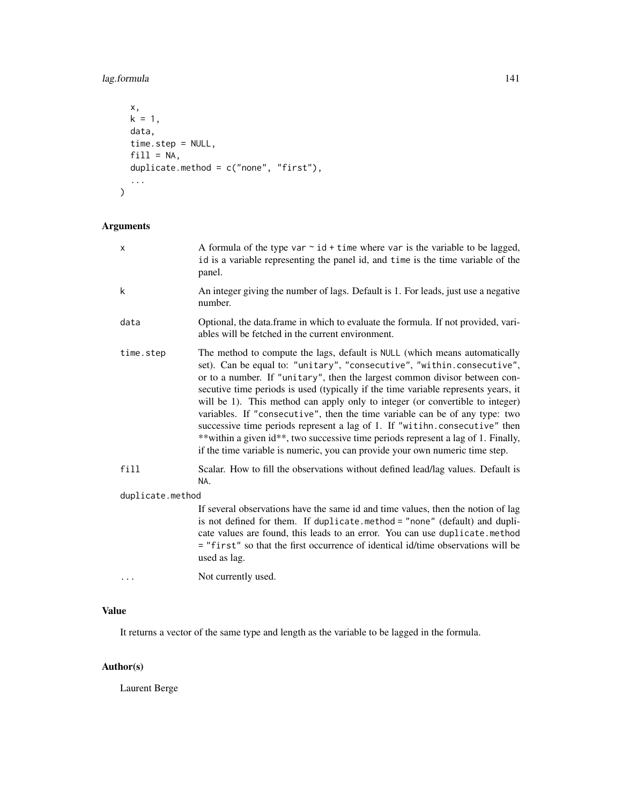# lag.formula 141

```
x,
  k = 1,data,
  time.step = NULL,
  fill = NA,duplicate.method = c("none", "first"),
  ...
\overline{\phantom{a}}
```
# Arguments

| X                | A formula of the type var $\sim$ id + time where var is the variable to be lagged,<br>id is a variable representing the panel id, and time is the time variable of the<br>panel.                                                                                                                                                                                                                                                                                                                                                                                                                                                                                                                                                            |
|------------------|---------------------------------------------------------------------------------------------------------------------------------------------------------------------------------------------------------------------------------------------------------------------------------------------------------------------------------------------------------------------------------------------------------------------------------------------------------------------------------------------------------------------------------------------------------------------------------------------------------------------------------------------------------------------------------------------------------------------------------------------|
| k                | An integer giving the number of lags. Default is 1. For leads, just use a negative<br>number.                                                                                                                                                                                                                                                                                                                                                                                                                                                                                                                                                                                                                                               |
| data             | Optional, the data.frame in which to evaluate the formula. If not provided, vari-<br>ables will be fetched in the current environment.                                                                                                                                                                                                                                                                                                                                                                                                                                                                                                                                                                                                      |
| time.step        | The method to compute the lags, default is NULL (which means automatically<br>set). Can be equal to: "unitary", "consecutive", "within.consecutive",<br>or to a number. If "unitary", then the largest common divisor between con-<br>secutive time periods is used (typically if the time variable represents years, it<br>will be 1). This method can apply only to integer (or convertible to integer)<br>variables. If "consecutive", then the time variable can be of any type: two<br>successive time periods represent a lag of 1. If "witihn.consecutive" then<br>**within a given id**, two successive time periods represent a lag of 1. Finally,<br>if the time variable is numeric, you can provide your own numeric time step. |
| fill             | Scalar. How to fill the observations without defined lead/lag values. Default is<br>NA.                                                                                                                                                                                                                                                                                                                                                                                                                                                                                                                                                                                                                                                     |
| duplicate.method |                                                                                                                                                                                                                                                                                                                                                                                                                                                                                                                                                                                                                                                                                                                                             |
|                  | If several observations have the same id and time values, then the notion of lag<br>is not defined for them. If duplicate.method = "none" (default) and dupli-<br>cate values are found, this leads to an error. You can use duplicate.method<br>= "first" so that the first occurrence of identical id/time observations will be<br>used as lag.                                                                                                                                                                                                                                                                                                                                                                                           |
|                  | Not currently used.                                                                                                                                                                                                                                                                                                                                                                                                                                                                                                                                                                                                                                                                                                                         |
|                  |                                                                                                                                                                                                                                                                                                                                                                                                                                                                                                                                                                                                                                                                                                                                             |

# Value

It returns a vector of the same type and length as the variable to be lagged in the formula.

# Author(s)

Laurent Berge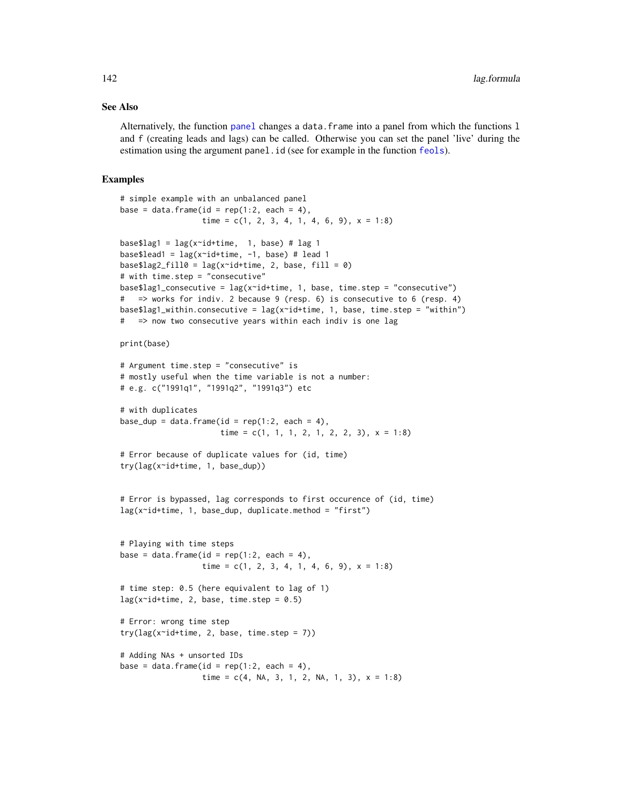#### See Also

Alternatively, the function [panel](#page-150-0) changes a data.frame into a panel from which the functions l and f (creating leads and lags) can be called. Otherwise you can set the panel 'live' during the estimation using the argument panel.id (see for example in the function [feols](#page-112-0)).

### Examples

```
# simple example with an unbalanced panel
base = data.frame(id = rep(1:2, each = 4),
                   time = c(1, 2, 3, 4, 1, 4, 6, 9), x = 1:8base$lag1 = \text{lag}(x \text{ and} + \text{time}, 1, \text{ base}) # \text{lag} 1
base$lead1 = \text{lag}(x \text{ and} + \text{time}, -1, \text{ base}) # lead 1
base$lag2_fill0 = lag(x~id+time, 2, base, fill = 0)
# with time.step = "consecutive"
base$lag1_consecutive = lag(x^{\text{right}}, 1, base, time. step = "consecutive")# => works for indiv. 2 because 9 (resp. 6) is consecutive to 6 (resp. 4)
base$lag1_within.consecutive = lag(x~id+time, 1, base, time.step = "within")
# => now two consecutive years within each indiv is one lag
print(base)
# Argument time.step = "consecutive" is
# mostly useful when the time variable is not a number:
# e.g. c("1991q1", "1991q2", "1991q3") etc
# with duplicates
base_dup = data.frame(id = rep(1:2, each = 4),
                       time = c(1, 1, 1, 2, 1, 2, 2, 3), x = 1:8# Error because of duplicate values for (id, time)
try(lag(x~id+time, 1, base_dup))
# Error is bypassed, lag corresponds to first occurence of (id, time)
lag(x^{\sim}id+time, 1, base_dup, duplicate, method = "first")# Playing with time steps
base = data.frame(id = rep(1:2, each = 4),
                   time = c(1, 2, 3, 4, 1, 4, 6, 9), x = 1:8# time step: 0.5 (here equivalent to lag of 1)
lag(x^{\sim}id + time, 2, base, time. step = 0.5)# Error: wrong time step
try(lag(x^-id+time, 2, base, time. step = 7))# Adding NAs + unsorted IDs
base = data.frame(id = rep(1:2, each = 4),
                   time = c(4, NA, 3, 1, 2, NA, 1, 3), x = 1:8)
```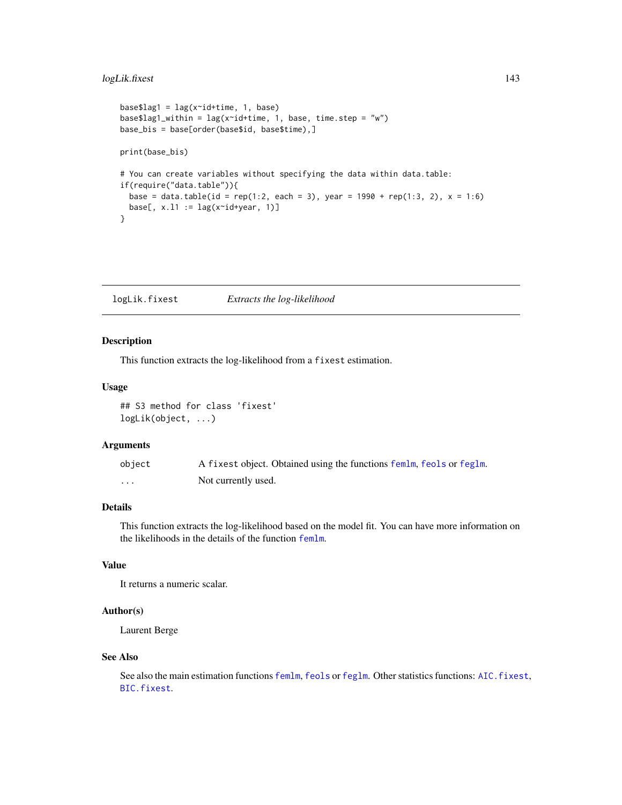# logLik.fixest 143

```
base$lag1 = \text{lag}(x \text{right}- n, b)base$lag1_within = lag(x^i + time, 1, base, time. step = "w")base_bis = base[order(base$id, base$time),]
print(base_bis)
# You can create variables without specifying the data within data.table:
if(require("data.table")){
  base = data.table(id = rep(1:2, each = 3), year = 1990 + rep(1:3, 2), x = 1:6)
  base[, x.l1 := \text{lag}(x \text{ and } y \text{ can}, 1)]}
```
logLik.fixest *Extracts the log-likelihood*

## Description

This function extracts the log-likelihood from a fixest estimation.

### Usage

## S3 method for class 'fixest' logLik(object, ...)

### Arguments

| object | A fixest object. Obtained using the functions femlm, feols or feglm. |
|--------|----------------------------------------------------------------------|
| .      | Not currently used.                                                  |

### Details

This function extracts the log-likelihood based on the model fit. You can have more information on the likelihoods in the details of the function [femlm](#page-91-0).

# Value

It returns a numeric scalar.

### Author(s)

Laurent Berge

#### See Also

See also the main estimation functions [femlm](#page-91-0), [feols](#page-112-0) or [feglm](#page-79-0). Other statistics functions: [AIC.fixest](#page-5-0), [BIC.fixest](#page-8-0).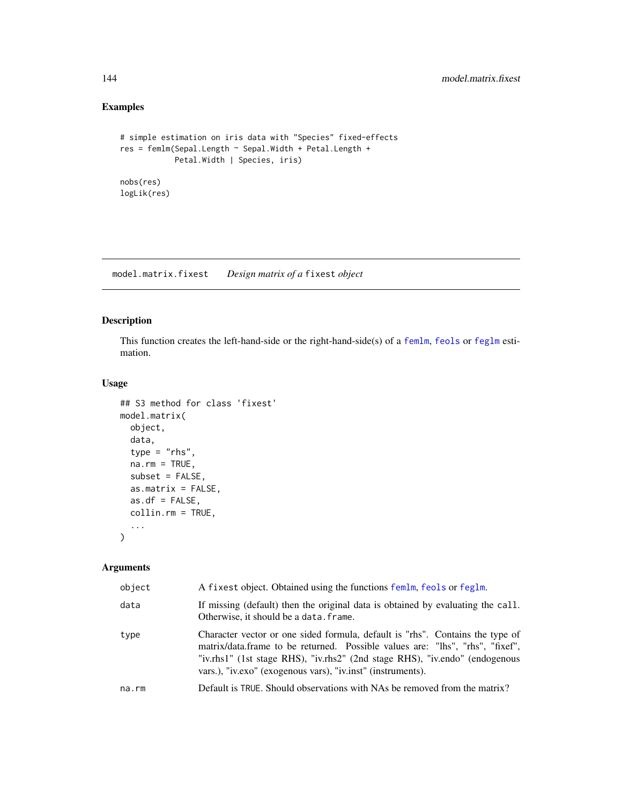# Examples

```
# simple estimation on iris data with "Species" fixed-effects
res = femlm(Sepal.Length ~ Sepal.Width + Petal.Length +
           Petal.Width | Species, iris)
nobs(res)
logLik(res)
```
<span id="page-143-0"></span>model.matrix.fixest *Design matrix of a* fixest *object*

### Description

This function creates the left-hand-side or the right-hand-side(s) of a [femlm](#page-91-0), [feols](#page-112-0) or [feglm](#page-79-0) estimation.

### Usage

```
## S3 method for class 'fixest'
model.matrix(
 object,
 data,
 type = "rhs",na.rm = TRUE,subset = FALSE,
 as.matrix = FALSE,
 as.df = FALSE,collin.rm = TRUE,
  ...
)
```
### Arguments

| object      | A fixest object. Obtained using the functions femlm, feols or feglm.                                                                                                                                                                                                                                         |
|-------------|--------------------------------------------------------------------------------------------------------------------------------------------------------------------------------------------------------------------------------------------------------------------------------------------------------------|
| data        | If missing (default) then the original data is obtained by evaluating the call.<br>Otherwise, it should be a data. frame.                                                                                                                                                                                    |
| type        | Character vector or one sided formula, default is "rhs". Contains the type of<br>matrix/data.frame to be returned. Possible values are: "lhs", "rhs", "fixef",<br>"iv.rhs1" (1st stage RHS), "iv.rhs2" (2nd stage RHS), "iv.endo" (endogenous<br>vars.), "iv.exo" (exogenous vars), "iv.inst" (instruments). |
| $na$ . $rm$ | Default is TRUE. Should observations with NAs be removed from the matrix?                                                                                                                                                                                                                                    |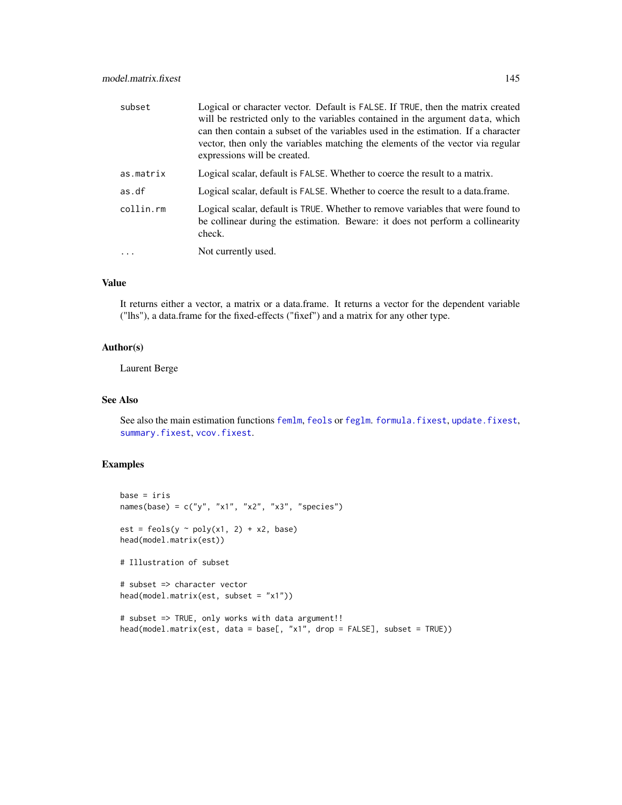| subset    | Logical or character vector. Default is FALSE. If TRUE, then the matrix created<br>will be restricted only to the variables contained in the argument data, which<br>can then contain a subset of the variables used in the estimation. If a character<br>vector, then only the variables matching the elements of the vector via regular<br>expressions will be created. |
|-----------|---------------------------------------------------------------------------------------------------------------------------------------------------------------------------------------------------------------------------------------------------------------------------------------------------------------------------------------------------------------------------|
| as.matrix | Logical scalar, default is FALSE. Whether to coerce the result to a matrix.                                                                                                                                                                                                                                                                                               |
| as.df     | Logical scalar, default is FALSE. Whether to coerce the result to a data.frame.                                                                                                                                                                                                                                                                                           |
| collin.rm | Logical scalar, default is TRUE. Whether to remove variables that were found to<br>be collinear during the estimation. Beware: it does not perform a collinearity<br>check.                                                                                                                                                                                               |
|           | Not currently used.                                                                                                                                                                                                                                                                                                                                                       |

# Value

It returns either a vector, a matrix or a data.frame. It returns a vector for the dependent variable ("lhs"), a data.frame for the fixed-effects ("fixef") and a matrix for any other type.

# Author(s)

Laurent Berge

#### See Also

See also the main estimation functions [femlm](#page-91-0), [feols](#page-112-0) or [feglm](#page-79-0). [formula.fixest](#page-134-0), [update.fixest](#page-213-0), [summary.fixest](#page-197-0), [vcov.fixest](#page-214-0).

```
base = iris
names(base) = c("y", "x1", "x2", "x3", "species")
est = feols(y \sim poly(x1, 2) + x2, base)head(model.matrix(est))
# Illustration of subset
# subset => character vector
head(model.matrix(est, subset = "x1"))
# subset => TRUE, only works with data argument!!
head(model.matrix(est, data = base[, "x1", drop = FALSE], subset = TRUE))
```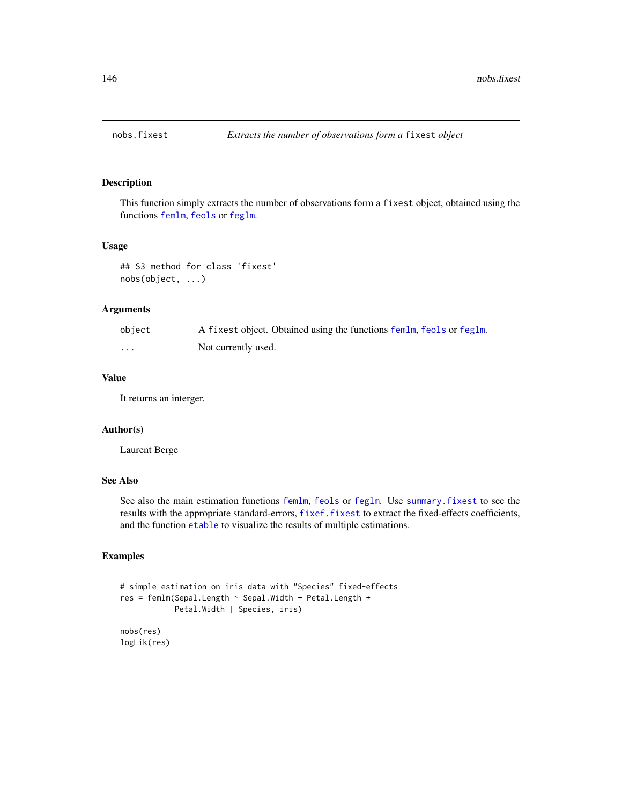This function simply extracts the number of observations form a fixest object, obtained using the functions [femlm](#page-91-0), [feols](#page-112-0) or [feglm](#page-79-0).

### Usage

```
## S3 method for class 'fixest'
nobs(object, ...)
```
# Arguments

| object  | A fixest object. Obtained using the functions femlm, feols or feglm. |
|---------|----------------------------------------------------------------------|
| $\cdot$ | Not currently used.                                                  |

#### Value

It returns an interger.

# Author(s)

Laurent Berge

# See Also

See also the main estimation functions [femlm](#page-91-0), [feols](#page-112-0) or [feglm](#page-79-0). Use [summary.fixest](#page-197-0) to see the results with the appropriate standard-errors, [fixef.fixest](#page-132-0) to extract the fixed-effects coefficients, and the function [etable](#page-55-0) to visualize the results of multiple estimations.

```
# simple estimation on iris data with "Species" fixed-effects
res = femlm(Sepal.Length ~ Sepal.Width + Petal.Length +
           Petal.Width | Species, iris)
nobs(res)
logLik(res)
```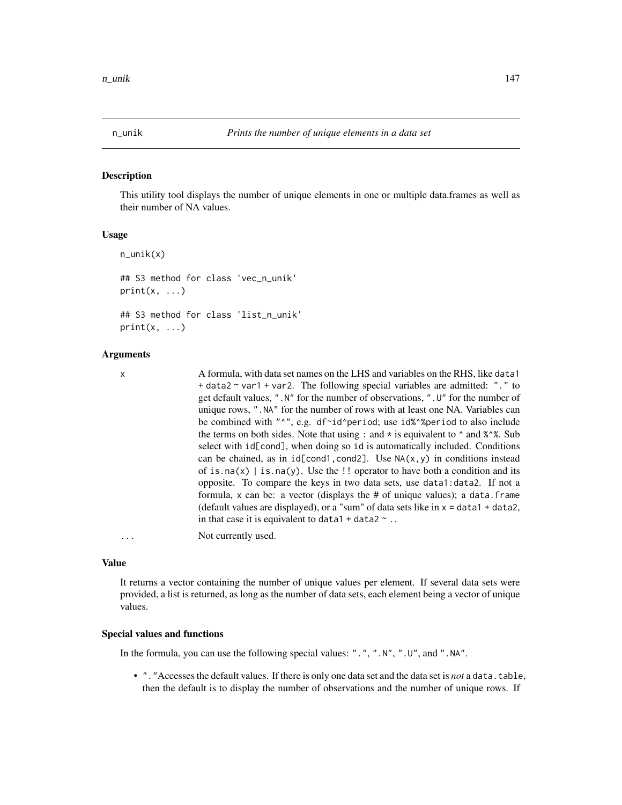This utility tool displays the number of unique elements in one or multiple data.frames as well as their number of NA values.

# Usage

```
n_unik(x)
## S3 method for class 'vec_n_unik'
print(x, \ldots)## S3 method for class 'list_n_unik'
```
 $print(x, \ldots)$ 

#### Arguments

x A formula, with data set names on the LHS and variables on the RHS, like data1 + data2 ~ var1 + var2. The following special variables are admitted: "." to get default values, ".N" for the number of observations, ".U" for the number of unique rows, ".NA" for the number of rows with at least one NA. Variables can be combined with "^", e.g. df~id^period; use id%^%period to also include the terms on both sides. Note that using : and  $*$  is equivalent to  $\land$  and  $\% \, \%$ . Sub select with id[cond], when doing so id is automatically included. Conditions can be chained, as in  $id[cond1, cond2]$ . Use  $NA(x, y)$  in conditions instead of is.na(x) | is.na(y). Use the  $\cdot$ ! operator to have both a condition and its opposite. To compare the keys in two data sets, use data1:data2. If not a formula,  $x$  can be: a vector (displays the  $#$  of unique values); a data.frame (default values are displayed), or a "sum" of data sets like in  $x =$  data1 + data2, in that case it is equivalent to data1 + data2  $\sim$  ..

... Not currently used.

#### Value

It returns a vector containing the number of unique values per element. If several data sets were provided, a list is returned, as long as the number of data sets, each element being a vector of unique values.

#### Special values and functions

In the formula, you can use the following special values: ".", ".N", ".U", and ".NA".

• "."Accesses the default values. If there is only one data set and the data set is *not* a data.table, then the default is to display the number of observations and the number of unique rows. If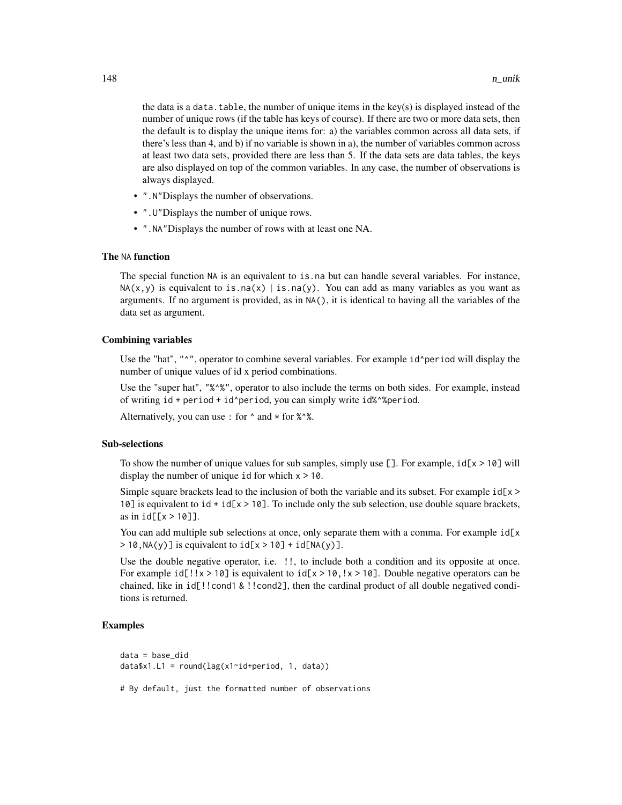the data is a data. table, the number of unique items in the key(s) is displayed instead of the number of unique rows (if the table has keys of course). If there are two or more data sets, then the default is to display the unique items for: a) the variables common across all data sets, if there's less than 4, and b) if no variable is shown in a), the number of variables common across at least two data sets, provided there are less than 5. If the data sets are data tables, the keys are also displayed on top of the common variables. In any case, the number of observations is always displayed.

- ".N"Displays the number of observations.
- ".U"Displays the number of unique rows.
- ".NA"Displays the number of rows with at least one NA.

#### The NA function

The special function NA is an equivalent to is.na but can handle several variables. For instance,  $NA(x, y)$  is equivalent to is.na(x) | is.na(y). You can add as many variables as you want as arguments. If no argument is provided, as in NA(), it is identical to having all the variables of the data set as argument.

#### Combining variables

Use the "hat", " $\gamma$ ", operator to combine several variables. For example id^period will display the number of unique values of id x period combinations.

Use the "super hat", "%^%", operator to also include the terms on both sides. For example, instead of writing id + period + id^period, you can simply write id%^%period.

Alternatively, you can use : for  $\land$  and  $\star$  for  $\%$  $\land$ %.

#### Sub-selections

To show the number of unique values for sub samples, simply use  $[]$ . For example,  $id[x \ge 10]$  will display the number of unique id for which  $x > 10$ .

Simple square brackets lead to the inclusion of both the variable and its subset. For example  $id[x \gt$ 10] is equivalent to  $id + id[x > 10]$ . To include only the sub selection, use double square brackets, as in  $id[[x > 10]]$ .

You can add multiple sub selections at once, only separate them with a comma. For example  $id[x]$  $> 10$ , NA(y)] is equivalent to  $id[x > 10] + id[NA(y)]$ .

Use the double negative operator, i.e. !!, to include both a condition and its opposite at once. For example  $id[] ! x > 10$ ] is equivalent to  $id[x > 10, 1x > 10]$ . Double negative operators can be chained, like in id[!!cond1 & !!cond2], then the cardinal product of all double negatived conditions is returned.

# Examples

```
data = base_did
data$x1.L1 = round(lag(x1~id+period, 1, data))
```
# By default, just the formatted number of observations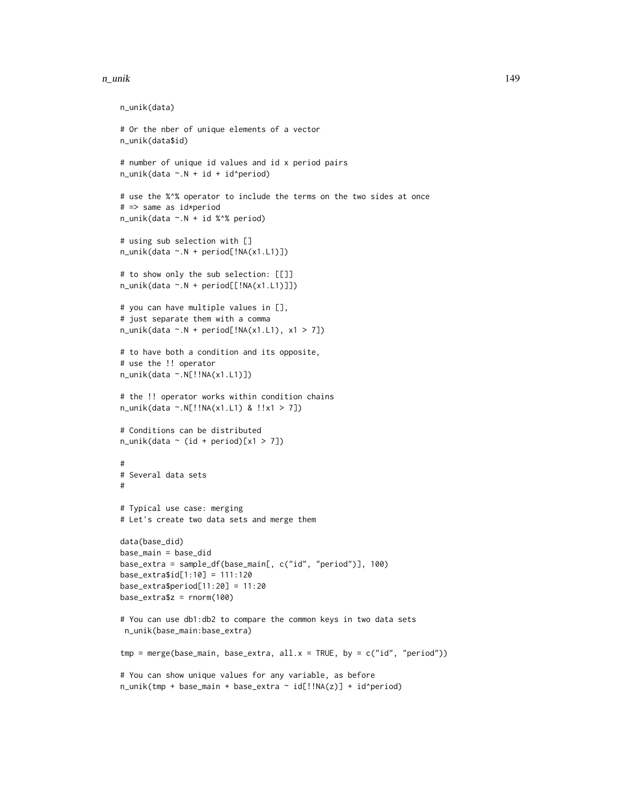#### n\_unik 149

```
n_unik(data)
# Or the nber of unique elements of a vector
n_unik(data$id)
# number of unique id values and id x period pairs
n_unik(data \sim.N + id + id^period)
# use the %^% operator to include the terms on the two sides at once
# => same as id*period
n_unik(data ~.N + id %^% period)
# using sub selection with []
n_unik(data ~.N + period[!NA(x1.L1)])
# to show only the sub selection: [[]]
n_unik(data ~.N + period[[!NA(x1.L1)]])
# you can have multiple values in [],
# just separate them with a comma
n\_unik(data ~.N + period[:NA(x1.L1), x1 > 7])# to have both a condition and its opposite,
# use the !! operator
n_unik(data ~.N[!!NA(x1.L1)])
# the !! operator works within condition chains
n_unik(data ~.N[!!NA(x1.L1) & !!x1 > 7])
# Conditions can be distributed
n\_unik(data \sim (id + period)[x1 > 7])#
# Several data sets
#
# Typical use case: merging
# Let's create two data sets and merge them
data(base_did)
base_main = base_did
base_extra = sample_df(base_main[, c("id", "period")], 100)
base_extra$id[1:10] = 111:120
base_extra$period[11:20] = 11:20
base_extra$z = rnorm(100)
# You can use db1:db2 to compare the common keys in two data sets
n_unik(base_main:base_extra)
tmp = merge(base\_main, base\_extra, all.x = TRUE, by = c("id", "period"))# You can show unique values for any variable, as before
n_unik(tmp + base_main + base_extra ~ id[!!NA(z)] + id^period)
```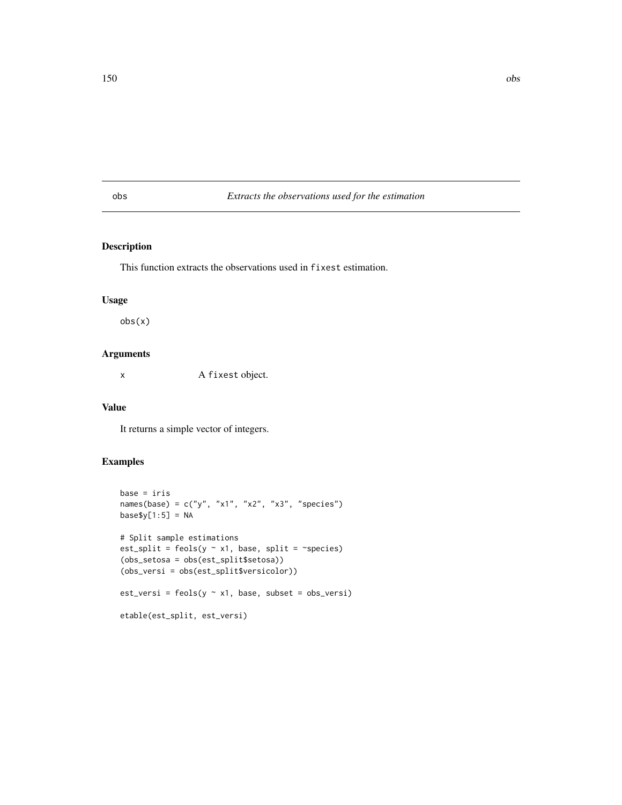# obs *Extracts the observations used for the estimation*

### Description

This function extracts the observations used in fixest estimation.

#### Usage

obs(x)

# Arguments

x A fixest object.

#### Value

It returns a simple vector of integers.

```
base = iris
names(base) = c("y", "x1", "x2", "x3", "species")
base\$(1:5] = NA# Split sample estimations
est_split = feols(y \sim x1, base, split = \simspecies)
(obs_setosa = obs(est_split$setosa))
(obs_versi = obs(est_split$versicolor))
est_versi = feols(y \sim x1, base, subset = obs_versi)
etable(est_split, est_versi)
```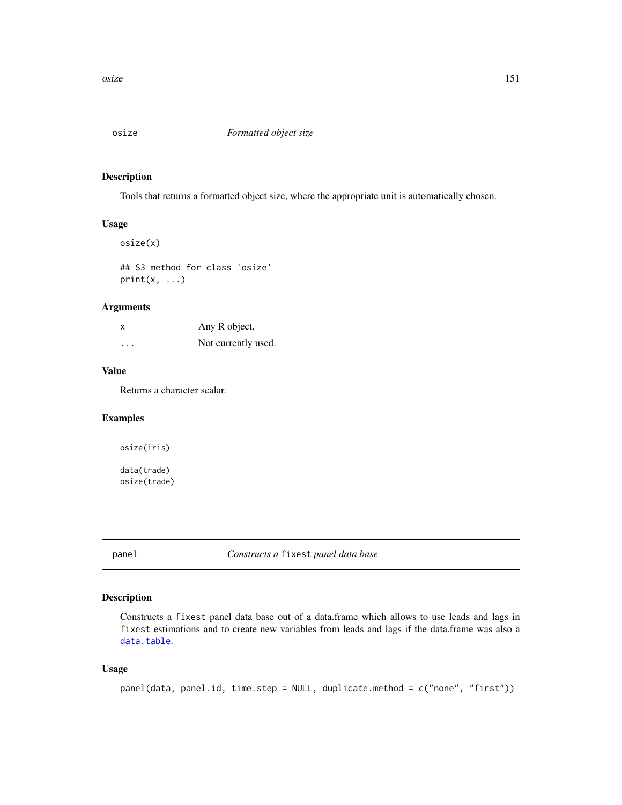Tools that returns a formatted object size, where the appropriate unit is automatically chosen.

# Usage

```
osize(x)
```
## S3 method for class 'osize'  $print(x, \ldots)$ 

# Arguments

| x | Any R object.       |
|---|---------------------|
| . | Not currently used. |

# Value

Returns a character scalar.

# Examples

osize(iris) data(trade) osize(trade)

panel *Constructs a* fixest *panel data base*

# Description

Constructs a fixest panel data base out of a data.frame which allows to use leads and lags in fixest estimations and to create new variables from leads and lags if the data.frame was also a [data.table](#page-0-0).

# Usage

```
panel(data, panel.id, time.step = NULL, duplicate.method = c("none", "first"))
```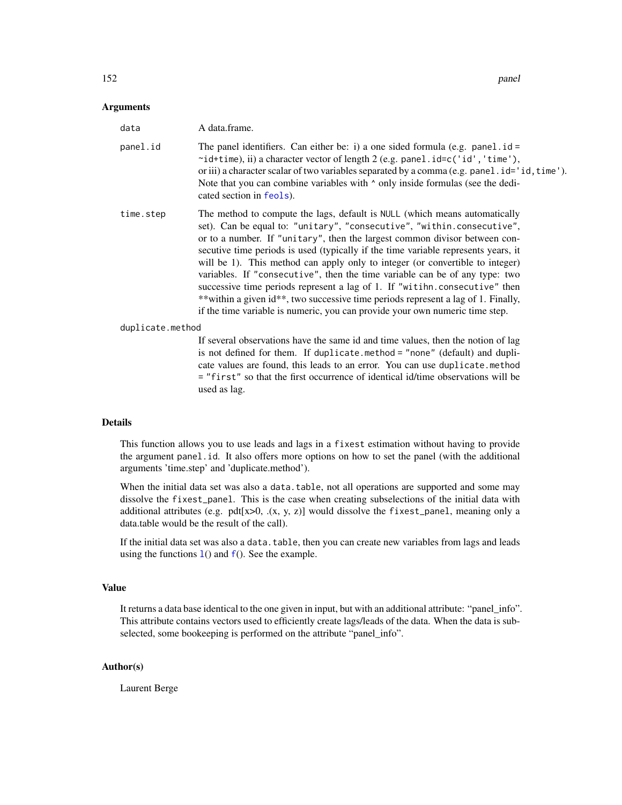#### **Arguments**

| data             | A data.frame.                                                                                                                                                                                                                                                                                                                                                                                                                                                                                                                                                                                                                                                                                                                               |
|------------------|---------------------------------------------------------------------------------------------------------------------------------------------------------------------------------------------------------------------------------------------------------------------------------------------------------------------------------------------------------------------------------------------------------------------------------------------------------------------------------------------------------------------------------------------------------------------------------------------------------------------------------------------------------------------------------------------------------------------------------------------|
| panel.id         | The panel identifiers. Can either be: i) a one sided formula (e.g. panel $id =$<br>$\sim$ id+time), ii) a character vector of length 2 (e.g. panel.id=c('id','time'),<br>or iii) a character scalar of two variables separated by a comma $(e.g. panel. id='id, time').$<br>Note that you can combine variables with $\wedge$ only inside formulas (see the dedi-<br>cated section in feols).                                                                                                                                                                                                                                                                                                                                               |
| time.step        | The method to compute the lags, default is NULL (which means automatically<br>set). Can be equal to: "unitary", "consecutive", "within.consecutive",<br>or to a number. If "unitary", then the largest common divisor between con-<br>secutive time periods is used (typically if the time variable represents years, it<br>will be 1). This method can apply only to integer (or convertible to integer)<br>variables. If "consecutive", then the time variable can be of any type: two<br>successive time periods represent a lag of 1. If "witihn.consecutive" then<br>**within a given id**, two successive time periods represent a lag of 1. Finally,<br>if the time variable is numeric, you can provide your own numeric time step. |
| duplicate.method |                                                                                                                                                                                                                                                                                                                                                                                                                                                                                                                                                                                                                                                                                                                                             |
|                  | If several observations have the same id and time values, then the notion of lag<br>is not defined for them. If duplicate method = "none" (default) and dupli-<br>cate values are found, this leads to an error. You can use duplicate.method                                                                                                                                                                                                                                                                                                                                                                                                                                                                                               |

= "first" so that the first occurrence of identical id/time observations will be

#### Details

used as lag.

This function allows you to use leads and lags in a fixest estimation without having to provide the argument panel.id. It also offers more options on how to set the panel (with the additional arguments 'time.step' and 'duplicate.method').

When the initial data set was also a data.table, not all operations are supported and some may dissolve the fixest\_panel. This is the case when creating subselections of the initial data with additional attributes (e.g.  $pdf[x>0, (x, y, z)]$  would dissolve the fixest\_panel, meaning only a data.table would be the result of the call).

If the initial data set was also a data.table, then you can create new variables from lags and leads using the [f](#page-78-1)unctions  $1()$  and  $f()$ . See the examp[l](#page-78-0)e.

### Value

It returns a data base identical to the one given in input, but with an additional attribute: "panel\_info". This attribute contains vectors used to efficiently create lags/leads of the data. When the data is subselected, some bookeeping is performed on the attribute "panel\_info".

# Author(s)

Laurent Berge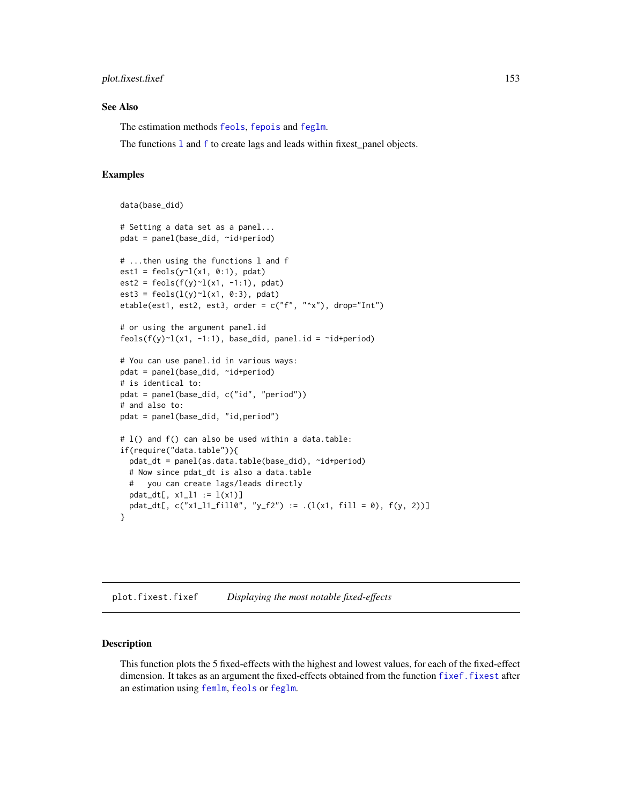#### plot.fixest.fixef 153

#### See Also

The estimation methods [feols](#page-112-0), [fepois](#page-79-1) and [feglm](#page-79-0).

The functions 1 and f to create [l](#page-78-0)ags and leads within [f](#page-78-1)ixest\_panel objects.

#### Examples

```
data(base_did)
# Setting a data set as a panel...
pdat = panel(base_did, ~id+period)
# ...then using the functions l and f
est1 = feols(y<sup>2</sup>1(x1, 0:1), pdat)est2 = feols(f(y)~1(x1, -1:1), pdat)est3 = feols(1(y) - 1(x1, 0:3), pdat)etable(est1, est2, est3, order = c("f", "^x x"), drop="Int")
# or using the argument panel.id
feols(f(y)~l(x1, -1:1), base_did, panel.id = ~id+period)
# You can use panel.id in various ways:
pdat = panel(base_did, ~id+period)
# is identical to:
pdat = panel(base_did, c("id", "period"))
# and also to:
pdat = panel(base_did, "id,period")
# l() and f() can also be used within a data.table:
if(require("data.table")){
  pdat_dt = panel(as.data.table(base_did), ~id+period)
  # Now since pdat_dt is also a data.table
  # you can create lags/leads directly
  pdat_dt[, x1_l1 := l(x1)pdat_dt[, c("x1_l1_fill0", "y_f2") := .(l(x1, fill = 0), f(y, 2))]
}
```
plot.fixest.fixef *Displaying the most notable fixed-effects*

#### **Description**

This function plots the 5 fixed-effects with the highest and lowest values, for each of the fixed-effect dimension. It takes as an argument the fixed-effects obtained from the function [fixef.fixest](#page-132-0) after an estimation using [femlm](#page-91-0), [feols](#page-112-0) or [feglm](#page-79-0).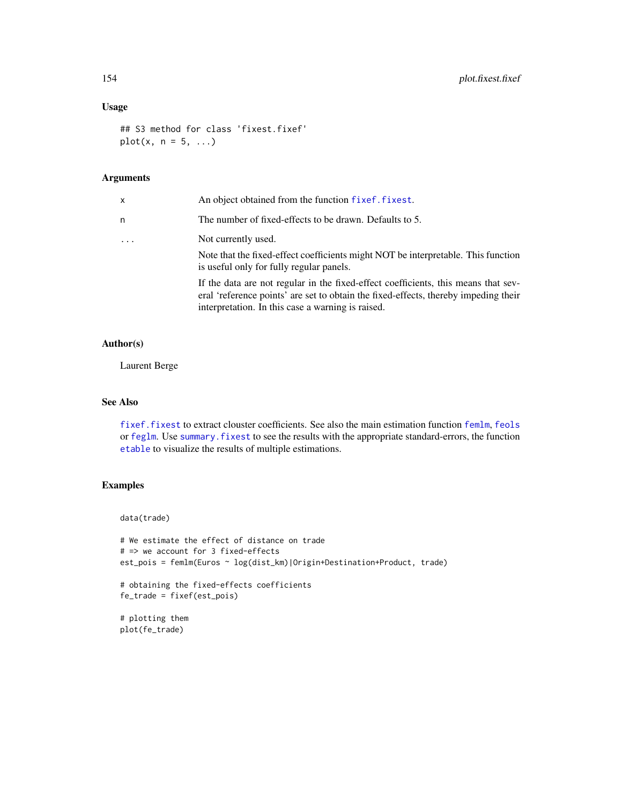# Usage

```
## S3 method for class 'fixest.fixef'
plot(x, n = 5, ...)
```
# Arguments

| x | An object obtained from the function fixef. fixest.                                                                                                                                                                            |
|---|--------------------------------------------------------------------------------------------------------------------------------------------------------------------------------------------------------------------------------|
| n | The number of fixed-effects to be drawn. Defaults to 5.                                                                                                                                                                        |
| . | Not currently used.                                                                                                                                                                                                            |
|   | Note that the fixed-effect coefficients might NOT be interpretable. This function<br>is useful only for fully regular panels.                                                                                                  |
|   | If the data are not regular in the fixed-effect coefficients, this means that sev-<br>eral 'reference points' are set to obtain the fixed-effects, thereby impeding their<br>interpretation. In this case a warning is raised. |

# Author(s)

Laurent Berge

# See Also

[fixef.fixest](#page-132-0) to extract clouster coefficients. See also the main estimation function [femlm](#page-91-0), [feols](#page-112-0) or [feglm](#page-79-0). Use [summary.fixest](#page-197-0) to see the results with the appropriate standard-errors, the function [etable](#page-55-0) to visualize the results of multiple estimations.

# Examples

data(trade)

```
# We estimate the effect of distance on trade
# => we account for 3 fixed-effects
est_pois = femlm(Euros ~ log(dist_km)|Origin+Destination+Product, trade)
# obtaining the fixed-effects coefficients
fe_trade = fixef(est_pois)
```

```
# plotting them
plot(fe_trade)
```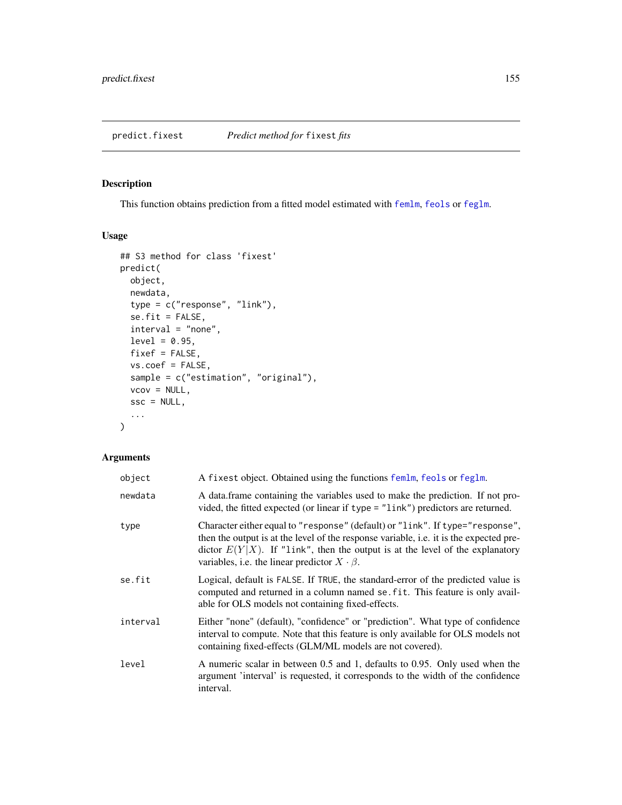<span id="page-154-0"></span>This function obtains prediction from a fitted model estimated with [femlm](#page-91-0), [feols](#page-112-0) or [feglm](#page-79-0).

# Usage

```
## S3 method for class 'fixest'
predict(
 object,
 newdata,
  type = c("response", "link"),
  se.fit = FALSE,interval = "none",
 level = 0.95,fixef = FALSE,
 vs.coef = FALSE,
  sample = c("estimation", "original"),
 vcov = NULL,
  ssc = NULL,
  ...
\mathcal{L}
```
# Arguments

| object   | A fixest object. Obtained using the functions femlm, feols or feglm.                                                                                                                                                                                                                                                        |
|----------|-----------------------------------------------------------------------------------------------------------------------------------------------------------------------------------------------------------------------------------------------------------------------------------------------------------------------------|
| newdata  | A data.frame containing the variables used to make the prediction. If not pro-<br>vided, the fitted expected (or linear if type = "link") predictors are returned.                                                                                                                                                          |
| type     | Character either equal to "response" (default) or "link". If type="response",<br>then the output is at the level of the response variable, <i>i.e.</i> it is the expected pre-<br>dictor $E(Y X)$ . If "link", then the output is at the level of the explanatory<br>variables, i.e. the linear predictor $X \cdot \beta$ . |
| se.fit   | Logical, default is FALSE. If TRUE, the standard-error of the predicted value is<br>computed and returned in a column named se. fit. This feature is only avail-<br>able for OLS models not containing fixed-effects.                                                                                                       |
| interval | Either "none" (default), "confidence" or "prediction". What type of confidence<br>interval to compute. Note that this feature is only available for OLS models not<br>containing fixed-effects (GLM/ML models are not covered).                                                                                             |
| level    | A numeric scalar in between 0.5 and 1, defaults to 0.95. Only used when the<br>argument 'interval' is requested, it corresponds to the width of the confidence<br>interval.                                                                                                                                                 |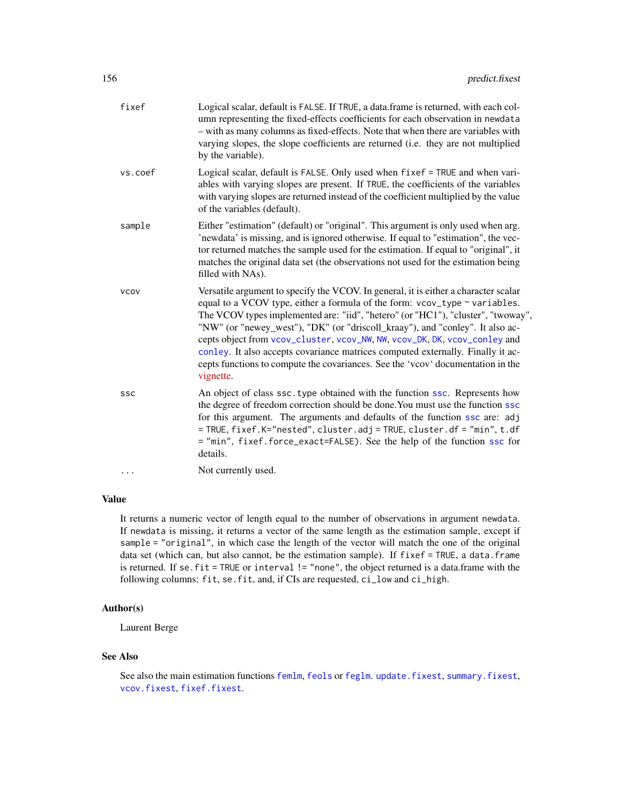| fixef       | Logical scalar, default is FALSE. If TRUE, a data.frame is returned, with each col-<br>umn representing the fixed-effects coefficients for each observation in newdata<br>- with as many columns as fixed-effects. Note that when there are variables with<br>varying slopes, the slope coefficients are returned (i.e. they are not multiplied<br>by the variable).                                                                                                                                                                                                                                   |
|-------------|--------------------------------------------------------------------------------------------------------------------------------------------------------------------------------------------------------------------------------------------------------------------------------------------------------------------------------------------------------------------------------------------------------------------------------------------------------------------------------------------------------------------------------------------------------------------------------------------------------|
| vs.coef     | Logical scalar, default is FALSE. Only used when fixef = TRUE and when vari-<br>ables with varying slopes are present. If TRUE, the coefficients of the variables<br>with varying slopes are returned instead of the coefficient multiplied by the value<br>of the variables (default).                                                                                                                                                                                                                                                                                                                |
| sample      | Either "estimation" (default) or "original". This argument is only used when arg.<br>'newdata' is missing, and is ignored otherwise. If equal to "estimation", the vec-<br>tor returned matches the sample used for the estimation. If equal to "original", it<br>matches the original data set (the observations not used for the estimation being<br>filled with NAs).                                                                                                                                                                                                                               |
| <b>VCOV</b> | Versatile argument to specify the VCOV. In general, it is either a character scalar<br>equal to a VCOV type, either a formula of the form: vcov_type ~ variables.<br>The VCOV types implemented are: "iid", "hetero" (or "HC1"), "cluster", "twoway",<br>"NW" (or "newey_west"), "DK" (or "driscoll_kraay"), and "conley". It also ac-<br>cepts object from vcov_cluster, vcov_NW, NW, vcov_DK, DK, vcov_conley and<br>conley. It also accepts covariance matrices computed externally. Finally it ac-<br>cepts functions to compute the covariances. See the 'vcov' documentation in the<br>vignette. |
| ssc         | An object of class ssc. type obtained with the function ssc. Represents how<br>the degree of freedom correction should be done. You must use the function ssc<br>for this argument. The arguments and defaults of the function ssc are: adj<br>= TRUE, fixef.K="nested", cluster.adj = TRUE, cluster.df = "min", t.df<br>= "min", fixef.force_exact=FALSE). See the help of the function ssc for<br>details.                                                                                                                                                                                           |
| .           | Not currently used.                                                                                                                                                                                                                                                                                                                                                                                                                                                                                                                                                                                    |
|             |                                                                                                                                                                                                                                                                                                                                                                                                                                                                                                                                                                                                        |

# Value

It returns a numeric vector of length equal to the number of observations in argument newdata. If newdata is missing, it returns a vector of the same length as the estimation sample, except if sample = "original", in which case the length of the vector will match the one of the original data set (which can, but also cannot, be the estimation sample). If fixef = TRUE, a data.frame is returned. If se. fit = TRUE or interval != "none", the object returned is a data.frame with the following columns: fit, se.fit, and, if CIs are requested, ci\_low and ci\_high.

# Author(s)

Laurent Berge

# See Also

See also the main estimation functions [femlm](#page-91-0), [feols](#page-112-0) or [feglm](#page-79-0). [update.fixest](#page-213-0), [summary.fixest](#page-197-0), [vcov.fixest](#page-214-0), [fixef.fixest](#page-132-0).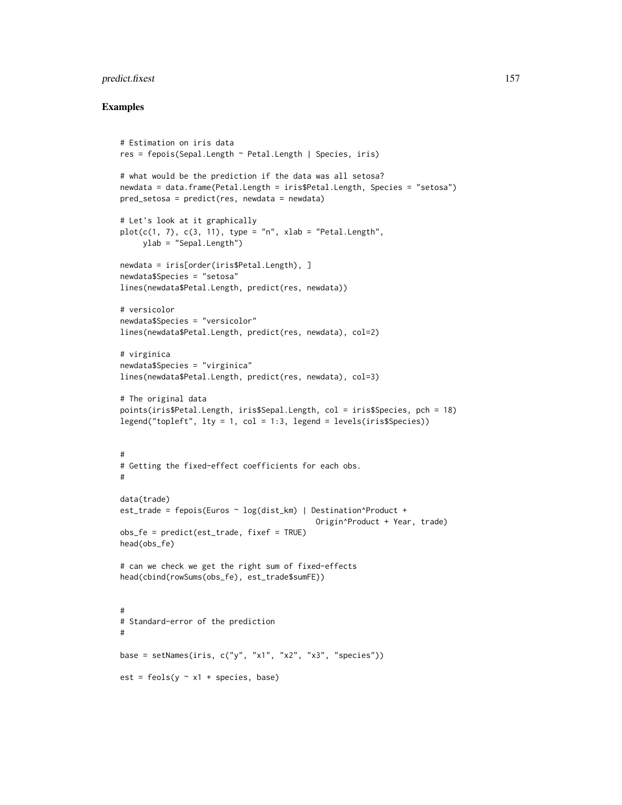# predict.fixest 157

```
# Estimation on iris data
res = fepois(Sepal.Length ~ Petal.Length | Species, iris)
# what would be the prediction if the data was all setosa?
newdata = data.frame(Petal.Length = iris$Petal.Length, Species = "setosa")
pred_setosa = predict(res, newdata = newdata)
# Let's look at it graphically
plot(c(1, 7), c(3, 11), type = "n", xlab = "Petal.length",ylab = "Sepal.Length")
newdata = iris[order(iris$Petal.Length), ]
newdata$Species = "setosa"
lines(newdata$Petal.Length, predict(res, newdata))
# versicolor
newdata$Species = "versicolor"
lines(newdata$Petal.Length, predict(res, newdata), col=2)
# virginica
newdata$Species = "virginica"
lines(newdata$Petal.Length, predict(res, newdata), col=3)
# The original data
points(iris$Petal.Length, iris$Sepal.Length, col = iris$Species, pch = 18)
legend("topleft", 1ty = 1, col = 1:3, 1egend = 1evels(iris$Species))#
# Getting the fixed-effect coefficients for each obs.
#
data(trade)
est_trade = fepois(Euros ~ log(dist_km) | Destination^Product +
                                           Origin^Product + Year, trade)
obs_fe = predict(est_trade, fixef = TRUE)
head(obs_fe)
# can we check we get the right sum of fixed-effects
head(cbind(rowSums(obs_fe), est_trade$sumFE))
#
# Standard-error of the prediction
#
base = setNames(iris, c("y", "x1", "x2", "x3", "species"))est = feols(y \sim x1 + species, base)
```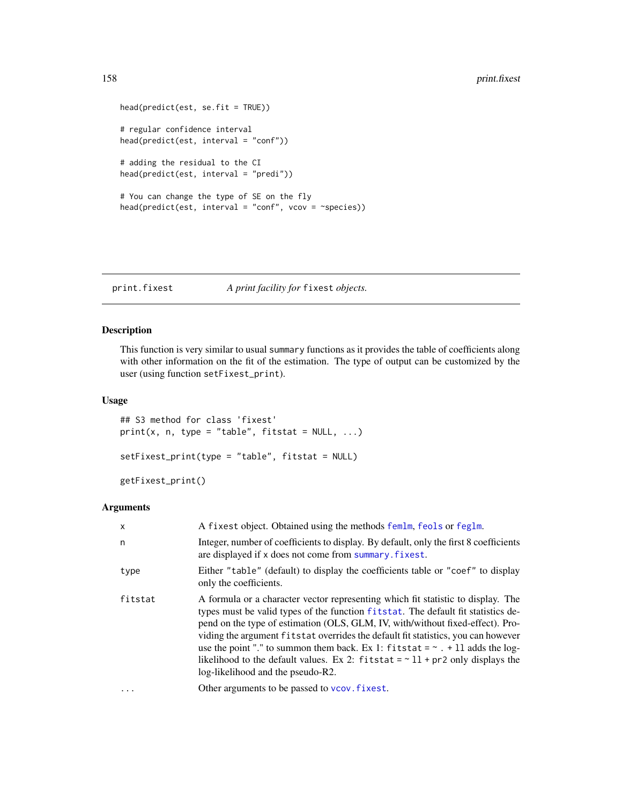```
head(predict(est, se.fit = TRUE))
# regular confidence interval
head(predict(est, interval = "conf"))
# adding the residual to the CI
head(predict(est, interval = "predi"))
# You can change the type of SE on the fly
head(predict(est, interval = "conf", vcov = ~species))
```
print.fixest *A print facility for* fixest *objects.*

# Description

This function is very similar to usual summary functions as it provides the table of coefficients along with other information on the fit of the estimation. The type of output can be customized by the user (using function setFixest\_print).

#### Usage

```
## S3 method for class 'fixest'
print(x, n, type = "table", fitstat = NULL, ...)setFixest_print(type = "table", fitstat = NULL)
getFixest_print()
```
#### Arguments

| $\mathsf{x}$ | A fixest object. Obtained using the methods femlm, feols or feglm.                                                                                                                                                                                                                                                                                                                                                                                                                                                                                             |
|--------------|----------------------------------------------------------------------------------------------------------------------------------------------------------------------------------------------------------------------------------------------------------------------------------------------------------------------------------------------------------------------------------------------------------------------------------------------------------------------------------------------------------------------------------------------------------------|
| n            | Integer, number of coefficients to display. By default, only the first 8 coefficients<br>are displayed if x does not come from summary. fixest.                                                                                                                                                                                                                                                                                                                                                                                                                |
| type         | Either "table" (default) to display the coefficients table or "coef" to display<br>only the coefficients.                                                                                                                                                                                                                                                                                                                                                                                                                                                      |
| fitstat      | A formula or a character vector representing which fit statistic to display. The<br>types must be valid types of the function fitstat. The default fit statistics de-<br>pend on the type of estimation (OLS, GLM, IV, with/without fixed-effect). Pro-<br>viding the argument fitstat overrides the default fit statistics, you can however<br>use the point "." to summon them back. Ex 1: fitstat = $\sim$ . + 11 adds the log-<br>likelihood to the default values. Ex 2: fitstat = $\sim$ 11 + pr2 only displays the<br>log-likelihood and the pseudo-R2. |
|              | Other arguments to be passed to vcov. fixest.                                                                                                                                                                                                                                                                                                                                                                                                                                                                                                                  |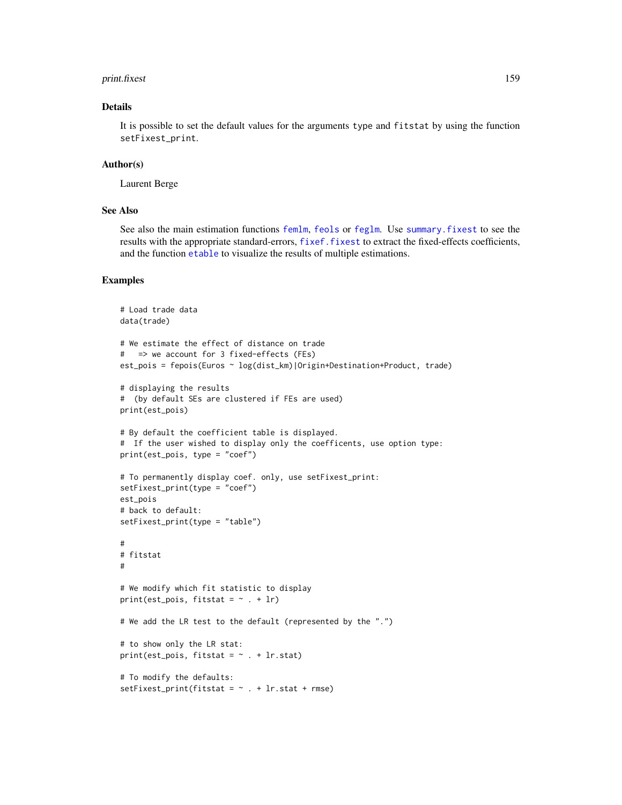#### print.fixest 159

# Details

It is possible to set the default values for the arguments type and fitstat by using the function setFixest\_print.

### Author(s)

Laurent Berge

#### See Also

See also the main estimation functions [femlm](#page-91-0), [feols](#page-112-0) or [feglm](#page-79-0). Use [summary.fixest](#page-197-0) to see the results with the appropriate standard-errors, [fixef.fixest](#page-132-0) to extract the fixed-effects coefficients, and the function [etable](#page-55-0) to visualize the results of multiple estimations.

```
# Load trade data
data(trade)
# We estimate the effect of distance on trade
# => we account for 3 fixed-effects (FEs)
est_pois = fepois(Euros ~ log(dist_km)|Origin+Destination+Product, trade)
# displaying the results
# (by default SEs are clustered if FEs are used)
print(est_pois)
# By default the coefficient table is displayed.
# If the user wished to display only the coefficents, use option type:
print(est_pois, type = "coef")
# To permanently display coef. only, use setFixest_print:
setFixest_print(type = "coef")
est_pois
# back to default:
setFixest_print(type = "table")
#
# fitstat
#
# We modify which fit statistic to display
print(est_pois, fitstat = \sim . + lr)
# We add the LR test to the default (represented by the ".")
# to show only the LR stat:
print(est_pois, fitstat = \sim . + lr.stat)
# To modify the defaults:
setFixest_print(fitstat = \sim . + lr.stat + rmse)
```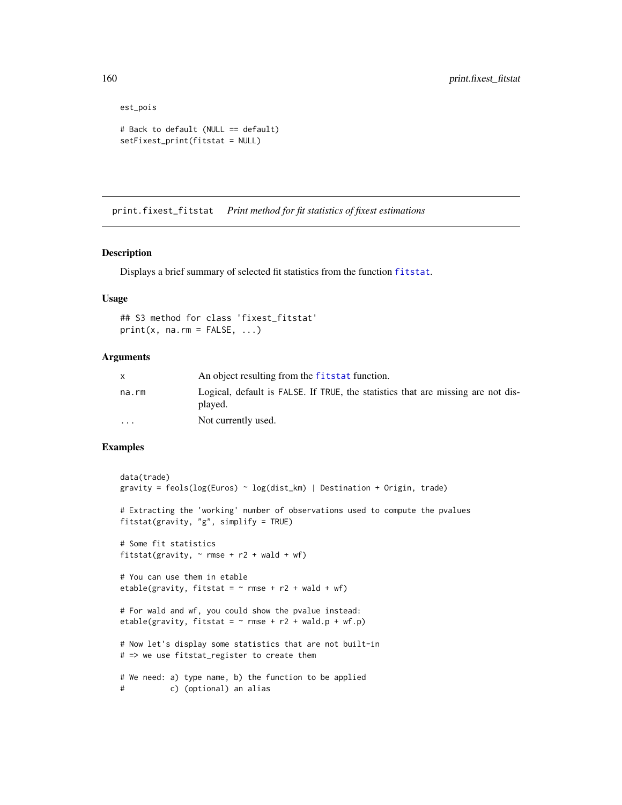```
est_pois
# Back to default (NULL == default)
setFixest_print(fitstat = NULL)
```
print.fixest\_fitstat *Print method for fit statistics of fixest estimations*

# Description

Displays a brief summary of selected fit statistics from the function [fitstat](#page-125-0).

#### Usage

## S3 method for class 'fixest\_fitstat'  $print(x, na.rm = FALSE, ...)$ 

# Arguments

|                         | An object resulting from the fitstat function.                                              |
|-------------------------|---------------------------------------------------------------------------------------------|
| na.rm                   | Logical, default is FALSE. If TRUE, the statistics that are missing are not dis-<br>played. |
| $\cdot$ $\cdot$ $\cdot$ | Not currently used.                                                                         |

```
data(trade)
gravity = feols(log(Euros) ~ log(dist_km) | Destination + Origin, trade)
# Extracting the 'working' number of observations used to compute the pvalues
fitstat(gravity, "g", simplify = TRUE)
# Some fit statistics
fitstat(gravity, \sim rmse + r2 + wald + wf)
# You can use them in etable
etable(gravity, fitstat = \sim rmse + r2 + wald + wf)
# For wald and wf, you could show the pvalue instead:
etable(gravity, fitstat = \sim rmse + r2 + wald.p + wf.p)
# Now let's display some statistics that are not built-in
# => we use fitstat_register to create them
# We need: a) type name, b) the function to be applied
# c) (optional) an alias
```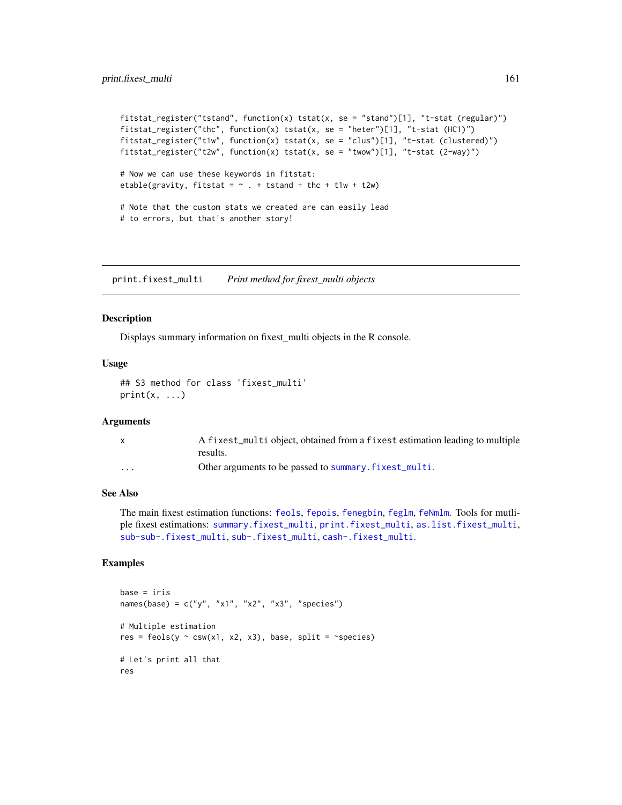```
fits\tt target="r} fitstat_register("tstand", function(x) tstat(x, se = "stand")[1], "t-stat (regular)")
fitstat_register("thc", function(x) tstat(x, se = "heter")[1], "t-stat (HC1)")
fitstat_register("t1w", function(x) tstat(x, se = "clus")[1], "t-stat (clustered)")
fitstat_register("t2w", function(x) tstat(x, se = "twow")[1], "t-stat (2-way)")
# Now we can use these keywords in fitstat:
etable(gravity, fitstat = \sim . + tstand + thc + t1w + t2w)
# Note that the custom stats we created are can easily lead
# to errors, but that's another story!
```
<span id="page-160-0"></span>print.fixest\_multi *Print method for fixest\_multi objects*

#### Description

Displays summary information on fixest\_multi objects in the R console.

#### Usage

```
## S3 method for class 'fixest_multi'
print(x, \ldots)
```
#### **Arguments**

|          | A fixest_multi object, obtained from a fixest estimation leading to multiple |
|----------|------------------------------------------------------------------------------|
|          | results.                                                                     |
| $\cdots$ | Other arguments to be passed to summary. fixest_multi.                       |

#### See Also

The main fixest estimation functions: [feols](#page-112-0), [fepois](#page-79-1), [fenegbin](#page-91-1), [feglm](#page-79-0), [feNmlm](#page-101-0). Tools for mutliple fixest estimations: [summary.fixest\\_multi](#page-203-0), [print.fixest\\_multi](#page-160-0), [as.list.fixest\\_multi](#page-6-0), [sub-sub-.fixest\\_multi](#page-0-0), [sub-.fixest\\_multi](#page-0-0), [cash-.fixest\\_multi](#page-0-0).

```
base = irisnames(base) = c("y", "x1", "x2", "x3", "species")
# Multiple estimation
res = feols(y \sim csw(x1, x2, x3), base, split = \simspecies)
# Let's print all that
res
```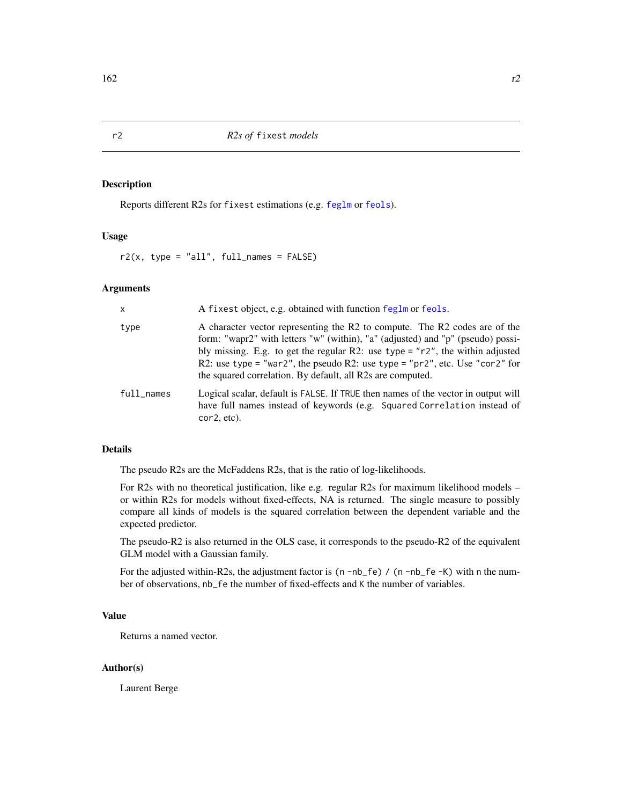Reports different R2s for fixest estimations (e.g. [feglm](#page-79-0) or [feols](#page-112-0)).

#### Usage

 $r2(x, type = "all", full_names = FALSE)$ 

#### Arguments

| $\mathsf{x}$ | A fixest object, e.g. obtained with function feglm or feols.                                                                                                                                                                                                                                                                                                                                  |
|--------------|-----------------------------------------------------------------------------------------------------------------------------------------------------------------------------------------------------------------------------------------------------------------------------------------------------------------------------------------------------------------------------------------------|
| type         | A character vector representing the R2 to compute. The R2 codes are of the<br>form: "wapr2" with letters "w" (within), "a" (adjusted) and "p" (pseudo) possi-<br>bly missing. E.g. to get the regular R2: use type = $r^2$ , the within adjusted<br>R2: use type = "war2", the pseudo R2: use type = "pr2", etc. Use "cor2" for<br>the squared correlation. By default, all R2s are computed. |
| $full$ names | Logical scalar, default is FALSE. If TRUE then names of the vector in output will<br>have full names instead of keywords (e.g. Squared Correlation instead of<br>cor2, etc).                                                                                                                                                                                                                  |

# Details

The pseudo R2s are the McFaddens R2s, that is the ratio of log-likelihoods.

For R2s with no theoretical justification, like e.g. regular R2s for maximum likelihood models – or within R2s for models without fixed-effects, NA is returned. The single measure to possibly compare all kinds of models is the squared correlation between the dependent variable and the expected predictor.

The pseudo-R2 is also returned in the OLS case, it corresponds to the pseudo-R2 of the equivalent GLM model with a Gaussian family.

For the adjusted within-R2s, the adjustment factor is  $(n - nb_f e) / (n - nb_f e - K)$  with n the number of observations, nb\_fe the number of fixed-effects and K the number of variables.

# Value

Returns a named vector.

#### Author(s)

Laurent Berge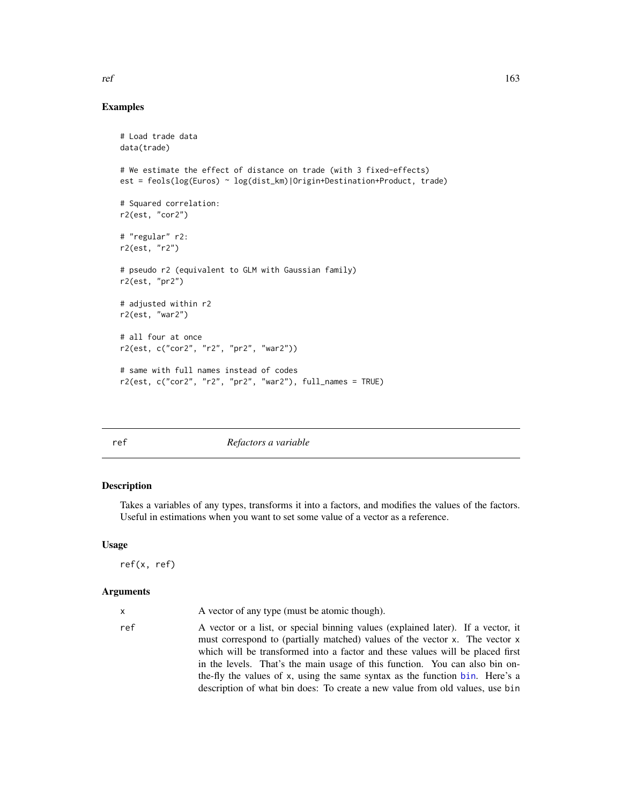# Examples

```
# Load trade data
data(trade)
# We estimate the effect of distance on trade (with 3 fixed-effects)
est = feols(log(Euros) ~ log(dist_km)|Origin+Destination+Product, trade)
# Squared correlation:
r2(est, "cor2")
# "regular" r2:
r2(est, "r2")
# pseudo r2 (equivalent to GLM with Gaussian family)
r2(est, "pr2")
# adjusted within r2
r2(est, "war2")
# all four at once
r2(est, c("cor2", "r2", "pr2", "war2"))
# same with full names instead of codes
r2(est, c("cor2", "r2", "pr2", "war2"), full_names = TRUE)
```
<span id="page-162-0"></span>ref *Refactors a variable*

# Description

Takes a variables of any types, transforms it into a factors, and modifies the values of the factors. Useful in estimations when you want to set some value of a vector as a reference.

#### Usage

```
ref(x, ref)
```
# Arguments

| ref<br>A vector or a list, or special binning values (explained later). If a vector, it<br>must correspond to (partially matched) values of the vector x. The vector x<br>which will be transformed into a factor and these values will be placed first<br>in the levels. That's the main usage of this function. You can also bin on-<br>the-fly the values of x, using the same syntax as the function bin. Here's a<br>description of what bin does: To create a new value from old values, use bin |  |
|--------------------------------------------------------------------------------------------------------------------------------------------------------------------------------------------------------------------------------------------------------------------------------------------------------------------------------------------------------------------------------------------------------------------------------------------------------------------------------------------------------|--|

 $ref$  163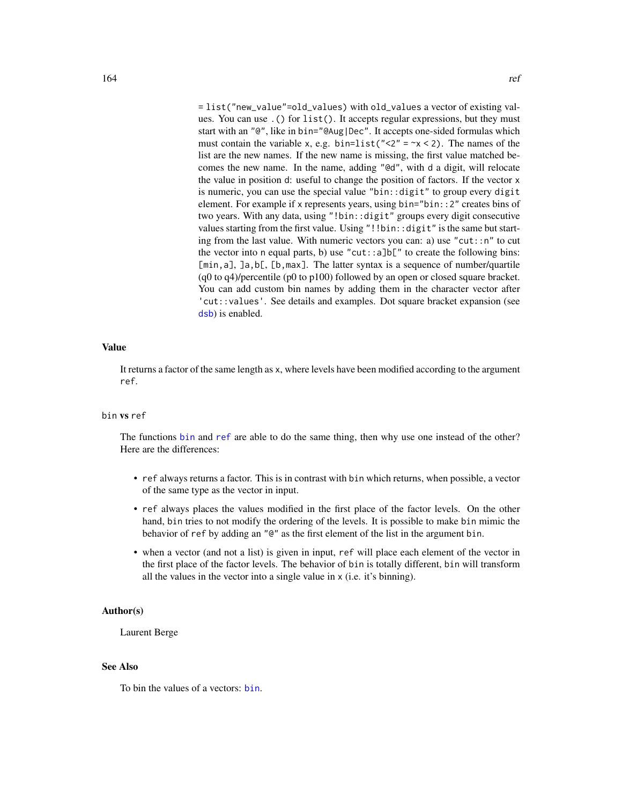= list("new\_value"=old\_values) with old\_values a vector of existing values. You can use .() for list(). It accepts regular expressions, but they must start with an "@", like in bin="@Aug|Dec". It accepts one-sided formulas which must contain the variable x, e.g. bin=list(" $\langle 2" = \gamma \times 2$ ). The names of the list are the new names. If the new name is missing, the first value matched becomes the new name. In the name, adding "@d", with d a digit, will relocate the value in position d: useful to change the position of factors. If the vector x is numeric, you can use the special value "bin::digit" to group every digit element. For example if x represents years, using bin="bin::2" creates bins of two years. With any data, using "!bin::digit" groups every digit consecutive values starting from the first value. Using "!!bin::digit" is the same but starting from the last value. With numeric vectors you can: a) use "cut::n" to cut the vector into n equal parts, b) use "cut::a]b[" to create the following bins: [min, a], ]a, b[, [b, max]. The latter syntax is a sequence of number/quartile (q0 to q4)/percentile (p0 to p100) followed by an open or closed square bracket. You can add custom bin names by adding them in the character vector after 'cut::values'. See details and examples. Dot square bracket expansion (see [dsb](#page-44-0)) is enabled.

# Value

It returns a factor of the same length as x, where levels have been modified according to the argument ref.

# bin vs ref

The functions [bin](#page-9-0) and [ref](#page-162-0) are able to do the same thing, then why use one instead of the other? Here are the differences:

- ref always returns a factor. This is in contrast with bin which returns, when possible, a vector of the same type as the vector in input.
- ref always places the values modified in the first place of the factor levels. On the other hand, bin tries to not modify the ordering of the levels. It is possible to make bin mimic the behavior of ref by adding an "@" as the first element of the list in the argument bin.
- when a vector (and not a list) is given in input, ref will place each element of the vector in the first place of the factor levels. The behavior of bin is totally different, bin will transform all the values in the vector into a single value in x (i.e. it's binning).

#### Author(s)

Laurent Berge

# See Also

To bin the values of a vectors: [bin](#page-9-0).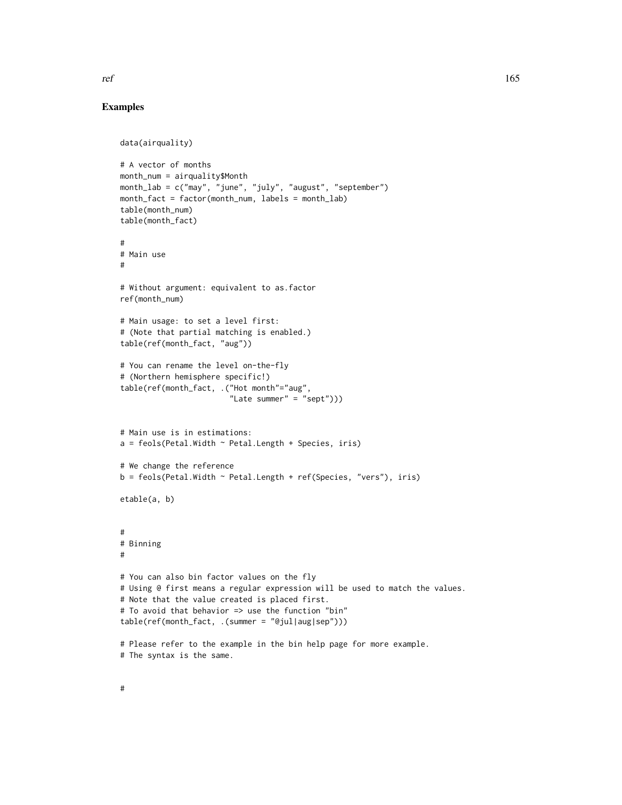```
data(airquality)
# A vector of months
month_num = airquality$Month
month_lab = c("may", "june", "july", "august", "september")
month_fact = factor(month_num, labels = month_lab)
table(month_num)
table(month_fact)
#
# Main use
#
# Without argument: equivalent to as.factor
ref(month_num)
# Main usage: to set a level first:
# (Note that partial matching is enabled.)
table(ref(month_fact, "aug"))
# You can rename the level on-the-fly
# (Northern hemisphere specific!)
table(ref(month_fact, .("Hot month"="aug",
                        "Late summer" = "sept")))
# Main use is in estimations:
a = feols(Petal.Width ~ Petal.Length + Species, iris)# We change the reference
b = feols(Petal.Midth \sim Petal.Length + ref(Species, "vers"), iris)etable(a, b)
#
# Binning
#
# You can also bin factor values on the fly
# Using @ first means a regular expression will be used to match the values.
# Note that the value created is placed first.
# To avoid that behavior => use the function "bin"
table(ref(month_fact, .(summer = "@jul|aug|sep")))
# Please refer to the example in the bin help page for more example.
# The syntax is the same.
```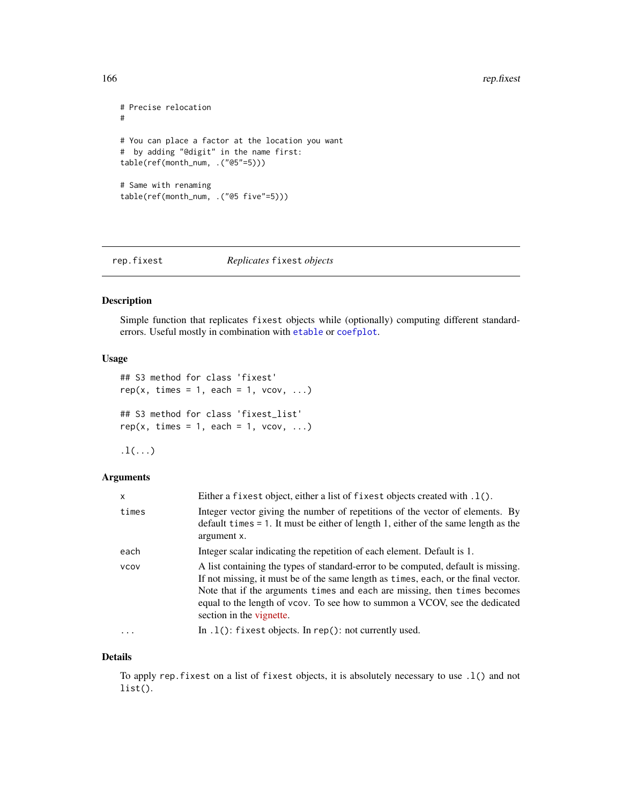```
# Precise relocation
#
# You can place a factor at the location you want
# by adding "@digit" in the name first:
table(ref(month_num, .("@5"=5)))
# Same with renaming
table(ref(month_num, .("@5 five"=5)))
```
rep.fixest *Replicates* fixest *objects*

# Description

Simple function that replicates fixest objects while (optionally) computing different standarderrors. Useful mostly in combination with [etable](#page-55-0) or [coefplot](#page-18-0).

#### Usage

```
## S3 method for class 'fixest'
rep(x, times = 1, each = 1, vcov, ...)## S3 method for class 'fixest_list'
rep(x, times = 1, each = 1, vcov, ...)
```
 $.1($ ... $)$ 

#### Arguments

| X           | Either a fixest object, either a list of fixest objects created with $.1()$ .                                                                                                                                                                                                                                                                                   |
|-------------|-----------------------------------------------------------------------------------------------------------------------------------------------------------------------------------------------------------------------------------------------------------------------------------------------------------------------------------------------------------------|
| times       | Integer vector giving the number of repetitions of the vector of elements. By<br>default times $= 1$ . It must be either of length 1, either of the same length as the<br>argument x.                                                                                                                                                                           |
| each        | Integer scalar indicating the repetition of each element. Default is 1.                                                                                                                                                                                                                                                                                         |
| <b>VCOV</b> | A list containing the types of standard-error to be computed, default is missing.<br>If not missing, it must be of the same length as times, each, or the final vector.<br>Note that if the arguments times and each are missing, then times becomes<br>equal to the length of vcov. To see how to summon a VCOV, see the dedicated<br>section in the vignette. |
| $\cdot$     | In $.1()$ : fixest objects. In rep(): not currently used.                                                                                                                                                                                                                                                                                                       |

#### Details

To apply rep.fixest on a list of fixest objects, it is absolutely necessary to use .l() and not list().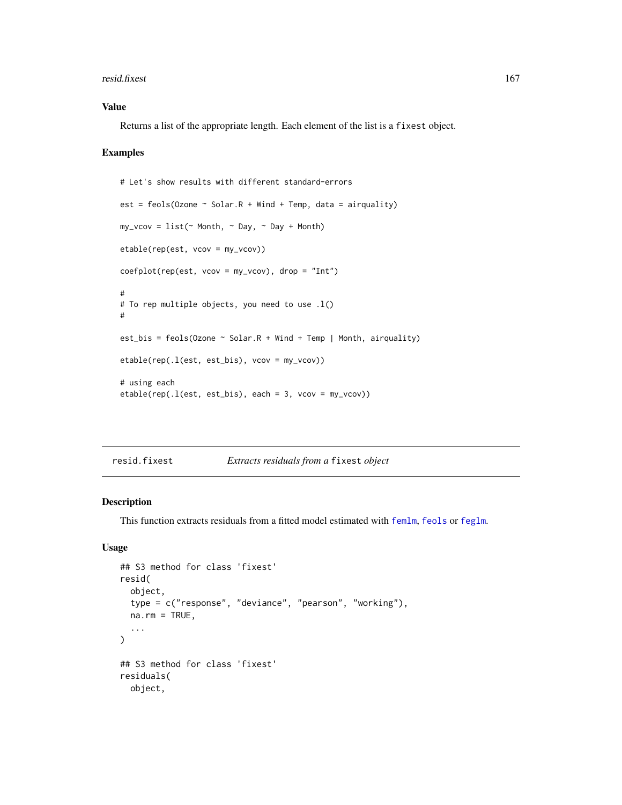#### resid.fixest 167

# Value

Returns a list of the appropriate length. Each element of the list is a fixest object.

#### Examples

```
# Let's show results with different standard-errors
est = feols(Ozone \sim Solar.R + Wind + Temp, data = airquality)
my\_vcov = list(\sim Month, \sim Day, \sim Day + Month)etable(rep(est, vcov = my_vcov))
coefplot(rep(est, vcov = my_vcov), drop = "Int")
#
# To rep multiple objects, you need to use .l()
#
est_bis = feols(Ozone \sim Solar.R + Wind + Temp | Month, airquality)
etable(rep(.l(est, est_bis), vcov = my_vcov))
# using each
etable(rep(.l(est, est_bis), each = 3, vcov = my_vcov))
```
resid.fixest *Extracts residuals from a* fixest *object*

# Description

This function extracts residuals from a fitted model estimated with [femlm](#page-91-0), [feols](#page-112-0) or [feglm](#page-79-0).

# Usage

```
## S3 method for class 'fixest'
resid(
  object,
  type = c("response", "deviance", "pearson", "working"),
  na.rm = TRUE,...
\lambda## S3 method for class 'fixest'
residuals(
 object,
```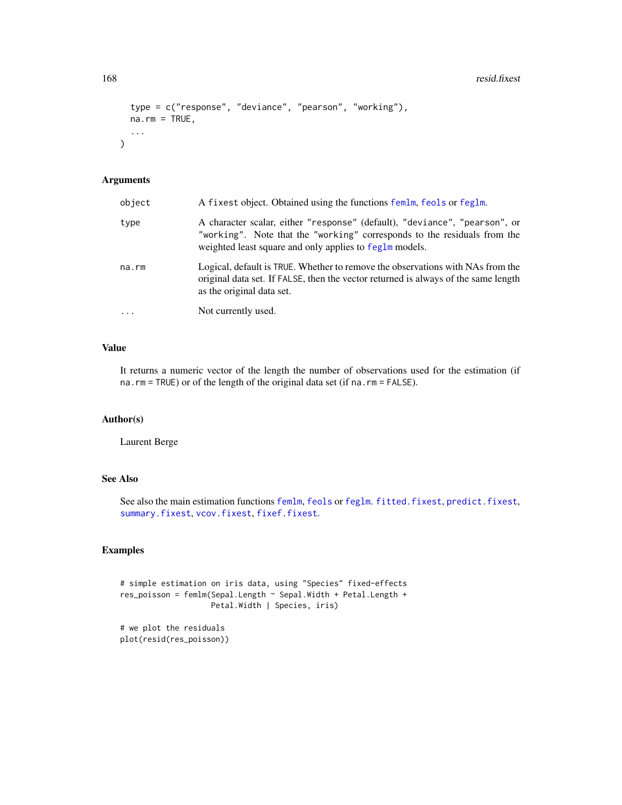```
type = c("response", "deviance", "pearson", "working"),
na.rm = TRUE,...
```
# Arguments

 $\mathcal{L}$ 

| object   | A fixest object. Obtained using the functions femlm, feols or feglm.                                                                                                                                              |
|----------|-------------------------------------------------------------------------------------------------------------------------------------------------------------------------------------------------------------------|
| type     | A character scalar, either "response" (default), "deviance", "pearson", or<br>"working". Note that the "working" corresponds to the residuals from the<br>weighted least square and only applies to feglm models. |
| na.rm    | Logical, default is TRUE. Whether to remove the observations with NAs from the<br>original data set. If FALSE, then the vector returned is always of the same length<br>as the original data set.                 |
| $\cdots$ | Not currently used.                                                                                                                                                                                               |

# Value

It returns a numeric vector of the length the number of observations used for the estimation (if na.rm = TRUE) or of the length of the original data set (if na.rm = FALSE).

### Author(s)

Laurent Berge

# See Also

See also the main estimation functions [femlm](#page-91-0), [feols](#page-112-0) or [feglm](#page-79-0). [fitted.fixest](#page-130-0), [predict.fixest](#page-154-0), [summary.fixest](#page-197-0), [vcov.fixest](#page-214-0), [fixef.fixest](#page-132-0).

# Examples

```
# simple estimation on iris data, using "Species" fixed-effects
res_poisson = femlm(Sepal.Length ~ Sepal.Width + Petal.Length +
                   Petal.Width | Species, iris)
# we plot the residuals
```
plot(resid(res\_poisson))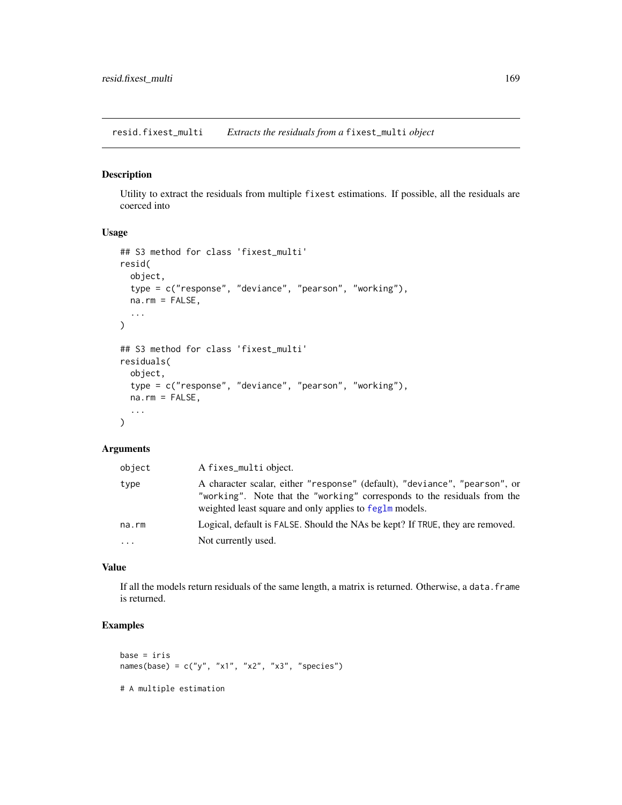resid.fixest\_multi *Extracts the residuals from a* fixest\_multi *object*

# Description

Utility to extract the residuals from multiple fixest estimations. If possible, all the residuals are coerced into

#### Usage

```
## S3 method for class 'fixest_multi'
resid(
 object,
  type = c("response", "deviance", "pearson", "working"),
 na.rm = FALSE,...
\mathcal{L}## S3 method for class 'fixest multi'
residuals(
 object,
  type = c("response", "deviance", "pearson", "working"),
 na.rm = FALSE,
  ...
\mathcal{L}
```
# Arguments

| object                  | A fixes_multi object.                                                                                                                                                                                             |
|-------------------------|-------------------------------------------------------------------------------------------------------------------------------------------------------------------------------------------------------------------|
| type                    | A character scalar, either "response" (default), "deviance", "pearson", or<br>"working". Note that the "working" corresponds to the residuals from the<br>weighted least square and only applies to feglm models. |
| na.rm                   | Logical, default is FALSE. Should the NAs be kept? If TRUE, they are removed.                                                                                                                                     |
| $\cdot$ $\cdot$ $\cdot$ | Not currently used.                                                                                                                                                                                               |

# Value

If all the models return residuals of the same length, a matrix is returned. Otherwise, a data.frame is returned.

```
base = iris
names(base) = c("y", "x1", "x2", "x3", "species")# A multiple estimation
```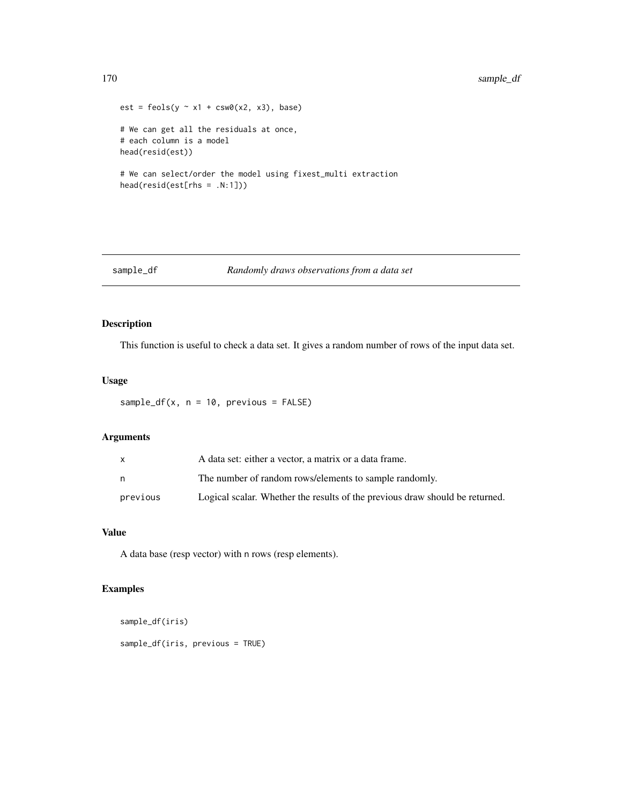```
est = feols(y - x1 + csw0(x2, x3), base)# We can get all the residuals at once,
# each column is a model
head(resid(est))
# We can select/order the model using fixest_multi extraction
head(resid(est[rhs = .N:1]))
```
#### sample\_df *Randomly draws observations from a data set*

# Description

This function is useful to check a data set. It gives a random number of rows of the input data set.

# Usage

```
sample_d f(x, n = 10, previous = FALSE)
```
# Arguments

| X        | A data set: either a vector, a matrix or a data frame.                       |
|----------|------------------------------------------------------------------------------|
| n        | The number of random rows/elements to sample randomly.                       |
| previous | Logical scalar. Whether the results of the previous draw should be returned. |

# Value

A data base (resp vector) with n rows (resp elements).

```
sample_df(iris)
sample_df(iris, previous = TRUE)
```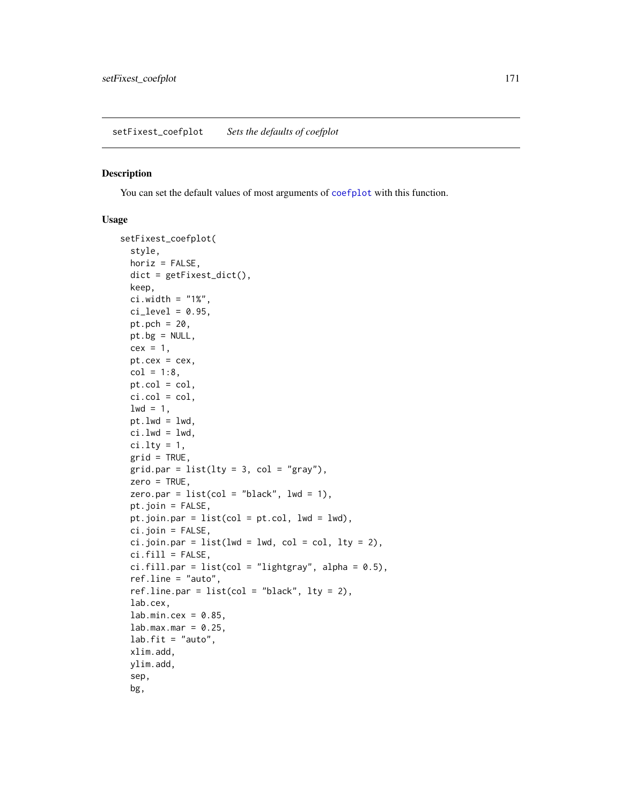<span id="page-170-0"></span>You can set the default values of most arguments of [coefplot](#page-18-0) with this function.

#### Usage

```
setFixest_coefplot(
  style,
 horiz = FALSE,
 dict = getFixest_dict(),
 keep,
 ci.width = "1%",
 ci\_level = 0.95,
 pt.pch = 20,
 pt.bg = NULL,
 cex = 1,
 pt. cex = cex,col = 1:8,
 pt.col = col,
 ci.col = col,
 1wd = 1,
 pt.lwd = lwd,
 ci.lwd = lwd,ci.lty = 1,
 grid = TRUE,grid.par = list(lty = 3, col = "gray"),zero = TRUE,
 zero.par = list(col = "black", lw = 1),pt.join = FALSE,
 pt.join.par = list(col = pt.col, lwd = lwd),
 ci.join = FALSE,
 ci.join.par = list(lwd = lwd, col = col, lty = 2),ci.fill = FALSE,ci.fill.par = list(col = "lightgray", alpha = 0.5),ref.line = "auto",
 ref.line.par = list(col = "black", lty = 2),lab.cex,
 lab.min.cex = 0.85,lab.max.max = 0.25,
 lab.fit = "auto",xlim.add,
 ylim.add,
  sep,
 bg,
```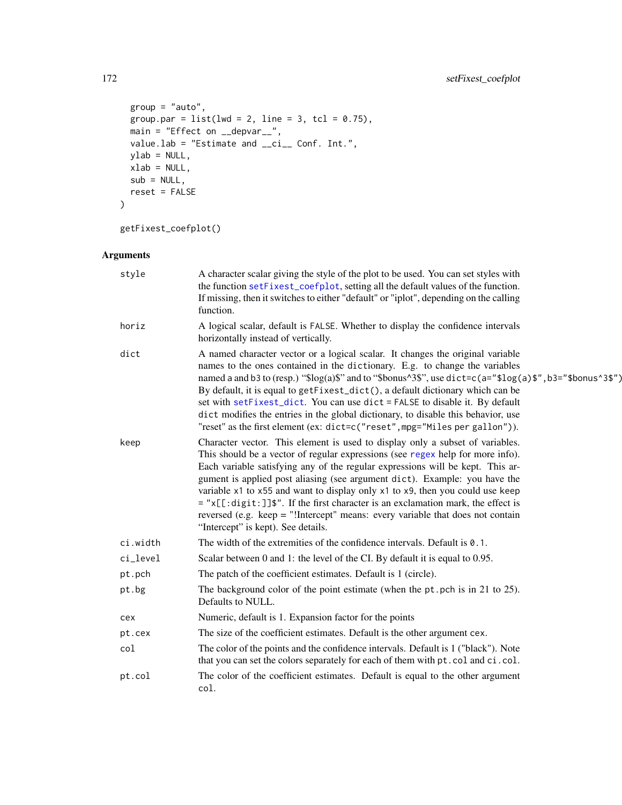```
group = "auto",group.par = list(lwd = 2, line = 3, tol = 0.75),
 main = "Effect on __depvar__",
 value.lab = "Estimate and __ci__ Conf. Int.",
 ylab = NULL,
 xlab = NULL,sub = NULL,reset = FALSE
)
```
getFixest\_coefplot()

# Arguments

| style    | A character scalar giving the style of the plot to be used. You can set styles with<br>the function setFixest_coefplot, setting all the default values of the function.<br>If missing, then it switches to either "default" or "iplot", depending on the calling<br>function.                                                                                                                                                                                                                                                                                                                                                                   |
|----------|-------------------------------------------------------------------------------------------------------------------------------------------------------------------------------------------------------------------------------------------------------------------------------------------------------------------------------------------------------------------------------------------------------------------------------------------------------------------------------------------------------------------------------------------------------------------------------------------------------------------------------------------------|
| horiz    | A logical scalar, default is FALSE. Whether to display the confidence intervals<br>horizontally instead of vertically.                                                                                                                                                                                                                                                                                                                                                                                                                                                                                                                          |
| dict     | A named character vector or a logical scalar. It changes the original variable<br>names to the ones contained in the dictionary. E.g. to change the variables<br>named a and b3 to (resp.) " $\log(a)$ " and to " $\delta$ bonus $\delta$ 3", use dict=c(a=" $\log(a)$ ", b3=" $\delta$ bonus $\delta$ 3")<br>By default, it is equal to getFixest_dict(), a default dictionary which can be<br>set with setFixest_dict. You can use dict = FALSE to disable it. By default<br>dict modifies the entries in the global dictionary, to disable this behavior, use<br>"reset" as the first element (ex: dict=c("reset", mpg="Miles per gallon")). |
| keep     | Character vector. This element is used to display only a subset of variables.<br>This should be a vector of regular expressions (see regex help for more info).<br>Each variable satisfying any of the regular expressions will be kept. This ar-<br>gument is applied post aliasing (see argument dict). Example: you have the<br>variable x1 to x55 and want to display only x1 to x9, then you could use keep<br>= "x[[:digit:]]\$". If the first character is an exclamation mark, the effect is<br>reversed (e.g. keep $=$ "!Intercept" means: every variable that does not contain<br>"Intercept" is kept). See details.                  |
| ci.width | The width of the extremities of the confidence intervals. Default is $0.1$ .                                                                                                                                                                                                                                                                                                                                                                                                                                                                                                                                                                    |
| ci_level | Scalar between 0 and 1: the level of the CI. By default it is equal to 0.95.                                                                                                                                                                                                                                                                                                                                                                                                                                                                                                                                                                    |
| pt.pch   | The patch of the coefficient estimates. Default is 1 (circle).                                                                                                                                                                                                                                                                                                                                                                                                                                                                                                                                                                                  |
| pt.bg    | The background color of the point estimate (when the $pt.$ pch is in 21 to 25).<br>Defaults to NULL.                                                                                                                                                                                                                                                                                                                                                                                                                                                                                                                                            |
| cex      | Numeric, default is 1. Expansion factor for the points                                                                                                                                                                                                                                                                                                                                                                                                                                                                                                                                                                                          |
| pt.cex   | The size of the coefficient estimates. Default is the other argument cex.                                                                                                                                                                                                                                                                                                                                                                                                                                                                                                                                                                       |
| col      | The color of the points and the confidence intervals. Default is 1 ("black"). Note<br>that you can set the colors separately for each of them with pt. col and ci. col.                                                                                                                                                                                                                                                                                                                                                                                                                                                                         |
| pt.col   | The color of the coefficient estimates. Default is equal to the other argument<br>col.                                                                                                                                                                                                                                                                                                                                                                                                                                                                                                                                                          |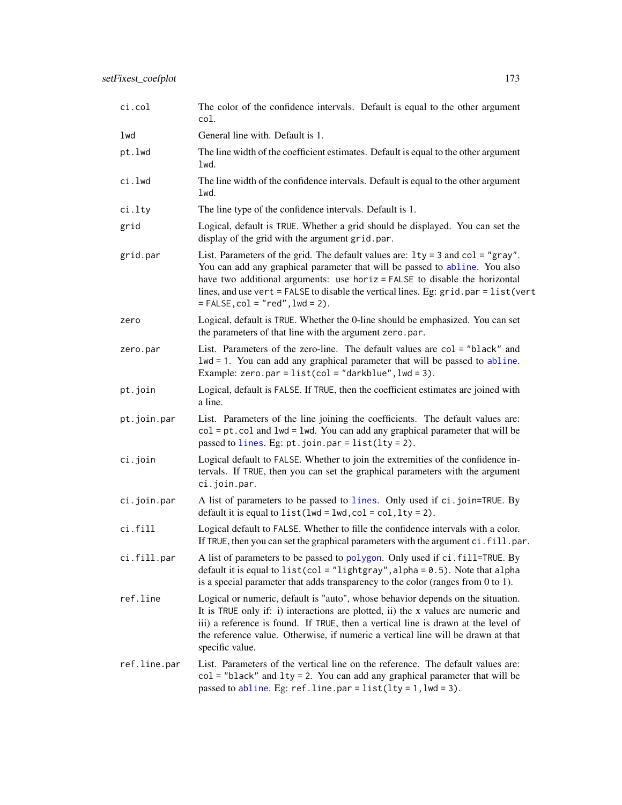| ci.col       | The color of the confidence intervals. Default is equal to the other argument<br>col.                                                                                                                                                                                                                                                                                          |
|--------------|--------------------------------------------------------------------------------------------------------------------------------------------------------------------------------------------------------------------------------------------------------------------------------------------------------------------------------------------------------------------------------|
| lwd          | General line with. Default is 1.                                                                                                                                                                                                                                                                                                                                               |
| pt.lwd       | The line width of the coefficient estimates. Default is equal to the other argument<br>lwd.                                                                                                                                                                                                                                                                                    |
| ci.lwd       | The line width of the confidence intervals. Default is equal to the other argument<br>lwd.                                                                                                                                                                                                                                                                                     |
| ci.lty       | The line type of the confidence intervals. Default is 1.                                                                                                                                                                                                                                                                                                                       |
| grid         | Logical, default is TRUE. Whether a grid should be displayed. You can set the<br>display of the grid with the argument grid.par.                                                                                                                                                                                                                                               |
| grid.par     | List. Parameters of the grid. The default values are: $1ty = 3$ and $col = "gray".$<br>You can add any graphical parameter that will be passed to abline. You also<br>have two additional arguments: use horiz = FALSE to disable the horizontal<br>lines, and use vert = FALSE to disable the vertical lines. Eg: grid.par = list(vert<br>$=$ FALSE, $col = "red",$ lwd = 2). |
| zero         | Logical, default is TRUE. Whether the 0-line should be emphasized. You can set<br>the parameters of that line with the argument zero.par.                                                                                                                                                                                                                                      |
| zero.par     | List. Parameters of the zero-line. The default values are col = "black" and<br>$1wd = 1$ . You can add any graphical parameter that will be passed to abline.<br>Example: zero.par = $list(col = "darkblue", lw = 3)$ .                                                                                                                                                        |
| pt.join      | Logical, default is FALSE. If TRUE, then the coefficient estimates are joined with<br>a line.                                                                                                                                                                                                                                                                                  |
| pt.join.par  | List. Parameters of the line joining the coefficients. The default values are:<br>$col = pt$ . col and $1wd = 1wd$ . You can add any graphical parameter that will be<br>passed to lines. Eg: $pt.$ join.par = list(lty = 2).                                                                                                                                                  |
| ci.join      | Logical default to FALSE. Whether to join the extremities of the confidence in-<br>tervals. If TRUE, then you can set the graphical parameters with the argument<br>ci.join.par.                                                                                                                                                                                               |
| ci.join.par  | A list of parameters to be passed to lines. Only used if ci.join=TRUE. By<br>default it is equal to $list(lwd = lwd, col = col, lty = 2)$ .                                                                                                                                                                                                                                    |
| ci.fill      | Logical default to FALSE. Whether to fille the confidence intervals with a color.<br>If TRUE, then you can set the graphical parameters with the argument ci.fill.par.                                                                                                                                                                                                         |
| ci.fill.par  | A list of parameters to be passed to polygon. Only used if ci.fill=TRUE. By<br>default it is equal to list(col = "lightgray", alpha = 0.5). Note that alpha<br>is a special parameter that adds transparency to the color (ranges from 0 to 1).                                                                                                                                |
| ref.line     | Logical or numeric, default is "auto", whose behavior depends on the situation.<br>It is TRUE only if: i) interactions are plotted, ii) the x values are numeric and<br>iii) a reference is found. If TRUE, then a vertical line is drawn at the level of<br>the reference value. Otherwise, if numeric a vertical line will be drawn at that<br>specific value.               |
| ref.line.par | List. Parameters of the vertical line on the reference. The default values are:<br>$col = "black"$ and $lty = 2$ . You can add any graphical parameter that will be<br>passed to abline. Eg: $refu$ ine.par = list(lty = 1, lwd = 3).                                                                                                                                          |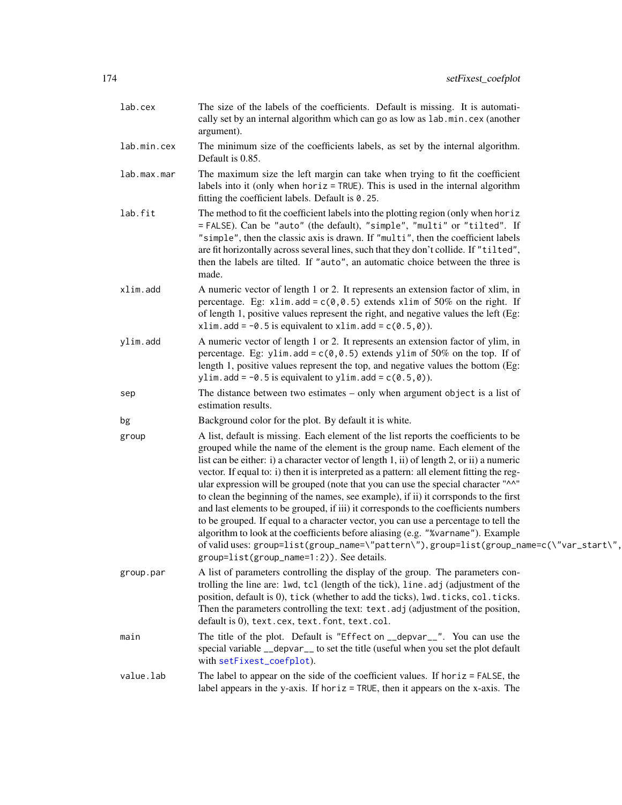| lab.cex     | The size of the labels of the coefficients. Default is missing. It is automati-<br>cally set by an internal algorithm which can go as low as lab.min.cex (another<br>argument).                                                                                                                                                                                                                                                                                                                                                                                                                                                                                                                                                                                                                                                                                                                                                                       |
|-------------|-------------------------------------------------------------------------------------------------------------------------------------------------------------------------------------------------------------------------------------------------------------------------------------------------------------------------------------------------------------------------------------------------------------------------------------------------------------------------------------------------------------------------------------------------------------------------------------------------------------------------------------------------------------------------------------------------------------------------------------------------------------------------------------------------------------------------------------------------------------------------------------------------------------------------------------------------------|
| lab.min.cex | The minimum size of the coefficients labels, as set by the internal algorithm.<br>Default is 0.85.                                                                                                                                                                                                                                                                                                                                                                                                                                                                                                                                                                                                                                                                                                                                                                                                                                                    |
| lab.max.mar | The maximum size the left margin can take when trying to fit the coefficient<br>labels into it (only when $horiz = TRUE$ ). This is used in the internal algorithm<br>fitting the coefficient labels. Default is 0.25.                                                                                                                                                                                                                                                                                                                                                                                                                                                                                                                                                                                                                                                                                                                                |
| lab.fit     | The method to fit the coefficient labels into the plotting region (only when hor iz<br>= FALSE). Can be "auto" (the default), "simple", "multi" or "tilted". If<br>"simple", then the classic axis is drawn. If "multi", then the coefficient labels<br>are fit horizontally across several lines, such that they don't collide. If "tilted",<br>then the labels are tilted. If "auto", an automatic choice between the three is<br>made.                                                                                                                                                                                                                                                                                                                                                                                                                                                                                                             |
| xlim.add    | A numeric vector of length 1 or 2. It represents an extension factor of xlim, in<br>percentage. Eg: xlim.add = $c(0, 0.5)$ extends xlim of 50% on the right. If<br>of length 1, positive values represent the right, and negative values the left (Eg:<br>xlim.add = $-0.5$ is equivalent to xlim.add = $c(0.5,0)$ ).                                                                                                                                                                                                                                                                                                                                                                                                                                                                                                                                                                                                                                 |
| ylim.add    | A numeric vector of length 1 or 2. It represents an extension factor of ylim, in<br>percentage. Eg: ylim.add = $c(0, 0.5)$ extends ylim of 50% on the top. If of<br>length 1, positive values represent the top, and negative values the bottom (Eg:<br>ylim.add = $-0.5$ is equivalent to ylim.add = $c(0.5, 0)$ ).                                                                                                                                                                                                                                                                                                                                                                                                                                                                                                                                                                                                                                  |
| sep         | The distance between two estimates $-$ only when argument object is a list of<br>estimation results.                                                                                                                                                                                                                                                                                                                                                                                                                                                                                                                                                                                                                                                                                                                                                                                                                                                  |
| bg          | Background color for the plot. By default it is white.                                                                                                                                                                                                                                                                                                                                                                                                                                                                                                                                                                                                                                                                                                                                                                                                                                                                                                |
| group       | A list, default is missing. Each element of the list reports the coefficients to be<br>grouped while the name of the element is the group name. Each element of the<br>list can be either: i) a character vector of length 1, ii) of length 2, or ii) a numeric<br>vector. If equal to: i) then it is interpreted as a pattern: all element fitting the reg-<br>ular expression will be grouped (note that you can use the special character "^^"<br>to clean the beginning of the names, see example), if ii) it corrsponds to the first<br>and last elements to be grouped, if iii) it corresponds to the coefficients numbers<br>to be grouped. If equal to a character vector, you can use a percentage to tell the<br>algorithm to look at the coefficients before aliasing (e.g. "%varname"). Example<br>of valid uses: group=list(group_name=\"pattern\"), group=list(group_name=c(\"var_start\",<br>group=list(group_name=1:2)). See details. |
| group.par   | A list of parameters controlling the display of the group. The parameters con-<br>trolling the line are: lwd, tcl (length of the tick), line.adj (adjustment of the<br>position, default is 0), tick (whether to add the ticks), lwd. ticks, col. ticks.<br>Then the parameters controlling the text: text. adj (adjustment of the position,<br>default is 0), text.cex, text.font, text.col.                                                                                                                                                                                                                                                                                                                                                                                                                                                                                                                                                         |
| main        | The title of the plot. Default is "Effect on __depvar__". You can use the<br>special variable __depvar__ to set the title (useful when you set the plot default<br>with setFixest_coefplot).                                                                                                                                                                                                                                                                                                                                                                                                                                                                                                                                                                                                                                                                                                                                                          |
| value.lab   | The label to appear on the side of the coefficient values. If horiz $=$ FALSE, the<br>label appears in the y-axis. If horiz = TRUE, then it appears on the x-axis. The                                                                                                                                                                                                                                                                                                                                                                                                                                                                                                                                                                                                                                                                                                                                                                                |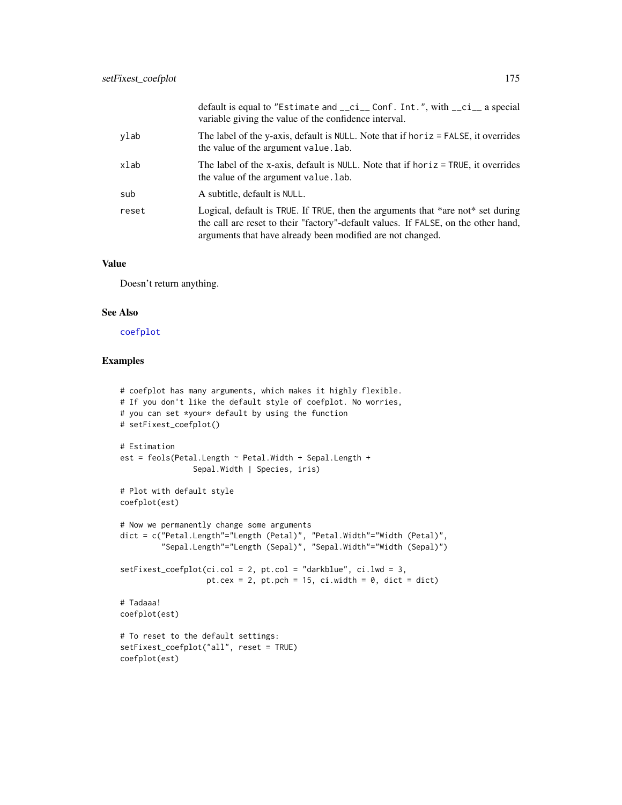|       | default is equal to "Estimate and __ci__ Conf. Int.", with __ci__ a special<br>variable giving the value of the confidence interval.                                                                                                |
|-------|-------------------------------------------------------------------------------------------------------------------------------------------------------------------------------------------------------------------------------------|
| ylab  | The label of the y-axis, default is NULL. Note that if horiz $=$ FALSE, it overrides<br>the value of the argument value. lab.                                                                                                       |
| xlab  | The label of the x-axis, default is NULL. Note that if horiz = TRUE, it overrides<br>the value of the argument value. lab.                                                                                                          |
| sub   | A subtitle, default is NULL.                                                                                                                                                                                                        |
| reset | Logical, default is TRUE. If TRUE, then the arguments that *are not* set during<br>the call are reset to their "factory"-default values. If FALSE, on the other hand,<br>arguments that have already been modified are not changed. |

# Value

Doesn't return anything.

#### See Also

[coefplot](#page-18-0)

```
# coefplot has many arguments, which makes it highly flexible.
# If you don't like the default style of coefplot. No worries,
# you can set *your* default by using the function
# setFixest_coefplot()
# Estimation
est = feols(Petal.Length ~ Petal.Width + Sepal.Length +
                Sepal.Width | Species, iris)
# Plot with default style
coefplot(est)
# Now we permanently change some arguments
dict = c("Petal.Length"="Length (Petal)", "Petal.Width"="Width (Petal)",
         "Sepal.Length"="Length (Sepal)", "Sepal.Width"="Width (Sepal)")
setFixest_coefplot(ci.col = 2, pt.col = "darkblue", ci.lwd = 3,
                  pt.cex = 2, pt.pch = 15, ci.width = 0, dict = dict)
# Tadaaa!
coefplot(est)
# To reset to the default settings:
setFixest_coefplot("all", reset = TRUE)
coefplot(est)
```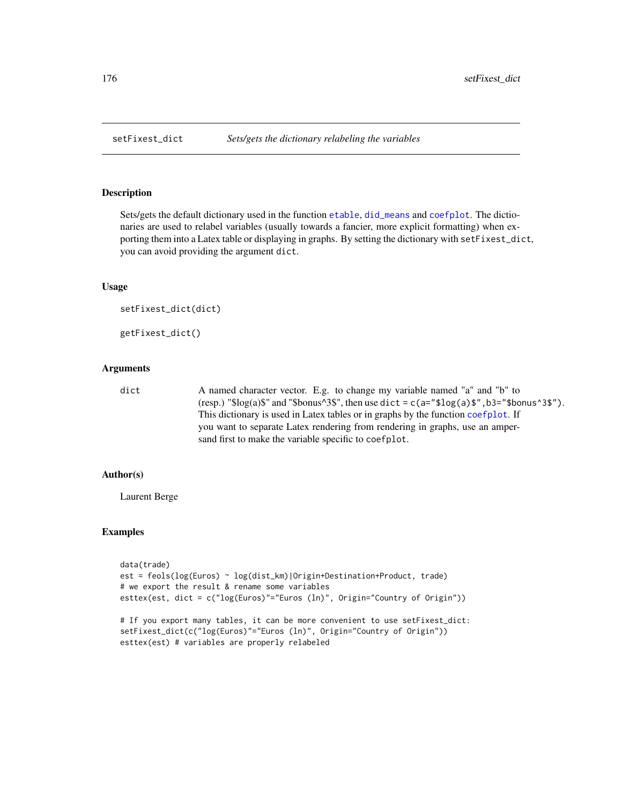<span id="page-175-0"></span>

Sets/gets the default dictionary used in the function [etable](#page-55-0), [did\\_means](#page-41-0) and [coefplot](#page-18-0). The dictionaries are used to relabel variables (usually towards a fancier, more explicit formatting) when exporting them into a Latex table or displaying in graphs. By setting the dictionary with setFixest\_dict, you can avoid providing the argument dict.

#### Usage

```
setFixest_dict(dict)
```
getFixest\_dict()

# Arguments

dict A named character vector. E.g. to change my variable named "a" and "b" to (resp.) " $\log(a)\$ " and " $\delta$ bonus^3\$", then use dict = c(a=" $\delta log(a)\$ \$", b3=" $\delta$ bonus^3\$"). This dictionary is used in Latex tables or in graphs by the function [coefplot](#page-18-0). If you want to separate Latex rendering from rendering in graphs, use an ampersand first to make the variable specific to coefplot.

# Author(s)

Laurent Berge

```
data(trade)
est = feols(log(Euros) ~ log(dist_km)|Origin+Destination+Product, trade)
# we export the result & rename some variables
esttex(est, dict = c("log(Euros)"="Euros (ln)", Origin="Country of Origin"))
# If you export many tables, it can be more convenient to use setFixest_dict:
setFixest_dict(c("log(Euros)"="Euros (ln)", Origin="Country of Origin"))
esttex(est) # variables are properly relabeled
```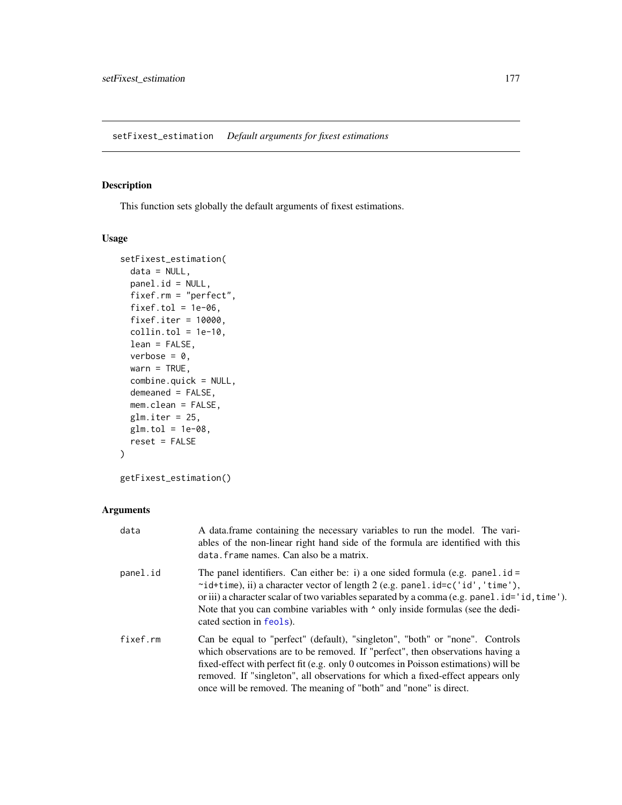This function sets globally the default arguments of fixest estimations.

#### Usage

```
setFixest_estimation(
 data = NULL,panel.id = NULL,
 fixef.rm = "perfect",
 fixef.tol = 1e-06,
 fixef.iter = 10000,
 collin.tol = 1e-10,lean = FALSE,
 verbose = 0,
 warn = TRUE,combine.quick = NULL,
 demeaned = FALSE,
 mem.clean = FALSE,
 glm.iter = 25,
 glm.tol = 1e-08,
 reset = FALSE
)
```
getFixest\_estimation()

### Arguments

| data     | A data frame containing the necessary variables to run the model. The vari-<br>ables of the non-linear right hand side of the formula are identified with this<br>data. frame names. Can also be a matrix.                                                                                                                                                                                                    |
|----------|---------------------------------------------------------------------------------------------------------------------------------------------------------------------------------------------------------------------------------------------------------------------------------------------------------------------------------------------------------------------------------------------------------------|
| panel.id | The panel identifiers. Can either be: i) a one sided formula (e.g. panel $id =$<br>$\sim$ id+time), ii) a character vector of length 2 (e.g. panel.id=c('id','time'),<br>or iii) a character scalar of two variables separated by a comma (e.g. panel $id = 'id, time')$ .<br>Note that you can combine variables with $\land$ only inside formulas (see the dedi-<br>cated section in feols).                |
| fixef.rm | Can be equal to "perfect" (default), "singleton", "both" or "none". Controls<br>which observations are to be removed. If "perfect", then observations having a<br>fixed-effect with perfect fit (e.g. only 0 outcomes in Poisson estimations) will be<br>removed. If "singleton", all observations for which a fixed-effect appears only<br>once will be removed. The meaning of "both" and "none" is direct. |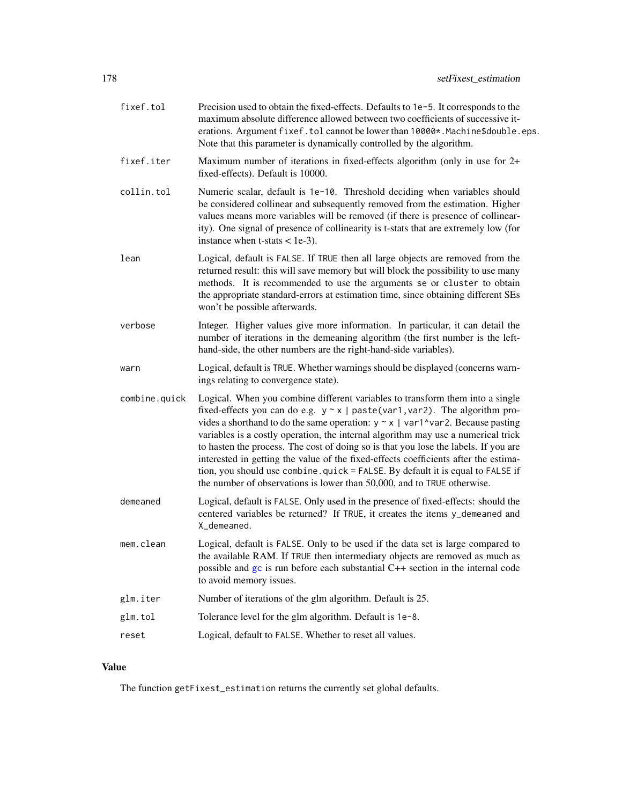| fixef.tol     | Precision used to obtain the fixed-effects. Defaults to 1e-5. It corresponds to the<br>maximum absolute difference allowed between two coefficients of successive it-<br>erations. Argument fixef.tol cannot be lower than 10000*. Machine\$double.eps.<br>Note that this parameter is dynamically controlled by the algorithm.                                                                                                                                                                                                                                                                                                                                                          |
|---------------|------------------------------------------------------------------------------------------------------------------------------------------------------------------------------------------------------------------------------------------------------------------------------------------------------------------------------------------------------------------------------------------------------------------------------------------------------------------------------------------------------------------------------------------------------------------------------------------------------------------------------------------------------------------------------------------|
| fixef.iter    | Maximum number of iterations in fixed-effects algorithm (only in use for 2+<br>fixed-effects). Default is 10000.                                                                                                                                                                                                                                                                                                                                                                                                                                                                                                                                                                         |
| collin.tol    | Numeric scalar, default is 1e-10. Threshold deciding when variables should<br>be considered collinear and subsequently removed from the estimation. Higher<br>values means more variables will be removed (if there is presence of collinear-<br>ity). One signal of presence of collinearity is t-stats that are extremely low (for<br>instance when $t$ -stats $<$ 1e-3).                                                                                                                                                                                                                                                                                                              |
| lean          | Logical, default is FALSE. If TRUE then all large objects are removed from the<br>returned result: this will save memory but will block the possibility to use many<br>methods. It is recommended to use the arguments se or cluster to obtain<br>the appropriate standard-errors at estimation time, since obtaining different SEs<br>won't be possible afterwards.                                                                                                                                                                                                                                                                                                                     |
| verbose       | Integer. Higher values give more information. In particular, it can detail the<br>number of iterations in the demeaning algorithm (the first number is the left-<br>hand-side, the other numbers are the right-hand-side variables).                                                                                                                                                                                                                                                                                                                                                                                                                                                     |
| warn          | Logical, default is TRUE. Whether warnings should be displayed (concerns warn-<br>ings relating to convergence state).                                                                                                                                                                                                                                                                                                                                                                                                                                                                                                                                                                   |
| combine.quick | Logical. When you combine different variables to transform them into a single<br>fixed-effects you can do e.g. $y \sim x$   paste(var1, var2). The algorithm pro-<br>vides a shorthand to do the same operation: $y \sim x$   var1^var2. Because pasting<br>variables is a costly operation, the internal algorithm may use a numerical trick<br>to hasten the process. The cost of doing so is that you lose the labels. If you are<br>interested in getting the value of the fixed-effects coefficients after the estima-<br>tion, you should use combine.quick = FALSE. By default it is equal to FALSE if<br>the number of observations is lower than 50,000, and to TRUE otherwise. |
| demeaned      | Logical, default is FALSE. Only used in the presence of fixed-effects: should the<br>centered variables be returned? If TRUE, it creates the items y_demeaned and<br>X_demeaned.                                                                                                                                                                                                                                                                                                                                                                                                                                                                                                         |
| mem.clean     | Logical, default is FALSE. Only to be used if the data set is large compared to<br>the available RAM. If TRUE then intermediary objects are removed as much as<br>possible and gc is run before each substantial C++ section in the internal code<br>to avoid memory issues.                                                                                                                                                                                                                                                                                                                                                                                                             |
| glm.iter      | Number of iterations of the glm algorithm. Default is 25.                                                                                                                                                                                                                                                                                                                                                                                                                                                                                                                                                                                                                                |
| glm.tol       | Tolerance level for the glm algorithm. Default is 1e-8.                                                                                                                                                                                                                                                                                                                                                                                                                                                                                                                                                                                                                                  |
| reset         | Logical, default to FALSE. Whether to reset all values.                                                                                                                                                                                                                                                                                                                                                                                                                                                                                                                                                                                                                                  |

# Value

The function getFixest\_estimation returns the currently set global defaults.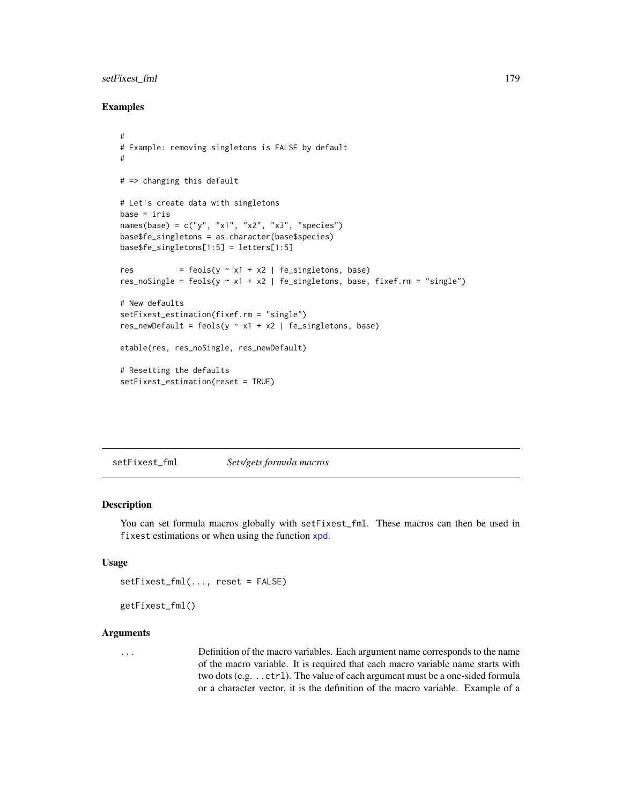# setFixest\_fml 179

# Examples

```
#
# Example: removing singletons is FALSE by default
#
# => changing this default
# Let's create data with singletons
base = iris
names(base) = c("y", "x1", "x2", "x3", "species")
base$fe_singletons = as.character(base$species)
base$fe_singletons[1:5] = letters[1:5]
res = feols(y \sim x1 + x2 | fe_singletons, base)
res_noSingle = feols(y \sim x1 + x2 | fe_singletons, base, fixef.rm = "single")
# New defaults
setFixest_estimation(fixef.rm = "single")
res_newDefault = feols(y \sim x1 + x2 | fe_singletons, base)
etable(res, res_noSingle, res_newDefault)
# Resetting the defaults
setFixest_estimation(reset = TRUE)
```
setFixest\_fml *Sets/gets formula macros*

#### Description

You can set formula macros globally with setFixest\_fml. These macros can then be used in fixest estimations or when using the function [xpd](#page-228-0).

# Usage

```
setFixest_fml(..., reset = FALSE)
```

```
getFixest_fml()
```
#### **Arguments**

... Definition of the macro variables. Each argument name corresponds to the name of the macro variable. It is required that each macro variable name starts with two dots (e.g. ..ctrl). The value of each argument must be a one-sided formula or a character vector, it is the definition of the macro variable. Example of a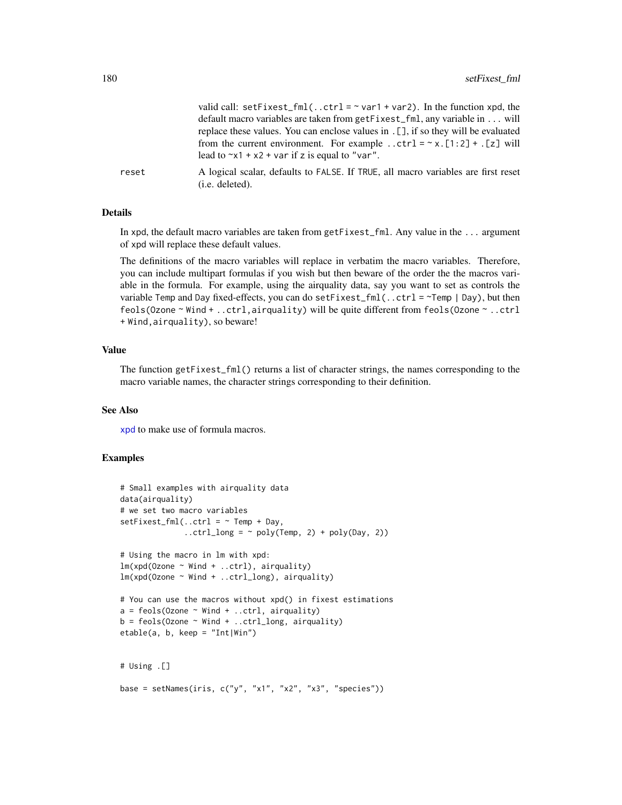|       | valid call: setFixest_fml(ctrl = $\sim$ var1 + var2). In the function xpd, the<br>default macro variables are taken from getFixest_fml, any variable in will<br>replace these values. You can enclose values in . [], if so they will be evaluated<br>from the current environment. For example ctrl = $\sim x$ . [1:2] + . [z] will<br>lead to $\approx$ x1 + x2 + var if z is equal to "var". |
|-------|-------------------------------------------------------------------------------------------------------------------------------------------------------------------------------------------------------------------------------------------------------------------------------------------------------------------------------------------------------------------------------------------------|
| reset | A logical scalar, defaults to FALSE. If TRUE, all macro variables are first reset<br>(i.e. deleted).                                                                                                                                                                                                                                                                                            |

# Details

In xpd, the default macro variables are taken from getFixest\_fml. Any value in the ... argument of xpd will replace these default values.

The definitions of the macro variables will replace in verbatim the macro variables. Therefore, you can include multipart formulas if you wish but then beware of the order the the macros variable in the formula. For example, using the airquality data, say you want to set as controls the variable Temp and Day fixed-effects, you can do setFixest\_fml(..ctrl =  $\sim$ Temp | Day), but then feols(Ozone ~ Wind + ..ctrl,airquality) will be quite different from feols(Ozone ~ ..ctrl + Wind,airquality), so beware!

#### Value

The function getFixest\_fml() returns a list of character strings, the names corresponding to the macro variable names, the character strings corresponding to their definition.

#### See Also

[xpd](#page-228-0) to make use of formula macros.

```
# Small examples with airquality data
data(airquality)
# we set two macro variables
setFixed\_fm1(..ctrl = ~ Temp + Day,
              \ldotsctrl_long = ~ poly(Temp, 2) + poly(Day, 2))
# Using the macro in lm with xpd:
lm(xpd(Ozone ~ Wind + ...ctrl), airquality)lm(xpd(Ozone ~ Wind + ..ctrl_long), airquality)
# You can use the macros without xpd() in fixest estimations
a = feols(0zone ~ Wind + ...ctrl, airquality)b = feols(0zone ~ Wind + ...ctrl_long, airquality)etable(a, b, keep = "Int|Win")
# Using .[]
base = setNames(iris, c("y", "x1", "x2", "x3", "species"))
```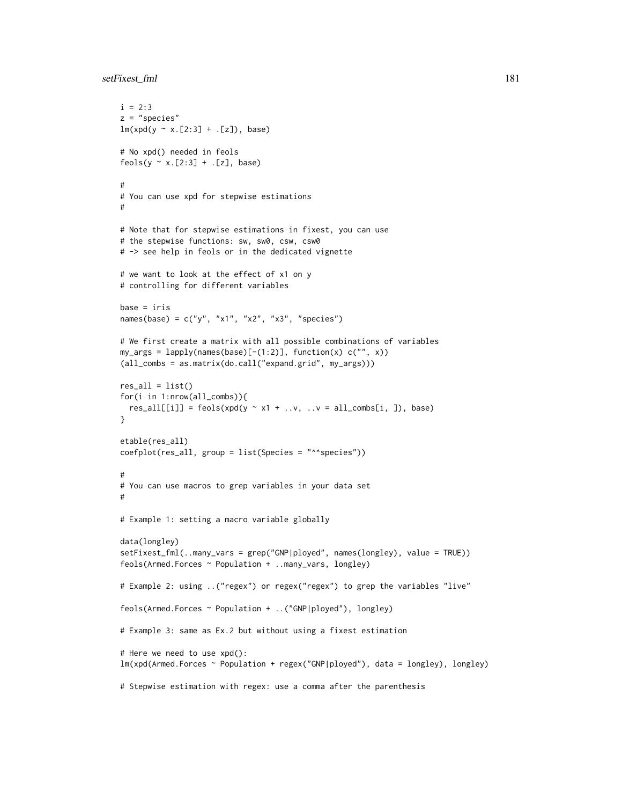## setFixest fml 181

```
i = 2:3z = "species"
lm(xpd(y \sim x.[2:3] +.[z]), base)
# No xpd() needed in feols
feols(y \sim x.[2:3] + .[z], base)
#
# You can use xpd for stepwise estimations
#
# Note that for stepwise estimations in fixest, you can use
# the stepwise functions: sw, sw0, csw, csw0
# -> see help in feols or in the dedicated vignette
# we want to look at the effect of x1 on y
# controlling for different variables
base = iris
names(base) = c("y", "x1", "x2", "x3", "species")# We first create a matrix with all possible combinations of variables
my_args = lapply(names(base)[-(1:2)], function(x) c("", x))
(all_combs = as.matrix(do.call("expand.grid", my_args)))
res\_all = list()for(i in 1:nrow(all_combs)){
  res\_all[[i]] = feols(xpd(y \sim x1 + ..v, ..v = all\_combs[i, ]), base)}
etable(res_all)
coefplot(res_all, group = list(Species = "^^species"))
#
# You can use macros to grep variables in your data set
#
# Example 1: setting a macro variable globally
data(longley)
setFixest_fml(..many_vars = grep("GNP|ployed", names(longley), value = TRUE))
feols(Armed.Forces ~ Population + ..many_vars, longley)
# Example 2: using ..("regex") or regex("regex") to grep the variables "live"
feols(Armed.Forces ~ Population + ..("GNP|ployed"), longley)
# Example 3: same as Ex.2 but without using a fixest estimation
# Here we need to use xpd():
lm(xpd(Armed.Forces ~ Population + regex("GNP|ployed"), data = longley), longley)
# Stepwise estimation with regex: use a comma after the parenthesis
```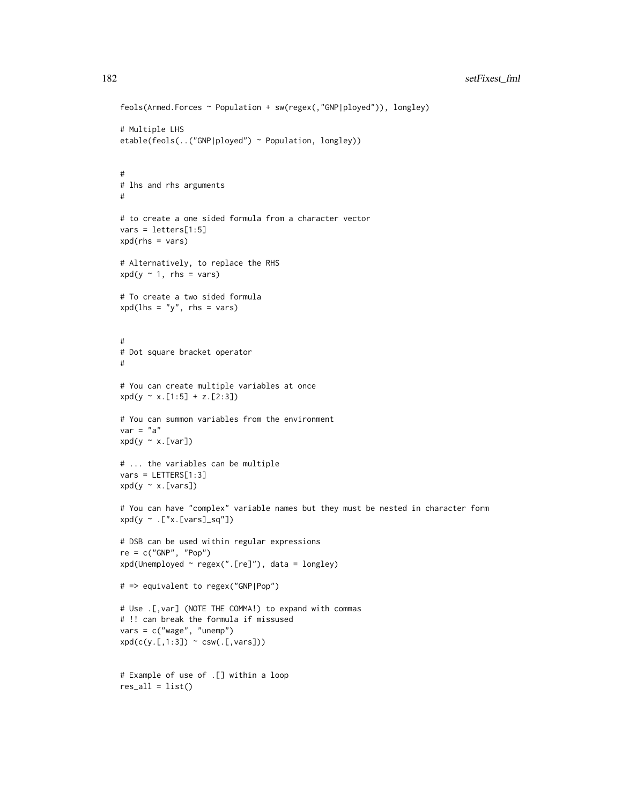```
feols(Armed.Forces ~ Population + sw(regex(,"GNP|ployed")), longley)
# Multiple LHS
etable(feols(..("GNP|ployed") ~ Population, longley))
#
# lhs and rhs arguments
#
# to create a one sided formula from a character vector
vars = letters[1:5]
xpd(rhs = vars)# Alternatively, to replace the RHS
xpd(y \sim 1, \text{rhs} = \text{vars})# To create a two sided formula
xpd(lhs = "y", rhs = vars)#
# Dot square bracket operator
#
# You can create multiple variables at once
xpd(y \sim x.[1:5] + z.[2:3])# You can summon variables from the environment
var = "a"xpd(y \sim x.[var])# ... the variables can be multiple
vars = LETTERS[1:3]
xpd(y \sim x.[vars])# You can have "complex" variable names but they must be nested in character form
xpd(y \sim .["x.[vars]_sq"]# DSB can be used within regular expressions
re = c("GNP", "Pop")
xpd(Unemployed ~ regex(".[re]"), data = longley)
# => equivalent to regex("GNP|Pop")
# Use .[,var] (NOTE THE COMMA!) to expand with commas
# !! can break the formula if missused
vars = c("wage", "unemp")xpd(c(y.[,1:3]) \sim csw(.[,vars]))# Example of use of .[] within a loop
res\_all = list()
```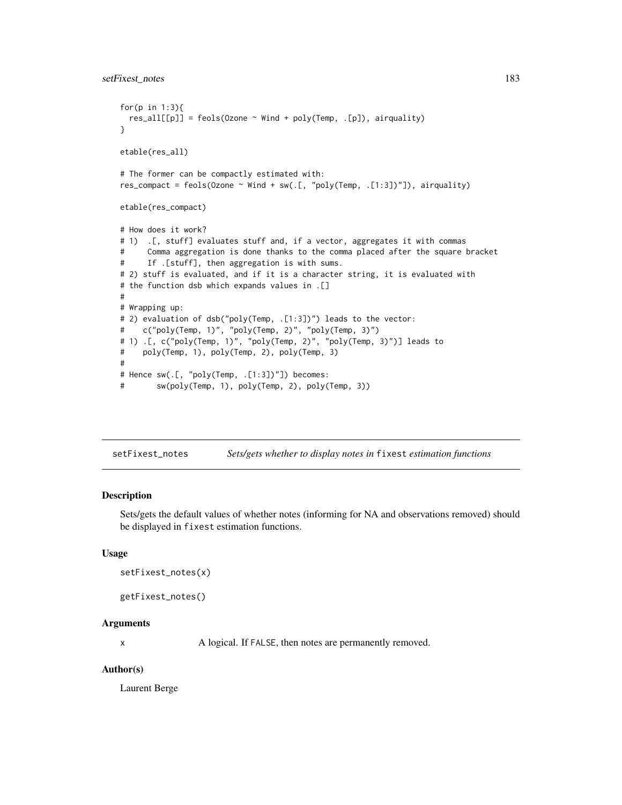```
for(p in 1:3){
 res\_all[[p]] = feols(0zone ~ Wind + poly(Temp, .[p]), airquality)}
etable(res_all)
# The former can be compactly estimated with:
res_compact = feols(Ozone \sim Wind + sw(.[, "poly(Temp, .[1:3])"]), airquality)
etable(res_compact)
# How does it work?
# 1) .[, stuff] evaluates stuff and, if a vector, aggregates it with commas
# Comma aggregation is done thanks to the comma placed after the square bracket
# If .[stuff], then aggregation is with sums.
# 2) stuff is evaluated, and if it is a character string, it is evaluated with
# the function dsb which expands values in .[]
#
# Wrapping up:
# 2) evaluation of dsb("poly(Temp, .[1:3])") leads to the vector:
# c("poly(Temp, 1)", "poly(Temp, 2)", "poly(Temp, 3)")
# 1) .[, c("poly(Temp, 1)", "poly(Temp, 2)", "poly(Temp, 3)")] leads to
# poly(Temp, 1), poly(Temp, 2), poly(Temp, 3)
#
# Hence sw(.[, "poly(Temp, .[1:3])"]) becomes:
# sw(poly(Temp, 1), poly(Temp, 2), poly(Temp, 3))
```
setFixest\_notes *Sets/gets whether to display notes in* fixest *estimation functions*

#### Description

Sets/gets the default values of whether notes (informing for NA and observations removed) should be displayed in fixest estimation functions.

#### Usage

```
setFixest_notes(x)
```

```
getFixest_notes()
```
#### Arguments

x A logical. If FALSE, then notes are permanently removed.

#### Author(s)

Laurent Berge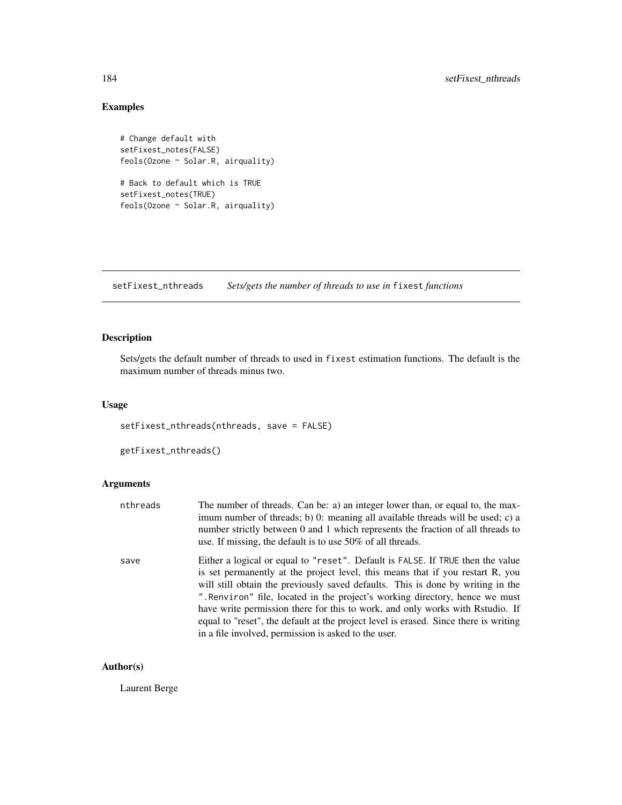# Examples

```
# Change default with
setFixest_notes(FALSE)
feols(Ozone ~ Solar.R, airquality)
# Back to default which is TRUE
setFixest_notes(TRUE)
feols(Ozone ~ Solar.R, airquality)
```
<span id="page-183-0"></span>setFixest\_nthreads *Sets/gets the number of threads to use in* fixest *functions*

## Description

Sets/gets the default number of threads to used in fixest estimation functions. The default is the maximum number of threads minus two.

#### Usage

setFixest\_nthreads(nthreads, save = FALSE)

getFixest\_nthreads()

## Arguments

| nthreads | The number of threads. Can be: a) an integer lower than, or equal to, the max-<br>imum number of threads; b) 0: meaning all available threads will be used; c) a<br>number strictly between 0 and 1 which represents the fraction of all threads to<br>use. If missing, the default is to use 50% of all threads.                                                                                                                                                                                                                                                    |
|----------|----------------------------------------------------------------------------------------------------------------------------------------------------------------------------------------------------------------------------------------------------------------------------------------------------------------------------------------------------------------------------------------------------------------------------------------------------------------------------------------------------------------------------------------------------------------------|
| save     | Either a logical or equal to "reset". Default is FALSE. If TRUE then the value<br>is set permanently at the project level, this means that if you restart R, you<br>will still obtain the previously saved defaults. This is done by writing in the<br>". Renviron" file, located in the project's working directory, hence we must<br>have write permission there for this to work, and only works with Rstudio. If<br>equal to "reset", the default at the project level is erased. Since there is writing<br>in a file involved, permission is asked to the user. |

## Author(s)

Laurent Berge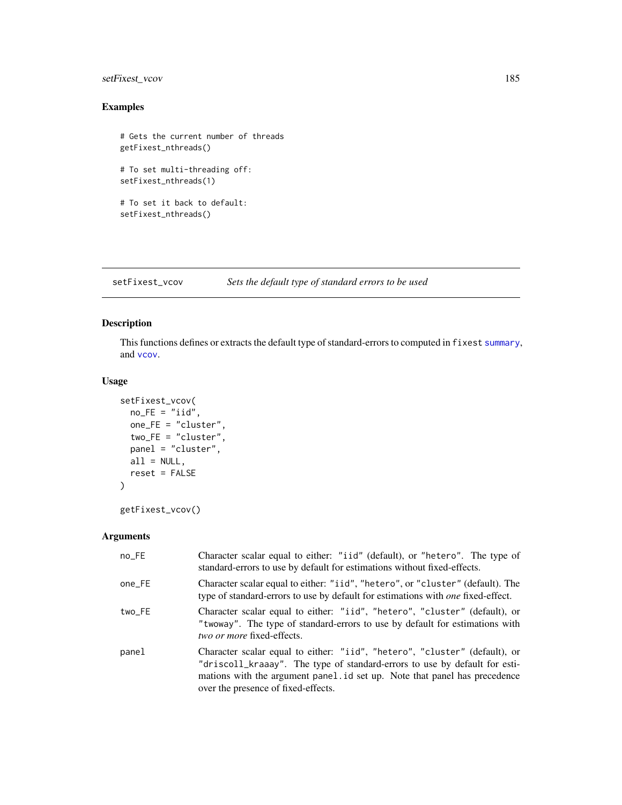## setFixest\_vcov 185

## Examples

```
# Gets the current number of threads
getFixest_nthreads()
# To set multi-threading off:
setFixest_nthreads(1)
# To set it back to default:
setFixest_nthreads()
```
setFixest\_vcov *Sets the default type of standard errors to be used*

## Description

This functions defines or extracts the default type of standard-errors to computed in fixest [summary](#page-0-0), and [vcov](#page-0-0).

#### Usage

```
setFixest_vcov(
 no_FE = "iid",one_FE = "cluster",
 two_FE = "cluster",
 panel = "cluster",
 all = NULL,reset = FALSE
\mathcal{L}
```

```
getFixest_vcov()
```

| no_FE  | Character scalar equal to either: "iid" (default), or "hetero". The type of<br>standard-errors to use by default for estimations without fixed-effects.                                                                                                                      |
|--------|------------------------------------------------------------------------------------------------------------------------------------------------------------------------------------------------------------------------------------------------------------------------------|
| one_FE | Character scalar equal to either: "iid", "hetero", or "cluster" (default). The<br>type of standard-errors to use by default for estimations with <i>one</i> fixed-effect.                                                                                                    |
| two_FE | Character scalar equal to either: "iid", "hetero", "cluster" (default), or<br>"twoway". The type of standard-errors to use by default for estimations with<br>two or more fixed-effects.                                                                                     |
| panel  | Character scalar equal to either: "iid", "hetero", "cluster" (default), or<br>"driscoll_kraaay". The type of standard-errors to use by default for esti-<br>mations with the argument panel id set up. Note that panel has precedence<br>over the presence of fixed-effects. |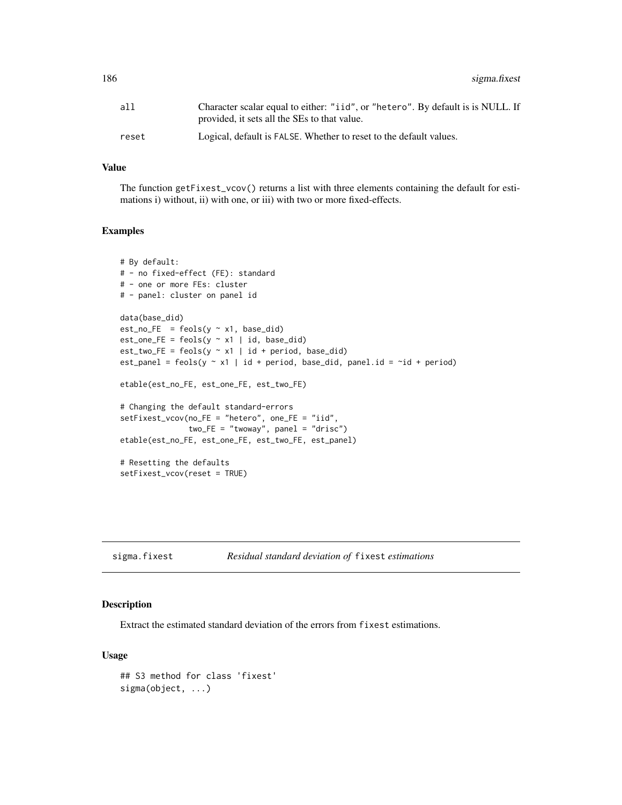186 sigma.fixest

| all   | Character scalar equal to either: "iid", or "hetero". By default is is NULL. If<br>provided, it sets all the SEs to that value. |
|-------|---------------------------------------------------------------------------------------------------------------------------------|
| reset | Logical, default is FALSE. Whether to reset to the default values.                                                              |

## Value

The function getFixest\_vcov() returns a list with three elements containing the default for estimations i) without, ii) with one, or iii) with two or more fixed-effects.

#### Examples

```
# By default:
# - no fixed-effect (FE): standard
# - one or more FEs: cluster
# - panel: cluster on panel id
data(base_did)
est\_no\_FE = feols(y \sim x1, base\_did)est\_one\_FE = feols(y \sim x1 \mid id, base\_did)est\_two\_FE = feols(y \sim x1 \mid id + period, base\_did)est_panel = feols(y \sim x1 | id + period, base_did, panel.id = \simid + period)
etable(est_no_FE, est_one_FE, est_two_FE)
# Changing the default standard-errors
setFixest_vcov(no_FE = "hetero", one_FE = "iid",
               two_FE = "twoway", panel = "drisc")
etable(est_no_FE, est_one_FE, est_two_FE, est_panel)
# Resetting the defaults
setFixest_vcov(reset = TRUE)
```
sigma.fixest *Residual standard deviation of* fixest *estimations*

## Description

Extract the estimated standard deviation of the errors from fixest estimations.

#### Usage

```
## S3 method for class 'fixest'
sigma(object, ...)
```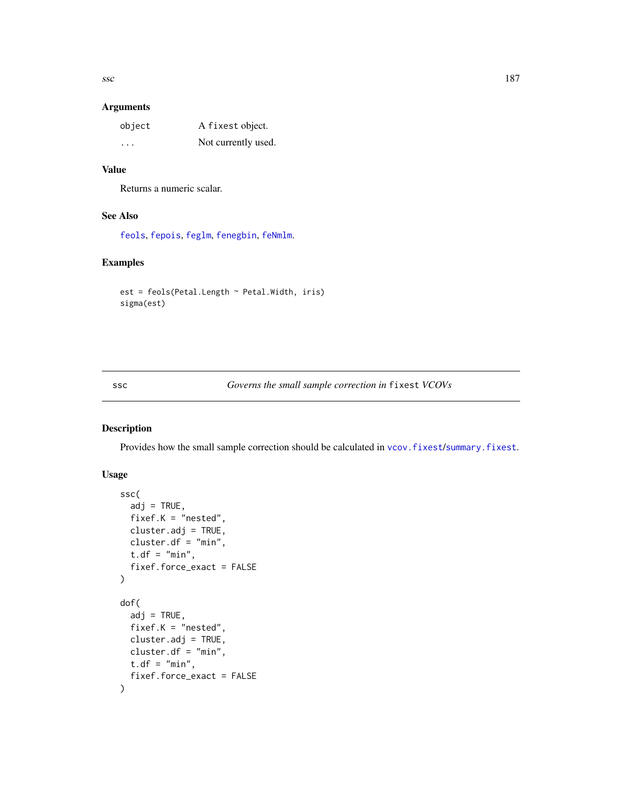## Arguments

| object                  | A fixest object.    |
|-------------------------|---------------------|
| $\cdot$ $\cdot$ $\cdot$ | Not currently used. |

## Value

Returns a numeric scalar.

## See Also

[feols](#page-112-0), [fepois](#page-79-0), [feglm](#page-79-1), [fenegbin](#page-91-0), [feNmlm](#page-101-0).

## Examples

```
est = feols(Petal.Length ~ Petal.Width, iris)
sigma(est)
```
## <span id="page-186-0"></span>ssc *Governs the small sample correction in* fixest *VCOVs*

## Description

Provides how the small sample correction should be calculated in [vcov.fixest](#page-214-0)/[summary.fixest](#page-197-0).

## Usage

```
ssc(
  adj = TRUE,fixef.K = "nested",
 cluster.adj = TRUE,
 cluster.df = "min",
 t.df = "min",
 fixef.force_exact = FALSE
)
dof(
  adj = TRUE,fixef.K = "nested",
 cluster.adj = TRUE,
 cluster.df = "min",
 t.df = "min",
  fixef.force_exact = FALSE
)
```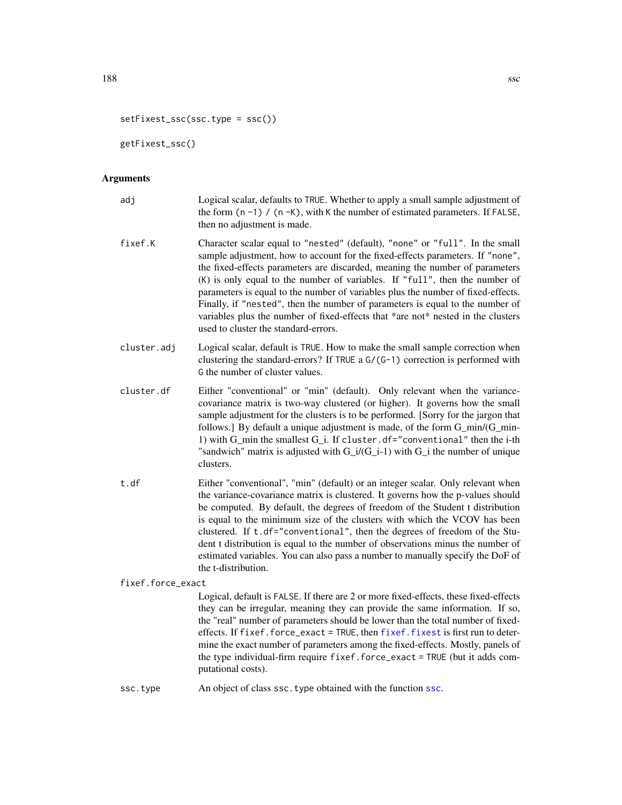```
setFixest_ssc(ssc.type = ssc())
```
getFixest\_ssc()

# Arguments

| adj               | Logical scalar, defaults to TRUE. Whether to apply a small sample adjustment of<br>the form $(n - 1)$ / $(n - K)$ , with K the number of estimated parameters. If FALSE,<br>then no adjustment is made.                                                                                                                                                                                                                                                                                                                                                                                                                          |  |
|-------------------|----------------------------------------------------------------------------------------------------------------------------------------------------------------------------------------------------------------------------------------------------------------------------------------------------------------------------------------------------------------------------------------------------------------------------------------------------------------------------------------------------------------------------------------------------------------------------------------------------------------------------------|--|
| fixef.K           | Character scalar equal to "nested" (default), "none" or "full". In the small<br>sample adjustment, how to account for the fixed-effects parameters. If "none",<br>the fixed-effects parameters are discarded, meaning the number of parameters<br>$(K)$ is only equal to the number of variables. If "full", then the number of<br>parameters is equal to the number of variables plus the number of fixed-effects.<br>Finally, if "nested", then the number of parameters is equal to the number of<br>variables plus the number of fixed-effects that *are not* nested in the clusters<br>used to cluster the standard-errors. |  |
| cluster.adj       | Logical scalar, default is TRUE. How to make the small sample correction when<br>clustering the standard-errors? If TRUE a G/(G-1) correction is performed with<br>G the number of cluster values.                                                                                                                                                                                                                                                                                                                                                                                                                               |  |
| cluster.df        | Either "conventional" or "min" (default). Only relevant when the variance-<br>covariance matrix is two-way clustered (or higher). It governs how the small<br>sample adjustment for the clusters is to be performed. [Sorry for the jargon that<br>follows.] By default a unique adjustment is made, of the form G_min/(G_min-<br>1) with G_min the smallest G_i. If cluster.df="conventional" then the i-th<br>"sandwich" matrix is adjusted with $G_i/(G_i-1)$ with $G_i$ the number of unique<br>clusters.                                                                                                                    |  |
| t.df              | Either "conventional", "min" (default) or an integer scalar. Only relevant when<br>the variance-covariance matrix is clustered. It governs how the p-values should<br>be computed. By default, the degrees of freedom of the Student t distribution<br>is equal to the minimum size of the clusters with which the VCOV has been<br>clustered. If t.df="conventional", then the degrees of freedom of the Stu-<br>dent t distribution is equal to the number of observations minus the number of<br>estimated variables. You can also pass a number to manually specify the DoF of<br>the t-distribution.                        |  |
| fixef.force_exact |                                                                                                                                                                                                                                                                                                                                                                                                                                                                                                                                                                                                                                  |  |
|                   | Logical, default is FALSE. If there are 2 or more fixed-effects, these fixed-effects<br>they can be irregular, meaning they can provide the same information. If so,<br>the "real" number of parameters should be lower than the total number of fixed-<br>effects. If fixef.force_exact = TRUE, then fixef.fixest is first run to deter-<br>mine the exact number of parameters among the fixed-effects. Mostly, panels of<br>the type individual-firm require fixef.force_exact = TRUE (but it adds com-                                                                                                                       |  |

[ssc](#page-186-0).type An object of class ssc.type obtained with the function ssc.

putational costs).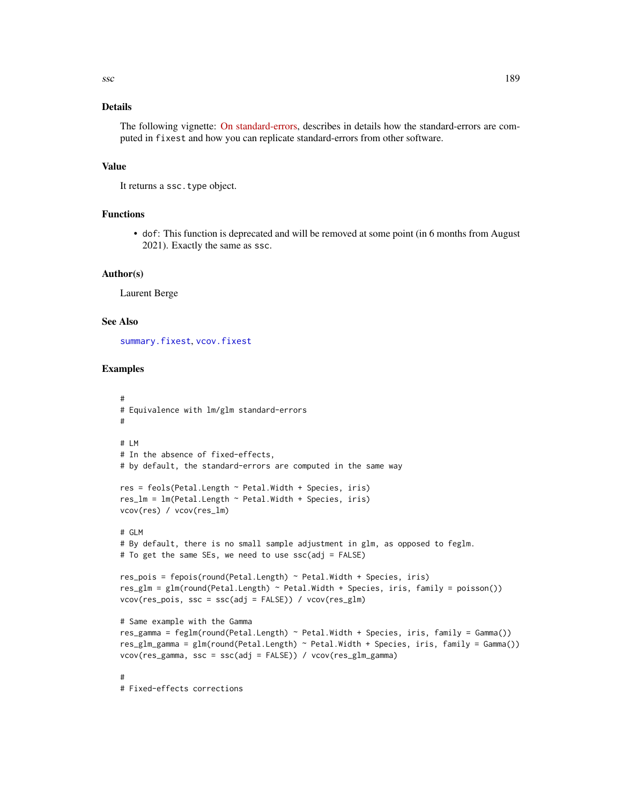## Details

The following vignette: [On standard-errors,](https://lrberge.github.io/fixest/articles/standard_errors.html) describes in details how the standard-errors are computed in fixest and how you can replicate standard-errors from other software.

## Value

It returns a ssc.type object.

#### Functions

• dof: This function is deprecated and will be removed at some point (in 6 months from August 2021). Exactly the same as ssc.

## Author(s)

Laurent Berge

#### See Also

[summary.fixest](#page-197-0), [vcov.fixest](#page-214-0)

## Examples

```
#
# Equivalence with lm/glm standard-errors
#
# LM
# In the absence of fixed-effects,
# by default, the standard-errors are computed in the same way
res = feols(Petal.Length ~ Petal.Width + Species, iris)
res_lm = lm(Petal.Length ~ Petal.Width + Species, iris)
vcov(res) / vcov(res_lm)
# GLM
# By default, there is no small sample adjustment in glm, as opposed to feglm.
# To get the same SEs, we need to use ssc(adj = FALSE)
res_pois = fepois(round(Petal.Length) \sim Petal.Width + Species, iris)
res_glm = glm(round(Petal.Length) ~ Petal.Width + Species, iris, family = poisson())
vcov(res_pois, ssc = ssc(adj = FALSE)) / vcov(res_glm)
# Same example with the Gamma
res_gamma = feglm(round(Petal.Length) ~ Petal.Width + Species, iris, family = Gamma())
res_glm_gamma = glm(round(Petal.Length) ~ Petal.Width + Species, iris, family = Gamma())
vcov(res_gamma, ssc = ssc(adj = FALSE)) / vcov(res_glm_gamma)
#
# Fixed-effects corrections
```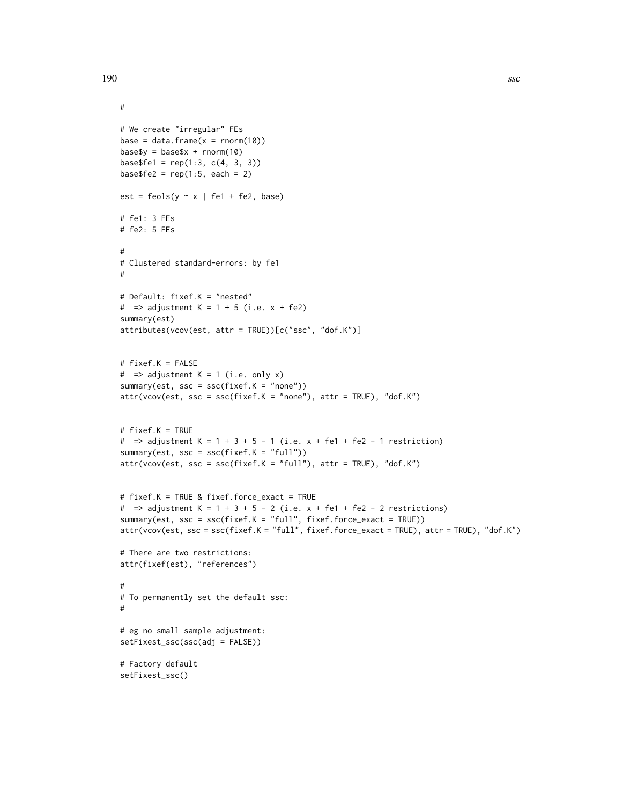```
#
# We create "irregular" FEs
base = data.frame(x = rnorm(10))base\ y = base\ x + rnorm(10)
base$fel = rep(1:3, c(4, 3, 3))base$fe2 = rep(1:5, each = 2)est = feols(y \sim x | fe1 + fe2, base)
# fe1: 3 FEs
# fe2: 5 FEs
#
# Clustered standard-errors: by fe1
#
# Default: fixef.K = "nested"
# => adjustment K = 1 + 5 (i.e. x + fe2)
summary(est)
attributes(vcov(est, attr = TRUE))[c("ssc", "dof.K")]
# fixef.K = FALSE
# => adjustment K = 1 (i.e. only x)
summary(est, ssc = ssc(fixef.K = "none"))
attr(vcov(est, ssc = ssc(fixef.K = "none"), attr = TRUE), "dof.K")# fixef.K = TRUE
# => adjustment K = 1 + 3 + 5 - 1 (i.e. x + fe1 + fe2 - 1 restriction)
summary(est, ssc = ssc(fixef.K = "full"))
attr(vcov(est, ssc = ssc(fixef.K = "full"), attr = TRUE), "dof.K")# fixef.K = TRUE & fixef.force_exact = TRUE
# => adjustment K = 1 + 3 + 5 - 2 (i.e. x + \text{fel} + \text{fe2} - 2 restrictions)
summary(est, ssc = ssc(fixef.K = "full", fixef.force_exact = TRUE))
attr(vcov(est, ssc = ssc(fixef.K = "full", fixef.force_exact = TRUE), attr = TRUE), "dof.K")
# There are two restrictions:
attr(fixef(est), "references")
#
# To permanently set the default ssc:
#
# eg no small sample adjustment:
setFixest_ssc(ssc(adj = FALSE))
# Factory default
setFixest_ssc()
```
190 ssc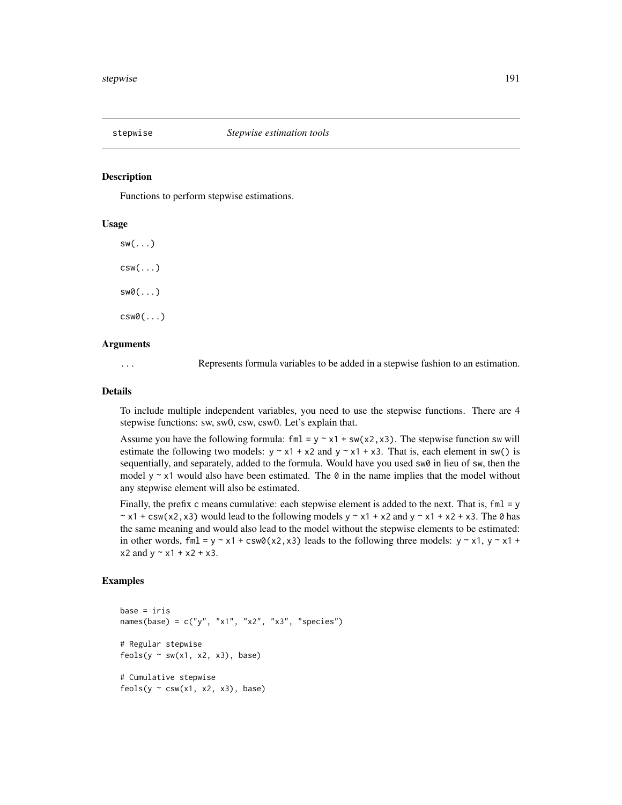#### Description

Functions to perform stepwise estimations.

## Usage

 $sw($ ... $)$  $csw(...)$ sw0(...) csw0(...)

## Arguments

... Represents formula variables to be added in a stepwise fashion to an estimation.

## Details

To include multiple independent variables, you need to use the stepwise functions. There are 4 stepwise functions: sw, sw0, csw, csw0. Let's explain that.

Assume you have the following formula: fml = y  $\sim x1 + s w(x^2, x^3)$ . The stepwise function sw will estimate the following two models:  $y \sim x1 + x2$  and  $y \sim x1 + x3$ . That is, each element in sw() is sequentially, and separately, added to the formula. Would have you used sw0 in lieu of sw, then the model y  $\sim$  x1 would also have been estimated. The  $\theta$  in the name implies that the model without any stepwise element will also be estimated.

Finally, the prefix c means cumulative: each stepwise element is added to the next. That is,  $fml = y$  $\sim$  x1 + csw(x2,x3) would lead to the following models y  $\sim$  x1 + x2 and y  $\sim$  x1 + x2 + x3. The 0 has the same meaning and would also lead to the model without the stepwise elements to be estimated: in other words, fml = y  $\sim$  x1 + csw0(x2,x3) leads to the following three models: y  $\sim$  x1, y  $\sim$  x1 +  $x2$  and  $y \sim x1 + x2 + x3$ .

## Examples

```
base = iris
names(base) = c("y", "x1", "x2", "x3", "species")# Regular stepwise
feols(y \sim sw(x1, x2, x3), base)
# Cumulative stepwise
feols(y \sim \text{csw}(x1, x2, x3), base)
```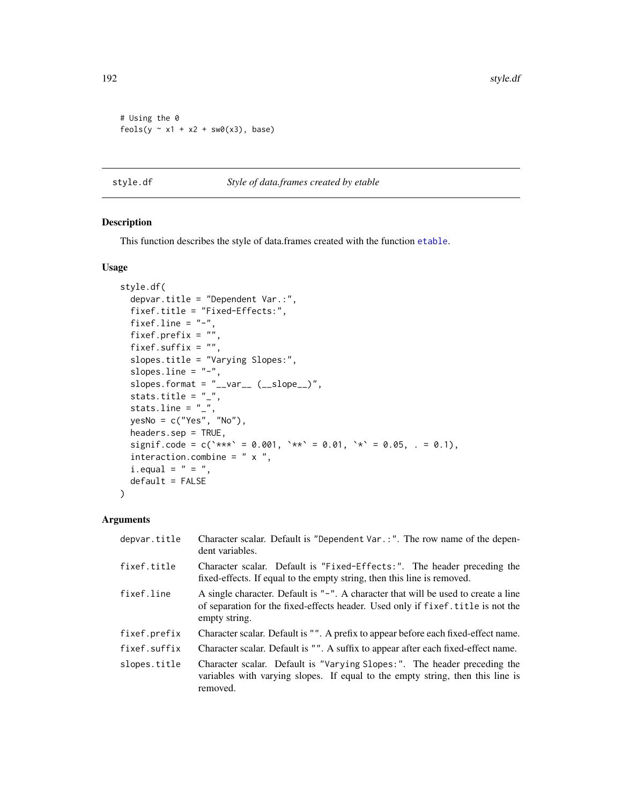192 style.df

```
# Using the 0
feols(y \sim x1 + x2 + sw0(x3), base)
```
style.df *Style of data.frames created by etable*

## Description

This function describes the style of data.frames created with the function [etable](#page-55-0).

## Usage

```
style.df(
  depvar.title = "Dependent Var.:",
  fixef.title = "Fixed-Effects:",
  fixef.line = "-",
  fixef.prefix = ",
  fixef.suffix = ",
  slopes.title = "Varying Slopes:",
  slopes.line = "-",
  slopes.format = "<sub>-</sub>var<sub>--</sub>(-slope<sup>"</sup>,
  stats.title = "_",
  stats.line = "_",
  yesNo = c("Yes", "No"),
  headers.sep = TRUE,
  signif.code = c(\text{***} = 0.001, \text{***} = 0.01, \text{**} = 0.05, . = 0.1),interaction.combine = " x ",
  i.equals = " = "default = FALSE\lambda
```

| depvar.title | Character scalar. Default is "Dependent Var.:". The row name of the depen-<br>dent variables.                                                                                           |  |
|--------------|-----------------------------------------------------------------------------------------------------------------------------------------------------------------------------------------|--|
| fixef.title  | Character scalar. Default is "Fixed-Effects:". The header preceding the<br>fixed-effects. If equal to the empty string, then this line is removed.                                      |  |
| fixef.line   | A single character. Default is "-". A character that will be used to create a line<br>of separation for the fixed-effects header. Used only if fixef. title is not the<br>empty string. |  |
| fixef.prefix | Character scalar. Default is "". A prefix to appear before each fixed-effect name.                                                                                                      |  |
| fixef.suffix | Character scalar. Default is "". A suffix to appear after each fixed-effect name.                                                                                                       |  |
| slopes.title | Character scalar. Default is "Varying Slopes:". The header preceding the<br>variables with varying slopes. If equal to the empty string, then this line is<br>removed.                  |  |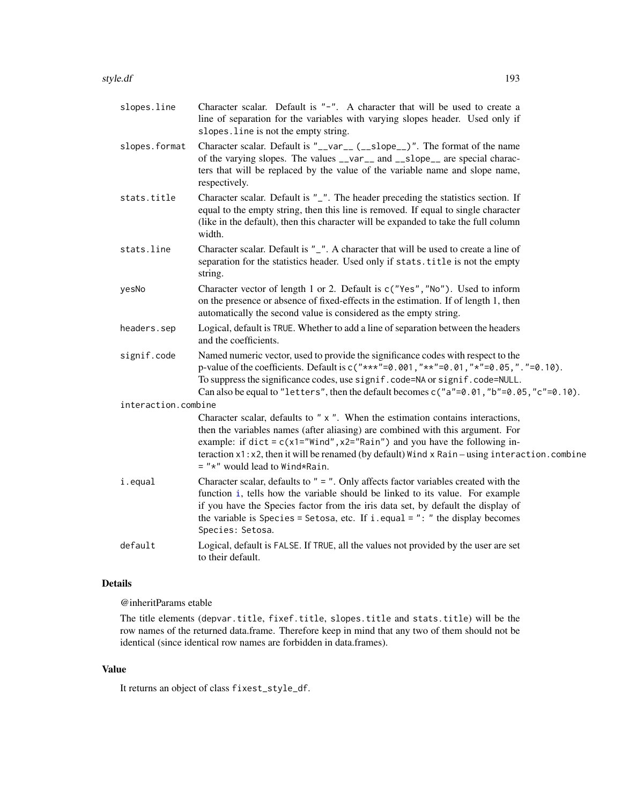| slopes.line         | Character scalar. Default is "-". A character that will be used to create a<br>line of separation for the variables with varying slopes header. Used only if<br>slopes. line is not the empty string.                                                                                                                                                                                          |  |
|---------------------|------------------------------------------------------------------------------------------------------------------------------------------------------------------------------------------------------------------------------------------------------------------------------------------------------------------------------------------------------------------------------------------------|--|
| slopes.format       | Character scalar. Default is "__var__ (__slope__)". The format of the name<br>of the varying slopes. The values __var__ and __slope__ are special charac-<br>ters that will be replaced by the value of the variable name and slope name,<br>respectively.                                                                                                                                     |  |
| stats.title         | Character scalar. Default is "_". The header preceding the statistics section. If<br>equal to the empty string, then this line is removed. If equal to single character<br>(like in the default), then this character will be expanded to take the full column<br>width.                                                                                                                       |  |
| stats.line          | Character scalar. Default is "_". A character that will be used to create a line of<br>separation for the statistics header. Used only if stats. title is not the empty<br>string.                                                                                                                                                                                                             |  |
| yesNo               | Character vector of length 1 or 2. Default is c("Yes", "No"). Used to inform<br>on the presence or absence of fixed-effects in the estimation. If of length 1, then<br>automatically the second value is considered as the empty string.                                                                                                                                                       |  |
| headers.sep         | Logical, default is TRUE. Whether to add a line of separation between the headers<br>and the coefficients.                                                                                                                                                                                                                                                                                     |  |
| signif.code         | Named numeric vector, used to provide the significance codes with respect to the<br>p-value of the coefficients. Default is $c("***" = 0.001, "**" = 0.01, "*" = 0.05, "." = 0.10)$ .<br>To suppress the significance codes, use signif.code=NA or signif.code=NULL.<br>Can also be equal to "letters", then the default becomes $c("a" = 0.01, "b" = 0.05, "c" = 0.10)$ .                     |  |
| interaction.combine |                                                                                                                                                                                                                                                                                                                                                                                                |  |
|                     | Character scalar, defaults to "x". When the estimation contains interactions,<br>then the variables names (after aliasing) are combined with this argument. For<br>example: if dict = $c(x1="Wind", x2="Rain")$ and you have the following in-<br>teraction $x1: x2$ , then it will be renamed (by default) Wind $x$ Rain – using interaction. combine<br>$=$ " $*$ " would lead to Wind*Rain. |  |
| i.equal             | Character scalar, defaults to $" = "$ . Only affects factor variables created with the<br>function i, tells how the variable should be linked to its value. For example<br>if you have the Species factor from the iris data set, by default the display of<br>the variable is Species = Setosa, etc. If i.equal = $"$ : " the display becomes<br>Species: Setosa.                             |  |
| default             | Logical, default is FALSE. If TRUE, all the values not provided by the user are set<br>to their default.                                                                                                                                                                                                                                                                                       |  |

## Details

@inheritParams etable

The title elements (depvar.title, fixef.title, slopes.title and stats.title) will be the row names of the returned data.frame. Therefore keep in mind that any two of them should not be identical (since identical row names are forbidden in data.frames).

## Value

It returns an object of class fixest\_style\_df.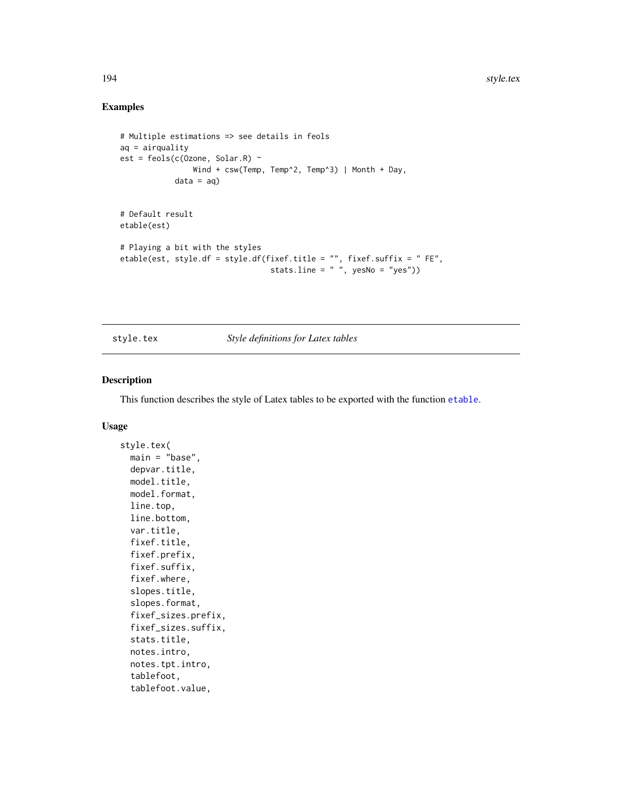## Examples

```
# Multiple estimations => see details in feols
aq = airquality
est = feols(c(Ozone, Solar.R) ~
               Wind + csw(Temp, Temp^2, Temp^3) | Month + Day,
            data = aq# Default result
etable(est)
# Playing a bit with the styles
etable(est, style.df = style.df(fixef.title = "", fixef.suffix = " FE",
                                 stats.line = " ", yesNo = "yes"))
```
style.tex *Style definitions for Latex tables*

## Description

This function describes the style of Latex tables to be exported with the function [etable](#page-55-0).

#### Usage

```
style.tex(
  main = "base",
  depvar.title,
 model.title,
  model.format,
  line.top,
  line.bottom,
  var.title,
  fixef.title,
  fixef.prefix,
  fixef.suffix,
  fixef.where,
  slopes.title,
  slopes.format,
  fixef_sizes.prefix,
  fixef_sizes.suffix,
  stats.title,
  notes.intro,
  notes.tpt.intro,
  tablefoot,
  tablefoot.value,
```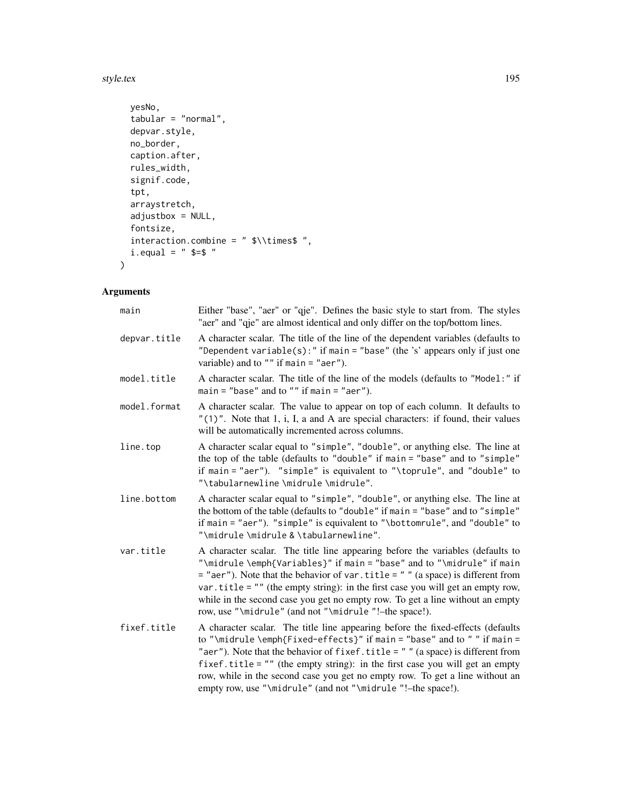#### style.tex 195

```
yesNo,
  tabular = "normal",
 depvar.style,
 no_border,
  caption.after,
  rules_width,
  signif.code,
  tpt,
  arraystretch,
 adjustbox = NULL,
 fontsize,
 interaction.combine = " $\\times$ ",
 i. equal = " = "
\mathcal{L}
```

| main         | Either "base", "aer" or "qje". Defines the basic style to start from. The styles<br>"aer" and "qje" are almost identical and only differ on the top/bottom lines.                                                                                                                                                                                                                                                                                                                   |
|--------------|-------------------------------------------------------------------------------------------------------------------------------------------------------------------------------------------------------------------------------------------------------------------------------------------------------------------------------------------------------------------------------------------------------------------------------------------------------------------------------------|
| depvar.title | A character scalar. The title of the line of the dependent variables (defaults to<br>"Dependent variable(s):" if main = "base" (the 's' appears only if just one<br>variable) and to $"$ if main = "aer").                                                                                                                                                                                                                                                                          |
| model.title  | A character scalar. The title of the line of the models (defaults to "Model:" if<br>main = "base" and to "" if main = "aer").                                                                                                                                                                                                                                                                                                                                                       |
| model.format | A character scalar. The value to appear on top of each column. It defaults to<br>"(1)". Note that 1, i, I, a and A are special characters: if found, their values<br>will be automatically incremented across columns.                                                                                                                                                                                                                                                              |
| line.top     | A character scalar equal to "simple", "double", or anything else. The line at<br>the top of the table (defaults to "double" if main = "base" and to "simple"<br>if main = "aer"). "simple" is equivalent to "\toprule", and "double" to<br>"\tabularnewline\midrule\midrule".                                                                                                                                                                                                       |
| line.bottom  | A character scalar equal to "simple", "double", or anything else. The line at<br>the bottom of the table (defaults to "double" if main = "base" and to "simple"<br>if main = "aer"). "simple" is equivalent to "\bottomrule", and "double" to<br>"\midrule\midrule & \tabularnewline".                                                                                                                                                                                              |
| var.title    | A character scalar. The title line appearing before the variables (defaults to<br>"\midrule \emph{Variables}" if main = "base" and to "\midrule" if main<br>$=$ "aer"). Note that the behavior of var. title $=$ " " (a space) is different from<br>var. title = $"$ " (the empty string): in the first case you will get an empty row,<br>while in the second case you get no empty row. To get a line without an empty<br>row, use "\midrule" (and not "\midrule "!-the space!).  |
| fixef.title  | A character scalar. The title line appearing before the fixed-effects (defaults<br>to "\midrule \emph{Fixed-effects}" if main = "base" and to " " if main =<br>"aer"). Note that the behavior of fixef.title = $"$ " (a space) is different from<br>fixef.title = $"$ " (the empty string): in the first case you will get an empty<br>row, while in the second case you get no empty row. To get a line without an<br>empty row, use "\midrule" (and not "\midrule "!-the space!). |
|              |                                                                                                                                                                                                                                                                                                                                                                                                                                                                                     |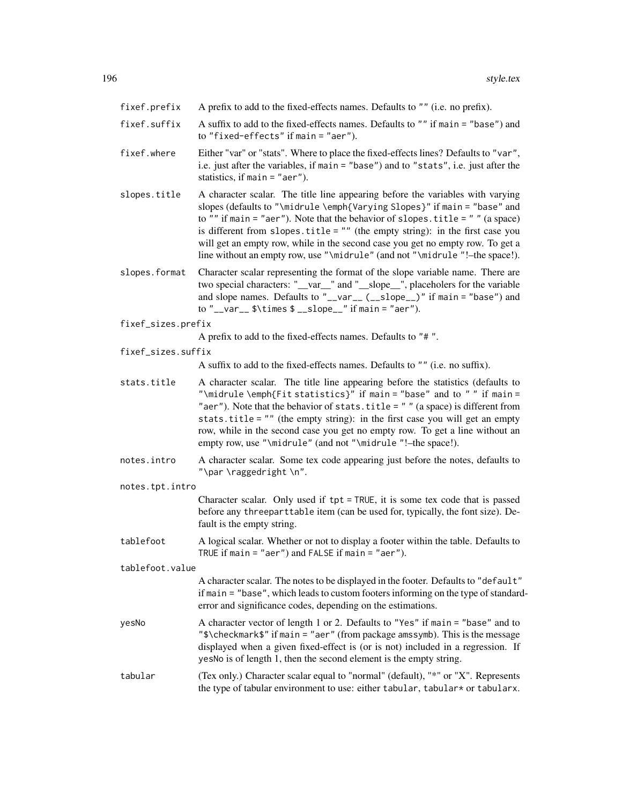- fixef.prefix A prefix to add to the fixed-effects names. Defaults to "" (i.e. no prefix).
- fixef.suffix A suffix to add to the fixed-effects names. Defaults to "" if main = "base") and to "fixed-effects" if main = "aer").
- fixef.where Either "var" or "stats". Where to place the fixed-effects lines? Defaults to "var", i.e. just after the variables, if main = "base") and to "stats", i.e. just after the statistics, if main = "aer").
- slopes.title A character scalar. The title line appearing before the variables with varying slopes (defaults to "\midrule \emph{Varying Slopes}" if main = "base" and to "" if main = "aer"). Note that the behavior of slopes.title = "" (a space) is different from slopes.title = "" (the empty string): in the first case you will get an empty row, while in the second case you get no empty row. To get a line without an empty row, use "\midrule" (and not "\midrule "!–the space!).
- slopes.format Character scalar representing the format of the slope variable name. There are two special characters: "\_\_var\_\_" and "\_\_slope\_\_", placeholers for the variable and slope names. Defaults to " $\text{\_varrho}$ -var $\text{\_}$  ( $\text{\_}sl_$ slope $\text{\_}$ )" if main = "base") and to "\_\_var\_\_ \$\times \$ \_\_slope\_\_" if main = "aer").
- fixef\_sizes.prefix

A prefix to add to the fixed-effects names. Defaults to "# ".

fixef\_sizes.suffix

A suffix to add to the fixed-effects names. Defaults to "" (i.e. no suffix).

- stats.title A character scalar. The title line appearing before the statistics (defaults to "\midrule \emph{Fit statistics}" if main = "base" and to "" if main = "aer"). Note that the behavior of stats.title =  $"$  " (a space) is different from stats.title = "" (the empty string): in the first case you will get an empty row, while in the second case you get no empty row. To get a line without an empty row, use "\midrule" (and not "\midrule "!–the space!).
- notes.intro A character scalar. Some tex code appearing just before the notes, defaults to "\par \raggedright \n".
- notes.tpt.intro

Character scalar. Only used if tpt = TRUE, it is some tex code that is passed before any threeparttable item (can be used for, typically, the font size). Default is the empty string.

tablefoot A logical scalar. Whether or not to display a footer within the table. Defaults to TRUE if main = "aer") and FALSE if main = "aer").

tablefoot.value

A character scalar. The notes to be displayed in the footer. Defaults to "default" if main = "base", which leads to custom footers informing on the type of standarderror and significance codes, depending on the estimations.

- yesNo A character vector of length 1 or 2. Defaults to "Yes" if main = "base" and to "\$\checkmark\$" if main = "aer" (from package amssymb). This is the message displayed when a given fixed-effect is (or is not) included in a regression. If yesNo is of length 1, then the second element is the empty string.
- tabular (Tex only.) Character scalar equal to "normal" (default), "\*" or "X". Represents the type of tabular environment to use: either tabular, tabular\* or tabularx.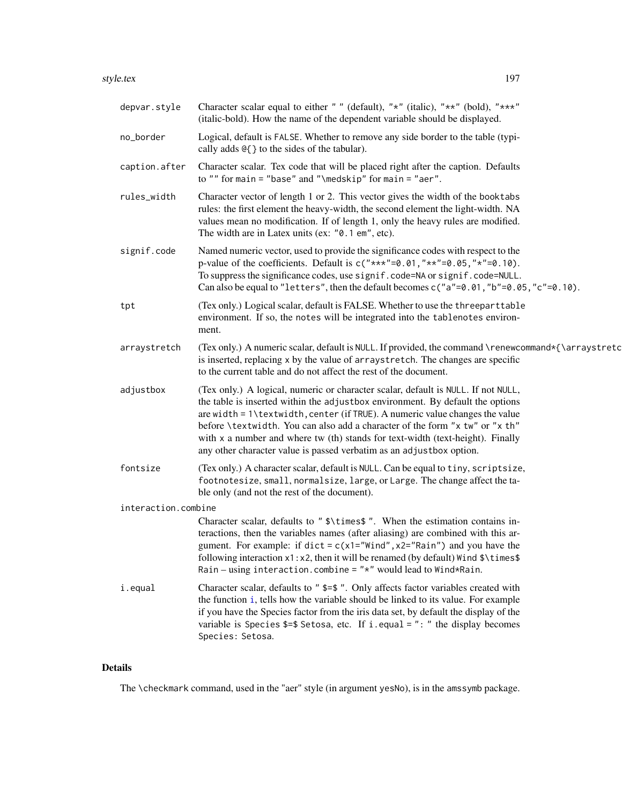| depvar.style        | Character scalar equal to either "" (default), "*" (italic), "**" (bold), "***"<br>(italic-bold). How the name of the dependent variable should be displayed.                                                                                                                                                                                                                                                                                                                                 |
|---------------------|-----------------------------------------------------------------------------------------------------------------------------------------------------------------------------------------------------------------------------------------------------------------------------------------------------------------------------------------------------------------------------------------------------------------------------------------------------------------------------------------------|
| no_border           | Logical, default is FALSE. Whether to remove any side border to the table (typi-<br>cally adds $@$ { } to the sides of the tabular).                                                                                                                                                                                                                                                                                                                                                          |
| caption.after       | Character scalar. Tex code that will be placed right after the caption. Defaults<br>to "" for main = "base" and "\medskip" for main = "aer".                                                                                                                                                                                                                                                                                                                                                  |
| rules_width         | Character vector of length 1 or 2. This vector gives the width of the booktabs<br>rules: the first element the heavy-width, the second element the light-width. NA<br>values mean no modification. If of length 1, only the heavy rules are modified.<br>The width are in Latex units (ex: "0.1 em", etc).                                                                                                                                                                                    |
| signif.code         | Named numeric vector, used to provide the significance codes with respect to the<br>p-value of the coefficients. Default is $c("***" = 0.01, "**" = 0.05, "*" = 0.10)$ .<br>To suppress the significance codes, use signif.code=NA or signif.code=NULL.<br>Can also be equal to "letters", then the default becomes $c("a" = 0.01, "b" = 0.05, "c" = 0.10)$ .                                                                                                                                 |
| tpt                 | (Tex only.) Logical scalar, default is FALSE. Whether to use the threeparttable<br>environment. If so, the notes will be integrated into the tablenotes environ-<br>ment.                                                                                                                                                                                                                                                                                                                     |
| arraystretch        | (Tex only.) A numeric scalar, default is NULL. If provided, the command \renewcommand*{\arraystretc<br>is inserted, replacing x by the value of arraystretch. The changes are specific<br>to the current table and do not affect the rest of the document.                                                                                                                                                                                                                                    |
| adjustbox           | (Tex only.) A logical, numeric or character scalar, default is NULL. If not NULL,<br>the table is inserted within the adjustbox environment. By default the options<br>are width = 1\textwidth, center (if TRUE). A numeric value changes the value<br>before \textwidth. You can also add a character of the form "x tw" or "x th"<br>with x a number and where tw (th) stands for text-width (text-height). Finally<br>any other character value is passed verbatim as an adjustbox option. |
| fontsize            | (Tex only.) A character scalar, default is NULL. Can be equal to tiny, scriptsize,<br>footnotesize, small, normalsize, large, or Large. The change affect the ta-<br>ble only (and not the rest of the document).                                                                                                                                                                                                                                                                             |
| interaction.combine |                                                                                                                                                                                                                                                                                                                                                                                                                                                                                               |
|                     | Character scalar, defaults to "\$\times\$". When the estimation contains in-<br>teractions, then the variables names (after aliasing) are combined with this ar-<br>gument. For example: if $dict = c(x1="Wind", x2="Rain")$ and you have the<br>following interaction $x1 : x2$ , then it will be renamed (by default) Wind $\{\times\}$<br>Rain – using interaction.combine = $"*"$ would lead to Wind*Rain.                                                                                |
| i.equal             | Character scalar, defaults to " \$=\$ ". Only affects factor variables created with<br>the function i, tells how the variable should be linked to its value. For example<br>if you have the Species factor from the iris data set, by default the display of the<br>variable is Species $\frac{2}{3}$ Setosa, etc. If i.equal = ": " the display becomes<br>Species: Setosa.                                                                                                                  |

# Details

The \checkmark command, used in the "aer" style (in argument yesNo), is in the amssymb package.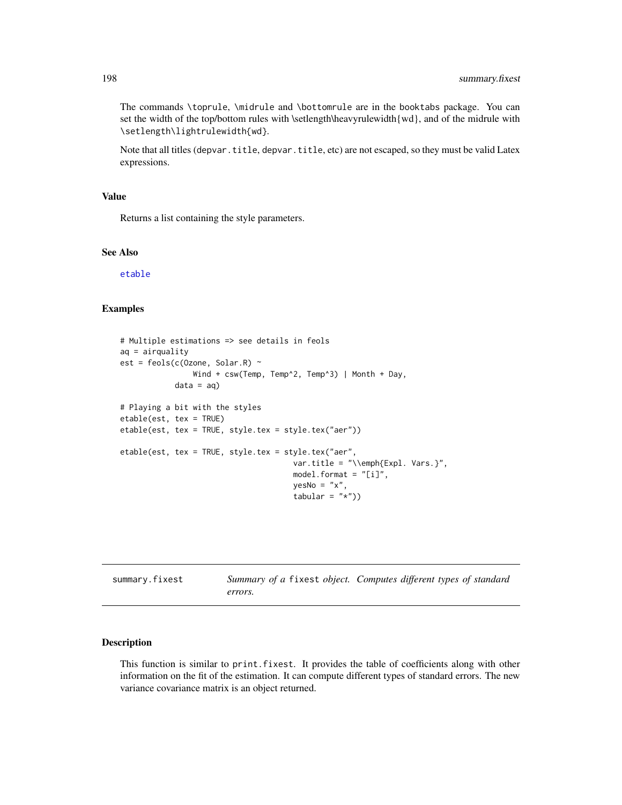The commands \toprule, \midrule and \bottomrule are in the booktabs package. You can set the width of the top/bottom rules with \setlength\heavyrulewidth $\{wd\}$ , and of the midrule with \setlength\lightrulewidth{wd}.

Note that all titles (depvar.title, depvar.title, etc) are not escaped, so they must be valid Latex expressions.

## Value

Returns a list containing the style parameters.

#### See Also

[etable](#page-55-0)

#### Examples

```
# Multiple estimations => see details in feols
aq = airquality
est = feols(c(Ozone, Solar.R) ~
                Wind + csw(Temp, Temp^2, Temp^3) | Month + Day,
            data = aq# Playing a bit with the styles
etable(est, tex = TRUE)
etable(est, tex = TRUE, style.tex = style.tex("aer"))
etable(est, tex = TRUE, style.tex = style.tex("aer",
                                      var.title = "\\emph{Expl. Vars.}",
                                      model.format = "[i]'',
                                      yesNo = "x",tabular = "*")
```
<span id="page-197-0"></span>

| summary.fixest |         | Summary of a fixest object. Computes different types of standard |
|----------------|---------|------------------------------------------------------------------|
|                | errors. |                                                                  |

## Description

This function is similar to print.fixest. It provides the table of coefficients along with other information on the fit of the estimation. It can compute different types of standard errors. The new variance covariance matrix is an object returned.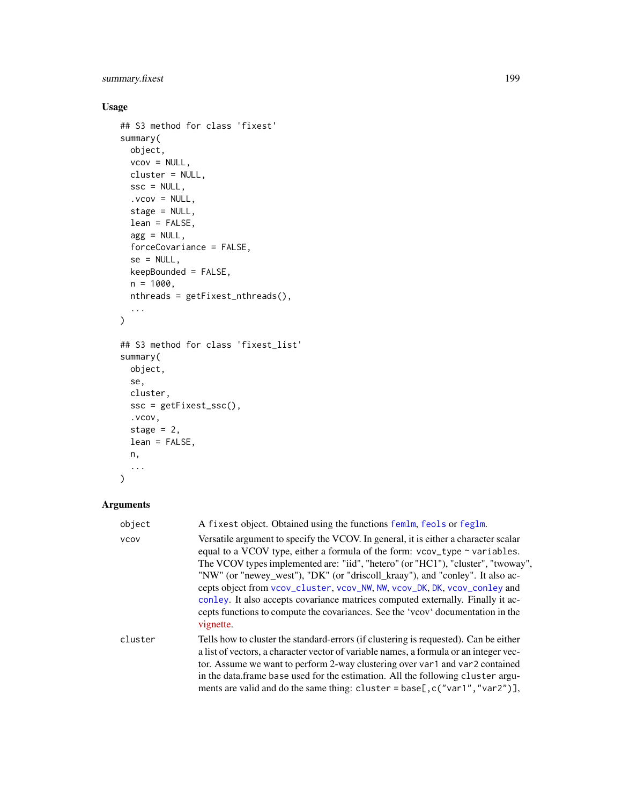# summary.fixest 199

# Usage

```
## S3 method for class 'fixest'
summary(
 object,
 vcov = NULL,
 cluster = NULL,
 \text{ssc} = \text{NULL},
  vcov = NULL,stage = NULL,
 lean = FALSE,
 agg = NULL,forceCovariance = FALSE,
  se = NULL,keepBounded = FALSE,
 n = 1000,nthreads = getFixest_nthreads(),
  ...
\mathcal{L}## S3 method for class 'fixest_list'
summary(
 object,
 se,
 cluster,
 ssc = getFixest_ssc(),
  .vcov,
 stage = 2,
 lean = FALSE,
 n,
  ...
\mathcal{L}
```

| object      | A fixest object. Obtained using the functions femlm, feols or feglm.                                                                                                                                                                                                                                                                                                                                                                                                                                                                                                                                   |  |
|-------------|--------------------------------------------------------------------------------------------------------------------------------------------------------------------------------------------------------------------------------------------------------------------------------------------------------------------------------------------------------------------------------------------------------------------------------------------------------------------------------------------------------------------------------------------------------------------------------------------------------|--|
| <b>VCOV</b> | Versatile argument to specify the VCOV. In general, it is either a character scalar<br>equal to a VCOV type, either a formula of the form: vcov_type ~ variables.<br>The VCOV types implemented are: "iid", "hetero" (or "HC1"), "cluster", "twoway",<br>"NW" (or "newey_west"), "DK" (or "driscoll_kraay"), and "conley". It also ac-<br>cepts object from vcov_cluster, vcov_NW, NW, vcov_DK, DK, vcov_conley and<br>conley. It also accepts covariance matrices computed externally. Finally it ac-<br>cepts functions to compute the covariances. See the 'vcov' documentation in the<br>vignette. |  |
| cluster     | Tells how to cluster the standard-errors (if clustering is requested). Can be either<br>a list of vectors, a character vector of variable names, a formula or an integer vec-<br>tor. Assume we want to perform 2-way clustering over var1 and var2 contained<br>in the data.frame base used for the estimation. All the following cluster argu-<br>ments are valid and do the same thing: cluster = base[, c("var1", "var2")],                                                                                                                                                                        |  |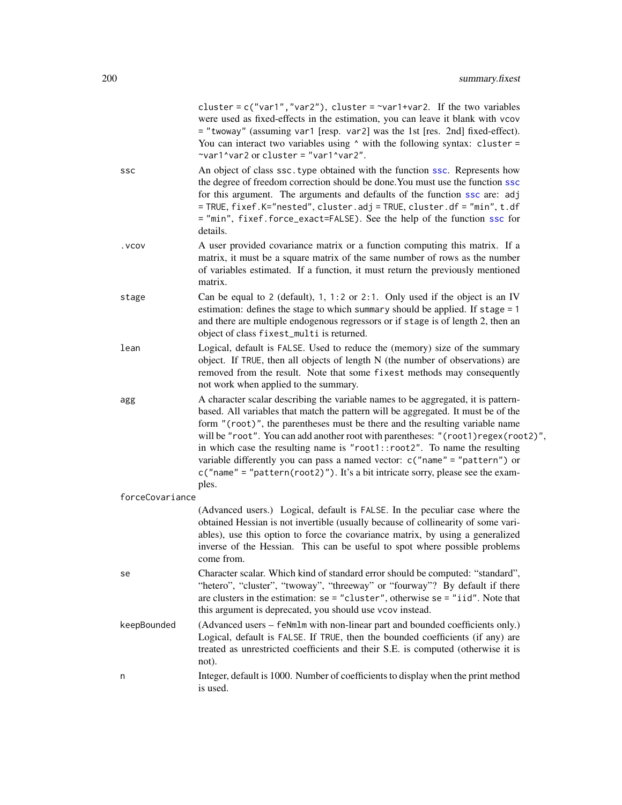|                 | cluster = $c("var1", "var2"),$ cluster = $\sim$ var1+var2. If the two variables<br>were used as fixed-effects in the estimation, you can leave it blank with vcov<br>= "twoway" (assuming var1 [resp. var2] was the 1st [res. 2nd] fixed-effect).<br>You can interact two variables using $\wedge$ with the following syntax: cluster =<br>~var1^var2 or cluster = "var1^var2".                                                                                                                                                                                                                        |
|-----------------|--------------------------------------------------------------------------------------------------------------------------------------------------------------------------------------------------------------------------------------------------------------------------------------------------------------------------------------------------------------------------------------------------------------------------------------------------------------------------------------------------------------------------------------------------------------------------------------------------------|
| SSC             | An object of class ssc. type obtained with the function ssc. Represents how<br>the degree of freedom correction should be done. You must use the function ssc<br>for this argument. The arguments and defaults of the function ssc are: adj<br>= TRUE, fixef.K="nested", cluster.adj = TRUE, cluster.df = "min", t.df<br>= "min", fixef.force_exact=FALSE). See the help of the function ssc for<br>details.                                                                                                                                                                                           |
| . VCOV          | A user provided covariance matrix or a function computing this matrix. If a<br>matrix, it must be a square matrix of the same number of rows as the number<br>of variables estimated. If a function, it must return the previously mentioned<br>matrix.                                                                                                                                                                                                                                                                                                                                                |
| stage           | Can be equal to 2 (default), 1, 1:2 or 2:1. Only used if the object is an IV<br>estimation: defines the stage to which summary should be applied. If stage = 1<br>and there are multiple endogenous regressors or if stage is of length 2, then an<br>object of class fixest_multi is returned.                                                                                                                                                                                                                                                                                                        |
| lean            | Logical, default is FALSE. Used to reduce the (memory) size of the summary<br>object. If TRUE, then all objects of length N (the number of observations) are<br>removed from the result. Note that some fixest methods may consequently<br>not work when applied to the summary.                                                                                                                                                                                                                                                                                                                       |
| agg             | A character scalar describing the variable names to be aggregated, it is pattern-<br>based. All variables that match the pattern will be aggregated. It must be of the<br>form "(root)", the parentheses must be there and the resulting variable name<br>will be "root". You can add another root with parentheses: "(root1)regex(root2)",<br>in which case the resulting name is "root1::root2". To name the resulting<br>variable differently you can pass a named vector: $c("name" = "pattern")$ or<br>$c("name" = "pattern(root2)")$ . It's a bit intricate sorry, please see the exam-<br>ples. |
| forceCovariance |                                                                                                                                                                                                                                                                                                                                                                                                                                                                                                                                                                                                        |
|                 | (Advanced users.) Logical, default is FALSE. In the peculiar case where the<br>obtained Hessian is not invertible (usually because of collinearity of some vari-<br>ables), use this option to force the covariance matrix, by using a generalized<br>inverse of the Hessian. This can be useful to spot where possible problems<br>come from.                                                                                                                                                                                                                                                         |
| se              | Character scalar. Which kind of standard error should be computed: "standard",<br>"hetero", "cluster", "twoway", "threeway" or "fourway"? By default if there<br>are clusters in the estimation: $se = "cluster", otherwise = e = "iid".$ Note that<br>this argument is deprecated, you should use vcov instead.                                                                                                                                                                                                                                                                                       |
| keepBounded     | (Advanced users - feNmlm with non-linear part and bounded coefficients only.)<br>Logical, default is FALSE. If TRUE, then the bounded coefficients (if any) are<br>treated as unrestricted coefficients and their S.E. is computed (otherwise it is<br>not).                                                                                                                                                                                                                                                                                                                                           |
| n               | Integer, default is 1000. Number of coefficients to display when the print method<br>is used.                                                                                                                                                                                                                                                                                                                                                                                                                                                                                                          |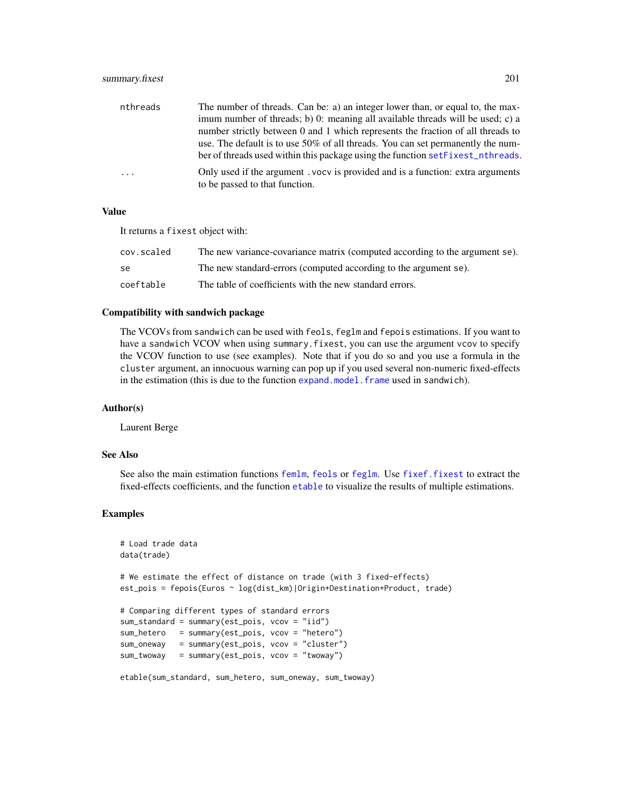| nthreads                | The number of threads. Can be: a) an integer lower than, or equal to, the max-                                   |
|-------------------------|------------------------------------------------------------------------------------------------------------------|
|                         | imum number of threads; b) 0: meaning all available threads will be used; c) a                                   |
|                         | number strictly between 0 and 1 which represents the fraction of all threads to                                  |
|                         | use. The default is to use $50\%$ of all threads. You can set permanently the num-                               |
|                         | ber of threads used within this package using the function set Fixest nthreads.                                  |
| $\cdot$ $\cdot$ $\cdot$ | Only used if the argument. vocy is provided and is a function: extra arguments<br>to be passed to that function. |

## Value

It returns a fixest object with:

| cov.scaled | The new variance-covariance matrix (computed according to the argument se). |
|------------|-----------------------------------------------------------------------------|
| -se        | The new standard-errors (computed according to the argument se).            |
| coeftable  | The table of coefficients with the new standard errors.                     |

#### Compatibility with sandwich package

The VCOVs from sandwich can be used with feols, feglm and fepois estimations. If you want to have a sandwich VCOV when using summary. fixest, you can use the argument vcov to specify the VCOV function to use (see examples). Note that if you do so and you use a formula in the cluster argument, an innocuous warning can pop up if you used several non-numeric fixed-effects in the estimation (this is due to the function [expand.model.frame](#page-0-0) used in sandwich).

## Author(s)

Laurent Berge

### See Also

See also the main estimation functions [femlm](#page-91-1), [feols](#page-112-0) or [feglm](#page-79-1). Use [fixef.fixest](#page-132-0) to extract the fixed-effects coefficients, and the function [etable](#page-55-0) to visualize the results of multiple estimations.

#### Examples

```
# Load trade data
data(trade)
# We estimate the effect of distance on trade (with 3 fixed-effects)
est_pois = fepois(Euros ~ log(dist_km)|Origin+Destination+Product, trade)
# Comparing different types of standard errors
sum_standard = summary(est_pois, vcov = "iid")
sum_hetero = summary(est_pois, vcov = "hetero")
sum_oneway = summary(est_pois, vcov = "cluster")
sum_twoway = summary(est_pois, vcov = "twoway")
etable(sum_standard, sum_hetero, sum_oneway, sum_twoway)
```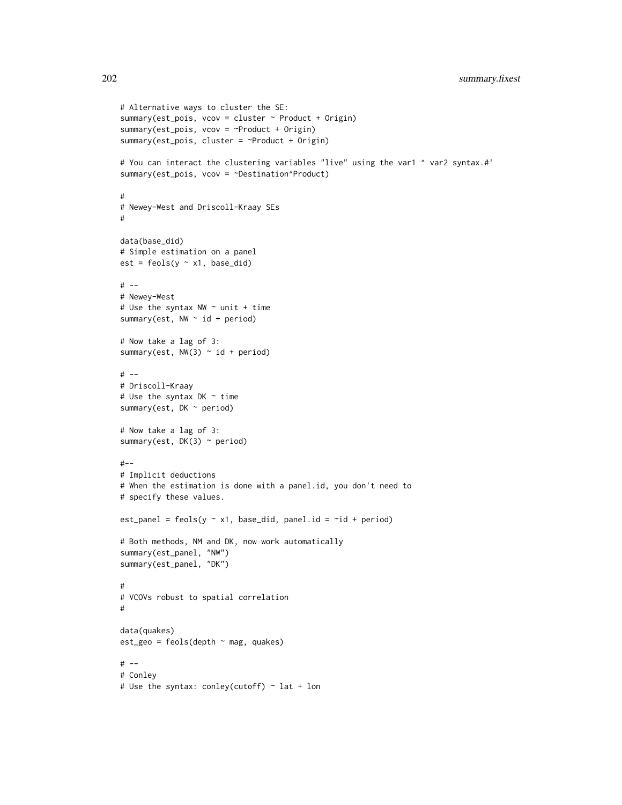```
# Alternative ways to cluster the SE:
summary(est_pois, vcov = cluster ~ Product + Origin)
summary(est_pois, vcov = ~Product + Origin)
summary(est_pois, cluster = ~Product + Origin)
# You can interact the clustering variables "live" using the var1 ^ var2 syntax.#'
summary(est_pois, vcov = ~Destination^Product)
#
# Newey-West and Driscoll-Kraay SEs
#
data(base_did)
# Simple estimation on a panel
est = feols(y \sim x1, base\_did)# --
# Newey-West
# Use the syntax NW ~ unit + time
summary(est, NW \sim id + period)
# Now take a lag of 3:
summary(est, NW(3) \sim id + period)
# --
# Driscoll-Kraay
# Use the syntax DK ~ time
summary(est, DK ~ period)
# Now take a lag of 3:
summary(est, DK(3) \sim period)
#--
# Implicit deductions
# When the estimation is done with a panel.id, you don't need to
# specify these values.
est_panel = feols(y \sim x1, base_did, panel.id = \simid + period)
# Both methods, NM and DK, now work automatically
summary(est_panel, "NW")
summary(est_panel, "DK")
#
# VCOVs robust to spatial correlation
#
data(quakes)
est_geo = feols(depth ~ mag, quakes)
# --
# Conley
# Use the syntax: conley(cutoff) ~ lat + lon
```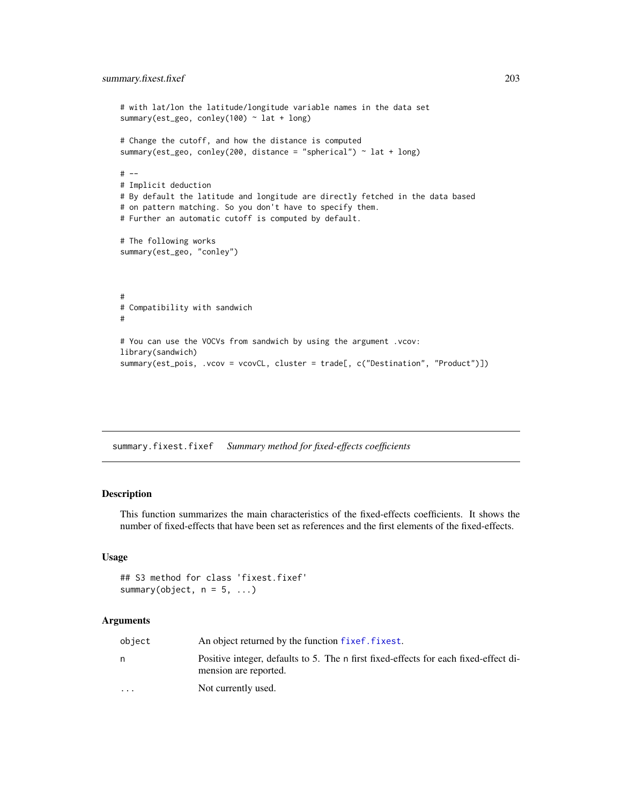```
# with lat/lon the latitude/longitude variable names in the data set
summary(est_geo, conley(100) ~ lat + long)
# Change the cutoff, and how the distance is computed
summary(est_geo, conley(200, distance = "spherical") ~ lat + long)
# --
# Implicit deduction
# By default the latitude and longitude are directly fetched in the data based
# on pattern matching. So you don't have to specify them.
# Further an automatic cutoff is computed by default.
# The following works
summary(est_geo, "conley")
#
# Compatibility with sandwich
#
# You can use the VOCVs from sandwich by using the argument .vcov:
library(sandwich)
summary(est_pois, .vcov = vcovCL, cluster = trade[, c("Destination", "Product")])
```
summary.fixest.fixef *Summary method for fixed-effects coefficients*

#### Description

This function summarizes the main characteristics of the fixed-effects coefficients. It shows the number of fixed-effects that have been set as references and the first elements of the fixed-effects.

#### Usage

```
## S3 method for class 'fixest.fixef'
summary(object, n = 5, ...)
```

| object                  | An object returned by the function fixef. fixest.                                                             |
|-------------------------|---------------------------------------------------------------------------------------------------------------|
|                         | Positive integer, defaults to 5. The n first fixed-effects for each fixed-effect di-<br>mension are reported. |
| $\cdot$ $\cdot$ $\cdot$ | Not currently used.                                                                                           |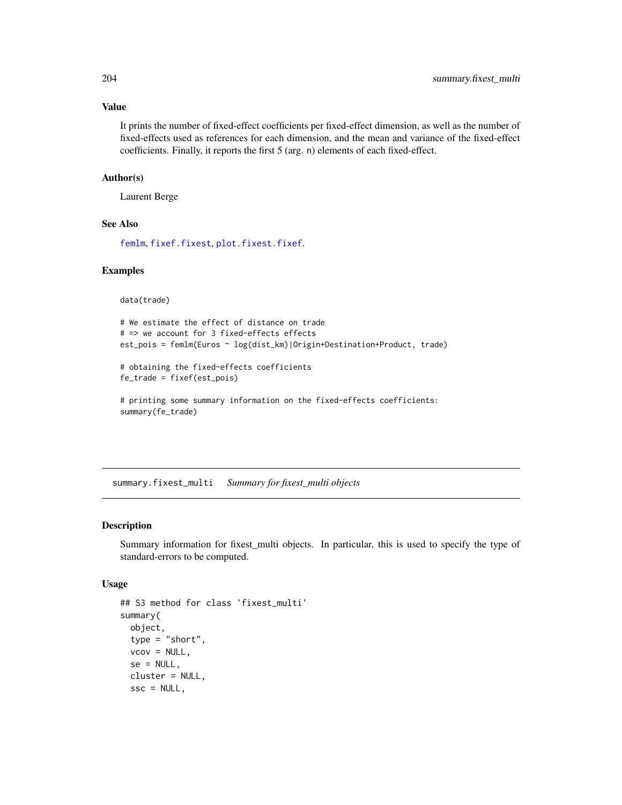## Value

It prints the number of fixed-effect coefficients per fixed-effect dimension, as well as the number of fixed-effects used as references for each dimension, and the mean and variance of the fixed-effect coefficients. Finally, it reports the first 5 (arg. n) elements of each fixed-effect.

#### Author(s)

Laurent Berge

## See Also

[femlm](#page-91-1), [fixef.fixest](#page-132-0), [plot.fixest.fixef](#page-152-0).

#### Examples

data(trade)

```
# We estimate the effect of distance on trade
# => we account for 3 fixed-effects effects
est_pois = femlm(Euros ~ log(dist_km)|Origin+Destination+Product, trade)
```

```
# obtaining the fixed-effects coefficients
fe_trade = fixef(est_pois)
```

```
# printing some summary information on the fixed-effects coefficients:
summary(fe_trade)
```
<span id="page-203-0"></span>summary.fixest\_multi *Summary for fixest\_multi objects*

## Description

Summary information for fixest\_multi objects. In particular, this is used to specify the type of standard-errors to be computed.

#### Usage

```
## S3 method for class 'fixest_multi'
summary(
  object,
  type = "short",
  vcov = NULL,se = NULL,cluster = NULL,
  \text{ssc} = \text{NULL},
```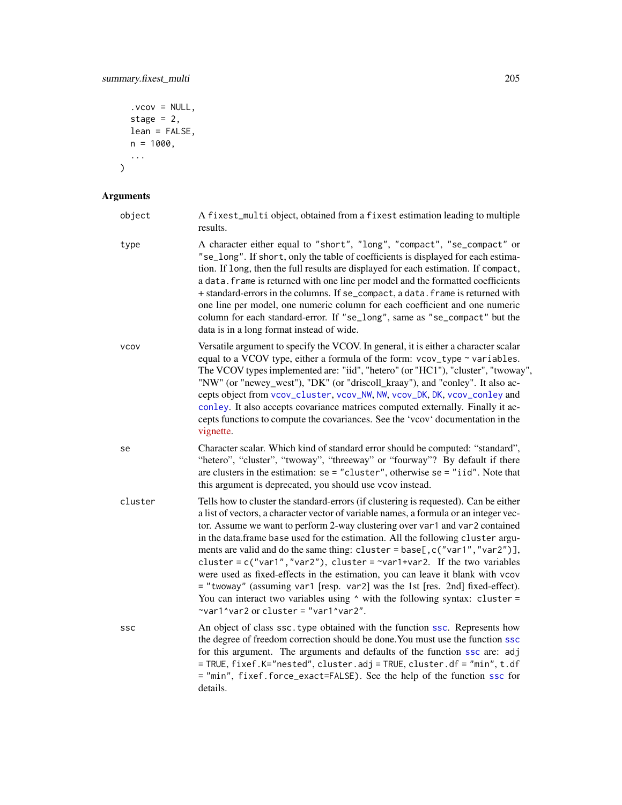```
.vcov = NULL,
stage = 2,
lean = FALSE,n = 1000,...
```
# Arguments

)

| object      | A fixest_multi object, obtained from a fixest estimation leading to multiple<br>results.                                                                                                                                                                                                                                                                                                                                                                                                                                                                                                                                                                                                                                                                                                                           |
|-------------|--------------------------------------------------------------------------------------------------------------------------------------------------------------------------------------------------------------------------------------------------------------------------------------------------------------------------------------------------------------------------------------------------------------------------------------------------------------------------------------------------------------------------------------------------------------------------------------------------------------------------------------------------------------------------------------------------------------------------------------------------------------------------------------------------------------------|
| type        | A character either equal to "short", "long", "compact", "se_compact" or<br>"se_long". If short, only the table of coefficients is displayed for each estima-<br>tion. If long, then the full results are displayed for each estimation. If compact,<br>a data. frame is returned with one line per model and the formatted coefficients<br>+ standard-errors in the columns. If se_compact, a data. frame is returned with<br>one line per model, one numeric column for each coefficient and one numeric<br>column for each standard-error. If "se_long", same as "se_compact" but the<br>data is in a long format instead of wide.                                                                                                                                                                               |
| <b>VCOV</b> | Versatile argument to specify the VCOV. In general, it is either a character scalar<br>equal to a VCOV type, either a formula of the form: vcov_type ~ variables.<br>The VCOV types implemented are: "iid", "hetero" (or "HC1"), "cluster", "twoway",<br>"NW" (or "newey_west"), "DK" (or "driscoll_kraay"), and "conley". It also ac-<br>cepts object from vcov_cluster, vcov_NW, NW, vcov_DK, DK, vcov_conley and<br>conley. It also accepts covariance matrices computed externally. Finally it ac-<br>cepts functions to compute the covariances. See the 'vcov' documentation in the<br>vignette.                                                                                                                                                                                                             |
| se          | Character scalar. Which kind of standard error should be computed: "standard",<br>"hetero", "cluster", "twoway", "threeway" or "fourway"? By default if there<br>are clusters in the estimation: $se = "cluster",$ otherwise $se = "iid".$ Note that<br>this argument is deprecated, you should use vcov instead.                                                                                                                                                                                                                                                                                                                                                                                                                                                                                                  |
| cluster     | Tells how to cluster the standard-errors (if clustering is requested). Can be either<br>a list of vectors, a character vector of variable names, a formula or an integer vec-<br>tor. Assume we want to perform 2-way clustering over var1 and var2 contained<br>in the data.frame base used for the estimation. All the following cluster argu-<br>ments are valid and do the same thing: cluster = base[, c("var1", "var2")],<br>cluster = $c("var1", "var2"),$ cluster = $\sim$ var1+var2. If the two variables<br>were used as fixed-effects in the estimation, you can leave it blank with vcov<br>= "twoway" (assuming var1 [resp. var2] was the 1st [res. 2nd] fixed-effect).<br>You can interact two variables using $\wedge$ with the following syntax: cluster =<br>~var1^var2 or cluster = "var1^var2". |
| SSC         | An object of class ssc. type obtained with the function ssc. Represents how<br>the degree of freedom correction should be done. You must use the function ssc<br>for this argument. The arguments and defaults of the function ssc are: adj<br>= TRUE, fixef.K="nested", cluster.adj = TRUE, cluster.df = "min", t.df<br>= "min", fixef.force_exact=FALSE). See the help of the function ssc for<br>details.                                                                                                                                                                                                                                                                                                                                                                                                       |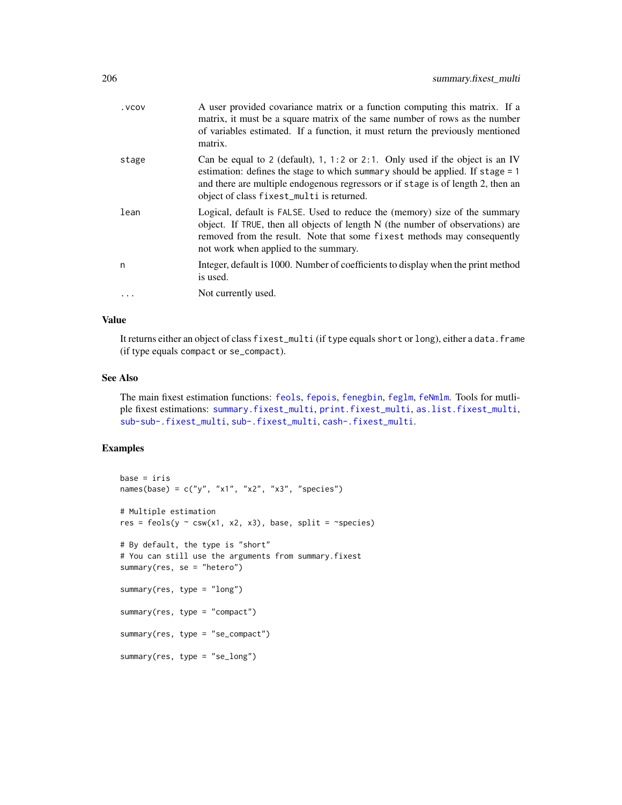| . VCOV | A user provided covariance matrix or a function computing this matrix. If a<br>matrix, it must be a square matrix of the same number of rows as the number<br>of variables estimated. If a function, it must return the previously mentioned<br>matrix.                                         |
|--------|-------------------------------------------------------------------------------------------------------------------------------------------------------------------------------------------------------------------------------------------------------------------------------------------------|
| stage  | Can be equal to 2 (default), 1, 1:2 or 2:1. Only used if the object is an IV<br>estimation: defines the stage to which summary should be applied. If stage = 1<br>and there are multiple endogenous regressors or if stage is of length 2, then an<br>object of class fixest_multi is returned. |
| lean   | Logical, default is FALSE. Used to reduce the (memory) size of the summary<br>object. If TRUE, then all objects of length N (the number of observations) are<br>removed from the result. Note that some fixest methods may consequently<br>not work when applied to the summary.                |
| n      | Integer, default is 1000. Number of coefficients to display when the print method<br>is used.                                                                                                                                                                                                   |
|        | Not currently used.                                                                                                                                                                                                                                                                             |
|        |                                                                                                                                                                                                                                                                                                 |

## Value

It returns either an object of class fixest\_multi (if type equals short or long), either a data.frame (if type equals compact or se\_compact).

#### See Also

The main fixest estimation functions: [feols](#page-112-0), [fepois](#page-79-0), [fenegbin](#page-91-0), [feglm](#page-79-1), [feNmlm](#page-101-0). Tools for mutliple fixest estimations: [summary.fixest\\_multi](#page-203-0), [print.fixest\\_multi](#page-160-0), [as.list.fixest\\_multi](#page-6-0), [sub-sub-.fixest\\_multi](#page-0-0), [sub-.fixest\\_multi](#page-0-0), [cash-.fixest\\_multi](#page-0-0).

## Examples

```
base = irisnames(base) = c("y", "x1", "x2", "x3", "species")
# Multiple estimation
res = feols(y \sim \text{csw}(x1, x2, x3), base, split = ~species)
# By default, the type is "short"
# You can still use the arguments from summary.fixest
summary(res, se = "hetero")
summary(res, type = "long")
summary(res, type = "compact")
summary(res, type = "se_compact")
summary(res, type = "se_long")
```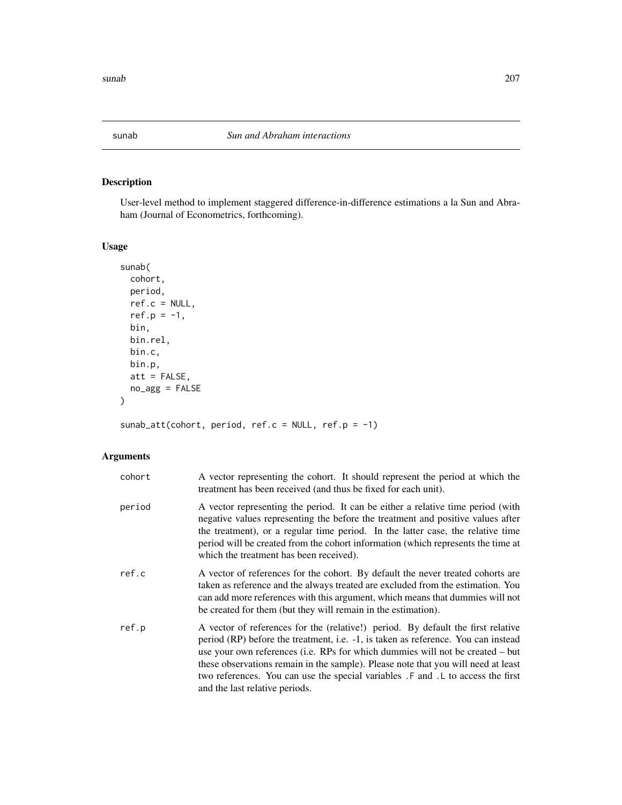# Description

User-level method to implement staggered difference-in-difference estimations a la Sun and Abraham (Journal of Econometrics, forthcoming).

# Usage

```
sunab(
  cohort,
 period,
 ref.c = NULL,
 ref.p = -1,
 bin,
 bin.rel,
 bin.c,
 bin.p,
 att = FALSE,no_agg = FALSE
)
```
sunab\_att(cohort, period, ref.c = NULL, ref.p = -1)

| cohort | A vector representing the cohort. It should represent the period at which the<br>treatment has been received (and thus be fixed for each unit).                                                                                                                                                                                                                                                                                                                    |
|--------|--------------------------------------------------------------------------------------------------------------------------------------------------------------------------------------------------------------------------------------------------------------------------------------------------------------------------------------------------------------------------------------------------------------------------------------------------------------------|
| period | A vector representing the period. It can be either a relative time period (with<br>negative values representing the before the treatment and positive values after<br>the treatment), or a regular time period. In the latter case, the relative time<br>period will be created from the cohort information (which represents the time at<br>which the treatment has been received).                                                                               |
| ref.c  | A vector of references for the cohort. By default the never treated cohorts are<br>taken as reference and the always treated are excluded from the estimation. You<br>can add more references with this argument, which means that dummies will not<br>be created for them (but they will remain in the estimation).                                                                                                                                               |
| ref.p  | A vector of references for the (relative!) period. By default the first relative<br>period (RP) before the treatment, i.e. -1, is taken as reference. You can instead<br>use your own references (i.e. RPs for which dummies will not be created – but<br>these observations remain in the sample). Please note that you will need at least<br>two references. You can use the special variables . F and . L to access the first<br>and the last relative periods. |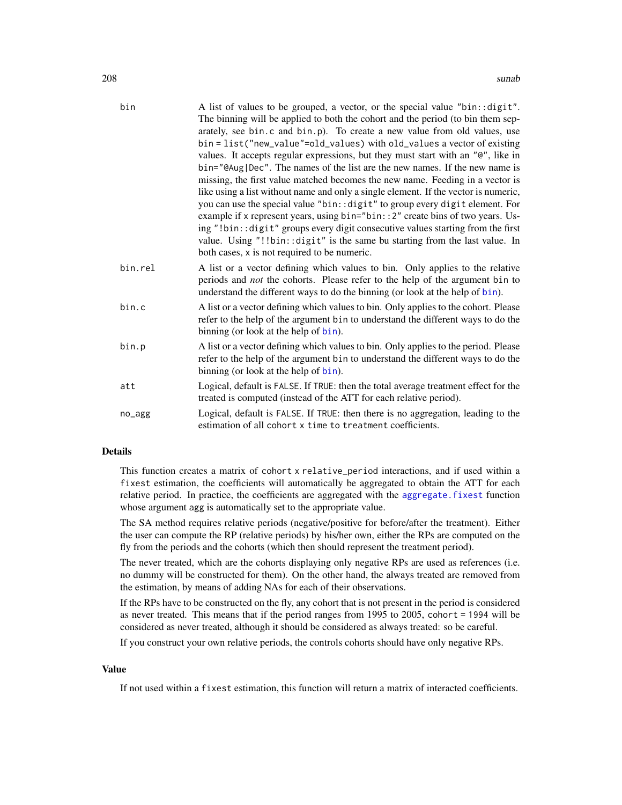| bin     | A list of values to be grouped, a vector, or the special value "bin:: digit".       |
|---------|-------------------------------------------------------------------------------------|
|         | The binning will be applied to both the cohort and the period (to bin them sep-     |
|         | arately, see bin.c and bin.p). To create a new value from old values, use           |
|         | bin = list("new_value"=old_values) with old_values a vector of existing             |
|         | values. It accepts regular expressions, but they must start with an "@", like in    |
|         | bin="@Aug Dec". The names of the list are the new names. If the new name is         |
|         | missing, the first value matched becomes the new name. Feeding in a vector is       |
|         | like using a list without name and only a single element. If the vector is numeric, |
|         | you can use the special value "bin:: digit" to group every digit element. For       |
|         | example if x represent years, using bin="bin:: 2" create bins of two years. Us-     |
|         | ing "!bin:: digit" groups every digit consecutive values starting from the first    |
|         | value. Using "!!bin::digit" is the same bu starting from the last value. In         |
|         | both cases, x is not required to be numeric.                                        |
| bin.rel | A list or a vector defining which values to bin. Only applies to the relative       |
|         | periods and <i>not</i> the cohorts. Please refer to the help of the argument bin to |
|         | understand the different ways to do the binning (or look at the help of bin).       |
| bin.c   | A list or a vector defining which values to bin. Only applies to the cohort. Please |
|         | refer to the help of the argument bin to understand the different ways to do the    |
|         | binning (or look at the help of bin).                                               |
| bin.p   | A list or a vector defining which values to bin. Only applies to the period. Please |
|         | refer to the help of the argument bin to understand the different ways to do the    |
|         | binning (or look at the help of bin).                                               |
| att     | Logical, default is FALSE. If TRUE: then the total average treatment effect for the |
|         | treated is computed (instead of the ATT for each relative period).                  |
| no_agg  | Logical, default is FALSE. If TRUE: then there is no aggregation, leading to the    |
|         | estimation of all cohort x time to treatment coefficients.                          |
|         |                                                                                     |

## Details

This function creates a matrix of cohort x relative\_period interactions, and if used within a fixest estimation, the coefficients will automatically be aggregated to obtain the ATT for each relative period. In practice, the coefficients are aggregated with the [aggregate.fixest](#page-3-0) function whose argument agg is automatically set to the appropriate value.

The SA method requires relative periods (negative/positive for before/after the treatment). Either the user can compute the RP (relative periods) by his/her own, either the RPs are computed on the fly from the periods and the cohorts (which then should represent the treatment period).

The never treated, which are the cohorts displaying only negative RPs are used as references (i.e. no dummy will be constructed for them). On the other hand, the always treated are removed from the estimation, by means of adding NAs for each of their observations.

If the RPs have to be constructed on the fly, any cohort that is not present in the period is considered as never treated. This means that if the period ranges from 1995 to 2005, cohort = 1994 will be considered as never treated, although it should be considered as always treated: so be careful.

If you construct your own relative periods, the controls cohorts should have only negative RPs.

#### Value

If not used within a fixest estimation, this function will return a matrix of interacted coefficients.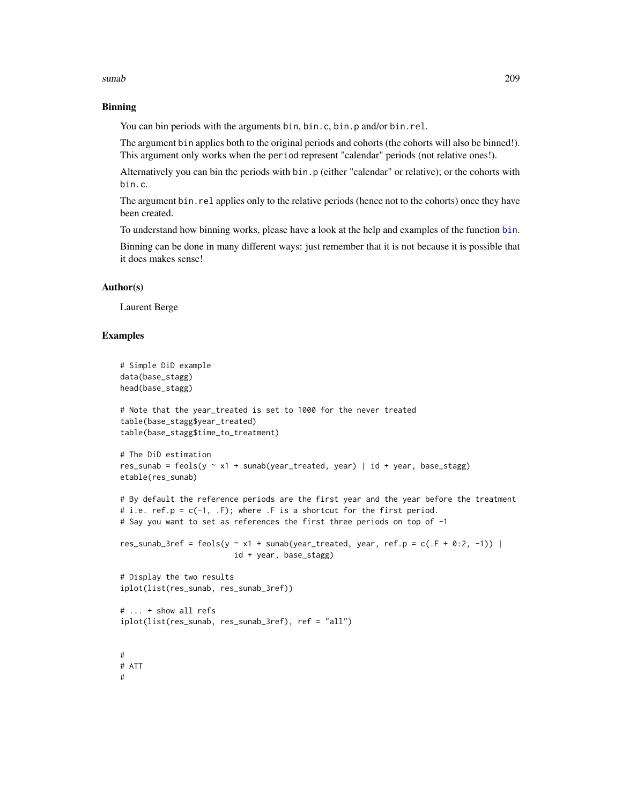#### sunab 209

## Binning

You can bin periods with the arguments bin, bin.c, bin.p and/or bin.rel.

The argument bin applies both to the original periods and cohorts (the cohorts will also be binned!). This argument only works when the period represent "calendar" periods (not relative ones!).

Alternatively you can bin the periods with bin.p (either "calendar" or relative); or the cohorts with bin.c.

The argument bin. rel applies only to the relative periods (hence not to the cohorts) once they have been created.

To understand how binning works, please have a look at the help and examples of the function [bin](#page-9-0).

Binning can be done in many different ways: just remember that it is not because it is possible that it does makes sense!

#### Author(s)

Laurent Berge

#### Examples

```
# Simple DiD example
data(base_stagg)
head(base_stagg)
# Note that the year_treated is set to 1000 for the never treated
table(base_stagg$year_treated)
table(base_stagg$time_to_treatment)
# The DiD estimation
res_sunab = feols(y \sim x1 + sunab(year_treated, year) | id + year, base_stagg)
etable(res_sunab)
# By default the reference periods are the first year and the year before the treatment
# i.e. ref.p = c(-1, .F); where .F is a shortcut for the first period.
# Say you want to set as references the first three periods on top of -1
res_sunab_3ref = feols(y \sim x1 + sunab(year_treated, year, ref.p = c(.F + 0:2, -1)) |
                         id + year, base_stagg)
# Display the two results
iplot(list(res_sunab, res_sunab_3ref))
# ... + show all refs
iplot(list(res_sunab, res_sunab_3ref), ref = "all")
#
# ATT
#
```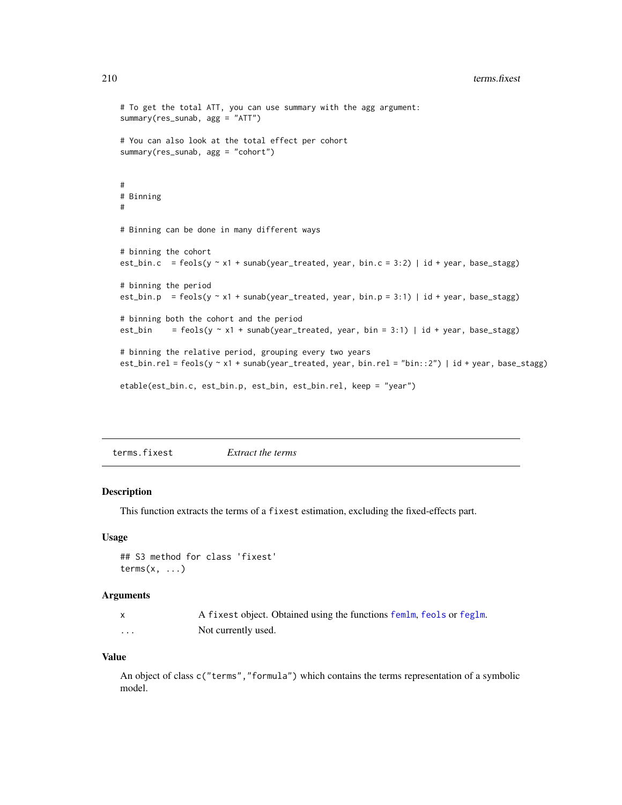```
# To get the total ATT, you can use summary with the agg argument:
summary(res_sunab, agg = "ATT")
# You can also look at the total effect per cohort
summary(res_sunab, agg = "cohort")
#
# Binning
#
# Binning can be done in many different ways
# binning the cohort
est_bin.c = feols(y \sim x1 + sunab(year_treated, year, bin.c = 3:2) | id + year, base_stagg)
# binning the period
est_bin.p = feols(y \sim x1 + sunab(year_treated, year, bin.p = 3:1) | id + year, base_stagg)
# binning both the cohort and the period
est_bin = feols(y \sim x1 + sunab(year_treated, year, bin = 3:1) | id + year, base_stagg)
# binning the relative period, grouping every two years
est_bin.rel = feols(y ~ x1 + sunab(year_treated, year, bin.rel = "bin::2") | id + year, base_stagg)
etable(est_bin.c, est_bin.p, est_bin, est_bin.rel, keep = "year")
```
terms.fixest *Extract the terms*

#### Description

This function extracts the terms of a fixest estimation, excluding the fixed-effects part.

#### Usage

```
## S3 method for class 'fixest'
terms(x, \ldots)
```
#### Arguments

|   | A fixest object. Obtained using the functions femlm, feols or feglm. |
|---|----------------------------------------------------------------------|
| . | Not currently used.                                                  |

#### Value

An object of class c("terms","formula") which contains the terms representation of a symbolic model.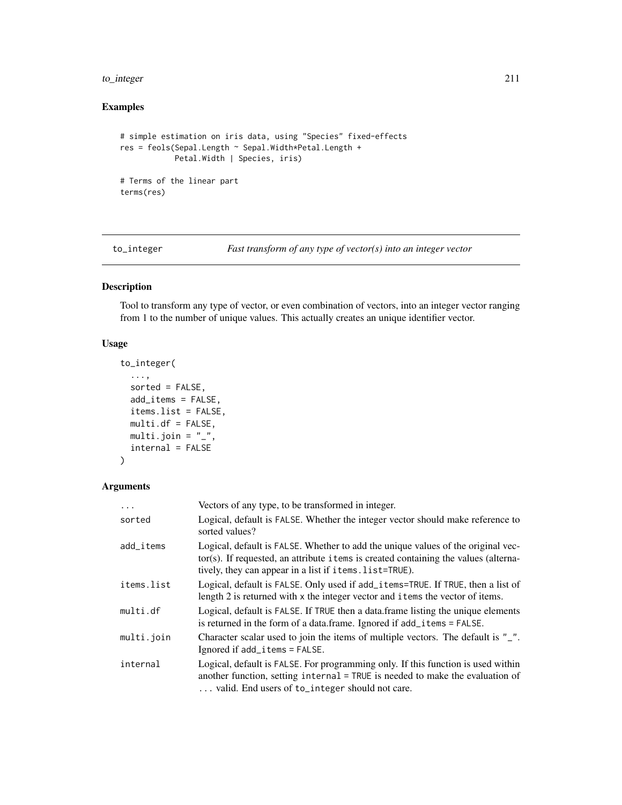## to\_integer 211

# Examples

```
# simple estimation on iris data, using "Species" fixed-effects
res = feols(Sepal.Length ~ Sepal.Width*Petal.Length +
            Petal.Width | Species, iris)
# Terms of the linear part
terms(res)
```
to\_integer *Fast transform of any type of vector(s) into an integer vector*

## Description

Tool to transform any type of vector, or even combination of vectors, into an integer vector ranging from 1 to the number of unique values. This actually creates an unique identifier vector.

#### Usage

```
to_integer(
  ...,
  sorted = FALSE,
 add_items = FALSE,
  items.list = FALSE,
 multi.df = FALSE,
 multi.join = "_",
  internal = FALSE
)
```

| $\ddots$   | Vectors of any type, to be transformed in integer.                                                                                                                                                                                  |
|------------|-------------------------------------------------------------------------------------------------------------------------------------------------------------------------------------------------------------------------------------|
| sorted     | Logical, default is FALSE. Whether the integer vector should make reference to<br>sorted values?                                                                                                                                    |
| add items  | Logical, default is FALSE. Whether to add the unique values of the original vec-<br>tor(s). If requested, an attribute i tems is created containing the values (alterna-<br>tively, they can appear in a list if items. list=TRUE). |
| items.list | Logical, default is FALSE. Only used if add_items=TRUE. If TRUE, then a list of<br>length 2 is returned with x the integer vector and i tems the vector of items.                                                                   |
| multi.df   | Logical, default is FALSE. If TRUE then a data frame listing the unique elements<br>is returned in the form of a data.frame. Ignored if add_items = FALSE.                                                                          |
| multi.join | Character scalar used to join the items of multiple vectors. The default is "_".<br>Ignored if add_items = FALSE.                                                                                                                   |
| internal   | Logical, default is FALSE. For programming only. If this function is used within<br>another function, setting internal = TRUE is needed to make the evaluation of<br>valid. End users of to_integer should not care.                |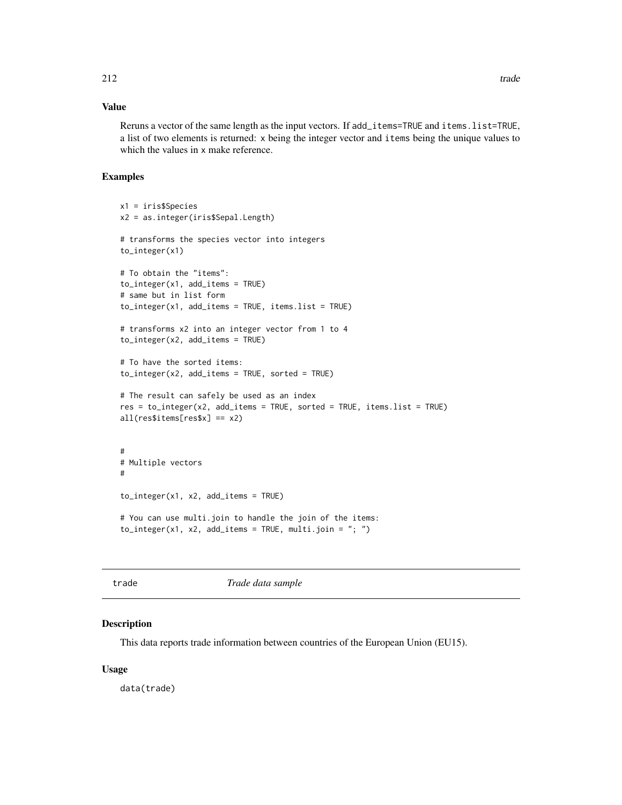## Value

Reruns a vector of the same length as the input vectors. If add\_items=TRUE and items.list=TRUE, a list of two elements is returned: x being the integer vector and items being the unique values to which the values in x make reference.

#### Examples

```
x1 = iris$Species
x2 = as.integer(iris$Sepal.Length)
# transforms the species vector into integers
to_integer(x1)
# To obtain the "items":
to_integer(x1, add_items = TRUE)
# same but in list form
to_integer(x1, add_items = TRUE, items.list = TRUE)
# transforms x2 into an integer vector from 1 to 4
to_integer(x2, add_items = TRUE)
# To have the sorted items:
to_integer(x2, add_items = TRUE, sorted = TRUE)
# The result can safely be used as an index
res = to_integer(x2, add_items = TRUE, sorted = TRUE, items.list = TRUE)
all(res$items[res$x] == x2)
#
# Multiple vectors
#
to_integer(x1, x2, add_items = TRUE)
# You can use multi.join to handle the join of the items:
to_integer(x1, x2, add_items = TRUE, multi.join = "; ")
```
trade *Trade data sample*

#### Description

This data reports trade information between countries of the European Union (EU15).

#### Usage

data(trade)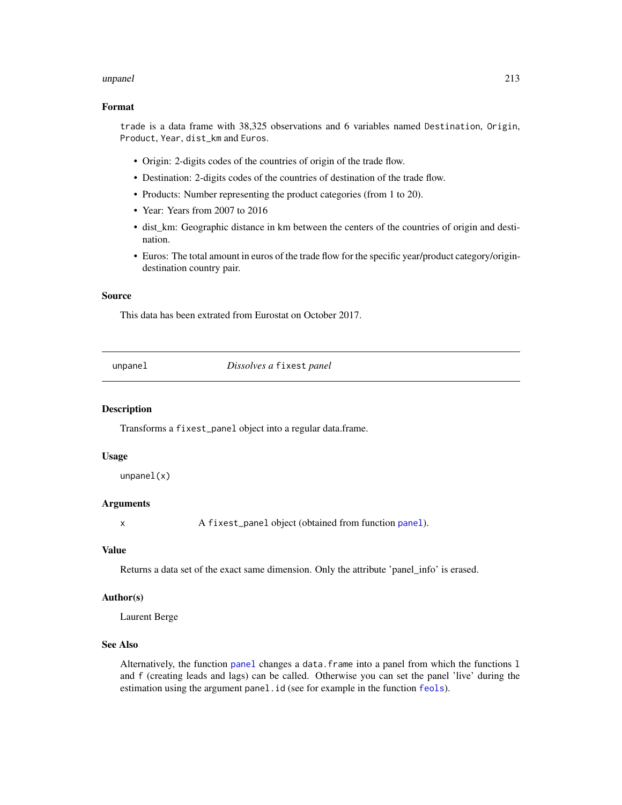#### unpanel 213

## Format

trade is a data frame with 38,325 observations and 6 variables named Destination, Origin, Product, Year, dist\_km and Euros.

- Origin: 2-digits codes of the countries of origin of the trade flow.
- Destination: 2-digits codes of the countries of destination of the trade flow.
- Products: Number representing the product categories (from 1 to 20).
- Year: Years from 2007 to 2016
- dist\_km: Geographic distance in km between the centers of the countries of origin and destination.
- Euros: The total amount in euros of the trade flow for the specific year/product category/origindestination country pair.

## Source

This data has been extrated from Eurostat on October 2017.

unpanel *Dissolves a* fixest *panel*

#### Description

Transforms a fixest\_panel object into a regular data.frame.

#### Usage

unpanel(x)

#### Arguments

x A fixest\_[panel](#page-150-0) object (obtained from function panel).

#### Value

Returns a data set of the exact same dimension. Only the attribute 'panel\_info' is erased.

#### Author(s)

Laurent Berge

## See Also

Alternatively, the function [panel](#page-150-0) changes a data.frame into a panel from which the functions l and f (creating leads and lags) can be called. Otherwise you can set the panel 'live' during the estimation using the argument panel.id (see for example in the function [feols](#page-112-0)).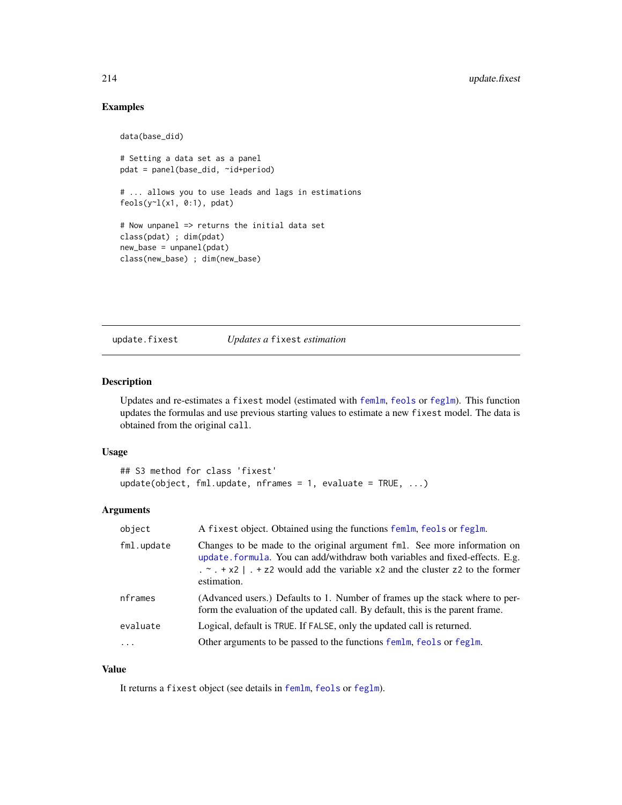## Examples

```
data(base_did)
# Setting a data set as a panel
pdat = panel(base_did, ~id+period)
# ... allows you to use leads and lags in estimations
feols(y<sup>~</sup>1(x1, 0:1), pdat)# Now unpanel => returns the initial data set
class(pdat) ; dim(pdat)
new_base = unpanel(pdat)
class(new_base) ; dim(new_base)
```
update.fixest *Updates a* fixest *estimation*

## Description

Updates and re-estimates a fixest model (estimated with [femlm](#page-91-1), [feols](#page-112-0) or [feglm](#page-79-1)). This function updates the formulas and use previous starting values to estimate a new fixest model. The data is obtained from the original call.

#### Usage

```
## S3 method for class 'fixest'
update(object, fm1.update, nframes = 1, evaluate = TRUE, ...)
```
#### Arguments

| object     | A fixest object. Obtained using the functions femlm, feols or feglm.                                                                                                                                                                                                                |
|------------|-------------------------------------------------------------------------------------------------------------------------------------------------------------------------------------------------------------------------------------------------------------------------------------|
| fml.update | Changes to be made to the original argument fml. See more information on<br>update. formula. You can add/withdraw both variables and fixed-effects. E.g.<br>$\ldots$ $\sim$ $\ldots$ + x2   $\ldots$ + z2 would add the variable x2 and the cluster z2 to the former<br>estimation. |
| nframes    | (Advanced users.) Defaults to 1. Number of frames up the stack where to per-<br>form the evaluation of the updated call. By default, this is the parent frame.                                                                                                                      |
| evaluate   | Logical, default is TRUE. If FALSE, only the updated call is returned.                                                                                                                                                                                                              |
| $\ddots$   | Other arguments to be passed to the functions femlm, feols or feglm.                                                                                                                                                                                                                |

## Value

It returns a fixest object (see details in [femlm](#page-91-1), [feols](#page-112-0) or [feglm](#page-79-1)).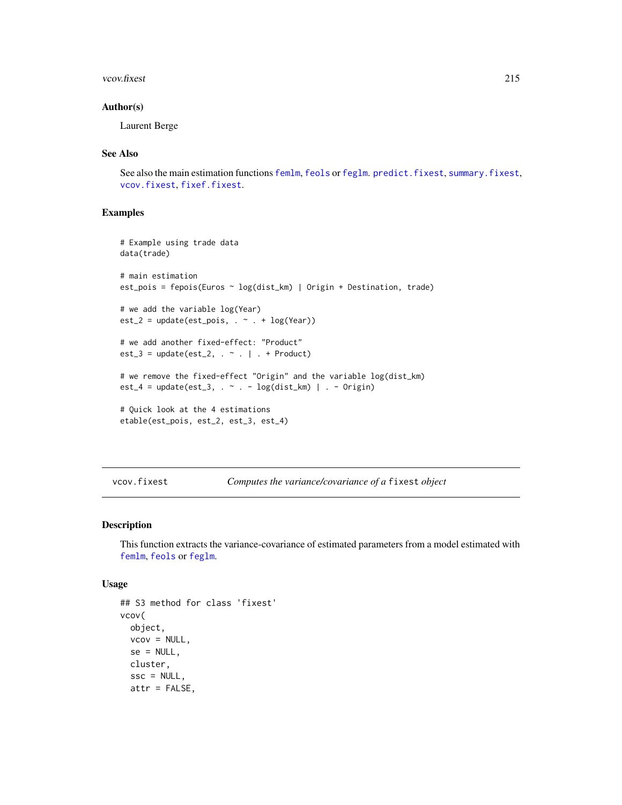#### vcov.fixest 215

#### Author(s)

Laurent Berge

## See Also

See also the main estimation functions [femlm](#page-91-1), [feols](#page-112-0) or [feglm](#page-79-1). [predict.fixest](#page-154-0), [summary.fixest](#page-197-0), [vcov.fixest](#page-214-0), [fixef.fixest](#page-132-0).

## Examples

```
# Example using trade data
data(trade)
# main estimation
est_pois = fepois(Euros ~ log(dist_km) | Origin + Destination, trade)
# we add the variable log(Year)
est_2 = update(est_pois, . ~ ~ ~ ~ ~ ~ ~ log(Year))# we add another fixed-effect: "Product"
est_3 = update(est_2, . - . | . + Product)# we remove the fixed-effect "Origin" and the variable log(dist_km)
est_4 = update(est_3, . - . - log(dist_km) | . - Origin)# Quick look at the 4 estimations
etable(est_pois, est_2, est_3, est_4)
```
<span id="page-214-0"></span>vcov.fixest *Computes the variance/covariance of a* fixest *object*

#### Description

This function extracts the variance-covariance of estimated parameters from a model estimated with [femlm](#page-91-1), [feols](#page-112-0) or [feglm](#page-79-1).

#### Usage

```
## S3 method for class 'fixest'
vcov(
  object,
  vcov = NULL,se = NULL,cluster,
  \text{ssc} = \text{NULL},
  attr = FALSE,
```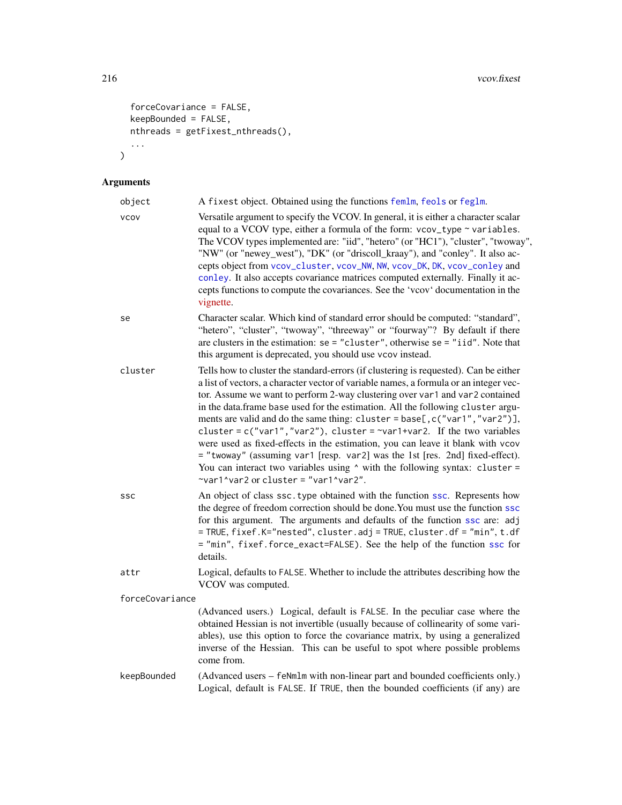```
forceCovariance = FALSE,
 keepBounded = FALSE,
 nthreads = getFixest_nthreads(),
 ...
\mathcal{L}
```

| object          | A fixest object. Obtained using the functions femlm, feols or feglm.                                                                                                                                                                                                                                                                                                                                                                                                                                                                                                                                                                                                                                                                                                                                               |
|-----------------|--------------------------------------------------------------------------------------------------------------------------------------------------------------------------------------------------------------------------------------------------------------------------------------------------------------------------------------------------------------------------------------------------------------------------------------------------------------------------------------------------------------------------------------------------------------------------------------------------------------------------------------------------------------------------------------------------------------------------------------------------------------------------------------------------------------------|
| <b>VCOV</b>     | Versatile argument to specify the VCOV. In general, it is either a character scalar<br>equal to a VCOV type, either a formula of the form: vcov_type ~ variables.<br>The VCOV types implemented are: "iid", "hetero" (or "HC1"), "cluster", "twoway",<br>"NW" (or "newey_west"), "DK" (or "driscoll_kraay"), and "conley". It also ac-<br>cepts object from vcov_cluster, vcov_NW, NW, vcov_DK, DK, vcov_conley and<br>conley. It also accepts covariance matrices computed externally. Finally it ac-<br>cepts functions to compute the covariances. See the 'vcov' documentation in the<br>vignette.                                                                                                                                                                                                             |
| se              | Character scalar. Which kind of standard error should be computed: "standard",<br>"hetero", "cluster", "twoway", "threeway" or "fourway"? By default if there<br>are clusters in the estimation: $se = "cluster", otherwise = e = "iid".$ Note that<br>this argument is deprecated, you should use vcov instead.                                                                                                                                                                                                                                                                                                                                                                                                                                                                                                   |
| cluster         | Tells how to cluster the standard-errors (if clustering is requested). Can be either<br>a list of vectors, a character vector of variable names, a formula or an integer vec-<br>tor. Assume we want to perform 2-way clustering over var1 and var2 contained<br>in the data.frame base used for the estimation. All the following cluster argu-<br>ments are valid and do the same thing: cluster = base[, c("var1", "var2")],<br>cluster = $c("var1", "var2"),$ cluster = $\sim$ var1+var2. If the two variables<br>were used as fixed-effects in the estimation, you can leave it blank with vcov<br>= "twoway" (assuming var1 [resp. var2] was the 1st [res. 2nd] fixed-effect).<br>You can interact two variables using $\wedge$ with the following syntax: cluster =<br>~var1^var2 or cluster = "var1^var2". |
| SSC             | An object of class ssc. type obtained with the function ssc. Represents how<br>the degree of freedom correction should be done. You must use the function ssc<br>for this argument. The arguments and defaults of the function ssc are: adj<br>= TRUE, fixef.K="nested", cluster.adj = TRUE, cluster.df = "min", t.df<br>= "min", fixef.force_exact=FALSE). See the help of the function ssc for<br>details.                                                                                                                                                                                                                                                                                                                                                                                                       |
| attr            | Logical, defaults to FALSE. Whether to include the attributes describing how the<br>VCOV was computed.                                                                                                                                                                                                                                                                                                                                                                                                                                                                                                                                                                                                                                                                                                             |
| forceCovariance |                                                                                                                                                                                                                                                                                                                                                                                                                                                                                                                                                                                                                                                                                                                                                                                                                    |
|                 | (Advanced users.) Logical, default is FALSE. In the peculiar case where the<br>obtained Hessian is not invertible (usually because of collinearity of some vari-<br>ables), use this option to force the covariance matrix, by using a generalized<br>inverse of the Hessian. This can be useful to spot where possible problems<br>come from.                                                                                                                                                                                                                                                                                                                                                                                                                                                                     |
| keepBounded     | (Advanced users - feNmlm with non-linear part and bounded coefficients only.)<br>Logical, default is FALSE. If TRUE, then the bounded coefficients (if any) are                                                                                                                                                                                                                                                                                                                                                                                                                                                                                                                                                                                                                                                    |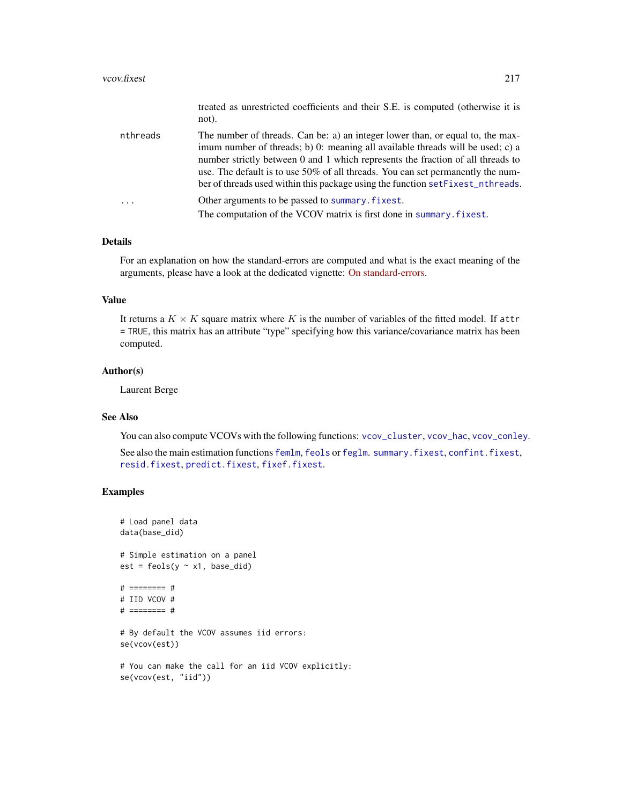not).

|  | treated as unrestricted coefficients and their S.E. is computed (otherwise it is |  |  |  |  |  |
|--|----------------------------------------------------------------------------------|--|--|--|--|--|
|  |                                                                                  |  |  |  |  |  |

<span id="page-216-0"></span>nthreads The number of threads. Can be: a) an integer lower than, or equal to, the maximum number of threads; b) 0: meaning all available threads will be used; c) a number strictly between 0 and 1 which represents the fraction of all threads to use. The default is to use 50% of all threads. You can set permanently the number of threads used within this package using the function [setFixest\\_nthreads](#page-183-0). ... Other arguments to be passed to [summary.fixest](#page-197-0). The computation of the VCOV matrix is first done in [summary.fixest](#page-197-0).

#### Details

For an explanation on how the standard-errors are computed and what is the exact meaning of the arguments, please have a look at the dedicated vignette: [On standard-errors.](https://lrberge.github.io/fixest/articles/standard_errors.html)

#### Value

It returns a  $K \times K$  square matrix where K is the number of variables of the fitted model. If attr = TRUE, this matrix has an attribute "type" specifying how this variance/covariance matrix has been computed.

#### Author(s)

Laurent Berge

## See Also

You can also compute VCOVs with the following functions: [vcov\\_cluster](#page-219-0), [vcov\\_hac](#page-222-0), [vcov\\_conley](#page-221-0).

See also the main estimation functions [femlm](#page-91-0), [feols](#page-112-0) or [feglm](#page-79-0). [summary.fixest](#page-197-0), [confint.fixest](#page-33-0), [resid.fixest](#page-166-0), [predict.fixest](#page-154-0), [fixef.fixest](#page-132-0).

```
# Load panel data
data(base_did)
# Simple estimation on a panel
est = feols(y \sim x1, base\_did)# ======== #
# IID VCOV #
# ======== #
# By default the VCOV assumes iid errors:
se(vcov(est))
# You can make the call for an iid VCOV explicitly:
se(vcov(est, "iid"))
```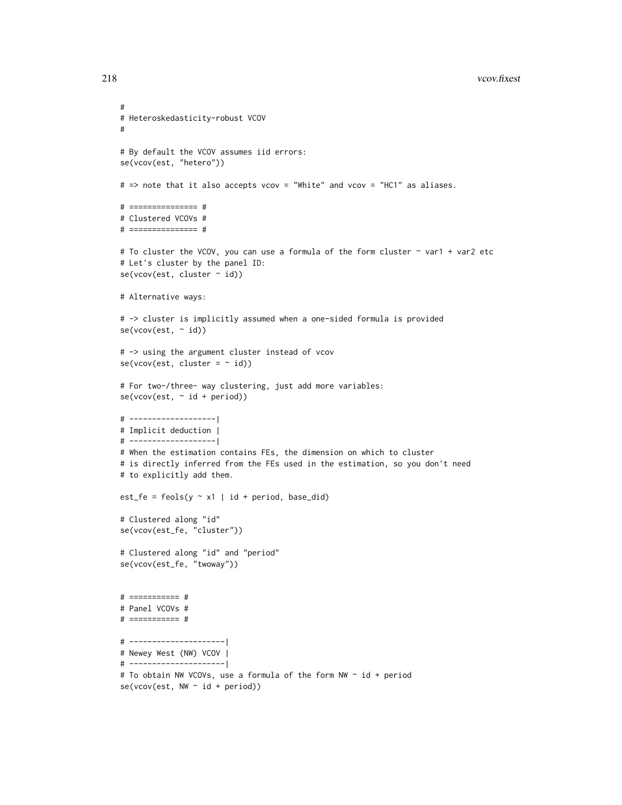```
218 vcov.fixest and the set of the set of the set of the set of the set of the set of the set of the set of the set of the set of the set of the set of the set of the set of the set of the set of the set of the set of the
```

```
#
# Heteroskedasticity-robust VCOV
#
# By default the VCOV assumes iid errors:
se(vcov(est, "hetero"))
# => note that it also accepts vcov = "White" and vcov = "HC1" as aliases.
# =============== #
# Clustered VCOVs #
# =============== #
# To cluster the VCOV, you can use a formula of the form cluster ~ var1 + var2 etc
# Let's cluster by the panel ID:
se(vcov(est, cluster ~ id))
# Alternative ways:
# -> cluster is implicitly assumed when a one-sided formula is provided
se(vcov(est, ~ id))
# -> using the argument cluster instead of vcov
se(vcov(est, cluster = ~ id))# For two-/three- way clustering, just add more variables:
se(vcov(est, ~\sim id + period))# -------------------|
# Implicit deduction |
# -------------------|
# When the estimation contains FEs, the dimension on which to cluster
# is directly inferred from the FEs used in the estimation, so you don't need
# to explicitly add them.
est_fe = feols(y \sim x1 | id + period, base_did)
# Clustered along "id"
se(vcov(est_fe, "cluster"))
# Clustered along "id" and "period"
se(vcov(est_fe, "twoway"))
# =========== #
# Panel VCOVs #
# =========== #
# ---------------------|
# Newey West (NW) VCOV |
# ---------------------|
# To obtain NW VCOVs, use a formula of the form NW ~ id + period
se(vcov(est, NW ~ d + period))
```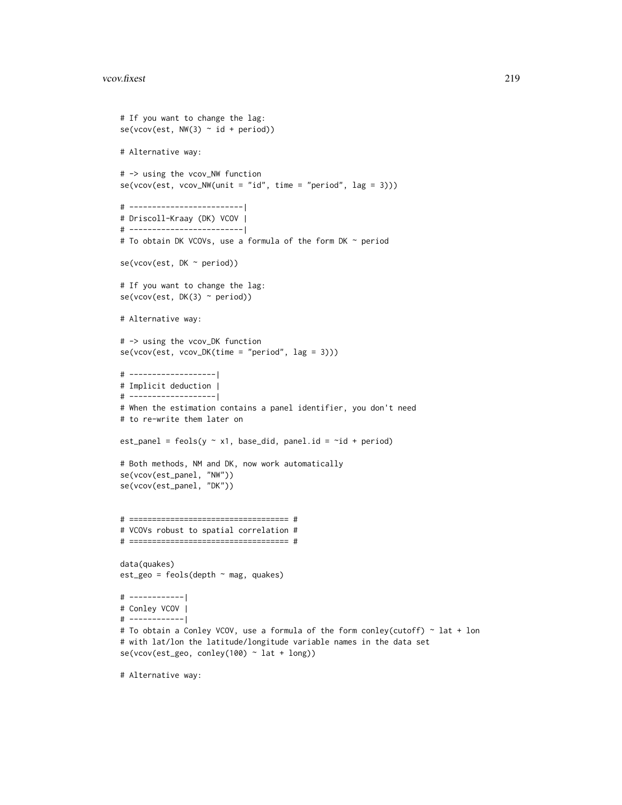```
# If you want to change the lag:
se(vcov(est, NW(3) \sim id + period))# Alternative way:
# -> using the vcov_NW function
se(vcov(est, vcov_NW(unit = "id", time = "period", lag = 3)))# -------------------------|
# Driscoll-Kraay (DK) VCOV |
# -------------------------|
# To obtain DK VCOVs, use a formula of the form DK ~ period
se(vcov(est, DK ~ period))
# If you want to change the lag:
se(vcov(est, DK(3) ~ period))
# Alternative way:
# -> using the vcov_DK function
se(vcov(est, vcov_DK(time = "period", lag = 3)))
# -------------------|
# Implicit deduction |
# -------------------|
# When the estimation contains a panel identifier, you don't need
# to re-write them later on
est_panel = feols(y \sim x1, base_did, panel.id = \simid + period)
# Both methods, NM and DK, now work automatically
se(vcov(est_panel, "NW"))
se(vcov(est_panel, "DK"))
# =================================== #
# VCOVs robust to spatial correlation #
# =================================== #
data(quakes)
est_geo = feols(depth ~ mag, quakes)
# ------------|
# Conley VCOV |
# ------------|
# To obtain a Conley VCOV, use a formula of the form conley(cutoff) ~ lat + lon
# with lat/lon the latitude/longitude variable names in the data set
se(vcov(est_geo, conley(100) ~ lat + long))
```
# Alternative way: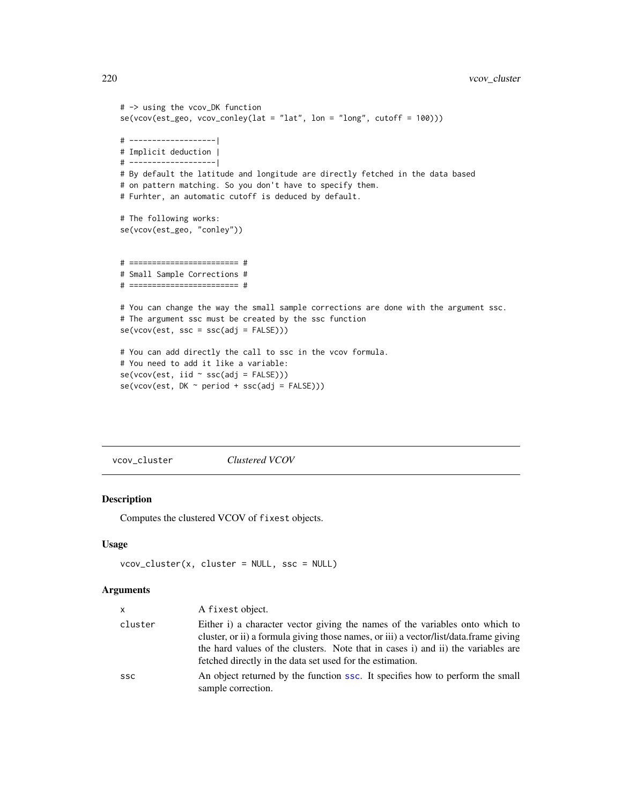```
# -> using the vcov_DK function
se(vcov(est_geo, vcov_conley(lat = "lat", lon = "long", cutoff = 100)))
# -------------------|
# Implicit deduction |
# -------------------|
# By default the latitude and longitude are directly fetched in the data based
# on pattern matching. So you don't have to specify them.
# Furhter, an automatic cutoff is deduced by default.
# The following works:
se(vcov(est_geo, "conley"))
# ======================== #
# Small Sample Corrections #
# ======================== #
# You can change the way the small sample corrections are done with the argument ssc.
# The argument ssc must be created by the ssc function
se(vcov(est, ssc = ssc(adj = FALSE)))
# You can add directly the call to ssc in the vcov formula.
# You need to add it like a variable:
se(vcov(est, iid ~ ssc(adj = FALSE)))
se(vcov(est, DK ~ period + ssc(adj = FALSE)))
```
<span id="page-219-0"></span>vcov\_cluster *Clustered VCOV*

#### Description

Computes the clustered VCOV of fixest objects.

#### Usage

```
vcov_cluster(x, cluster = NULL, ssc = NULL)
```

| <b>X</b>   | A fixest object.                                                                                                                                                                                                                                                                                                       |
|------------|------------------------------------------------------------------------------------------------------------------------------------------------------------------------------------------------------------------------------------------------------------------------------------------------------------------------|
| cluster    | Either i) a character vector giving the names of the variables onto which to<br>cluster, or ii) a formula giving those names, or iii) a vector/list/data.frame giving<br>the hard values of the clusters. Note that in cases i) and ii) the variables are<br>fetched directly in the data set used for the estimation. |
| <b>SSC</b> | An object returned by the function ssc. It specifies how to perform the small<br>sample correction.                                                                                                                                                                                                                    |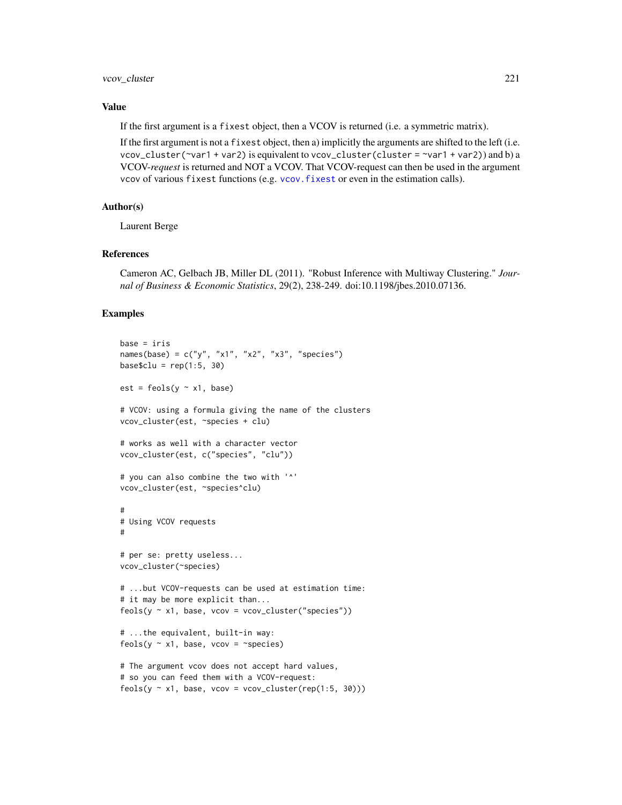# <span id="page-220-0"></span>vcov\_cluster 221

# Value

If the first argument is a fixest object, then a VCOV is returned (i.e. a symmetric matrix).

If the first argument is not a fixest object, then a) implicitly the arguments are shifted to the left (i.e. vcov\_cluster( $\sim$ var1 + var2) is equivalent to vcov\_cluster(cluster =  $\sim$ var1 + var2)) and b) a VCOV-*request* is returned and NOT a VCOV. That VCOV-request can then be used in the argument vcov of various fixest functions (e.g. [vcov.fixest](#page-214-0) or even in the estimation calls).

# Author(s)

Laurent Berge

#### References

Cameron AC, Gelbach JB, Miller DL (2011). "Robust Inference with Multiway Clustering." *Journal of Business & Economic Statistics*, 29(2), 238-249. doi:10.1198/jbes.2010.07136.

```
base = irisnames(base) = c("y", "x1", "x2", "x3", "species")
base$clu = rep(1:5, 30)est = feols(y \sim x1, base)# VCOV: using a formula giving the name of the clusters
vcov_cluster(est, ~species + clu)
# works as well with a character vector
vcov_cluster(est, c("species", "clu"))
# you can also combine the two with '^'
vcov_cluster(est, ~species^clu)
#
# Using VCOV requests
#
# per se: pretty useless...
vcov_cluster(~species)
# ...but VCOV-requests can be used at estimation time:
# it may be more explicit than...
feols(y \sim x1, base, vcov = vcov_{cluster}("species"))# ...the equivalent, built-in way:
feols(y \sim x1, base, vcov = \simspecies)
# The argument vcov does not accept hard values,
# so you can feed them with a VCOV-request:
```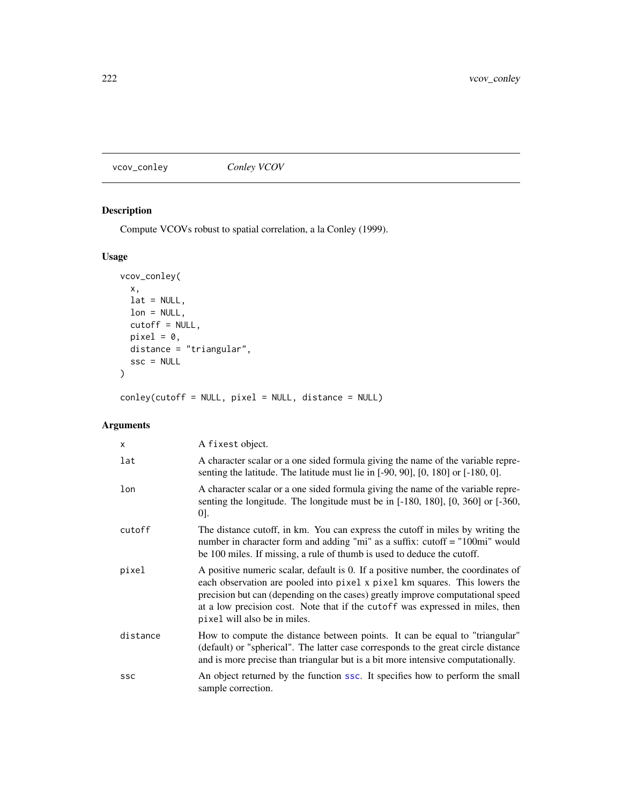<span id="page-221-2"></span><span id="page-221-0"></span>vcov\_conley *Conley VCOV*

# <span id="page-221-1"></span>Description

Compute VCOVs robust to spatial correlation, a la Conley (1999).

# Usage

```
vcov_conley(
 x,
 lat = NULL,lon = NULL,
 cutoff = NULL,
 pixel = 0,distance = "triangular",
 ssc = NULL)
```
conley(cutoff = NULL, pixel = NULL, distance = NULL)

| $\mathsf{x}$ | A fixest object.                                                                                                                                                                                                                                                                                                                                                   |
|--------------|--------------------------------------------------------------------------------------------------------------------------------------------------------------------------------------------------------------------------------------------------------------------------------------------------------------------------------------------------------------------|
| lat          | A character scalar or a one sided formula giving the name of the variable repre-<br>senting the latitude. The latitude must lie in $[-90, 90]$ , $[0, 180]$ or $[-180, 0]$ .                                                                                                                                                                                       |
| lon          | A character scalar or a one sided formula giving the name of the variable repre-<br>senting the longitude. The longitude must be in $[-180, 180]$ , $[0, 360]$ or $[-360,$<br>$[0]$ .                                                                                                                                                                              |
| cutoff       | The distance cutoff, in km. You can express the cutoff in miles by writing the<br>number in character form and adding "mi" as a suffix: cutoff = "100mi" would<br>be 100 miles. If missing, a rule of thumb is used to deduce the cutoff.                                                                                                                          |
| pixel        | A positive numeric scalar, default is 0. If a positive number, the coordinates of<br>each observation are pooled into pixel x pixel km squares. This lowers the<br>precision but can (depending on the cases) greatly improve computational speed<br>at a low precision cost. Note that if the cutoff was expressed in miles, then<br>pixel will also be in miles. |
| distance     | How to compute the distance between points. It can be equal to "triangular"<br>(default) or "spherical". The latter case corresponds to the great circle distance<br>and is more precise than triangular but is a bit more intensive computationally.                                                                                                              |
| <b>SSC</b>   | An object returned by the function ssc. It specifies how to perform the small<br>sample correction.                                                                                                                                                                                                                                                                |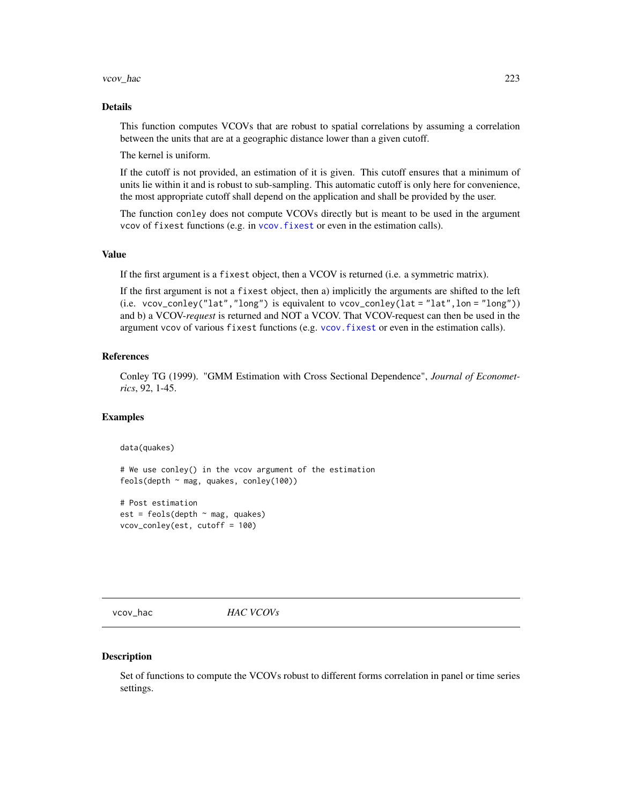#### <span id="page-222-2"></span>vcov\_hac 223

#### Details

This function computes VCOVs that are robust to spatial correlations by assuming a correlation between the units that are at a geographic distance lower than a given cutoff.

The kernel is uniform.

If the cutoff is not provided, an estimation of it is given. This cutoff ensures that a minimum of units lie within it and is robust to sub-sampling. This automatic cutoff is only here for convenience, the most appropriate cutoff shall depend on the application and shall be provided by the user.

The function conley does not compute VCOVs directly but is meant to be used in the argument vcov of fixest functions (e.g. in vcov. fixest or even in the estimation calls).

#### Value

If the first argument is a fixest object, then a VCOV is returned (i.e. a symmetric matrix).

If the first argument is not a fixest object, then a) implicitly the arguments are shifted to the left (i.e. vcov\_conley("lat","long") is equivalent to vcov\_conley(lat = "lat", lon = "long")) and b) a VCOV-*request* is returned and NOT a VCOV. That VCOV-request can then be used in the argument vcov of various fixest functions (e.g. [vcov.fixest](#page-214-0) or even in the estimation calls).

#### References

Conley TG (1999). "GMM Estimation with Cross Sectional Dependence", *Journal of Econometrics*, 92, 1-45.

#### Examples

```
data(quakes)
```
# We use conley() in the vcov argument of the estimation feols(depth ~ mag, quakes, conley(100))

# Post estimation est = feols(depth  $\sim$  mag, quakes) vcov\_conley(est, cutoff = 100)

<span id="page-222-0"></span>vcov\_hac *HAC VCOVs*

#### <span id="page-222-1"></span>Description

Set of functions to compute the VCOVs robust to different forms correlation in panel or time series settings.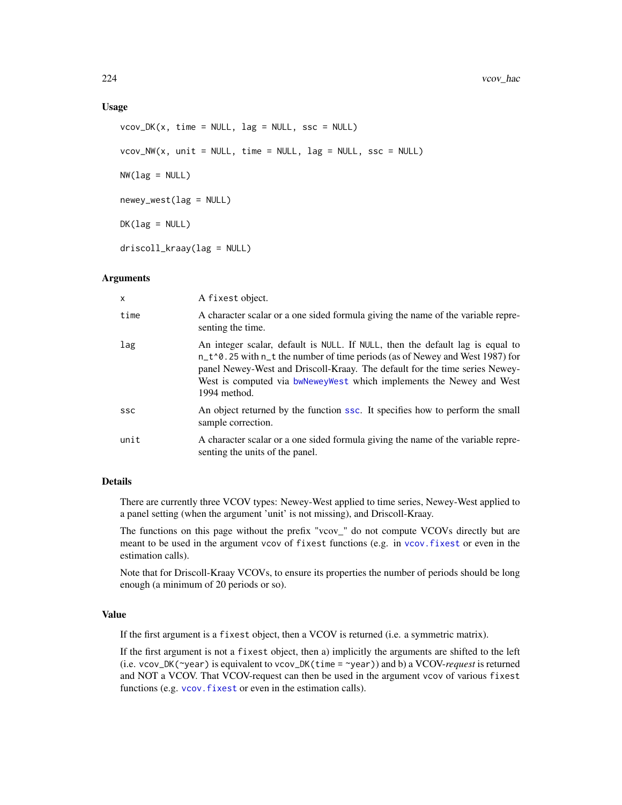#### <span id="page-223-0"></span>Usage

```
vcov_DK(x, time = NULL, lag = NULL, ssc = NULL)vcov_NW(x, unit = NULL, time = NULL, lag = NULL, ssc = NULL)NW(\text{lag} = NULL)newey_west(lag = NULL)
DK(lag = NULL)driscoll_kraay(lag = NULL)
```
#### Arguments

| X          | A fixest object.                                                                                                                                                                                                                                                                                                                           |
|------------|--------------------------------------------------------------------------------------------------------------------------------------------------------------------------------------------------------------------------------------------------------------------------------------------------------------------------------------------|
| time       | A character scalar or a one sided formula giving the name of the variable repre-<br>senting the time.                                                                                                                                                                                                                                      |
| lag        | An integer scalar, default is NULL. If NULL, then the default lag is equal to<br>$n_t$ o 25 with $n_t$ t the number of time periods (as of Newey and West 1987) for<br>panel Newey-West and Driscoll-Kraay. The default for the time series Newey-<br>West is computed via bwNeweyWest which implements the Newey and West<br>1994 method. |
| <b>SSC</b> | An object returned by the function ssc. It specifies how to perform the small<br>sample correction.                                                                                                                                                                                                                                        |
| unit       | A character scalar or a one sided formula giving the name of the variable repre-<br>senting the units of the panel.                                                                                                                                                                                                                        |

# Details

There are currently three VCOV types: Newey-West applied to time series, Newey-West applied to a panel setting (when the argument 'unit' is not missing), and Driscoll-Kraay.

The functions on this page without the prefix "vcov\_" do not compute VCOVs directly but are meant to be used in the argument vcov of fixest functions (e.g. in [vcov.fixest](#page-214-0) or even in the estimation calls).

Note that for Driscoll-Kraay VCOVs, to ensure its properties the number of periods should be long enough (a minimum of 20 periods or so).

#### Value

If the first argument is a fixest object, then a VCOV is returned (i.e. a symmetric matrix).

If the first argument is not a fixest object, then a) implicitly the arguments are shifted to the left (i.e. vcov\_DK(~year) is equivalent to vcov\_DK(time = ~year)) and b) a VCOV-*request* is returned and NOT a VCOV. That VCOV-request can then be used in the argument vcov of various fixest functions (e.g. vcov. fixest or even in the estimation calls).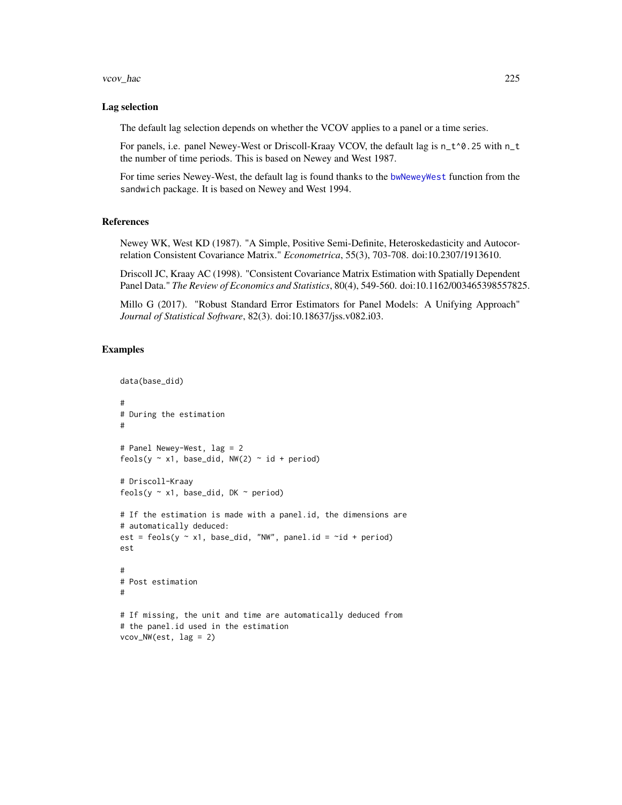#### <span id="page-224-0"></span>vcov\_hac 225

#### Lag selection

The default lag selection depends on whether the VCOV applies to a panel or a time series.

For panels, i.e. panel Newey-West or Driscoll-Kraay VCOV, the default lag is n\_t^0.25 with n\_t the number of time periods. This is based on Newey and West 1987.

For time series Newey-West, the default lag is found thanks to the [bwNeweyWest](#page-0-0) function from the sandwich package. It is based on Newey and West 1994.

#### References

Newey WK, West KD (1987). "A Simple, Positive Semi-Definite, Heteroskedasticity and Autocorrelation Consistent Covariance Matrix." *Econometrica*, 55(3), 703-708. doi:10.2307/1913610.

Driscoll JC, Kraay AC (1998). "Consistent Covariance Matrix Estimation with Spatially Dependent Panel Data." *The Review of Economics and Statistics*, 80(4), 549-560. doi:10.1162/003465398557825.

Millo G (2017). "Robust Standard Error Estimators for Panel Models: A Unifying Approach" *Journal of Statistical Software*, 82(3). doi:10.18637/jss.v082.i03.

```
data(base_did)
#
# During the estimation
#
# Panel Newey-West, lag = 2
feols(y \sim x1, base_did, NW(2) \sim id + period)
# Driscoll-Kraay
feols(y \sim x1, base_did, DK \sim period)
# If the estimation is made with a panel.id, the dimensions are
# automatically deduced:
est = feols(y \sim x1, base_did, "NW", panel.id = ~id + period)
est
#
# Post estimation
#
# If missing, the unit and time are automatically deduced from
# the panel.id used in the estimation
vcov_NW(est, lag = 2)
```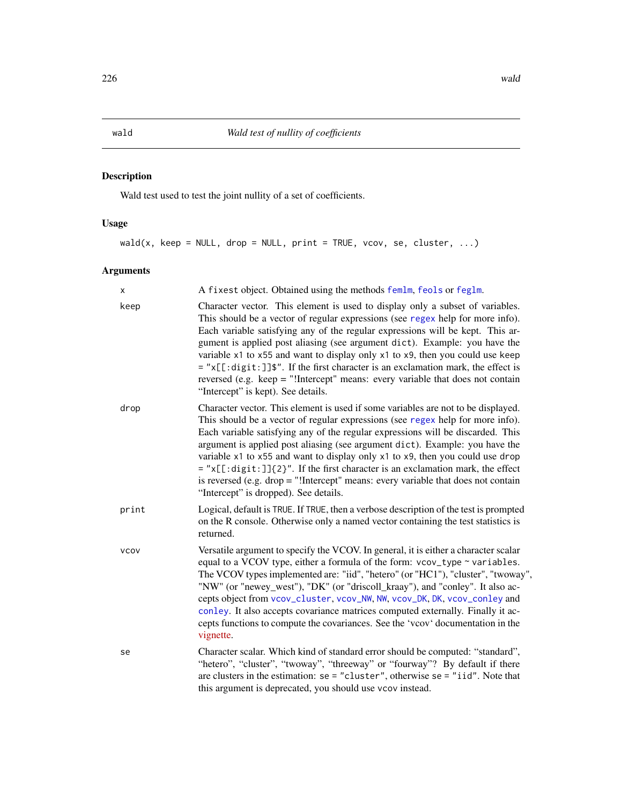# <span id="page-225-0"></span>Description

Wald test used to test the joint nullity of a set of coefficients.

# Usage

 $wald(x, keep = NULL, drop = NULL, print = TRUE, vcov, se, cluster, ...)$ 

| X           | A fixest object. Obtained using the methods femlm, feols or feglm.                                                                                                                                                                                                                                                                                                                                                                                                                                                                                                                                                                          |
|-------------|---------------------------------------------------------------------------------------------------------------------------------------------------------------------------------------------------------------------------------------------------------------------------------------------------------------------------------------------------------------------------------------------------------------------------------------------------------------------------------------------------------------------------------------------------------------------------------------------------------------------------------------------|
| keep        | Character vector. This element is used to display only a subset of variables.<br>This should be a vector of regular expressions (see regex help for more info).<br>Each variable satisfying any of the regular expressions will be kept. This ar-<br>gument is applied post aliasing (see argument dict). Example: you have the<br>variable x1 to x55 and want to display only x1 to x9, then you could use keep<br>$=$ "x[[:digit:]] $\frac{1}{2}$ ". If the first character is an exclamation mark, the effect is<br>reversed (e.g. keep = "!Intercept" means: every variable that does not contain<br>"Intercept" is kept). See details. |
| drop        | Character vector. This element is used if some variables are not to be displayed.<br>This should be a vector of regular expressions (see regex help for more info).<br>Each variable satisfying any of the regular expressions will be discarded. This<br>argument is applied post aliasing (see argument dict). Example: you have the<br>variable x1 to x55 and want to display only x1 to x9, then you could use drop<br>$=$ "x[[:digit:]]{2}". If the first character is an exclamation mark, the effect<br>is reversed (e.g. drop $=$ "!Intercept" means: every variable that does not contain<br>"Intercept" is dropped). See details. |
| print       | Logical, default is TRUE. If TRUE, then a verbose description of the test is prompted<br>on the R console. Otherwise only a named vector containing the test statistics is<br>returned.                                                                                                                                                                                                                                                                                                                                                                                                                                                     |
| <b>VCOV</b> | Versatile argument to specify the VCOV. In general, it is either a character scalar<br>equal to a VCOV type, either a formula of the form: vcov_type ~ variables.<br>The VCOV types implemented are: "iid", "hetero" (or "HC1"), "cluster", "twoway",<br>"NW" (or "newey_west"), "DK" (or "driscoll_kraay"), and "conley". It also ac-<br>cepts object from vcov_cluster, vcov_NW, NW, vcov_DK, DK, vcov_conley and<br>conley. It also accepts covariance matrices computed externally. Finally it ac-<br>cepts functions to compute the covariances. See the 'vcov' documentation in the<br>vignette.                                      |
| se          | Character scalar. Which kind of standard error should be computed: "standard",<br>"hetero", "cluster", "twoway", "threeway" or "fourway"? By default if there<br>are clusters in the estimation: $se = "cluster", otherwise = e = "iid".$ Note that<br>this argument is deprecated, you should use vcov instead.                                                                                                                                                                                                                                                                                                                            |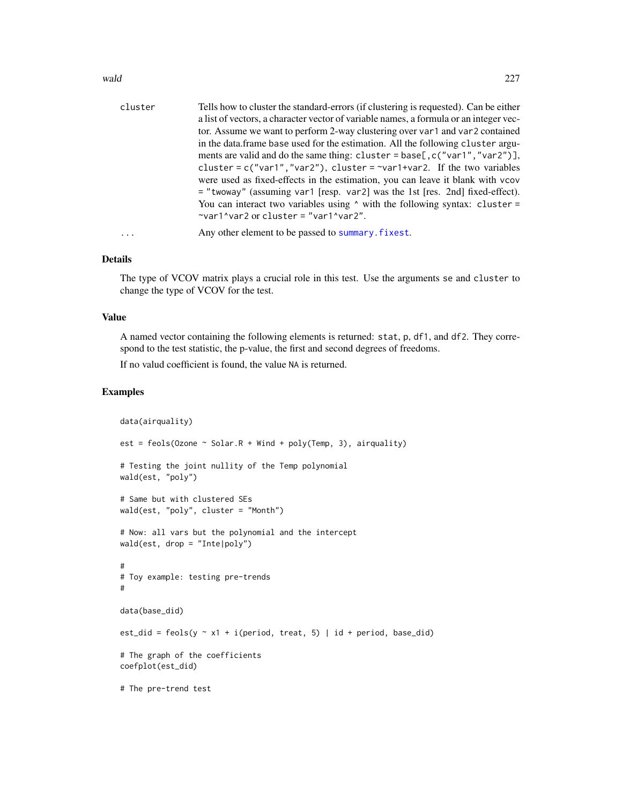#### <span id="page-226-0"></span>wald 227

| cluster  | Tells how to cluster the standard-errors (if clustering is requested). Can be either  |
|----------|---------------------------------------------------------------------------------------|
|          | a list of vectors, a character vector of variable names, a formula or an integer vec- |
|          | tor. Assume we want to perform 2-way clustering over var1 and var2 contained          |
|          | in the data. frame base used for the estimation. All the following cluster argu-      |
|          | ments are valid and do the same thing: cluster = base[, $c("var1", "var2")$ ],        |
|          | cluster = $c("var1", "var2")$ , cluster = $\sim$ var1+var2. If the two variables      |
|          | were used as fixed-effects in the estimation, you can leave it blank with vcov        |
|          | = "twoway" (assuming var1 [resp. var2] was the 1st [res. 2nd] fixed-effect).          |
|          | You can interact two variables using $\land$ with the following syntax: cluster =     |
|          | $\gamma$ var1 $\gamma$ var2 or cluster = "var1 $\gamma$ var2".                        |
| $\cdots$ | Any other element to be passed to summary. fixest.                                    |
|          |                                                                                       |

#### Details

The type of VCOV matrix plays a crucial role in this test. Use the arguments se and cluster to change the type of VCOV for the test.

#### Value

A named vector containing the following elements is returned: stat, p, df1, and df2. They correspond to the test statistic, the p-value, the first and second degrees of freedoms.

If no valud coefficient is found, the value NA is returned.

```
data(airquality)
est = feols(Ozone \sim Solar.R + Wind + poly(Temp, 3), airquality)
# Testing the joint nullity of the Temp polynomial
wald(est, "poly")
# Same but with clustered SEs
wald(est, "poly", cluster = "Month")
# Now: all vars but the polynomial and the intercept
wald(est, drop = "Inte|poly")
#
# Toy example: testing pre-trends
#
data(base_did)
est_did = feols(y \sim x1 + i(period, treat, 5) | id + period, base_did)
# The graph of the coefficients
coefplot(est_did)
# The pre-trend test
```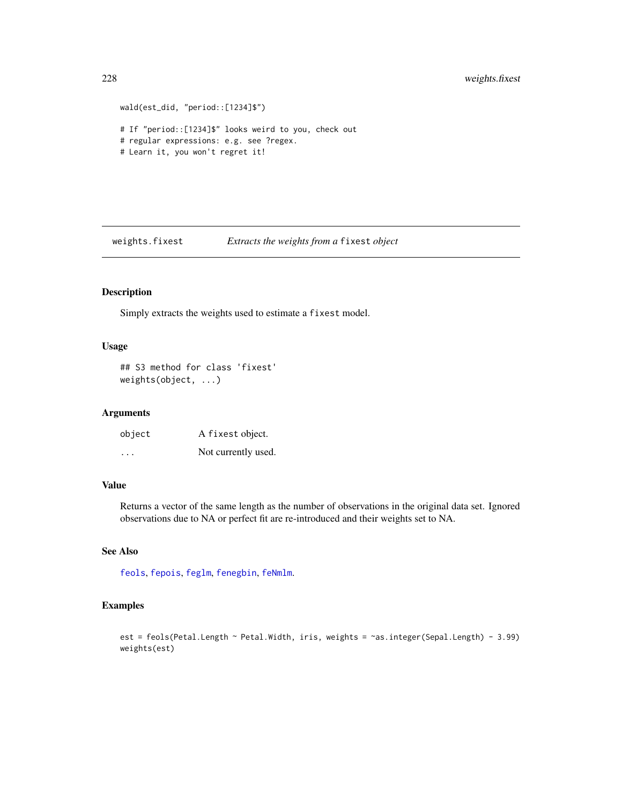```
wald(est_did, "period::[1234]$")
# If "period::[1234]$" looks weird to you, check out
# regular expressions: e.g. see ?regex.
# Learn it, you won't regret it!
```
weights.fixest *Extracts the weights from a* fixest *object*

# Description

Simply extracts the weights used to estimate a fixest model.

# Usage

## S3 method for class 'fixest' weights(object, ...)

# Arguments

| object  | A fixest object.    |
|---------|---------------------|
| $\cdot$ | Not currently used. |

#### Value

Returns a vector of the same length as the number of observations in the original data set. Ignored observations due to NA or perfect fit are re-introduced and their weights set to NA.

# See Also

[feols](#page-112-0), [fepois](#page-79-1), [feglm](#page-79-0), [fenegbin](#page-91-1), [feNmlm](#page-101-0).

```
est = feols(Petal.Length ~ Petal.Width, iris, weights = ~as.integer(Sepal.Length) - 3.99)
weights(est)
```
<span id="page-227-0"></span>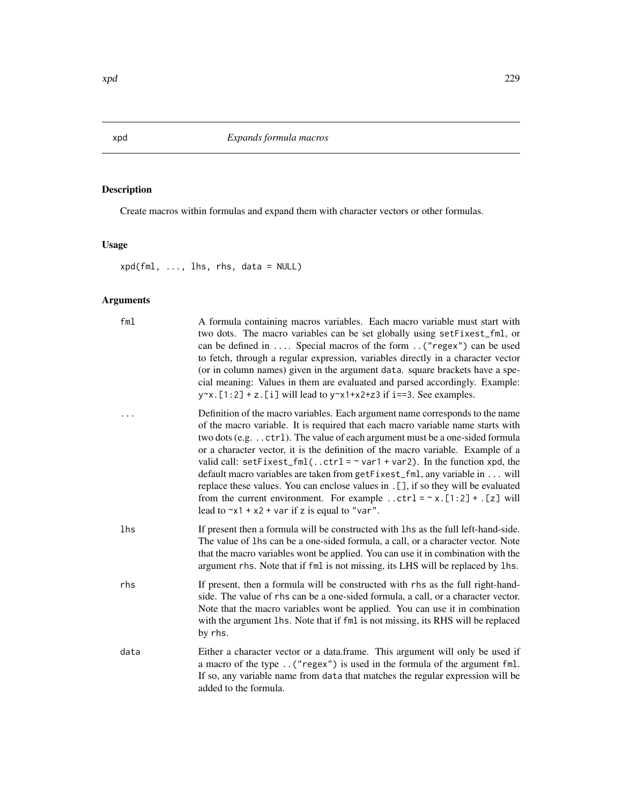# Description

Create macros within formulas and expand them with character vectors or other formulas.

# Usage

xpd(fml, ..., lhs, rhs, data = NULL)

| fml  | A formula containing macros variables. Each macro variable must start with<br>two dots. The macro variables can be set globally using set Fixest_fml, or<br>can be defined in  Special macros of the form ("regex") can be used<br>to fetch, through a regular expression, variables directly in a character vector<br>(or in column names) given in the argument data. square brackets have a spe-<br>cial meaning: Values in them are evaluated and parsed accordingly. Example:<br>$y^x$ . [1:2] + z. [i] will lead to $y^x$ x1+x2+z3 if i==3. See examples.                                                                                                                                                                          |
|------|------------------------------------------------------------------------------------------------------------------------------------------------------------------------------------------------------------------------------------------------------------------------------------------------------------------------------------------------------------------------------------------------------------------------------------------------------------------------------------------------------------------------------------------------------------------------------------------------------------------------------------------------------------------------------------------------------------------------------------------|
|      | Definition of the macro variables. Each argument name corresponds to the name<br>of the macro variable. It is required that each macro variable name starts with<br>two dots (e.g. ctrl). The value of each argument must be a one-sided formula<br>or a character vector, it is the definition of the macro variable. Example of a<br>valid call: setFixest_fml(ctrl = $\sim$ var1 + var2). In the function xpd, the<br>default macro variables are taken from getFixest_fml, any variable in will<br>replace these values. You can enclose values in . [], if so they will be evaluated<br>from the current environment. For example ctrl = $\sim x$ . [1:2] + . [z] will<br>lead to $x_1 + x_2 + \text{var if } z$ is equal to "var". |
| lhs  | If present then a formula will be constructed with lhs as the full left-hand-side.<br>The value of 1hs can be a one-sided formula, a call, or a character vector. Note<br>that the macro variables wont be applied. You can use it in combination with the<br>argument rhs. Note that if fml is not missing, its LHS will be replaced by lhs.                                                                                                                                                                                                                                                                                                                                                                                            |
| rhs  | If present, then a formula will be constructed with rhs as the full right-hand-<br>side. The value of rhs can be a one-sided formula, a call, or a character vector.<br>Note that the macro variables wont be applied. You can use it in combination<br>with the argument 1hs. Note that if fm1 is not missing, its RHS will be replaced<br>by rhs.                                                                                                                                                                                                                                                                                                                                                                                      |
| data | Either a character vector or a data.frame. This argument will only be used if<br>a macro of the type ("regex") is used in the formula of the argument fml.<br>If so, any variable name from data that matches the regular expression will be<br>added to the formula.                                                                                                                                                                                                                                                                                                                                                                                                                                                                    |

<span id="page-228-0"></span>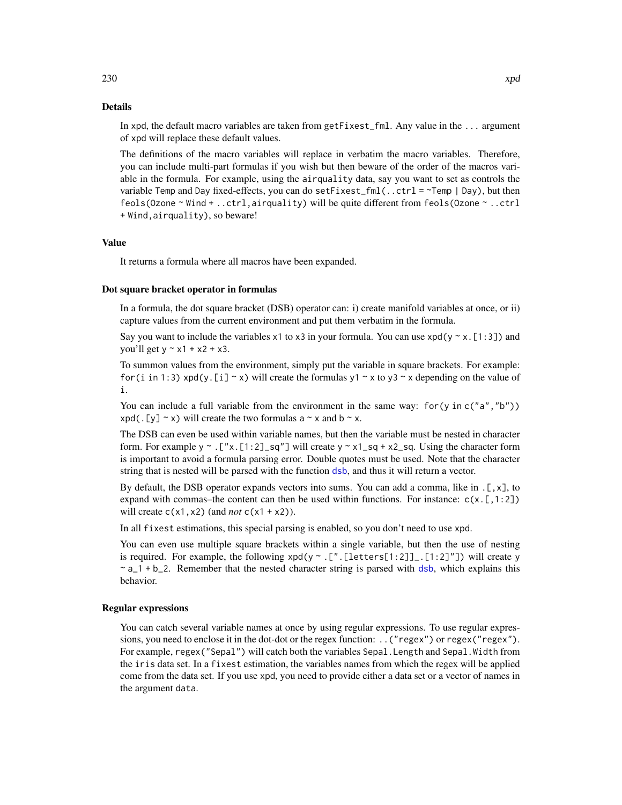<span id="page-229-0"></span>In xpd, the default macro variables are taken from getFixest\_fml. Any value in the ... argument of xpd will replace these default values.

The definitions of the macro variables will replace in verbatim the macro variables. Therefore, you can include multi-part formulas if you wish but then beware of the order of the macros variable in the formula. For example, using the airquality data, say you want to set as controls the variable Temp and Day fixed-effects, you can do setFixest\_fml(..ctrl =  $\sim$ Temp | Day), but then feols(Ozone ~ Wind + ..ctrl,airquality) will be quite different from feols(Ozone ~ ..ctrl + Wind,airquality), so beware!

#### Value

It returns a formula where all macros have been expanded.

#### Dot square bracket operator in formulas

In a formula, the dot square bracket (DSB) operator can: i) create manifold variables at once, or ii) capture values from the current environment and put them verbatim in the formula.

Say you want to include the variables x1 to x3 in your formula. You can use  $xpd(y \sim x.[1:3])$  and you'll get  $y \sim x1 + x2 + x3$ .

To summon values from the environment, simply put the variable in square brackets. For example: for (i in 1:3) xpd(y. [i]  $\sim$  x) will create the formulas y1  $\sim$  x to y3  $\sim$  x depending on the value of i.

You can include a full variable from the environment in the same way: for (y in c("a", "b"))  $xpd(. [y] \sim x)$  will create the two formulas a  $\sim x$  and b  $\sim x$ .

The DSB can even be used within variable names, but then the variable must be nested in character form. For example y  $\sim$  . ["x.[1:2]\_sq"] will create y  $\sim$  x1\_sq + x2\_sq. Using the character form is important to avoid a formula parsing error. Double quotes must be used. Note that the character string that is nested will be parsed with the function [dsb](#page-44-0), and thus it will return a vector.

By default, the DSB operator expands vectors into sums. You can add a comma, like in .[,x], to expand with commas–the content can then be used within functions. For instance:  $c(x, [1:2])$ will create  $c(x1, x2)$  (and *not*  $c(x1 + x2)$ ).

In all fixest estimations, this special parsing is enabled, so you don't need to use xpd.

You can even use multiple square brackets within a single variable, but then the use of nesting is required. For example, the following  $xpd(y \sim .[$ ".[letters[1:2]]\_.[1:2]"]) will create y  $\sim a_1 + b_2$ . Remember that the nested character string is parsed with [dsb](#page-44-0), which explains this behavior.

#### Regular expressions

You can catch several variable names at once by using regular expressions. To use regular expressions, you need to enclose it in the dot-dot or the regex function: ..("regex") or regex("regex"). For example, regex("Sepal") will catch both the variables Sepal. Length and Sepal. Width from the iris data set. In a fixest estimation, the variables names from which the regex will be applied come from the data set. If you use xpd, you need to provide either a data set or a vector of names in the argument data.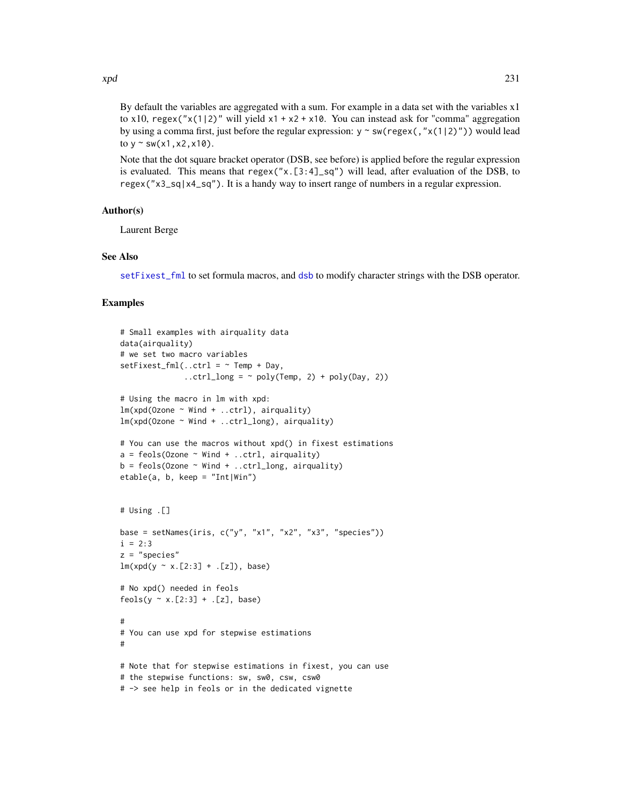<span id="page-230-0"></span>By default the variables are aggregated with a sum. For example in a data set with the variables x1

to x10, regex(" $x(1|2)$ " will yield  $x1 + x2 + x10$ . You can instead ask for "comma" aggregation by using a comma first, just before the regular expression:  $y \sim sw(regex(, 'x(1|2)''))$  would lead to  $y \sim sw(x1, x2, x10)$ .

Note that the dot square bracket operator (DSB, see before) is applied before the regular expression is evaluated. This means that regex(" $x$ .[3:4]\_sq") will lead, after evaluation of the DSB, to regex("x3\_sq|x4\_sq"). It is a handy way to insert range of numbers in a regular expression.

#### Author(s)

Laurent Berge

### See Also

[setFixest\\_fml](#page-178-0) to set formula macros, and [dsb](#page-44-0) to modify character strings with the DSB operator.

```
# Small examples with airquality data
data(airquality)
# we set two macro variables
setFixed\_fm1(..ctrl = ~ Temp + Day,
              \ldotsctrl_long = ~ poly(Temp, 2) + poly(Day, 2))
# Using the macro in lm with xpd:
lm(xpd(Ozone ~ Wind + ...ctrl), airquality)lm(xpd(0zone \sim Wind + ...ctrl_long), airquality)# You can use the macros without xpd() in fixest estimations
a = feols(0zone ~ Wind + ...ctrl, airquality)b = feols(0zone ~ Wind + ...ctrl_long, airquality)etable(a, b, keep = "Int|Win")
# Using .[]
base = setNames(iris, c("y", "x1", "x2", "x3", "species"))
i = 2:3z = "species"lm(xpd(y \sim x.[2:3] +.[z]), base)
# No xpd() needed in feols
feols(y \sim x.[2:3] + .[z], base)
#
# You can use xpd for stepwise estimations
#
# Note that for stepwise estimations in fixest, you can use
# the stepwise functions: sw, sw0, csw, csw0
# -> see help in feols or in the dedicated vignette
```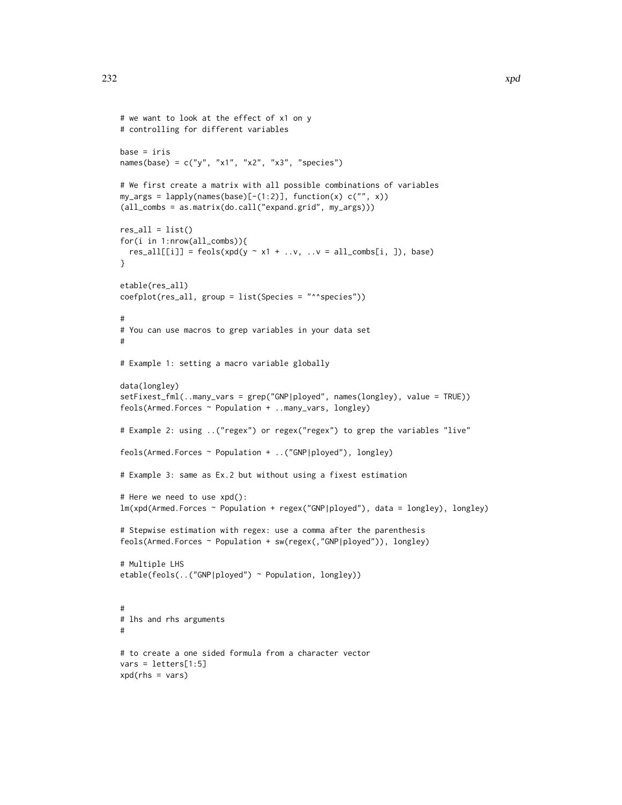```
# we want to look at the effect of x1 on y
# controlling for different variables
base = iris
names(base) = c("y", "x1", "x2", "x3", "species")
# We first create a matrix with all possible combinations of variables
my_{\text{args}} = \text{lapply}(\text{names}(\text{base})[-(1:2)], \text{ function}(x) \text{ c("", x)})(all_combs = as.matrix(do.call("expand.grid", my_args)))
res\_all = list()for(i in 1:nrow(all_combs)){
  res\_all[[i]] = feols(xpd(y \sim x1 + ..v, ..v = all\_combs[i, ]), base)}
etable(res_all)
coefplot(res_all, group = list(Species = "^^species"))
#
# You can use macros to grep variables in your data set
#
# Example 1: setting a macro variable globally
data(longley)
setFixest_fml(..many_vars = grep("GNP|ployed", names(longley), value = TRUE))
feols(Armed.Forces ~ Population + ..many_vars, longley)
# Example 2: using ..("regex") or regex("regex") to grep the variables "live"
feols(Armed.Forces ~ Population + ..("GNP|ployed"), longley)
# Example 3: same as Ex.2 but without using a fixest estimation
# Here we need to use xpd():
lm(xpd(Armed.Forces ~ Population + regex("GNP|ployed"), data = longley), longley)
# Stepwise estimation with regex: use a comma after the parenthesis
feols(Armed.Forces ~ Population + sw(regex(,"GNP|ployed")), longley)
# Multiple LHS
etable(feols(..("GNP|ployed") ~ Population, longley))
#
# lhs and rhs arguments
#
# to create a one sided formula from a character vector
vars = letters[1:5]
xpd(rhs = vars)
```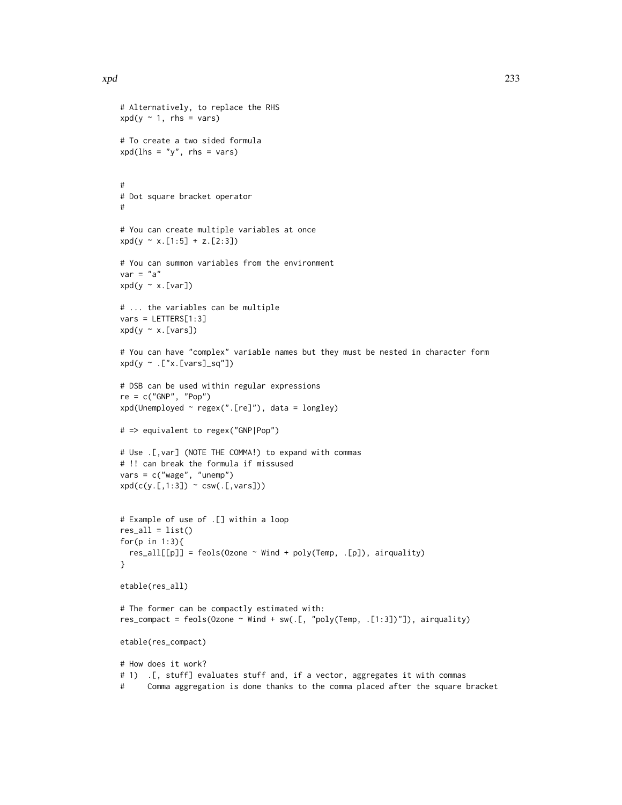# Alternatively, to replace the RHS

# To create a two sided formula  $xpd(lhs = "y", rhs = vars)$ 

 $xpd(y \sim 1, \text{rhs} = \text{vars})$ 

```
#
# Dot square bracket operator
#
# You can create multiple variables at once
xpd(y \sim x.[1:5] + z.[2:3])# You can summon variables from the environment
var = "a"xpd(y \sim x.[var])# ... the variables can be multiple
vars = LETTERS[1:3]
xpd(y \sim x.[vars])# You can have "complex" variable names but they must be nested in character form
xd(y \sim .["x.[vars]_sq"]# DSB can be used within regular expressions
re = c("GNP", "Pop")xpd(Unemployed ~ regex(".[re]"), data = longley)
# => equivalent to regex("GNP|Pop")
# Use .[,var] (NOTE THE COMMA!) to expand with commas
# !! can break the formula if missused
vars = c("wage", "unemp")
xpd(c(y.[,1:3]) \sim csw(.[,vars]))# Example of use of .[] within a loop
res\_all = list()for(p in 1:3){
  res\_all[[p]] = feols(0zone ~ Wind + poly(Temp, .[p]), airquality)}
etable(res_all)
# The former can be compactly estimated with:
res_compact = feols(Ozone ~ Wind + sw(.[, "poly(Temp, .[1:3])"]), airquality)
etable(res_compact)
# How does it work?
# 1) .[, stuff] evaluates stuff and, if a vector, aggregates it with commas
```
# Comma aggregation is done thanks to the comma placed after the square bracket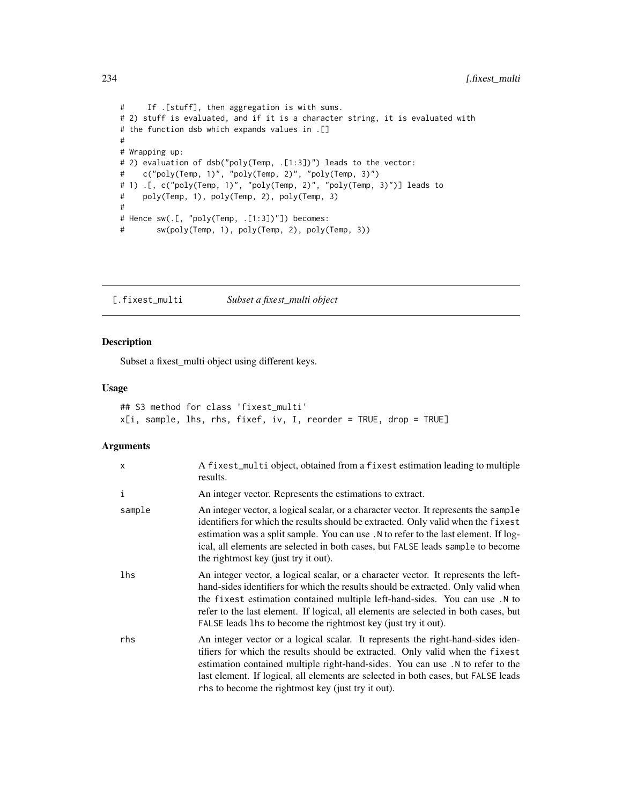```
# If .[stuff], then aggregation is with sums.
# 2) stuff is evaluated, and if it is a character string, it is evaluated with
# the function dsb which expands values in .[]
#
# Wrapping up:
# 2) evaluation of dsb("poly(Temp, .[1:3])") leads to the vector:
# c("poly(Temp, 1)", "poly(Temp, 2)", "poly(Temp, 3)")
# 1) .[, c("poly(Temp, 1)", "poly(Temp, 2)", "poly(Temp, 3)")] leads to
# poly(Temp, 1), poly(Temp, 2), poly(Temp, 3)
#
# Hence sw(.[, "poly(Temp, .[1:3])"]) becomes:
# sw(poly(Temp, 1), poly(Temp, 2), poly(Temp, 3))
```
[.fixest\_multi *Subset a fixest\_multi object*

# Description

Subset a fixest\_multi object using different keys.

#### Usage

```
## S3 method for class 'fixest_multi'
x[i, sample, lhs, rhs, fixef, iv, I, reorder = TRUE, drop = TRUE]
```

| x      | A fixest_multi object, obtained from a fixest estimation leading to multiple<br>results.                                                                                                                                                                                                                                                                                                                         |
|--------|------------------------------------------------------------------------------------------------------------------------------------------------------------------------------------------------------------------------------------------------------------------------------------------------------------------------------------------------------------------------------------------------------------------|
| i      | An integer vector. Represents the estimations to extract.                                                                                                                                                                                                                                                                                                                                                        |
| sample | An integer vector, a logical scalar, or a character vector. It represents the sample<br>identifiers for which the results should be extracted. Only valid when the fixest<br>estimation was a split sample. You can use . N to refer to the last element. If log-<br>ical, all elements are selected in both cases, but FALSE leads sample to become<br>the rightmost key (just try it out).                     |
| lhs    | An integer vector, a logical scalar, or a character vector. It represents the left-<br>hand-sides identifiers for which the results should be extracted. Only valid when<br>the fixest estimation contained multiple left-hand-sides. You can use .N to<br>refer to the last element. If logical, all elements are selected in both cases, but<br>FALSE leads lhs to become the rightmost key (just try it out). |
| rhs    | An integer vector or a logical scalar. It represents the right-hand-sides iden-<br>tifiers for which the results should be extracted. Only valid when the fixest<br>estimation contained multiple right-hand-sides. You can use .N to refer to the<br>last element. If logical, all elements are selected in both cases, but FALSE leads<br>rhs to become the rightmost key (just try it out).                   |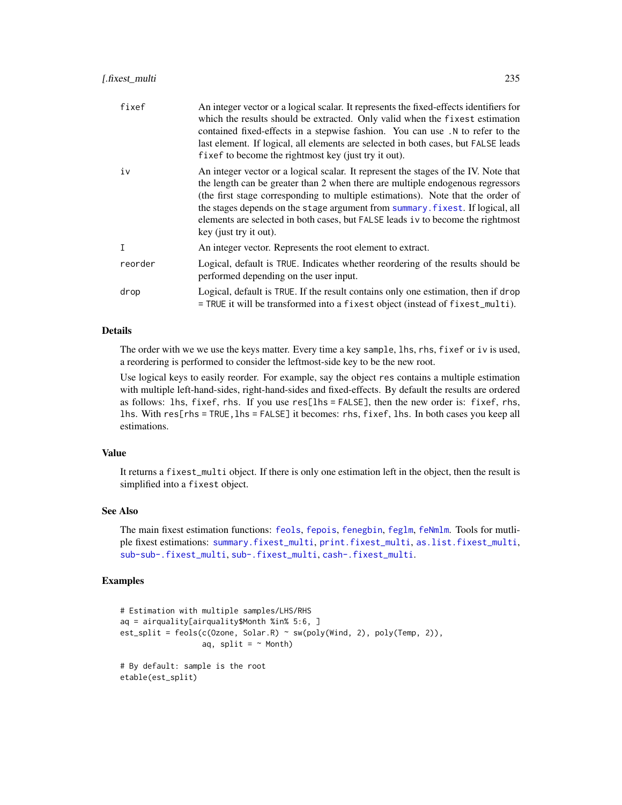# <span id="page-234-0"></span>[.fixest\_multi 235

| fixef        | An integer vector or a logical scalar. It represents the fixed-effects identifiers for<br>which the results should be extracted. Only valid when the fixest estimation<br>contained fixed-effects in a stepwise fashion. You can use .N to refer to the<br>last element. If logical, all elements are selected in both cases, but FALSE leads<br>fixef to become the rightmost key (just try it out).                                                   |
|--------------|---------------------------------------------------------------------------------------------------------------------------------------------------------------------------------------------------------------------------------------------------------------------------------------------------------------------------------------------------------------------------------------------------------------------------------------------------------|
| iv           | An integer vector or a logical scalar. It represent the stages of the IV. Note that<br>the length can be greater than 2 when there are multiple endogenous regressors<br>(the first stage corresponding to multiple estimations). Note that the order of<br>the stages depends on the stage argument from summary. fixest. If logical, all<br>elements are selected in both cases, but FALSE leads iv to become the rightmost<br>key (just try it out). |
| $\mathsf{T}$ | An integer vector. Represents the root element to extract.                                                                                                                                                                                                                                                                                                                                                                                              |
| reorder      | Logical, default is TRUE. Indicates whether reordering of the results should be<br>performed depending on the user input.                                                                                                                                                                                                                                                                                                                               |
| drop         | Logical, default is TRUE. If the result contains only one estimation, then if drop<br>= TRUE it will be transformed into a fixest object (instead of fixest_multi).                                                                                                                                                                                                                                                                                     |

# Details

The order with we we use the keys matter. Every time a key sample, lhs, rhs, fixef or iv is used, a reordering is performed to consider the leftmost-side key to be the new root.

Use logical keys to easily reorder. For example, say the object res contains a multiple estimation with multiple left-hand-sides, right-hand-sides and fixed-effects. By default the results are ordered as follows: lhs, fixef, rhs. If you use res[lhs = FALSE], then the new order is: fixef, rhs, lhs. With res[rhs = TRUE,lhs = FALSE] it becomes: rhs, fixef, lhs. In both cases you keep all estimations.

#### Value

It returns a fixest\_multi object. If there is only one estimation left in the object, then the result is simplified into a fixest object.

# See Also

The main fixest estimation functions: [feols](#page-112-0), [fepois](#page-79-1), [fenegbin](#page-91-1), [feglm](#page-79-0), [feNmlm](#page-101-0). Tools for mutliple fixest estimations: [summary.fixest\\_multi](#page-203-0), [print.fixest\\_multi](#page-160-0), [as.list.fixest\\_multi](#page-6-0), [sub-sub-.fixest\\_multi](#page-0-0), [sub-.fixest\\_multi](#page-0-0), [cash-.fixest\\_multi](#page-0-0).

```
# Estimation with multiple samples/LHS/RHS
aq = airquality[airquality$Month %in% 5:6, ]
est\_split = feols(c(0zone, Solar.R) ~ sw(poly(Wind, 2), poly(Temp, 2)),aq, split = \sim Month)
# By default: sample is the root
etable(est_split)
```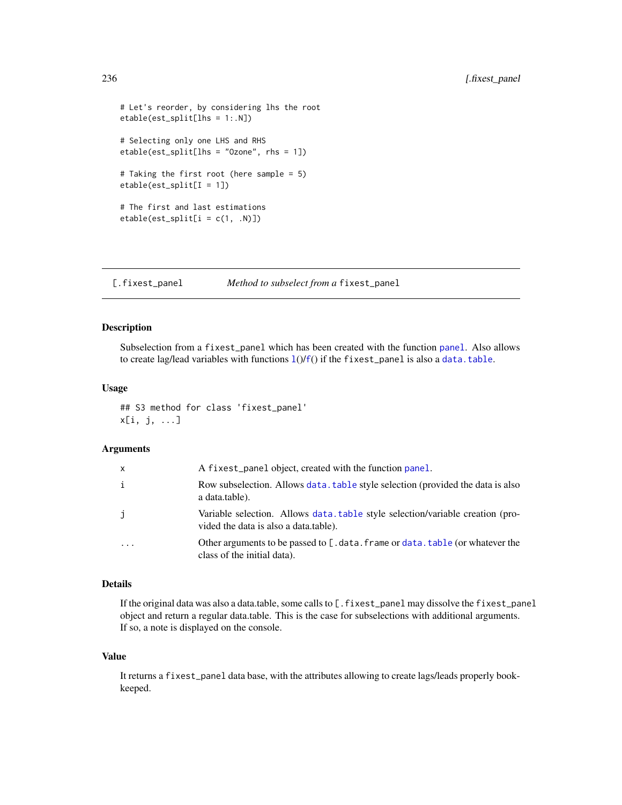```
# Let's reorder, by considering lhs the root
etable(est_split[lhs = 1:.N])
# Selecting only one LHS and RHS
etable(est_split[lhs = "Ozone", rhs = 1])
# Taking the first root (here sample = 5)
etable(est_split[I = 1])
# The first and last estimations
etable(est_split[i = c(1, .N)])
```
[.fixest\_panel *Method to subselect from a* fixest\_panel

#### Description

Subselection from a fixest\_panel which has been created with the function [panel](#page-150-0). Also allows to create [l](#page-78-0)ag/lead variables with [f](#page-78-1)unctions  $1() / f()$  if the fixest\_panel is also a [data.table](#page-0-0).

#### Usage

## S3 method for class 'fixest\_panel' x[i, j, ...]

# Arguments

| x        | A fixest_panel object, created with the function panel.                                                                |
|----------|------------------------------------------------------------------------------------------------------------------------|
| i        | Row subselection. Allows data, table style selection (provided the data is also<br>a data.table).                      |
| j        | Variable selection. Allows data table style selection/variable creation (pro-<br>vided the data is also a data.table). |
| $\ddots$ | Other arguments to be passed to [.data.frame or data.table (or whatever the<br>class of the initial data).             |

# Details

If the original data was also a data.table, some calls to [.fixest\_panel may dissolve the fixest\_panel object and return a regular data.table. This is the case for subselections with additional arguments. If so, a note is displayed on the console.

## Value

It returns a fixest\_panel data base, with the attributes allowing to create lags/leads properly bookkeeped.

<span id="page-235-0"></span>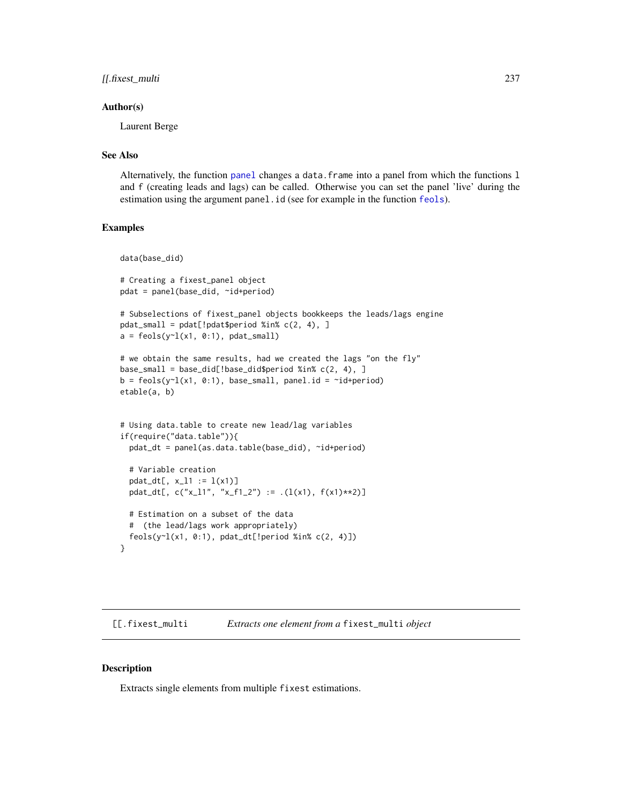# <span id="page-236-0"></span>[[.fixest\_multi 237

#### Author(s)

Laurent Berge

#### See Also

Alternatively, the function [panel](#page-150-0) changes a data.frame into a panel from which the functions l and f (creating leads and lags) can be called. Otherwise you can set the panel 'live' during the estimation using the argument panel.id (see for example in the function [feols](#page-112-0)).

#### Examples

```
data(base_did)
# Creating a fixest_panel object
pdat = panel(base_did, ~id+period)
# Subselections of fixest_panel objects bookkeeps the leads/lags engine
pdat_small = pdat[!pdat$period %in% c(2, 4), ]
a = feols(y<sup>-1</sup>(x1, 0:1), pdat_small)# we obtain the same results, had we created the lags "on the fly"
base_small = base_did[!base_did$period %in% c(2, 4), ]
b = feols(y<sup>-1</sup>(x1, 0:1), base\_small, panel.id = "id+period)etable(a, b)
# Using data.table to create new lead/lag variables
if(require("data.table")){
 pdat_dt = panel(as.data.table(base_did), ~id+period)
 # Variable creation
 pdat_dt[, x_l1 := 1(x1)]pdat_dt[, c("x_11", "x_f1_2") := .(l(x1), f(x1)*2)]# Estimation on a subset of the data
 # (the lead/lags work appropriately)
 feols(y~l(x1, 0:1), pdat_dt[!period %in% c(2, 4)])
}
```
[[.fixest\_multi *Extracts one element from a* fixest\_multi *object*

#### Description

Extracts single elements from multiple fixest estimations.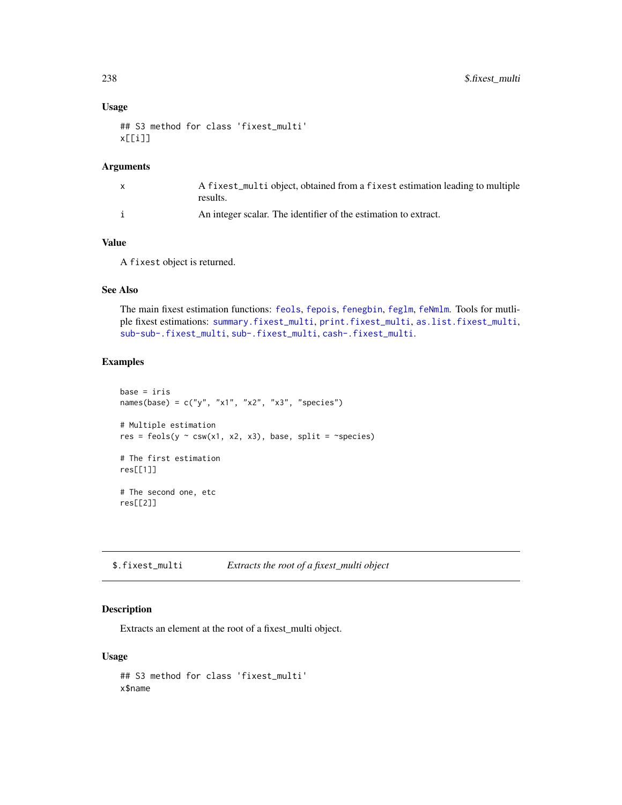# Usage

```
## S3 method for class 'fixest_multi'
x[[i]]
```
# Arguments

| A fixest_multi object, obtained from a fixest estimation leading to multiple<br>results. |
|------------------------------------------------------------------------------------------|
| An integer scalar. The identifier of the estimation to extract.                          |

# Value

A fixest object is returned.

# See Also

The main fixest estimation functions: [feols](#page-112-0), [fepois](#page-79-1), [fenegbin](#page-91-1), [feglm](#page-79-0), [feNmlm](#page-101-0). Tools for mutliple fixest estimations: [summary.fixest\\_multi](#page-203-0), [print.fixest\\_multi](#page-160-0), [as.list.fixest\\_multi](#page-6-0), [sub-sub-.fixest\\_multi](#page-0-0), [sub-.fixest\\_multi](#page-0-0), [cash-.fixest\\_multi](#page-0-0).

#### Examples

```
base = iris
names(base) = c("y", "x1", "x2", "x3", "species")
# Multiple estimation
res = feols(y \sim csw(x1, x2, x3), base, split = \simspecies)
# The first estimation
res[[1]]
# The second one, etc
res[[2]]
```
\$.fixest\_multi *Extracts the root of a fixest\_multi object*

# Description

Extracts an element at the root of a fixest\_multi object.

#### Usage

## S3 method for class 'fixest\_multi' x\$name

<span id="page-237-0"></span>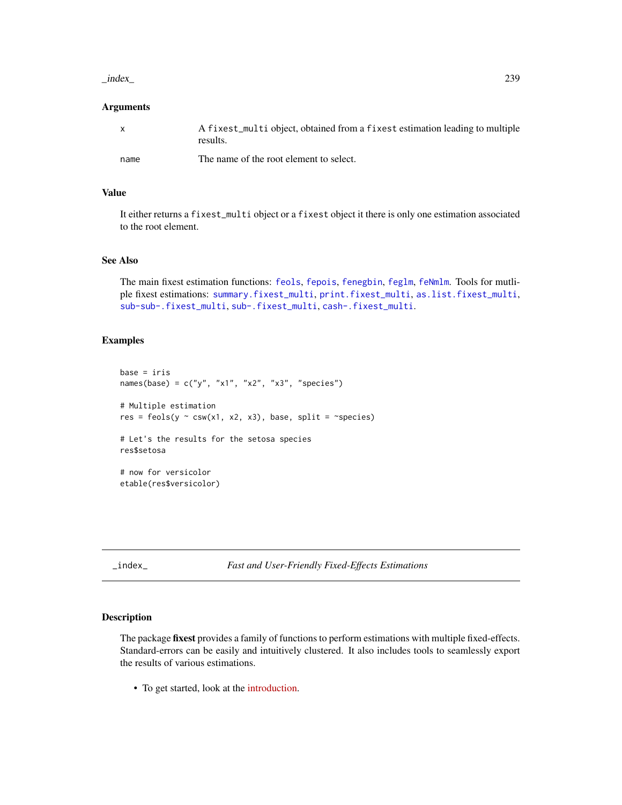#### <span id="page-238-0"></span> $\frac{1}{239}$

### **Arguments**

| X    | A fixest_multi object, obtained from a fixest estimation leading to multiple<br>results. |
|------|------------------------------------------------------------------------------------------|
| name | The name of the root element to select.                                                  |

# Value

It either returns a fixest\_multi object or a fixest object it there is only one estimation associated to the root element.

#### See Also

The main fixest estimation functions: [feols](#page-112-0), [fepois](#page-79-1), [fenegbin](#page-91-1), [feglm](#page-79-0), [feNmlm](#page-101-0). Tools for mutliple fixest estimations: [summary.fixest\\_multi](#page-203-0), [print.fixest\\_multi](#page-160-0), [as.list.fixest\\_multi](#page-6-0), [sub-sub-.fixest\\_multi](#page-0-0), [sub-.fixest\\_multi](#page-0-0), [cash-.fixest\\_multi](#page-0-0).

# Examples

```
base = irisnames(base) = c("y", "x1", "x2", "x3", "species")
# Multiple estimation
res = feols(y \sim csw(x1, x2, x3), base, split = \simspecies)
# Let's the results for the setosa species
res$setosa
# now for versicolor
etable(res$versicolor)
```
\_index\_ *Fast and User-Friendly Fixed-Effects Estimations*

#### Description

The package fixest provides a family of functions to perform estimations with multiple fixed-effects. Standard-errors can be easily and intuitively clustered. It also includes tools to seamlessly export the results of various estimations.

• To get started, look at the [introduction.](https://cran.r-project.org/package=fixest/vignettes/fixest_walkthrough.html)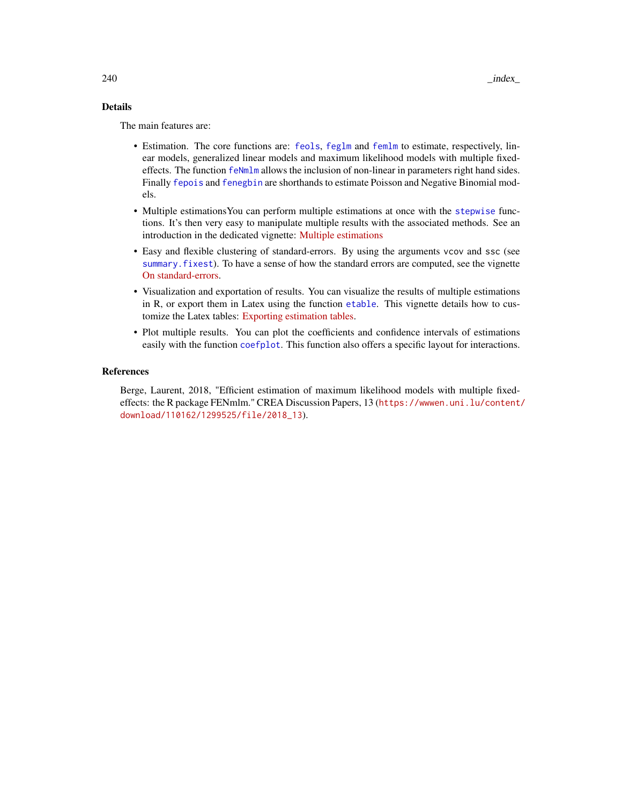# <span id="page-239-0"></span>Details

The main features are:

- Estimation. The core functions are: [feols](#page-112-0), [feglm](#page-79-0) and [femlm](#page-91-0) to estimate, respectively, linear models, generalized linear models and maximum likelihood models with multiple fixedeffects. The function [feNmlm](#page-101-0) allows the inclusion of non-linear in parameters right hand sides. Finally [fepois](#page-79-1) and [fenegbin](#page-91-1) are shorthands to estimate Poisson and Negative Binomial models.
- Multiple estimationsYou can perform multiple estimations at once with the [stepwise](#page-190-0) functions. It's then very easy to manipulate multiple results with the associated methods. See an introduction in the dedicated vignette: [Multiple estimations](https://cran.r-project.org/package=fixest/vignettes/multiple_estimations.html)
- Easy and flexible clustering of standard-errors. By using the arguments vcov and ssc (see [summary.fixest](#page-197-0)). To have a sense of how the standard errors are computed, see the vignette [On standard-errors.](https://lrberge.github.io/fixest/articles/standard_errors.html)
- Visualization and exportation of results. You can visualize the results of multiple estimations in R, or export them in Latex using the function [etable](#page-55-0). This vignette details how to customize the Latex tables: [Exporting estimation tables.](https://lrberge.github.io/fixest/articles/exporting_tables.html)
- Plot multiple results. You can plot the coefficients and confidence intervals of estimations easily with the function [coefplot](#page-18-0). This function also offers a specific layout for interactions.

#### References

Berge, Laurent, 2018, "Efficient estimation of maximum likelihood models with multiple fixedeffects: the R package FENmlm." CREA Discussion Papers, 13 ([https://wwwen.uni.lu/content/](https://wwwen.uni.lu/content/download/110162/1299525/file/2018_13) [download/110162/1299525/file/2018\\_13](https://wwwen.uni.lu/content/download/110162/1299525/file/2018_13)).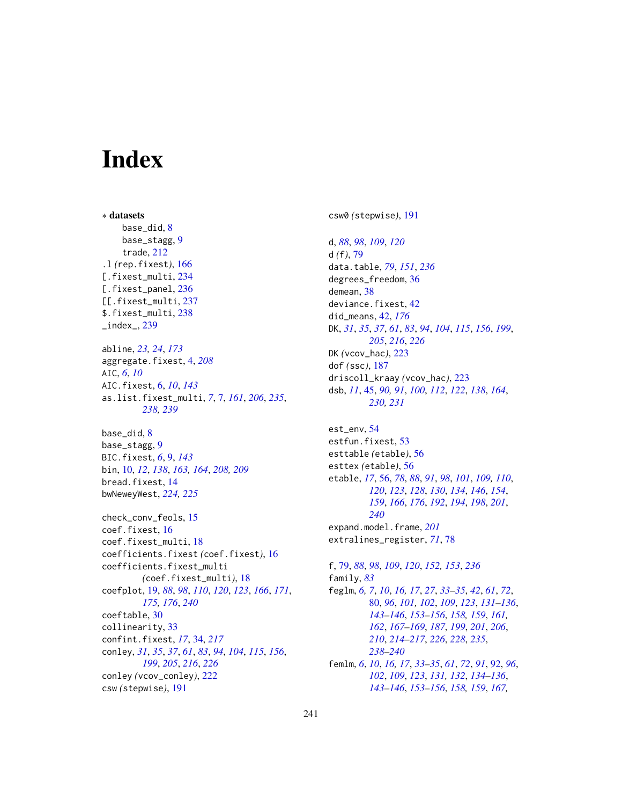# Index

∗ datasets base\_did, [8](#page-7-0) base\_stagg, [9](#page-8-0) trade, [212](#page-211-0) .l *(*rep.fixest*)*, [166](#page-165-0) [.fixest\_multi, [234](#page-233-0) [.fixest\_panel, [236](#page-235-0) [[.fixest\_multi, [237](#page-236-0) \$.fixest\_multi, [238](#page-237-0)  $_$ index $_$ , [239](#page-238-0) abline, *[23,](#page-22-0) [24](#page-23-0)*, *[173](#page-172-0)* aggregate.fixest, [4,](#page-3-0) *[208](#page-207-0)* AIC, *[6](#page-5-0)*, *[10](#page-9-0)* AIC.fixest, [6,](#page-5-0) *[10](#page-9-0)*, *[143](#page-142-0)* as.list.fixest\_multi, *[7](#page-6-1)*, [7,](#page-6-1) *[161](#page-160-1)*, *[206](#page-205-0)*, *[235](#page-234-0)*, *[238,](#page-237-0) [239](#page-238-0)* base\_did, [8](#page-7-0) base\_stagg, [9](#page-8-0) BIC.fixest, *[6](#page-5-0)*, [9,](#page-8-0) *[143](#page-142-0)* bin, [10,](#page-9-0) *[12](#page-11-0)*, *[138](#page-137-0)*, *[163,](#page-162-0) [164](#page-163-0)*, *[208,](#page-207-0) [209](#page-208-0)* bread.fixest, [14](#page-13-0) bwNeweyWest, *[224,](#page-223-0) [225](#page-224-0)* check\_conv\_feols, [15](#page-14-0) coef.fixest, [16](#page-15-0) coef.fixest\_multi, [18](#page-17-0) coefficients.fixest *(*coef.fixest*)*, [16](#page-15-0) coefficients.fixest\_multi *(*coef.fixest\_multi*)*, [18](#page-17-0) coefplot, [19,](#page-18-1) *[88](#page-87-0)*, *[98](#page-97-0)*, *[110](#page-109-0)*, *[120](#page-119-0)*, *[123](#page-122-0)*, *[166](#page-165-0)*, *[171](#page-170-0)*, *[175,](#page-174-0) [176](#page-175-0)*, *[240](#page-239-0)* coeftable, [30](#page-29-0) collinearity, [33](#page-32-0) confint.fixest, *[17](#page-16-0)*, [34,](#page-33-1) *[217](#page-216-0)* conley, *[31](#page-30-0)*, *[35](#page-34-0)*, *[37](#page-36-0)*, *[61](#page-60-0)*, *[83](#page-82-0)*, *[94](#page-93-0)*, *[104](#page-103-0)*, *[115](#page-114-0)*, *[156](#page-155-0)*, *[199](#page-198-0)*, *[205](#page-204-0)*, *[216](#page-215-0)*, *[226](#page-225-0)* conley *(*vcov\_conley*)*, [222](#page-221-2) csw *(*stepwise*)*, [191](#page-190-1)

csw0 *(*stepwise*)*, [191](#page-190-1)

d, *[88](#page-87-0)*, *[98](#page-97-0)*, *[109](#page-108-0)*, *[120](#page-119-0)* d *(*f*)*, [79](#page-78-2) data.table, *[79](#page-78-2)*, *[151](#page-150-1)*, *[236](#page-235-0)* degrees\_freedom, [36](#page-35-0) demean, [38](#page-37-0) deviance.fixest, [42](#page-41-0) did\_means, [42,](#page-41-0) *[176](#page-175-0)* DK, *[31](#page-30-0)*, *[35](#page-34-0)*, *[37](#page-36-0)*, *[61](#page-60-0)*, *[83](#page-82-0)*, *[94](#page-93-0)*, *[104](#page-103-0)*, *[115](#page-114-0)*, *[156](#page-155-0)*, *[199](#page-198-0)*, *[205](#page-204-0)*, *[216](#page-215-0)*, *[226](#page-225-0)* DK *(*vcov\_hac*)*, [223](#page-222-2) dof *(*ssc*)*, [187](#page-186-1) driscoll\_kraay *(*vcov\_hac*)*, [223](#page-222-2) dsb, *[11](#page-10-0)*, [45,](#page-44-1) *[90,](#page-89-0) [91](#page-90-0)*, *[100](#page-99-0)*, *[112](#page-111-0)*, *[122](#page-121-0)*, *[138](#page-137-0)*, *[164](#page-163-0)*, *[230,](#page-229-0) [231](#page-230-0)*

est\_env, [54](#page-53-0) estfun.fixest, [53](#page-52-0) esttable *(*etable*)*, [56](#page-55-1) esttex *(*etable*)*, [56](#page-55-1) etable, *[17](#page-16-0)*, [56,](#page-55-1) *[78](#page-77-0)*, *[88](#page-87-0)*, *[91](#page-90-0)*, *[98](#page-97-0)*, *[101](#page-100-0)*, *[109,](#page-108-0) [110](#page-109-0)*, *[120](#page-119-0)*, *[123](#page-122-0)*, *[128](#page-127-0)*, *[130](#page-129-0)*, *[134](#page-133-0)*, *[146](#page-145-0)*, *[154](#page-153-0)*, *[159](#page-158-0)*, *[166](#page-165-0)*, *[176](#page-175-0)*, *[192](#page-191-0)*, *[194](#page-193-0)*, *[198](#page-197-1)*, *[201](#page-200-0)*, *[240](#page-239-0)* expand.model.frame, *[201](#page-200-0)* extralines\_register, *[71](#page-70-0)*, [78](#page-77-0)

f, [79,](#page-78-2) *[88](#page-87-0)*, *[98](#page-97-0)*, *[109](#page-108-0)*, *[120](#page-119-0)*, *[152,](#page-151-0) [153](#page-152-0)*, *[236](#page-235-0)* family, *[83](#page-82-0)* feglm, *[6,](#page-5-0) [7](#page-6-1)*, *[10](#page-9-0)*, *[16,](#page-15-0) [17](#page-16-0)*, *[27](#page-26-0)*, *[33](#page-32-0)[–35](#page-34-0)*, *[42](#page-41-0)*, *[61](#page-60-0)*, *[72](#page-71-0)*, [80,](#page-79-2) *[96](#page-95-0)*, *[101,](#page-100-0) [102](#page-101-1)*, *[109](#page-108-0)*, *[123](#page-122-0)*, *[131](#page-130-0)[–136](#page-135-0)*, *[143](#page-142-0)[–146](#page-145-0)*, *[153](#page-152-0)[–156](#page-155-0)*, *[158,](#page-157-0) [159](#page-158-0)*, *[161,](#page-160-1) [162](#page-161-0)*, *[167](#page-166-1)[–169](#page-168-0)*, *[187](#page-186-1)*, *[199](#page-198-0)*, *[201](#page-200-0)*, *[206](#page-205-0)*, *[210](#page-209-0)*, *[214](#page-213-0)[–217](#page-216-0)*, *[226](#page-225-0)*, *[228](#page-227-0)*, *[235](#page-234-0)*, *[238](#page-237-0)[–240](#page-239-0)* femlm, *[6](#page-5-0)*, *[10](#page-9-0)*, *[16,](#page-15-0) [17](#page-16-0)*, *[33](#page-32-0)[–35](#page-34-0)*, *[61](#page-60-0)*, *[72](#page-71-0)*, *[91](#page-90-0)*, [92,](#page-91-2) *[96](#page-95-0)*,

*[102](#page-101-1)*, *[109](#page-108-0)*, *[123](#page-122-0)*, *[131,](#page-130-0) [132](#page-131-0)*, *[134](#page-133-0)[–136](#page-135-0)*, *[143](#page-142-0)[–146](#page-145-0)*, *[153](#page-152-0)[–156](#page-155-0)*, *[158,](#page-157-0) [159](#page-158-0)*, *[167,](#page-166-1)*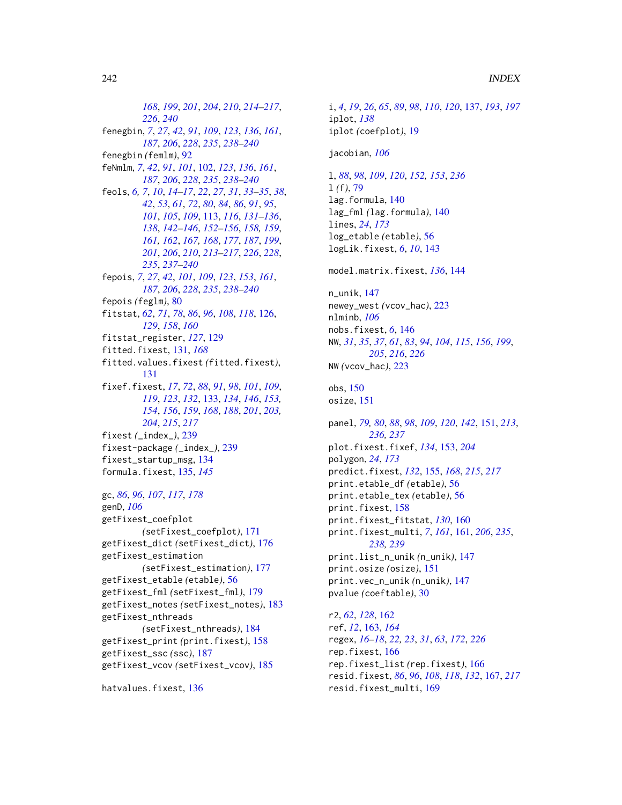*[168](#page-167-0)*, *[199](#page-198-0)*, *[201](#page-200-0)*, *[204](#page-203-1)*, *[210](#page-209-0)*, *[214–](#page-213-0)[217](#page-216-0)*, *[226](#page-225-0)*, *[240](#page-239-0)* fenegbin, *[7](#page-6-1)*, *[27](#page-26-0)*, *[42](#page-41-0)*, *[91](#page-90-0)*, *[109](#page-108-0)*, *[123](#page-122-0)*, *[136](#page-135-0)*, *[161](#page-160-1)*, *[187](#page-186-1)*, *[206](#page-205-0)*, *[228](#page-227-0)*, *[235](#page-234-0)*, *[238–](#page-237-0)[240](#page-239-0)* fenegbin *(*femlm*)*, [92](#page-91-2) feNmlm, *[7](#page-6-1)*, *[42](#page-41-0)*, *[91](#page-90-0)*, *[101](#page-100-0)*, [102,](#page-101-1) *[123](#page-122-0)*, *[136](#page-135-0)*, *[161](#page-160-1)*, *[187](#page-186-1)*, *[206](#page-205-0)*, *[228](#page-227-0)*, *[235](#page-234-0)*, *[238–](#page-237-0)[240](#page-239-0)* feols, *[6,](#page-5-0) [7](#page-6-1)*, *[10](#page-9-0)*, *[14](#page-13-0)[–17](#page-16-0)*, *[22](#page-21-0)*, *[27](#page-26-0)*, *[31](#page-30-0)*, *[33–](#page-32-0)[35](#page-34-0)*, *[38](#page-37-0)*, *[42](#page-41-0)*, *[53](#page-52-0)*, *[61](#page-60-0)*, *[72](#page-71-0)*, *[80](#page-79-2)*, *[84](#page-83-0)*, *[86](#page-85-0)*, *[91](#page-90-0)*, *[95](#page-94-0)*, *[101](#page-100-0)*, *[105](#page-104-0)*, *[109](#page-108-0)*, [113,](#page-112-1) *[116](#page-115-0)*, *[131–](#page-130-0)[136](#page-135-0)*, *[138](#page-137-0)*, *[142](#page-141-0)[–146](#page-145-0)*, *[152–](#page-151-0)[156](#page-155-0)*, *[158,](#page-157-0) [159](#page-158-0)*, *[161,](#page-160-1) [162](#page-161-0)*, *[167,](#page-166-1) [168](#page-167-0)*, *[177](#page-176-0)*, *[187](#page-186-1)*, *[199](#page-198-0)*, *[201](#page-200-0)*, *[206](#page-205-0)*, *[210](#page-209-0)*, *[213–](#page-212-0)[217](#page-216-0)*, *[226](#page-225-0)*, *[228](#page-227-0)*, *[235](#page-234-0)*, *[237](#page-236-0)[–240](#page-239-0)* fepois, *[7](#page-6-1)*, *[27](#page-26-0)*, *[42](#page-41-0)*, *[101](#page-100-0)*, *[109](#page-108-0)*, *[123](#page-122-0)*, *[153](#page-152-0)*, *[161](#page-160-1)*, *[187](#page-186-1)*, *[206](#page-205-0)*, *[228](#page-227-0)*, *[235](#page-234-0)*, *[238–](#page-237-0)[240](#page-239-0)* fepois *(*feglm*)*, [80](#page-79-2) fitstat, *[62](#page-61-0)*, *[71](#page-70-0)*, *[78](#page-77-0)*, *[86](#page-85-0)*, *[96](#page-95-0)*, *[108](#page-107-0)*, *[118](#page-117-0)*, [126,](#page-125-0) *[129](#page-128-0)*, *[158](#page-157-0)*, *[160](#page-159-0)* fitstat\_register, *[127](#page-126-0)*, [129](#page-128-0) fitted.fixest, [131,](#page-130-0) *[168](#page-167-0)* fitted.values.fixest *(*fitted.fixest*)*, [131](#page-130-0) fixef.fixest, *[17](#page-16-0)*, *[72](#page-71-0)*, *[88](#page-87-0)*, *[91](#page-90-0)*, *[98](#page-97-0)*, *[101](#page-100-0)*, *[109](#page-108-0)*, *[119](#page-118-0)*, *[123](#page-122-0)*, *[132](#page-131-0)*, [133,](#page-132-1) *[134](#page-133-0)*, *[146](#page-145-0)*, *[153,](#page-152-0) [154](#page-153-0)*, *[156](#page-155-0)*, *[159](#page-158-0)*, *[168](#page-167-0)*, *[188](#page-187-0)*, *[201](#page-200-0)*, *[203,](#page-202-0) [204](#page-203-1)*, *[215](#page-214-1)*, *[217](#page-216-0)* fixest *(*\_index\_*)*, [239](#page-238-0) fixest-package *(*\_index\_*)*, [239](#page-238-0) fixest\_startup\_msg, [134](#page-133-0) formula.fixest, [135,](#page-134-0) *[145](#page-144-0)*

gc, *[86](#page-85-0)*, *[96](#page-95-0)*, *[107](#page-106-0)*, *[117](#page-116-0)*, *[178](#page-177-0)* genD, *[106](#page-105-0)* getFixest\_coefplot *(*setFixest\_coefplot*)*, [171](#page-170-0) getFixest\_dict *(*setFixest\_dict*)*, [176](#page-175-0) getFixest\_estimation *(*setFixest\_estimation*)*, [177](#page-176-0) getFixest\_etable *(*etable*)*, [56](#page-55-1) getFixest\_fml *(*setFixest\_fml*)*, [179](#page-178-1)

getFixest\_notes *(*setFixest\_notes*)*, [183](#page-182-0) getFixest\_nthreads *(*setFixest\_nthreads*)*, [184](#page-183-1) getFixest\_print *(*print.fixest*)*, [158](#page-157-0) getFixest\_ssc *(*ssc*)*, [187](#page-186-1) getFixest\_vcov *(*setFixest\_vcov*)*, [185](#page-184-0)

hatvalues.fixest, [136](#page-135-0)

i, *[4](#page-3-0)*, *[19](#page-18-1)*, *[26](#page-25-0)*, *[65](#page-64-0)*, *[89](#page-88-0)*, *[98](#page-97-0)*, *[110](#page-109-0)*, *[120](#page-119-0)*, [137,](#page-136-0) *[193](#page-192-0)*, *[197](#page-196-0)* iplot, *[138](#page-137-0)* iplot *(*coefplot*)*, [19](#page-18-1)

jacobian, *[106](#page-105-0)*

l, *[88](#page-87-0)*, *[98](#page-97-0)*, *[109](#page-108-0)*, *[120](#page-119-0)*, *[152,](#page-151-0) [153](#page-152-0)*, *[236](#page-235-0)* l *(*f*)*, [79](#page-78-2) lag.formula, [140](#page-139-0) lag\_fml *(*lag.formula*)*, [140](#page-139-0) lines, *[24](#page-23-0)*, *[173](#page-172-0)* log\_etable *(*etable*)*, [56](#page-55-1) logLik.fixest, *[6](#page-5-0)*, *[10](#page-9-0)*, [143](#page-142-0)

model.matrix.fixest, *[136](#page-135-0)*, [144](#page-143-0)

n\_unik, [147](#page-146-0) newey\_west *(*vcov\_hac*)*, [223](#page-222-2) nlminb, *[106](#page-105-0)* nobs.fixest, *[6](#page-5-0)*, [146](#page-145-0) NW, *[31](#page-30-0)*, *[35](#page-34-0)*, *[37](#page-36-0)*, *[61](#page-60-0)*, *[83](#page-82-0)*, *[94](#page-93-0)*, *[104](#page-103-0)*, *[115](#page-114-0)*, *[156](#page-155-0)*, *[199](#page-198-0)*, *[205](#page-204-0)*, *[216](#page-215-0)*, *[226](#page-225-0)* NW *(*vcov\_hac*)*, [223](#page-222-2)

obs, [150](#page-149-0) osize, [151](#page-150-1)

panel, *[79,](#page-78-2) [80](#page-79-2)*, *[88](#page-87-0)*, *[98](#page-97-0)*, *[109](#page-108-0)*, *[120](#page-119-0)*, *[142](#page-141-0)*, [151,](#page-150-1) *[213](#page-212-0)*, *[236,](#page-235-0) [237](#page-236-0)* plot.fixest.fixef, *[134](#page-133-0)*, [153,](#page-152-0) *[204](#page-203-1)* polygon, *[24](#page-23-0)*, *[173](#page-172-0)* predict.fixest, *[132](#page-131-0)*, [155,](#page-154-1) *[168](#page-167-0)*, *[215](#page-214-1)*, *[217](#page-216-0)* print.etable\_df *(*etable*)*, [56](#page-55-1) print.etable\_tex *(*etable*)*, [56](#page-55-1) print.fixest, [158](#page-157-0) print.fixest\_fitstat, *[130](#page-129-0)*, [160](#page-159-0) print.fixest\_multi, *[7](#page-6-1)*, *[161](#page-160-1)*, [161,](#page-160-1) *[206](#page-205-0)*, *[235](#page-234-0)*, *[238,](#page-237-0) [239](#page-238-0)* print.list\_n\_unik *(*n\_unik*)*, [147](#page-146-0) print.osize *(*osize*)*, [151](#page-150-1) print.vec\_n\_unik *(*n\_unik*)*, [147](#page-146-0) pvalue *(*coeftable*)*, [30](#page-29-0)

r2, *[62](#page-61-0)*, *[128](#page-127-0)*, [162](#page-161-0) ref, *[12](#page-11-0)*, [163,](#page-162-0) *[164](#page-163-0)* regex, *[16](#page-15-0)[–18](#page-17-0)*, *[22,](#page-21-0) [23](#page-22-0)*, *[31](#page-30-0)*, *[63](#page-62-0)*, *[172](#page-171-0)*, *[226](#page-225-0)* rep.fixest, [166](#page-165-0) rep.fixest\_list *(*rep.fixest*)*, [166](#page-165-0) resid.fixest, *[86](#page-85-0)*, *[96](#page-95-0)*, *[108](#page-107-0)*, *[118](#page-117-0)*, *[132](#page-131-0)*, [167,](#page-166-1) *[217](#page-216-0)* resid.fixest\_multi, [169](#page-168-0)